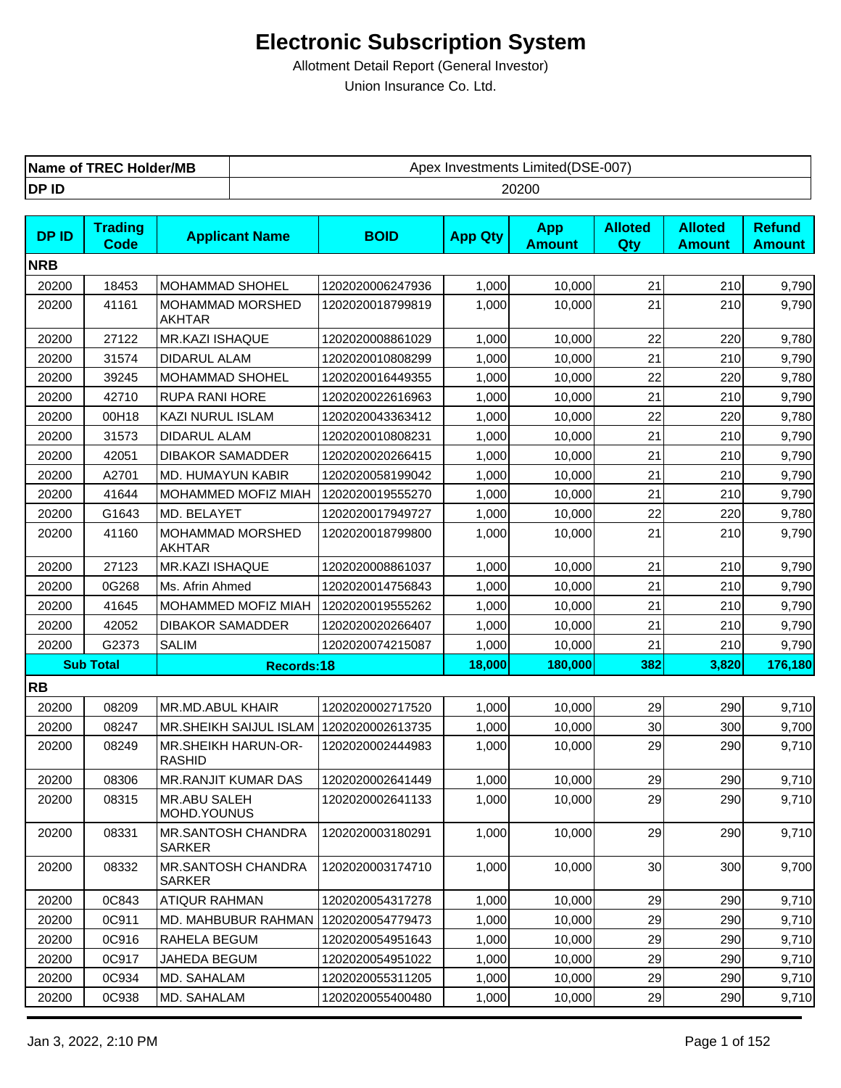| Name of            | Limited(DSE-007) |
|--------------------|------------------|
| <b>C Holder/MB</b> | Apex             |
| TRF(.              | ∶ Investments    |
| DP ID              | 20200            |

| <b>DPID</b> | <b>Trading</b><br><b>Code</b> | <b>Applicant Name</b>                | <b>BOID</b>      | <b>App Qty</b> | <b>App</b><br><b>Amount</b> | <b>Alloted</b><br><b>Qty</b> | <b>Alloted</b><br><b>Amount</b> | <b>Refund</b><br><b>Amount</b> |
|-------------|-------------------------------|--------------------------------------|------------------|----------------|-----------------------------|------------------------------|---------------------------------|--------------------------------|
| <b>NRB</b>  |                               |                                      |                  |                |                             |                              |                                 |                                |
| 20200       | 18453                         | <b>MOHAMMAD SHOHEL</b>               | 1202020006247936 | 1,000          | 10,000                      | 21                           | 210                             | 9,790                          |
| 20200       | 41161                         | MOHAMMAD MORSHED<br><b>AKHTAR</b>    | 1202020018799819 | 1,000          | 10,000                      | 21                           | 210                             | 9,790                          |
| 20200       | 27122                         | <b>MR.KAZI ISHAQUE</b>               | 1202020008861029 | 1,000          | 10,000                      | 22                           | 220                             | 9,780                          |
| 20200       | 31574                         | <b>DIDARUL ALAM</b>                  | 1202020010808299 | 1,000          | 10,000                      | 21                           | 210                             | 9,790                          |
| 20200       | 39245                         | MOHAMMAD SHOHEL                      | 1202020016449355 | 1,000          | 10,000                      | 22                           | 220                             | 9,780                          |
| 20200       | 42710                         | <b>RUPA RANI HORE</b>                | 1202020022616963 | 1,000          | 10,000                      | 21                           | 210                             | 9,790                          |
| 20200       | 00H18                         | KAZI NURUL ISLAM                     | 1202020043363412 | 1,000          | 10,000                      | 22                           | 220                             | 9,780                          |
| 20200       | 31573                         | <b>DIDARUL ALAM</b>                  | 1202020010808231 | 1,000          | 10,000                      | 21                           | 210                             | 9,790                          |
| 20200       | 42051                         | <b>DIBAKOR SAMADDER</b>              | 1202020020266415 | 1,000          | 10,000                      | 21                           | 210                             | 9,790                          |
| 20200       | A2701                         | MD. HUMAYUN KABIR                    | 1202020058199042 | 1,000          | 10,000                      | 21                           | 210                             | 9,790                          |
| 20200       | 41644                         | MOHAMMED MOFIZ MIAH                  | 1202020019555270 | 1,000          | 10,000                      | 21                           | 210                             | 9,790                          |
| 20200       | G1643                         | MD. BELAYET                          | 1202020017949727 | 1,000          | 10,000                      | 22                           | 220                             | 9,780                          |
| 20200       | 41160                         | MOHAMMAD MORSHED<br><b>AKHTAR</b>    | 1202020018799800 | 1,000          | 10,000                      | 21                           | 210                             | 9,790                          |
| 20200       | 27123                         | MR.KAZI ISHAQUE                      | 1202020008861037 | 1,000          | 10,000                      | 21                           | 210                             | 9,790                          |
| 20200       | 0G268                         | Ms. Afrin Ahmed                      | 1202020014756843 | 1,000          | 10,000                      | 21                           | 210                             | 9,790                          |
| 20200       | 41645                         | MOHAMMED MOFIZ MIAH                  | 1202020019555262 | 1,000          | 10,000                      | 21                           | 210                             | 9,790                          |
| 20200       | 42052                         | <b>DIBAKOR SAMADDER</b>              | 1202020020266407 | 1,000          | 10,000                      | 21                           | 210                             | 9,790                          |
| 20200       | G2373                         | <b>SALIM</b>                         | 1202020074215087 | 1,000          | 10,000                      | 21                           | 210                             | 9,790                          |
|             | <b>Sub Total</b>              | Records:18                           |                  | 18,000         | 180,000                     | 382                          | 3,820                           | 176,180                        |
| <b>RB</b>   |                               |                                      |                  |                |                             |                              |                                 |                                |
| 20200       | 08209                         | MR.MD.ABUL KHAIR                     | 1202020002717520 | 1,000          | 10,000                      | 29                           | 290                             | 9,710                          |
| 20200       | 08247                         | MR.SHEIKH SAIJUL ISLAM               | 1202020002613735 | 1,000          | 10,000                      | 30                           | 300                             | 9,700                          |
| 20200       | 08249                         | MR.SHEIKH HARUN-OR-<br><b>RASHID</b> | 1202020002444983 | 1,000          | 10,000                      | 29                           | 290                             | 9,710                          |
| 20200       | 08306                         | <b>MR.RANJIT KUMAR DAS</b>           | 1202020002641449 | 1,000          | 10,000                      | 29                           | 290                             | 9,710                          |
| 20200       | 08315                         | <b>MR.ABU SALEH</b><br>MOHD.YOUNUS   | 1202020002641133 | 1,000          | 10,000                      | 29                           | 290                             | 9,710                          |
| 20200       | 08331                         | MR.SANTOSH CHANDRA<br>SARKER         | 1202020003180291 | 1,000          | 10,000                      | 29                           | 290                             | 9,710                          |
| 20200       | 08332                         | MR.SANTOSH CHANDRA<br>SARKER         | 1202020003174710 | 1,000          | 10,000                      | 30 <sub>0</sub>              | 300                             | 9,700                          |
| 20200       | 0C843                         | <b>ATIQUR RAHMAN</b>                 | 1202020054317278 | 1,000          | 10,000                      | 29                           | 290                             | 9,710                          |
| 20200       | 0C911                         | MD. MAHBUBUR RAHMAN                  | 1202020054779473 | 1,000          | 10,000                      | 29                           | 290                             | 9,710                          |
| 20200       | 0C916                         | RAHELA BEGUM                         | 1202020054951643 | 1,000          | 10,000                      | 29                           | 290                             | 9,710                          |
| 20200       | 0C917                         | JAHEDA BEGUM                         | 1202020054951022 | 1,000          | 10,000                      | 29                           | 290                             | 9,710                          |
| 20200       | 0C934                         | MD. SAHALAM                          | 1202020055311205 | 1,000          | 10,000                      | 29                           | 290                             | 9,710                          |
| 20200       | 0C938                         | MD. SAHALAM                          | 1202020055400480 | 1,000          | 10,000                      | 29                           | 290                             | 9,710                          |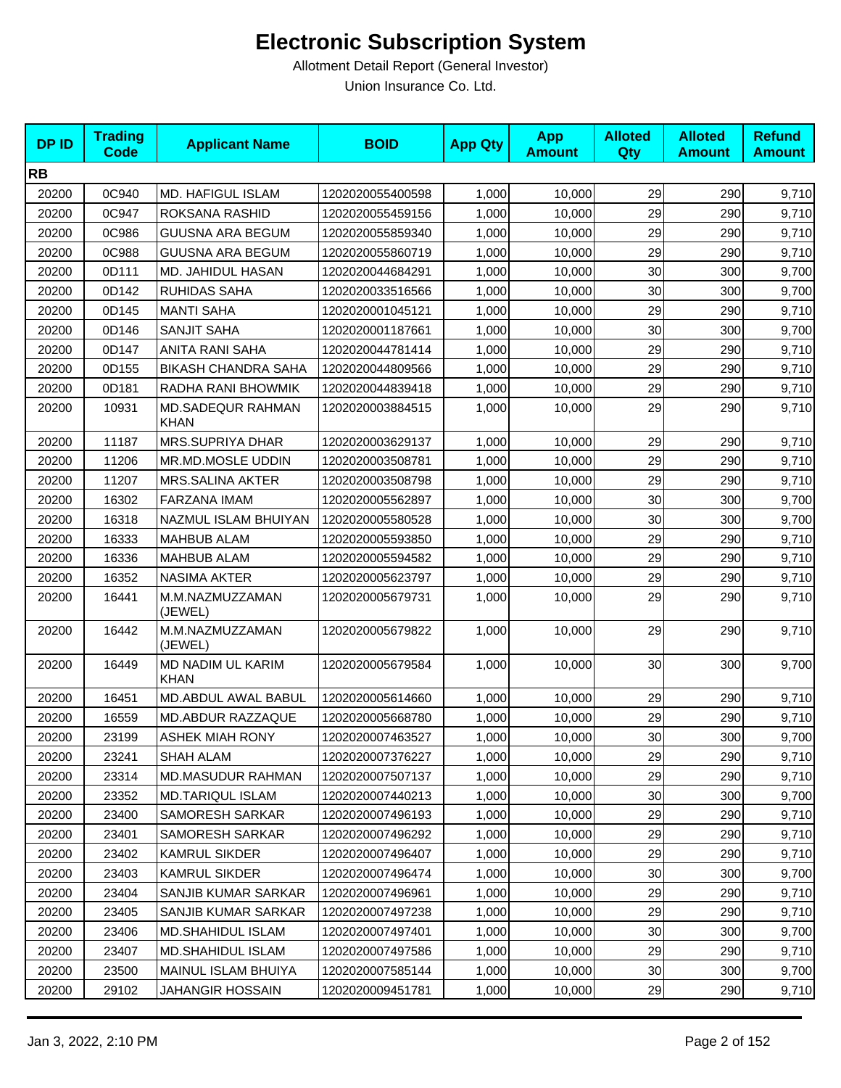| <b>DPID</b> | <b>Trading</b><br><b>Code</b> | <b>Applicant Name</b>                   | <b>BOID</b>      | <b>App Qty</b> | <b>App</b><br><b>Amount</b> | <b>Alloted</b><br>Qty | <b>Alloted</b><br><b>Amount</b> | <b>Refund</b><br><b>Amount</b> |
|-------------|-------------------------------|-----------------------------------------|------------------|----------------|-----------------------------|-----------------------|---------------------------------|--------------------------------|
| <b>RB</b>   |                               |                                         |                  |                |                             |                       |                                 |                                |
| 20200       | 0C940                         | <b>MD. HAFIGUL ISLAM</b>                | 1202020055400598 | 1,000          | 10,000                      | 29                    | 290                             | 9,710                          |
| 20200       | 0C947                         | ROKSANA RASHID                          | 1202020055459156 | 1,000          | 10,000                      | 29                    | 290                             | 9,710                          |
| 20200       | 0C986                         | <b>GUUSNA ARA BEGUM</b>                 | 1202020055859340 | 1,000          | 10,000                      | 29                    | 290                             | 9,710                          |
| 20200       | 0C988                         | <b>GUUSNA ARA BEGUM</b>                 | 1202020055860719 | 1,000          | 10,000                      | 29                    | 290                             | 9,710                          |
| 20200       | 0D111                         | MD. JAHIDUL HASAN                       | 1202020044684291 | 1,000          | 10,000                      | 30                    | 300                             | 9,700                          |
| 20200       | 0D142                         | RUHIDAS SAHA                            | 1202020033516566 | 1,000          | 10,000                      | 30                    | 300                             | 9,700                          |
| 20200       | 0D145                         | <b>MANTI SAHA</b>                       | 1202020001045121 | 1,000          | 10,000                      | 29                    | 290                             | 9,710                          |
| 20200       | 0D146                         | SANJIT SAHA                             | 1202020001187661 | 1,000          | 10,000                      | 30                    | 300                             | 9,700                          |
| 20200       | 0D147                         | ANITA RANI SAHA                         | 1202020044781414 | 1,000          | 10,000                      | 29                    | 290                             | 9,710                          |
| 20200       | 0D155                         | <b>BIKASH CHANDRA SAHA</b>              | 1202020044809566 | 1,000          | 10,000                      | 29                    | 290                             | 9,710                          |
| 20200       | 0D181                         | RADHA RANI BHOWMIK                      | 1202020044839418 | 1,000          | 10,000                      | 29                    | 290                             | 9,710                          |
| 20200       | 10931                         | <b>MD.SADEQUR RAHMAN</b><br><b>KHAN</b> | 1202020003884515 | 1,000          | 10,000                      | 29                    | 290                             | 9,710                          |
| 20200       | 11187                         | <b>MRS.SUPRIYA DHAR</b>                 | 1202020003629137 | 1,000          | 10,000                      | 29                    | 290                             | 9,710                          |
| 20200       | 11206                         | MR.MD.MOSLE UDDIN                       | 1202020003508781 | 1,000          | 10,000                      | 29                    | 290                             | 9,710                          |
| 20200       | 11207                         | <b>MRS.SALINA AKTER</b>                 | 1202020003508798 | 1,000          | 10,000                      | 29                    | 290                             | 9,710                          |
| 20200       | 16302                         | FARZANA IMAM                            | 1202020005562897 | 1,000          | 10,000                      | 30                    | 300                             | 9,700                          |
| 20200       | 16318                         | NAZMUL ISLAM BHUIYAN                    | 1202020005580528 | 1,000          | 10,000                      | 30                    | 300                             | 9,700                          |
| 20200       | 16333                         | <b>MAHBUB ALAM</b>                      | 1202020005593850 | 1,000          | 10,000                      | 29                    | 290                             | 9,710                          |
| 20200       | 16336                         | <b>MAHBUB ALAM</b>                      | 1202020005594582 | 1,000          | 10,000                      | 29                    | 290                             | 9,710                          |
| 20200       | 16352                         | <b>NASIMA AKTER</b>                     | 1202020005623797 | 1,000          | 10,000                      | 29                    | 290                             | 9,710                          |
| 20200       | 16441                         | M.M.NAZMUZZAMAN<br>(JEWEL)              | 1202020005679731 | 1,000          | 10,000                      | 29                    | 290                             | 9,710                          |
| 20200       | 16442                         | M.M.NAZMUZZAMAN<br>(JEWEL)              | 1202020005679822 | 1,000          | 10,000                      | 29                    | 290                             | 9,710                          |
| 20200       | 16449                         | MD NADIM UL KARIM<br><b>KHAN</b>        | 1202020005679584 | 1,000          | 10,000                      | 30                    | 300                             | 9,700                          |
| 20200       | 16451                         | MD.ABDUL AWAL BABUL                     | 1202020005614660 | 1,000          | 10,000                      | 29                    | 290                             | 9,710                          |
| 20200       | 16559                         | MD.ABDUR RAZZAQUE                       | 1202020005668780 | 1,000          | 10,000                      | 29                    | 290                             | 9,710                          |
| 20200       | 23199                         | <b>ASHEK MIAH RONY</b>                  | 1202020007463527 | 1,000          | 10,000                      | 30 <sup>1</sup>       | 300                             | 9,700                          |
| 20200       | 23241                         | SHAH ALAM                               | 1202020007376227 | 1,000          | 10,000                      | 29                    | 290                             | 9,710                          |
| 20200       | 23314                         | MD.MASUDUR RAHMAN                       | 1202020007507137 | 1,000          | 10,000                      | 29                    | 290                             | 9,710                          |
| 20200       | 23352                         | <b>MD.TARIQUL ISLAM</b>                 | 1202020007440213 | 1,000          | 10.000                      | 30                    | 300                             | 9,700                          |
| 20200       | 23400                         | SAMORESH SARKAR                         | 1202020007496193 | 1,000          | 10,000                      | 29                    | 290                             | 9,710                          |
| 20200       | 23401                         | SAMORESH SARKAR                         | 1202020007496292 | 1,000          | 10,000                      | 29                    | 290                             | 9,710                          |
| 20200       | 23402                         | KAMRUL SIKDER                           | 1202020007496407 | 1,000          | 10,000                      | 29                    | 290                             | 9,710                          |
| 20200       | 23403                         | <b>KAMRUL SIKDER</b>                    | 1202020007496474 | 1,000          | 10,000                      | 30                    | 300                             | 9,700                          |
| 20200       | 23404                         | SANJIB KUMAR SARKAR                     | 1202020007496961 | 1,000          | 10,000                      | 29                    | 290                             | 9,710                          |
| 20200       | 23405                         | SANJIB KUMAR SARKAR                     | 1202020007497238 | 1,000          | 10,000                      | 29                    | 290                             | 9,710                          |
| 20200       | 23406                         | <b>MD.SHAHIDUL ISLAM</b>                | 1202020007497401 | 1,000          | 10,000                      | 30 <sub>0</sub>       | 300                             | 9,700                          |
| 20200       | 23407                         | <b>MD.SHAHIDUL ISLAM</b>                | 1202020007497586 | 1,000          | 10,000                      | 29                    | 290                             | 9,710                          |
| 20200       | 23500                         | MAINUL ISLAM BHUIYA                     | 1202020007585144 | 1,000          | 10,000                      | $30\,$                | 300                             | 9,700                          |
| 20200       | 29102                         | JAHANGIR HOSSAIN                        | 1202020009451781 | 1,000          | 10,000                      | 29                    | 290                             | 9,710                          |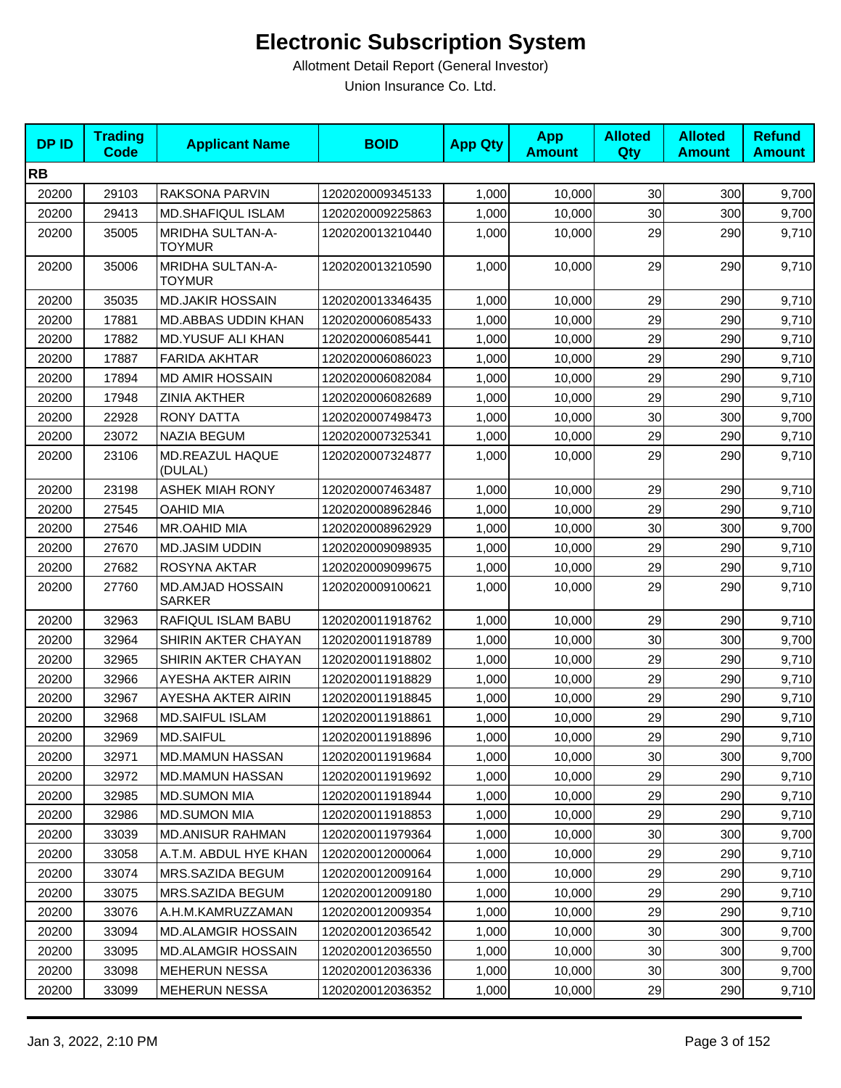| <b>DPID</b> | <b>Trading</b><br><b>Code</b> | <b>Applicant Name</b>                    | <b>BOID</b>      | <b>App Qty</b> | <b>App</b><br><b>Amount</b> | <b>Alloted</b><br>Qty | <b>Alloted</b><br><b>Amount</b> | <b>Refund</b><br><b>Amount</b> |
|-------------|-------------------------------|------------------------------------------|------------------|----------------|-----------------------------|-----------------------|---------------------------------|--------------------------------|
| <b>RB</b>   |                               |                                          |                  |                |                             |                       |                                 |                                |
| 20200       | 29103                         | RAKSONA PARVIN                           | 1202020009345133 | 1,000          | 10,000                      | 30                    | 300                             | 9,700                          |
| 20200       | 29413                         | <b>MD.SHAFIQUL ISLAM</b>                 | 1202020009225863 | 1,000          | 10,000                      | 30                    | 300                             | 9,700                          |
| 20200       | 35005                         | MRIDHA SULTAN-A-<br><b>TOYMUR</b>        | 1202020013210440 | 1,000          | 10,000                      | 29                    | 290                             | 9,710                          |
| 20200       | 35006                         | <b>MRIDHA SULTAN-A-</b><br><b>TOYMUR</b> | 1202020013210590 | 1,000          | 10,000                      | 29                    | 290                             | 9,710                          |
| 20200       | 35035                         | <b>MD.JAKIR HOSSAIN</b>                  | 1202020013346435 | 1,000          | 10,000                      | 29                    | 290                             | 9,710                          |
| 20200       | 17881                         | MD.ABBAS UDDIN KHAN                      | 1202020006085433 | 1,000          | 10,000                      | 29                    | 290                             | 9,710                          |
| 20200       | 17882                         | <b>MD.YUSUF ALI KHAN</b>                 | 1202020006085441 | 1,000          | 10,000                      | 29                    | 290                             | 9,710                          |
| 20200       | 17887                         | <b>FARIDA AKHTAR</b>                     | 1202020006086023 | 1,000          | 10,000                      | 29                    | 290                             | 9,710                          |
| 20200       | 17894                         | <b>MD AMIR HOSSAIN</b>                   | 1202020006082084 | 1,000          | 10,000                      | 29                    | 290                             | 9,710                          |
| 20200       | 17948                         | <b>ZINIA AKTHER</b>                      | 1202020006082689 | 1,000          | 10,000                      | 29                    | 290                             | 9,710                          |
| 20200       | 22928                         | <b>RONY DATTA</b>                        | 1202020007498473 | 1,000          | 10,000                      | 30                    | 300                             | 9,700                          |
| 20200       | 23072                         | <b>NAZIA BEGUM</b>                       | 1202020007325341 | 1,000          | 10,000                      | 29                    | 290                             | 9,710                          |
| 20200       | 23106                         | MD.REAZUL HAQUE<br>(DULAL)               | 1202020007324877 | 1,000          | 10,000                      | 29                    | 290                             | 9,710                          |
| 20200       | 23198                         | <b>ASHEK MIAH RONY</b>                   | 1202020007463487 | 1,000          | 10,000                      | 29                    | 290                             | 9,710                          |
| 20200       | 27545                         | <b>OAHID MIA</b>                         | 1202020008962846 | 1,000          | 10,000                      | 29                    | 290                             | 9,710                          |
| 20200       | 27546                         | MR.OAHID MIA                             | 1202020008962929 | 1,000          | 10,000                      | 30                    | 300                             | 9,700                          |
| 20200       | 27670                         | <b>MD.JASIM UDDIN</b>                    | 1202020009098935 | 1,000          | 10,000                      | 29                    | 290                             | 9,710                          |
| 20200       | 27682                         | ROSYNA AKTAR                             | 1202020009099675 | 1,000          | 10,000                      | 29                    | 290                             | 9,710                          |
| 20200       | 27760                         | MD.AMJAD HOSSAIN<br><b>SARKER</b>        | 1202020009100621 | 1,000          | 10,000                      | 29                    | 290                             | 9,710                          |
| 20200       | 32963                         | RAFIQUL ISLAM BABU                       | 1202020011918762 | 1,000          | 10,000                      | 29                    | 290                             | 9,710                          |
| 20200       | 32964                         | SHIRIN AKTER CHAYAN                      | 1202020011918789 | 1,000          | 10,000                      | 30                    | 300                             | 9,700                          |
| 20200       | 32965                         | SHIRIN AKTER CHAYAN                      | 1202020011918802 | 1,000          | 10,000                      | 29                    | 290                             | 9,710                          |
| 20200       | 32966                         | AYESHA AKTER AIRIN                       | 1202020011918829 | 1,000          | 10,000                      | 29                    | 290                             | 9,710                          |
| 20200       | 32967                         | AYESHA AKTER AIRIN                       | 1202020011918845 | 1,000          | 10,000                      | 29                    | 290                             | 9,710                          |
| 20200       | 32968                         | <b>MD.SAIFUL ISLAM</b>                   | 1202020011918861 | 1,000          | 10,000                      | 29                    | 290                             | 9,710                          |
| 20200       | 32969                         | <b>MD.SAIFUL</b>                         | 1202020011918896 | 1,000          | 10,000                      | 29                    | 290                             | 9,710                          |
| 20200       | 32971                         | MD.MAMUN HASSAN                          | 1202020011919684 | 1,000          | 10,000                      | 30                    | 300                             | 9,700                          |
| 20200       | 32972                         | MD.MAMUN HASSAN                          | 1202020011919692 | 1,000          | 10,000                      | 29                    | 290                             | 9,710                          |
| 20200       | 32985                         | <b>MD.SUMON MIA</b>                      | 1202020011918944 | 1,000          | 10,000                      | 29                    | 290                             | 9,710                          |
| 20200       | 32986                         | <b>MD.SUMON MIA</b>                      | 1202020011918853 | 1,000          | 10,000                      | 29                    | 290                             | 9,710                          |
| 20200       | 33039                         | <b>MD.ANISUR RAHMAN</b>                  | 1202020011979364 | 1,000          | 10,000                      | 30                    | 300                             | 9,700                          |
| 20200       | 33058                         | A.T.M. ABDUL HYE KHAN                    | 1202020012000064 | 1,000          | 10,000                      | 29                    | 290                             | 9,710                          |
| 20200       | 33074                         | MRS.SAZIDA BEGUM                         | 1202020012009164 | 1,000          | 10,000                      | 29                    | 290                             | 9,710                          |
| 20200       | 33075                         | MRS.SAZIDA BEGUM                         | 1202020012009180 | 1,000          | 10,000                      | 29                    | 290                             | 9,710                          |
| 20200       | 33076                         | A.H.M.KAMRUZZAMAN                        | 1202020012009354 | 1,000          | 10,000                      | 29                    | 290                             | 9,710                          |
| 20200       | 33094                         | <b>MD.ALAMGIR HOSSAIN</b>                | 1202020012036542 | 1,000          | 10,000                      | 30                    | 300                             | 9,700                          |
| 20200       | 33095                         | <b>MD.ALAMGIR HOSSAIN</b>                | 1202020012036550 | 1,000          | 10,000                      | 30                    | 300                             | 9,700                          |
| 20200       | 33098                         | <b>MEHERUN NESSA</b>                     | 1202020012036336 | 1,000          | 10,000                      | $30\,$                | 300                             | 9,700                          |
| 20200       | 33099                         | <b>MEHERUN NESSA</b>                     | 1202020012036352 | 1,000          | 10,000                      | 29                    | 290                             | 9,710                          |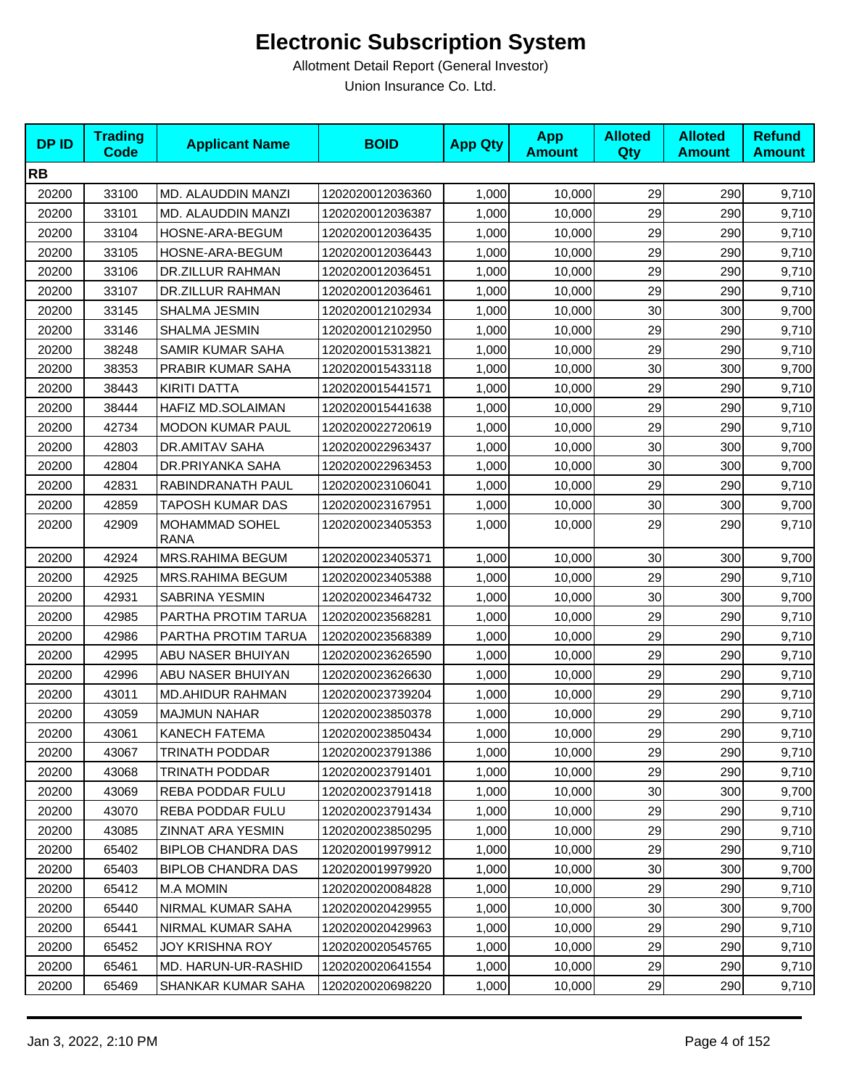| <b>DPID</b> | <b>Trading</b><br><b>Code</b> | <b>Applicant Name</b>                | <b>BOID</b>      | <b>App Qty</b> | <b>App</b><br><b>Amount</b> | <b>Alloted</b><br><b>Qty</b> | <b>Alloted</b><br><b>Amount</b> | <b>Refund</b><br><b>Amount</b> |
|-------------|-------------------------------|--------------------------------------|------------------|----------------|-----------------------------|------------------------------|---------------------------------|--------------------------------|
| <b>RB</b>   |                               |                                      |                  |                |                             |                              |                                 |                                |
| 20200       | 33100                         | MD. ALAUDDIN MANZI                   | 1202020012036360 | 1,000          | 10,000                      | 29                           | 290                             | 9,710                          |
| 20200       | 33101                         | MD. ALAUDDIN MANZI                   | 1202020012036387 | 1,000          | 10,000                      | 29                           | 290                             | 9,710                          |
| 20200       | 33104                         | HOSNE-ARA-BEGUM                      | 1202020012036435 | 1,000          | 10,000                      | 29                           | 290                             | 9,710                          |
| 20200       | 33105                         | HOSNE-ARA-BEGUM                      | 1202020012036443 | 1,000          | 10,000                      | 29                           | 290                             | 9,710                          |
| 20200       | 33106                         | DR.ZILLUR RAHMAN                     | 1202020012036451 | 1,000          | 10,000                      | 29                           | 290                             | 9,710                          |
| 20200       | 33107                         | DR.ZILLUR RAHMAN                     | 1202020012036461 | 1,000          | 10,000                      | 29                           | 290                             | 9,710                          |
| 20200       | 33145                         | SHALMA JESMIN                        | 1202020012102934 | 1,000          | 10,000                      | 30                           | 300                             | 9,700                          |
| 20200       | 33146                         | SHALMA JESMIN                        | 1202020012102950 | 1,000          | 10,000                      | 29                           | 290                             | 9,710                          |
| 20200       | 38248                         | SAMIR KUMAR SAHA                     | 1202020015313821 | 1,000          | 10,000                      | 29                           | 290                             | 9,710                          |
| 20200       | 38353                         | PRABIR KUMAR SAHA                    | 1202020015433118 | 1,000          | 10,000                      | 30                           | 300                             | 9,700                          |
| 20200       | 38443                         | KIRITI DATTA                         | 1202020015441571 | 1,000          | 10,000                      | 29                           | 290                             | 9,710                          |
| 20200       | 38444                         | HAFIZ MD.SOLAIMAN                    | 1202020015441638 | 1,000          | 10,000                      | 29                           | 290                             | 9,710                          |
| 20200       | 42734                         | <b>MODON KUMAR PAUL</b>              | 1202020022720619 | 1,000          | 10,000                      | 29                           | 290                             | 9,710                          |
| 20200       | 42803                         | DR.AMITAV SAHA                       | 1202020022963437 | 1,000          | 10,000                      | 30                           | 300                             | 9,700                          |
| 20200       | 42804                         | DR.PRIYANKA SAHA                     | 1202020022963453 | 1,000          | 10,000                      | 30                           | 300                             | 9,700                          |
| 20200       | 42831                         | RABINDRANATH PAUL                    | 1202020023106041 | 1,000          | 10,000                      | 29                           | 290                             | 9,710                          |
| 20200       | 42859                         | TAPOSH KUMAR DAS                     | 1202020023167951 | 1,000          | 10,000                      | 30                           | 300                             | 9,700                          |
| 20200       | 42909                         | <b>MOHAMMAD SOHEL</b><br><b>RANA</b> | 1202020023405353 | 1,000          | 10,000                      | 29                           | 290                             | 9,710                          |
| 20200       | 42924                         | MRS.RAHIMA BEGUM                     | 1202020023405371 | 1,000          | 10,000                      | 30                           | 300                             | 9,700                          |
| 20200       | 42925                         | MRS.RAHIMA BEGUM                     | 1202020023405388 | 1,000          | 10,000                      | 29                           | 290                             | 9,710                          |
| 20200       | 42931                         | SABRINA YESMIN                       | 1202020023464732 | 1,000          | 10,000                      | 30                           | 300                             | 9,700                          |
| 20200       | 42985                         | PARTHA PROTIM TARUA                  | 1202020023568281 | 1,000          | 10,000                      | 29                           | 290                             | 9,710                          |
| 20200       | 42986                         | PARTHA PROTIM TARUA                  | 1202020023568389 | 1,000          | 10,000                      | 29                           | 290                             | 9,710                          |
| 20200       | 42995                         | ABU NASER BHUIYAN                    | 1202020023626590 | 1,000          | 10,000                      | 29                           | 290                             | 9,710                          |
| 20200       | 42996                         | ABU NASER BHUIYAN                    | 1202020023626630 | 1,000          | 10,000                      | 29                           | 290                             | 9,710                          |
| 20200       | 43011                         | <b>MD.AHIDUR RAHMAN</b>              | 1202020023739204 | 1,000          | 10,000                      | 29                           | 290                             | 9,710                          |
| 20200       | 43059                         | <b>MAJMUN NAHAR</b>                  | 1202020023850378 | 1,000          | 10,000                      | 29                           | 290                             | 9,710                          |
| 20200       | 43061                         | <b>KANECH FATEMA</b>                 | 1202020023850434 | 1,000          | 10,000                      | 29                           | 290                             | 9,710                          |
| 20200       | 43067                         | <b>TRINATH PODDAR</b>                | 1202020023791386 | 1,000          | 10,000                      | 29                           | 290                             | 9,710                          |
| 20200       | 43068                         | TRINATH PODDAR                       | 1202020023791401 | 1,000          | 10,000                      | 29                           | 290                             | 9,710                          |
| 20200       | 43069                         | REBA PODDAR FULU                     | 1202020023791418 | 1,000          | 10,000                      | 30                           | 300                             | 9,700                          |
| 20200       | 43070                         | REBA PODDAR FULU                     | 1202020023791434 | 1,000          | 10,000                      | 29                           | 290                             | 9,710                          |
| 20200       | 43085                         | ZINNAT ARA YESMIN                    | 1202020023850295 | 1,000          | 10,000                      | 29                           | 290                             | 9,710                          |
| 20200       | 65402                         | <b>BIPLOB CHANDRA DAS</b>            | 1202020019979912 | 1,000          | 10,000                      | 29                           | 290                             | 9,710                          |
| 20200       | 65403                         | <b>BIPLOB CHANDRA DAS</b>            | 1202020019979920 | 1,000          | 10,000                      | 30                           | 300                             | 9,700                          |
| 20200       | 65412                         | <b>M.A MOMIN</b>                     | 1202020020084828 | 1,000          | 10,000                      | 29                           | 290                             | 9,710                          |
| 20200       | 65440                         | NIRMAL KUMAR SAHA                    | 1202020020429955 | 1,000          | 10,000                      | 30                           | 300                             | 9,700                          |
| 20200       | 65441                         | NIRMAL KUMAR SAHA                    | 1202020020429963 | 1,000          | 10,000                      | 29                           | 290                             | 9,710                          |
| 20200       | 65452                         | <b>JOY KRISHNA ROY</b>               | 1202020020545765 | 1,000          | 10,000                      | 29                           | 290                             | 9,710                          |
| 20200       | 65461                         | MD. HARUN-UR-RASHID                  | 1202020020641554 | 1,000          | 10,000                      | 29                           | 290                             | 9,710                          |
| 20200       | 65469                         | SHANKAR KUMAR SAHA                   | 1202020020698220 | 1,000          | 10,000                      | 29                           | 290                             | 9,710                          |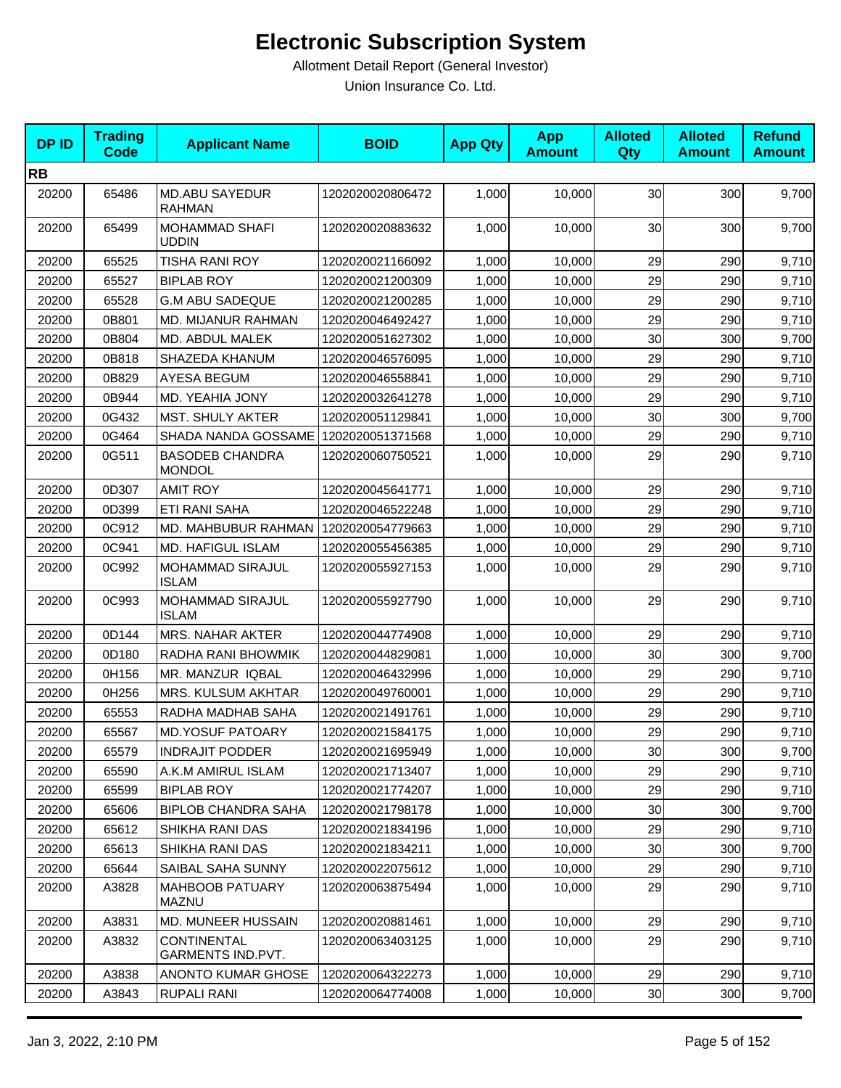| <b>DPID</b> | <b>Trading</b><br><b>Code</b> | <b>Applicant Name</b>                   | <b>BOID</b>      | <b>App Qty</b> | <b>App</b><br><b>Amount</b> | <b>Alloted</b><br>Qty | <b>Alloted</b><br><b>Amount</b> | <b>Refund</b><br><b>Amount</b> |
|-------------|-------------------------------|-----------------------------------------|------------------|----------------|-----------------------------|-----------------------|---------------------------------|--------------------------------|
| <b>RB</b>   |                               |                                         |                  |                |                             |                       |                                 |                                |
| 20200       | 65486                         | <b>MD.ABU SAYEDUR</b><br><b>RAHMAN</b>  | 1202020020806472 | 1,000          | 10,000                      | 30                    | 300                             | 9,700                          |
| 20200       | 65499                         | <b>MOHAMMAD SHAFI</b><br>UDDIN          | 1202020020883632 | 1,000          | 10,000                      | 30                    | 300                             | 9,700                          |
| 20200       | 65525                         | <b>TISHA RANI ROY</b>                   | 1202020021166092 | 1,000          | 10,000                      | 29                    | 290                             | 9,710                          |
| 20200       | 65527                         | <b>BIPLAB ROY</b>                       | 1202020021200309 | 1,000          | 10,000                      | 29                    | 290                             | 9,710                          |
| 20200       | 65528                         | <b>G.M ABU SADEQUE</b>                  | 1202020021200285 | 1,000          | 10,000                      | 29                    | 290                             | 9,710                          |
| 20200       | 0B801                         | MD. MIJANUR RAHMAN                      | 1202020046492427 | 1,000          | 10,000                      | 29                    | 290                             | 9,710                          |
| 20200       | 0B804                         | MD. ABDUL MALEK                         | 1202020051627302 | 1,000          | 10,000                      | 30                    | 300                             | 9,700                          |
| 20200       | 0B818                         | SHAZEDA KHANUM                          | 1202020046576095 | 1,000          | 10,000                      | 29                    | 290                             | 9,710                          |
| 20200       | 0B829                         | <b>AYESA BEGUM</b>                      | 1202020046558841 | 1,000          | 10,000                      | 29                    | 290                             | 9,710                          |
| 20200       | 0B944                         | MD. YEAHIA JONY                         | 1202020032641278 | 1,000          | 10,000                      | 29                    | 290                             | 9,710                          |
| 20200       | 0G432                         | MST. SHULY AKTER                        | 1202020051129841 | 1,000          | 10,000                      | 30                    | 300                             | 9,700                          |
| 20200       | 0G464                         | SHADA NANDA GOSSAME                     | 1202020051371568 | 1,000          | 10,000                      | 29                    | 290                             | 9,710                          |
| 20200       | 0G511                         | <b>BASODEB CHANDRA</b><br><b>MONDOL</b> | 1202020060750521 | 1,000          | 10,000                      | 29                    | 290                             | 9,710                          |
| 20200       | 0D307                         | <b>AMIT ROY</b>                         | 1202020045641771 | 1,000          | 10,000                      | 29                    | 290                             | 9,710                          |
| 20200       | 0D399                         | ETI RANI SAHA                           | 1202020046522248 | 1,000          | 10,000                      | 29                    | 290                             | 9,710                          |
| 20200       | 0C912                         | MD. MAHBUBUR RAHMAN                     | 1202020054779663 | 1,000          | 10,000                      | 29                    | 290                             | 9,710                          |
| 20200       | 0C941                         | MD. HAFIGUL ISLAM                       | 1202020055456385 | 1,000          | 10,000                      | 29                    | 290                             | 9,710                          |
| 20200       | 0C992                         | MOHAMMAD SIRAJUL<br><b>ISLAM</b>        | 1202020055927153 | 1,000          | 10,000                      | 29                    | 290                             | 9,710                          |
| 20200       | 0C993                         | MOHAMMAD SIRAJUL<br><b>ISLAM</b>        | 1202020055927790 | 1,000          | 10,000                      | 29                    | 290                             | 9,710                          |
| 20200       | 0D144                         | <b>MRS. NAHAR AKTER</b>                 | 1202020044774908 | 1,000          | 10,000                      | 29                    | 290                             | 9,710                          |
| 20200       | 0D180                         | RADHA RANI BHOWMIK                      | 1202020044829081 | 1,000          | 10,000                      | 30                    | 300                             | 9,700                          |
| 20200       | 0H156                         | MR. MANZUR IQBAL                        | 1202020046432996 | 1,000          | 10,000                      | 29                    | 290                             | 9,710                          |
| 20200       | 0H256                         | MRS. KULSUM AKHTAR                      | 1202020049760001 | 1,000          | 10,000                      | 29                    | 290                             | 9,710                          |
| 20200       | 65553                         | RADHA MADHAB SAHA                       | 1202020021491761 | 1,000          | 10,000                      | 29                    | 290                             | 9,710                          |
| 20200       | 65567                         | <b>MD.YOSUF PATOARY</b>                 | 1202020021584175 | 1,000          | 10,000                      | 29                    | 290                             | 9,710                          |
| 20200       | 65579                         | <b>INDRAJIT PODDER</b>                  | 1202020021695949 | 1,000          | 10,000                      | 30                    | 300                             | 9,700                          |
| 20200       | 65590                         | A.K.M AMIRUL ISLAM                      | 1202020021713407 | 1,000          | 10,000                      | 29                    | 290                             | 9,710                          |
| 20200       | 65599                         | <b>BIPLAB ROY</b>                       | 1202020021774207 | 1,000          | 10,000                      | 29                    | 290                             | 9,710                          |
| 20200       | 65606                         | <b>BIPLOB CHANDRA SAHA</b>              | 1202020021798178 | 1,000          | 10,000                      | 30                    | 300                             | 9,700                          |
| 20200       | 65612                         | SHIKHA RANI DAS                         | 1202020021834196 | 1,000          | 10,000                      | 29                    | 290                             | 9,710                          |
| 20200       | 65613                         | SHIKHA RANI DAS                         | 1202020021834211 | 1,000          | 10,000                      | 30                    | 300                             | 9,700                          |
| 20200       | 65644                         | SAIBAL SAHA SUNNY                       | 1202020022075612 | 1,000          | 10,000                      | 29                    | 290                             | 9,710                          |
| 20200       | A3828                         | <b>MAHBOOB PATUARY</b><br><b>MAZNU</b>  | 1202020063875494 | 1,000          | 10,000                      | 29                    | 290                             | 9,710                          |
| 20200       | A3831                         | MD. MUNEER HUSSAIN                      | 1202020020881461 | 1,000          | 10,000                      | 29                    | 290                             | 9,710                          |
| 20200       | A3832                         | <b>CONTINENTAL</b><br>GARMENTS IND.PVT. | 1202020063403125 | 1,000          | 10,000                      | 29                    | 290                             | 9,710                          |
| 20200       | A3838                         | <b>ANONTO KUMAR GHOSE</b>               | 1202020064322273 | 1,000          | 10,000                      | 29                    | 290                             | 9,710                          |
| 20200       | A3843                         | RUPALI RANI                             | 1202020064774008 | 1,000          | 10,000                      | 30                    | 300                             | 9,700                          |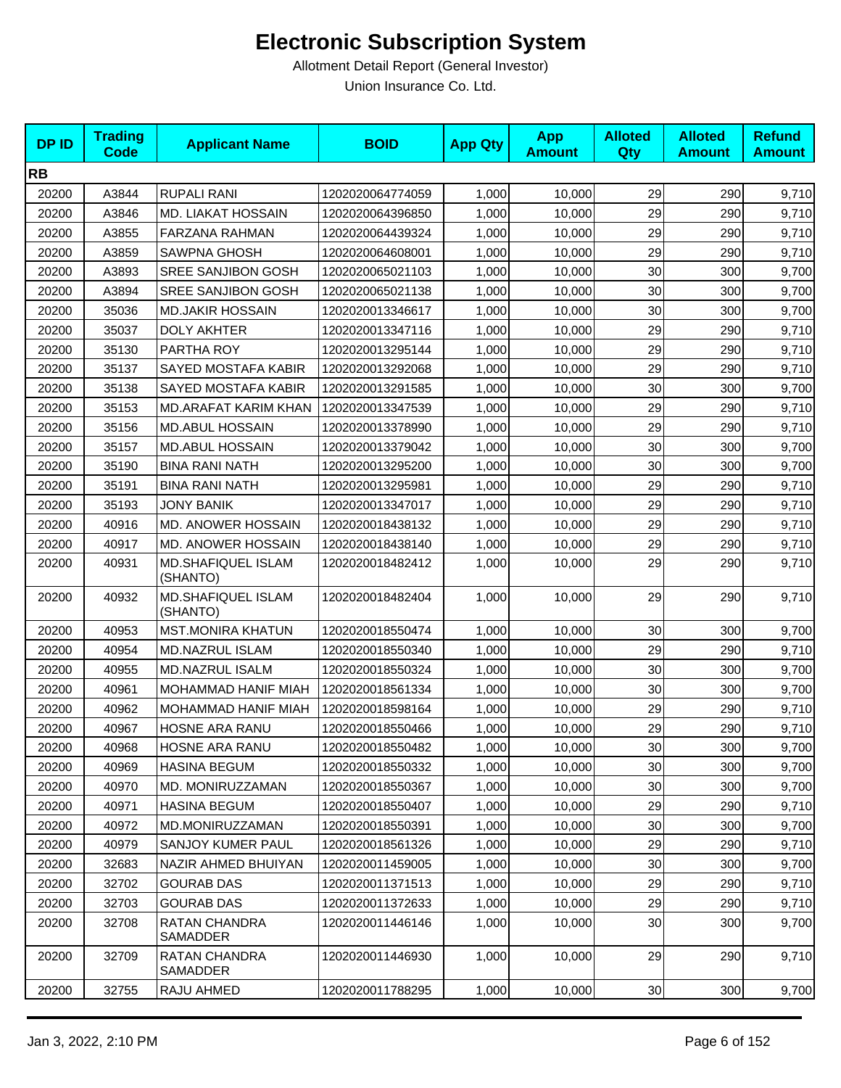| <b>DPID</b> | <b>Trading</b><br><b>Code</b> | <b>Applicant Name</b>          | <b>BOID</b>      | <b>App Qty</b> | <b>App</b><br><b>Amount</b> | <b>Alloted</b><br>Qty | <b>Alloted</b><br><b>Amount</b> | <b>Refund</b><br><b>Amount</b> |
|-------------|-------------------------------|--------------------------------|------------------|----------------|-----------------------------|-----------------------|---------------------------------|--------------------------------|
| <b>RB</b>   |                               |                                |                  |                |                             |                       |                                 |                                |
| 20200       | A3844                         | <b>RUPALI RANI</b>             | 1202020064774059 | 1,000          | 10,000                      | 29                    | 290                             | 9,710                          |
| 20200       | A3846                         | MD. LIAKAT HOSSAIN             | 1202020064396850 | 1,000          | 10,000                      | 29                    | 290                             | 9,710                          |
| 20200       | A3855                         | FARZANA RAHMAN                 | 1202020064439324 | 1,000          | 10,000                      | 29                    | 290                             | 9,710                          |
| 20200       | A3859                         | <b>SAWPNA GHOSH</b>            | 1202020064608001 | 1,000          | 10,000                      | 29                    | 290                             | 9,710                          |
| 20200       | A3893                         | SREE SANJIBON GOSH             | 1202020065021103 | 1,000          | 10,000                      | 30                    | 300                             | 9,700                          |
| 20200       | A3894                         | <b>SREE SANJIBON GOSH</b>      | 1202020065021138 | 1,000          | 10,000                      | 30                    | 300                             | 9,700                          |
| 20200       | 35036                         | <b>MD.JAKIR HOSSAIN</b>        | 1202020013346617 | 1,000          | 10,000                      | 30                    | 300                             | 9,700                          |
| 20200       | 35037                         | <b>DOLY AKHTER</b>             | 1202020013347116 | 1,000          | 10,000                      | 29                    | 290                             | 9,710                          |
| 20200       | 35130                         | PARTHA ROY                     | 1202020013295144 | 1,000          | 10,000                      | 29                    | 290                             | 9,710                          |
| 20200       | 35137                         | SAYED MOSTAFA KABIR            | 1202020013292068 | 1,000          | 10,000                      | 29                    | 290                             | 9,710                          |
| 20200       | 35138                         | SAYED MOSTAFA KABIR            | 1202020013291585 | 1,000          | 10,000                      | 30                    | 300                             | 9,700                          |
| 20200       | 35153                         | MD.ARAFAT KARIM KHAN           | 1202020013347539 | 1,000          | 10,000                      | 29                    | 290                             | 9,710                          |
| 20200       | 35156                         | <b>MD.ABUL HOSSAIN</b>         | 1202020013378990 | 1,000          | 10,000                      | 29                    | 290                             | 9,710                          |
| 20200       | 35157                         | <b>MD.ABUL HOSSAIN</b>         | 1202020013379042 | 1,000          | 10,000                      | 30                    | 300                             | 9,700                          |
| 20200       | 35190                         | <b>BINA RANI NATH</b>          | 1202020013295200 | 1,000          | 10,000                      | 30                    | 300                             | 9,700                          |
| 20200       | 35191                         | <b>BINA RANI NATH</b>          | 1202020013295981 | 1,000          | 10,000                      | 29                    | 290                             | 9,710                          |
| 20200       | 35193                         | JONY BANIK                     | 1202020013347017 | 1,000          | 10,000                      | 29                    | 290                             | 9,710                          |
| 20200       | 40916                         | MD. ANOWER HOSSAIN             | 1202020018438132 | 1,000          | 10,000                      | 29                    | 290                             | 9,710                          |
| 20200       | 40917                         | MD. ANOWER HOSSAIN             | 1202020018438140 | 1,000          | 10,000                      | 29                    | 290                             | 9,710                          |
| 20200       | 40931                         | MD.SHAFIQUEL ISLAM<br>(SHANTO) | 1202020018482412 | 1,000          | 10,000                      | 29                    | 290                             | 9,710                          |
| 20200       | 40932                         | MD.SHAFIQUEL ISLAM<br>(SHANTO) | 1202020018482404 | 1,000          | 10,000                      | 29                    | 290                             | 9,710                          |
| 20200       | 40953                         | <b>MST.MONIRA KHATUN</b>       | 1202020018550474 | 1,000          | 10,000                      | 30                    | 300                             | 9,700                          |
| 20200       | 40954                         | MD.NAZRUL ISLAM                | 1202020018550340 | 1,000          | 10,000                      | 29                    | 290                             | 9,710                          |
| 20200       | 40955                         | <b>MD.NAZRUL ISALM</b>         | 1202020018550324 | 1,000          | 10,000                      | 30                    | 300                             | 9,700                          |
| 20200       | 40961                         | MOHAMMAD HANIF MIAH            | 1202020018561334 | 1,000          | 10,000                      | 30                    | 300                             | 9,700                          |
| 20200       | 40962                         | MOHAMMAD HANIF MIAH            | 1202020018598164 | 1,000          | 10,000                      | 29                    | 290                             | 9,710                          |
| 20200       | 40967                         | HOSNE ARA RANU                 | 1202020018550466 | 1,000          | 10,000                      | 29                    | 290                             | 9,710                          |
| 20200       | 40968                         | <b>HOSNE ARA RANU</b>          | 1202020018550482 | 1,000          | 10,000                      | 30                    | 300                             | 9,700                          |
| 20200       | 40969                         | <b>HASINA BEGUM</b>            | 1202020018550332 | 1,000          | 10,000                      | 30                    | 300                             | 9,700                          |
| 20200       | 40970                         | MD. MONIRUZZAMAN               | 1202020018550367 | 1,000          | 10,000                      | 30                    | 300                             | 9,700                          |
| 20200       | 40971                         | <b>HASINA BEGUM</b>            | 1202020018550407 | 1,000          | 10,000                      | 29                    | 290                             | 9,710                          |
| 20200       | 40972                         | MD.MONIRUZZAMAN                | 1202020018550391 | 1,000          | 10,000                      | 30                    | 300                             | 9,700                          |
| 20200       | 40979                         | SANJOY KUMER PAUL              | 1202020018561326 | 1,000          | 10,000                      | 29                    | 290                             | 9,710                          |
| 20200       | 32683                         | NAZIR AHMED BHUIYAN            | 1202020011459005 | 1,000          | 10,000                      | 30                    | 300                             | 9,700                          |
| 20200       | 32702                         | <b>GOURAB DAS</b>              | 1202020011371513 | 1,000          | 10,000                      | 29                    | 290                             | 9,710                          |
| 20200       | 32703                         | <b>GOURAB DAS</b>              | 1202020011372633 | 1,000          | 10,000                      | 29                    | 290                             | 9,710                          |
| 20200       | 32708                         | RATAN CHANDRA<br>SAMADDER      | 1202020011446146 | 1,000          | 10,000                      | 30                    | 300                             | 9,700                          |
| 20200       | 32709                         | RATAN CHANDRA<br>SAMADDER      | 1202020011446930 | 1,000          | 10,000                      | 29                    | 290                             | 9,710                          |
| 20200       | 32755                         | RAJU AHMED                     | 1202020011788295 | 1,000          | 10,000                      | 30                    | 300                             | 9,700                          |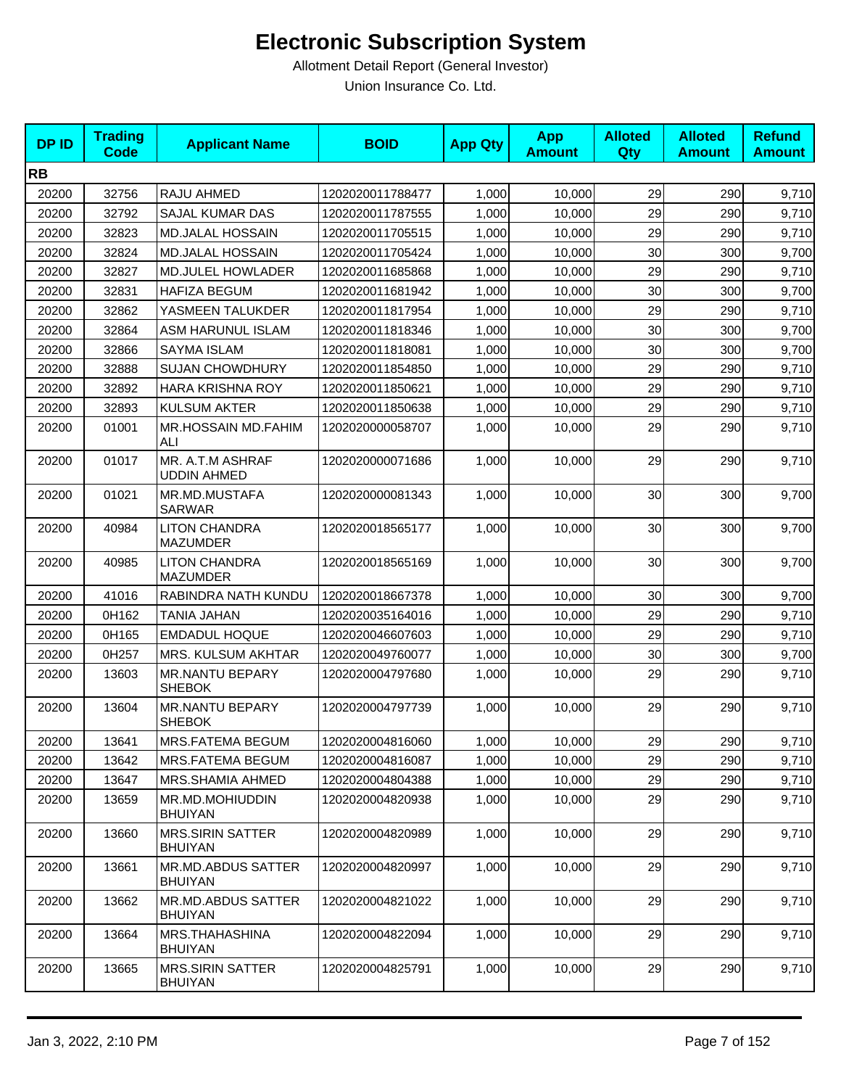| <b>DPID</b> | <b>Trading</b><br>Code | <b>Applicant Name</b>                       | <b>BOID</b>      | <b>App Qty</b> | <b>App</b><br><b>Amount</b> | <b>Alloted</b><br>Qty | <b>Alloted</b><br><b>Amount</b> | <b>Refund</b><br><b>Amount</b> |
|-------------|------------------------|---------------------------------------------|------------------|----------------|-----------------------------|-----------------------|---------------------------------|--------------------------------|
| <b>RB</b>   |                        |                                             |                  |                |                             |                       |                                 |                                |
| 20200       | 32756                  | RAJU AHMED                                  | 1202020011788477 | 1,000          | 10,000                      | 29                    | 290                             | 9,710                          |
| 20200       | 32792                  | <b>SAJAL KUMAR DAS</b>                      | 1202020011787555 | 1,000          | 10,000                      | 29                    | 290                             | 9,710                          |
| 20200       | 32823                  | <b>MD.JALAL HOSSAIN</b>                     | 1202020011705515 | 1,000          | 10,000                      | 29                    | 290                             | 9,710                          |
| 20200       | 32824                  | <b>MD.JALAL HOSSAIN</b>                     | 1202020011705424 | 1,000          | 10,000                      | 30                    | 300                             | 9,700                          |
| 20200       | 32827                  | <b>MD.JULEL HOWLADER</b>                    | 1202020011685868 | 1,000          | 10,000                      | 29                    | 290                             | 9,710                          |
| 20200       | 32831                  | <b>HAFIZA BEGUM</b>                         | 1202020011681942 | 1,000          | 10,000                      | 30                    | 300                             | 9,700                          |
| 20200       | 32862                  | YASMEEN TALUKDER                            | 1202020011817954 | 1,000          | 10,000                      | 29                    | 290                             | 9,710                          |
| 20200       | 32864                  | ASM HARUNUL ISLAM                           | 1202020011818346 | 1,000          | 10,000                      | 30                    | 300                             | 9,700                          |
| 20200       | 32866                  | <b>SAYMA ISLAM</b>                          | 1202020011818081 | 1,000          | 10,000                      | 30                    | 300                             | 9,700                          |
| 20200       | 32888                  | <b>SUJAN CHOWDHURY</b>                      | 1202020011854850 | 1,000          | 10,000                      | 29                    | 290                             | 9,710                          |
| 20200       | 32892                  | <b>HARA KRISHNA ROY</b>                     | 1202020011850621 | 1,000          | 10,000                      | 29                    | 290                             | 9,710                          |
| 20200       | 32893                  | <b>KULSUM AKTER</b>                         | 1202020011850638 | 1,000          | 10,000                      | 29                    | 290                             | 9,710                          |
| 20200       | 01001                  | MR.HOSSAIN MD.FAHIM<br>ALI                  | 1202020000058707 | 1,000          | 10,000                      | 29                    | 290                             | 9,710                          |
| 20200       | 01017                  | MR. A.T.M ASHRAF<br><b>UDDIN AHMED</b>      | 1202020000071686 | 1,000          | 10,000                      | 29                    | 290                             | 9,710                          |
| 20200       | 01021                  | MR.MD.MUSTAFA<br><b>SARWAR</b>              | 1202020000081343 | 1,000          | 10,000                      | 30                    | 300                             | 9,700                          |
| 20200       | 40984                  | <b>LITON CHANDRA</b><br><b>MAZUMDER</b>     | 1202020018565177 | 1,000          | 10,000                      | 30                    | 300                             | 9,700                          |
| 20200       | 40985                  | <b>LITON CHANDRA</b><br><b>MAZUMDER</b>     | 1202020018565169 | 1,000          | 10,000                      | 30                    | 300                             | 9,700                          |
| 20200       | 41016                  | RABINDRA NATH KUNDU                         | 1202020018667378 | 1,000          | 10,000                      | 30                    | 300                             | 9,700                          |
| 20200       | 0H162                  | TANIA JAHAN                                 | 1202020035164016 | 1,000          | 10,000                      | 29                    | 290                             | 9,710                          |
| 20200       | 0H165                  | <b>EMDADUL HOQUE</b>                        | 1202020046607603 | 1,000          | 10,000                      | 29                    | 290                             | 9,710                          |
| 20200       | 0H257                  | <b>MRS. KULSUM AKHTAR</b>                   | 1202020049760077 | 1,000          | 10,000                      | 30                    | 300                             | 9,700                          |
| 20200       | 13603                  | <b>MR.NANTU BEPARY</b><br><b>SHEBOK</b>     | 1202020004797680 | 1,000          | 10,000                      | 29                    | 290                             | 9,710                          |
| 20200       | 13604                  | <b>MR.NANTU BEPARY</b><br><b>SHEBOK</b>     | 1202020004797739 | 1,000          | 10,000                      | 29                    | 290                             | 9,710                          |
| 20200       | 13641                  | MRS.FATEMA BEGUM                            | 1202020004816060 | 1,000          | 10,000                      | 29                    | 290                             | 9,710                          |
| 20200       | 13642                  | MRS.FATEMA BEGUM                            | 1202020004816087 | 1,000          | 10,000                      | 29                    | 290                             | 9,710                          |
| 20200       | 13647                  | MRS.SHAMIA AHMED                            | 1202020004804388 | 1,000          | 10,000                      | 29                    | 290                             | 9,710                          |
| 20200       | 13659                  | MR.MD.MOHIUDDIN<br><b>BHUIYAN</b>           | 1202020004820938 | 1,000          | 10,000                      | 29                    | 290                             | 9,710                          |
| 20200       | 13660                  | <b>MRS.SIRIN SATTER</b><br><b>BHUIYAN</b>   | 1202020004820989 | 1,000          | 10,000                      | 29                    | 290                             | 9,710                          |
| 20200       | 13661                  | <b>MR.MD.ABDUS SATTER</b><br><b>BHUIYAN</b> | 1202020004820997 | 1,000          | 10,000                      | 29                    | 290                             | 9,710                          |
| 20200       | 13662                  | MR.MD.ABDUS SATTER<br><b>BHUIYAN</b>        | 1202020004821022 | 1,000          | 10,000                      | 29                    | 290                             | 9,710                          |
| 20200       | 13664                  | MRS.THAHASHINA<br><b>BHUIYAN</b>            | 1202020004822094 | 1,000          | 10,000                      | 29                    | 290                             | 9,710                          |
| 20200       | 13665                  | <b>MRS.SIRIN SATTER</b><br>BHUIYAN          | 1202020004825791 | 1,000          | 10,000                      | 29                    | 290                             | 9,710                          |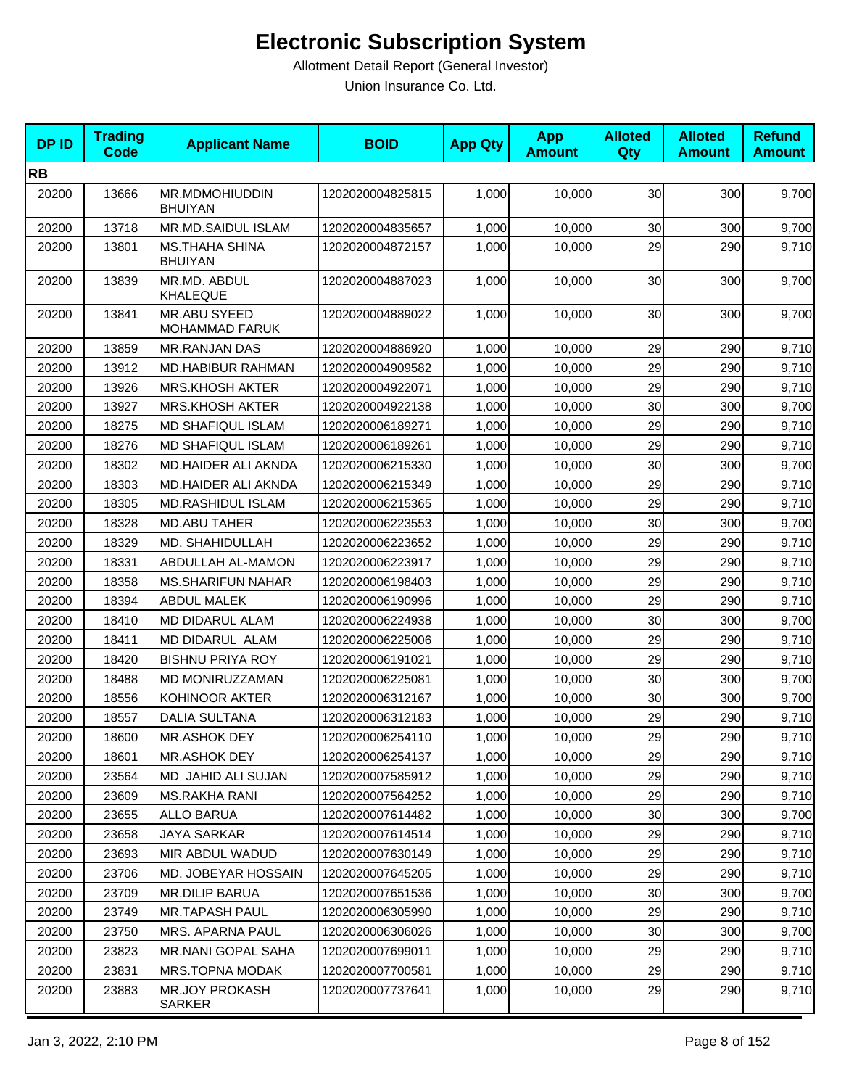| <b>DPID</b> | <b>Trading</b><br><b>Code</b> | <b>Applicant Name</b>                   | <b>BOID</b>      | <b>App Qty</b> | <b>App</b><br><b>Amount</b> | <b>Alloted</b><br>Qty | <b>Alloted</b><br><b>Amount</b> | <b>Refund</b><br><b>Amount</b> |
|-------------|-------------------------------|-----------------------------------------|------------------|----------------|-----------------------------|-----------------------|---------------------------------|--------------------------------|
| <b>RB</b>   |                               |                                         |                  |                |                             |                       |                                 |                                |
| 20200       | 13666                         | MR.MDMOHIUDDIN<br><b>BHUIYAN</b>        | 1202020004825815 | 1,000          | 10,000                      | 30                    | 300                             | 9,700                          |
| 20200       | 13718                         | MR.MD.SAIDUL ISLAM                      | 1202020004835657 | 1,000          | 10,000                      | 30                    | 300                             | 9,700                          |
| 20200       | 13801                         | <b>MS.THAHA SHINA</b><br><b>BHUIYAN</b> | 1202020004872157 | 1,000          | 10,000                      | 29                    | 290                             | 9,710                          |
| 20200       | 13839                         | MR.MD. ABDUL<br><b>KHALEQUE</b>         | 1202020004887023 | 1,000          | 10,000                      | 30                    | 300                             | 9,700                          |
| 20200       | 13841                         | MR.ABU SYEED<br><b>MOHAMMAD FARUK</b>   | 1202020004889022 | 1,000          | 10,000                      | 30                    | 300                             | 9,700                          |
| 20200       | 13859                         | <b>MR.RANJAN DAS</b>                    | 1202020004886920 | 1,000          | 10,000                      | 29                    | 290                             | 9,710                          |
| 20200       | 13912                         | MD.HABIBUR RAHMAN                       | 1202020004909582 | 1,000          | 10,000                      | 29                    | 290                             | 9,710                          |
| 20200       | 13926                         | <b>MRS.KHOSH AKTER</b>                  | 1202020004922071 | 1,000          | 10,000                      | 29                    | 290                             | 9,710                          |
| 20200       | 13927                         | <b>MRS.KHOSH AKTER</b>                  | 1202020004922138 | 1,000          | 10,000                      | 30                    | 300                             | 9,700                          |
| 20200       | 18275                         | <b>MD SHAFIQUL ISLAM</b>                | 1202020006189271 | 1,000          | 10,000                      | 29                    | 290                             | 9,710                          |
| 20200       | 18276                         | <b>MD SHAFIQUL ISLAM</b>                | 1202020006189261 | 1,000          | 10,000                      | 29                    | 290                             | 9,710                          |
| 20200       | 18302                         | MD.HAIDER ALI AKNDA                     | 1202020006215330 | 1,000          | 10,000                      | 30                    | 300                             | 9,700                          |
| 20200       | 18303                         | MD.HAIDER ALI AKNDA                     | 1202020006215349 | 1,000          | 10,000                      | 29                    | 290                             | 9,710                          |
| 20200       | 18305                         | <b>MD.RASHIDUL ISLAM</b>                | 1202020006215365 | 1,000          | 10,000                      | 29                    | 290                             | 9,710                          |
| 20200       | 18328                         | <b>MD.ABU TAHER</b>                     | 1202020006223553 | 1,000          | 10,000                      | 30                    | 300                             | 9,700                          |
| 20200       | 18329                         | MD. SHAHIDULLAH                         | 1202020006223652 | 1,000          | 10,000                      | 29                    | 290                             | 9,710                          |
| 20200       | 18331                         | ABDULLAH AL-MAMON                       | 1202020006223917 | 1,000          | 10,000                      | 29                    | 290                             | 9,710                          |
| 20200       | 18358                         | <b>MS.SHARIFUN NAHAR</b>                | 1202020006198403 | 1,000          | 10,000                      | 29                    | 290                             | 9,710                          |
| 20200       | 18394                         | <b>ABDUL MALEK</b>                      | 1202020006190996 | 1,000          | 10,000                      | 29                    | 290                             | 9,710                          |
| 20200       | 18410                         | MD DIDARUL ALAM                         | 1202020006224938 | 1,000          | 10,000                      | 30                    | 300                             | 9,700                          |
| 20200       | 18411                         | MD DIDARUL ALAM                         | 1202020006225006 | 1,000          | 10,000                      | 29                    | 290                             | 9,710                          |
| 20200       | 18420                         | <b>BISHNU PRIYA ROY</b>                 | 1202020006191021 | 1,000          | 10,000                      | 29                    | 290                             | 9,710                          |
| 20200       | 18488                         | MD MONIRUZZAMAN                         | 1202020006225081 | 1,000          | 10,000                      | 30                    | 300                             | 9,700                          |
| 20200       | 18556                         | KOHINOOR AKTER                          | 1202020006312167 | 1,000          | 10,000                      | 30                    | 300                             | 9,700                          |
| 20200       | 18557                         | <b>DALIA SULTANA</b>                    | 1202020006312183 | 1,000          | 10,000                      | 29                    | 290                             | 9,710                          |
| 20200       | 18600                         | MR.ASHOK DEY                            | 1202020006254110 | 1,000          | 10,000                      | 29                    | 290                             | 9,710                          |
| 20200       | 18601                         | MR.ASHOK DEY                            | 1202020006254137 | 1,000          | 10,000                      | 29                    | 290                             | 9,710                          |
| 20200       | 23564                         | MD JAHID ALI SUJAN                      | 1202020007585912 | 1,000          | 10,000                      | 29                    | 290                             | 9,710                          |
| 20200       | 23609                         | MS.RAKHA RANI                           | 1202020007564252 | 1,000          | 10,000                      | 29                    | 290                             | 9,710                          |
| 20200       | 23655                         | <b>ALLO BARUA</b>                       | 1202020007614482 | 1,000          | 10,000                      | 30                    | 300                             | 9,700                          |
| 20200       | 23658                         | JAYA SARKAR                             | 1202020007614514 | 1,000          | 10,000                      | 29                    | 290                             | 9,710                          |
| 20200       | 23693                         | MIR ABDUL WADUD                         | 1202020007630149 | 1,000          | 10,000                      | 29                    | 290                             | 9,710                          |
| 20200       | 23706                         | MD. JOBEYAR HOSSAIN                     | 1202020007645205 | 1,000          | 10,000                      | 29                    | 290                             | 9,710                          |
| 20200       | 23709                         | MR.DILIP BARUA                          | 1202020007651536 | 1,000          | 10,000                      | 30                    | 300                             | 9,700                          |
| 20200       | 23749                         | <b>MR.TAPASH PAUL</b>                   | 1202020006305990 | 1,000          | 10,000                      | 29                    | 290                             | 9,710                          |
| 20200       | 23750                         | <b>MRS. APARNA PAUL</b>                 | 1202020006306026 | 1,000          | 10,000                      | 30                    | 300                             | 9,700                          |
| 20200       | 23823                         | MR.NANI GOPAL SAHA                      | 1202020007699011 | 1,000          | 10,000                      | 29                    | 290                             | 9,710                          |
| 20200       | 23831                         | MRS.TOPNA MODAK                         | 1202020007700581 | 1,000          | 10,000                      | 29                    | 290                             | 9,710                          |
| 20200       | 23883                         | <b>MR.JOY PROKASH</b><br>SARKER         | 1202020007737641 | 1,000          | 10,000                      | 29                    | 290                             | 9,710                          |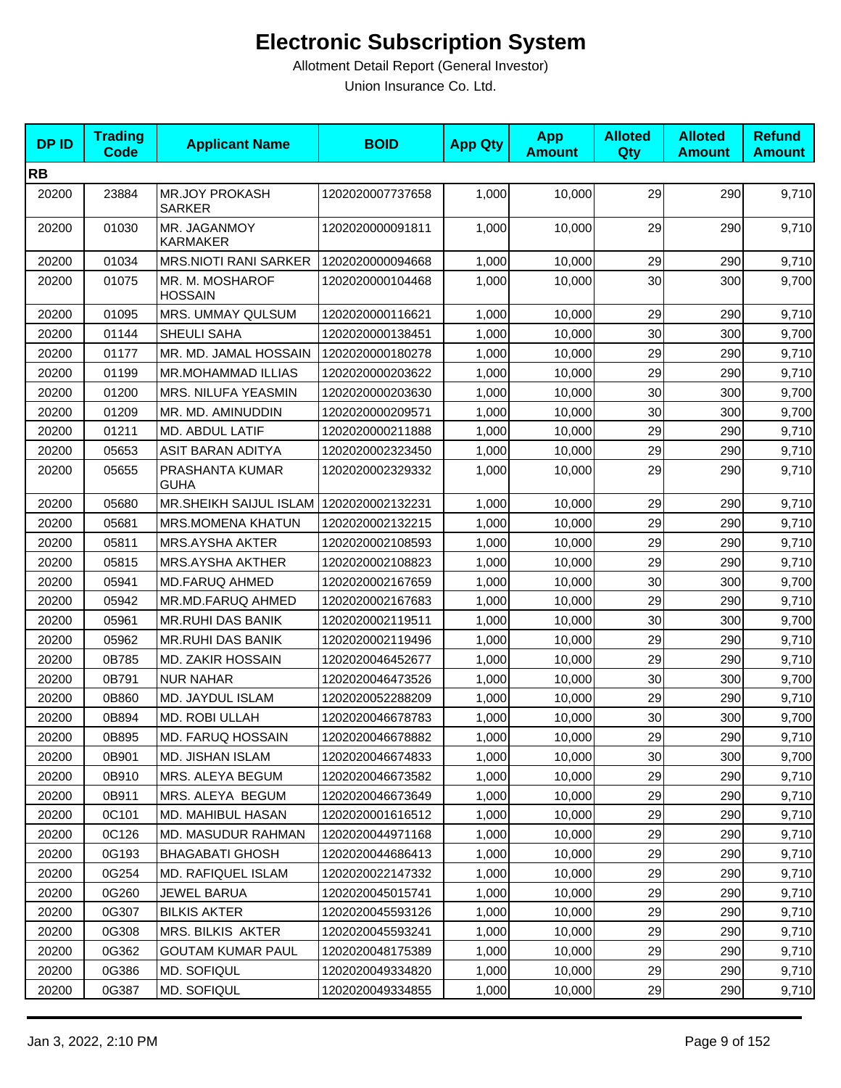| <b>DPID</b> | <b>Trading</b><br><b>Code</b> | <b>Applicant Name</b>                  | <b>BOID</b>      | <b>App Qty</b> | <b>App</b><br><b>Amount</b> | <b>Alloted</b><br><b>Qty</b> | <b>Alloted</b><br><b>Amount</b> | <b>Refund</b><br><b>Amount</b> |
|-------------|-------------------------------|----------------------------------------|------------------|----------------|-----------------------------|------------------------------|---------------------------------|--------------------------------|
| <b>RB</b>   |                               |                                        |                  |                |                             |                              |                                 |                                |
| 20200       | 23884                         | <b>MR.JOY PROKASH</b><br><b>SARKER</b> | 1202020007737658 | 1,000          | 10,000                      | 29                           | 290                             | 9,710                          |
| 20200       | 01030                         | MR. JAGANMOY<br>KARMAKER               | 1202020000091811 | 1,000          | 10,000                      | 29                           | 290                             | 9,710                          |
| 20200       | 01034                         | <b>MRS.NIOTI RANI SARKER</b>           | 1202020000094668 | 1,000          | 10,000                      | 29                           | 290                             | 9,710                          |
| 20200       | 01075                         | MR. M. MOSHAROF<br><b>HOSSAIN</b>      | 1202020000104468 | 1,000          | 10,000                      | 30                           | 300                             | 9,700                          |
| 20200       | 01095                         | MRS. UMMAY QULSUM                      | 1202020000116621 | 1,000          | 10,000                      | 29                           | 290                             | 9,710                          |
| 20200       | 01144                         | SHEULI SAHA                            | 1202020000138451 | 1,000          | 10,000                      | 30                           | 300                             | 9,700                          |
| 20200       | 01177                         | MR. MD. JAMAL HOSSAIN                  | 1202020000180278 | 1,000          | 10,000                      | 29                           | 290                             | 9,710                          |
| 20200       | 01199                         | MR.MOHAMMAD ILLIAS                     | 1202020000203622 | 1,000          | 10,000                      | 29                           | 290                             | 9,710                          |
| 20200       | 01200                         | MRS. NILUFA YEASMIN                    | 1202020000203630 | 1,000          | 10,000                      | 30                           | 300                             | 9,700                          |
| 20200       | 01209                         | MR. MD. AMINUDDIN                      | 1202020000209571 | 1,000          | 10,000                      | 30                           | 300                             | 9,700                          |
| 20200       | 01211                         | MD. ABDUL LATIF                        | 1202020000211888 | 1,000          | 10.000                      | 29                           | 290                             | 9,710                          |
| 20200       | 05653                         | ASIT BARAN ADITYA                      | 1202020002323450 | 1,000          | 10,000                      | 29                           | 290                             | 9,710                          |
| 20200       | 05655                         | PRASHANTA KUMAR<br><b>GUHA</b>         | 1202020002329332 | 1,000          | 10,000                      | 29                           | 290                             | 9,710                          |
| 20200       | 05680                         | MR.SHEIKH SAIJUL ISLAM                 | 1202020002132231 | 1,000          | 10,000                      | 29                           | 290                             | 9,710                          |
| 20200       | 05681                         | <b>MRS.MOMENA KHATUN</b>               | 1202020002132215 | 1,000          | 10,000                      | 29                           | 290                             | 9,710                          |
| 20200       | 05811                         | <b>MRS.AYSHA AKTER</b>                 | 1202020002108593 | 1,000          | 10,000                      | 29                           | 290                             | 9,710                          |
| 20200       | 05815                         | <b>MRS.AYSHA AKTHER</b>                | 1202020002108823 | 1,000          | 10,000                      | 29                           | 290                             | 9,710                          |
| 20200       | 05941                         | <b>MD.FARUQ AHMED</b>                  | 1202020002167659 | 1,000          | 10,000                      | 30                           | 300                             | 9,700                          |
| 20200       | 05942                         | MR.MD.FARUQ AHMED                      | 1202020002167683 | 1,000          | 10,000                      | 29                           | 290                             | 9,710                          |
| 20200       | 05961                         | <b>MR.RUHI DAS BANIK</b>               | 1202020002119511 | 1,000          | 10,000                      | 30                           | 300                             | 9,700                          |
| 20200       | 05962                         | <b>MR.RUHI DAS BANIK</b>               | 1202020002119496 | 1,000          | 10,000                      | 29                           | 290                             | 9,710                          |
| 20200       | 0B785                         | <b>MD. ZAKIR HOSSAIN</b>               | 1202020046452677 | 1,000          | 10,000                      | 29                           | 290                             | 9,710                          |
| 20200       | 0B791                         | <b>NUR NAHAR</b>                       | 1202020046473526 | 1,000          | 10,000                      | 30                           | 300                             | 9,700                          |
| 20200       | 0B860                         | MD. JAYDUL ISLAM                       | 1202020052288209 | 1,000          | 10,000                      | 29                           | 290                             | 9,710                          |
| 20200       | 0B894                         | MD. ROBI ULLAH                         | 1202020046678783 | 1,000          | 10,000                      | 30                           | 300                             | 9,700                          |
| 20200       | 0B895                         | <b>MD. FARUQ HOSSAIN</b>               | 1202020046678882 | 1,000          | 10,000                      | 29                           | 290                             | 9,710                          |
| 20200       | 0B901                         | MD. JISHAN ISLAM                       | 1202020046674833 | 1,000          | 10,000                      | 30                           | 300                             | 9,700                          |
| 20200       | 0B910                         | MRS. ALEYA BEGUM                       | 1202020046673582 | 1,000          | 10,000                      | 29                           | 290                             | 9,710                          |
| 20200       | 0B911                         | MRS. ALEYA BEGUM                       | 1202020046673649 | 1,000          | 10,000                      | 29                           | 290                             | 9,710                          |
| 20200       | 0C101                         | MD. MAHIBUL HASAN                      | 1202020001616512 | 1,000          | 10,000                      | 29                           | 290                             | 9,710                          |
| 20200       | 0C126                         | <b>MD. MASUDUR RAHMAN</b>              | 1202020044971168 | 1,000          | 10,000                      | 29                           | 290                             | 9,710                          |
| 20200       | 0G193                         | <b>BHAGABATI GHOSH</b>                 | 1202020044686413 | 1,000          | 10,000                      | 29                           | 290                             | 9,710                          |
| 20200       | 0G254                         | <b>MD. RAFIQUEL ISLAM</b>              | 1202020022147332 | 1,000          | 10,000                      | 29                           | 290                             | 9,710                          |
| 20200       | 0G260                         | JEWEL BARUA                            | 1202020045015741 | 1,000          | 10,000                      | 29                           | 290                             | 9,710                          |
| 20200       | 0G307                         | <b>BILKIS AKTER</b>                    | 1202020045593126 | 1,000          | 10,000                      | 29                           | 290                             | 9,710                          |
| 20200       | 0G308                         | MRS. BILKIS AKTER                      | 1202020045593241 | 1,000          | 10,000                      | 29                           | 290                             | 9,710                          |
| 20200       | 0G362                         | <b>GOUTAM KUMAR PAUL</b>               | 1202020048175389 | 1,000          | 10,000                      | 29                           | 290                             | 9,710                          |
| 20200       | 0G386                         | MD. SOFIQUL                            | 1202020049334820 | 1,000          | 10,000                      | 29                           | 290                             | 9,710                          |
| 20200       | 0G387                         | MD. SOFIQUL                            | 1202020049334855 | 1,000          | 10,000                      | 29                           | 290                             | 9,710                          |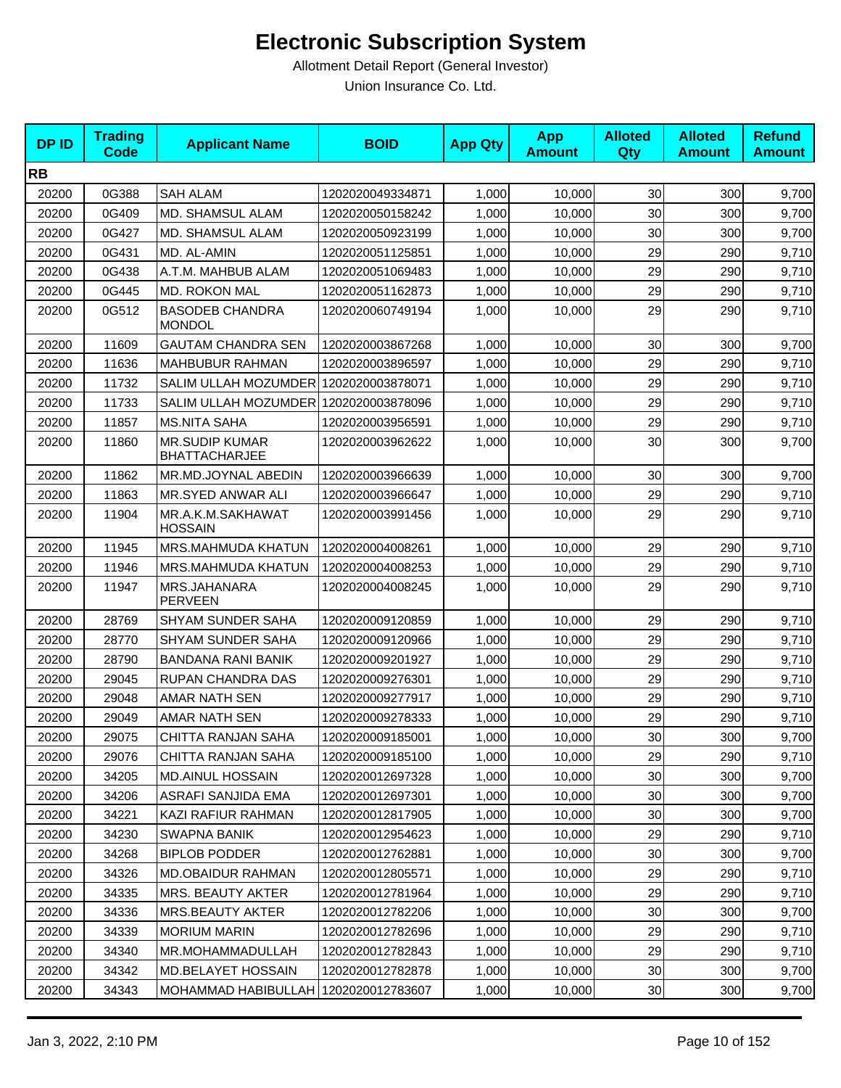| <b>DPID</b> | <b>Trading</b><br><b>Code</b> | <b>Applicant Name</b>                         | <b>BOID</b>      | <b>App Qty</b> | <b>App</b><br><b>Amount</b> | <b>Alloted</b><br><b>Qty</b> | <b>Alloted</b><br><b>Amount</b> | <b>Refund</b><br><b>Amount</b> |
|-------------|-------------------------------|-----------------------------------------------|------------------|----------------|-----------------------------|------------------------------|---------------------------------|--------------------------------|
| <b>RB</b>   |                               |                                               |                  |                |                             |                              |                                 |                                |
| 20200       | 0G388                         | <b>SAH ALAM</b>                               | 1202020049334871 | 1,000          | 10,000                      | 30                           | 300                             | 9,700                          |
| 20200       | 0G409                         | MD. SHAMSUL ALAM                              | 1202020050158242 | 1,000          | 10,000                      | 30                           | 300                             | 9,700                          |
| 20200       | 0G427                         | MD. SHAMSUL ALAM                              | 1202020050923199 | 1,000          | 10,000                      | 30                           | 300                             | 9,700                          |
| 20200       | 0G431                         | MD. AL-AMIN                                   | 1202020051125851 | 1,000          | 10,000                      | 29                           | 290                             | 9,710                          |
| 20200       | 0G438                         | A.T.M. MAHBUB ALAM                            | 1202020051069483 | 1,000          | 10,000                      | 29                           | 290                             | 9,710                          |
| 20200       | 0G445                         | MD. ROKON MAL                                 | 1202020051162873 | 1,000          | 10,000                      | 29                           | 290                             | 9,710                          |
| 20200       | 0G512                         | <b>BASODEB CHANDRA</b><br><b>MONDOL</b>       | 1202020060749194 | 1,000          | 10,000                      | 29                           | 290                             | 9,710                          |
| 20200       | 11609                         | <b>GAUTAM CHANDRA SEN</b>                     | 1202020003867268 | 1,000          | 10,000                      | 30                           | 300                             | 9,700                          |
| 20200       | 11636                         | <b>MAHBUBUR RAHMAN</b>                        | 1202020003896597 | 1,000          | 10,000                      | 29                           | 290                             | 9,710                          |
| 20200       | 11732                         | SALIM ULLAH MOZUMDER                          | 1202020003878071 | 1,000          | 10,000                      | 29                           | 290                             | 9,710                          |
| 20200       | 11733                         | SALIM ULLAH MOZUMDER 1202020003878096         |                  | 1,000          | 10,000                      | 29                           | 290                             | 9,710                          |
| 20200       | 11857                         | <b>MS.NITA SAHA</b>                           | 1202020003956591 | 1,000          | 10,000                      | 29                           | 290                             | 9,710                          |
| 20200       | 11860                         | <b>MR.SUDIP KUMAR</b><br><b>BHATTACHARJEE</b> | 1202020003962622 | 1,000          | 10.000                      | 30                           | 300                             | 9,700                          |
| 20200       | 11862                         | MR.MD.JOYNAL ABEDIN                           | 1202020003966639 | 1,000          | 10,000                      | 30                           | 300                             | 9,700                          |
| 20200       | 11863                         | MR.SYED ANWAR ALI                             | 1202020003966647 | 1,000          | 10,000                      | 29                           | 290                             | 9,710                          |
| 20200       | 11904                         | MR.A.K.M.SAKHAWAT<br><b>HOSSAIN</b>           | 1202020003991456 | 1,000          | 10,000                      | 29                           | 290                             | 9,710                          |
| 20200       | 11945                         | MRS.MAHMUDA KHATUN                            | 1202020004008261 | 1,000          | 10,000                      | 29                           | 290                             | 9,710                          |
| 20200       | 11946                         | MRS.MAHMUDA KHATUN                            | 1202020004008253 | 1,000          | 10,000                      | 29                           | 290                             | 9,710                          |
| 20200       | 11947                         | MRS.JAHANARA<br><b>PERVEEN</b>                | 1202020004008245 | 1,000          | 10,000                      | 29                           | 290                             | 9,710                          |
| 20200       | 28769                         | SHYAM SUNDER SAHA                             | 1202020009120859 | 1,000          | 10,000                      | 29                           | 290                             | 9,710                          |
| 20200       | 28770                         | SHYAM SUNDER SAHA                             | 1202020009120966 | 1,000          | 10,000                      | 29                           | 290                             | 9,710                          |
| 20200       | 28790                         | <b>BANDANA RANI BANIK</b>                     | 1202020009201927 | 1,000          | 10,000                      | 29                           | 290                             | 9,710                          |
| 20200       | 29045                         | RUPAN CHANDRA DAS                             | 1202020009276301 | 1,000          | 10,000                      | 29                           | 290                             | 9,710                          |
| 20200       | 29048                         | AMAR NATH SEN                                 | 1202020009277917 | 1,000          | 10,000                      | 29                           | 290                             | 9,710                          |
| 20200       | 29049                         | AMAR NATH SEN                                 | 1202020009278333 | 1,000          | 10,000                      | 29                           | 290                             | 9,710                          |
| 20200       | 29075                         | CHITTA RANJAN SAHA                            | 1202020009185001 | 1,000          | 10,000                      | 30 <sup>1</sup>              | 300                             | 9,700                          |
| 20200       | 29076                         | CHITTA RANJAN SAHA                            | 1202020009185100 | 1,000          | 10,000                      | 29                           | 290                             | 9,710                          |
| 20200       | 34205                         | MD.AINUL HOSSAIN                              | 1202020012697328 | 1,000          | 10,000                      | 30                           | 300                             | 9,700                          |
| 20200       | 34206                         | ASRAFI SANJIDA EMA                            | 1202020012697301 | 1,000          | 10,000                      | 30                           | 300                             | 9,700                          |
| 20200       | 34221                         | KAZI RAFIUR RAHMAN                            | 1202020012817905 | 1,000          | 10,000                      | 30                           | 300                             | 9,700                          |
| 20200       | 34230                         | <b>SWAPNA BANIK</b>                           | 1202020012954623 | 1,000          | 10,000                      | 29                           | 290                             | 9,710                          |
| 20200       | 34268                         | <b>BIPLOB PODDER</b>                          | 1202020012762881 | 1,000          | 10,000                      | 30                           | 300                             | 9,700                          |
| 20200       | 34326                         | MD.OBAIDUR RAHMAN                             | 1202020012805571 | 1,000          | 10,000                      | 29                           | 290                             | 9,710                          |
| 20200       | 34335                         | MRS. BEAUTY AKTER                             | 1202020012781964 | 1,000          | 10,000                      | 29                           | 290                             | 9,710                          |
| 20200       | 34336                         | MRS.BEAUTY AKTER                              | 1202020012782206 | 1,000          | 10,000                      | 30                           | 300                             | 9,700                          |
| 20200       | 34339                         | <b>MORIUM MARIN</b>                           | 1202020012782696 | 1,000          | 10,000                      | 29                           | 290                             | 9,710                          |
| 20200       | 34340                         | MR.MOHAMMADULLAH                              | 1202020012782843 | 1,000          | 10,000                      | 29                           | 290                             | 9,710                          |
| 20200       | 34342                         | MD.BELAYET HOSSAIN                            | 1202020012782878 | 1,000          | 10,000                      | 30 <sub>o</sub>              | 300                             | 9,700                          |
| 20200       | 34343                         | MOHAMMAD HABIBULLAH   1202020012783607        |                  | 1,000          | 10,000                      | 30                           | 300                             | 9,700                          |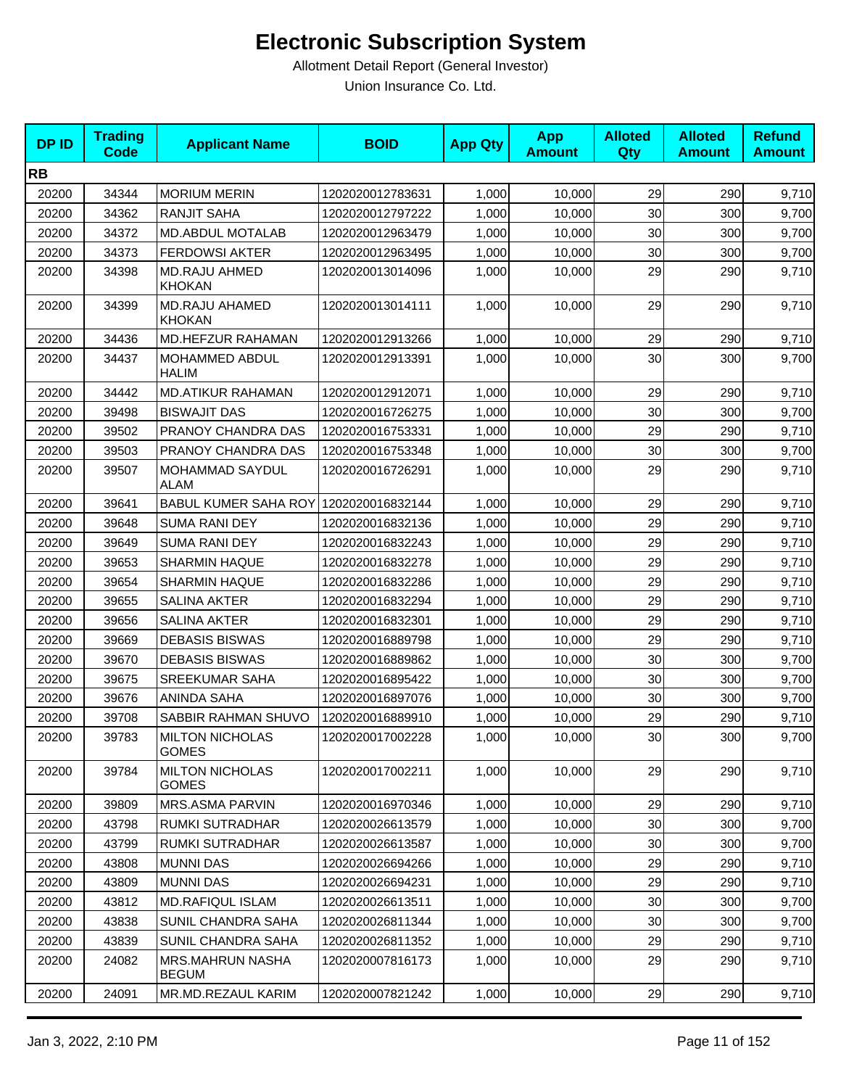| <b>DPID</b> | <b>Trading</b><br><b>Code</b> | <b>Applicant Name</b>                   | <b>BOID</b>      | <b>App Qty</b> | <b>App</b><br><b>Amount</b> | <b>Alloted</b><br><b>Qty</b> | <b>Alloted</b><br><b>Amount</b> | <b>Refund</b><br><b>Amount</b> |
|-------------|-------------------------------|-----------------------------------------|------------------|----------------|-----------------------------|------------------------------|---------------------------------|--------------------------------|
| <b>RB</b>   |                               |                                         |                  |                |                             |                              |                                 |                                |
| 20200       | 34344                         | <b>MORIUM MERIN</b>                     | 1202020012783631 | 1,000          | 10,000                      | 29                           | 290                             | 9,710                          |
| 20200       | 34362                         | <b>RANJIT SAHA</b>                      | 1202020012797222 | 1,000          | 10,000                      | 30                           | 300                             | 9,700                          |
| 20200       | 34372                         | <b>MD.ABDUL MOTALAB</b>                 | 1202020012963479 | 1,000          | 10,000                      | 30                           | 300                             | 9,700                          |
| 20200       | 34373                         | <b>FERDOWSI AKTER</b>                   | 1202020012963495 | 1,000          | 10,000                      | 30                           | 300                             | 9,700                          |
| 20200       | 34398                         | <b>MD.RAJU AHMED</b><br><b>KHOKAN</b>   | 1202020013014096 | 1,000          | 10,000                      | 29                           | 290                             | 9,710                          |
| 20200       | 34399                         | MD.RAJU AHAMED<br>KHOKAN                | 1202020013014111 | 1,000          | 10,000                      | 29                           | 290                             | 9,710                          |
| 20200       | 34436                         | MD.HEFZUR RAHAMAN                       | 1202020012913266 | 1,000          | 10,000                      | 29                           | 290                             | 9,710                          |
| 20200       | 34437                         | MOHAMMED ABDUL<br><b>HALIM</b>          | 1202020012913391 | 1,000          | 10,000                      | 30                           | 300                             | 9,700                          |
| 20200       | 34442                         | <b>MD.ATIKUR RAHAMAN</b>                | 1202020012912071 | 1,000          | 10,000                      | 29                           | 290                             | 9,710                          |
| 20200       | 39498                         | <b>BISWAJIT DAS</b>                     | 1202020016726275 | 1,000          | 10,000                      | 30                           | 300                             | 9,700                          |
| 20200       | 39502                         | PRANOY CHANDRA DAS                      | 1202020016753331 | 1,000          | 10,000                      | 29                           | 290                             | 9,710                          |
| 20200       | 39503                         | PRANOY CHANDRA DAS                      | 1202020016753348 | 1,000          | 10,000                      | 30                           | 300                             | 9,700                          |
| 20200       | 39507                         | MOHAMMAD SAYDUL<br><b>ALAM</b>          | 1202020016726291 | 1,000          | 10,000                      | 29                           | 290                             | 9,710                          |
| 20200       | 39641                         | BABUL KUMER SAHA ROY 1202020016832144   |                  | 1,000          | 10,000                      | 29                           | 290                             | 9,710                          |
| 20200       | 39648                         | <b>SUMA RANI DEY</b>                    | 1202020016832136 | 1,000          | 10,000                      | 29                           | 290                             | 9,710                          |
| 20200       | 39649                         | <b>SUMA RANI DEY</b>                    | 1202020016832243 | 1,000          | 10,000                      | 29                           | 290                             | 9,710                          |
| 20200       | 39653                         | <b>SHARMIN HAQUE</b>                    | 1202020016832278 | 1,000          | 10,000                      | 29                           | 290                             | 9,710                          |
| 20200       | 39654                         | <b>SHARMIN HAQUE</b>                    | 1202020016832286 | 1,000          | 10,000                      | 29                           | 290                             | 9,710                          |
| 20200       | 39655                         | <b>SALINA AKTER</b>                     | 1202020016832294 | 1,000          | 10,000                      | 29                           | 290                             | 9,710                          |
| 20200       | 39656                         | <b>SALINA AKTER</b>                     | 1202020016832301 | 1,000          | 10,000                      | 29                           | 290                             | 9,710                          |
| 20200       | 39669                         | <b>DEBASIS BISWAS</b>                   | 1202020016889798 | 1,000          | 10,000                      | 29                           | 290                             | 9,710                          |
| 20200       | 39670                         | <b>DEBASIS BISWAS</b>                   | 1202020016889862 | 1,000          | 10,000                      | 30 <sub>1</sub>              | 300                             | 9,700                          |
| 20200       | 39675                         | <b>SREEKUMAR SAHA</b>                   | 1202020016895422 | 1,000          | 10,000                      | 30                           | 300                             | 9,700                          |
| 20200       | 39676                         | ANINDA SAHA                             | 1202020016897076 | 1,000          | 10,000                      | 30                           | 300                             | 9,700                          |
| 20200       | 39708                         | SABBIR RAHMAN SHUVO                     | 1202020016889910 | 1,000          | 10,000                      | 29                           | 290                             | 9,710                          |
| 20200       | 39783                         | <b>MILTON NICHOLAS</b><br><b>GOMES</b>  | 1202020017002228 | 1,000          | 10,000                      | 30 <sup>1</sup>              | 300                             | 9,700                          |
| 20200       | 39784                         | <b>MILTON NICHOLAS</b><br><b>GOMES</b>  | 1202020017002211 | 1,000          | 10,000                      | 29                           | 290                             | 9,710                          |
| 20200       | 39809                         | MRS.ASMA PARVIN                         | 1202020016970346 | 1,000          | 10,000                      | 29                           | 290                             | 9,710                          |
| 20200       | 43798                         | RUMKI SUTRADHAR                         | 1202020026613579 | 1,000          | 10,000                      | 30                           | 300                             | 9,700                          |
| 20200       | 43799                         | RUMKI SUTRADHAR                         | 1202020026613587 | 1,000          | 10,000                      | 30                           | 300                             | 9,700                          |
| 20200       | 43808                         | <b>MUNNI DAS</b>                        | 1202020026694266 | 1,000          | 10,000                      | 29                           | 290                             | 9,710                          |
| 20200       | 43809                         | <b>MUNNI DAS</b>                        | 1202020026694231 | 1,000          | 10,000                      | 29                           | 290                             | 9,710                          |
| 20200       | 43812                         | <b>MD.RAFIQUL ISLAM</b>                 | 1202020026613511 | 1,000          | 10,000                      | 30                           | 300                             | 9,700                          |
| 20200       | 43838                         | SUNIL CHANDRA SAHA                      | 1202020026811344 | 1,000          | 10,000                      | 30                           | 300                             | 9,700                          |
| 20200       | 43839                         | SUNIL CHANDRA SAHA                      | 1202020026811352 | 1,000          | 10,000                      | 29                           | 290                             | 9,710                          |
| 20200       | 24082                         | <b>MRS.MAHRUN NASHA</b><br><b>BEGUM</b> | 1202020007816173 | 1,000          | 10,000                      | 29                           | 290                             | 9,710                          |
| 20200       | 24091                         | MR.MD.REZAUL KARIM                      | 1202020007821242 | 1,000          | 10,000                      | 29                           | 290                             | 9,710                          |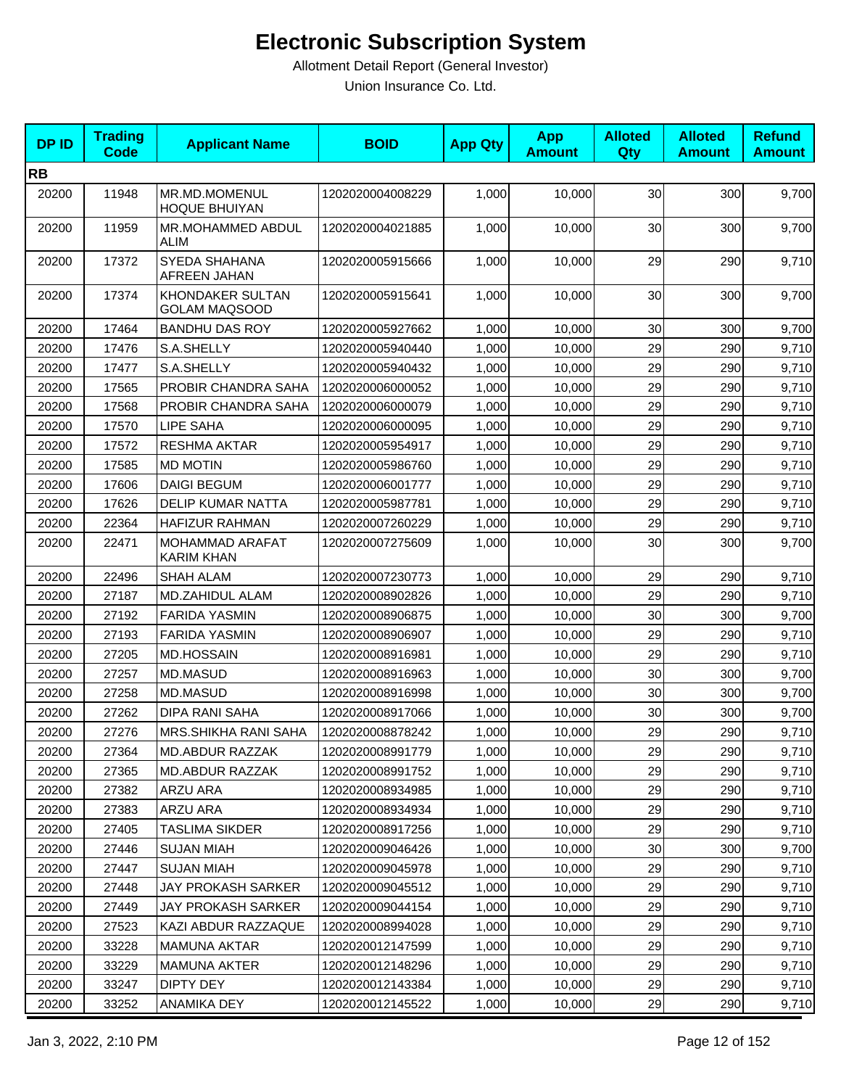| <b>DPID</b> | <b>Trading</b><br><b>Code</b> | <b>Applicant Name</b>                    | <b>BOID</b>      | <b>App Qty</b> | <b>App</b><br><b>Amount</b> | <b>Alloted</b><br>Qty | <b>Alloted</b><br><b>Amount</b> | <b>Refund</b><br><b>Amount</b> |
|-------------|-------------------------------|------------------------------------------|------------------|----------------|-----------------------------|-----------------------|---------------------------------|--------------------------------|
| <b>RB</b>   |                               |                                          |                  |                |                             |                       |                                 |                                |
| 20200       | 11948                         | MR.MD.MOMENUL<br><b>HOQUE BHUIYAN</b>    | 1202020004008229 | 1,000          | 10,000                      | 30                    | 300                             | 9,700                          |
| 20200       | 11959                         | MR.MOHAMMED ABDUL<br><b>ALIM</b>         | 1202020004021885 | 1,000          | 10,000                      | 30                    | 300                             | 9,700                          |
| 20200       | 17372                         | SYEDA SHAHANA<br><b>AFREEN JAHAN</b>     | 1202020005915666 | 1,000          | 10,000                      | 29                    | 290                             | 9,710                          |
| 20200       | 17374                         | KHONDAKER SULTAN<br><b>GOLAM MAQSOOD</b> | 1202020005915641 | 1,000          | 10,000                      | 30                    | 300                             | 9,700                          |
| 20200       | 17464                         | <b>BANDHU DAS ROY</b>                    | 1202020005927662 | 1,000          | 10,000                      | 30                    | 300                             | 9,700                          |
| 20200       | 17476                         | S.A.SHELLY                               | 1202020005940440 | 1,000          | 10,000                      | 29                    | 290                             | 9,710                          |
| 20200       | 17477                         | S.A.SHELLY                               | 1202020005940432 | 1,000          | 10,000                      | 29                    | 290                             | 9,710                          |
| 20200       | 17565                         | PROBIR CHANDRA SAHA                      | 1202020006000052 | 1,000          | 10,000                      | 29                    | 290                             | 9,710                          |
| 20200       | 17568                         | PROBIR CHANDRA SAHA                      | 1202020006000079 | 1,000          | 10,000                      | 29                    | 290                             | 9,710                          |
| 20200       | 17570                         | LIPE SAHA                                | 1202020006000095 | 1,000          | 10,000                      | 29                    | 290                             | 9,710                          |
| 20200       | 17572                         | <b>RESHMA AKTAR</b>                      | 1202020005954917 | 1,000          | 10,000                      | 29                    | 290                             | 9,710                          |
| 20200       | 17585                         | <b>MD MOTIN</b>                          | 1202020005986760 | 1,000          | 10.000                      | 29                    | 290                             | 9,710                          |
| 20200       | 17606                         | <b>DAIGI BEGUM</b>                       | 1202020006001777 | 1,000          | 10,000                      | 29                    | 290                             | 9,710                          |
| 20200       | 17626                         | <b>DELIP KUMAR NATTA</b>                 | 1202020005987781 | 1,000          | 10,000                      | 29                    | 290                             | 9,710                          |
| 20200       | 22364                         | <b>HAFIZUR RAHMAN</b>                    | 1202020007260229 | 1,000          | 10,000                      | 29                    | 290                             | 9,710                          |
| 20200       | 22471                         | MOHAMMAD ARAFAT<br>KARIM KHAN            | 1202020007275609 | 1,000          | 10,000                      | 30                    | 300                             | 9,700                          |
| 20200       | 22496                         | <b>SHAH ALAM</b>                         | 1202020007230773 | 1,000          | 10,000                      | 29                    | 290                             | 9,710                          |
| 20200       | 27187                         | MD.ZAHIDUL ALAM                          | 1202020008902826 | 1,000          | 10,000                      | 29                    | 290                             | 9,710                          |
| 20200       | 27192                         | <b>FARIDA YASMIN</b>                     | 1202020008906875 | 1,000          | 10,000                      | 30                    | 300                             | 9,700                          |
| 20200       | 27193                         | <b>FARIDA YASMIN</b>                     | 1202020008906907 | 1,000          | 10,000                      | 29                    | 290                             | 9,710                          |
| 20200       | 27205                         | <b>MD.HOSSAIN</b>                        | 1202020008916981 | 1,000          | 10,000                      | 29                    | 290                             | 9,710                          |
| 20200       | 27257                         | MD.MASUD                                 | 1202020008916963 | 1,000          | 10,000                      | 30                    | 300                             | 9,700                          |
| 20200       | 27258                         | MD.MASUD                                 | 1202020008916998 | 1,000          | 10,000                      | 30                    | 300                             | 9,700                          |
| 20200       | 27262                         | DIPA RANI SAHA                           | 1202020008917066 | 1,000          | 10,000                      | 30                    | 300                             | 9,700                          |
| 20200       | 27276                         | MRS.SHIKHA RANI SAHA                     | 1202020008878242 | 1,000          | 10,000                      | 29                    | 290                             | 9,710                          |
| 20200       | 27364                         | MD.ABDUR RAZZAK                          | 1202020008991779 | 1,000          | 10,000                      | 29                    | 290                             | 9,710                          |
| 20200       | 27365                         | MD.ABDUR RAZZAK                          | 1202020008991752 | 1,000          | 10,000                      | 29                    | 290                             | 9,710                          |
| 20200       | 27382                         | ARZU ARA                                 | 1202020008934985 | 1,000          | 10,000                      | 29                    | 290                             | 9,710                          |
| 20200       | 27383                         | ARZU ARA                                 | 1202020008934934 | 1,000          | 10,000                      | 29                    | 290                             | 9,710                          |
| 20200       | 27405                         | TASLIMA SIKDER                           | 1202020008917256 | 1,000          | 10,000                      | 29                    | 290                             | 9,710                          |
| 20200       | 27446                         | <b>SUJAN MIAH</b>                        | 1202020009046426 | 1,000          | 10,000                      | 30                    | 300                             | 9,700                          |
| 20200       | 27447                         | <b>SUJAN MIAH</b>                        | 1202020009045978 | 1,000          | 10,000                      | 29                    | 290                             | 9,710                          |
| 20200       | 27448                         | JAY PROKASH SARKER                       | 1202020009045512 | 1,000          | 10,000                      | 29                    | 290                             | 9,710                          |
| 20200       | 27449                         | JAY PROKASH SARKER                       | 1202020009044154 | 1,000          | 10,000                      | 29                    | 290                             | 9,710                          |
| 20200       | 27523                         | KAZI ABDUR RAZZAQUE                      | 1202020008994028 | 1,000          | 10,000                      | 29                    | 290                             | 9,710                          |
| 20200       | 33228                         | <b>MAMUNA AKTAR</b>                      | 1202020012147599 | 1,000          | 10,000                      | 29                    | 290                             | 9,710                          |
| 20200       | 33229                         | MAMUNA AKTER                             | 1202020012148296 | 1,000          | 10,000                      | 29                    | 290                             | 9,710                          |
| 20200       | 33247                         | DIPTY DEY                                | 1202020012143384 | 1,000          | 10,000                      | 29                    | 290                             | 9,710                          |
| 20200       | 33252                         | ANAMIKA DEY                              | 1202020012145522 | 1,000          | 10,000                      | 29                    | 290                             | 9,710                          |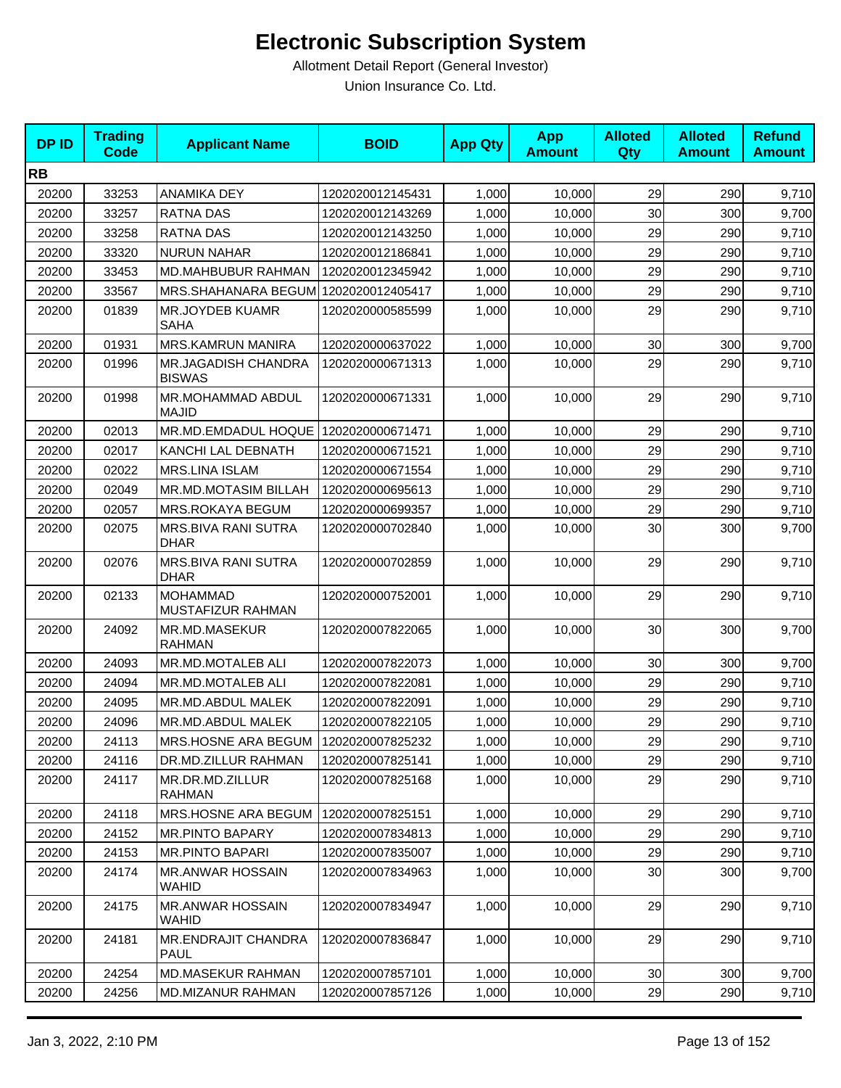| <b>DPID</b> | <b>Trading</b><br>Code | <b>Applicant Name</b>                   | <b>BOID</b>      | <b>App Qty</b> | <b>App</b><br><b>Amount</b> | <b>Alloted</b><br>Qty | <b>Alloted</b><br><b>Amount</b> | <b>Refund</b><br><b>Amount</b> |
|-------------|------------------------|-----------------------------------------|------------------|----------------|-----------------------------|-----------------------|---------------------------------|--------------------------------|
| <b>RB</b>   |                        |                                         |                  |                |                             |                       |                                 |                                |
| 20200       | 33253                  | <b>ANAMIKA DEY</b>                      | 1202020012145431 | 1,000          | 10,000                      | 29                    | 290                             | 9,710                          |
| 20200       | 33257                  | RATNA DAS                               | 1202020012143269 | 1,000          | 10,000                      | 30                    | 300                             | 9,700                          |
| 20200       | 33258                  | RATNA DAS                               | 1202020012143250 | 1,000          | 10,000                      | 29                    | 290                             | 9,710                          |
| 20200       | 33320                  | <b>NURUN NAHAR</b>                      | 1202020012186841 | 1,000          | 10,000                      | 29                    | 290                             | 9,710                          |
| 20200       | 33453                  | MD.MAHBUBUR RAHMAN                      | 1202020012345942 | 1,000          | 10,000                      | 29                    | 290                             | 9,710                          |
| 20200       | 33567                  | MRS.SHAHANARA BEGUM 1202020012405417    |                  | 1,000          | 10,000                      | 29                    | 290                             | 9,710                          |
| 20200       | 01839                  | MR.JOYDEB KUAMR<br>SAHA                 | 1202020000585599 | 1,000          | 10,000                      | 29                    | 290                             | 9,710                          |
| 20200       | 01931                  | MRS.KAMRUN MANIRA                       | 1202020000637022 | 1,000          | 10,000                      | 30                    | 300                             | 9,700                          |
| 20200       | 01996                  | MR.JAGADISH CHANDRA<br><b>BISWAS</b>    | 1202020000671313 | 1,000          | 10,000                      | 29                    | 290                             | 9,710                          |
| 20200       | 01998                  | MR.MOHAMMAD ABDUL<br><b>MAJID</b>       | 1202020000671331 | 1,000          | 10,000                      | 29                    | 290                             | 9,710                          |
| 20200       | 02013                  | MR.MD.EMDADUL HOQUE                     | 1202020000671471 | 1,000          | 10,000                      | 29                    | 290                             | 9,710                          |
| 20200       | 02017                  | KANCHI LAL DEBNATH                      | 1202020000671521 | 1,000          | 10,000                      | 29                    | 290                             | 9,710                          |
| 20200       | 02022                  | <b>MRS.LINA ISLAM</b>                   | 1202020000671554 | 1,000          | 10,000                      | 29                    | 290                             | 9,710                          |
| 20200       | 02049                  | MR.MD.MOTASIM BILLAH                    | 1202020000695613 | 1,000          | 10,000                      | 29                    | 290                             | 9,710                          |
| 20200       | 02057                  | MRS.ROKAYA BEGUM                        | 1202020000699357 | 1,000          | 10,000                      | 29                    | 290                             | 9,710                          |
| 20200       | 02075                  | MRS.BIVA RANI SUTRA<br><b>DHAR</b>      | 1202020000702840 | 1,000          | 10,000                      | 30                    | 300                             | 9,700                          |
| 20200       | 02076                  | MRS.BIVA RANI SUTRA<br><b>DHAR</b>      | 1202020000702859 | 1,000          | 10,000                      | 29                    | 290                             | 9,710                          |
| 20200       | 02133                  | <b>MOHAMMAD</b><br>MUSTAFIZUR RAHMAN    | 1202020000752001 | 1,000          | 10,000                      | 29                    | 290                             | 9,710                          |
| 20200       | 24092                  | MR.MD.MASEKUR<br><b>RAHMAN</b>          | 1202020007822065 | 1,000          | 10,000                      | 30                    | 300                             | 9,700                          |
| 20200       | 24093                  | MR.MD.MOTALEB ALI                       | 1202020007822073 | 1,000          | 10,000                      | 30                    | 300                             | 9,700                          |
| 20200       | 24094                  | MR.MD.MOTALEB ALI                       | 1202020007822081 | 1,000          | 10,000                      | 29                    | 290                             | 9,710                          |
| 20200       | 24095                  | MR.MD.ABDUL MALEK                       | 1202020007822091 | 1,000          | 10,000                      | 29                    | 290                             | 9,710                          |
| 20200       | 24096                  | MR.MD.ABDUL MALEK                       | 1202020007822105 | 1,000          | 10,000                      | 29                    | 290                             | 9,710                          |
| 20200       | 24113                  | MRS.HOSNE ARA BEGUM   1202020007825232  |                  | 1,000          | 10,000                      | 29                    | 290                             | 9,710                          |
| 20200       | 24116                  | DR.MD.ZILLUR RAHMAN                     | 1202020007825141 | 1,000          | 10,000                      | 29                    | 290                             | 9,710                          |
| 20200       | 24117                  | MR.DR.MD.ZILLUR<br><b>RAHMAN</b>        | 1202020007825168 | 1,000          | 10,000                      | 29                    | 290                             | 9,710                          |
| 20200       | 24118                  | MRS.HOSNE ARA BEGUM                     | 1202020007825151 | 1,000          | 10,000                      | 29                    | 290                             | 9,710                          |
| 20200       | 24152                  | <b>MR.PINTO BAPARY</b>                  | 1202020007834813 | 1,000          | 10,000                      | 29                    | 290                             | 9,710                          |
| 20200       | 24153                  | <b>MR.PINTO BAPARI</b>                  | 1202020007835007 | 1,000          | 10,000                      | 29                    | 290                             | 9,710                          |
| 20200       | 24174                  | <b>MR.ANWAR HOSSAIN</b><br><b>WAHID</b> | 1202020007834963 | 1,000          | 10,000                      | 30                    | 300                             | 9,700                          |
| 20200       | 24175                  | <b>MR.ANWAR HOSSAIN</b><br>WAHID        | 1202020007834947 | 1,000          | 10,000                      | 29                    | 290                             | 9,710                          |
| 20200       | 24181                  | MR.ENDRAJIT CHANDRA<br>PAUL             | 1202020007836847 | 1,000          | 10,000                      | 29                    | 290                             | 9,710                          |
| 20200       | 24254                  | <b>MD.MASEKUR RAHMAN</b>                | 1202020007857101 | 1,000          | 10,000                      | 30 <sub>0</sub>       | 300                             | 9,700                          |
| 20200       | 24256                  | <b>MD.MIZANUR RAHMAN</b>                | 1202020007857126 | 1,000          | 10,000                      | 29                    | 290                             | 9,710                          |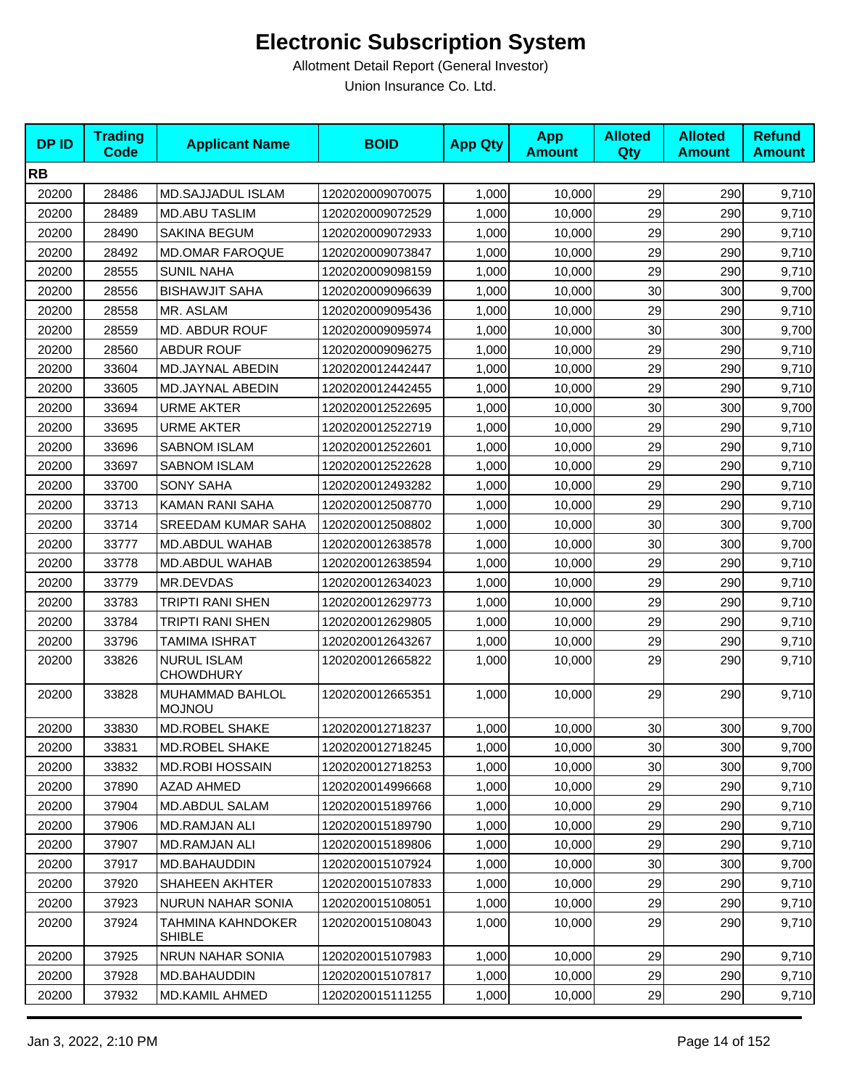| <b>DPID</b> | <b>Trading</b><br><b>Code</b> | <b>Applicant Name</b>                  | <b>BOID</b>      | <b>App Qty</b> | <b>App</b><br><b>Amount</b> | <b>Alloted</b><br>Qty | <b>Alloted</b><br><b>Amount</b> | <b>Refund</b><br><b>Amount</b> |
|-------------|-------------------------------|----------------------------------------|------------------|----------------|-----------------------------|-----------------------|---------------------------------|--------------------------------|
| <b>RB</b>   |                               |                                        |                  |                |                             |                       |                                 |                                |
| 20200       | 28486                         | <b>MD.SAJJADUL ISLAM</b>               | 1202020009070075 | 1,000          | 10,000                      | 29                    | 290                             | 9,710                          |
| 20200       | 28489                         | <b>MD.ABU TASLIM</b>                   | 1202020009072529 | 1,000          | 10,000                      | 29                    | 290                             | 9,710                          |
| 20200       | 28490                         | SAKINA BEGUM                           | 1202020009072933 | 1,000          | 10,000                      | 29                    | 290                             | 9,710                          |
| 20200       | 28492                         | <b>MD.OMAR FAROQUE</b>                 | 1202020009073847 | 1,000          | 10,000                      | 29                    | 290                             | 9,710                          |
| 20200       | 28555                         | <b>SUNIL NAHA</b>                      | 1202020009098159 | 1,000          | 10,000                      | 29                    | 290                             | 9,710                          |
| 20200       | 28556                         | <b>BISHAWJIT SAHA</b>                  | 1202020009096639 | 1,000          | 10,000                      | 30                    | 300                             | 9,700                          |
| 20200       | 28558                         | MR. ASLAM                              | 1202020009095436 | 1,000          | 10,000                      | 29                    | 290                             | 9,710                          |
| 20200       | 28559                         | MD. ABDUR ROUF                         | 1202020009095974 | 1,000          | 10,000                      | 30                    | 300                             | 9,700                          |
| 20200       | 28560                         | <b>ABDUR ROUF</b>                      | 1202020009096275 | 1,000          | 10,000                      | 29                    | 290                             | 9,710                          |
| 20200       | 33604                         | MD.JAYNAL ABEDIN                       | 1202020012442447 | 1,000          | 10,000                      | 29                    | 290                             | 9,710                          |
| 20200       | 33605                         | MD.JAYNAL ABEDIN                       | 1202020012442455 | 1,000          | 10,000                      | 29                    | 290                             | 9,710                          |
| 20200       | 33694                         | <b>URME AKTER</b>                      | 1202020012522695 | 1,000          | 10,000                      | 30                    | 300                             | 9,700                          |
| 20200       | 33695                         | <b>URME AKTER</b>                      | 1202020012522719 | 1,000          | 10,000                      | 29                    | 290                             | 9,710                          |
| 20200       | 33696                         | <b>SABNOM ISLAM</b>                    | 1202020012522601 | 1,000          | 10,000                      | 29                    | 290                             | 9,710                          |
| 20200       | 33697                         | <b>SABNOM ISLAM</b>                    | 1202020012522628 | 1,000          | 10,000                      | 29                    | 290                             | 9,710                          |
| 20200       | 33700                         | <b>SONY SAHA</b>                       | 1202020012493282 | 1,000          | 10,000                      | 29                    | 290                             | 9,710                          |
| 20200       | 33713                         | KAMAN RANI SAHA                        | 1202020012508770 | 1.000          | 10.000                      | 29                    | 290                             | 9,710                          |
| 20200       | 33714                         | SREEDAM KUMAR SAHA                     | 1202020012508802 | 1,000          | 10,000                      | 30                    | 300                             | 9,700                          |
| 20200       | 33777                         | <b>MD.ABDUL WAHAB</b>                  | 1202020012638578 | 1,000          | 10,000                      | 30                    | 300                             | 9,700                          |
| 20200       | 33778                         | MD.ABDUL WAHAB                         | 1202020012638594 | 1,000          | 10,000                      | 29                    | 290                             | 9,710                          |
| 20200       | 33779                         | MR.DEVDAS                              | 1202020012634023 | 1,000          | 10,000                      | 29                    | 290                             | 9,710                          |
| 20200       | 33783                         | TRIPTI RANI SHEN                       | 1202020012629773 | 1,000          | 10,000                      | 29                    | 290                             | 9,710                          |
| 20200       | 33784                         | TRIPTI RANI SHEN                       | 1202020012629805 | 1,000          | 10,000                      | 29                    | 290                             | 9,710                          |
| 20200       | 33796                         | <b>TAMIMA ISHRAT</b>                   | 1202020012643267 | 1,000          | 10,000                      | 29                    | 290                             | 9,710                          |
| 20200       | 33826                         | <b>NURUL ISLAM</b><br><b>CHOWDHURY</b> | 1202020012665822 | 1,000          | 10,000                      | 29                    | 290                             | 9,710                          |
| 20200       | 33828                         | MUHAMMAD BAHLOL<br><b>MOJNOU</b>       | 1202020012665351 | 1,000          | 10,000                      | 29                    | 290                             | 9,710                          |
| 20200       | 33830                         | <b>MD.ROBEL SHAKE</b>                  | 1202020012718237 | 1,000          | 10,000                      | 30                    | 300                             | 9,700                          |
| 20200       | 33831                         | MD.ROBEL SHAKE                         | 1202020012718245 | 1,000          | 10,000                      | 30                    | 300                             | 9,700                          |
| 20200       | 33832                         | <b>MD.ROBI HOSSAIN</b>                 | 1202020012718253 | 1,000          | 10,000                      | 30                    | 300                             | 9,700                          |
| 20200       | 37890                         | AZAD AHMED                             | 1202020014996668 | 1,000          | 10,000                      | 29                    | 290                             | 9,710                          |
| 20200       | 37904                         | MD.ABDUL SALAM                         | 1202020015189766 | 1,000          | 10,000                      | 29                    | 290                             | 9,710                          |
| 20200       | 37906                         | MD.RAMJAN ALI                          | 1202020015189790 | 1,000          | 10,000                      | 29                    | 290                             | 9,710                          |
| 20200       | 37907                         | <b>MD.RAMJAN ALI</b>                   | 1202020015189806 | 1,000          | 10,000                      | 29                    | 290                             | 9,710                          |
| 20200       | 37917                         | MD.BAHAUDDIN                           | 1202020015107924 | 1,000          | 10,000                      | 30                    | 300                             | 9,700                          |
| 20200       | 37920                         | <b>SHAHEEN AKHTER</b>                  | 1202020015107833 | 1,000          | 10,000                      | 29                    | 290                             | 9,710                          |
| 20200       | 37923                         | <b>NURUN NAHAR SONIA</b>               | 1202020015108051 | 1,000          | 10,000                      | 29                    | 290                             | 9,710                          |
| 20200       | 37924                         | TAHMINA KAHNDOKER<br><b>SHIBLE</b>     | 1202020015108043 | 1,000          | 10,000                      | 29                    | 290                             | 9,710                          |
| 20200       | 37925                         | NRUN NAHAR SONIA                       | 1202020015107983 | 1,000          | 10,000                      | 29                    | 290                             | 9,710                          |
| 20200       | 37928                         | MD.BAHAUDDIN                           | 1202020015107817 | 1,000          | 10,000                      | 29                    | 290                             | 9,710                          |
| 20200       | 37932                         | MD.KAMIL AHMED                         | 1202020015111255 | 1,000          | 10,000                      | 29                    | 290                             | 9,710                          |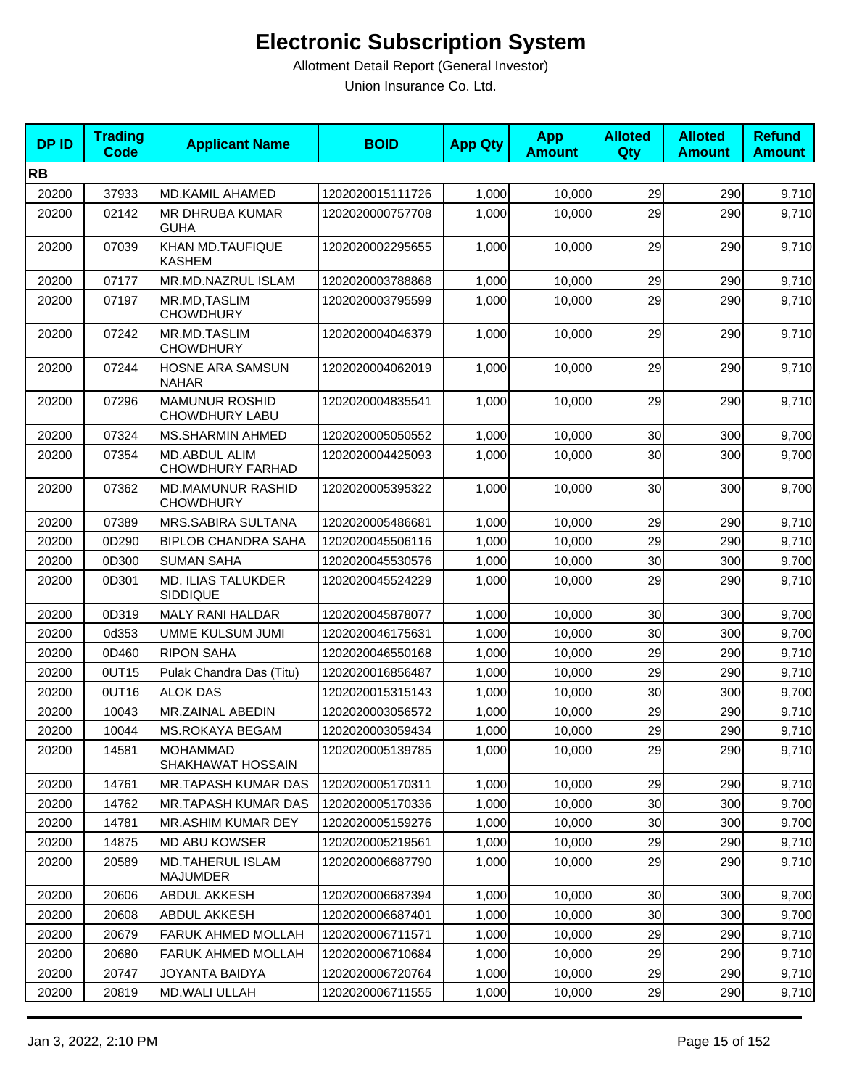| <b>DPID</b> | <b>Trading</b><br><b>Code</b> | <b>Applicant Name</b>                          | <b>BOID</b>      | <b>App Qty</b> | <b>App</b><br><b>Amount</b> | <b>Alloted</b><br>Qty | <b>Alloted</b><br><b>Amount</b> | <b>Refund</b><br><b>Amount</b> |
|-------------|-------------------------------|------------------------------------------------|------------------|----------------|-----------------------------|-----------------------|---------------------------------|--------------------------------|
| <b>RB</b>   |                               |                                                |                  |                |                             |                       |                                 |                                |
| 20200       | 37933                         | <b>MD.KAMIL AHAMED</b>                         | 1202020015111726 | 1,000          | 10,000                      | 29                    | 290                             | 9,710                          |
| 20200       | 02142                         | <b>MR DHRUBA KUMAR</b><br><b>GUHA</b>          | 1202020000757708 | 1,000          | 10,000                      | 29                    | 290                             | 9,710                          |
| 20200       | 07039                         | KHAN MD.TAUFIQUE<br><b>KASHEM</b>              | 1202020002295655 | 1,000          | 10,000                      | 29                    | 290                             | 9,710                          |
| 20200       | 07177                         | MR.MD.NAZRUL ISLAM                             | 1202020003788868 | 1,000          | 10,000                      | 29                    | 290                             | 9,710                          |
| 20200       | 07197                         | MR.MD, TASLIM<br><b>CHOWDHURY</b>              | 1202020003795599 | 1,000          | 10,000                      | 29                    | 290                             | 9,710                          |
| 20200       | 07242                         | MR.MD.TASLIM<br><b>CHOWDHURY</b>               | 1202020004046379 | 1,000          | 10,000                      | 29                    | 290                             | 9,710                          |
| 20200       | 07244                         | HOSNE ARA SAMSUN<br><b>NAHAR</b>               | 1202020004062019 | 1,000          | 10,000                      | 29                    | 290                             | 9,710                          |
| 20200       | 07296                         | <b>MAMUNUR ROSHID</b><br><b>CHOWDHURY LABU</b> | 1202020004835541 | 1,000          | 10,000                      | 29                    | 290                             | 9,710                          |
| 20200       | 07324                         | MS.SHARMIN AHMED                               | 1202020005050552 | 1,000          | 10,000                      | 30                    | 300                             | 9,700                          |
| 20200       | 07354                         | MD.ABDUL ALIM<br><b>CHOWDHURY FARHAD</b>       | 1202020004425093 | 1,000          | 10,000                      | 30                    | 300                             | 9,700                          |
| 20200       | 07362                         | <b>MD.MAMUNUR RASHID</b><br><b>CHOWDHURY</b>   | 1202020005395322 | 1,000          | 10,000                      | 30                    | 300                             | 9,700                          |
| 20200       | 07389                         | MRS.SABIRA SULTANA                             | 1202020005486681 | 1,000          | 10,000                      | 29                    | 290                             | 9,710                          |
| 20200       | 0D290                         | <b>BIPLOB CHANDRA SAHA</b>                     | 1202020045506116 | 1,000          | 10,000                      | 29                    | 290                             | 9,710                          |
| 20200       | 0D300                         | <b>SUMAN SAHA</b>                              | 1202020045530576 | 1,000          | 10,000                      | 30                    | 300                             | 9,700                          |
| 20200       | 0D301                         | MD. ILIAS TALUKDER<br><b>SIDDIQUE</b>          | 1202020045524229 | 1,000          | 10,000                      | 29                    | 290                             | 9,710                          |
| 20200       | 0D319                         | <b>MALY RANI HALDAR</b>                        | 1202020045878077 | 1,000          | 10,000                      | 30                    | 300                             | 9,700                          |
| 20200       | 0d353                         | UMME KULSUM JUMI                               | 1202020046175631 | 1,000          | 10,000                      | 30                    | 300                             | 9,700                          |
| 20200       | 0D460                         | <b>RIPON SAHA</b>                              | 1202020046550168 | 1,000          | 10,000                      | 29                    | 290                             | 9,710                          |
| 20200       | 0UT15                         | Pulak Chandra Das (Titu)                       | 1202020016856487 | 1,000          | 10,000                      | 29                    | 290                             | 9,710                          |
| 20200       | 0UT16                         | <b>ALOK DAS</b>                                | 1202020015315143 | 1,000          | 10,000                      | 30                    | 300                             | 9,700                          |
| 20200       | 10043                         | MR.ZAINAL ABEDIN                               | 1202020003056572 | 1,000          | 10,000                      | 29                    | 290                             | 9,710                          |
| 20200       | 10044                         | <b>MS.ROKAYA BEGAM</b>                         | 1202020003059434 | 1,000          | 10,000                      | 29                    | 290                             | 9,710                          |
| 20200       | 14581                         | <b>MOHAMMAD</b><br>SHAKHAWAT HOSSAIN           | 1202020005139785 | 1,000          | 10,000                      | 29                    | 290                             | 9,710                          |
| 20200       | 14761                         | MR.TAPASH KUMAR DAS                            | 1202020005170311 | 1,000          | 10,000                      | 29                    | 290                             | 9,710                          |
| 20200       | 14762                         | MR.TAPASH KUMAR DAS                            | 1202020005170336 | 1,000          | 10,000                      | 30                    | 300                             | 9,700                          |
| 20200       | 14781                         | MR.ASHIM KUMAR DEY                             | 1202020005159276 | 1,000          | 10,000                      | 30                    | 300                             | 9,700                          |
| 20200       | 14875                         | MD ABU KOWSER                                  | 1202020005219561 | 1,000          | 10,000                      | 29                    | 290                             | 9,710                          |
| 20200       | 20589                         | MD.TAHERUL ISLAM<br>MAJUMDER                   | 1202020006687790 | 1,000          | 10,000                      | 29                    | 290                             | 9,710                          |
| 20200       | 20606                         | ABDUL AKKESH                                   | 1202020006687394 | 1,000          | 10,000                      | 30                    | 300                             | 9,700                          |
| 20200       | 20608                         | <b>ABDUL AKKESH</b>                            | 1202020006687401 | 1,000          | 10,000                      | 30                    | 300                             | 9,700                          |
| 20200       | 20679                         | FARUK AHMED MOLLAH                             | 1202020006711571 | 1,000          | 10,000                      | 29                    | 290                             | 9,710                          |
| 20200       | 20680                         | FARUK AHMED MOLLAH                             | 1202020006710684 | 1,000          | 10,000                      | 29                    | 290                             | 9,710                          |
| 20200       | 20747                         | JOYANTA BAIDYA                                 | 1202020006720764 | 1,000          | 10,000                      | 29                    | 290                             | 9,710                          |
| 20200       | 20819                         | <b>MD.WALI ULLAH</b>                           | 1202020006711555 | 1,000          | 10,000                      | 29                    | 290                             | 9,710                          |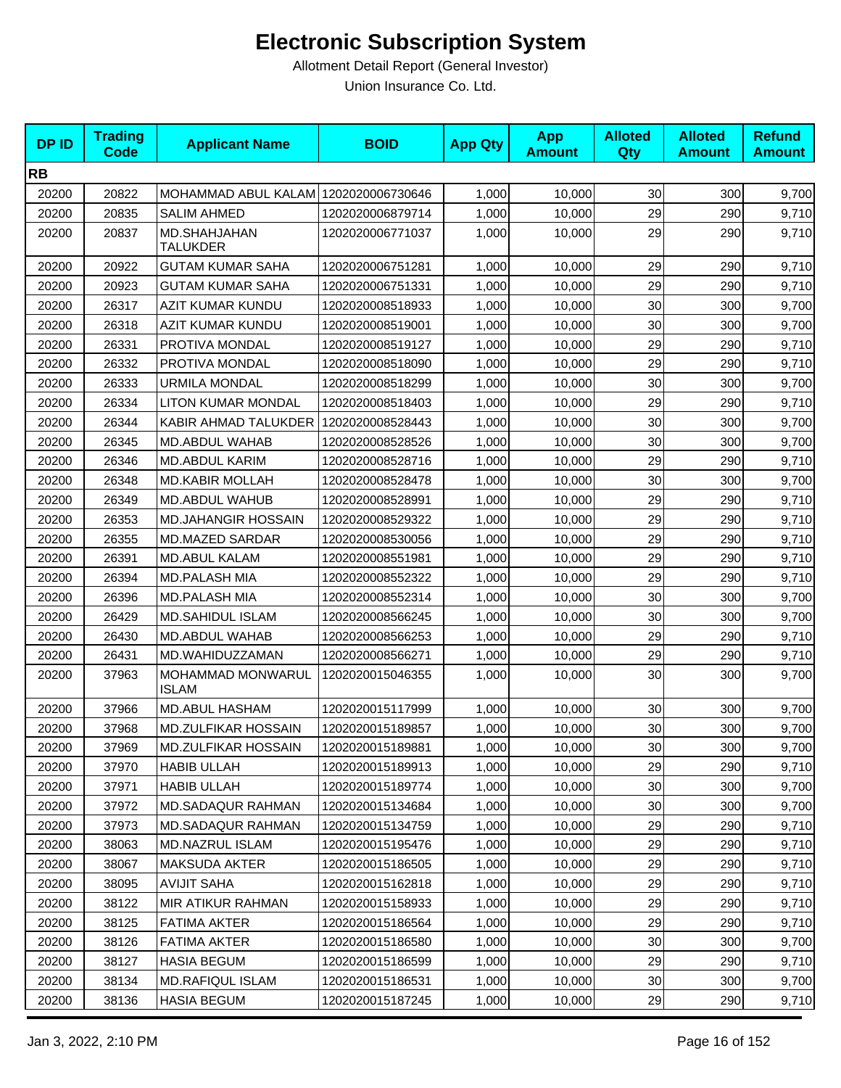| <b>DPID</b> | <b>Trading</b><br><b>Code</b> | <b>Applicant Name</b>                    | <b>BOID</b>      | <b>App Qty</b> | <b>App</b><br><b>Amount</b> | <b>Alloted</b><br><b>Qty</b> | <b>Alloted</b><br><b>Amount</b> | <b>Refund</b><br><b>Amount</b> |
|-------------|-------------------------------|------------------------------------------|------------------|----------------|-----------------------------|------------------------------|---------------------------------|--------------------------------|
| <b>RB</b>   |                               |                                          |                  |                |                             |                              |                                 |                                |
| 20200       | 20822                         | MOHAMMAD ABUL KALAM 1202020006730646     |                  | 1,000          | 10,000                      | 30                           | 300                             | 9,700                          |
| 20200       | 20835                         | <b>SALIM AHMED</b>                       | 1202020006879714 | 1,000          | 10,000                      | 29                           | 290                             | 9,710                          |
| 20200       | 20837                         | MD.SHAHJAHAN<br><b>TALUKDER</b>          | 1202020006771037 | 1,000          | 10,000                      | 29                           | 290                             | 9,710                          |
| 20200       | 20922                         | <b>GUTAM KUMAR SAHA</b>                  | 1202020006751281 | 1,000          | 10,000                      | 29                           | 290                             | 9,710                          |
| 20200       | 20923                         | <b>GUTAM KUMAR SAHA</b>                  | 1202020006751331 | 1,000          | 10,000                      | 29                           | 290                             | 9,710                          |
| 20200       | 26317                         | <b>AZIT KUMAR KUNDU</b>                  | 1202020008518933 | 1,000          | 10,000                      | 30                           | 300                             | 9,700                          |
| 20200       | 26318                         | <b>AZIT KUMAR KUNDU</b>                  | 1202020008519001 | 1,000          | 10,000                      | 30                           | 300                             | 9,700                          |
| 20200       | 26331                         | PROTIVA MONDAL                           | 1202020008519127 | 1,000          | 10,000                      | 29                           | 290                             | 9,710                          |
| 20200       | 26332                         | PROTIVA MONDAL                           | 1202020008518090 | 1,000          | 10,000                      | 29                           | 290                             | 9,710                          |
| 20200       | 26333                         | <b>URMILA MONDAL</b>                     | 1202020008518299 | 1,000          | 10,000                      | 30                           | 300                             | 9,700                          |
| 20200       | 26334                         | <b>LITON KUMAR MONDAL</b>                | 1202020008518403 | 1,000          | 10,000                      | 29                           | 290                             | 9,710                          |
| 20200       | 26344                         | KABIR AHMAD TALUKDER                     | 1202020008528443 | 1,000          | 10,000                      | 30                           | 300                             | 9,700                          |
| 20200       | 26345                         | MD.ABDUL WAHAB                           | 1202020008528526 | 1,000          | 10,000                      | 30                           | 300                             | 9,700                          |
| 20200       | 26346                         | MD.ABDUL KARIM                           | 1202020008528716 | 1,000          | 10,000                      | 29                           | 290                             | 9,710                          |
| 20200       | 26348                         | <b>MD.KABIR MOLLAH</b>                   | 1202020008528478 | 1,000          | 10,000                      | 30                           | 300                             | 9,700                          |
| 20200       | 26349                         | MD.ABDUL WAHUB                           | 1202020008528991 | 1,000          | 10,000                      | 29                           | 290                             | 9,710                          |
| 20200       | 26353                         | <b>MD.JAHANGIR HOSSAIN</b>               | 1202020008529322 | 1,000          | 10,000                      | 29                           | 290                             | 9,710                          |
| 20200       | 26355                         | <b>MD.MAZED SARDAR</b>                   | 1202020008530056 | 1,000          | 10,000                      | 29                           | 290                             | 9,710                          |
| 20200       | 26391                         | <b>MD.ABUL KALAM</b>                     | 1202020008551981 | 1,000          | 10,000                      | 29                           | 290                             | 9,710                          |
| 20200       | 26394                         | <b>MD.PALASH MIA</b>                     | 1202020008552322 | 1,000          | 10,000                      | 29                           | 290                             | 9,710                          |
| 20200       | 26396                         | <b>MD.PALASH MIA</b>                     | 1202020008552314 | 1,000          | 10,000                      | 30                           | 300                             | 9,700                          |
| 20200       | 26429                         | <b>MD.SAHIDUL ISLAM</b>                  | 1202020008566245 | 1,000          | 10,000                      | 30                           | 300                             | 9,700                          |
| 20200       | 26430                         | MD.ABDUL WAHAB                           | 1202020008566253 | 1,000          | 10,000                      | 29                           | 290                             | 9,710                          |
| 20200       | 26431                         | MD.WAHIDUZZAMAN                          | 1202020008566271 | 1,000          | 10,000                      | 29                           | 290                             | 9,710                          |
| 20200       | 37963                         | <b>MOHAMMAD MONWARUL</b><br><b>ISLAM</b> | 1202020015046355 | 1,000          | 10,000                      | 30                           | 300                             | 9,700                          |
| 20200       | 37966                         | MD.ABUL HASHAM                           | 1202020015117999 | 1,000          | 10,000                      | 30                           | 300                             | 9,700                          |
| 20200       | 37968                         | MD.ZULFIKAR HOSSAIN                      | 1202020015189857 | 1,000          | 10.000                      | 30                           | 300                             | 9,700                          |
| 20200       | 37969                         | <b>MD.ZULFIKAR HOSSAIN</b>               | 1202020015189881 | 1,000          | 10,000                      | 30                           | 300                             | 9,700                          |
| 20200       | 37970                         | <b>HABIB ULLAH</b>                       | 1202020015189913 | 1,000          | 10,000                      | 29                           | 290                             | 9,710                          |
| 20200       | 37971                         | <b>HABIB ULLAH</b>                       | 1202020015189774 | 1,000          | 10,000                      | 30                           | 300                             | 9,700                          |
| 20200       | 37972                         | MD.SADAQUR RAHMAN                        | 1202020015134684 | 1,000          | 10,000                      | 30                           | 300                             | 9,700                          |
| 20200       | 37973                         | <b>MD.SADAQUR RAHMAN</b>                 | 1202020015134759 | 1,000          | 10,000                      | 29                           | 290                             | 9,710                          |
| 20200       | 38063                         | MD.NAZRUL ISLAM                          | 1202020015195476 | 1,000          | 10,000                      | 29                           | 290                             | 9,710                          |
| 20200       | 38067                         | <b>MAKSUDA AKTER</b>                     | 1202020015186505 | 1,000          | 10,000                      | 29                           | 290                             | 9,710                          |
| 20200       | 38095                         | <b>AVIJIT SAHA</b>                       | 1202020015162818 | 1,000          | 10,000                      | 29                           | 290                             | 9,710                          |
| 20200       | 38122                         | MIR ATIKUR RAHMAN                        | 1202020015158933 | 1,000          | 10,000                      | 29                           | 290                             | 9,710                          |
| 20200       | 38125                         | <b>FATIMA AKTER</b>                      | 1202020015186564 | 1,000          | 10,000                      | 29                           | 290                             | 9,710                          |
| 20200       | 38126                         | <b>FATIMA AKTER</b>                      | 1202020015186580 | 1,000          | 10,000                      | 30                           | 300                             | 9,700                          |
| 20200       | 38127                         | <b>HASIA BEGUM</b>                       | 1202020015186599 | 1,000          | 10,000                      | 29                           | 290                             | 9,710                          |
| 20200       | 38134                         | MD.RAFIQUL ISLAM                         | 1202020015186531 | 1,000          | 10,000                      | 30                           | 300                             | 9,700                          |
| 20200       | 38136                         | <b>HASIA BEGUM</b>                       | 1202020015187245 | 1,000          | 10,000                      | 29                           | 290                             | 9,710                          |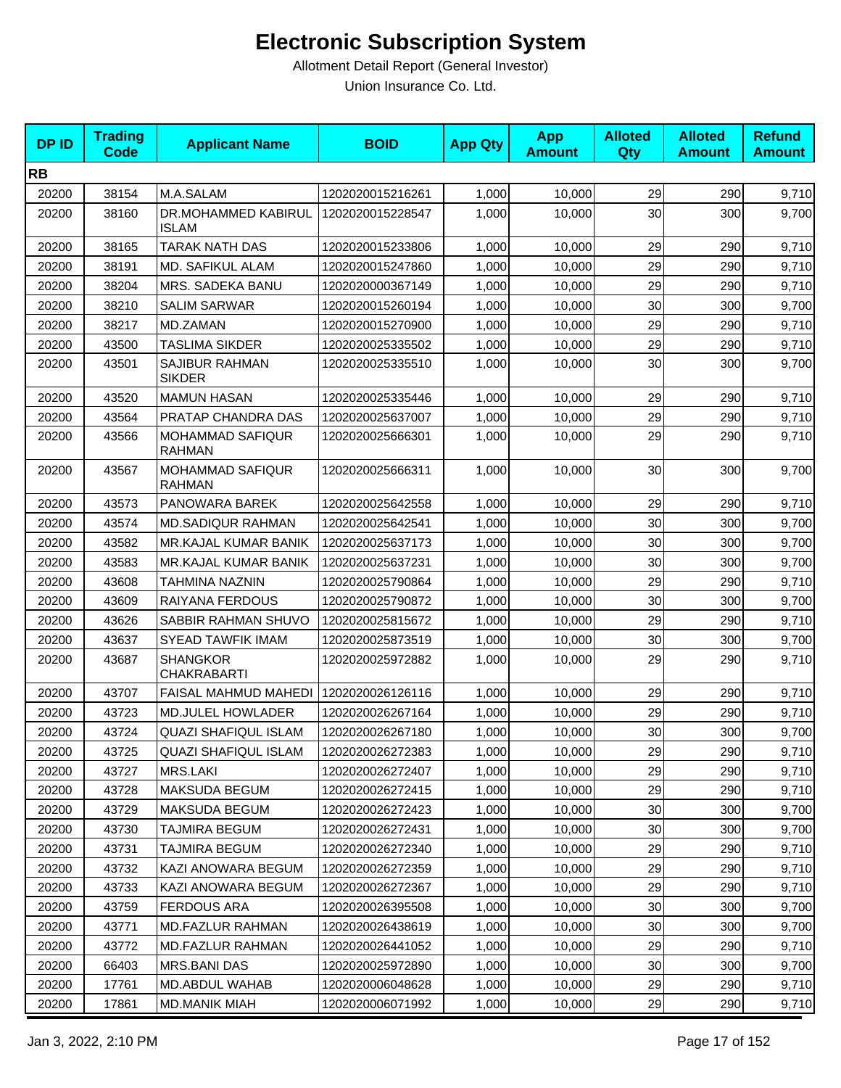| <b>DPID</b> | <b>Trading</b><br>Code | <b>Applicant Name</b>                    | <b>BOID</b>      | <b>App Qty</b> | <b>App</b><br><b>Amount</b> | <b>Alloted</b><br>Qty | <b>Alloted</b><br><b>Amount</b> | <b>Refund</b><br><b>Amount</b> |
|-------------|------------------------|------------------------------------------|------------------|----------------|-----------------------------|-----------------------|---------------------------------|--------------------------------|
| <b>RB</b>   |                        |                                          |                  |                |                             |                       |                                 |                                |
| 20200       | 38154                  | M.A.SALAM                                | 1202020015216261 | 1,000          | 10,000                      | 29                    | 290                             | 9,710                          |
| 20200       | 38160                  | DR.MOHAMMED KABIRUL<br><b>ISLAM</b>      | 1202020015228547 | 1,000          | 10,000                      | 30                    | 300                             | 9,700                          |
| 20200       | 38165                  | TARAK NATH DAS                           | 1202020015233806 | 1,000          | 10,000                      | 29                    | 290                             | 9,710                          |
| 20200       | 38191                  | MD. SAFIKUL ALAM                         | 1202020015247860 | 1,000          | 10,000                      | 29                    | 290                             | 9,710                          |
| 20200       | 38204                  | MRS. SADEKA BANU                         | 1202020000367149 | 1,000          | 10,000                      | 29                    | 290                             | 9,710                          |
| 20200       | 38210                  | <b>SALIM SARWAR</b>                      | 1202020015260194 | 1,000          | 10,000                      | 30                    | 300                             | 9,700                          |
| 20200       | 38217                  | MD.ZAMAN                                 | 1202020015270900 | 1,000          | 10,000                      | 29                    | 290                             | 9,710                          |
| 20200       | 43500                  | TASLIMA SIKDER                           | 1202020025335502 | 1,000          | 10,000                      | 29                    | 290                             | 9,710                          |
| 20200       | 43501                  | SAJIBUR RAHMAN<br><b>SIKDER</b>          | 1202020025335510 | 1,000          | 10,000                      | 30                    | 300                             | 9,700                          |
| 20200       | 43520                  | <b>MAMUN HASAN</b>                       | 1202020025335446 | 1,000          | 10,000                      | 29                    | 290                             | 9,710                          |
| 20200       | 43564                  | PRATAP CHANDRA DAS                       | 1202020025637007 | 1,000          | 10,000                      | 29                    | 290                             | 9,710                          |
| 20200       | 43566                  | <b>MOHAMMAD SAFIQUR</b><br><b>RAHMAN</b> | 1202020025666301 | 1,000          | 10,000                      | 29                    | 290                             | 9,710                          |
| 20200       | 43567                  | <b>MOHAMMAD SAFIQUR</b><br><b>RAHMAN</b> | 1202020025666311 | 1,000          | 10,000                      | 30                    | 300                             | 9,700                          |
| 20200       | 43573                  | PANOWARA BAREK                           | 1202020025642558 | 1,000          | 10,000                      | 29                    | 290                             | 9,710                          |
| 20200       | 43574                  | <b>MD.SADIQUR RAHMAN</b>                 | 1202020025642541 | 1,000          | 10,000                      | 30                    | 300                             | 9,700                          |
| 20200       | 43582                  | MR.KAJAL KUMAR BANIK                     | 1202020025637173 | 1,000          | 10,000                      | 30                    | 300                             | 9,700                          |
| 20200       | 43583                  | <b>MR.KAJAL KUMAR BANIK</b>              | 1202020025637231 | 1,000          | 10,000                      | 30                    | 300                             | 9,700                          |
| 20200       | 43608                  | TAHMINA NAZNIN                           | 1202020025790864 | 1,000          | 10,000                      | 29                    | 290                             | 9,710                          |
| 20200       | 43609                  | RAIYANA FERDOUS                          | 1202020025790872 | 1,000          | 10,000                      | 30                    | 300                             | 9,700                          |
| 20200       | 43626                  | SABBIR RAHMAN SHUVO                      | 1202020025815672 | 1,000          | 10,000                      | 29                    | 290                             | 9,710                          |
| 20200       | 43637                  | <b>SYEAD TAWFIK IMAM</b>                 | 1202020025873519 | 1,000          | 10,000                      | 30                    | 300                             | 9,700                          |
| 20200       | 43687                  | <b>SHANGKOR</b><br><b>CHAKRABARTI</b>    | 1202020025972882 | 1,000          | 10,000                      | 29                    | 290                             | 9,710                          |
| 20200       | 43707                  | <b>FAISAL MAHMUD MAHEDI</b>              | 1202020026126116 | 1,000          | 10,000                      | 29                    | 290                             | 9,710                          |
| 20200       | 43723                  | <b>MD.JULEL HOWLADER</b>                 | 1202020026267164 | 1,000          | 10,000                      | 29                    | 290                             | 9,710                          |
| 20200       | 43724                  | <b>QUAZI SHAFIQUL ISLAM</b>              | 1202020026267180 | 1,000          | 10,000                      | 30                    | 300                             | 9,700                          |
| 20200       | 43725                  | <b>QUAZI SHAFIQUL ISLAM</b>              | 1202020026272383 | 1,000          | 10,000                      | 29                    | 290                             | 9,710                          |
| 20200       | 43727                  | <b>MRS.LAKI</b>                          | 1202020026272407 | 1,000          | 10,000                      | 29                    | 290                             | 9,710                          |
| 20200       | 43728                  | MAKSUDA BEGUM                            | 1202020026272415 | 1,000          | 10,000                      | 29                    | 290                             | 9,710                          |
| 20200       | 43729                  | <b>MAKSUDA BEGUM</b>                     | 1202020026272423 | 1,000          | 10,000                      | 30                    | 300                             | 9,700                          |
| 20200       | 43730                  | TAJMIRA BEGUM                            | 1202020026272431 | 1,000          | 10,000                      | 30                    | 300                             | 9,700                          |
| 20200       | 43731                  | TAJMIRA BEGUM                            | 1202020026272340 | 1,000          | 10,000                      | 29                    | 290                             | 9,710                          |
| 20200       | 43732                  | KAZI ANOWARA BEGUM                       | 1202020026272359 | 1,000          | 10,000                      | 29                    | 290                             | 9,710                          |
| 20200       | 43733                  | KAZI ANOWARA BEGUM                       | 1202020026272367 | 1,000          | 10,000                      | 29                    | 290                             | 9,710                          |
| 20200       | 43759                  | <b>FERDOUS ARA</b>                       | 1202020026395508 | 1,000          | 10,000                      | 30                    | 300                             | 9,700                          |
| 20200       | 43771                  | <b>MD.FAZLUR RAHMAN</b>                  | 1202020026438619 | 1,000          | 10,000                      | 30                    | 300                             | 9,700                          |
| 20200       | 43772                  | <b>MD.FAZLUR RAHMAN</b>                  | 1202020026441052 | 1,000          | 10,000                      | 29                    | 290                             | 9,710                          |
| 20200       | 66403                  | <b>MRS.BANI DAS</b>                      | 1202020025972890 | 1,000          | 10,000                      | 30                    | 300                             | 9,700                          |
| 20200       | 17761                  | MD.ABDUL WAHAB                           | 1202020006048628 | 1,000          | 10,000                      | 29                    | 290                             | 9,710                          |
| 20200       | 17861                  | <b>MD.MANIK MIAH</b>                     | 1202020006071992 | 1,000          | 10,000                      | 29                    | 290                             | 9,710                          |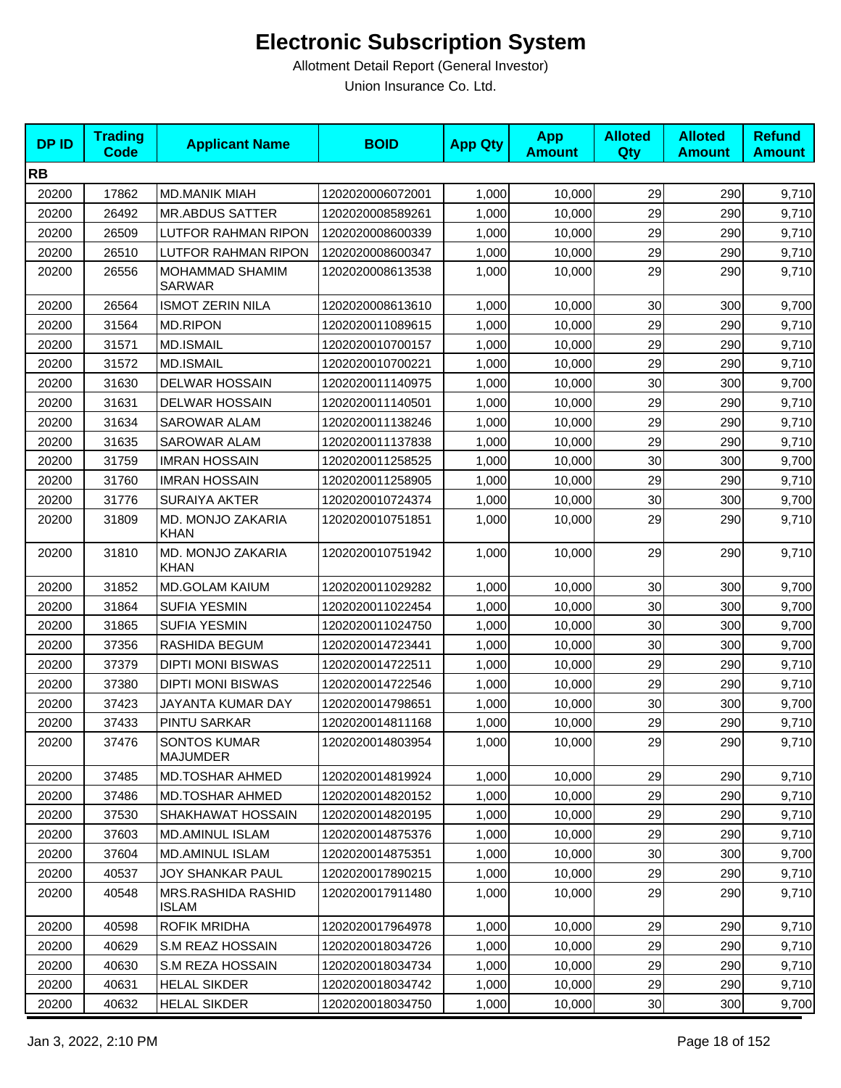| <b>DPID</b> | <b>Trading</b><br><b>Code</b> | <b>Applicant Name</b>                   | <b>BOID</b>      | <b>App Qty</b> | <b>App</b><br><b>Amount</b> | <b>Alloted</b><br><b>Qty</b> | <b>Alloted</b><br><b>Amount</b> | <b>Refund</b><br><b>Amount</b> |
|-------------|-------------------------------|-----------------------------------------|------------------|----------------|-----------------------------|------------------------------|---------------------------------|--------------------------------|
| <b>RB</b>   |                               |                                         |                  |                |                             |                              |                                 |                                |
| 20200       | 17862                         | <b>MD.MANIK MIAH</b>                    | 1202020006072001 | 1,000          | 10,000                      | 29                           | 290                             | 9,710                          |
| 20200       | 26492                         | <b>MR.ABDUS SATTER</b>                  | 1202020008589261 | 1,000          | 10,000                      | 29                           | 290                             | 9,710                          |
| 20200       | 26509                         | LUTFOR RAHMAN RIPON                     | 1202020008600339 | 1,000          | 10,000                      | 29                           | 290                             | 9,710                          |
| 20200       | 26510                         | <b>LUTFOR RAHMAN RIPON</b>              | 1202020008600347 | 1,000          | 10,000                      | 29                           | 290                             | 9,710                          |
| 20200       | 26556                         | <b>MOHAMMAD SHAMIM</b><br><b>SARWAR</b> | 1202020008613538 | 1,000          | 10,000                      | 29                           | 290                             | 9,710                          |
| 20200       | 26564                         | <b>ISMOT ZERIN NILA</b>                 | 1202020008613610 | 1,000          | 10,000                      | 30                           | 300                             | 9,700                          |
| 20200       | 31564                         | <b>MD.RIPON</b>                         | 1202020011089615 | 1,000          | 10,000                      | 29                           | 290                             | 9,710                          |
| 20200       | 31571                         | <b>MD.ISMAIL</b>                        | 1202020010700157 | 1,000          | 10,000                      | 29                           | 290                             | 9,710                          |
| 20200       | 31572                         | <b>MD.ISMAIL</b>                        | 1202020010700221 | 1,000          | 10,000                      | 29                           | 290                             | 9,710                          |
| 20200       | 31630                         | <b>DELWAR HOSSAIN</b>                   | 1202020011140975 | 1,000          | 10,000                      | 30                           | 300                             | 9,700                          |
| 20200       | 31631                         | <b>DELWAR HOSSAIN</b>                   | 1202020011140501 | 1,000          | 10,000                      | 29                           | 290                             | 9,710                          |
| 20200       | 31634                         | SAROWAR ALAM                            | 1202020011138246 | 1,000          | 10,000                      | 29                           | 290                             | 9,710                          |
| 20200       | 31635                         | <b>SAROWAR ALAM</b>                     | 1202020011137838 | 1,000          | 10,000                      | 29                           | 290                             | 9,710                          |
| 20200       | 31759                         | <b>IMRAN HOSSAIN</b>                    | 1202020011258525 | 1,000          | 10,000                      | 30                           | 300                             | 9,700                          |
| 20200       | 31760                         | <b>IMRAN HOSSAIN</b>                    | 1202020011258905 | 1,000          | 10,000                      | 29                           | 290                             | 9,710                          |
| 20200       | 31776                         | <b>SURAIYA AKTER</b>                    | 1202020010724374 | 1,000          | 10,000                      | 30                           | 300                             | 9,700                          |
| 20200       | 31809                         | MD. MONJO ZAKARIA<br><b>KHAN</b>        | 1202020010751851 | 1,000          | 10,000                      | 29                           | 290                             | 9,710                          |
| 20200       | 31810                         | MD. MONJO ZAKARIA<br><b>KHAN</b>        | 1202020010751942 | 1,000          | 10,000                      | 29                           | 290                             | 9,710                          |
| 20200       | 31852                         | <b>MD.GOLAM KAIUM</b>                   | 1202020011029282 | 1,000          | 10,000                      | 30                           | 300                             | 9,700                          |
| 20200       | 31864                         | <b>SUFIA YESMIN</b>                     | 1202020011022454 | 1,000          | 10,000                      | 30                           | 300                             | 9,700                          |
| 20200       | 31865                         | <b>SUFIA YESMIN</b>                     | 1202020011024750 | 1,000          | 10,000                      | 30                           | 300                             | 9,700                          |
| 20200       | 37356                         | RASHIDA BEGUM                           | 1202020014723441 | 1,000          | 10,000                      | 30                           | 300                             | 9,700                          |
| 20200       | 37379                         | <b>DIPTI MONI BISWAS</b>                | 1202020014722511 | 1,000          | 10,000                      | 29                           | 290                             | 9,710                          |
| 20200       | 37380                         | <b>DIPTI MONI BISWAS</b>                | 1202020014722546 | 1,000          | 10,000                      | 29                           | 290                             | 9,710                          |
| 20200       | 37423                         | JAYANTA KUMAR DAY                       | 1202020014798651 | 1,000          | 10,000                      | 30                           | 300                             | 9,700                          |
| 20200       | 37433                         | PINTU SARKAR                            | 1202020014811168 | 1,000          | 10,000                      | 29                           | 290                             | 9,710                          |
| 20200       | 37476                         | <b>SONTOS KUMAR</b><br><b>MAJUMDER</b>  | 1202020014803954 | 1,000          | 10,000                      | 29                           | 290                             | 9,710                          |
| 20200       | 37485                         | <b>MD.TOSHAR AHMED</b>                  | 1202020014819924 | 1,000          | 10,000                      | 29                           | 290                             | 9,710                          |
| 20200       | 37486                         | <b>MD.TOSHAR AHMED</b>                  | 1202020014820152 | 1,000          | 10,000                      | 29                           | 290                             | 9,710                          |
| 20200       | 37530                         | SHAKHAWAT HOSSAIN                       | 1202020014820195 | 1,000          | 10,000                      | 29                           | 290                             | 9,710                          |
| 20200       | 37603                         | <b>MD.AMINUL ISLAM</b>                  | 1202020014875376 | 1,000          | 10,000                      | 29                           | 290                             | 9,710                          |
| 20200       | 37604                         | <b>MD.AMINUL ISLAM</b>                  | 1202020014875351 | 1,000          | 10,000                      | 30                           | 300                             | 9,700                          |
| 20200       | 40537                         | JOY SHANKAR PAUL                        | 1202020017890215 | 1,000          | 10,000                      | 29                           | 290                             | 9,710                          |
| 20200       | 40548                         | MRS.RASHIDA RASHID<br><b>ISLAM</b>      | 1202020017911480 | 1,000          | 10,000                      | 29                           | 290                             | 9,710                          |
| 20200       | 40598                         | <b>ROFIK MRIDHA</b>                     | 1202020017964978 | 1,000          | 10,000                      | 29                           | 290                             | 9,710                          |
| 20200       | 40629                         | S.M REAZ HOSSAIN                        | 1202020018034726 | 1,000          | 10,000                      | 29                           | 290                             | 9,710                          |
| 20200       | 40630                         | S.M REZA HOSSAIN                        | 1202020018034734 | 1,000          | 10,000                      | 29                           | 290                             | 9,710                          |
| 20200       | 40631                         | <b>HELAL SIKDER</b>                     | 1202020018034742 | 1,000          | 10,000                      | 29                           | 290                             | 9,710                          |
| 20200       | 40632                         | <b>HELAL SIKDER</b>                     | 1202020018034750 | 1,000          | 10,000                      | 30                           | 300                             | 9,700                          |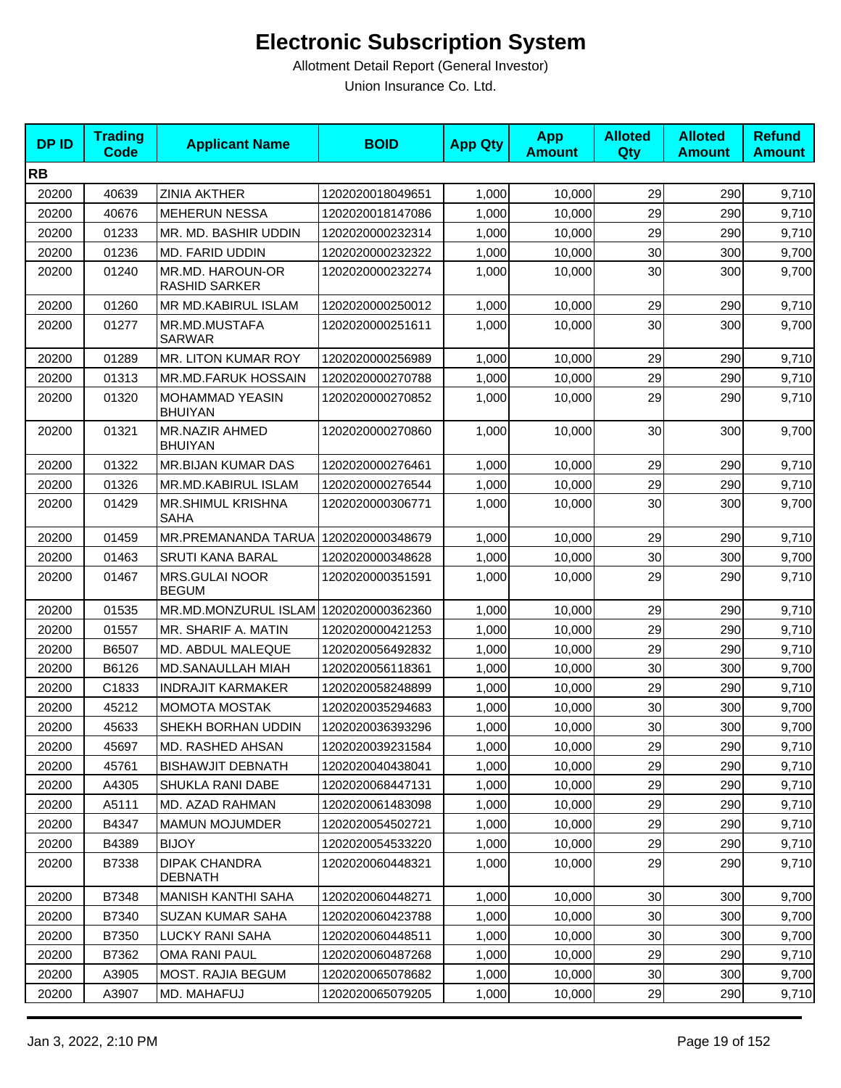| <b>DPID</b> | <b>Trading</b><br>Code | <b>Applicant Name</b>                    | <b>BOID</b>      | <b>App Qty</b> | <b>App</b><br><b>Amount</b> | <b>Alloted</b><br>Qty | <b>Alloted</b><br><b>Amount</b> | <b>Refund</b><br><b>Amount</b> |
|-------------|------------------------|------------------------------------------|------------------|----------------|-----------------------------|-----------------------|---------------------------------|--------------------------------|
| <b>RB</b>   |                        |                                          |                  |                |                             |                       |                                 |                                |
| 20200       | 40639                  | <b>ZINIA AKTHER</b>                      | 1202020018049651 | 1,000          | 10,000                      | 29                    | 290                             | 9,710                          |
| 20200       | 40676                  | <b>MEHERUN NESSA</b>                     | 1202020018147086 | 1,000          | 10,000                      | 29                    | 290                             | 9,710                          |
| 20200       | 01233                  | MR. MD. BASHIR UDDIN                     | 1202020000232314 | 1,000          | 10,000                      | 29                    | 290                             | 9,710                          |
| 20200       | 01236                  | MD. FARID UDDIN                          | 1202020000232322 | 1,000          | 10,000                      | 30                    | 300                             | 9,700                          |
| 20200       | 01240                  | MR.MD. HAROUN-OR<br><b>RASHID SARKER</b> | 1202020000232274 | 1,000          | 10,000                      | 30 <sup>°</sup>       | 300                             | 9,700                          |
| 20200       | 01260                  | MR MD.KABIRUL ISLAM                      | 1202020000250012 | 1,000          | 10,000                      | 29                    | 290                             | 9,710                          |
| 20200       | 01277                  | MR.MD.MUSTAFA<br><b>SARWAR</b>           | 1202020000251611 | 1,000          | 10,000                      | 30                    | 300                             | 9,700                          |
| 20200       | 01289                  | MR. LITON KUMAR ROY                      | 1202020000256989 | 1,000          | 10,000                      | 29                    | 290                             | 9,710                          |
| 20200       | 01313                  | MR.MD.FARUK HOSSAIN                      | 1202020000270788 | 1,000          | 10,000                      | 29                    | 290                             | 9,710                          |
| 20200       | 01320                  | MOHAMMAD YEASIN<br><b>BHUIYAN</b>        | 1202020000270852 | 1,000          | 10,000                      | 29                    | 290                             | 9,710                          |
| 20200       | 01321                  | MR.NAZIR AHMED<br><b>BHUIYAN</b>         | 1202020000270860 | 1,000          | 10,000                      | 30                    | 300                             | 9,700                          |
| 20200       | 01322                  | <b>MR.BIJAN KUMAR DAS</b>                | 1202020000276461 | 1,000          | 10,000                      | 29                    | 290                             | 9,710                          |
| 20200       | 01326                  | MR.MD.KABIRUL ISLAM                      | 1202020000276544 | 1,000          | 10,000                      | 29                    | 290                             | 9,710                          |
| 20200       | 01429                  | <b>MR.SHIMUL KRISHNA</b><br><b>SAHA</b>  | 1202020000306771 | 1,000          | 10,000                      | 30                    | 300                             | 9,700                          |
| 20200       | 01459                  | MR.PREMANANDA TARUA                      | 1202020000348679 | 1,000          | 10,000                      | 29                    | 290                             | 9,710                          |
| 20200       | 01463                  | <b>SRUTI KANA BARAL</b>                  | 1202020000348628 | 1,000          | 10,000                      | 30                    | 300                             | 9,700                          |
| 20200       | 01467                  | MRS.GULAI NOOR<br><b>BEGUM</b>           | 1202020000351591 | 1,000          | 10,000                      | 29                    | 290                             | 9,710                          |
| 20200       | 01535                  | MR.MD.MONZURUL ISLAM                     | 1202020000362360 | 1,000          | 10,000                      | 29                    | 290                             | 9,710                          |
| 20200       | 01557                  | MR. SHARIF A. MATIN                      | 1202020000421253 | 1,000          | 10,000                      | 29                    | 290                             | 9,710                          |
| 20200       | B6507                  | MD. ABDUL MALEQUE                        | 1202020056492832 | 1,000          | 10,000                      | 29                    | 290                             | 9,710                          |
| 20200       | B6126                  | <b>MD.SANAULLAH MIAH</b>                 | 1202020056118361 | 1,000          | 10,000                      | 30                    | 300                             | 9,700                          |
| 20200       | C1833                  | <b>INDRAJIT KARMAKER</b>                 | 1202020058248899 | 1,000          | 10,000                      | 29                    | 290                             | 9,710                          |
| 20200       | 45212                  | <b>MOMOTA MOSTAK</b>                     | 1202020035294683 | 1,000          | 10,000                      | 30                    | 300                             | 9,700                          |
| 20200       | 45633                  | SHEKH BORHAN UDDIN                       | 1202020036393296 | 1,000          | 10,000                      | 30                    | 300                             | 9,700                          |
| 20200       | 45697                  | <b>MD. RASHED AHSAN</b>                  | 1202020039231584 | 1,000          | 10,000                      | 29                    | 290                             | 9,710                          |
| 20200       | 45761                  | <b>BISHAWJIT DEBNATH</b>                 | 1202020040438041 | 1,000          | 10,000                      | 29                    | 290                             | 9,710                          |
| 20200       | A4305                  | SHUKLA RANI DABE                         | 1202020068447131 | 1,000          | 10,000                      | 29                    | 290                             | 9,710                          |
| 20200       | A5111                  | MD. AZAD RAHMAN                          | 1202020061483098 | 1,000          | 10,000                      | 29                    | 290                             | 9,710                          |
| 20200       | B4347                  | <b>MAMUN MOJUMDER</b>                    | 1202020054502721 | 1,000          | 10,000                      | 29                    | 290                             | 9,710                          |
| 20200       | B4389                  | <b>BIJOY</b>                             | 1202020054533220 | 1,000          | 10,000                      | 29                    | 290                             | 9,710                          |
| 20200       | B7338                  | <b>DIPAK CHANDRA</b><br><b>DEBNATH</b>   | 1202020060448321 | 1,000          | 10,000                      | 29                    | 290                             | 9,710                          |
| 20200       | B7348                  | <b>MANISH KANTHI SAHA</b>                | 1202020060448271 | 1,000          | 10,000                      | 30                    | 300                             | 9,700                          |
| 20200       | B7340                  | <b>SUZAN KUMAR SAHA</b>                  | 1202020060423788 | 1,000          | 10,000                      | 30                    | 300                             | 9,700                          |
| 20200       | B7350                  | <b>LUCKY RANI SAHA</b>                   | 1202020060448511 | 1,000          | 10,000                      | 30                    | 300                             | 9,700                          |
| 20200       | B7362                  | OMA RANI PAUL                            | 1202020060487268 | 1,000          | 10,000                      | 29                    | 290                             | 9,710                          |
| 20200       | A3905                  | MOST. RAJIA BEGUM                        | 1202020065078682 | 1,000          | 10,000                      | 30                    | 300                             | 9,700                          |
| 20200       | A3907                  | MD. MAHAFUJ                              | 1202020065079205 | 1,000          | 10,000                      | 29                    | 290                             | 9,710                          |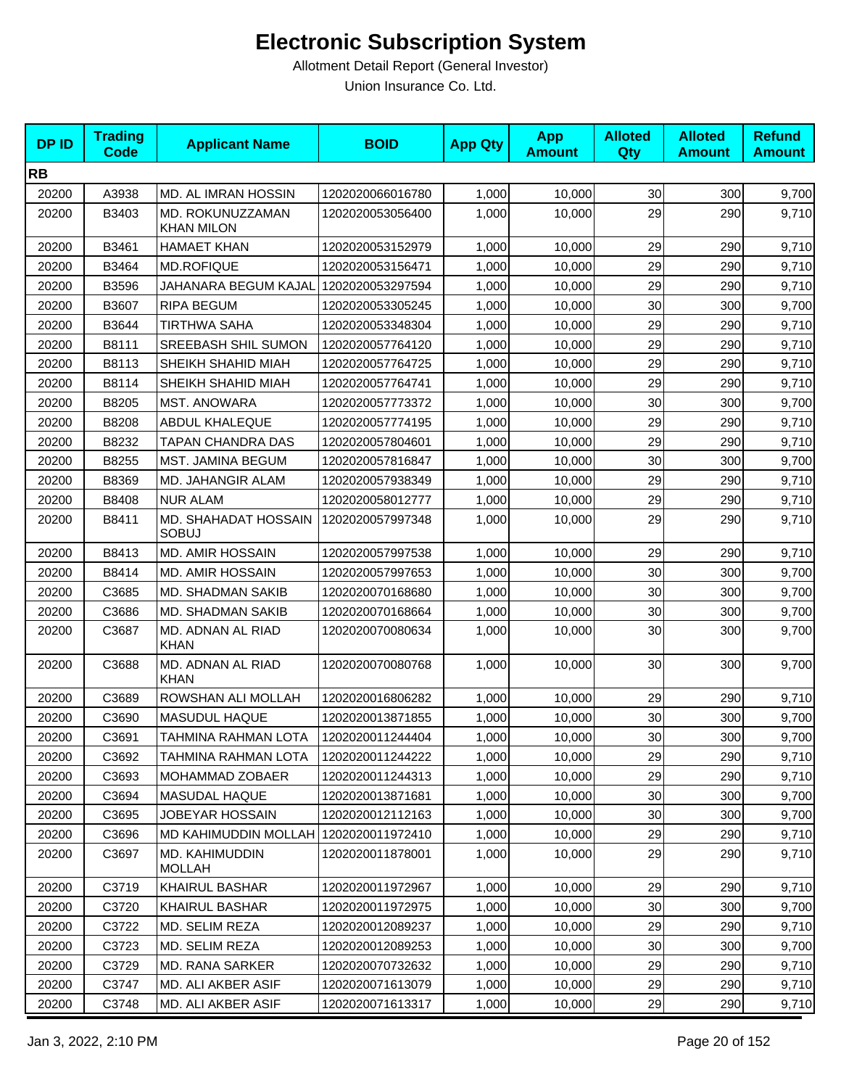| <b>DPID</b> | <b>Trading</b><br><b>Code</b> | <b>Applicant Name</b>                 | <b>BOID</b>      | <b>App Qty</b> | <b>App</b><br><b>Amount</b> | <b>Alloted</b><br>Qty | <b>Alloted</b><br><b>Amount</b> | <b>Refund</b><br><b>Amount</b> |
|-------------|-------------------------------|---------------------------------------|------------------|----------------|-----------------------------|-----------------------|---------------------------------|--------------------------------|
| <b>RB</b>   |                               |                                       |                  |                |                             |                       |                                 |                                |
| 20200       | A3938                         | MD. AL IMRAN HOSSIN                   | 1202020066016780 | 1,000          | 10,000                      | 30                    | 300                             | 9,700                          |
| 20200       | B3403                         | MD. ROKUNUZZAMAN<br><b>KHAN MILON</b> | 1202020053056400 | 1,000          | 10,000                      | 29                    | 290                             | 9,710                          |
| 20200       | B3461                         | <b>HAMAET KHAN</b>                    | 1202020053152979 | 1,000          | 10,000                      | 29                    | 290                             | 9,710                          |
| 20200       | B3464                         | <b>MD.ROFIQUE</b>                     | 1202020053156471 | 1,000          | 10,000                      | 29                    | 290                             | 9,710                          |
| 20200       | B3596                         | JAHANARA BEGUM KAJAL                  | 1202020053297594 | 1,000          | 10,000                      | 29                    | 290                             | 9,710                          |
| 20200       | B3607                         | <b>RIPA BEGUM</b>                     | 1202020053305245 | 1,000          | 10,000                      | 30                    | 300                             | 9,700                          |
| 20200       | B3644                         | <b>TIRTHWA SAHA</b>                   | 1202020053348304 | 1,000          | 10,000                      | 29                    | 290                             | 9,710                          |
| 20200       | B8111                         | SREEBASH SHIL SUMON                   | 1202020057764120 | 1,000          | 10,000                      | 29                    | 290                             | 9,710                          |
| 20200       | B8113                         | SHEIKH SHAHID MIAH                    | 1202020057764725 | 1,000          | 10,000                      | 29                    | 290                             | 9,710                          |
| 20200       | B8114                         | SHEIKH SHAHID MIAH                    | 1202020057764741 | 1,000          | 10,000                      | 29                    | 290                             | 9,710                          |
| 20200       | B8205                         | <b>MST. ANOWARA</b>                   | 1202020057773372 | 1,000          | 10,000                      | 30                    | 300                             | 9,700                          |
| 20200       | B8208                         | <b>ABDUL KHALEQUE</b>                 | 1202020057774195 | 1,000          | 10,000                      | 29                    | 290                             | 9,710                          |
| 20200       | B8232                         | TAPAN CHANDRA DAS                     | 1202020057804601 | 1,000          | 10,000                      | 29                    | 290                             | 9,710                          |
| 20200       | B8255                         | <b>MST. JAMINA BEGUM</b>              | 1202020057816847 | 1,000          | 10,000                      | 30                    | 300                             | 9,700                          |
| 20200       | B8369                         | MD. JAHANGIR ALAM                     | 1202020057938349 | 1,000          | 10.000                      | 29                    | 290                             | 9,710                          |
| 20200       | B8408                         | <b>NUR ALAM</b>                       | 1202020058012777 | 1,000          | 10,000                      | 29                    | 290                             | 9,710                          |
| 20200       | B8411                         | MD. SHAHADAT HOSSAIN<br><b>SOBUJ</b>  | 1202020057997348 | 1,000          | 10,000                      | 29                    | 290                             | 9,710                          |
| 20200       | B8413                         | <b>MD. AMIR HOSSAIN</b>               | 1202020057997538 | 1,000          | 10,000                      | 29                    | 290                             | 9,710                          |
| 20200       | B8414                         | <b>MD. AMIR HOSSAIN</b>               | 1202020057997653 | 1,000          | 10,000                      | 30                    | 300                             | 9,700                          |
| 20200       | C3685                         | <b>MD. SHADMAN SAKIB</b>              | 1202020070168680 | 1,000          | 10,000                      | 30                    | 300                             | 9,700                          |
| 20200       | C3686                         | MD. SHADMAN SAKIB                     | 1202020070168664 | 1,000          | 10,000                      | 30                    | 300                             | 9,700                          |
| 20200       | C3687                         | MD. ADNAN AL RIAD<br>KHAN             | 1202020070080634 | 1,000          | 10,000                      | 30                    | 300                             | 9,700                          |
| 20200       | C3688                         | MD. ADNAN AL RIAD<br><b>KHAN</b>      | 1202020070080768 | 1,000          | 10,000                      | 30                    | 300                             | 9,700                          |
| 20200       | C3689                         | ROWSHAN ALI MOLLAH                    | 1202020016806282 | 1,000          | 10,000                      | 29                    | 290                             | 9,710                          |
| 20200       | C3690                         | MASUDUL HAQUE                         | 1202020013871855 | 1,000          | 10,000                      | 30                    | 300                             | 9,700                          |
| 20200       | C3691                         | TAHMINA RAHMAN LOTA                   | 1202020011244404 | 1,000          | 10,000                      | 30 <sup>°</sup>       | 300                             | 9,700                          |
| 20200       | C3692                         | TAHMINA RAHMAN LOTA                   | 1202020011244222 | 1,000          | 10,000                      | 29                    | 290                             | 9,710                          |
| 20200       | C3693                         | MOHAMMAD ZOBAER                       | 1202020011244313 | 1,000          | 10,000                      | 29                    | 290                             | 9,710                          |
| 20200       | C3694                         | <b>MASUDAL HAQUE</b>                  | 1202020013871681 | 1,000          | 10,000                      | 30                    | 300                             | 9,700                          |
| 20200       | C3695                         | <b>JOBEYAR HOSSAIN</b>                | 1202020012112163 | 1,000          | 10,000                      | 30                    | 300                             | 9,700                          |
| 20200       | C3696                         | MD KAHIMUDDIN MOLLAH 1202020011972410 |                  | 1,000          | 10,000                      | 29                    | 290                             | 9,710                          |
| 20200       | C3697                         | MD. KAHIMUDDIN<br><b>MOLLAH</b>       | 1202020011878001 | 1,000          | 10,000                      | 29                    | 290                             | 9,710                          |
| 20200       | C3719                         | <b>KHAIRUL BASHAR</b>                 | 1202020011972967 | 1,000          | 10,000                      | 29                    | 290                             | 9,710                          |
| 20200       | C3720                         | <b>KHAIRUL BASHAR</b>                 | 1202020011972975 | 1,000          | 10,000                      | 30                    | 300                             | 9,700                          |
| 20200       | C3722                         | MD. SELIM REZA                        | 1202020012089237 | 1,000          | 10,000                      | 29                    | 290                             | 9,710                          |
| 20200       | C3723                         | MD. SELIM REZA                        | 1202020012089253 | 1,000          | 10,000                      | 30                    | 300                             | 9,700                          |
| 20200       | C3729                         | MD. RANA SARKER                       | 1202020070732632 | 1,000          | 10,000                      | 29                    | 290                             | 9,710                          |
| 20200       | C3747                         | MD. ALI AKBER ASIF                    | 1202020071613079 | 1,000          | 10,000                      | 29                    | 290                             | 9,710                          |
| 20200       | C3748                         | MD. ALI AKBER ASIF                    | 1202020071613317 | 1,000          | 10,000                      | 29                    | 290                             | 9,710                          |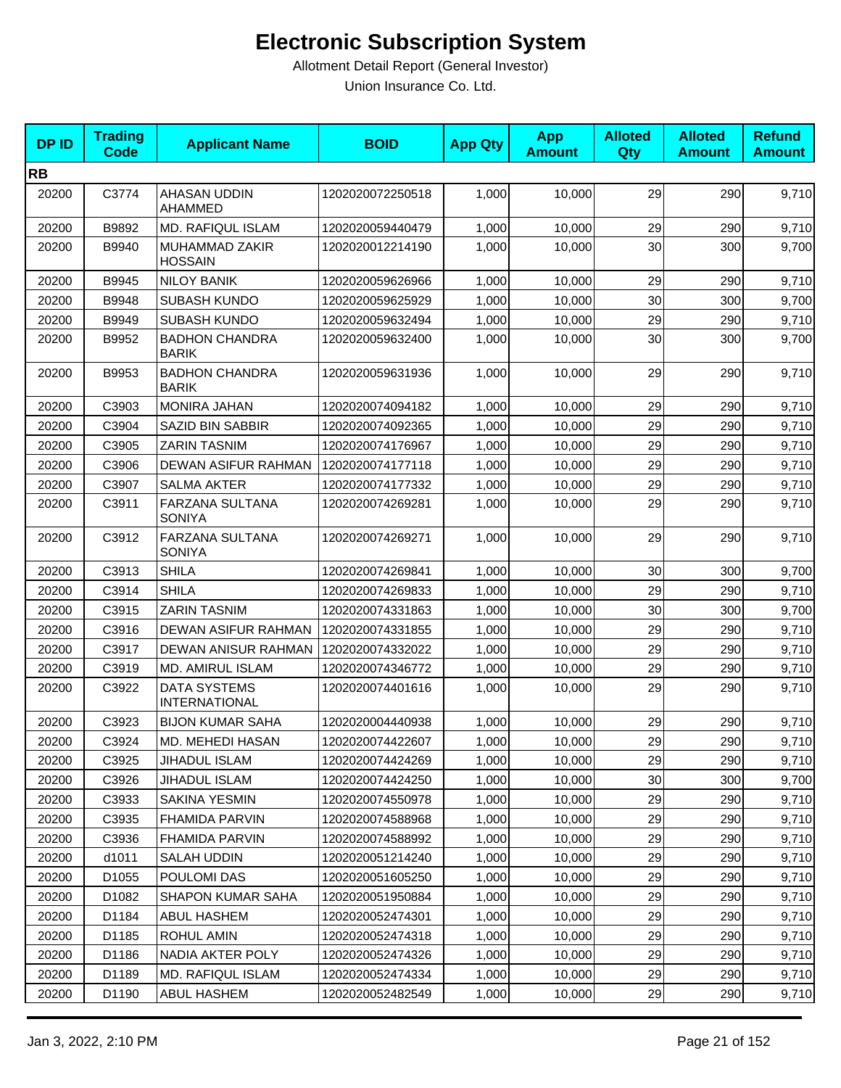| <b>DPID</b> | <b>Trading</b><br><b>Code</b> | <b>Applicant Name</b>                       | <b>BOID</b>      | <b>App Qty</b> | <b>App</b><br><b>Amount</b> | <b>Alloted</b><br>Qty | <b>Alloted</b><br><b>Amount</b> | <b>Refund</b><br><b>Amount</b> |
|-------------|-------------------------------|---------------------------------------------|------------------|----------------|-----------------------------|-----------------------|---------------------------------|--------------------------------|
| <b>RB</b>   |                               |                                             |                  |                |                             |                       |                                 |                                |
| 20200       | C3774                         | AHASAN UDDIN<br>AHAMMED                     | 1202020072250518 | 1,000          | 10,000                      | 29                    | 290                             | 9,710                          |
| 20200       | B9892                         | <b>MD. RAFIQUL ISLAM</b>                    | 1202020059440479 | 1,000          | 10,000                      | 29                    | 290                             | 9,710                          |
| 20200       | B9940                         | MUHAMMAD ZAKIR<br><b>HOSSAIN</b>            | 1202020012214190 | 1,000          | 10,000                      | 30                    | 300                             | 9,700                          |
| 20200       | B9945                         | <b>NILOY BANIK</b>                          | 1202020059626966 | 1,000          | 10,000                      | 29                    | 290                             | 9,710                          |
| 20200       | B9948                         | SUBASH KUNDO                                | 1202020059625929 | 1,000          | 10,000                      | 30                    | 300                             | 9,700                          |
| 20200       | B9949                         | <b>SUBASH KUNDO</b>                         | 1202020059632494 | 1,000          | 10,000                      | 29                    | 290                             | 9,710                          |
| 20200       | B9952                         | <b>BADHON CHANDRA</b><br><b>BARIK</b>       | 1202020059632400 | 1,000          | 10,000                      | 30                    | 300                             | 9,700                          |
| 20200       | B9953                         | <b>BADHON CHANDRA</b><br><b>BARIK</b>       | 1202020059631936 | 1,000          | 10,000                      | 29                    | 290                             | 9,710                          |
| 20200       | C3903                         | <b>MONIRA JAHAN</b>                         | 1202020074094182 | 1,000          | 10,000                      | 29                    | 290                             | 9,710                          |
| 20200       | C3904                         | <b>SAZID BIN SABBIR</b>                     | 1202020074092365 | 1,000          | 10,000                      | 29                    | 290                             | 9,710                          |
| 20200       | C3905                         | <b>ZARIN TASNIM</b>                         | 1202020074176967 | 1,000          | 10,000                      | 29                    | 290                             | 9,710                          |
| 20200       | C3906                         | DEWAN ASIFUR RAHMAN                         | 1202020074177118 | 1,000          | 10,000                      | 29                    | 290                             | 9,710                          |
| 20200       | C3907                         | <b>SALMA AKTER</b>                          | 1202020074177332 | 1,000          | 10,000                      | 29                    | 290                             | 9,710                          |
| 20200       | C3911                         | FARZANA SULTANA<br><b>SONIYA</b>            | 1202020074269281 | 1,000          | 10,000                      | 29                    | 290                             | 9,710                          |
| 20200       | C3912                         | FARZANA SULTANA<br><b>SONIYA</b>            | 1202020074269271 | 1,000          | 10,000                      | 29                    | 290                             | 9,710                          |
| 20200       | C3913                         | <b>SHILA</b>                                | 1202020074269841 | 1,000          | 10,000                      | 30                    | 300                             | 9,700                          |
| 20200       | C3914                         | <b>SHILA</b>                                | 1202020074269833 | 1,000          | 10,000                      | 29                    | 290                             | 9,710                          |
| 20200       | C3915                         | <b>ZARIN TASNIM</b>                         | 1202020074331863 | 1,000          | 10,000                      | 30                    | 300                             | 9,700                          |
| 20200       | C3916                         | <b>DEWAN ASIFUR RAHMAN</b>                  | 1202020074331855 | 1,000          | 10,000                      | 29                    | 290                             | 9,710                          |
| 20200       | C3917                         | DEWAN ANISUR RAHMAN                         | 1202020074332022 | 1,000          | 10,000                      | 29                    | 290                             | 9,710                          |
| 20200       | C3919                         | <b>MD. AMIRUL ISLAM</b>                     | 1202020074346772 | 1,000          | 10,000                      | 29                    | 290                             | 9,710                          |
| 20200       | C3922                         | <b>DATA SYSTEMS</b><br><b>INTERNATIONAL</b> | 1202020074401616 | 1,000          | 10.000                      | 29                    | 290                             | 9,710                          |
| 20200       | C3923                         | <b>BIJON KUMAR SAHA</b>                     | 1202020004440938 | 1,000          | 10,000                      | 29                    | 290                             | 9,710                          |
| 20200       | C3924                         | MD. MEHEDI HASAN                            | 1202020074422607 | 1,000          | 10,000                      | 29                    | 290                             | 9,710                          |
| 20200       | C3925                         | JIHADUL ISLAM                               | 1202020074424269 | 1,000          | 10,000                      | 29                    | 290                             | 9,710                          |
| 20200       | C3926                         | JIHADUL ISLAM                               | 1202020074424250 | 1,000          | 10,000                      | 30                    | 300                             | 9,700                          |
| 20200       | C3933                         | SAKINA YESMIN                               | 1202020074550978 | 1,000          | 10,000                      | 29                    | 290                             | 9,710                          |
| 20200       | C3935                         | <b>FHAMIDA PARVIN</b>                       | 1202020074588968 | 1,000          | 10.000                      | 29                    | 290                             | 9,710                          |
| 20200       | C3936                         | <b>FHAMIDA PARVIN</b>                       | 1202020074588992 | 1,000          | 10,000                      | 29                    | 290                             | 9,710                          |
| 20200       | d1011                         | SALAH UDDIN                                 | 1202020051214240 | 1,000          | 10,000                      | 29                    | 290                             | 9,710                          |
| 20200       | D <sub>1055</sub>             | POULOMI DAS                                 | 1202020051605250 | 1,000          | 10,000                      | 29                    | 290                             | 9,710                          |
| 20200       | D1082                         | <b>SHAPON KUMAR SAHA</b>                    | 1202020051950884 | 1,000          | 10,000                      | 29                    | 290                             | 9,710                          |
| 20200       | D1184                         | <b>ABUL HASHEM</b>                          | 1202020052474301 | 1,000          | 10,000                      | 29                    | 290                             | 9,710                          |
| 20200       | D1185                         | ROHUL AMIN                                  | 1202020052474318 | 1,000          | 10,000                      | 29                    | 290                             | 9,710                          |
| 20200       | D1186                         | NADIA AKTER POLY                            | 1202020052474326 | 1,000          | 10,000                      | 29                    | 290                             | 9,710                          |
| 20200       | D1189                         | <b>MD. RAFIQUL ISLAM</b>                    | 1202020052474334 | 1,000          | 10,000                      | 29                    | 290                             | 9,710                          |
| 20200       | D1190                         | ABUL HASHEM                                 | 1202020052482549 | 1,000          | 10,000                      | 29                    | 290                             | 9,710                          |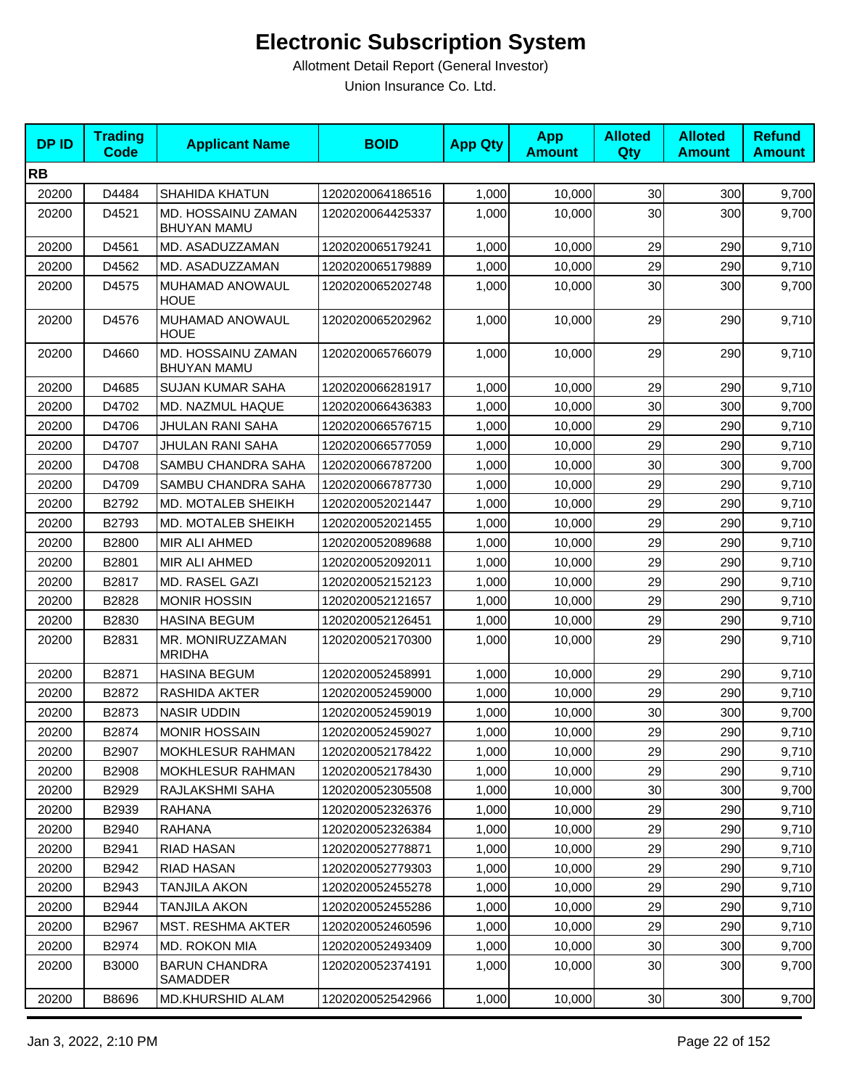| <b>DPID</b> | <b>Trading</b><br>Code | <b>Applicant Name</b>                    | <b>BOID</b>      | <b>App Qty</b> | <b>App</b><br><b>Amount</b> | <b>Alloted</b><br>Qty | <b>Alloted</b><br><b>Amount</b> | <b>Refund</b><br><b>Amount</b> |
|-------------|------------------------|------------------------------------------|------------------|----------------|-----------------------------|-----------------------|---------------------------------|--------------------------------|
| <b>RB</b>   |                        |                                          |                  |                |                             |                       |                                 |                                |
| 20200       | D4484                  | <b>SHAHIDA KHATUN</b>                    | 1202020064186516 | 1,000          | 10,000                      | 30                    | 300                             | 9,700                          |
| 20200       | D4521                  | MD. HOSSAINU ZAMAN<br><b>BHUYAN MAMU</b> | 1202020064425337 | 1,000          | 10,000                      | 30                    | 300                             | 9,700                          |
| 20200       | D4561                  | MD. ASADUZZAMAN                          | 1202020065179241 | 1,000          | 10,000                      | 29                    | 290                             | 9,710                          |
| 20200       | D4562                  | MD. ASADUZZAMAN                          | 1202020065179889 | 1,000          | 10,000                      | 29                    | 290                             | 9,710                          |
| 20200       | D4575                  | MUHAMAD ANOWAUL<br>HOUE                  | 1202020065202748 | 1,000          | 10,000                      | 30                    | 300                             | 9,700                          |
| 20200       | D4576                  | MUHAMAD ANOWAUL<br>HOUE                  | 1202020065202962 | 1,000          | 10,000                      | 29                    | 290                             | 9,710                          |
| 20200       | D4660                  | MD. HOSSAINU ZAMAN<br><b>BHUYAN MAMU</b> | 1202020065766079 | 1,000          | 10,000                      | 29                    | 290                             | 9,710                          |
| 20200       | D4685                  | <b>SUJAN KUMAR SAHA</b>                  | 1202020066281917 | 1,000          | 10,000                      | 29                    | 290                             | 9,710                          |
| 20200       | D4702                  | MD. NAZMUL HAQUE                         | 1202020066436383 | 1,000          | 10,000                      | 30                    | 300                             | 9,700                          |
| 20200       | D4706                  | JHULAN RANI SAHA                         | 1202020066576715 | 1,000          | 10,000                      | 29                    | 290                             | 9,710                          |
| 20200       | D4707                  | JHULAN RANI SAHA                         | 1202020066577059 | 1,000          | 10,000                      | 29                    | 290                             | 9,710                          |
| 20200       | D4708                  | SAMBU CHANDRA SAHA                       | 1202020066787200 | 1,000          | 10,000                      | 30                    | 300                             | 9,700                          |
| 20200       | D4709                  | SAMBU CHANDRA SAHA                       | 1202020066787730 | 1,000          | 10,000                      | 29                    | 290                             | 9,710                          |
| 20200       | B2792                  | MD. MOTALEB SHEIKH                       | 1202020052021447 | 1,000          | 10,000                      | 29                    | 290                             | 9,710                          |
| 20200       | B2793                  | MD. MOTALEB SHEIKH                       | 1202020052021455 | 1,000          | 10,000                      | 29                    | 290                             | 9,710                          |
| 20200       | B2800                  | MIR ALI AHMED                            | 1202020052089688 | 1,000          | 10,000                      | 29                    | 290                             | 9,710                          |
| 20200       | B2801                  | MIR ALI AHMED                            | 1202020052092011 | 1,000          | 10,000                      | 29                    | 290                             | 9,710                          |
| 20200       | B2817                  | MD. RASEL GAZI                           | 1202020052152123 | 1,000          | 10,000                      | 29                    | 290                             | 9,710                          |
| 20200       | B2828                  | <b>MONIR HOSSIN</b>                      | 1202020052121657 | 1,000          | 10,000                      | 29                    | 290                             | 9,710                          |
| 20200       | B2830                  | <b>HASINA BEGUM</b>                      | 1202020052126451 | 1,000          | 10,000                      | 29                    | 290                             | 9,710                          |
| 20200       | B2831                  | MR. MONIRUZZAMAN<br><b>MRIDHA</b>        | 1202020052170300 | 1,000          | 10,000                      | 29                    | 290                             | 9,710                          |
| 20200       | B2871                  | <b>HASINA BEGUM</b>                      | 1202020052458991 | 1,000          | 10,000                      | 29                    | 290                             | 9,710                          |
| 20200       | B2872                  | RASHIDA AKTER                            | 1202020052459000 | 1,000          | 10,000                      | 29                    | 290                             | 9,710                          |
| 20200       | B2873                  | <b>NASIR UDDIN</b>                       | 1202020052459019 | 1,000          | 10,000                      | 30                    | 300                             | 9,700                          |
| 20200       | B2874                  | <b>MONIR HOSSAIN</b>                     | 1202020052459027 | 1,000          | 10,000                      | 29                    | 290                             | 9,710                          |
| 20200       | B2907                  | <b>MOKHLESUR RAHMAN</b>                  | 1202020052178422 | 1,000          | 10,000                      | 29                    | 290                             | 9,710                          |
| 20200       | B2908                  | <b>MOKHLESUR RAHMAN</b>                  | 1202020052178430 | 1,000          | 10,000                      | 29                    | 290                             | 9,710                          |
| 20200       | B2929                  | RAJLAKSHMI SAHA                          | 1202020052305508 | 1,000          | 10,000                      | 30                    | 300                             | 9,700                          |
| 20200       | B2939                  | RAHANA                                   | 1202020052326376 | 1,000          | 10,000                      | 29                    | 290                             | 9,710                          |
| 20200       | B2940                  | RAHANA                                   | 1202020052326384 | 1,000          | 10,000                      | 29                    | 290                             | 9,710                          |
| 20200       | B2941                  | <b>RIAD HASAN</b>                        | 1202020052778871 | 1,000          | 10,000                      | 29                    | 290                             | 9,710                          |
| 20200       | B2942                  | RIAD HASAN                               | 1202020052779303 | 1,000          | 10,000                      | 29                    | 290                             | 9,710                          |
| 20200       | B2943                  | TANJILA AKON                             | 1202020052455278 | 1,000          | 10,000                      | 29                    | 290                             | 9,710                          |
| 20200       | B2944                  | <b>TANJILA AKON</b>                      | 1202020052455286 | 1,000          | 10,000                      | 29                    | 290                             | 9,710                          |
| 20200       | B2967                  | MST. RESHMA AKTER                        | 1202020052460596 | 1,000          | 10,000                      | 29                    | 290                             | 9,710                          |
| 20200       | B2974                  | MD. ROKON MIA                            | 1202020052493409 | 1,000          | 10,000                      | 30                    | 300                             | 9,700                          |
| 20200       | B3000                  | <b>BARUN CHANDRA</b><br>SAMADDER         | 1202020052374191 | 1,000          | 10,000                      | 30                    | 300                             | 9,700                          |
| 20200       | B8696                  | MD.KHURSHID ALAM                         | 1202020052542966 | 1,000          | 10,000                      | 30                    | 300                             | 9,700                          |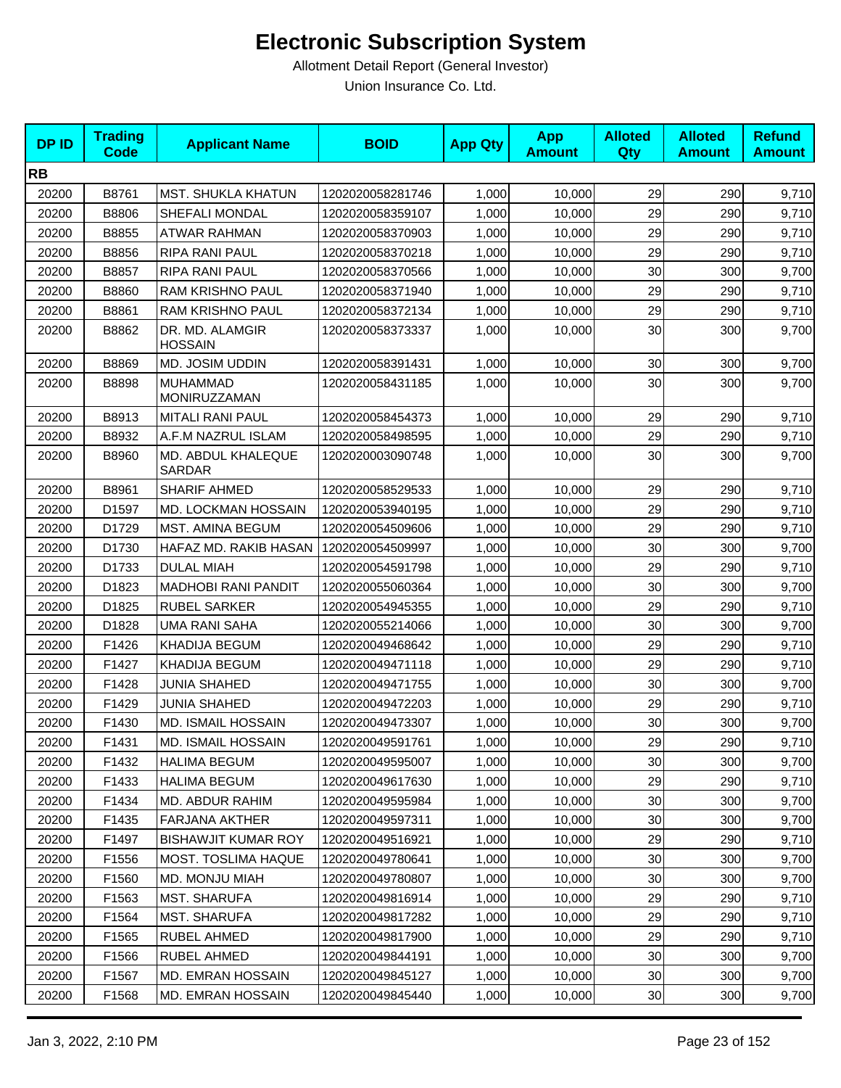| <b>DPID</b> | <b>Trading</b><br><b>Code</b> | <b>Applicant Name</b>               | <b>BOID</b>      | <b>App Qty</b> | <b>App</b><br><b>Amount</b> | <b>Alloted</b><br>Qty | <b>Alloted</b><br><b>Amount</b> | <b>Refund</b><br><b>Amount</b> |
|-------------|-------------------------------|-------------------------------------|------------------|----------------|-----------------------------|-----------------------|---------------------------------|--------------------------------|
| <b>RB</b>   |                               |                                     |                  |                |                             |                       |                                 |                                |
| 20200       | B8761                         | <b>MST. SHUKLA KHATUN</b>           | 1202020058281746 | 1,000          | 10,000                      | 29                    | 290                             | 9,710                          |
| 20200       | B8806                         | SHEFALI MONDAL                      | 1202020058359107 | 1,000          | 10,000                      | 29                    | 290                             | 9,710                          |
| 20200       | B8855                         | ATWAR RAHMAN                        | 1202020058370903 | 1,000          | 10,000                      | 29                    | 290                             | 9,710                          |
| 20200       | B8856                         | RIPA RANI PAUL                      | 1202020058370218 | 1,000          | 10,000                      | 29                    | 290                             | 9,710                          |
| 20200       | B8857                         | RIPA RANI PAUL                      | 1202020058370566 | 1,000          | 10,000                      | 30                    | 300                             | 9,700                          |
| 20200       | B8860                         | <b>RAM KRISHNO PAUL</b>             | 1202020058371940 | 1,000          | 10.000                      | 29                    | 290                             | 9,710                          |
| 20200       | B8861                         | <b>RAM KRISHNO PAUL</b>             | 1202020058372134 | 1,000          | 10,000                      | 29                    | 290                             | 9,710                          |
| 20200       | B8862                         | DR. MD. ALAMGIR<br><b>HOSSAIN</b>   | 1202020058373337 | 1,000          | 10,000                      | 30                    | 300                             | 9,700                          |
| 20200       | B8869                         | MD. JOSIM UDDIN                     | 1202020058391431 | 1,000          | 10,000                      | 30                    | 300                             | 9,700                          |
| 20200       | B8898                         | <b>MUHAMMAD</b><br>MONIRUZZAMAN     | 1202020058431185 | 1,000          | 10,000                      | 30                    | 300                             | 9,700                          |
| 20200       | B8913                         | <b>MITALI RANI PAUL</b>             | 1202020058454373 | 1,000          | 10,000                      | 29                    | 290                             | 9,710                          |
| 20200       | B8932                         | A.F.M NAZRUL ISLAM                  | 1202020058498595 | 1,000          | 10,000                      | 29                    | 290                             | 9,710                          |
| 20200       | B8960                         | MD. ABDUL KHALEQUE<br><b>SARDAR</b> | 1202020003090748 | 1,000          | 10,000                      | 30                    | 300                             | 9,700                          |
| 20200       | B8961                         | <b>SHARIF AHMED</b>                 | 1202020058529533 | 1,000          | 10,000                      | 29                    | 290                             | 9,710                          |
| 20200       | D1597                         | MD. LOCKMAN HOSSAIN                 | 1202020053940195 | 1,000          | 10,000                      | 29                    | 290                             | 9,710                          |
| 20200       | D1729                         | MST. AMINA BEGUM                    | 1202020054509606 | 1,000          | 10,000                      | 29                    | 290                             | 9,710                          |
| 20200       | D1730                         | HAFAZ MD. RAKIB HASAN               | 1202020054509997 | 1,000          | 10,000                      | 30                    | 300                             | 9,700                          |
| 20200       | D1733                         | <b>DULAL MIAH</b>                   | 1202020054591798 | 1,000          | 10,000                      | 29                    | 290                             | 9,710                          |
| 20200       | D1823                         | <b>MADHOBI RANI PANDIT</b>          | 1202020055060364 | 1,000          | 10,000                      | 30                    | 300                             | 9,700                          |
| 20200       | D1825                         | <b>RUBEL SARKER</b>                 | 1202020054945355 | 1,000          | 10,000                      | 29                    | 290                             | 9,710                          |
| 20200       | D1828                         | <b>UMA RANI SAHA</b>                | 1202020055214066 | 1,000          | 10,000                      | 30                    | 300                             | 9,700                          |
| 20200       | F1426                         | KHADIJA BEGUM                       | 1202020049468642 | 1,000          | 10,000                      | 29                    | 290                             | 9,710                          |
| 20200       | F1427                         | KHADIJA BEGUM                       | 1202020049471118 | 1,000          | 10,000                      | 29                    | 290                             | 9,710                          |
| 20200       | F1428                         | <b>JUNIA SHAHED</b>                 | 1202020049471755 | 1,000          | 10,000                      | 30                    | 300                             | 9,700                          |
| 20200       | F1429                         | <b>JUNIA SHAHED</b>                 | 1202020049472203 | 1,000          | 10,000                      | 29                    | 290                             | 9,710                          |
| 20200       | F1430                         | <b>MD. ISMAIL HOSSAIN</b>           | 1202020049473307 | 1,000          | 10,000                      | 30                    | 300                             | 9,700                          |
| 20200       | F1431                         | MD. ISMAIL HOSSAIN                  | 1202020049591761 | 1,000          | 10,000                      | 29                    | 290                             | 9,710                          |
| 20200       | F1432                         | <b>HALIMA BEGUM</b>                 | 1202020049595007 | 1,000          | 10,000                      | 30                    | 300                             | 9,700                          |
| 20200       | F1433                         | <b>HALIMA BEGUM</b>                 | 1202020049617630 | 1,000          | 10,000                      | 29                    | 290                             | 9,710                          |
| 20200       | F1434                         | MD. ABDUR RAHIM                     | 1202020049595984 | 1,000          | 10,000                      | 30                    | 300                             | 9,700                          |
| 20200       | F1435                         | <b>FARJANA AKTHER</b>               | 1202020049597311 | 1,000          | 10,000                      | 30                    | 300                             | 9,700                          |
| 20200       | F1497                         | <b>BISHAWJIT KUMAR ROY</b>          | 1202020049516921 | 1,000          | 10,000                      | 29                    | 290                             | 9,710                          |
| 20200       | F1556                         | MOST. TOSLIMA HAQUE                 | 1202020049780641 | 1,000          | 10,000                      | 30                    | 300                             | 9,700                          |
| 20200       | F1560                         | MD. MONJU MIAH                      | 1202020049780807 | 1,000          | 10,000                      | 30                    | 300                             | 9,700                          |
| 20200       | F1563                         | <b>MST. SHARUFA</b>                 | 1202020049816914 | 1,000          | 10,000                      | 29                    | 290                             | 9,710                          |
| 20200       | F1564                         | <b>MST. SHARUFA</b>                 | 1202020049817282 | 1,000          | 10,000                      | 29                    | 290                             | 9,710                          |
| 20200       | F1565                         | RUBEL AHMED                         | 1202020049817900 | 1,000          | 10,000                      | 29                    | 290                             | 9,710                          |
| 20200       | F1566                         | RUBEL AHMED                         | 1202020049844191 | 1,000          | 10,000                      | 30                    | 300                             | 9,700                          |
| 20200       | F1567                         | MD. EMRAN HOSSAIN                   | 1202020049845127 | 1,000          | 10,000                      | 30                    | 300                             | 9,700                          |
| 20200       | F1568                         | MD. EMRAN HOSSAIN                   | 1202020049845440 | 1,000          | 10,000                      | 30 <sub>0</sub>       | 300                             | 9,700                          |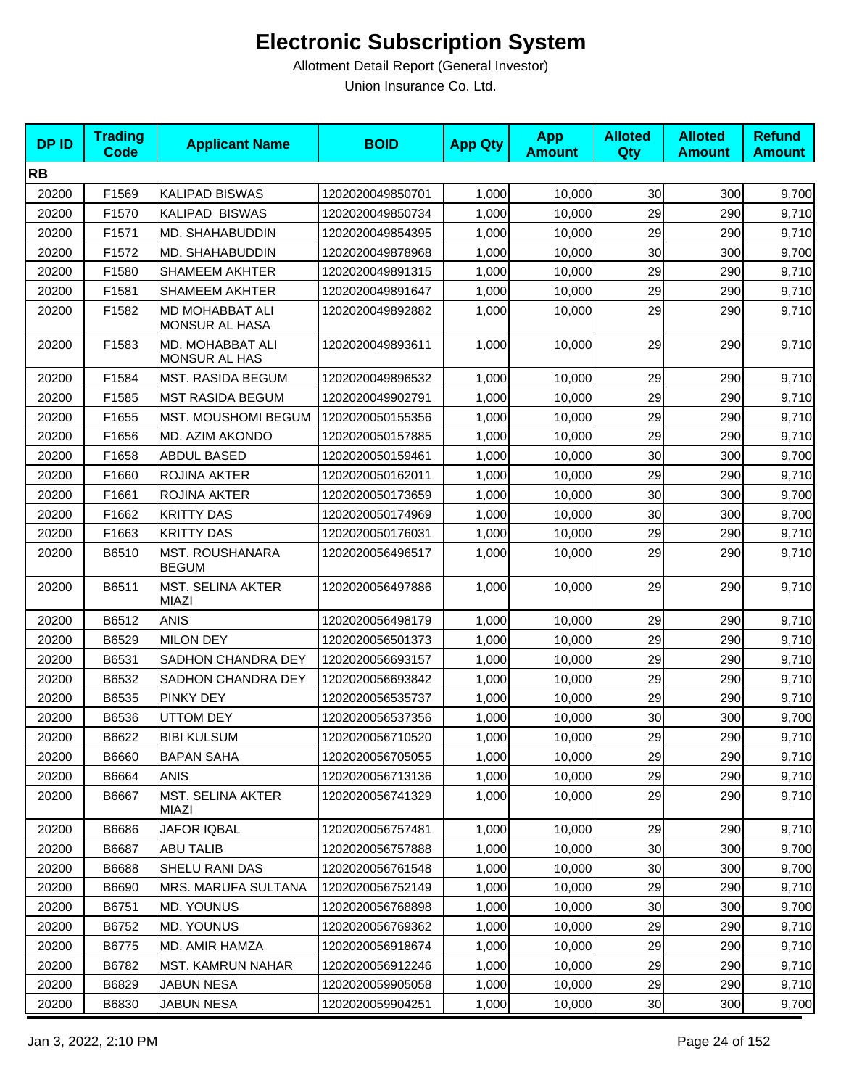| <b>DPID</b> | <b>Trading</b><br><b>Code</b> | <b>Applicant Name</b>                    | <b>BOID</b>      | <b>App Qty</b> | <b>App</b><br><b>Amount</b> | <b>Alloted</b><br>Qty | <b>Alloted</b><br><b>Amount</b> | <b>Refund</b><br><b>Amount</b> |
|-------------|-------------------------------|------------------------------------------|------------------|----------------|-----------------------------|-----------------------|---------------------------------|--------------------------------|
| <b>RB</b>   |                               |                                          |                  |                |                             |                       |                                 |                                |
| 20200       | F1569                         | <b>KALIPAD BISWAS</b>                    | 1202020049850701 | 1,000          | 10,000                      | 30                    | 300                             | 9,700                          |
| 20200       | F1570                         | <b>KALIPAD BISWAS</b>                    | 1202020049850734 | 1,000          | 10,000                      | 29                    | 290                             | 9,710                          |
| 20200       | F1571                         | MD. SHAHABUDDIN                          | 1202020049854395 | 1,000          | 10,000                      | 29                    | 290                             | 9,710                          |
| 20200       | F1572                         | MD. SHAHABUDDIN                          | 1202020049878968 | 1,000          | 10,000                      | 30                    | 300                             | 9,700                          |
| 20200       | F1580                         | <b>SHAMEEM AKHTER</b>                    | 1202020049891315 | 1,000          | 10,000                      | 29                    | 290                             | 9,710                          |
| 20200       | F1581                         | SHAMEEM AKHTER                           | 1202020049891647 | 1,000          | 10,000                      | 29                    | 290                             | 9,710                          |
| 20200       | F1582                         | MD MOHABBAT ALI<br>MONSUR AL HASA        | 1202020049892882 | 1,000          | 10,000                      | 29                    | 290                             | 9,710                          |
| 20200       | F1583                         | MD. MOHABBAT ALI<br><b>MONSUR AL HAS</b> | 1202020049893611 | 1,000          | 10,000                      | 29                    | 290                             | 9,710                          |
| 20200       | F1584                         | MST. RASIDA BEGUM                        | 1202020049896532 | 1,000          | 10,000                      | 29                    | 290                             | 9,710                          |
| 20200       | F1585                         | <b>MST RASIDA BEGUM</b>                  | 1202020049902791 | 1,000          | 10,000                      | 29                    | 290                             | 9,710                          |
| 20200       | F1655                         | MST. MOUSHOMI BEGUM                      | 1202020050155356 | 1,000          | 10,000                      | 29                    | 290                             | 9,710                          |
| 20200       | F1656                         | MD. AZIM AKONDO                          | 1202020050157885 | 1,000          | 10,000                      | 29                    | 290                             | 9,710                          |
| 20200       | F1658                         | ABDUL BASED                              | 1202020050159461 | 1,000          | 10,000                      | 30                    | 300                             | 9,700                          |
| 20200       | F1660                         | <b>ROJINA AKTER</b>                      | 1202020050162011 | 1,000          | 10,000                      | 29                    | 290                             | 9,710                          |
| 20200       | F1661                         | ROJINA AKTER                             | 1202020050173659 | 1,000          | 10,000                      | 30                    | 300                             | 9,700                          |
| 20200       | F1662                         | <b>KRITTY DAS</b>                        | 1202020050174969 | 1,000          | 10,000                      | 30                    | 300                             | 9,700                          |
| 20200       | F1663                         | <b>KRITTY DAS</b>                        | 1202020050176031 | 1,000          | 10,000                      | 29                    | 290                             | 9,710                          |
| 20200       | B6510                         | <b>MST. ROUSHANARA</b><br><b>BEGUM</b>   | 1202020056496517 | 1,000          | 10,000                      | 29                    | 290                             | 9,710                          |
| 20200       | B6511                         | <b>MST. SELINA AKTER</b><br><b>MIAZI</b> | 1202020056497886 | 1,000          | 10,000                      | 29                    | 290                             | 9,710                          |
| 20200       | B6512                         | <b>ANIS</b>                              | 1202020056498179 | 1,000          | 10,000                      | 29                    | 290                             | 9,710                          |
| 20200       | B6529                         | <b>MILON DEY</b>                         | 1202020056501373 | 1,000          | 10,000                      | 29                    | 290                             | 9,710                          |
| 20200       | B6531                         | SADHON CHANDRA DEY                       | 1202020056693157 | 1,000          | 10,000                      | 29                    | 290                             | 9,710                          |
| 20200       | B6532                         | SADHON CHANDRA DEY                       | 1202020056693842 | 1,000          | 10,000                      | 29                    | 290                             | 9,710                          |
| 20200       | B6535                         | PINKY DEY                                | 1202020056535737 | 1,000          | 10,000                      | 29                    | 290                             | 9,710                          |
| 20200       | B6536                         | <b>UTTOM DEY</b>                         | 1202020056537356 | 1,000          | 10,000                      | 30                    | 300                             | 9,700                          |
| 20200       | B6622                         | <b>BIBI KULSUM</b>                       | 1202020056710520 | 1,000          | 10,000                      | 29                    | 290                             | 9,710                          |
| 20200       | B6660                         | <b>BAPAN SAHA</b>                        | 1202020056705055 | 1,000          | 10,000                      | 29                    | 290                             | 9,710                          |
| 20200       | B6664                         | ANIS                                     | 1202020056713136 | 1,000          | 10,000                      | 29                    | 290                             | 9,710                          |
| 20200       | B6667                         | <b>MST. SELINA AKTER</b><br>MIAZI        | 1202020056741329 | 1,000          | 10,000                      | 29                    | 290                             | 9,710                          |
| 20200       | B6686                         | <b>JAFOR IQBAL</b>                       | 1202020056757481 | 1,000          | 10,000                      | 29                    | 290                             | 9,710                          |
| 20200       | B6687                         | <b>ABU TALIB</b>                         | 1202020056757888 | 1,000          | 10,000                      | 30                    | 300                             | 9,700                          |
| 20200       | B6688                         | SHELU RANI DAS                           | 1202020056761548 | 1,000          | 10,000                      | 30 <sub>0</sub>       | 300                             | 9,700                          |
| 20200       | B6690                         | MRS. MARUFA SULTANA                      | 1202020056752149 | 1,000          | 10,000                      | 29                    | 290                             | 9,710                          |
| 20200       | B6751                         | MD. YOUNUS                               | 1202020056768898 | 1,000          | 10,000                      | 30                    | 300                             | 9,700                          |
| 20200       | B6752                         | MD. YOUNUS                               | 1202020056769362 | 1,000          | 10,000                      | 29                    | 290                             | 9,710                          |
| 20200       | B6775                         | MD. AMIR HAMZA                           | 1202020056918674 | 1,000          | 10,000                      | 29                    | 290                             | 9,710                          |
| 20200       | B6782                         | <b>MST. KAMRUN NAHAR</b>                 | 1202020056912246 | 1,000          | 10,000                      | 29                    | 290                             | 9,710                          |
| 20200       | B6829                         | JABUN NESA                               | 1202020059905058 | 1,000          | 10,000                      | 29                    | 290                             | 9,710                          |
| 20200       | B6830                         | <b>JABUN NESA</b>                        | 1202020059904251 | 1,000          | 10,000                      | 30 <sup>°</sup>       | 300                             | 9,700                          |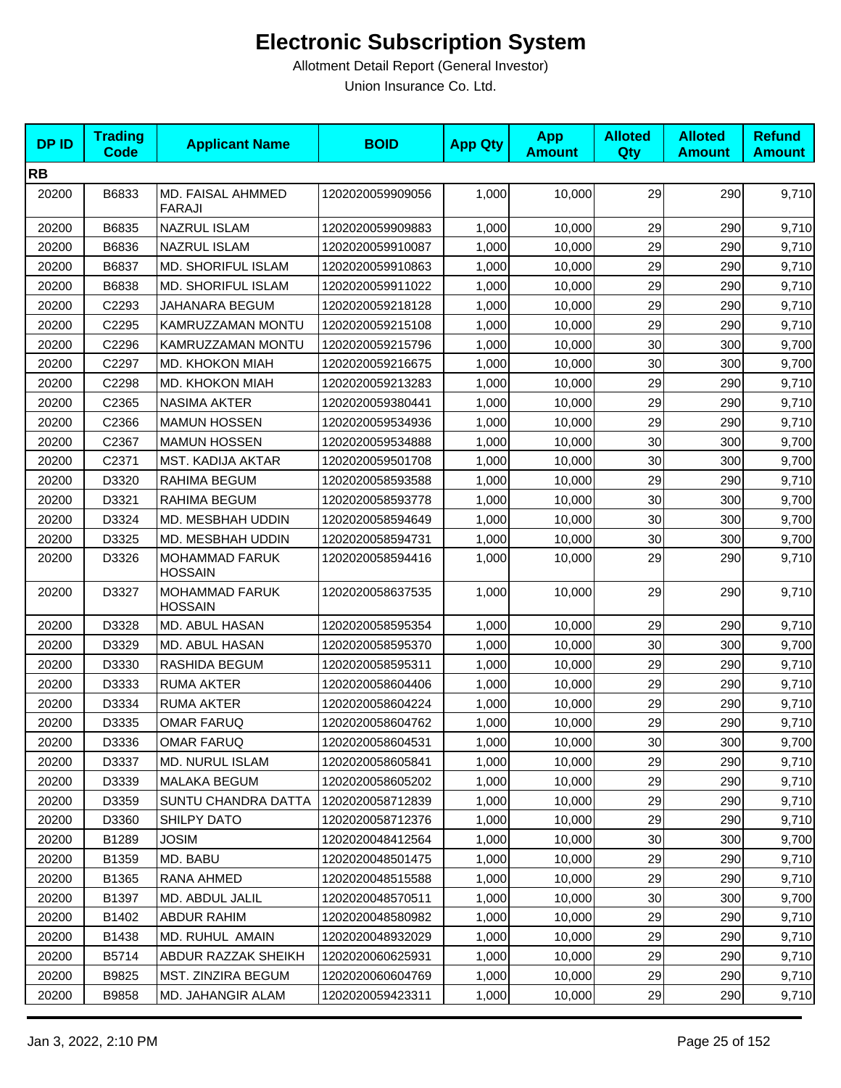| <b>DPID</b> | <b>Trading</b><br><b>Code</b> | <b>Applicant Name</b>                   | <b>BOID</b>      | <b>App Qty</b> | <b>App</b><br><b>Amount</b> | <b>Alloted</b><br>Qty | <b>Alloted</b><br><b>Amount</b> | <b>Refund</b><br><b>Amount</b> |
|-------------|-------------------------------|-----------------------------------------|------------------|----------------|-----------------------------|-----------------------|---------------------------------|--------------------------------|
| <b>RB</b>   |                               |                                         |                  |                |                             |                       |                                 |                                |
| 20200       | B6833                         | MD. FAISAL AHMMED<br><b>FARAJI</b>      | 1202020059909056 | 1,000          | 10,000                      | 29                    | 290                             | 9,710                          |
| 20200       | B6835                         | <b>NAZRUL ISLAM</b>                     | 1202020059909883 | 1,000          | 10,000                      | 29                    | 290                             | 9,710                          |
| 20200       | B6836                         | <b>NAZRUL ISLAM</b>                     | 1202020059910087 | 1,000          | 10,000                      | 29                    | 290                             | 9,710                          |
| 20200       | B6837                         | <b>MD. SHORIFUL ISLAM</b>               | 1202020059910863 | 1,000          | 10,000                      | 29                    | 290                             | 9,710                          |
| 20200       | B6838                         | <b>MD. SHORIFUL ISLAM</b>               | 1202020059911022 | 1,000          | 10,000                      | 29                    | 290                             | 9,710                          |
| 20200       | C2293                         | JAHANARA BEGUM                          | 1202020059218128 | 1,000          | 10,000                      | 29                    | 290                             | 9,710                          |
| 20200       | C2295                         | KAMRUZZAMAN MONTU                       | 1202020059215108 | 1,000          | 10,000                      | 29                    | 290                             | 9,710                          |
| 20200       | C2296                         | KAMRUZZAMAN MONTU                       | 1202020059215796 | 1,000          | 10,000                      | 30                    | 300                             | 9,700                          |
| 20200       | C2297                         | MD. KHOKON MIAH                         | 1202020059216675 | 1,000          | 10,000                      | 30                    | 300                             | 9,700                          |
| 20200       | C2298                         | <b>MD. KHOKON MIAH</b>                  | 1202020059213283 | 1,000          | 10,000                      | 29                    | 290                             | 9,710                          |
| 20200       | C2365                         | <b>NASIMA AKTER</b>                     | 1202020059380441 | 1,000          | 10,000                      | 29                    | 290                             | 9,710                          |
| 20200       | C2366                         | <b>MAMUN HOSSEN</b>                     | 1202020059534936 | 1,000          | 10,000                      | 29                    | 290                             | 9,710                          |
| 20200       | C2367                         | <b>MAMUN HOSSEN</b>                     | 1202020059534888 | 1,000          | 10,000                      | 30                    | 300                             | 9,700                          |
| 20200       | C2371                         | <b>MST. KADIJA AKTAR</b>                | 1202020059501708 | 1,000          | 10,000                      | 30                    | 300                             | 9,700                          |
| 20200       | D3320                         | RAHIMA BEGUM                            | 1202020058593588 | 1,000          | 10,000                      | 29                    | 290                             | 9,710                          |
| 20200       | D3321                         | RAHIMA BEGUM                            | 1202020058593778 | 1,000          | 10,000                      | 30                    | 300                             | 9,700                          |
| 20200       | D3324                         | MD. MESBHAH UDDIN                       | 1202020058594649 | 1,000          | 10,000                      | 30                    | 300                             | 9,700                          |
| 20200       | D3325                         | MD. MESBHAH UDDIN                       | 1202020058594731 | 1,000          | 10,000                      | 30                    | 300                             | 9,700                          |
| 20200       | D3326                         | MOHAMMAD FARUK<br><b>HOSSAIN</b>        | 1202020058594416 | 1,000          | 10,000                      | 29                    | 290                             | 9,710                          |
| 20200       | D3327                         | <b>MOHAMMAD FARUK</b><br><b>HOSSAIN</b> | 1202020058637535 | 1,000          | 10,000                      | 29                    | 290                             | 9,710                          |
| 20200       | D3328                         | MD. ABUL HASAN                          | 1202020058595354 | 1,000          | 10,000                      | 29                    | 290                             | 9,710                          |
| 20200       | D3329                         | MD. ABUL HASAN                          | 1202020058595370 | 1,000          | 10,000                      | 30                    | 300                             | 9,700                          |
| 20200       | D3330                         | RASHIDA BEGUM                           | 1202020058595311 | 1,000          | 10,000                      | 29                    | 290                             | 9,710                          |
| 20200       | D3333                         | <b>RUMA AKTER</b>                       | 1202020058604406 | 1,000          | 10,000                      | 29                    | 290                             | 9,710                          |
| 20200       | D3334                         | <b>RUMA AKTER</b>                       | 1202020058604224 | 1,000          | 10,000                      | 29                    | 290                             | 9,710                          |
| 20200       | D3335                         | <b>OMAR FARUQ</b>                       | 1202020058604762 | 1,000          | 10,000                      | 29                    | 290                             | 9,710                          |
| 20200       | D3336                         | <b>OMAR FARUQ</b>                       | 1202020058604531 | 1,000          | 10,000                      | 30                    | 300                             | 9,700                          |
| 20200       | D3337                         | <b>MD. NURUL ISLAM</b>                  | 1202020058605841 | 1,000          | 10,000                      | 29                    | 290                             | 9,710                          |
| 20200       | D3339                         | MALAKA BEGUM                            | 1202020058605202 | 1,000          | 10,000                      | 29                    | 290                             | 9,710                          |
| 20200       | D3359                         | SUNTU CHANDRA DATTA                     | 1202020058712839 | 1,000          | 10,000                      | 29                    | 290                             | 9,710                          |
| 20200       | D3360                         | <b>SHILPY DATO</b>                      | 1202020058712376 | 1,000          | 10,000                      | 29                    | 290                             | 9,710                          |
| 20200       | B1289                         | <b>JOSIM</b>                            | 1202020048412564 | 1,000          | 10,000                      | 30                    | 300                             | 9,700                          |
| 20200       | B1359                         | MD. BABU                                | 1202020048501475 | 1,000          | 10,000                      | 29                    | 290                             | 9,710                          |
| 20200       | B1365                         | RANA AHMED                              | 1202020048515588 | 1,000          | 10,000                      | 29                    | 290                             | 9,710                          |
| 20200       | B1397                         | MD. ABDUL JALIL                         | 1202020048570511 | 1,000          | 10,000                      | 30                    | 300                             | 9,700                          |
| 20200       | B1402                         | <b>ABDUR RAHIM</b>                      | 1202020048580982 | 1,000          | 10,000                      | 29                    | 290                             | 9,710                          |
| 20200       | B1438                         | MD. RUHUL AMAIN                         | 1202020048932029 | 1,000          | 10,000                      | 29                    | 290                             | 9,710                          |
| 20200       | B5714                         | ABDUR RAZZAK SHEIKH                     | 1202020060625931 | 1,000          | 10,000                      | 29                    | 290                             | 9,710                          |
| 20200       | B9825                         | MST. ZINZIRA BEGUM                      | 1202020060604769 | 1,000          | 10,000                      | 29                    | 290                             | 9,710                          |
| 20200       | B9858                         | MD. JAHANGIR ALAM                       | 1202020059423311 | 1,000          | 10,000                      | 29                    | 290                             | 9,710                          |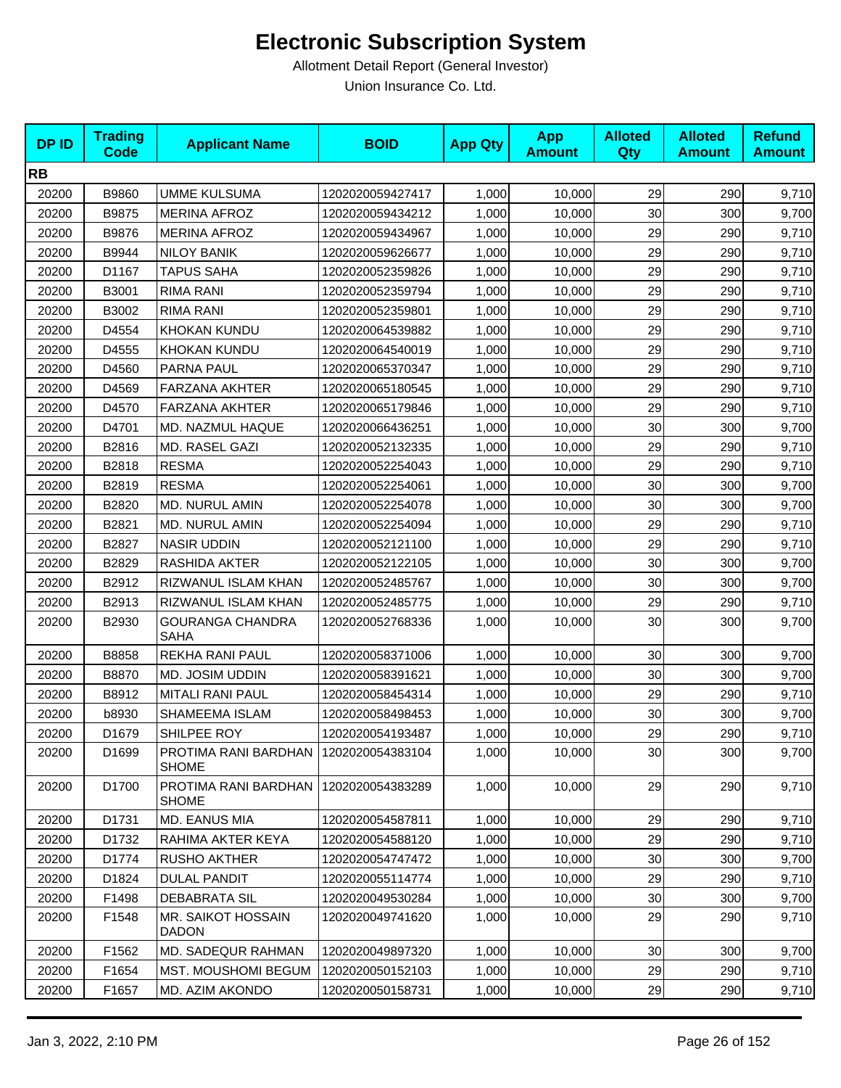| <b>DPID</b> | <b>Trading</b><br><b>Code</b> | <b>Applicant Name</b>                                 | <b>BOID</b>      | <b>App Qty</b> | <b>App</b><br><b>Amount</b> | <b>Alloted</b><br>Qty | <b>Alloted</b><br><b>Amount</b> | <b>Refund</b><br><b>Amount</b> |
|-------------|-------------------------------|-------------------------------------------------------|------------------|----------------|-----------------------------|-----------------------|---------------------------------|--------------------------------|
| <b>RB</b>   |                               |                                                       |                  |                |                             |                       |                                 |                                |
| 20200       | B9860                         | <b>UMME KULSUMA</b>                                   | 1202020059427417 | 1,000          | 10,000                      | 29                    | 290                             | 9,710                          |
| 20200       | B9875                         | <b>MERINA AFROZ</b>                                   | 1202020059434212 | 1,000          | 10,000                      | 30                    | 300                             | 9,700                          |
| 20200       | B9876                         | <b>MERINA AFROZ</b>                                   | 1202020059434967 | 1,000          | 10,000                      | 29                    | 290                             | 9,710                          |
| 20200       | B9944                         | <b>NILOY BANIK</b>                                    | 1202020059626677 | 1,000          | 10,000                      | 29                    | 290                             | 9,710                          |
| 20200       | D1167                         | <b>TAPUS SAHA</b>                                     | 1202020052359826 | 1,000          | 10,000                      | 29                    | 290                             | 9,710                          |
| 20200       | B3001                         | <b>RIMA RANI</b>                                      | 1202020052359794 | 1,000          | 10,000                      | 29                    | 290                             | 9,710                          |
| 20200       | B3002                         | <b>RIMA RANI</b>                                      | 1202020052359801 | 1,000          | 10,000                      | 29                    | 290                             | 9,710                          |
| 20200       | D4554                         | <b>KHOKAN KUNDU</b>                                   | 1202020064539882 | 1,000          | 10,000                      | 29                    | 290                             | 9,710                          |
| 20200       | D4555                         | <b>KHOKAN KUNDU</b>                                   | 1202020064540019 | 1,000          | 10,000                      | 29                    | 290                             | 9,710                          |
| 20200       | D4560                         | PARNA PAUL                                            | 1202020065370347 | 1,000          | 10,000                      | 29                    | 290                             | 9,710                          |
| 20200       | D4569                         | FARZANA AKHTER                                        | 1202020065180545 | 1,000          | 10,000                      | 29                    | 290                             | 9,710                          |
| 20200       | D4570                         | <b>FARZANA AKHTER</b>                                 | 1202020065179846 | 1,000          | 10,000                      | 29                    | 290                             | 9,710                          |
| 20200       | D4701                         | MD. NAZMUL HAQUE                                      | 1202020066436251 | 1,000          | 10,000                      | 30                    | 300                             | 9,700                          |
| 20200       | B2816                         | MD. RASEL GAZI                                        | 1202020052132335 | 1,000          | 10,000                      | 29                    | 290                             | 9,710                          |
| 20200       | B2818                         | <b>RESMA</b>                                          | 1202020052254043 | 1,000          | 10,000                      | 29                    | 290                             | 9,710                          |
| 20200       | B2819                         | <b>RESMA</b>                                          | 1202020052254061 | 1,000          | 10,000                      | 30                    | 300                             | 9,700                          |
| 20200       | B2820                         | MD. NURUL AMIN                                        | 1202020052254078 | 1,000          | 10,000                      | 30                    | 300                             | 9,700                          |
| 20200       | B2821                         | MD. NURUL AMIN                                        | 1202020052254094 | 1,000          | 10,000                      | 29                    | 290                             | 9,710                          |
| 20200       | B2827                         | <b>NASIR UDDIN</b>                                    | 1202020052121100 | 1,000          | 10,000                      | 29                    | 290                             | 9,710                          |
| 20200       | B2829                         | RASHIDA AKTER                                         | 1202020052122105 | 1,000          | 10,000                      | 30                    | 300                             | 9,700                          |
| 20200       | B2912                         | RIZWANUL ISLAM KHAN                                   | 1202020052485767 | 1,000          | 10,000                      | 30                    | 300                             | 9,700                          |
| 20200       | B2913                         | RIZWANUL ISLAM KHAN                                   | 1202020052485775 | 1,000          | 10,000                      | 29                    | 290                             | 9,710                          |
| 20200       | B2930                         | <b>GOURANGA CHANDRA</b><br><b>SAHA</b>                | 1202020052768336 | 1,000          | 10,000                      | 30                    | 300                             | 9,700                          |
| 20200       | B8858                         | REKHA RANI PAUL                                       | 1202020058371006 | 1,000          | 10,000                      | 30                    | 300                             | 9,700                          |
| 20200       | B8870                         | MD. JOSIM UDDIN                                       | 1202020058391621 | 1,000          | 10,000                      | 30                    | 300                             | 9,700                          |
| 20200       | B8912                         | <b>MITALI RANI PAUL</b>                               | 1202020058454314 | 1,000          | 10,000                      | 29                    | 290                             | 9,710                          |
| 20200       | b8930                         | SHAMEEMA ISLAM                                        | 1202020058498453 | 1,000          | 10,000                      | 30                    | 300                             | 9,700                          |
| 20200       | D1679                         | SHILPEE ROY                                           | 1202020054193487 | 1,000          | 10,000                      | 29                    | 290                             | 9,710                          |
| 20200       | D1699                         | PROTIMA RANI BARDHAN 1202020054383104<br><b>SHOME</b> |                  | 1,000          | 10,000                      | 30                    | 300                             | 9,700                          |
| 20200       | D1700                         | PROTIMA RANI BARDHAN<br><b>SHOME</b>                  | 1202020054383289 | 1,000          | 10,000                      | 29                    | 290                             | 9,710                          |
| 20200       | D1731                         | MD. EANUS MIA                                         | 1202020054587811 | 1,000          | 10,000                      | 29                    | 290                             | 9,710                          |
| 20200       | D1732                         | RAHIMA AKTER KEYA                                     | 1202020054588120 | 1,000          | 10,000                      | 29                    | 290                             | 9,710                          |
| 20200       | D1774                         | RUSHO AKTHER                                          | 1202020054747472 | 1,000          | 10,000                      | 30                    | 300                             | 9,700                          |
| 20200       | D1824                         | <b>DULAL PANDIT</b>                                   | 1202020055114774 | 1,000          | 10,000                      | 29                    | 290                             | 9,710                          |
| 20200       | F1498                         | <b>DEBABRATA SIL</b>                                  | 1202020049530284 | 1,000          | 10,000                      | 30                    | 300                             | 9,700                          |
| 20200       | F1548                         | MR. SAIKOT HOSSAIN<br><b>DADON</b>                    | 1202020049741620 | 1,000          | 10,000                      | 29                    | 290                             | 9,710                          |
| 20200       | F1562                         | <b>MD. SADEQUR RAHMAN</b>                             | 1202020049897320 | 1,000          | 10,000                      | 30                    | 300                             | 9,700                          |
| 20200       | F1654                         | <b>MST. MOUSHOMI BEGUM</b>                            | 1202020050152103 | 1,000          | 10,000                      | 29                    | 290                             | 9,710                          |
| 20200       | F1657                         | MD. AZIM AKONDO                                       | 1202020050158731 | 1,000          | 10,000                      | 29                    | 290                             | 9,710                          |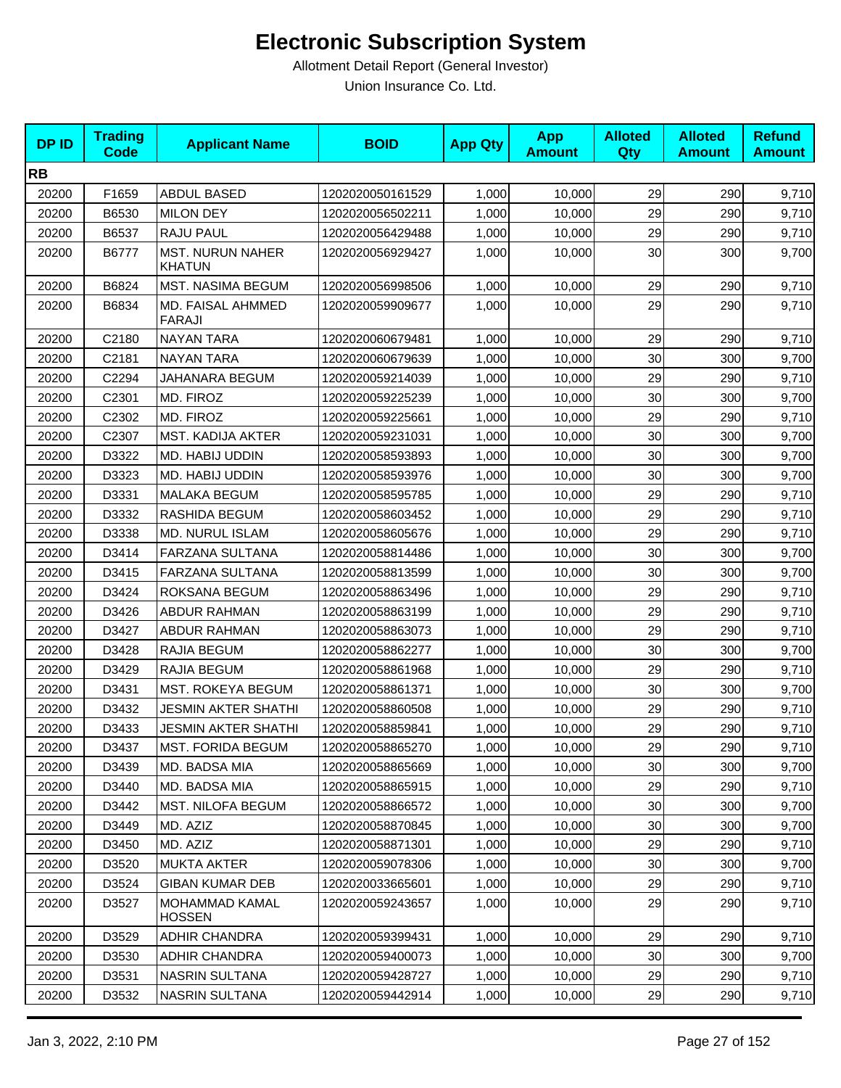| <b>DPID</b> | <b>Trading</b><br><b>Code</b> | <b>Applicant Name</b>                    | <b>BOID</b>      | <b>App Qty</b> | <b>App</b><br><b>Amount</b> | <b>Alloted</b><br>Qty | <b>Alloted</b><br><b>Amount</b> | <b>Refund</b><br><b>Amount</b> |
|-------------|-------------------------------|------------------------------------------|------------------|----------------|-----------------------------|-----------------------|---------------------------------|--------------------------------|
| <b>RB</b>   |                               |                                          |                  |                |                             |                       |                                 |                                |
| 20200       | F1659                         | ABDUL BASED                              | 1202020050161529 | 1,000          | 10,000                      | 29                    | 290                             | 9,710                          |
| 20200       | B6530                         | <b>MILON DEY</b>                         | 1202020056502211 | 1,000          | 10,000                      | 29                    | 290                             | 9,710                          |
| 20200       | B6537                         | RAJU PAUL                                | 1202020056429488 | 1,000          | 10,000                      | 29                    | 290                             | 9,710                          |
| 20200       | B6777                         | <b>MST. NURUN NAHER</b><br><b>KHATUN</b> | 1202020056929427 | 1,000          | 10,000                      | 30                    | 300                             | 9,700                          |
| 20200       | B6824                         | MST. NASIMA BEGUM                        | 1202020056998506 | 1,000          | 10,000                      | 29                    | 290                             | 9,710                          |
| 20200       | B6834                         | MD. FAISAL AHMMED<br>FARAJI              | 1202020059909677 | 1,000          | 10,000                      | 29                    | 290                             | 9,710                          |
| 20200       | C2180                         | <b>NAYAN TARA</b>                        | 1202020060679481 | 1,000          | 10,000                      | 29                    | 290                             | 9,710                          |
| 20200       | C2181                         | <b>NAYAN TARA</b>                        | 1202020060679639 | 1,000          | 10,000                      | 30                    | 300                             | 9,700                          |
| 20200       | C2294                         | JAHANARA BEGUM                           | 1202020059214039 | 1,000          | 10,000                      | 29                    | 290                             | 9,710                          |
| 20200       | C2301                         | MD. FIROZ                                | 1202020059225239 | 1,000          | 10,000                      | 30                    | 300                             | 9,700                          |
| 20200       | C2302                         | MD. FIROZ                                | 1202020059225661 | 1,000          | 10,000                      | 29                    | 290                             | 9,710                          |
| 20200       | C2307                         | <b>MST. KADIJA AKTER</b>                 | 1202020059231031 | 1,000          | 10,000                      | 30                    | 300                             | 9,700                          |
| 20200       | D3322                         | MD. HABIJ UDDIN                          | 1202020058593893 | 1,000          | 10,000                      | 30                    | 300                             | 9,700                          |
| 20200       | D3323                         | MD. HABIJ UDDIN                          | 1202020058593976 | 1,000          | 10,000                      | 30                    | 300                             | 9,700                          |
| 20200       | D3331                         | <b>MALAKA BEGUM</b>                      | 1202020058595785 | 1,000          | 10,000                      | 29                    | 290                             | 9,710                          |
| 20200       | D3332                         | RASHIDA BEGUM                            | 1202020058603452 | 1,000          | 10,000                      | 29                    | 290                             | 9,710                          |
| 20200       | D3338                         | MD. NURUL ISLAM                          | 1202020058605676 | 1,000          | 10,000                      | 29                    | 290                             | 9,710                          |
| 20200       | D3414                         | FARZANA SULTANA                          | 1202020058814486 | 1,000          | 10,000                      | 30                    | 300                             | 9,700                          |
| 20200       | D3415                         | FARZANA SULTANA                          | 1202020058813599 | 1,000          | 10,000                      | 30                    | 300                             | 9,700                          |
| 20200       | D3424                         | ROKSANA BEGUM                            | 1202020058863496 | 1,000          | 10,000                      | 29                    | 290                             | 9,710                          |
| 20200       | D3426                         | <b>ABDUR RAHMAN</b>                      | 1202020058863199 | 1,000          | 10,000                      | 29                    | 290                             | 9,710                          |
| 20200       | D3427                         | <b>ABDUR RAHMAN</b>                      | 1202020058863073 | 1,000          | 10,000                      | 29                    | 290                             | 9,710                          |
| 20200       | D3428                         | RAJIA BEGUM                              | 1202020058862277 | 1,000          | 10,000                      | 30                    | 300                             | 9,700                          |
| 20200       | D3429                         | RAJIA BEGUM                              | 1202020058861968 | 1,000          | 10,000                      | 29                    | 290                             | 9,710                          |
| 20200       | D3431                         | <b>MST. ROKEYA BEGUM</b>                 | 1202020058861371 | 1,000          | 10,000                      | 30                    | 300                             | 9,700                          |
| 20200       | D3432                         | JESMIN AKTER SHATHI                      | 1202020058860508 | 1,000          | 10,000                      | 29                    | 290                             | 9,710                          |
| 20200       | D3433                         | <b>JESMIN AKTER SHATHI</b>               | 1202020058859841 | 1,000          | 10,000                      | 29                    | 290                             | 9,710                          |
| 20200       | D3437                         | <b>MST. FORIDA BEGUM</b>                 | 1202020058865270 | 1,000          | 10,000                      | 29                    | 290                             | 9,710                          |
| 20200       | D3439                         | MD. BADSA MIA                            | 1202020058865669 | 1,000          | 10,000                      | 30                    | 300                             | 9,700                          |
| 20200       | D3440                         | MD. BADSA MIA                            | 1202020058865915 | 1,000          | 10,000                      | 29                    | 290                             | 9,710                          |
| 20200       | D3442                         | <b>MST. NILOFA BEGUM</b>                 | 1202020058866572 | 1,000          | 10,000                      | 30                    | 300                             | 9,700                          |
| 20200       | D3449                         | MD. AZIZ                                 | 1202020058870845 | 1,000          | 10,000                      | 30                    | 300                             | 9,700                          |
| 20200       | D3450                         | MD. AZIZ                                 | 1202020058871301 | 1,000          | 10,000                      | 29                    | 290                             | 9,710                          |
| 20200       | D3520                         | <b>MUKTA AKTER</b>                       | 1202020059078306 | 1,000          | 10,000                      | 30                    | 300                             | 9,700                          |
| 20200       | D3524                         | <b>GIBAN KUMAR DEB</b>                   | 1202020033665601 | 1,000          | 10,000                      | 29                    | 290                             | 9,710                          |
| 20200       | D3527                         | <b>MOHAMMAD KAMAL</b><br><b>HOSSEN</b>   | 1202020059243657 | 1,000          | 10,000                      | 29                    | 290                             | 9,710                          |
| 20200       | D3529                         | ADHIR CHANDRA                            | 1202020059399431 | 1,000          | 10,000                      | 29                    | 290                             | 9,710                          |
| 20200       | D3530                         | ADHIR CHANDRA                            | 1202020059400073 | 1,000          | 10,000                      | 30                    | 300                             | 9,700                          |
| 20200       | D3531                         | NASRIN SULTANA                           | 1202020059428727 | 1,000          | 10,000                      | 29                    | 290                             | 9,710                          |
| 20200       | D3532                         | <b>NASRIN SULTANA</b>                    | 1202020059442914 | 1,000          | 10,000                      | 29                    | 290                             | 9,710                          |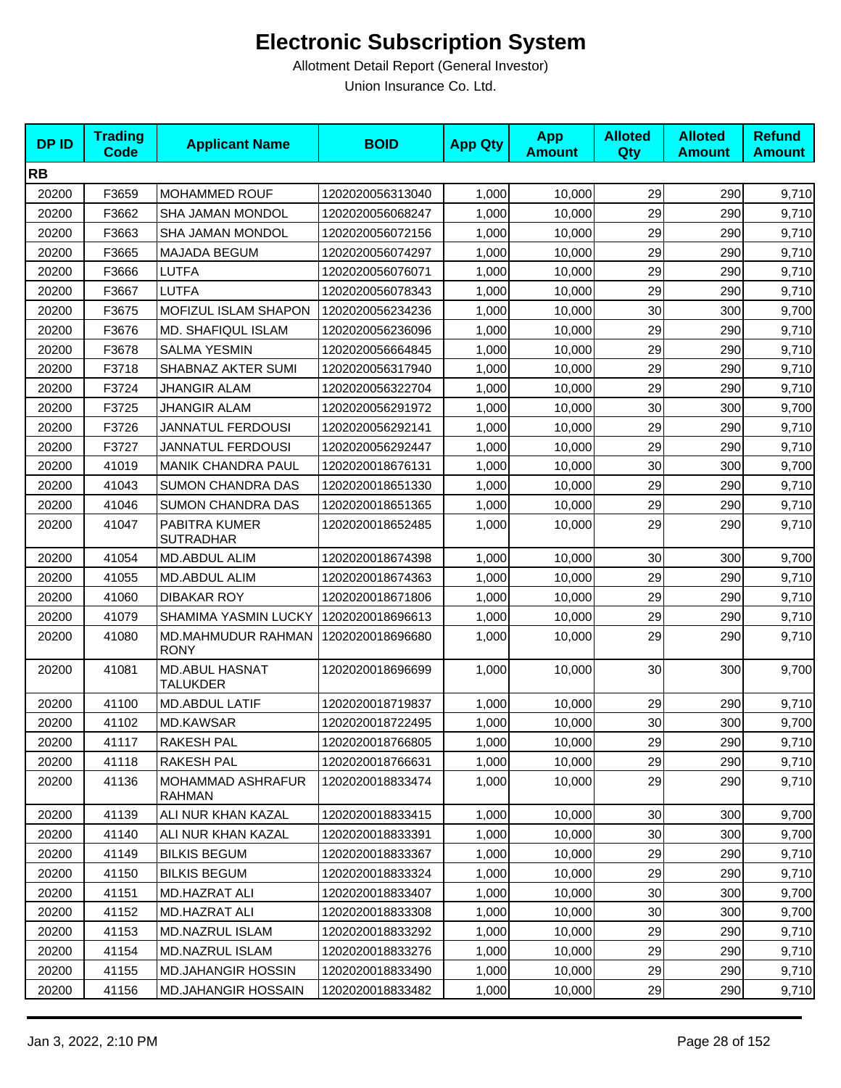| <b>DPID</b> | <b>Trading</b><br><b>Code</b> | <b>Applicant Name</b>              | <b>BOID</b>      | <b>App Qty</b> | <b>App</b><br><b>Amount</b> | <b>Alloted</b><br>Qty | <b>Alloted</b><br><b>Amount</b> | <b>Refund</b><br><b>Amount</b> |
|-------------|-------------------------------|------------------------------------|------------------|----------------|-----------------------------|-----------------------|---------------------------------|--------------------------------|
| <b>RB</b>   |                               |                                    |                  |                |                             |                       |                                 |                                |
| 20200       | F3659                         | MOHAMMED ROUF                      | 1202020056313040 | 1,000          | 10,000                      | 29                    | 290                             | 9,710                          |
| 20200       | F3662                         | SHA JAMAN MONDOL                   | 1202020056068247 | 1,000          | 10,000                      | 29                    | 290                             | 9,710                          |
| 20200       | F3663                         | SHA JAMAN MONDOL                   | 1202020056072156 | 1,000          | 10,000                      | 29                    | 290                             | 9,710                          |
| 20200       | F3665                         | MAJADA BEGUM                       | 1202020056074297 | 1,000          | 10,000                      | 29                    | 290                             | 9,710                          |
| 20200       | F3666                         | LUTFA                              | 1202020056076071 | 1,000          | 10,000                      | 29                    | 290                             | 9,710                          |
| 20200       | F3667                         | LUTFA                              | 1202020056078343 | 1,000          | 10,000                      | 29                    | 290                             | 9,710                          |
| 20200       | F3675                         | MOFIZUL ISLAM SHAPON               | 1202020056234236 | 1,000          | 10,000                      | 30                    | 300                             | 9,700                          |
| 20200       | F3676                         | <b>MD. SHAFIQUL ISLAM</b>          | 1202020056236096 | 1,000          | 10,000                      | 29                    | 290                             | 9,710                          |
| 20200       | F3678                         | <b>SALMA YESMIN</b>                | 1202020056664845 | 1,000          | 10,000                      | 29                    | 290                             | 9,710                          |
| 20200       | F3718                         | SHABNAZ AKTER SUMI                 | 1202020056317940 | 1,000          | 10,000                      | 29                    | 290                             | 9,710                          |
| 20200       | F3724                         | <b>JHANGIR ALAM</b>                | 1202020056322704 | 1,000          | 10,000                      | 29                    | 290                             | 9,710                          |
| 20200       | F3725                         | <b>JHANGIR ALAM</b>                | 1202020056291972 | 1,000          | 10,000                      | 30                    | 300                             | 9,700                          |
| 20200       | F3726                         | JANNATUL FERDOUSI                  | 1202020056292141 | 1,000          | 10,000                      | 29                    | 290                             | 9,710                          |
| 20200       | F3727                         | <b>JANNATUL FERDOUSI</b>           | 1202020056292447 | 1,000          | 10.000                      | 29                    | 290                             | 9,710                          |
| 20200       | 41019                         | <b>MANIK CHANDRA PAUL</b>          | 1202020018676131 | 1,000          | 10,000                      | 30                    | 300                             | 9,700                          |
| 20200       | 41043                         | SUMON CHANDRA DAS                  | 1202020018651330 | 1,000          | 10,000                      | 29                    | 290                             | 9,710                          |
| 20200       | 41046                         | <b>SUMON CHANDRA DAS</b>           | 1202020018651365 | 1,000          | 10,000                      | 29                    | 290                             | 9,710                          |
| 20200       | 41047                         | PABITRA KUMER<br><b>SUTRADHAR</b>  | 1202020018652485 | 1,000          | 10,000                      | 29                    | 290                             | 9,710                          |
| 20200       | 41054                         | MD.ABDUL ALIM                      | 1202020018674398 | 1,000          | 10,000                      | 30                    | 300                             | 9,700                          |
| 20200       | 41055                         | MD.ABDUL ALIM                      | 1202020018674363 | 1,000          | 10,000                      | 29                    | 290                             | 9,710                          |
| 20200       | 41060                         | <b>DIBAKAR ROY</b>                 | 1202020018671806 | 1,000          | 10,000                      | 29                    | 290                             | 9,710                          |
| 20200       | 41079                         | <b>SHAMIMA YASMIN LUCKY</b>        | 1202020018696613 | 1,000          | 10,000                      | 29                    | 290                             | 9,710                          |
| 20200       | 41080                         | MD.MAHMUDUR RAHMAN<br><b>RONY</b>  | 1202020018696680 | 1,000          | 10,000                      | 29                    | 290                             | 9,710                          |
| 20200       | 41081                         | <b>MD.ABUL HASNAT</b><br>TALUKDER  | 1202020018696699 | 1,000          | 10,000                      | 30                    | 300                             | 9,700                          |
| 20200       | 41100                         | <b>MD.ABDUL LATIF</b>              | 1202020018719837 | 1,000          | 10,000                      | 29                    | 290                             | 9,710                          |
| 20200       | 41102                         | <b>MD.KAWSAR</b>                   | 1202020018722495 | 1,000          | 10,000                      | 30                    | 300                             | 9,700                          |
| 20200       | 41117                         | RAKESH PAL                         | 1202020018766805 | 1,000          | 10,000                      | 29                    | 290                             | 9,710                          |
| 20200       | 41118                         | RAKESH PAL                         | 1202020018766631 | 1,000          | 10,000                      | 29                    | 290                             | 9,710                          |
| 20200       | 41136                         | MOHAMMAD ASHRAFUR<br><b>RAHMAN</b> | 1202020018833474 | 1,000          | 10,000                      | 29                    | 290                             | 9,710                          |
| 20200       | 41139                         | ALI NUR KHAN KAZAL                 | 1202020018833415 | 1,000          | 10,000                      | 30                    | 300                             | 9,700                          |
| 20200       | 41140                         | ALI NUR KHAN KAZAL                 | 1202020018833391 | 1,000          | 10,000                      | 30                    | 300                             | 9,700                          |
| 20200       | 41149                         | <b>BILKIS BEGUM</b>                | 1202020018833367 | 1,000          | 10,000                      | 29                    | 290                             | 9,710                          |
| 20200       | 41150                         | <b>BILKIS BEGUM</b>                | 1202020018833324 | 1,000          | 10,000                      | 29                    | 290                             | 9,710                          |
| 20200       | 41151                         | MD.HAZRAT ALI                      | 1202020018833407 | 1,000          | 10,000                      | 30                    | 300                             | 9,700                          |
| 20200       | 41152                         | MD.HAZRAT ALI                      | 1202020018833308 | 1,000          | 10,000                      | 30                    | 300                             | 9,700                          |
| 20200       | 41153                         | MD.NAZRUL ISLAM                    | 1202020018833292 | 1,000          | 10,000                      | 29                    | 290                             | 9,710                          |
| 20200       | 41154                         | MD.NAZRUL ISLAM                    | 1202020018833276 | 1,000          | 10,000                      | 29                    | 290                             | 9,710                          |
| 20200       | 41155                         | <b>MD.JAHANGIR HOSSIN</b>          | 1202020018833490 | 1,000          | 10,000                      | 29                    | 290                             | 9,710                          |
| 20200       | 41156                         | <b>MD.JAHANGIR HOSSAIN</b>         | 1202020018833482 | 1,000          | 10,000                      | 29                    | 290                             | 9,710                          |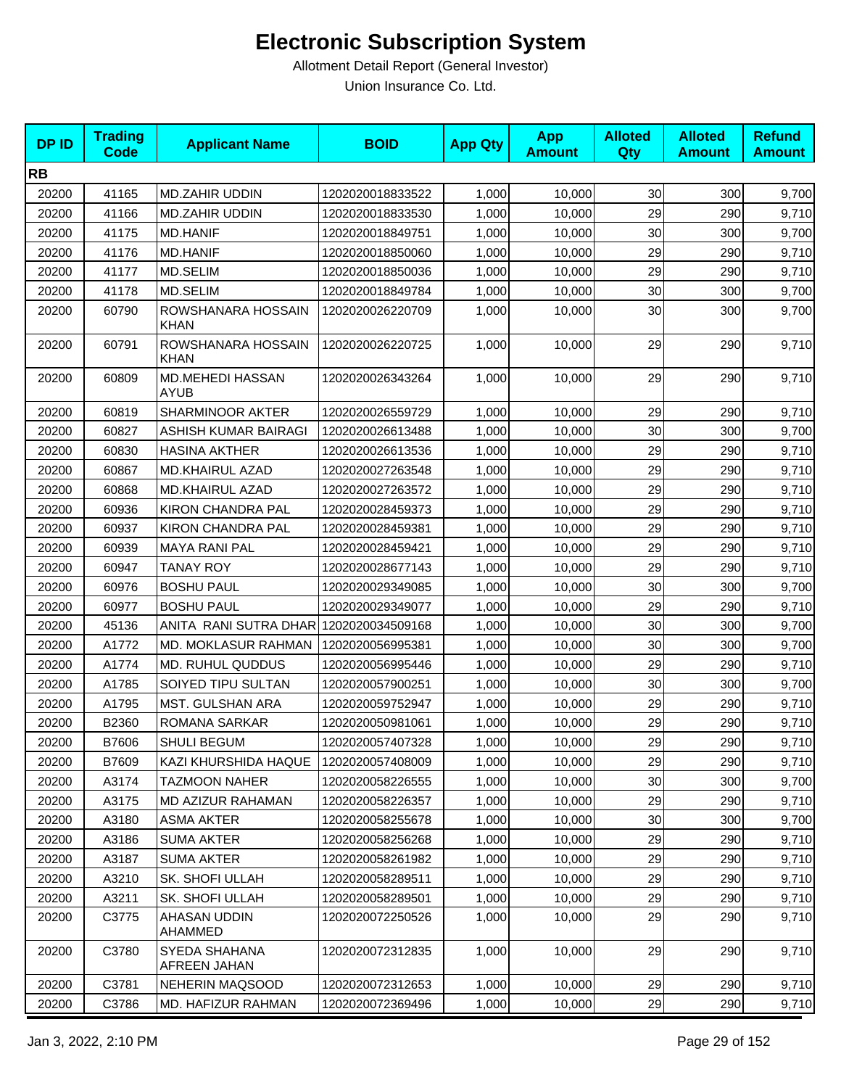| <b>DPID</b> | <b>Trading</b><br><b>Code</b> | <b>Applicant Name</b>                  | <b>BOID</b>      | <b>App Qty</b> | <b>App</b><br><b>Amount</b> | <b>Alloted</b><br><b>Qty</b> | <b>Alloted</b><br><b>Amount</b> | <b>Refund</b><br><b>Amount</b> |
|-------------|-------------------------------|----------------------------------------|------------------|----------------|-----------------------------|------------------------------|---------------------------------|--------------------------------|
| <b>RB</b>   |                               |                                        |                  |                |                             |                              |                                 |                                |
| 20200       | 41165                         | <b>MD.ZAHIR UDDIN</b>                  | 1202020018833522 | 1,000          | 10,000                      | 30                           | 300                             | 9,700                          |
| 20200       | 41166                         | <b>MD.ZAHIR UDDIN</b>                  | 1202020018833530 | 1,000          | 10,000                      | 29                           | 290                             | 9,710                          |
| 20200       | 41175                         | <b>MD.HANIF</b>                        | 1202020018849751 | 1,000          | 10,000                      | 30                           | 300                             | 9,700                          |
| 20200       | 41176                         | <b>MD.HANIF</b>                        | 1202020018850060 | 1,000          | 10,000                      | 29                           | 290                             | 9,710                          |
| 20200       | 41177                         | MD.SELIM                               | 1202020018850036 | 1,000          | 10,000                      | 29                           | 290                             | 9,710                          |
| 20200       | 41178                         | MD.SELIM                               | 1202020018849784 | 1,000          | 10,000                      | 30                           | 300                             | 9,700                          |
| 20200       | 60790                         | ROWSHANARA HOSSAIN<br>KHAN             | 1202020026220709 | 1,000          | 10,000                      | 30                           | 300                             | 9,700                          |
| 20200       | 60791                         | ROWSHANARA HOSSAIN<br><b>KHAN</b>      | 1202020026220725 | 1,000          | 10,000                      | 29                           | 290                             | 9,710                          |
| 20200       | 60809                         | MD.MEHEDI HASSAN<br><b>AYUB</b>        | 1202020026343264 | 1,000          | 10,000                      | 29                           | 290                             | 9,710                          |
| 20200       | 60819                         | SHARMINOOR AKTER                       | 1202020026559729 | 1,000          | 10,000                      | 29                           | 290                             | 9,710                          |
| 20200       | 60827                         | ASHISH KUMAR BAIRAGI                   | 1202020026613488 | 1,000          | 10,000                      | 30                           | 300                             | 9,700                          |
| 20200       | 60830                         | <b>HASINA AKTHER</b>                   | 1202020026613536 | 1,000          | 10,000                      | 29                           | 290                             | 9,710                          |
| 20200       | 60867                         | <b>MD.KHAIRUL AZAD</b>                 | 1202020027263548 | 1,000          | 10,000                      | 29                           | 290                             | 9,710                          |
| 20200       | 60868                         | <b>MD.KHAIRUL AZAD</b>                 | 1202020027263572 | 1,000          | 10,000                      | 29                           | 290                             | 9,710                          |
| 20200       | 60936                         | <b>KIRON CHANDRA PAL</b>               | 1202020028459373 | 1,000          | 10,000                      | 29                           | 290                             | 9,710                          |
| 20200       | 60937                         | <b>KIRON CHANDRA PAL</b>               | 1202020028459381 | 1,000          | 10,000                      | 29                           | 290                             | 9,710                          |
| 20200       | 60939                         | <b>MAYA RANI PAL</b>                   | 1202020028459421 | 1,000          | 10,000                      | 29                           | 290                             | 9,710                          |
| 20200       | 60947                         | <b>TANAY ROY</b>                       | 1202020028677143 | 1,000          | 10,000                      | 29                           | 290                             | 9,710                          |
| 20200       | 60976                         | <b>BOSHU PAUL</b>                      | 1202020029349085 | 1,000          | 10,000                      | 30                           | 300                             | 9,700                          |
| 20200       | 60977                         | <b>BOSHU PAUL</b>                      | 1202020029349077 | 1,000          | 10,000                      | 29                           | 290                             | 9,710                          |
| 20200       | 45136                         | ANITA RANI SUTRA DHAR 1202020034509168 |                  | 1,000          | 10,000                      | 30                           | 300                             | 9,700                          |
| 20200       | A1772                         | MD. MOKLASUR RAHMAN                    | 1202020056995381 | 1,000          | 10,000                      | 30                           | 300                             | 9,700                          |
| 20200       | A1774                         | MD. RUHUL QUDDUS                       | 1202020056995446 | 1,000          | 10,000                      | 29                           | 290                             | 9,710                          |
| 20200       | A1785                         | SOIYED TIPU SULTAN                     | 1202020057900251 | 1,000          | 10,000                      | 30                           | 300                             | 9,700                          |
| 20200       | A1795                         | MST. GULSHAN ARA                       | 1202020059752947 | 1,000          | 10,000                      | 29                           | 290                             | 9,710                          |
| 20200       | B2360                         | <b>ROMANA SARKAR</b>                   | 1202020050981061 | 1,000          | 10,000                      | 29                           | 290                             | 9,710                          |
| 20200       | B7606                         | SHULI BEGUM                            | 1202020057407328 | 1,000          | 10,000                      | 29                           | 290                             | 9,710                          |
| 20200       | B7609                         | KAZI KHURSHIDA HAQUE                   | 1202020057408009 | 1,000          | 10,000                      | 29                           | 290                             | 9,710                          |
| 20200       | A3174                         | <b>TAZMOON NAHER</b>                   | 1202020058226555 | 1,000          | 10,000                      | 30                           | 300                             | 9,700                          |
| 20200       | A3175                         | MD AZIZUR RAHAMAN                      | 1202020058226357 | 1,000          | 10,000                      | 29                           | 290                             | 9,710                          |
| 20200       | A3180                         | <b>ASMA AKTER</b>                      | 1202020058255678 | 1,000          | 10,000                      | 30                           | 300                             | 9,700                          |
| 20200       | A3186                         | <b>SUMA AKTER</b>                      | 1202020058256268 | 1,000          | 10,000                      | 29                           | 290                             | 9,710                          |
| 20200       | A3187                         | <b>SUMA AKTER</b>                      | 1202020058261982 | 1,000          | 10,000                      | 29                           | 290                             | 9,710                          |
| 20200       | A3210                         | SK. SHOFI ULLAH                        | 1202020058289511 | 1,000          | 10,000                      | 29                           | 290                             | 9,710                          |
| 20200       | A3211                         | SK. SHOFI ULLAH                        | 1202020058289501 | 1,000          | 10,000                      | 29                           | 290                             | 9,710                          |
| 20200       | C3775                         | AHASAN UDDIN<br>AHAMMED                | 1202020072250526 | 1,000          | 10,000                      | 29                           | 290                             | 9,710                          |
| 20200       | C3780                         | SYEDA SHAHANA<br>AFREEN JAHAN          | 1202020072312835 | 1,000          | 10,000                      | 29                           | 290                             | 9,710                          |
| 20200       | C3781                         | <b>NEHERIN MAQSOOD</b>                 | 1202020072312653 | 1,000          | 10,000                      | 29                           | 290                             | 9,710                          |
| 20200       | C3786                         | MD. HAFIZUR RAHMAN                     | 1202020072369496 | 1,000          | 10,000                      | 29                           | 290                             | 9,710                          |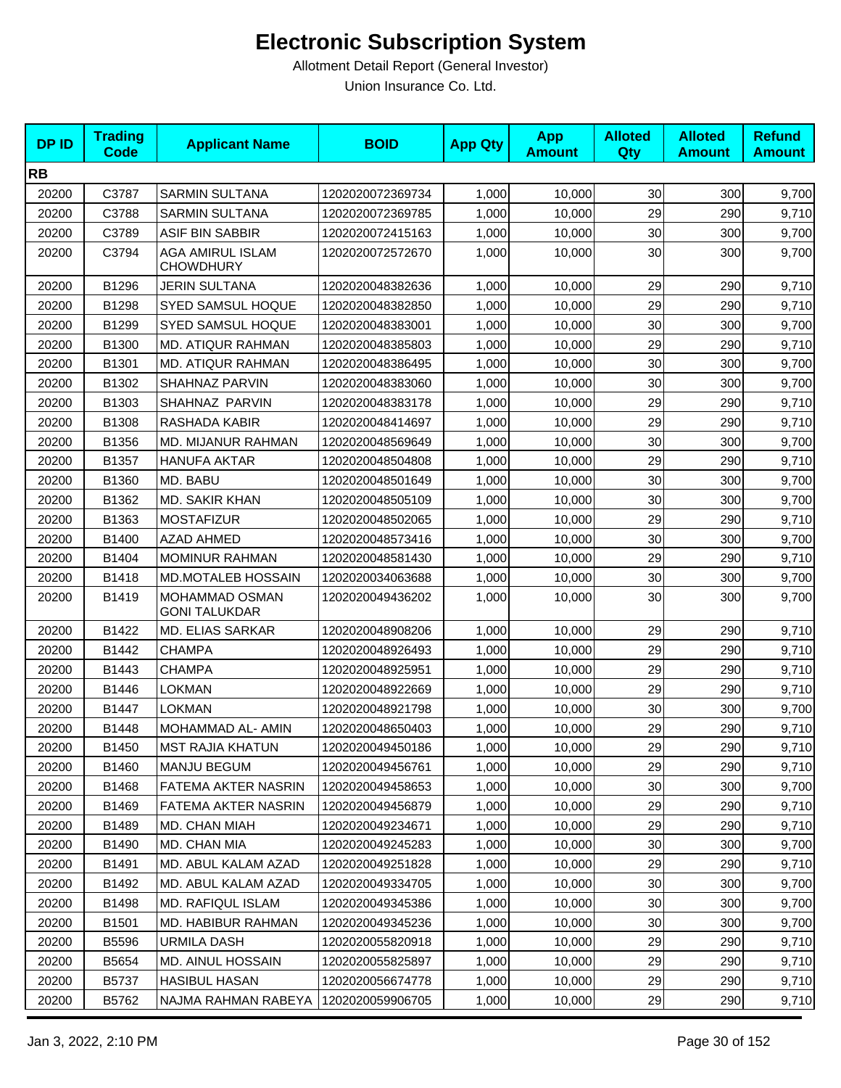| <b>RB</b><br>30<br>20200<br>C3787<br><b>SARMIN SULTANA</b><br>1,000<br>300<br>1202020072369734<br>10,000<br>29<br>20200<br>C3788<br><b>SARMIN SULTANA</b><br>1,000<br>290<br>1202020072369785<br>10,000<br>30<br>20200<br>C3789<br>ASIF BIN SABBIR<br>1,000<br>300<br>1202020072415163<br>10,000<br>AGA AMIRUL ISLAM<br>30<br>20200<br>C3794<br>1202020072572670<br>1,000<br>10,000<br>300<br><b>CHOWDHURY</b><br><b>JERIN SULTANA</b><br>29<br>20200<br>B1296<br>1202020048382636<br>1,000<br>10,000<br>290<br>29<br>20200<br>B1298<br><b>SYED SAMSUL HOQUE</b><br>1,000<br>290<br>1202020048382850<br>10,000<br>30<br>20200<br>B1299<br>SYED SAMSUL HOQUE<br>1202020048383001<br>1,000<br>300<br>10,000<br>29<br>20200<br>B1300<br>MD. ATIQUR RAHMAN<br>1,000<br>290<br>1202020048385803<br>10,000<br>30<br>20200<br>B1301<br>MD. ATIQUR RAHMAN<br>1,000<br>300<br>1202020048386495<br>10,000<br>30<br>20200<br>B1302<br>SHAHNAZ PARVIN<br>1,000<br>300<br>1202020048383060<br>10,000 | <b>DPID</b> | <b>Trading</b><br><b>Code</b> | <b>Applicant Name</b> | <b>BOID</b> | <b>App Qty</b> | <b>App</b><br><b>Amount</b> | <b>Alloted</b><br><b>Qty</b> | <b>Alloted</b><br><b>Amount</b> | <b>Refund</b><br><b>Amount</b> |
|-----------------------------------------------------------------------------------------------------------------------------------------------------------------------------------------------------------------------------------------------------------------------------------------------------------------------------------------------------------------------------------------------------------------------------------------------------------------------------------------------------------------------------------------------------------------------------------------------------------------------------------------------------------------------------------------------------------------------------------------------------------------------------------------------------------------------------------------------------------------------------------------------------------------------------------------------------------------------------------------|-------------|-------------------------------|-----------------------|-------------|----------------|-----------------------------|------------------------------|---------------------------------|--------------------------------|
|                                                                                                                                                                                                                                                                                                                                                                                                                                                                                                                                                                                                                                                                                                                                                                                                                                                                                                                                                                                         |             |                               |                       |             |                |                             |                              |                                 |                                |
|                                                                                                                                                                                                                                                                                                                                                                                                                                                                                                                                                                                                                                                                                                                                                                                                                                                                                                                                                                                         |             |                               |                       |             |                |                             |                              |                                 | 9,700                          |
|                                                                                                                                                                                                                                                                                                                                                                                                                                                                                                                                                                                                                                                                                                                                                                                                                                                                                                                                                                                         |             |                               |                       |             |                |                             |                              |                                 | 9,710                          |
|                                                                                                                                                                                                                                                                                                                                                                                                                                                                                                                                                                                                                                                                                                                                                                                                                                                                                                                                                                                         |             |                               |                       |             |                |                             |                              |                                 | 9,700                          |
|                                                                                                                                                                                                                                                                                                                                                                                                                                                                                                                                                                                                                                                                                                                                                                                                                                                                                                                                                                                         |             |                               |                       |             |                |                             |                              |                                 | 9,700                          |
|                                                                                                                                                                                                                                                                                                                                                                                                                                                                                                                                                                                                                                                                                                                                                                                                                                                                                                                                                                                         |             |                               |                       |             |                |                             |                              |                                 | 9,710                          |
|                                                                                                                                                                                                                                                                                                                                                                                                                                                                                                                                                                                                                                                                                                                                                                                                                                                                                                                                                                                         |             |                               |                       |             |                |                             |                              |                                 | 9,710                          |
|                                                                                                                                                                                                                                                                                                                                                                                                                                                                                                                                                                                                                                                                                                                                                                                                                                                                                                                                                                                         |             |                               |                       |             |                |                             |                              |                                 | 9,700                          |
|                                                                                                                                                                                                                                                                                                                                                                                                                                                                                                                                                                                                                                                                                                                                                                                                                                                                                                                                                                                         |             |                               |                       |             |                |                             |                              |                                 | 9,710                          |
|                                                                                                                                                                                                                                                                                                                                                                                                                                                                                                                                                                                                                                                                                                                                                                                                                                                                                                                                                                                         |             |                               |                       |             |                |                             |                              |                                 | 9,700                          |
|                                                                                                                                                                                                                                                                                                                                                                                                                                                                                                                                                                                                                                                                                                                                                                                                                                                                                                                                                                                         |             |                               |                       |             |                |                             |                              |                                 | 9,700                          |
| 29<br>B1303<br>SHAHNAZ PARVIN<br>1,000<br>290<br>20200<br>1202020048383178<br>10,000                                                                                                                                                                                                                                                                                                                                                                                                                                                                                                                                                                                                                                                                                                                                                                                                                                                                                                    |             |                               |                       |             |                |                             |                              |                                 | 9,710                          |
| 29<br>20200<br>B1308<br>RASHADA KABIR<br>1,000<br>290<br>1202020048414697<br>10,000                                                                                                                                                                                                                                                                                                                                                                                                                                                                                                                                                                                                                                                                                                                                                                                                                                                                                                     |             |                               |                       |             |                |                             |                              |                                 | 9,710                          |
| 30<br>20200<br>B1356<br>MD. MIJANUR RAHMAN<br>300<br>1202020048569649<br>1,000<br>10.000                                                                                                                                                                                                                                                                                                                                                                                                                                                                                                                                                                                                                                                                                                                                                                                                                                                                                                |             |                               |                       |             |                |                             |                              |                                 | 9,700                          |
| 29<br>20200<br>B1357<br><b>HANUFA AKTAR</b><br>1,000<br>290<br>1202020048504808<br>10,000                                                                                                                                                                                                                                                                                                                                                                                                                                                                                                                                                                                                                                                                                                                                                                                                                                                                                               |             |                               |                       |             |                |                             |                              |                                 | 9,710                          |
| 30<br>300<br>20200<br>B1360<br>MD. BABU<br>1,000<br>1202020048501649<br>10,000                                                                                                                                                                                                                                                                                                                                                                                                                                                                                                                                                                                                                                                                                                                                                                                                                                                                                                          |             |                               |                       |             |                |                             |                              |                                 | 9,700                          |
| 30<br>20200<br>B1362<br><b>MD. SAKIR KHAN</b><br>1202020048505109<br>1,000<br>300<br>10,000                                                                                                                                                                                                                                                                                                                                                                                                                                                                                                                                                                                                                                                                                                                                                                                                                                                                                             |             |                               |                       |             |                |                             |                              |                                 | 9,700                          |
| 29<br>20200<br>B1363<br>290<br><b>MOSTAFIZUR</b><br>1202020048502065<br>1,000<br>10,000                                                                                                                                                                                                                                                                                                                                                                                                                                                                                                                                                                                                                                                                                                                                                                                                                                                                                                 |             |                               |                       |             |                |                             |                              |                                 | 9,710                          |
| 30<br>B1400<br><b>AZAD AHMED</b><br>300<br>20200<br>1202020048573416<br>1,000<br>10,000                                                                                                                                                                                                                                                                                                                                                                                                                                                                                                                                                                                                                                                                                                                                                                                                                                                                                                 |             |                               |                       |             |                |                             |                              |                                 | 9,700                          |
| 29<br>20200<br>B1404<br><b>MOMINUR RAHMAN</b><br>1202020048581430<br>1,000<br>290<br>10,000                                                                                                                                                                                                                                                                                                                                                                                                                                                                                                                                                                                                                                                                                                                                                                                                                                                                                             |             |                               |                       |             |                |                             |                              |                                 | 9,710                          |
| 30<br>20200<br>B1418<br>MD.MOTALEB HOSSAIN<br>1,000<br>300<br>1202020034063688<br>10,000                                                                                                                                                                                                                                                                                                                                                                                                                                                                                                                                                                                                                                                                                                                                                                                                                                                                                                |             |                               |                       |             |                |                             |                              |                                 | 9,700                          |
| 30<br>20200<br>B1419<br>MOHAMMAD OSMAN<br>1,000<br>300<br>1202020049436202<br>10,000<br><b>GONI TALUKDAR</b>                                                                                                                                                                                                                                                                                                                                                                                                                                                                                                                                                                                                                                                                                                                                                                                                                                                                            |             |                               |                       |             |                |                             |                              |                                 | 9,700                          |
| B1422<br><b>MD. ELIAS SARKAR</b><br>1202020048908206<br>29<br>290<br>20200<br>1,000<br>10,000                                                                                                                                                                                                                                                                                                                                                                                                                                                                                                                                                                                                                                                                                                                                                                                                                                                                                           |             |                               |                       |             |                |                             |                              |                                 | 9,710                          |
| 29<br>B1442<br><b>CHAMPA</b><br>1,000<br>290<br>20200<br>1202020048926493<br>10,000                                                                                                                                                                                                                                                                                                                                                                                                                                                                                                                                                                                                                                                                                                                                                                                                                                                                                                     |             |                               |                       |             |                |                             |                              |                                 | 9,710                          |
| 29<br>B1443<br><b>CHAMPA</b><br>290<br>20200<br>1202020048925951<br>1,000<br>10,000                                                                                                                                                                                                                                                                                                                                                                                                                                                                                                                                                                                                                                                                                                                                                                                                                                                                                                     |             |                               |                       |             |                |                             |                              |                                 | 9,710                          |
| 29<br>20200<br>B1446<br><b>LOKMAN</b><br>1202020048922669<br>1,000<br>10,000<br>290                                                                                                                                                                                                                                                                                                                                                                                                                                                                                                                                                                                                                                                                                                                                                                                                                                                                                                     |             |                               |                       |             |                |                             |                              |                                 | 9,710                          |
| 20200<br>B1447<br>1,000<br>30<br>300<br>LOKMAN<br>1202020048921798<br>10,000                                                                                                                                                                                                                                                                                                                                                                                                                                                                                                                                                                                                                                                                                                                                                                                                                                                                                                            |             |                               |                       |             |                |                             |                              |                                 | 9,700                          |
| 29<br>290<br>20200<br>B1448<br>MOHAMMAD AL- AMIN<br>1202020048650403<br>1,000<br>10,000                                                                                                                                                                                                                                                                                                                                                                                                                                                                                                                                                                                                                                                                                                                                                                                                                                                                                                 |             |                               |                       |             |                |                             |                              |                                 | 9,710                          |
| 29<br>290<br>1,000<br>10,000<br>20200<br>B1450<br><b>MST RAJIA KHATUN</b><br>1202020049450186                                                                                                                                                                                                                                                                                                                                                                                                                                                                                                                                                                                                                                                                                                                                                                                                                                                                                           |             |                               |                       |             |                |                             |                              |                                 | 9,710                          |
| 20200<br>B1460<br><b>MANJU BEGUM</b><br>1,000<br>10,000<br>29<br>290<br>1202020049456761                                                                                                                                                                                                                                                                                                                                                                                                                                                                                                                                                                                                                                                                                                                                                                                                                                                                                                |             |                               |                       |             |                |                             |                              |                                 | 9,710                          |
| 30<br>20200<br>B1468<br>FATEMA AKTER NASRIN<br>1202020049458653<br>1,000<br>10,000<br>300                                                                                                                                                                                                                                                                                                                                                                                                                                                                                                                                                                                                                                                                                                                                                                                                                                                                                               |             |                               |                       |             |                |                             |                              |                                 | 9,700                          |
| 29<br>20200<br>B1469<br>FATEMA AKTER NASRIN<br>1,000<br>10,000<br>290<br>1202020049456879                                                                                                                                                                                                                                                                                                                                                                                                                                                                                                                                                                                                                                                                                                                                                                                                                                                                                               |             |                               |                       |             |                |                             |                              |                                 | 9,710                          |
| 1,000<br>29<br>20200<br>B1489<br>MD. CHAN MIAH<br>1202020049234671<br>10,000<br>290                                                                                                                                                                                                                                                                                                                                                                                                                                                                                                                                                                                                                                                                                                                                                                                                                                                                                                     |             |                               |                       |             |                |                             |                              |                                 | 9,710                          |
| B1490<br>1,000<br>30<br>300<br>20200<br>MD. CHAN MIA<br>1202020049245283<br>10,000                                                                                                                                                                                                                                                                                                                                                                                                                                                                                                                                                                                                                                                                                                                                                                                                                                                                                                      |             |                               |                       |             |                |                             |                              |                                 | 9,700                          |
| 29<br>MD. ABUL KALAM AZAD<br>1,000<br>10,000<br>290<br>20200<br>B1491<br>1202020049251828                                                                                                                                                                                                                                                                                                                                                                                                                                                                                                                                                                                                                                                                                                                                                                                                                                                                                               |             |                               |                       |             |                |                             |                              |                                 | 9,710                          |
| 20200<br>B1492<br>MD. ABUL KALAM AZAD<br>1,000<br>10,000<br>30<br>300<br>1202020049334705                                                                                                                                                                                                                                                                                                                                                                                                                                                                                                                                                                                                                                                                                                                                                                                                                                                                                               |             |                               |                       |             |                |                             |                              |                                 | 9,700                          |
| 30<br>B1498<br>MD. RAFIQUL ISLAM<br>1,000<br>10,000<br>300<br>20200<br>1202020049345386                                                                                                                                                                                                                                                                                                                                                                                                                                                                                                                                                                                                                                                                                                                                                                                                                                                                                                 |             |                               |                       |             |                |                             |                              |                                 | 9,700                          |
| 1,000<br>30<br>300<br>20200<br>B1501<br>MD. HABIBUR RAHMAN<br>1202020049345236<br>10,000                                                                                                                                                                                                                                                                                                                                                                                                                                                                                                                                                                                                                                                                                                                                                                                                                                                                                                |             |                               |                       |             |                |                             |                              |                                 | 9,700                          |
| 29<br>20200<br>B5596<br>URMILA DASH<br>1202020055820918<br>1,000<br>10,000<br>290                                                                                                                                                                                                                                                                                                                                                                                                                                                                                                                                                                                                                                                                                                                                                                                                                                                                                                       |             |                               |                       |             |                |                             |                              |                                 | 9,710                          |
| 29<br>20200<br>MD. AINUL HOSSAIN<br>1,000<br>10,000<br>290<br>B5654<br>1202020055825897                                                                                                                                                                                                                                                                                                                                                                                                                                                                                                                                                                                                                                                                                                                                                                                                                                                                                                 |             |                               |                       |             |                |                             |                              |                                 | 9,710                          |
| 20200<br>1,000<br>29<br>290<br>B5737<br><b>HASIBUL HASAN</b><br>1202020056674778<br>10,000                                                                                                                                                                                                                                                                                                                                                                                                                                                                                                                                                                                                                                                                                                                                                                                                                                                                                              |             |                               |                       |             |                |                             |                              |                                 | 9,710                          |
| 29<br>20200<br>B5762<br>NAJMA RAHMAN RABEYA<br>1202020059906705<br>1,000<br>10,000<br>290                                                                                                                                                                                                                                                                                                                                                                                                                                                                                                                                                                                                                                                                                                                                                                                                                                                                                               |             |                               |                       |             |                |                             |                              |                                 | 9,710                          |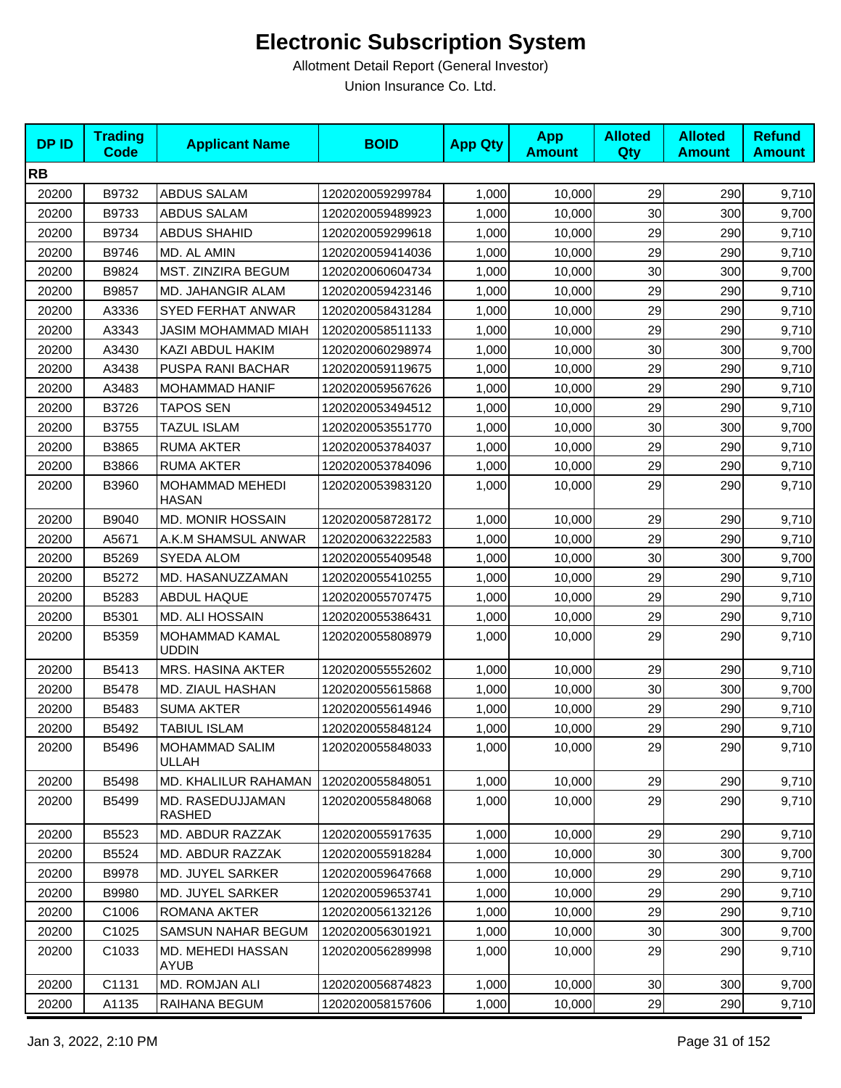| <b>DPID</b> | <b>Trading</b><br><b>Code</b> | <b>Applicant Name</b>             | <b>BOID</b>      | <b>App Qty</b> | <b>App</b><br><b>Amount</b> | <b>Alloted</b><br><b>Qty</b> | <b>Alloted</b><br><b>Amount</b> | <b>Refund</b><br><b>Amount</b> |
|-------------|-------------------------------|-----------------------------------|------------------|----------------|-----------------------------|------------------------------|---------------------------------|--------------------------------|
| <b>RB</b>   |                               |                                   |                  |                |                             |                              |                                 |                                |
| 20200       | B9732                         | ABDUS SALAM                       | 1202020059299784 | 1,000          | 10,000                      | 29                           | 290                             | 9,710                          |
| 20200       | B9733                         | <b>ABDUS SALAM</b>                | 1202020059489923 | 1,000          | 10,000                      | 30                           | 300                             | 9,700                          |
| 20200       | B9734                         | <b>ABDUS SHAHID</b>               | 1202020059299618 | 1,000          | 10,000                      | 29                           | 290                             | 9,710                          |
| 20200       | B9746                         | MD. AL AMIN                       | 1202020059414036 | 1,000          | 10,000                      | 29                           | 290                             | 9,710                          |
| 20200       | B9824                         | MST. ZINZIRA BEGUM                | 1202020060604734 | 1,000          | 10,000                      | 30                           | 300                             | 9,700                          |
| 20200       | B9857                         | MD. JAHANGIR ALAM                 | 1202020059423146 | 1,000          | 10,000                      | 29                           | 290                             | 9,710                          |
| 20200       | A3336                         | <b>SYED FERHAT ANWAR</b>          | 1202020058431284 | 1,000          | 10,000                      | 29                           | 290                             | 9,710                          |
| 20200       | A3343                         | JASIM MOHAMMAD MIAH               | 1202020058511133 | 1,000          | 10,000                      | 29                           | 290                             | 9,710                          |
| 20200       | A3430                         | KAZI ABDUL HAKIM                  | 1202020060298974 | 1,000          | 10,000                      | 30                           | 300                             | 9,700                          |
| 20200       | A3438                         | PUSPA RANI BACHAR                 | 1202020059119675 | 1,000          | 10,000                      | 29                           | 290                             | 9,710                          |
| 20200       | A3483                         | MOHAMMAD HANIF                    | 1202020059567626 | 1,000          | 10,000                      | 29                           | 290                             | 9,710                          |
| 20200       | B3726                         | <b>TAPOS SEN</b>                  | 1202020053494512 | 1,000          | 10,000                      | 29                           | 290                             | 9,710                          |
| 20200       | B3755                         | <b>TAZUL ISLAM</b>                | 1202020053551770 | 1,000          | 10,000                      | 30                           | 300                             | 9,700                          |
| 20200       | B3865                         | <b>RUMA AKTER</b>                 | 1202020053784037 | 1,000          | 10,000                      | 29                           | 290                             | 9,710                          |
| 20200       | B3866                         | <b>RUMA AKTER</b>                 | 1202020053784096 | 1,000          | 10,000                      | 29                           | 290                             | 9,710                          |
| 20200       | B3960                         | MOHAMMAD MEHEDI<br><b>HASAN</b>   | 1202020053983120 | 1,000          | 10,000                      | 29                           | 290                             | 9,710                          |
| 20200       | B9040                         | <b>MD. MONIR HOSSAIN</b>          | 1202020058728172 | 1,000          | 10,000                      | 29                           | 290                             | 9,710                          |
| 20200       | A5671                         | A.K.M SHAMSUL ANWAR               | 1202020063222583 | 1,000          | 10,000                      | 29                           | 290                             | 9,710                          |
| 20200       | B5269                         | SYEDA ALOM                        | 1202020055409548 | 1,000          | 10,000                      | 30                           | 300                             | 9,700                          |
| 20200       | B5272                         | MD. HASANUZZAMAN                  | 1202020055410255 | 1,000          | 10,000                      | 29                           | 290                             | 9,710                          |
| 20200       | B5283                         | ABDUL HAQUE                       | 1202020055707475 | 1,000          | 10,000                      | 29                           | 290                             | 9,710                          |
| 20200       | B5301                         | MD. ALI HOSSAIN                   | 1202020055386431 | 1,000          | 10,000                      | 29                           | 290                             | 9,710                          |
| 20200       | B5359                         | MOHAMMAD KAMAL<br><b>UDDIN</b>    | 1202020055808979 | 1,000          | 10,000                      | 29                           | 290                             | 9,710                          |
| 20200       | B5413                         | MRS. HASINA AKTER                 | 1202020055552602 | 1,000          | 10,000                      | 29                           | 290                             | 9,710                          |
| 20200       | B5478                         | MD. ZIAUL HASHAN                  | 1202020055615868 | 1,000          | 10,000                      | 30                           | 300                             | 9,700                          |
| 20200       | B5483                         | <b>SUMA AKTER</b>                 | 1202020055614946 | 1,000          | 10,000                      | 29                           | 290                             | 9,710                          |
| 20200       | B5492                         | TABIUL ISLAM                      | 1202020055848124 | 1,000          | 10,000                      | 29                           | 290                             | 9,710                          |
| 20200       | B5496                         | MOHAMMAD SALIM<br>ULLAH           | 1202020055848033 | 1,000          | 10,000                      | 29                           | 290                             | 9,710                          |
| 20200       | B5498                         | MD. KHALILUR RAHAMAN              | 1202020055848051 | 1,000          | 10,000                      | 29                           | 290                             | 9,710                          |
| 20200       | B5499                         | MD. RASEDUJJAMAN<br><b>RASHED</b> | 1202020055848068 | 1,000          | 10.000                      | 29                           | 290                             | 9,710                          |
| 20200       | B5523                         | MD. ABDUR RAZZAK                  | 1202020055917635 | 1,000          | 10,000                      | 29                           | 290                             | 9,710                          |
| 20200       | B5524                         | MD. ABDUR RAZZAK                  | 1202020055918284 | 1,000          | 10,000                      | 30                           | 300                             | 9,700                          |
| 20200       | B9978                         | MD. JUYEL SARKER                  | 1202020059647668 | 1,000          | 10,000                      | 29                           | 290                             | 9,710                          |
| 20200       | B9980                         | MD. JUYEL SARKER                  | 1202020059653741 | 1,000          | 10,000                      | 29                           | 290                             | 9,710                          |
| 20200       | C1006                         | ROMANA AKTER                      | 1202020056132126 | 1,000          | 10,000                      | 29                           | 290                             | 9,710                          |
| 20200       | C1025                         | SAMSUN NAHAR BEGUM                | 1202020056301921 | 1,000          | 10,000                      | 30                           | 300                             | 9,700                          |
| 20200       | C1033                         | MD. MEHEDI HASSAN<br><b>AYUB</b>  | 1202020056289998 | 1,000          | 10,000                      | 29                           | 290                             | 9,710                          |
| 20200       | C1131                         | MD. ROMJAN ALI                    | 1202020056874823 | 1,000          | 10,000                      | 30                           | 300                             | 9,700                          |
| 20200       | A1135                         | RAIHANA BEGUM                     | 1202020058157606 | 1,000          | 10,000                      | 29                           | 290                             | 9,710                          |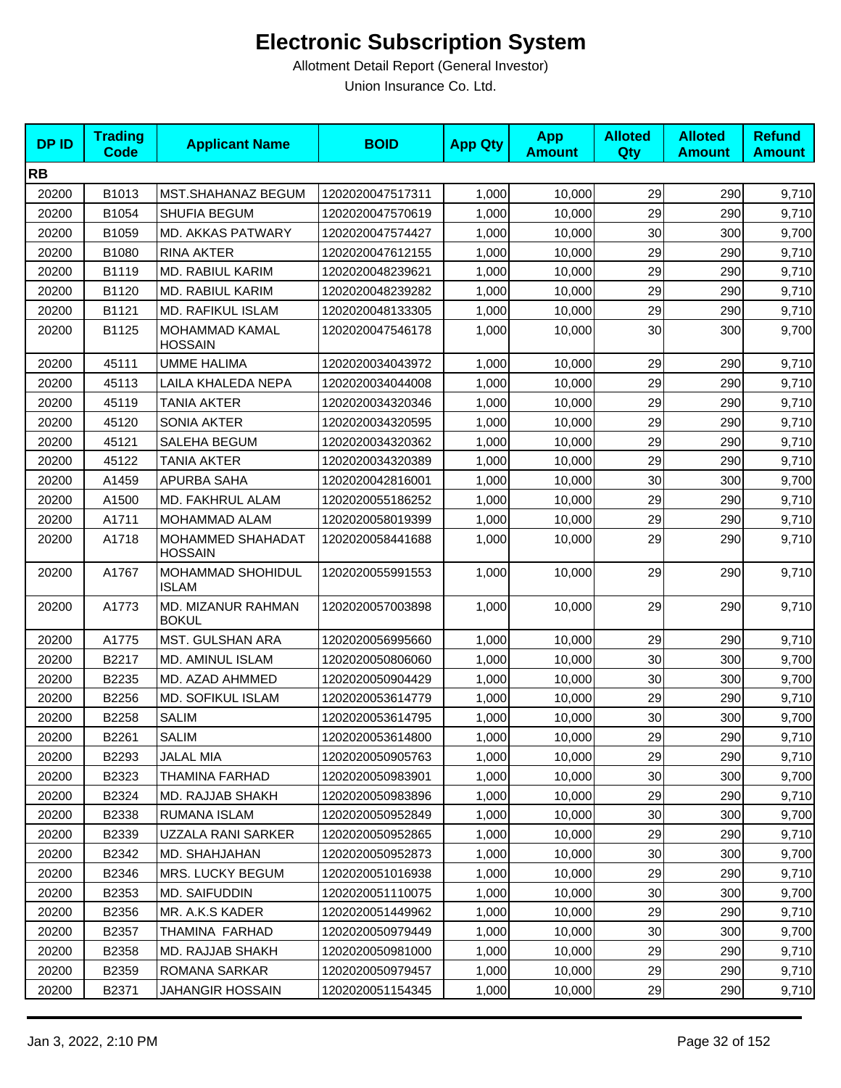| <b>DPID</b> | <b>Trading</b><br><b>Code</b> | <b>Applicant Name</b>               | <b>BOID</b>      | <b>App Qty</b> | <b>App</b><br><b>Amount</b> | <b>Alloted</b><br><b>Qty</b> | <b>Alloted</b><br><b>Amount</b> | <b>Refund</b><br><b>Amount</b> |
|-------------|-------------------------------|-------------------------------------|------------------|----------------|-----------------------------|------------------------------|---------------------------------|--------------------------------|
| <b>RB</b>   |                               |                                     |                  |                |                             |                              |                                 |                                |
| 20200       | B1013                         | MST.SHAHANAZ BEGUM                  | 1202020047517311 | 1,000          | 10,000                      | 29                           | 290                             | 9,710                          |
| 20200       | B1054                         | SHUFIA BEGUM                        | 1202020047570619 | 1,000          | 10,000                      | 29                           | 290                             | 9,710                          |
| 20200       | B1059                         | <b>MD. AKKAS PATWARY</b>            | 1202020047574427 | 1,000          | 10,000                      | 30                           | 300                             | 9,700                          |
| 20200       | B1080                         | <b>RINA AKTER</b>                   | 1202020047612155 | 1,000          | 10,000                      | 29                           | 290                             | 9,710                          |
| 20200       | B1119                         | MD. RABIUL KARIM                    | 1202020048239621 | 1,000          | 10,000                      | 29                           | 290                             | 9,710                          |
| 20200       | B1120                         | MD. RABIUL KARIM                    | 1202020048239282 | 1,000          | 10,000                      | 29                           | 290                             | 9,710                          |
| 20200       | B1121                         | <b>MD. RAFIKUL ISLAM</b>            | 1202020048133305 | 1,000          | 10,000                      | 29                           | 290                             | 9,710                          |
| 20200       | B1125                         | MOHAMMAD KAMAL<br><b>HOSSAIN</b>    | 1202020047546178 | 1,000          | 10,000                      | 30                           | 300                             | 9,700                          |
| 20200       | 45111                         | <b>UMME HALIMA</b>                  | 1202020034043972 | 1,000          | 10,000                      | 29                           | 290                             | 9,710                          |
| 20200       | 45113                         | LAILA KHALEDA NEPA                  | 1202020034044008 | 1,000          | 10,000                      | 29                           | 290                             | 9,710                          |
| 20200       | 45119                         | TANIA AKTER                         | 1202020034320346 | 1,000          | 10,000                      | 29                           | 290                             | 9,710                          |
| 20200       | 45120                         | <b>SONIA AKTER</b>                  | 1202020034320595 | 1,000          | 10,000                      | 29                           | 290                             | 9,710                          |
| 20200       | 45121                         | SALEHA BEGUM                        | 1202020034320362 | 1,000          | 10,000                      | 29                           | 290                             | 9,710                          |
| 20200       | 45122                         | <b>TANIA AKTER</b>                  | 1202020034320389 | 1,000          | 10,000                      | 29                           | 290                             | 9,710                          |
| 20200       | A1459                         | APURBA SAHA                         | 1202020042816001 | 1,000          | 10,000                      | 30                           | 300                             | 9,700                          |
| 20200       | A1500                         | MD. FAKHRUL ALAM                    | 1202020055186252 | 1,000          | 10,000                      | 29                           | 290                             | 9,710                          |
| 20200       | A1711                         | MOHAMMAD ALAM                       | 1202020058019399 | 1,000          | 10,000                      | 29                           | 290                             | 9,710                          |
| 20200       | A1718                         | MOHAMMED SHAHADAT<br><b>HOSSAIN</b> | 1202020058441688 | 1,000          | 10,000                      | 29                           | 290                             | 9,710                          |
| 20200       | A1767                         | MOHAMMAD SHOHIDUL<br><b>ISLAM</b>   | 1202020055991553 | 1,000          | 10,000                      | 29                           | 290                             | 9,710                          |
| 20200       | A1773                         | MD. MIZANUR RAHMAN<br><b>BOKUL</b>  | 1202020057003898 | 1,000          | 10,000                      | 29                           | 290                             | 9,710                          |
| 20200       | A1775                         | MST. GULSHAN ARA                    | 1202020056995660 | 1,000          | 10,000                      | 29                           | 290                             | 9,710                          |
| 20200       | B2217                         | MD. AMINUL ISLAM                    | 1202020050806060 | 1,000          | 10,000                      | 30                           | 300                             | 9,700                          |
| 20200       | B2235                         | MD. AZAD AHMMED                     | 1202020050904429 | 1,000          | 10,000                      | 30                           | 300                             | 9,700                          |
| 20200       | B2256                         | MD. SOFIKUL ISLAM                   | 1202020053614779 | 1,000          | 10,000                      | 29                           | 290                             | 9,710                          |
| 20200       | B2258                         | <b>SALIM</b>                        | 1202020053614795 | 1,000          | 10,000                      | 30                           | 300                             | 9,700                          |
| 20200       | B2261                         | <b>SALIM</b>                        | 1202020053614800 | 1,000          | 10,000                      | 29                           | 290                             | 9,710                          |
| 20200       | B2293                         | JALAL MIA                           | 1202020050905763 | 1,000          | 10.000                      | 29                           | 290                             | 9,710                          |
| 20200       | B2323                         | THAMINA FARHAD                      | 1202020050983901 | 1,000          | 10,000                      | 30                           | 300                             | 9,700                          |
| 20200       | B2324                         | MD. RAJJAB SHAKH                    | 1202020050983896 | 1,000          | 10,000                      | 29                           | 290                             | 9,710                          |
| 20200       | B2338                         | RUMANA ISLAM                        | 1202020050952849 | 1,000          | 10,000                      | 30 <sub>0</sub>              | 300                             | 9,700                          |
| 20200       | B2339                         | UZZALA RANI SARKER                  | 1202020050952865 | 1,000          | 10.000                      | 29                           | 290                             | 9,710                          |
| 20200       | B2342                         | MD. SHAHJAHAN                       | 1202020050952873 | 1,000          | 10,000                      | 30                           | 300                             | 9,700                          |
| 20200       | B2346                         | MRS. LUCKY BEGUM                    | 1202020051016938 | 1,000          | 10,000                      | 29                           | 290                             | 9,710                          |
| 20200       | B2353                         | MD. SAIFUDDIN                       | 1202020051110075 | 1,000          | 10.000                      | 30                           | 300                             | 9,700                          |
| 20200       | B2356                         | MR. A.K.S KADER                     | 1202020051449962 | 1,000          | 10,000                      | 29                           | 290                             | 9,710                          |
| 20200       | B2357                         | THAMINA FARHAD                      | 1202020050979449 | 1,000          | 10,000                      | 30                           | 300                             | 9,700                          |
| 20200       | B2358                         | MD. RAJJAB SHAKH                    | 1202020050981000 | 1,000          | 10,000                      | 29                           | 290                             | 9,710                          |
| 20200       | B2359                         | ROMANA SARKAR                       | 1202020050979457 | 1,000          | 10,000                      | 29                           | 290                             | 9,710                          |
| 20200       | B2371                         | JAHANGIR HOSSAIN                    | 1202020051154345 | 1,000          | 10,000                      | 29                           | 290                             | 9,710                          |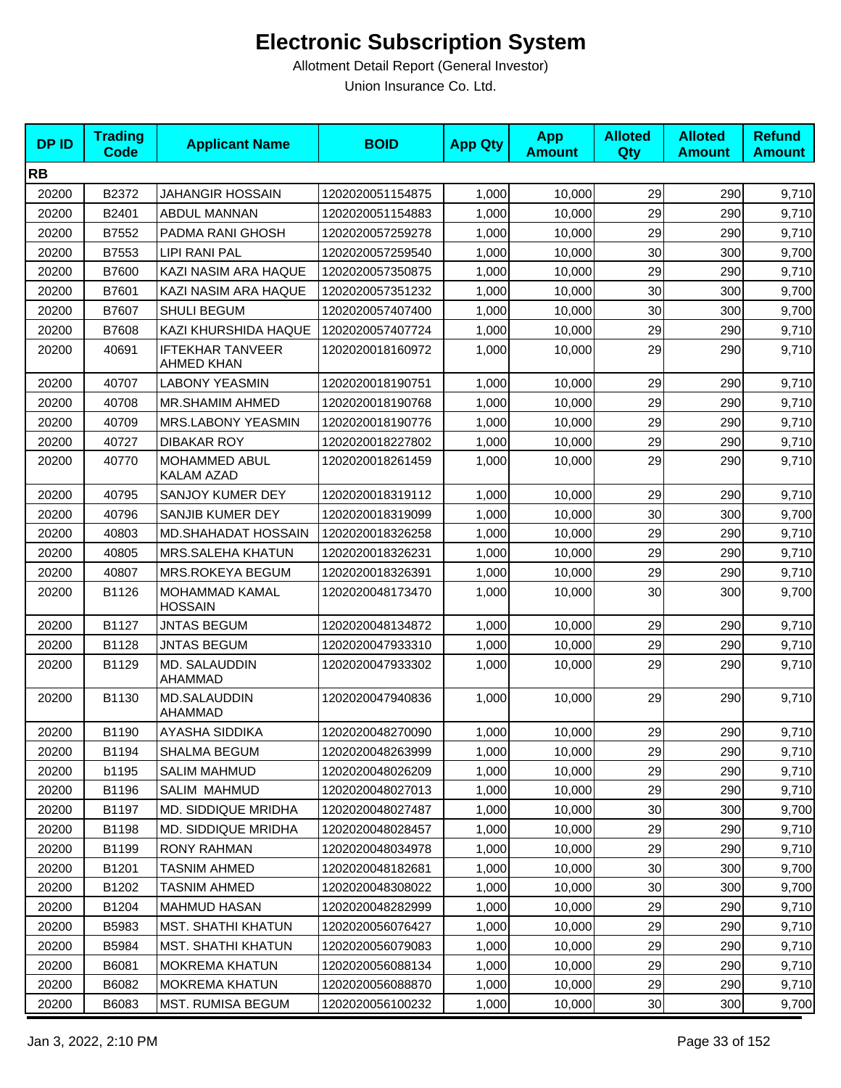| <b>DPID</b> | <b>Trading</b><br><b>Code</b> | <b>Applicant Name</b>                        | <b>BOID</b>      | <b>App Qty</b> | <b>App</b><br><b>Amount</b> | <b>Alloted</b><br>Qty | <b>Alloted</b><br><b>Amount</b> | <b>Refund</b><br><b>Amount</b> |
|-------------|-------------------------------|----------------------------------------------|------------------|----------------|-----------------------------|-----------------------|---------------------------------|--------------------------------|
| <b>RB</b>   |                               |                                              |                  |                |                             |                       |                                 |                                |
| 20200       | B2372                         | JAHANGIR HOSSAIN                             | 1202020051154875 | 1,000          | 10,000                      | 29                    | 290                             | 9,710                          |
| 20200       | B2401                         | ABDUL MANNAN                                 | 1202020051154883 | 1,000          | 10,000                      | 29                    | 290                             | 9,710                          |
| 20200       | B7552                         | PADMA RANI GHOSH                             | 1202020057259278 | 1,000          | 10,000                      | 29                    | 290                             | 9,710                          |
| 20200       | B7553                         | <b>LIPI RANI PAL</b>                         | 1202020057259540 | 1,000          | 10,000                      | 30                    | 300                             | 9,700                          |
| 20200       | B7600                         | KAZI NASIM ARA HAQUE                         | 1202020057350875 | 1,000          | 10,000                      | 29                    | 290                             | 9,710                          |
| 20200       | B7601                         | KAZI NASIM ARA HAQUE                         | 1202020057351232 | 1,000          | 10,000                      | 30                    | 300                             | 9,700                          |
| 20200       | B7607                         | <b>SHULI BEGUM</b>                           | 1202020057407400 | 1,000          | 10,000                      | 30                    | 300                             | 9,700                          |
| 20200       | B7608                         | KAZI KHURSHIDA HAQUE                         | 1202020057407724 | 1,000          | 10,000                      | 29                    | 290                             | 9,710                          |
| 20200       | 40691                         | <b>IFTEKHAR TANVEER</b><br><b>AHMED KHAN</b> | 1202020018160972 | 1,000          | 10,000                      | 29                    | 290                             | 9,710                          |
| 20200       | 40707                         | <b>LABONY YEASMIN</b>                        | 1202020018190751 | 1,000          | 10,000                      | 29                    | 290                             | 9,710                          |
| 20200       | 40708                         | <b>MR.SHAMIM AHMED</b>                       | 1202020018190768 | 1,000          | 10,000                      | 29                    | 290                             | 9,710                          |
| 20200       | 40709                         | MRS.LABONY YEASMIN                           | 1202020018190776 | 1,000          | 10,000                      | 29                    | 290                             | 9,710                          |
| 20200       | 40727                         | <b>DIBAKAR ROY</b>                           | 1202020018227802 | 1,000          | 10,000                      | 29                    | 290                             | 9,710                          |
| 20200       | 40770                         | MOHAMMED ABUL<br><b>KALAM AZAD</b>           | 1202020018261459 | 1,000          | 10,000                      | 29                    | 290                             | 9,710                          |
| 20200       | 40795                         | SANJOY KUMER DEY                             | 1202020018319112 | 1,000          | 10,000                      | 29                    | 290                             | 9,710                          |
| 20200       | 40796                         | SANJIB KUMER DEY                             | 1202020018319099 | 1,000          | 10,000                      | 30                    | 300                             | 9,700                          |
| 20200       | 40803                         | MD.SHAHADAT HOSSAIN                          | 1202020018326258 | 1,000          | 10,000                      | 29                    | 290                             | 9,710                          |
| 20200       | 40805                         | MRS.SALEHA KHATUN                            | 1202020018326231 | 1,000          | 10,000                      | 29                    | 290                             | 9,710                          |
| 20200       | 40807                         | MRS.ROKEYA BEGUM                             | 1202020018326391 | 1,000          | 10,000                      | 29                    | 290                             | 9,710                          |
| 20200       | B1126                         | MOHAMMAD KAMAL<br><b>HOSSAIN</b>             | 1202020048173470 | 1,000          | 10,000                      | 30                    | 300                             | 9,700                          |
| 20200       | B1127                         | <b>JNTAS BEGUM</b>                           | 1202020048134872 | 1,000          | 10,000                      | 29                    | 290                             | 9,710                          |
| 20200       | B1128                         | <b>JNTAS BEGUM</b>                           | 1202020047933310 | 1,000          | 10,000                      | 29                    | 290                             | 9,710                          |
| 20200       | B1129                         | MD. SALAUDDIN<br>AHAMMAD                     | 1202020047933302 | 1,000          | 10,000                      | 29                    | 290                             | 9,710                          |
| 20200       | B1130                         | MD.SALAUDDIN<br>AHAMMAD                      | 1202020047940836 | 1,000          | 10,000                      | 29                    | 290                             | 9,710                          |
| 20200       | B1190                         | AYASHA SIDDIKA                               | 1202020048270090 | 1,000          | 10,000                      | 29                    | 290                             | 9,710                          |
| 20200       | B1194                         | SHALMA BEGUM                                 | 1202020048263999 | 1,000          | 10,000                      | 29                    | 290                             | 9,710                          |
| 20200       | b1195                         | <b>SALIM MAHMUD</b>                          | 1202020048026209 | 1,000          | 10,000                      | 29                    | 290                             | 9,710                          |
| 20200       | B1196                         | <b>SALIM MAHMUD</b>                          | 1202020048027013 | 1,000          | 10,000                      | 29                    | 290                             | 9,710                          |
| 20200       | B1197                         | MD. SIDDIQUE MRIDHA                          | 1202020048027487 | 1,000          | 10,000                      | 30                    | 300                             | 9,700                          |
| 20200       | B1198                         | MD. SIDDIQUE MRIDHA                          | 1202020048028457 | 1,000          | 10,000                      | 29                    | 290                             | 9,710                          |
| 20200       | B1199                         | RONY RAHMAN                                  | 1202020048034978 | 1,000          | 10,000                      | 29                    | 290                             | 9,710                          |
| 20200       | B1201                         | <b>TASNIM AHMED</b>                          | 1202020048182681 | 1,000          | 10,000                      | 30                    | 300                             | 9,700                          |
| 20200       | B1202                         | <b>TASNIM AHMED</b>                          | 1202020048308022 | 1,000          | 10,000                      | 30                    | 300                             | 9,700                          |
| 20200       | B1204                         | <b>MAHMUD HASAN</b>                          | 1202020048282999 | 1,000          | 10,000                      | 29                    | 290                             | 9,710                          |
| 20200       | B5983                         | <b>MST. SHATHI KHATUN</b>                    | 1202020056076427 | 1,000          | 10,000                      | 29                    | 290                             | 9,710                          |
| 20200       | B5984                         | <b>MST. SHATHI KHATUN</b>                    | 1202020056079083 | 1,000          | 10,000                      | 29                    | 290                             | 9,710                          |
| 20200       | B6081                         | MOKREMA KHATUN                               | 1202020056088134 | 1,000          | 10,000                      | 29                    | 290                             | 9,710                          |
| 20200       | B6082                         | <b>MOKREMA KHATUN</b>                        | 1202020056088870 | 1,000          | 10,000                      | 29                    | 290                             | 9,710                          |
| 20200       | B6083                         | MST. RUMISA BEGUM                            | 1202020056100232 | 1,000          | 10,000                      | 30                    | 300                             | 9,700                          |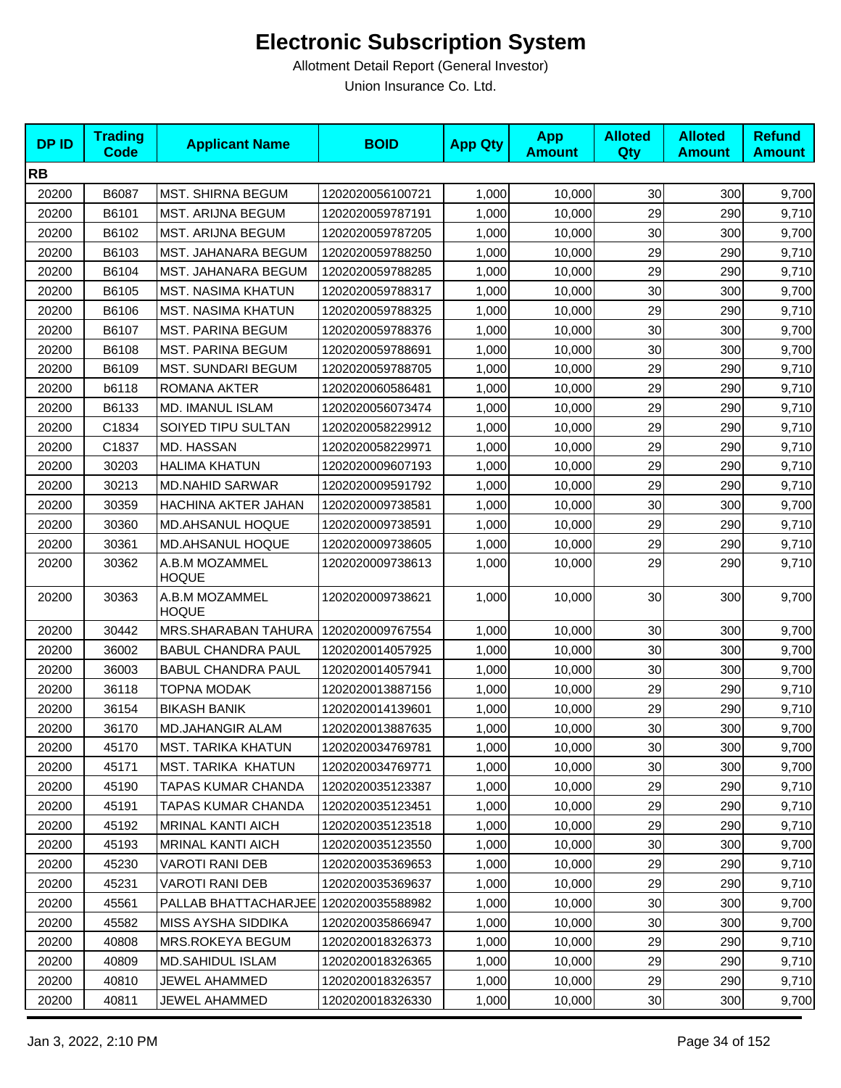| <b>DPID</b> | <b>Trading</b><br><b>Code</b> | <b>Applicant Name</b>          | <b>BOID</b>      | <b>App Qty</b> | <b>App</b><br><b>Amount</b> | <b>Alloted</b><br><b>Qty</b> | <b>Alloted</b><br><b>Amount</b> | <b>Refund</b><br><b>Amount</b> |
|-------------|-------------------------------|--------------------------------|------------------|----------------|-----------------------------|------------------------------|---------------------------------|--------------------------------|
| <b>RB</b>   |                               |                                |                  |                |                             |                              |                                 |                                |
| 20200       | B6087                         | <b>MST. SHIRNA BEGUM</b>       | 1202020056100721 | 1,000          | 10,000                      | 30                           | 300                             | 9,700                          |
| 20200       | B6101                         | MST. ARIJNA BEGUM              | 1202020059787191 | 1,000          | 10,000                      | 29                           | 290                             | 9,710                          |
| 20200       | B6102                         | MST. ARIJNA BEGUM              | 1202020059787205 | 1,000          | 10,000                      | 30                           | 300                             | 9,700                          |
| 20200       | B6103                         | MST. JAHANARA BEGUM            | 1202020059788250 | 1,000          | 10,000                      | 29                           | 290                             | 9,710                          |
| 20200       | B6104                         | MST. JAHANARA BEGUM            | 1202020059788285 | 1,000          | 10,000                      | 29                           | 290                             | 9,710                          |
| 20200       | B6105                         | <b>MST. NASIMA KHATUN</b>      | 1202020059788317 | 1,000          | 10,000                      | 30                           | 300                             | 9,700                          |
| 20200       | B6106                         | <b>MST. NASIMA KHATUN</b>      | 1202020059788325 | 1,000          | 10,000                      | 29                           | 290                             | 9,710                          |
| 20200       | B6107                         | <b>MST. PARINA BEGUM</b>       | 1202020059788376 | 1,000          | 10,000                      | 30                           | 300                             | 9,700                          |
| 20200       | B6108                         | <b>MST. PARINA BEGUM</b>       | 1202020059788691 | 1,000          | 10,000                      | 30                           | 300                             | 9,700                          |
| 20200       | B6109                         | <b>MST. SUNDARI BEGUM</b>      | 1202020059788705 | 1,000          | 10,000                      | 29                           | 290                             | 9,710                          |
| 20200       | b6118                         | ROMANA AKTER                   | 1202020060586481 | 1,000          | 10,000                      | 29                           | 290                             | 9,710                          |
| 20200       | B6133                         | MD. IMANUL ISLAM               | 1202020056073474 | 1,000          | 10,000                      | 29                           | 290                             | 9,710                          |
| 20200       | C1834                         | SOIYED TIPU SULTAN             | 1202020058229912 | 1,000          | 10,000                      | 29                           | 290                             | 9,710                          |
| 20200       | C1837                         | MD. HASSAN                     | 1202020058229971 | 1,000          | 10,000                      | 29                           | 290                             | 9,710                          |
| 20200       | 30203                         | <b>HALIMA KHATUN</b>           | 1202020009607193 | 1,000          | 10,000                      | 29                           | 290                             | 9,710                          |
| 20200       | 30213                         | <b>MD.NAHID SARWAR</b>         | 1202020009591792 | 1,000          | 10,000                      | 29                           | 290                             | 9,710                          |
| 20200       | 30359                         | HACHINA AKTER JAHAN            | 1202020009738581 | 1,000          | 10,000                      | 30                           | 300                             | 9,700                          |
| 20200       | 30360                         | <b>MD.AHSANUL HOQUE</b>        | 1202020009738591 | 1,000          | 10,000                      | 29                           | 290                             | 9,710                          |
| 20200       | 30361                         | <b>MD.AHSANUL HOQUE</b>        | 1202020009738605 | 1,000          | 10,000                      | 29                           | 290                             | 9,710                          |
| 20200       | 30362                         | A.B.M MOZAMMEL<br><b>HOQUE</b> | 1202020009738613 | 1,000          | 10,000                      | 29                           | 290                             | 9,710                          |
| 20200       | 30363                         | A.B.M MOZAMMEL<br><b>HOQUE</b> | 1202020009738621 | 1,000          | 10,000                      | 30                           | 300                             | 9,700                          |
| 20200       | 30442                         | MRS.SHARABAN TAHURA            | 1202020009767554 | 1,000          | 10,000                      | 30                           | 300                             | 9,700                          |
| 20200       | 36002                         | <b>BABUL CHANDRA PAUL</b>      | 1202020014057925 | 1,000          | 10,000                      | 30                           | 300                             | 9,700                          |
| 20200       | 36003                         | <b>BABUL CHANDRA PAUL</b>      | 1202020014057941 | 1,000          | 10,000                      | 30                           | 300                             | 9,700                          |
| 20200       | 36118                         | <b>TOPNA MODAK</b>             | 1202020013887156 | 1,000          | 10,000                      | 29                           | 290                             | 9,710                          |
| 20200       | 36154                         | <b>BIKASH BANIK</b>            | 1202020014139601 | 1,000          | 10,000                      | 29                           | 290                             | 9,710                          |
| 20200       | 36170                         | <b>MD.JAHANGIR ALAM</b>        | 1202020013887635 | 1,000          | 10,000                      | 30                           | 300                             | 9,700                          |
| 20200       | 45170                         | <b>MST. TARIKA KHATUN</b>      | 1202020034769781 | 1,000          | 10,000                      | 30 <sub>0</sub>              | 300                             | 9,700                          |
| 20200       | 45171                         | MST. TARIKA KHATUN             | 1202020034769771 | 1,000          | 10,000                      | 30                           | 300                             | 9,700                          |
| 20200       | 45190                         | TAPAS KUMAR CHANDA             | 1202020035123387 | 1,000          | 10,000                      | 29                           | 290                             | 9,710                          |
| 20200       | 45191                         | TAPAS KUMAR CHANDA             | 1202020035123451 | 1,000          | 10,000                      | 29                           | 290                             | 9,710                          |
| 20200       | 45192                         | <b>MRINAL KANTI AICH</b>       | 1202020035123518 | 1,000          | 10,000                      | 29                           | 290                             | 9,710                          |
| 20200       | 45193                         | <b>MRINAL KANTI AICH</b>       | 1202020035123550 | 1,000          | 10.000                      | 30                           | 300                             | 9,700                          |
| 20200       | 45230                         | <b>VAROTI RANI DEB</b>         | 1202020035369653 | 1,000          | 10,000                      | 29                           | 290                             | 9,710                          |
| 20200       | 45231                         | <b>VAROTI RANI DEB</b>         | 1202020035369637 | 1,000          | 10,000                      | 29                           | 290                             | 9,710                          |
| 20200       | 45561                         | PALLAB BHATTACHARJEE           | 1202020035588982 | 1,000          | 10,000                      | 30                           | 300                             | 9,700                          |
| 20200       | 45582                         | MISS AYSHA SIDDIKA             | 1202020035866947 | 1,000          | 10,000                      | 30                           | 300                             | 9,700                          |
| 20200       | 40808                         | MRS.ROKEYA BEGUM               | 1202020018326373 | 1,000          | 10,000                      | 29                           | 290                             | 9,710                          |
| 20200       | 40809                         | <b>MD.SAHIDUL ISLAM</b>        | 1202020018326365 | 1,000          | 10,000                      | 29                           | 290                             | 9,710                          |
| 20200       | 40810                         | JEWEL AHAMMED                  | 1202020018326357 | 1,000          | 10,000                      | 29                           | 290                             | 9,710                          |
| 20200       | 40811                         | JEWEL AHAMMED                  | 1202020018326330 | 1,000          | 10,000                      | 30                           | 300                             | 9,700                          |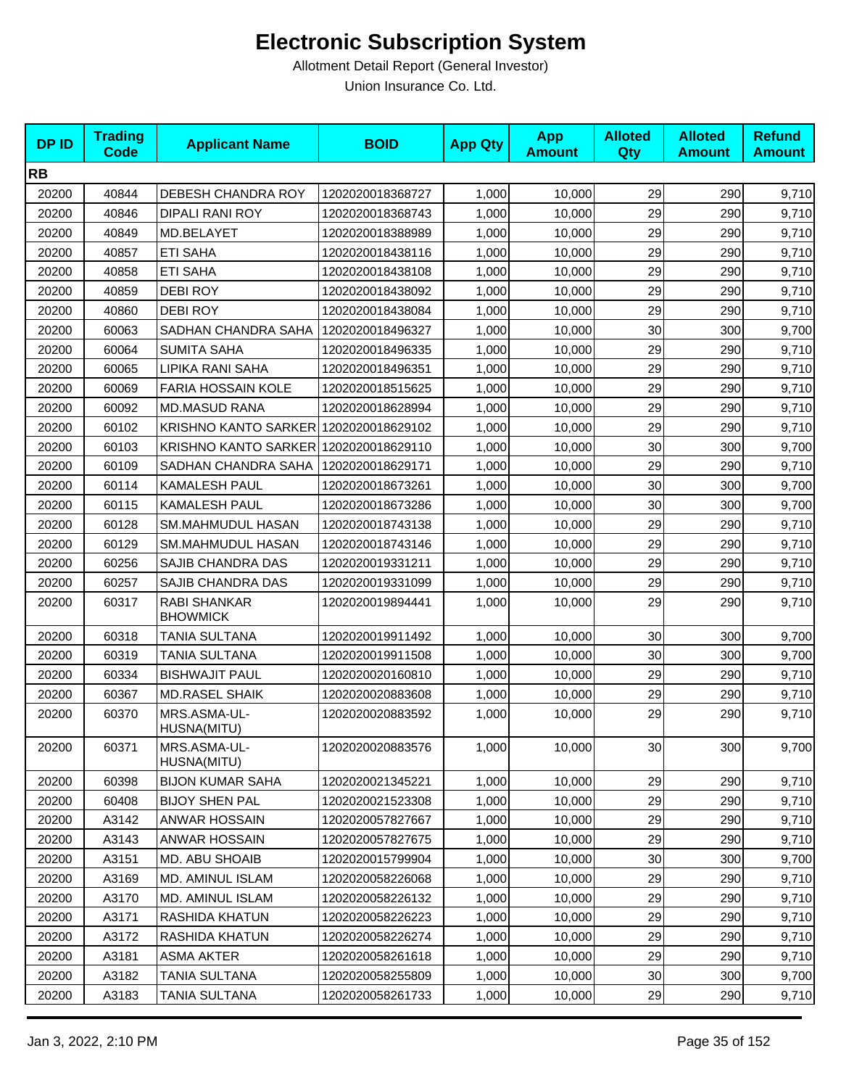| <b>DPID</b> | <b>Trading</b><br><b>Code</b> | <b>Applicant Name</b>                 | <b>BOID</b>      | <b>App Qty</b> | <b>App</b><br><b>Amount</b> | <b>Alloted</b><br>Qty | <b>Alloted</b><br><b>Amount</b> | <b>Refund</b><br><b>Amount</b> |
|-------------|-------------------------------|---------------------------------------|------------------|----------------|-----------------------------|-----------------------|---------------------------------|--------------------------------|
| <b>RB</b>   |                               |                                       |                  |                |                             |                       |                                 |                                |
| 20200       | 40844                         | DEBESH CHANDRA ROY                    | 1202020018368727 | 1,000          | 10,000                      | 29                    | 290                             | 9,710                          |
| 20200       | 40846                         | <b>DIPALI RANI ROY</b>                | 1202020018368743 | 1,000          | 10,000                      | 29                    | 290                             | 9,710                          |
| 20200       | 40849                         | MD.BELAYET                            | 1202020018388989 | 1,000          | 10,000                      | 29                    | 290                             | 9,710                          |
| 20200       | 40857                         | <b>ETI SAHA</b>                       | 1202020018438116 | 1,000          | 10,000                      | 29                    | 290                             | 9,710                          |
| 20200       | 40858                         | <b>ETI SAHA</b>                       | 1202020018438108 | 1,000          | 10,000                      | 29                    | 290                             | 9,710                          |
| 20200       | 40859                         | <b>DEBI ROY</b>                       | 1202020018438092 | 1,000          | 10,000                      | 29                    | 290                             | 9,710                          |
| 20200       | 40860                         | <b>DEBI ROY</b>                       | 1202020018438084 | 1,000          | 10,000                      | 29                    | 290                             | 9,710                          |
| 20200       | 60063                         | SADHAN CHANDRA SAHA                   | 1202020018496327 | 1,000          | 10,000                      | 30                    | 300                             | 9,700                          |
| 20200       | 60064                         | <b>SUMITA SAHA</b>                    | 1202020018496335 | 1,000          | 10,000                      | 29                    | 290                             | 9,710                          |
| 20200       | 60065                         | LIPIKA RANI SAHA                      | 1202020018496351 | 1,000          | 10,000                      | 29                    | 290                             | 9,710                          |
| 20200       | 60069                         | <b>FARIA HOSSAIN KOLE</b>             | 1202020018515625 | 1,000          | 10,000                      | 29                    | 290                             | 9,710                          |
| 20200       | 60092                         | <b>MD.MASUD RANA</b>                  | 1202020018628994 | 1,000          | 10,000                      | 29                    | 290                             | 9,710                          |
| 20200       | 60102                         | KRISHNO KANTO SARKER 1202020018629102 |                  | 1,000          | 10,000                      | 29                    | 290                             | 9,710                          |
| 20200       | 60103                         | KRISHNO KANTO SARKER 1202020018629110 |                  | 1,000          | 10,000                      | 30                    | 300                             | 9,700                          |
| 20200       | 60109                         | SADHAN CHANDRA SAHA                   | 1202020018629171 | 1,000          | 10,000                      | 29                    | 290                             | 9,710                          |
| 20200       | 60114                         | <b>KAMALESH PAUL</b>                  | 1202020018673261 | 1,000          | 10,000                      | 30                    | 300                             | 9,700                          |
| 20200       | 60115                         | KAMALESH PAUL                         | 1202020018673286 | 1,000          | 10,000                      | 30                    | 300                             | 9,700                          |
| 20200       | 60128                         | SM.MAHMUDUL HASAN                     | 1202020018743138 | 1,000          | 10,000                      | 29                    | 290                             | 9,710                          |
| 20200       | 60129                         | SM.MAHMUDUL HASAN                     | 1202020018743146 | 1,000          | 10,000                      | 29                    | 290                             | 9,710                          |
| 20200       | 60256                         | SAJIB CHANDRA DAS                     | 1202020019331211 | 1,000          | 10,000                      | 29                    | 290                             | 9,710                          |
| 20200       | 60257                         | SAJIB CHANDRA DAS                     | 1202020019331099 | 1,000          | 10,000                      | 29                    | 290                             | 9,710                          |
| 20200       | 60317                         | RABI SHANKAR<br><b>BHOWMICK</b>       | 1202020019894441 | 1,000          | 10,000                      | 29                    | 290                             | 9,710                          |
| 20200       | 60318                         | <b>TANIA SULTANA</b>                  | 1202020019911492 | 1,000          | 10,000                      | 30                    | 300                             | 9,700                          |
| 20200       | 60319                         | <b>TANIA SULTANA</b>                  | 1202020019911508 | 1,000          | 10,000                      | 30                    | 300                             | 9,700                          |
| 20200       | 60334                         | <b>BISHWAJIT PAUL</b>                 | 1202020020160810 | 1,000          | 10,000                      | 29                    | 290                             | 9,710                          |
| 20200       | 60367                         | <b>MD.RASEL SHAIK</b>                 | 1202020020883608 | 1,000          | 10,000                      | 29                    | 290                             | 9,710                          |
| 20200       | 60370                         | MRS.ASMA-UL-<br>HUSNA(MITU)           | 1202020020883592 | 1,000          | 10,000                      | 29                    | 290                             | 9,710                          |
| 20200       | 60371                         | MRS.ASMA-UL-<br>HUSNA(MITU)           | 1202020020883576 | 1,000          | 10,000                      | 30                    | 300                             | 9,700                          |
| 20200       | 60398                         | <b>BIJON KUMAR SAHA</b>               | 1202020021345221 | 1,000          | 10,000                      | 29                    | 290                             | 9,710                          |
| 20200       | 60408                         | <b>BIJOY SHEN PAL</b>                 | 1202020021523308 | 1,000          | 10,000                      | 29                    | 290                             | 9,710                          |
| 20200       | A3142                         | <b>ANWAR HOSSAIN</b>                  | 1202020057827667 | 1,000          | 10,000                      | 29                    | 290                             | 9,710                          |
| 20200       | A3143                         | ANWAR HOSSAIN                         | 1202020057827675 | 1,000          | 10,000                      | 29                    | 290                             | 9,710                          |
| 20200       | A3151                         | MD. ABU SHOAIB                        | 1202020015799904 | 1,000          | 10,000                      | 30                    | 300                             | 9,700                          |
| 20200       | A3169                         | MD. AMINUL ISLAM                      | 1202020058226068 | 1,000          | 10,000                      | 29                    | 290                             | 9,710                          |
| 20200       | A3170                         | MD. AMINUL ISLAM                      | 1202020058226132 | 1,000          | 10,000                      | 29                    | 290                             | 9,710                          |
| 20200       | A3171                         | RASHIDA KHATUN                        | 1202020058226223 | 1,000          | 10,000                      | 29                    | 290                             | 9,710                          |
| 20200       | A3172                         | RASHIDA KHATUN                        | 1202020058226274 | 1,000          | 10,000                      | 29                    | 290                             | 9,710                          |
| 20200       | A3181                         | <b>ASMA AKTER</b>                     | 1202020058261618 | 1,000          | 10,000                      | 29                    | 290                             | 9,710                          |
| 20200       | A3182                         | <b>TANIA SULTANA</b>                  | 1202020058255809 | 1,000          | 10,000                      | 30                    | 300                             | 9,700                          |
| 20200       | A3183                         | TANIA SULTANA                         | 1202020058261733 | 1,000          | 10,000                      | 29                    | 290                             | 9,710                          |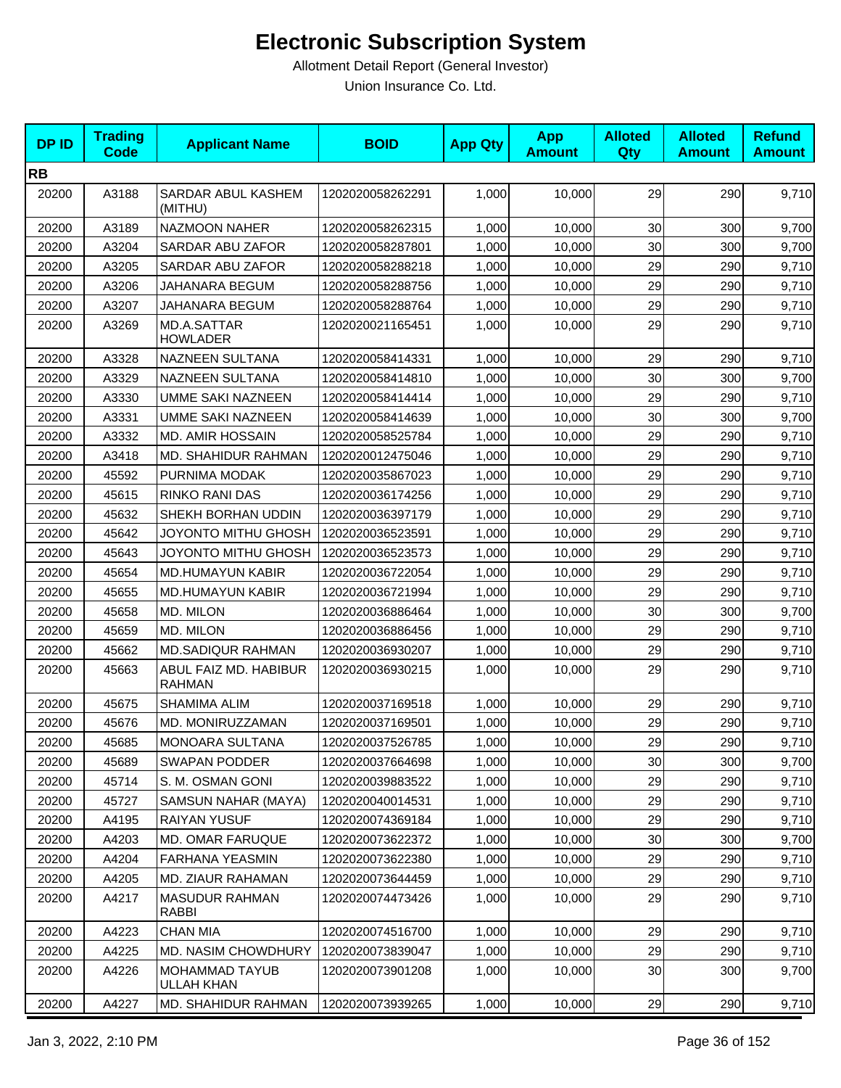| <b>DPID</b> | <b>Trading</b><br><b>Code</b> | <b>Applicant Name</b>                  | <b>BOID</b>      | <b>App Qty</b> | <b>App</b><br><b>Amount</b> | <b>Alloted</b><br>Qty | <b>Alloted</b><br><b>Amount</b> | <b>Refund</b><br><b>Amount</b> |
|-------------|-------------------------------|----------------------------------------|------------------|----------------|-----------------------------|-----------------------|---------------------------------|--------------------------------|
| <b>RB</b>   |                               |                                        |                  |                |                             |                       |                                 |                                |
| 20200       | A3188                         | SARDAR ABUL KASHEM<br>(MITHU)          | 1202020058262291 | 1,000          | 10,000                      | 29                    | 290                             | 9,710                          |
| 20200       | A3189                         | <b>NAZMOON NAHER</b>                   | 1202020058262315 | 1,000          | 10.000                      | 30                    | 300                             | 9,700                          |
| 20200       | A3204                         | SARDAR ABU ZAFOR                       | 1202020058287801 | 1,000          | 10,000                      | 30                    | 300                             | 9,700                          |
| 20200       | A3205                         | SARDAR ABU ZAFOR                       | 1202020058288218 | 1,000          | 10,000                      | 29                    | 290                             | 9,710                          |
| 20200       | A3206                         | JAHANARA BEGUM                         | 1202020058288756 | 1,000          | 10.000                      | 29                    | 290                             | 9,710                          |
| 20200       | A3207                         | JAHANARA BEGUM                         | 1202020058288764 | 1,000          | 10,000                      | 29                    | 290                             | 9,710                          |
| 20200       | A3269                         | MD.A.SATTAR<br><b>HOWLADER</b>         | 1202020021165451 | 1,000          | 10,000                      | 29                    | 290                             | 9,710                          |
| 20200       | A3328                         | NAZNEEN SULTANA                        | 1202020058414331 | 1,000          | 10,000                      | 29                    | 290                             | 9,710                          |
| 20200       | A3329                         | NAZNEEN SULTANA                        | 1202020058414810 | 1,000          | 10,000                      | 30                    | 300                             | 9,700                          |
| 20200       | A3330                         | <b>UMME SAKI NAZNEEN</b>               | 1202020058414414 | 1,000          | 10,000                      | 29                    | 290                             | 9,710                          |
| 20200       | A3331                         | <b>UMME SAKI NAZNEEN</b>               | 1202020058414639 | 1,000          | 10,000                      | 30                    | 300                             | 9,700                          |
| 20200       | A3332                         | <b>MD. AMIR HOSSAIN</b>                | 1202020058525784 | 1,000          | 10,000                      | 29                    | 290                             | 9,710                          |
| 20200       | A3418                         | MD. SHAHIDUR RAHMAN                    | 1202020012475046 | 1,000          | 10,000                      | 29                    | 290                             | 9,710                          |
| 20200       | 45592                         | PURNIMA MODAK                          | 1202020035867023 | 1,000          | 10,000                      | 29                    | 290                             | 9,710                          |
| 20200       | 45615                         | RINKO RANI DAS                         | 1202020036174256 | 1,000          | 10,000                      | 29                    | 290                             | 9,710                          |
| 20200       | 45632                         | SHEKH BORHAN UDDIN                     | 1202020036397179 | 1,000          | 10,000                      | 29                    | 290                             | 9,710                          |
| 20200       | 45642                         | JOYONTO MITHU GHOSH                    | 1202020036523591 | 1,000          | 10,000                      | 29                    | 290                             | 9,710                          |
| 20200       | 45643                         | JOYONTO MITHU GHOSH                    | 1202020036523573 | 1,000          | 10,000                      | 29                    | 290                             | 9,710                          |
| 20200       | 45654                         | MD.HUMAYUN KABIR                       | 1202020036722054 | 1,000          | 10,000                      | 29                    | 290                             | 9,710                          |
| 20200       | 45655                         | MD.HUMAYUN KABIR                       | 1202020036721994 | 1,000          | 10,000                      | 29                    | 290                             | 9,710                          |
| 20200       | 45658                         | MD. MILON                              | 1202020036886464 | 1,000          | 10,000                      | 30                    | 300                             | 9,700                          |
| 20200       | 45659                         | MD. MILON                              | 1202020036886456 | 1,000          | 10,000                      | 29                    | 290                             | 9,710                          |
| 20200       | 45662                         | <b>MD.SADIQUR RAHMAN</b>               | 1202020036930207 | 1,000          | 10,000                      | 29                    | 290                             | 9,710                          |
| 20200       | 45663                         | ABUL FAIZ MD. HABIBUR<br><b>RAHMAN</b> | 1202020036930215 | 1,000          | 10,000                      | 29                    | 290                             | 9,710                          |
| 20200       | 45675                         | SHAMIMA ALIM                           | 1202020037169518 | 1,000          | 10,000                      | 29                    | 290                             | 9,710                          |
| 20200       | 45676                         | MD. MONIRUZZAMAN                       | 1202020037169501 | 1,000          | 10,000                      | 29                    | 290                             | 9,710                          |
| 20200       | 45685                         | MONOARA SULTANA                        | 1202020037526785 | 1,000          | 10,000                      | 29                    | 290                             | 9,710                          |
| 20200       | 45689                         | SWAPAN PODDER                          | 1202020037664698 | 1,000          | 10,000                      | 30                    | 300                             | 9,700                          |
| 20200       | 45714                         | S. M. OSMAN GONI                       | 1202020039883522 | 1,000          | 10,000                      | 29                    | 290                             | 9,710                          |
| 20200       | 45727                         | SAMSUN NAHAR (MAYA)                    | 1202020040014531 | 1,000          | 10,000                      | 29                    | 290                             | 9,710                          |
| 20200       | A4195                         | <b>RAIYAN YUSUF</b>                    | 1202020074369184 | 1,000          | 10,000                      | 29                    | 290                             | 9,710                          |
| 20200       | A4203                         | MD. OMAR FARUQUE                       | 1202020073622372 | 1,000          | 10,000                      | 30                    | 300                             | 9,700                          |
| 20200       | A4204                         | <b>FARHANA YEASMIN</b>                 | 1202020073622380 | 1,000          | 10,000                      | 29                    | 290                             | 9,710                          |
| 20200       | A4205                         | <b>MD. ZIAUR RAHAMAN</b>               | 1202020073644459 | 1,000          | 10,000                      | 29                    | 290                             | 9,710                          |
| 20200       | A4217                         | <b>MASUDUR RAHMAN</b><br>RABBI         | 1202020074473426 | 1,000          | 10,000                      | 29                    | 290                             | 9,710                          |
| 20200       | A4223                         | <b>CHAN MIA</b>                        | 1202020074516700 | 1,000          | 10,000                      | 29                    | 290                             | 9,710                          |
| 20200       | A4225                         | <b>MD. NASIM CHOWDHURY</b>             | 1202020073839047 | 1,000          | 10,000                      | 29                    | 290                             | 9,710                          |
| 20200       | A4226                         | MOHAMMAD TAYUB<br>ULLAH KHAN           | 1202020073901208 | 1,000          | 10,000                      | 30                    | 300                             | 9,700                          |
| 20200       | A4227                         | MD. SHAHIDUR RAHMAN                    | 1202020073939265 | 1,000          | 10,000                      | 29                    | 290                             | 9,710                          |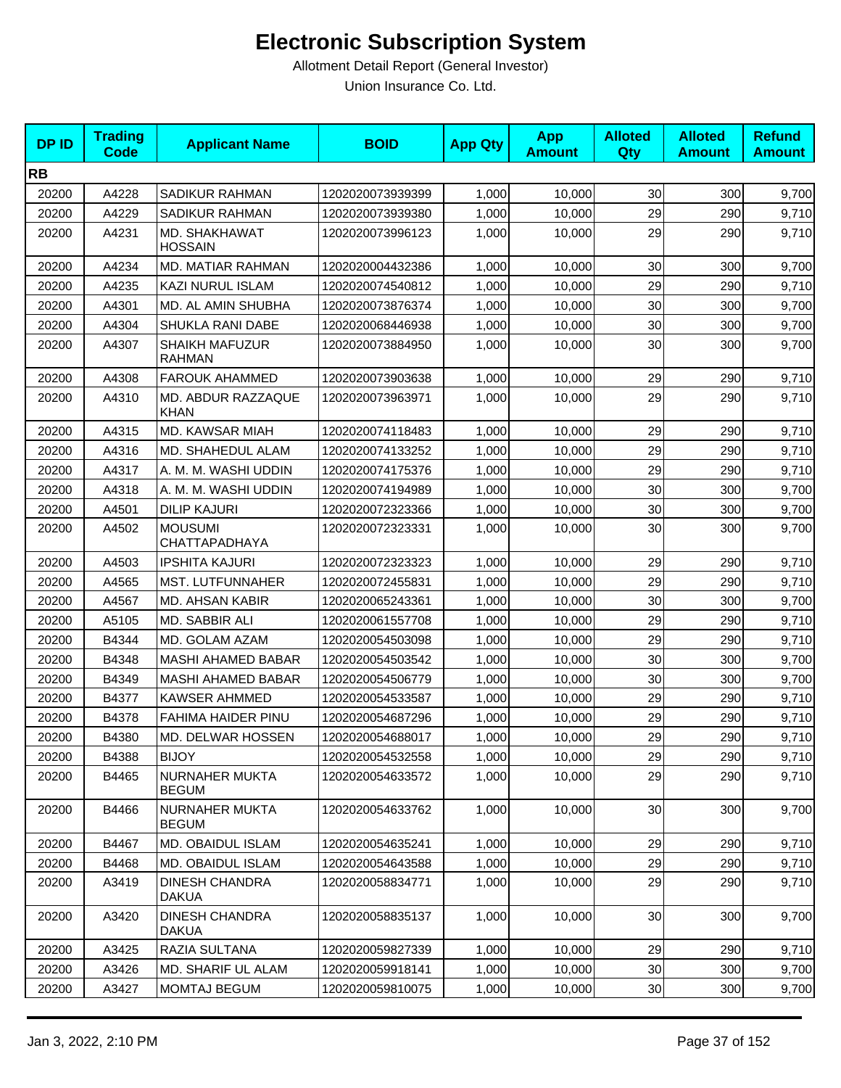| <b>DPID</b> | <b>Trading</b><br><b>Code</b> | <b>Applicant Name</b>                  | <b>BOID</b>      | <b>App Qty</b> | <b>App</b><br><b>Amount</b> | <b>Alloted</b><br>Qty | <b>Alloted</b><br><b>Amount</b> | <b>Refund</b><br><b>Amount</b> |
|-------------|-------------------------------|----------------------------------------|------------------|----------------|-----------------------------|-----------------------|---------------------------------|--------------------------------|
| <b>RB</b>   |                               |                                        |                  |                |                             |                       |                                 |                                |
| 20200       | A4228                         | <b>SADIKUR RAHMAN</b>                  | 1202020073939399 | 1,000          | 10,000                      | 30                    | 300                             | 9,700                          |
| 20200       | A4229                         | <b>SADIKUR RAHMAN</b>                  | 1202020073939380 | 1,000          | 10,000                      | 29                    | 290                             | 9,710                          |
| 20200       | A4231                         | MD. SHAKHAWAT<br><b>HOSSAIN</b>        | 1202020073996123 | 1,000          | 10,000                      | 29                    | 290                             | 9,710                          |
| 20200       | A4234                         | MD. MATIAR RAHMAN                      | 1202020004432386 | 1,000          | 10,000                      | 30                    | 300                             | 9,700                          |
| 20200       | A4235                         | <b>KAZI NURUL ISLAM</b>                | 1202020074540812 | 1,000          | 10,000                      | 29                    | 290                             | 9,710                          |
| 20200       | A4301                         | MD. AL AMIN SHUBHA                     | 1202020073876374 | 1,000          | 10,000                      | 30                    | 300                             | 9,700                          |
| 20200       | A4304                         | SHUKLA RANI DABE                       | 1202020068446938 | 1,000          | 10,000                      | 30                    | 300                             | 9,700                          |
| 20200       | A4307                         | <b>SHAIKH MAFUZUR</b><br><b>RAHMAN</b> | 1202020073884950 | 1,000          | 10,000                      | 30                    | 300                             | 9,700                          |
| 20200       | A4308                         | <b>FAROUK AHAMMED</b>                  | 1202020073903638 | 1,000          | 10,000                      | 29                    | 290                             | 9,710                          |
| 20200       | A4310                         | MD. ABDUR RAZZAQUE<br><b>KHAN</b>      | 1202020073963971 | 1,000          | 10,000                      | 29                    | 290                             | 9,710                          |
| 20200       | A4315                         | MD. KAWSAR MIAH                        | 1202020074118483 | 1,000          | 10,000                      | 29                    | 290                             | 9,710                          |
| 20200       | A4316                         | MD. SHAHEDUL ALAM                      | 1202020074133252 | 1,000          | 10,000                      | 29                    | 290                             | 9,710                          |
| 20200       | A4317                         | A. M. M. WASHI UDDIN                   | 1202020074175376 | 1,000          | 10,000                      | 29                    | 290                             | 9,710                          |
| 20200       | A4318                         | A. M. M. WASHI UDDIN                   | 1202020074194989 | 1.000          | 10.000                      | 30                    | 300                             | 9,700                          |
| 20200       | A4501                         | <b>DILIP KAJURI</b>                    | 1202020072323366 | 1,000          | 10,000                      | 30                    | 300                             | 9,700                          |
| 20200       | A4502                         | <b>MOUSUMI</b><br>CHATTAPADHAYA        | 1202020072323331 | 1,000          | 10,000                      | 30                    | 300                             | 9,700                          |
| 20200       | A4503                         | <b>IPSHITA KAJURI</b>                  | 1202020072323323 | 1,000          | 10,000                      | 29                    | 290                             | 9,710                          |
| 20200       | A4565                         | MST. LUTFUNNAHER                       | 1202020072455831 | 1,000          | 10,000                      | 29                    | 290                             | 9,710                          |
| 20200       | A4567                         | MD. AHSAN KABIR                        | 1202020065243361 | 1,000          | 10,000                      | 30                    | 300                             | 9,700                          |
| 20200       | A5105                         | MD. SABBIR ALI                         | 1202020061557708 | 1,000          | 10,000                      | 29                    | 290                             | 9,710                          |
| 20200       | B4344                         | MD. GOLAM AZAM                         | 1202020054503098 | 1,000          | 10,000                      | 29                    | 290                             | 9,710                          |
| 20200       | B4348                         | <b>MASHI AHAMED BABAR</b>              | 1202020054503542 | 1,000          | 10,000                      | 30                    | 300                             | 9,700                          |
| 20200       | B4349                         | <b>MASHI AHAMED BABAR</b>              | 1202020054506779 | 1,000          | 10.000                      | 30                    | 300                             | 9,700                          |
| 20200       | B4377                         | <b>KAWSER AHMMED</b>                   | 1202020054533587 | 1,000          | 10,000                      | 29                    | 290                             | 9,710                          |
| 20200       | B4378                         | FAHIMA HAIDER PINU                     | 1202020054687296 | 1,000          | 10,000                      | 29                    | 290                             | 9,710                          |
| 20200       | B4380                         | MD. DELWAR HOSSEN                      | 1202020054688017 | 1,000          | 10,000                      | 29                    | 290                             | 9,710                          |
| 20200       | B4388                         | <b>BIJOY</b>                           | 1202020054532558 | 1,000          | 10,000                      | 29                    | 290                             | 9,710                          |
| 20200       | B4465                         | NURNAHER MUKTA<br><b>BEGUM</b>         | 1202020054633572 | 1,000          | 10,000                      | 29                    | 290                             | 9,710                          |
| 20200       | B4466                         | <b>NURNAHER MUKTA</b><br><b>BEGUM</b>  | 1202020054633762 | 1,000          | 10,000                      | 30                    | 300                             | 9,700                          |
| 20200       | B4467                         | MD. OBAIDUL ISLAM                      | 1202020054635241 | 1,000          | 10,000                      | 29                    | 290                             | 9,710                          |
| 20200       | B4468                         | MD. OBAIDUL ISLAM                      | 1202020054643588 | 1,000          | 10,000                      | 29                    | 290                             | 9,710                          |
| 20200       | A3419                         | <b>DINESH CHANDRA</b><br><b>DAKUA</b>  | 1202020058834771 | 1,000          | 10,000                      | 29                    | 290                             | 9,710                          |
| 20200       | A3420                         | <b>DINESH CHANDRA</b><br><b>DAKUA</b>  | 1202020058835137 | 1,000          | 10,000                      | 30 <sub>0</sub>       | 300                             | 9,700                          |
| 20200       | A3425                         | RAZIA SULTANA                          | 1202020059827339 | 1,000          | 10,000                      | 29                    | 290                             | 9,710                          |
| 20200       | A3426                         | MD. SHARIF UL ALAM                     | 1202020059918141 | 1,000          | 10,000                      | 30                    | 300                             | 9,700                          |
| 20200       | A3427                         | MOMTAJ BEGUM                           | 1202020059810075 | 1,000          | 10,000                      | 30 <sub>0</sub>       | 300                             | 9,700                          |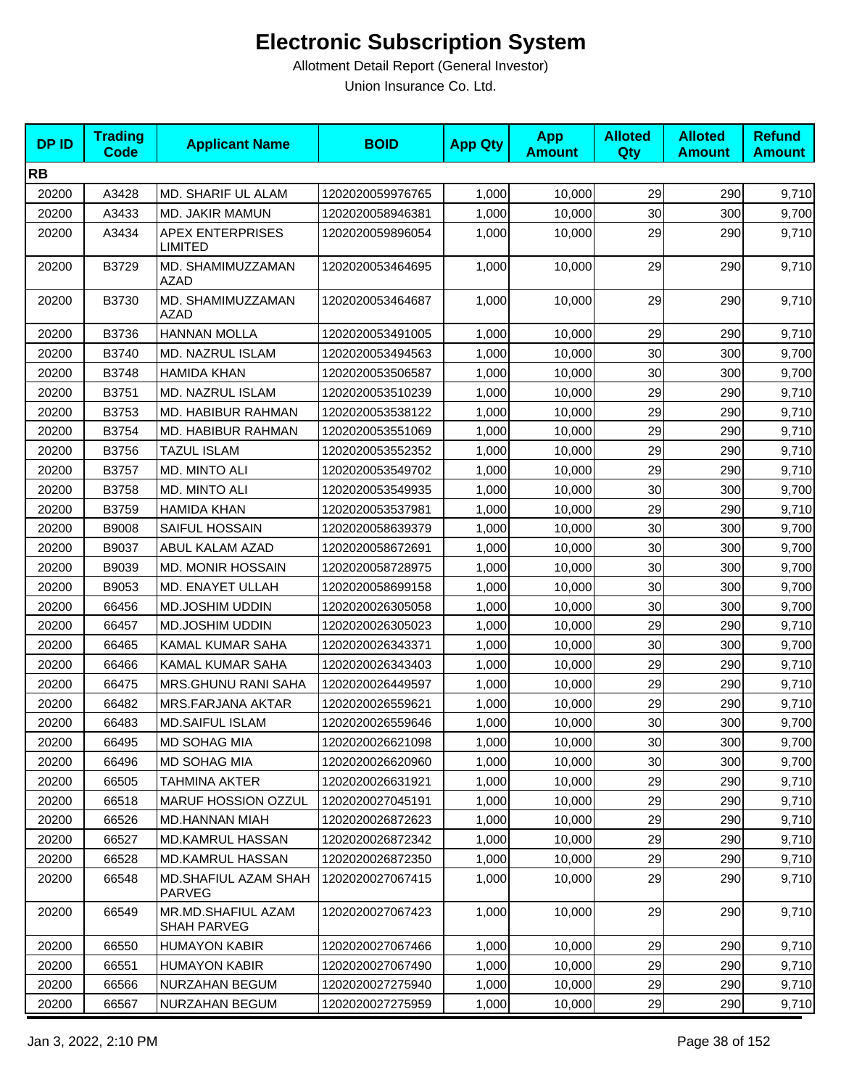| <b>DPID</b> | <b>Trading</b><br><b>Code</b> | <b>Applicant Name</b>                     | <b>BOID</b>      | <b>App Qty</b> | <b>App</b><br><b>Amount</b> | <b>Alloted</b><br>Qty | <b>Alloted</b><br><b>Amount</b> | <b>Refund</b><br><b>Amount</b> |
|-------------|-------------------------------|-------------------------------------------|------------------|----------------|-----------------------------|-----------------------|---------------------------------|--------------------------------|
| <b>RB</b>   |                               |                                           |                  |                |                             |                       |                                 |                                |
| 20200       | A3428                         | MD. SHARIF UL ALAM                        | 1202020059976765 | 1,000          | 10,000                      | 29                    | 290                             | 9,710                          |
| 20200       | A3433                         | MD. JAKIR MAMUN                           | 1202020058946381 | 1,000          | 10,000                      | 30                    | 300                             | 9,700                          |
| 20200       | A3434                         | <b>APEX ENTERPRISES</b><br><b>LIMITED</b> | 1202020059896054 | 1,000          | 10,000                      | 29                    | 290                             | 9,710                          |
| 20200       | B3729                         | MD. SHAMIMUZZAMAN<br><b>AZAD</b>          | 1202020053464695 | 1,000          | 10,000                      | 29                    | 290                             | 9,710                          |
| 20200       | B3730                         | MD. SHAMIMUZZAMAN<br><b>AZAD</b>          | 1202020053464687 | 1,000          | 10,000                      | 29                    | 290                             | 9,710                          |
| 20200       | B3736                         | <b>HANNAN MOLLA</b>                       | 1202020053491005 | 1,000          | 10,000                      | 29                    | 290                             | 9,710                          |
| 20200       | B3740                         | MD. NAZRUL ISLAM                          | 1202020053494563 | 1,000          | 10,000                      | 30                    | 300                             | 9,700                          |
| 20200       | B3748                         | <b>HAMIDA KHAN</b>                        | 1202020053506587 | 1,000          | 10,000                      | 30                    | 300                             | 9,700                          |
| 20200       | B3751                         | <b>MD. NAZRUL ISLAM</b>                   | 1202020053510239 | 1,000          | 10,000                      | 29                    | 290                             | 9,710                          |
| 20200       | B3753                         | MD. HABIBUR RAHMAN                        | 1202020053538122 | 1,000          | 10,000                      | 29                    | 290                             | 9,710                          |
| 20200       | B3754                         | <b>MD. HABIBUR RAHMAN</b>                 | 1202020053551069 | 1,000          | 10,000                      | 29                    | 290                             | 9,710                          |
| 20200       | B3756                         | <b>TAZUL ISLAM</b>                        | 1202020053552352 | 1,000          | 10,000                      | 29                    | 290                             | 9,710                          |
| 20200       | B3757                         | MD. MINTO ALI                             | 1202020053549702 | 1,000          | 10,000                      | 29                    | 290                             | 9,710                          |
| 20200       | B3758                         | MD. MINTO ALI                             | 1202020053549935 | 1,000          | 10,000                      | 30                    | 300                             | 9,700                          |
| 20200       | B3759                         | <b>HAMIDA KHAN</b>                        | 1202020053537981 | 1,000          | 10,000                      | 29                    | 290                             | 9,710                          |
| 20200       | B9008                         | SAIFUL HOSSAIN                            | 1202020058639379 | 1,000          | 10,000                      | 30                    | 300                             | 9,700                          |
| 20200       | B9037                         | ABUL KALAM AZAD                           | 1202020058672691 | 1,000          | 10,000                      | 30                    | 300                             | 9,700                          |
| 20200       | B9039                         | <b>MD. MONIR HOSSAIN</b>                  | 1202020058728975 | 1,000          | 10,000                      | 30                    | 300                             | 9,700                          |
| 20200       | B9053                         | MD. ENAYET ULLAH                          | 1202020058699158 | 1,000          | 10,000                      | 30                    | 300                             | 9,700                          |
| 20200       | 66456                         | MD.JOSHIM UDDIN                           | 1202020026305058 | 1,000          | 10,000                      | 30                    | 300                             | 9,700                          |
| 20200       | 66457                         | MD.JOSHIM UDDIN                           | 1202020026305023 | 1,000          | 10,000                      | 29                    | 290                             | 9,710                          |
| 20200       | 66465                         | KAMAL KUMAR SAHA                          | 1202020026343371 | 1,000          | 10,000                      | 30                    | 300                             | 9,700                          |
| 20200       | 66466                         | KAMAL KUMAR SAHA                          | 1202020026343403 | 1,000          | 10,000                      | 29                    | 290                             | 9,710                          |
| 20200       | 66475                         | MRS.GHUNU RANI SAHA                       | 1202020026449597 | 1,000          | 10,000                      | 29                    | 290                             | 9,710                          |
| 20200       | 66482                         | <b>MRS.FARJANA AKTAR</b>                  | 1202020026559621 | 1,000          | 10,000                      | 29                    | 290                             | 9,710                          |
| 20200       | 66483                         | <b>MD.SAIFUL ISLAM</b>                    | 1202020026559646 | 1,000          | 10,000                      | 30                    | 300                             | 9,700                          |
| 20200       | 66495                         | MD SOHAG MIA                              | 1202020026621098 | 1,000          | 10,000                      | 30                    | 300                             | 9,700                          |
| 20200       | 66496                         | MD SOHAG MIA                              | 1202020026620960 | 1,000          | 10,000                      | 30                    | 300                             | 9,700                          |
| 20200       | 66505                         | <b>TAHMINA AKTER</b>                      | 1202020026631921 | 1,000          | 10,000                      | 29                    | 290                             | 9,710                          |
| 20200       | 66518                         | <b>MARUF HOSSION OZZUL</b>                | 1202020027045191 | 1,000          | 10,000                      | 29                    | 290                             | 9,710                          |
| 20200       | 66526                         | <b>MD.HANNAN MIAH</b>                     | 1202020026872623 | 1,000          | 10,000                      | 29                    | 290                             | 9,710                          |
| 20200       | 66527                         | MD.KAMRUL HASSAN                          | 1202020026872342 | 1,000          | 10,000                      | 29                    | 290                             | 9,710                          |
| 20200       | 66528                         | MD.KAMRUL HASSAN                          | 1202020026872350 | 1,000          | 10,000                      | 29                    | 290                             | 9,710                          |
| 20200       | 66548                         | <b>MD.SHAFIUL AZAM SHAH</b><br>PARVEG     | 1202020027067415 | 1,000          | 10,000                      | 29                    | 290                             | 9,710                          |
| 20200       | 66549                         | MR.MD.SHAFIUL AZAM<br><b>SHAH PARVEG</b>  | 1202020027067423 | 1,000          | 10,000                      | 29                    | 290                             | 9,710                          |
| 20200       | 66550                         | <b>HUMAYON KABIR</b>                      | 1202020027067466 | 1,000          | 10,000                      | 29                    | 290                             | 9,710                          |
| 20200       | 66551                         | <b>HUMAYON KABIR</b>                      | 1202020027067490 | 1,000          | 10,000                      | 29                    | 290                             | 9,710                          |
| 20200       | 66566                         | NURZAHAN BEGUM                            | 1202020027275940 | 1,000          | 10,000                      | 29                    | 290                             | 9,710                          |
| 20200       | 66567                         | NURZAHAN BEGUM                            | 1202020027275959 | 1,000          | 10,000                      | 29                    | 290                             | 9,710                          |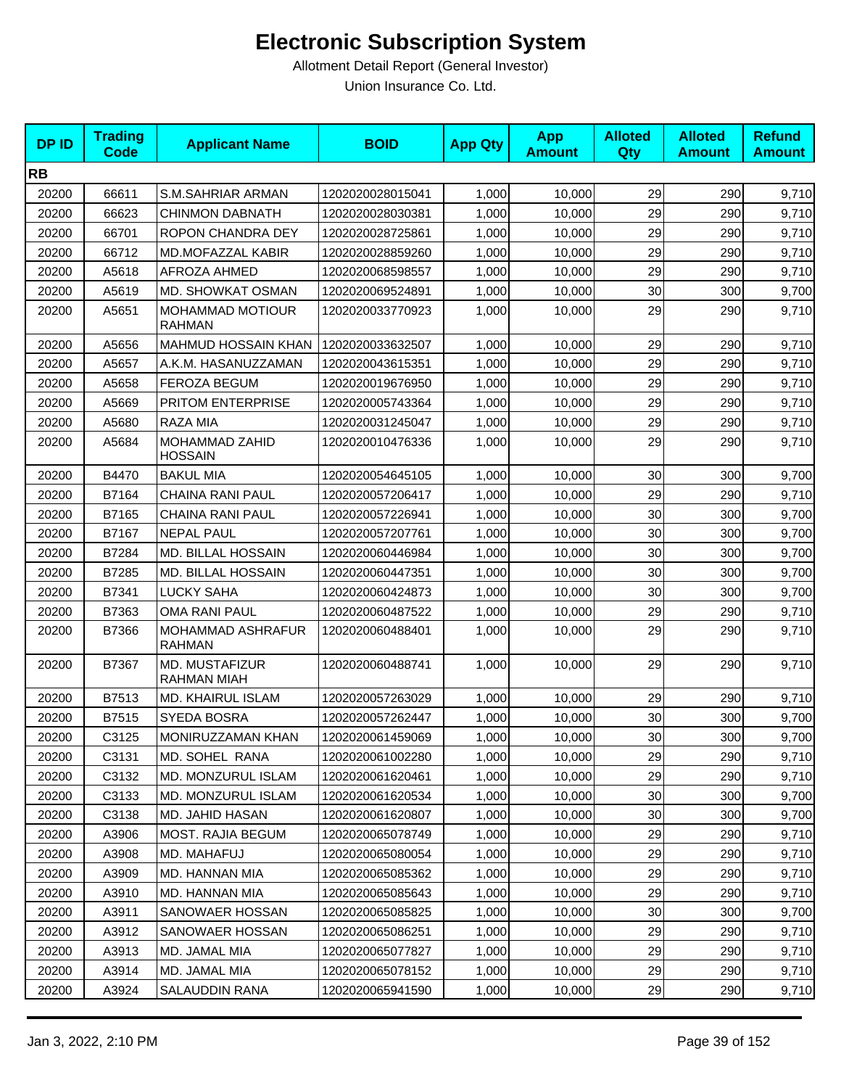| <b>DPID</b> | <b>Trading</b><br><b>Code</b> | <b>Applicant Name</b>                    | <b>BOID</b>      | <b>App Qty</b> | <b>App</b><br><b>Amount</b> | <b>Alloted</b><br>Qty | <b>Alloted</b><br><b>Amount</b> | <b>Refund</b><br><b>Amount</b> |
|-------------|-------------------------------|------------------------------------------|------------------|----------------|-----------------------------|-----------------------|---------------------------------|--------------------------------|
| <b>RB</b>   |                               |                                          |                  |                |                             |                       |                                 |                                |
| 20200       | 66611                         | S.M.SAHRIAR ARMAN                        | 1202020028015041 | 1,000          | 10,000                      | 29                    | 290                             | 9,710                          |
| 20200       | 66623                         | <b>CHINMON DABNATH</b>                   | 1202020028030381 | 1,000          | 10,000                      | 29                    | 290                             | 9,710                          |
| 20200       | 66701                         | ROPON CHANDRA DEY                        | 1202020028725861 | 1,000          | 10,000                      | 29                    | 290                             | 9,710                          |
| 20200       | 66712                         | MD.MOFAZZAL KABIR                        | 1202020028859260 | 1,000          | 10,000                      | 29                    | 290                             | 9,710                          |
| 20200       | A5618                         | AFROZA AHMED                             | 1202020068598557 | 1,000          | 10,000                      | 29                    | 290                             | 9,710                          |
| 20200       | A5619                         | MD. SHOWKAT OSMAN                        | 1202020069524891 | 1,000          | 10,000                      | 30                    | 300                             | 9,700                          |
| 20200       | A5651                         | <b>MOHAMMAD MOTIOUR</b><br><b>RAHMAN</b> | 1202020033770923 | 1,000          | 10,000                      | 29                    | 290                             | 9,710                          |
| 20200       | A5656                         | MAHMUD HOSSAIN KHAN                      | 1202020033632507 | 1,000          | 10,000                      | 29                    | 290                             | 9,710                          |
| 20200       | A5657                         | A.K.M. HASANUZZAMAN                      | 1202020043615351 | 1,000          | 10,000                      | 29                    | 290                             | 9,710                          |
| 20200       | A5658                         | FEROZA BEGUM                             | 1202020019676950 | 1,000          | 10,000                      | 29                    | 290                             | 9,710                          |
| 20200       | A5669                         | PRITOM ENTERPRISE                        | 1202020005743364 | 1,000          | 10,000                      | 29                    | 290                             | 9,710                          |
| 20200       | A5680                         | RAZA MIA                                 | 1202020031245047 | 1,000          | 10,000                      | 29                    | 290                             | 9,710                          |
| 20200       | A5684                         | MOHAMMAD ZAHID<br><b>HOSSAIN</b>         | 1202020010476336 | 1,000          | 10,000                      | 29                    | 290                             | 9,710                          |
| 20200       | B4470                         | <b>BAKUL MIA</b>                         | 1202020054645105 | 1,000          | 10,000                      | 30                    | 300                             | 9,700                          |
| 20200       | B7164                         | CHAINA RANI PAUL                         | 1202020057206417 | 1,000          | 10,000                      | 29                    | 290                             | 9,710                          |
| 20200       | B7165                         | CHAINA RANI PAUL                         | 1202020057226941 | 1,000          | 10,000                      | 30                    | 300                             | 9,700                          |
| 20200       | B7167                         | <b>NEPAL PAUL</b>                        | 1202020057207761 | 1,000          | 10,000                      | 30                    | 300                             | 9,700                          |
| 20200       | B7284                         | MD. BILLAL HOSSAIN                       | 1202020060446984 | 1,000          | 10,000                      | 30                    | 300                             | 9,700                          |
| 20200       | B7285                         | <b>MD. BILLAL HOSSAIN</b>                | 1202020060447351 | 1,000          | 10,000                      | 30                    | 300                             | 9,700                          |
| 20200       | B7341                         | <b>LUCKY SAHA</b>                        | 1202020060424873 | 1,000          | 10,000                      | 30                    | 300                             | 9,700                          |
| 20200       | B7363                         | <b>OMA RANI PAUL</b>                     | 1202020060487522 | 1,000          | 10,000                      | 29                    | 290                             | 9,710                          |
| 20200       | B7366                         | MOHAMMAD ASHRAFUR<br><b>RAHMAN</b>       | 1202020060488401 | 1,000          | 10,000                      | 29                    | 290                             | 9,710                          |
| 20200       | B7367                         | MD. MUSTAFIZUR<br>RAHMAN MIAH            | 1202020060488741 | 1,000          | 10,000                      | 29                    | 290                             | 9,710                          |
| 20200       | B7513                         | MD. KHAIRUL ISLAM                        | 1202020057263029 | 1,000          | 10,000                      | 29                    | 290                             | 9,710                          |
| 20200       | B7515                         | <b>SYEDA BOSRA</b>                       | 1202020057262447 | 1,000          | 10,000                      | 30                    | 300                             | 9,700                          |
| 20200       | C3125                         | MONIRUZZAMAN KHAN                        | 1202020061459069 | 1,000          | 10,000                      | 30 <sup>1</sup>       | 300                             | 9,700                          |
| 20200       | C3131                         | MD. SOHEL RANA                           | 1202020061002280 | 1,000          | 10,000                      | 29                    | 290                             | 9,710                          |
| 20200       | C3132                         | MD. MONZURUL ISLAM                       | 1202020061620461 | 1,000          | 10,000                      | 29                    | 290                             | 9,710                          |
| 20200       | C3133                         | MD. MONZURUL ISLAM                       | 1202020061620534 | 1,000          | 10.000                      | 30                    | 300                             | 9,700                          |
| 20200       | C3138                         | MD. JAHID HASAN                          | 1202020061620807 | 1,000          | 10,000                      | 30 <sub>0</sub>       | 300                             | 9,700                          |
| 20200       | A3906                         | <b>MOST. RAJIA BEGUM</b>                 | 1202020065078749 | 1,000          | 10,000                      | 29                    | 290                             | 9,710                          |
| 20200       | A3908                         | MD. MAHAFUJ                              | 1202020065080054 | 1,000          | 10,000                      | 29                    | 290                             | 9,710                          |
| 20200       | A3909                         | MD. HANNAN MIA                           | 1202020065085362 | 1,000          | 10,000                      | 29                    | 290                             | 9,710                          |
| 20200       | A3910                         | MD. HANNAN MIA                           | 1202020065085643 | 1,000          | 10,000                      | 29                    | 290                             | 9,710                          |
| 20200       | A3911                         | SANOWAER HOSSAN                          | 1202020065085825 | 1,000          | 10,000                      | 30                    | 300                             | 9,700                          |
| 20200       | A3912                         | SANOWAER HOSSAN                          | 1202020065086251 | 1,000          | 10,000                      | 29                    | 290                             | 9,710                          |
| 20200       | A3913                         | MD. JAMAL MIA                            | 1202020065077827 | 1,000          | 10,000                      | 29                    | 290                             | 9,710                          |
| 20200       | A3914                         | MD. JAMAL MIA                            | 1202020065078152 | 1,000          | 10,000                      | 29                    | 290                             | 9,710                          |
| 20200       | A3924                         | SALAUDDIN RANA                           | 1202020065941590 | 1,000          | 10,000                      | 29                    | 290                             | 9,710                          |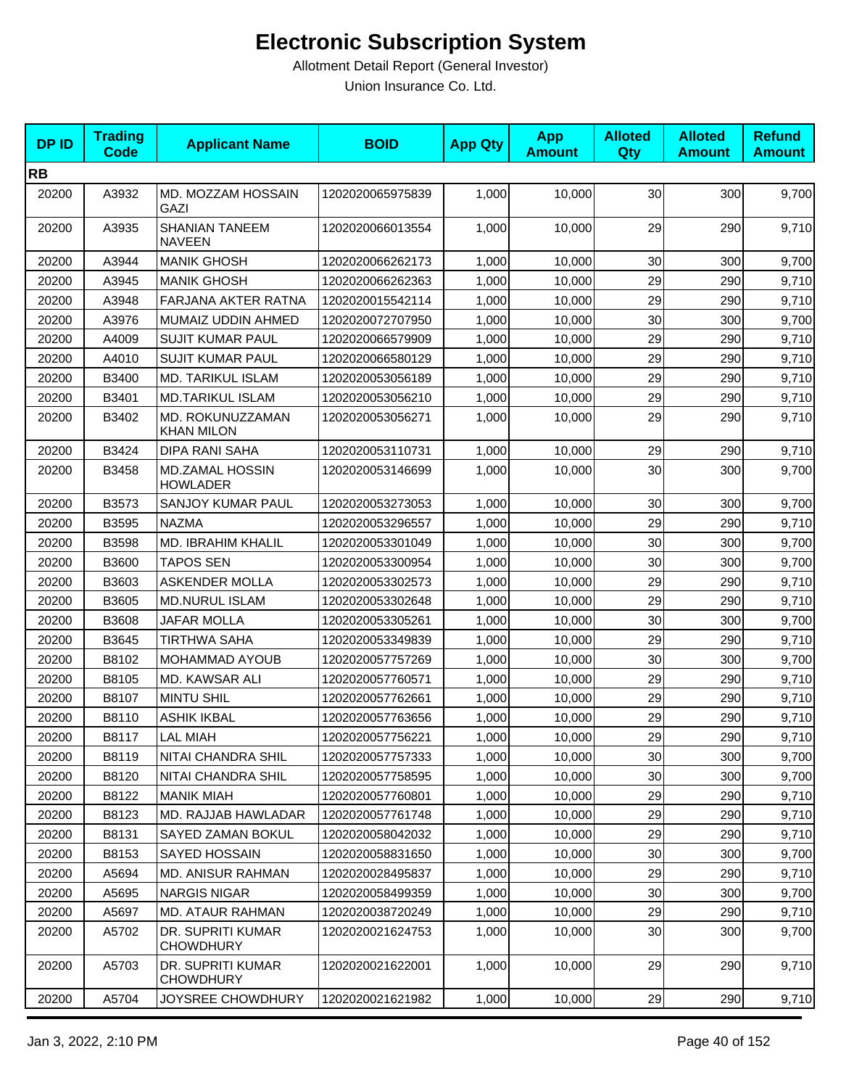| <b>DPID</b> | <b>Trading</b><br><b>Code</b> | <b>Applicant Name</b>                     | <b>BOID</b>      | <b>App Qty</b> | <b>App</b><br><b>Amount</b> | <b>Alloted</b><br>Qty | <b>Alloted</b><br><b>Amount</b> | <b>Refund</b><br><b>Amount</b> |
|-------------|-------------------------------|-------------------------------------------|------------------|----------------|-----------------------------|-----------------------|---------------------------------|--------------------------------|
| <b>RB</b>   |                               |                                           |                  |                |                             |                       |                                 |                                |
| 20200       | A3932                         | MD. MOZZAM HOSSAIN<br>GAZI                | 1202020065975839 | 1,000          | 10,000                      | 30                    | 300                             | 9,700                          |
| 20200       | A3935                         | <b>SHANIAN TANEEM</b><br><b>NAVEEN</b>    | 1202020066013554 | 1,000          | 10,000                      | 29                    | 290                             | 9,710                          |
| 20200       | A3944                         | <b>MANIK GHOSH</b>                        | 1202020066262173 | 1,000          | 10,000                      | 30                    | 300                             | 9,700                          |
| 20200       | A3945                         | <b>MANIK GHOSH</b>                        | 1202020066262363 | 1,000          | 10.000                      | 29                    | 290                             | 9,710                          |
| 20200       | A3948                         | FARJANA AKTER RATNA                       | 1202020015542114 | 1,000          | 10,000                      | 29                    | 290                             | 9,710                          |
| 20200       | A3976                         | MUMAIZ UDDIN AHMED                        | 1202020072707950 | 1,000          | 10,000                      | 30                    | 300                             | 9,700                          |
| 20200       | A4009                         | <b>SUJIT KUMAR PAUL</b>                   | 1202020066579909 | 1,000          | 10,000                      | 29                    | 290                             | 9,710                          |
| 20200       | A4010                         | <b>SUJIT KUMAR PAUL</b>                   | 1202020066580129 | 1,000          | 10,000                      | 29                    | 290                             | 9,710                          |
| 20200       | B3400                         | MD. TARIKUL ISLAM                         | 1202020053056189 | 1,000          | 10,000                      | 29                    | 290                             | 9,710                          |
| 20200       | B3401                         | <b>MD.TARIKUL ISLAM</b>                   | 1202020053056210 | 1,000          | 10,000                      | 29                    | 290                             | 9,710                          |
| 20200       | B3402                         | MD. ROKUNUZZAMAN<br><b>KHAN MILON</b>     | 1202020053056271 | 1,000          | 10,000                      | 29                    | 290                             | 9,710                          |
| 20200       | B3424                         | <b>DIPA RANI SAHA</b>                     | 1202020053110731 | 1,000          | 10,000                      | 29                    | 290                             | 9,710                          |
| 20200       | B3458                         | <b>MD.ZAMAL HOSSIN</b><br><b>HOWLADER</b> | 1202020053146699 | 1,000          | 10,000                      | 30                    | 300                             | 9,700                          |
| 20200       | B3573                         | <b>SANJOY KUMAR PAUL</b>                  | 1202020053273053 | 1,000          | 10,000                      | 30                    | 300                             | 9,700                          |
| 20200       | B3595                         | <b>NAZMA</b>                              | 1202020053296557 | 1,000          | 10,000                      | 29                    | 290                             | 9,710                          |
| 20200       | B3598                         | MD. IBRAHIM KHALIL                        | 1202020053301049 | 1,000          | 10,000                      | 30                    | 300                             | 9,700                          |
| 20200       | B3600                         | TAPOS SEN                                 | 1202020053300954 | 1,000          | 10,000                      | 30                    | 300                             | 9,700                          |
| 20200       | B3603                         | <b>ASKENDER MOLLA</b>                     | 1202020053302573 | 1,000          | 10,000                      | 29                    | 290                             | 9,710                          |
| 20200       | B3605                         | <b>MD.NURUL ISLAM</b>                     | 1202020053302648 | 1,000          | 10,000                      | 29                    | 290                             | 9,710                          |
| 20200       | B3608                         | JAFAR MOLLA                               | 1202020053305261 | 1,000          | 10,000                      | 30                    | 300                             | 9,700                          |
| 20200       | B3645                         | <b>TIRTHWA SAHA</b>                       | 1202020053349839 | 1,000          | 10,000                      | 29                    | 290                             | 9,710                          |
| 20200       | B8102                         | <b>MOHAMMAD AYOUB</b>                     | 1202020057757269 | 1,000          | 10,000                      | 30                    | 300                             | 9,700                          |
| 20200       | B8105                         | MD. KAWSAR ALI                            | 1202020057760571 | 1,000          | 10,000                      | 29                    | 290                             | 9,710                          |
| 20200       | B8107                         | <b>MINTU SHIL</b>                         | 1202020057762661 | 1,000          | 10,000                      | 29                    | 290                             | 9,710                          |
| 20200       | B8110                         | <b>ASHIK IKBAL</b>                        | 1202020057763656 | 1,000          | 10,000                      | 29                    | 290                             | 9,710                          |
| 20200       | B8117                         | <b>LAL MIAH</b>                           | 1202020057756221 | 1,000          | 10,000                      | 29                    | 290                             | 9,710                          |
| 20200       | B8119                         | NITAI CHANDRA SHIL                        | 1202020057757333 | 1,000          | 10,000                      | 30                    | 300                             | 9,700                          |
| 20200       | B8120                         | NITAI CHANDRA SHIL                        | 1202020057758595 | 1,000          | 10,000                      | 30                    | 300                             | 9,700                          |
| 20200       | B8122                         | <b>MANIK MIAH</b>                         | 1202020057760801 | 1,000          | 10.000                      | 29                    | 290                             | 9,710                          |
| 20200       | B8123                         | MD. RAJJAB HAWLADAR                       | 1202020057761748 | 1,000          | 10,000                      | 29                    | 290                             | 9,710                          |
| 20200       | B8131                         | SAYED ZAMAN BOKUL                         | 1202020058042032 | 1,000          | 10,000                      | 29                    | 290                             | 9,710                          |
| 20200       | B8153                         | SAYED HOSSAIN                             | 1202020058831650 | 1,000          | 10,000                      | 30                    | 300                             | 9,700                          |
| 20200       | A5694                         | MD. ANISUR RAHMAN                         | 1202020028495837 | 1,000          | 10,000                      | 29                    | 290                             | 9,710                          |
| 20200       | A5695                         | <b>NARGIS NIGAR</b>                       | 1202020058499359 | 1,000          | 10,000                      | 30                    | 300                             | 9,700                          |
| 20200       | A5697                         | MD. ATAUR RAHMAN                          | 1202020038720249 | 1,000          | 10,000                      | 29                    | 290                             | 9,710                          |
| 20200       | A5702                         | DR. SUPRITI KUMAR<br><b>CHOWDHURY</b>     | 1202020021624753 | 1,000          | 10,000                      | 30                    | 300                             | 9,700                          |
| 20200       | A5703                         | DR. SUPRITI KUMAR<br><b>CHOWDHURY</b>     | 1202020021622001 | 1,000          | 10,000                      | 29                    | 290                             | 9,710                          |
| 20200       | A5704                         | JOYSREE CHOWDHURY                         | 1202020021621982 | 1,000          | 10,000                      | 29                    | 290                             | 9,710                          |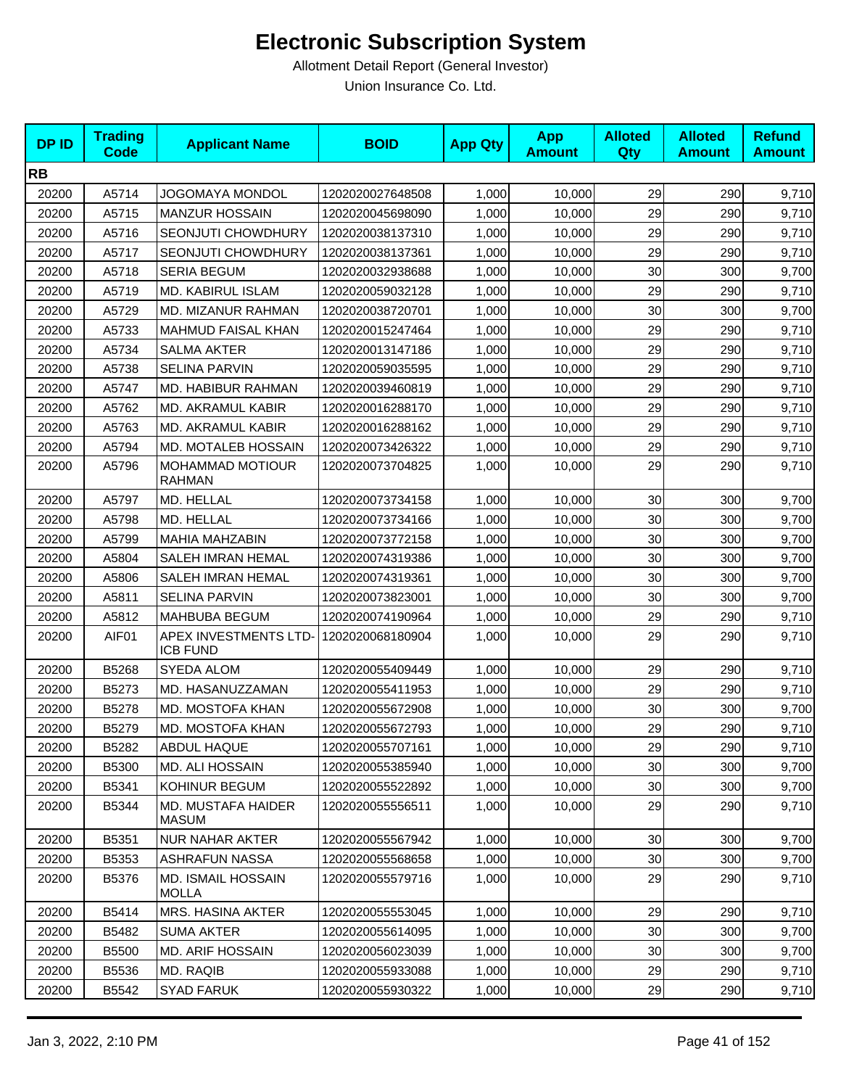| <b>DPID</b> | <b>Trading</b><br><b>Code</b> | <b>Applicant Name</b>                     | <b>BOID</b>      | <b>App Qty</b> | <b>App</b><br><b>Amount</b> | <b>Alloted</b><br><b>Qty</b> | <b>Alloted</b><br><b>Amount</b> | <b>Refund</b><br><b>Amount</b> |
|-------------|-------------------------------|-------------------------------------------|------------------|----------------|-----------------------------|------------------------------|---------------------------------|--------------------------------|
| <b>RB</b>   |                               |                                           |                  |                |                             |                              |                                 |                                |
| 20200       | A5714                         | <b>JOGOMAYA MONDOL</b>                    | 1202020027648508 | 1,000          | 10,000                      | 29                           | 290                             | 9,710                          |
| 20200       | A5715                         | <b>MANZUR HOSSAIN</b>                     | 1202020045698090 | 1,000          | 10,000                      | 29                           | 290                             | 9,710                          |
| 20200       | A5716                         | SEONJUTI CHOWDHURY                        | 1202020038137310 | 1,000          | 10,000                      | 29                           | 290                             | 9,710                          |
| 20200       | A5717                         | SEONJUTI CHOWDHURY                        | 1202020038137361 | 1,000          | 10,000                      | 29                           | 290                             | 9,710                          |
| 20200       | A5718                         | <b>SERIA BEGUM</b>                        | 1202020032938688 | 1,000          | 10,000                      | 30                           | 300                             | 9,700                          |
| 20200       | A5719                         | MD. KABIRUL ISLAM                         | 1202020059032128 | 1,000          | 10,000                      | 29                           | 290                             | 9,710                          |
| 20200       | A5729                         | MD. MIZANUR RAHMAN                        | 1202020038720701 | 1,000          | 10,000                      | 30                           | 300                             | 9,700                          |
| 20200       | A5733                         | MAHMUD FAISAL KHAN                        | 1202020015247464 | 1,000          | 10,000                      | 29                           | 290                             | 9,710                          |
| 20200       | A5734                         | <b>SALMA AKTER</b>                        | 1202020013147186 | 1,000          | 10,000                      | 29                           | 290                             | 9,710                          |
| 20200       | A5738                         | <b>SELINA PARVIN</b>                      | 1202020059035595 | 1,000          | 10,000                      | 29                           | 290                             | 9,710                          |
| 20200       | A5747                         | MD. HABIBUR RAHMAN                        | 1202020039460819 | 1,000          | 10,000                      | 29                           | 290                             | 9,710                          |
| 20200       | A5762                         | MD. AKRAMUL KABIR                         | 1202020016288170 | 1,000          | 10,000                      | 29                           | 290                             | 9,710                          |
| 20200       | A5763                         | MD. AKRAMUL KABIR                         | 1202020016288162 | 1,000          | 10,000                      | 29                           | 290                             | 9,710                          |
| 20200       | A5794                         | MD. MOTALEB HOSSAIN                       | 1202020073426322 | 1,000          | 10,000                      | 29                           | 290                             | 9,710                          |
| 20200       | A5796                         | <b>MOHAMMAD MOTIOUR</b><br><b>RAHMAN</b>  | 1202020073704825 | 1,000          | 10,000                      | 29                           | 290                             | 9,710                          |
| 20200       | A5797                         | MD. HELLAL                                | 1202020073734158 | 1,000          | 10,000                      | 30                           | 300                             | 9,700                          |
| 20200       | A5798                         | MD. HELLAL                                | 1202020073734166 | 1,000          | 10,000                      | 30                           | 300                             | 9,700                          |
| 20200       | A5799                         | MAHIA MAHZABIN                            | 1202020073772158 | 1,000          | 10,000                      | 30                           | 300                             | 9,700                          |
| 20200       | A5804                         | SALEH IMRAN HEMAL                         | 1202020074319386 | 1,000          | 10,000                      | 30                           | 300                             | 9,700                          |
| 20200       | A5806                         | <b>SALEH IMRAN HEMAL</b>                  | 1202020074319361 | 1,000          | 10,000                      | 30                           | 300                             | 9,700                          |
| 20200       | A5811                         | <b>SELINA PARVIN</b>                      | 1202020073823001 | 1,000          | 10,000                      | 30                           | 300                             | 9,700                          |
| 20200       | A5812                         | MAHBUBA BEGUM                             | 1202020074190964 | 1,000          | 10,000                      | 29                           | 290                             | 9,710                          |
| 20200       | AIF01                         | APEX INVESTMENTS LTD-<br><b>ICB FUND</b>  | 1202020068180904 | 1,000          | 10,000                      | 29                           | 290                             | 9,710                          |
| 20200       | B5268                         | <b>SYEDA ALOM</b>                         | 1202020055409449 | 1,000          | 10,000                      | 29                           | 290                             | 9,710                          |
| 20200       | B5273                         | MD. HASANUZZAMAN                          | 1202020055411953 | 1,000          | 10,000                      | 29                           | 290                             | 9,710                          |
| 20200       | B5278                         | MD. MOSTOFA KHAN                          | 1202020055672908 | 1,000          | 10,000                      | 30                           | 300                             | 9,700                          |
| 20200       | B5279                         | MD. MOSTOFA KHAN                          | 1202020055672793 | 1,000          | 10,000                      | 29                           | 290                             | 9,710                          |
| 20200       | B5282                         | ABDUL HAQUE                               | 1202020055707161 | 1,000          | 10,000                      | 29                           | 290                             | 9,710                          |
| 20200       | B5300                         | MD. ALI HOSSAIN                           | 1202020055385940 | 1,000          | 10,000                      | 30 <sub>0</sub>              | 300                             | 9,700                          |
| 20200       | B5341                         | KOHINUR BEGUM                             | 1202020055522892 | 1,000          | 10,000                      | 30 <sub>0</sub>              | 300                             | 9,700                          |
| 20200       | B5344                         | MD. MUSTAFA HAIDER<br>MASUM               | 1202020055556511 | 1,000          | 10,000                      | 29                           | 290                             | 9,710                          |
| 20200       | B5351                         | <b>NUR NAHAR AKTER</b>                    | 1202020055567942 | 1,000          | 10,000                      | 30                           | 300                             | 9,700                          |
| 20200       | B5353                         | ASHRAFUN NASSA                            | 1202020055568658 | 1,000          | 10,000                      | 30                           | 300                             | 9,700                          |
| 20200       | B5376                         | <b>MD. ISMAIL HOSSAIN</b><br><b>MOLLA</b> | 1202020055579716 | 1,000          | 10,000                      | 29                           | 290                             | 9,710                          |
| 20200       | B5414                         | MRS. HASINA AKTER                         | 1202020055553045 | 1,000          | 10,000                      | 29                           | 290                             | 9,710                          |
| 20200       | B5482                         | <b>SUMA AKTER</b>                         | 1202020055614095 | 1,000          | 10,000                      | 30                           | 300                             | 9,700                          |
| 20200       | B5500                         | <b>MD. ARIF HOSSAIN</b>                   | 1202020056023039 | 1,000          | 10,000                      | 30                           | 300                             | 9,700                          |
| 20200       | B5536                         | MD. RAQIB                                 | 1202020055933088 | 1,000          | 10,000                      | 29                           | 290                             | 9,710                          |
| 20200       | B5542                         | <b>SYAD FARUK</b>                         | 1202020055930322 | 1,000          | 10,000                      | 29                           | 290                             | 9,710                          |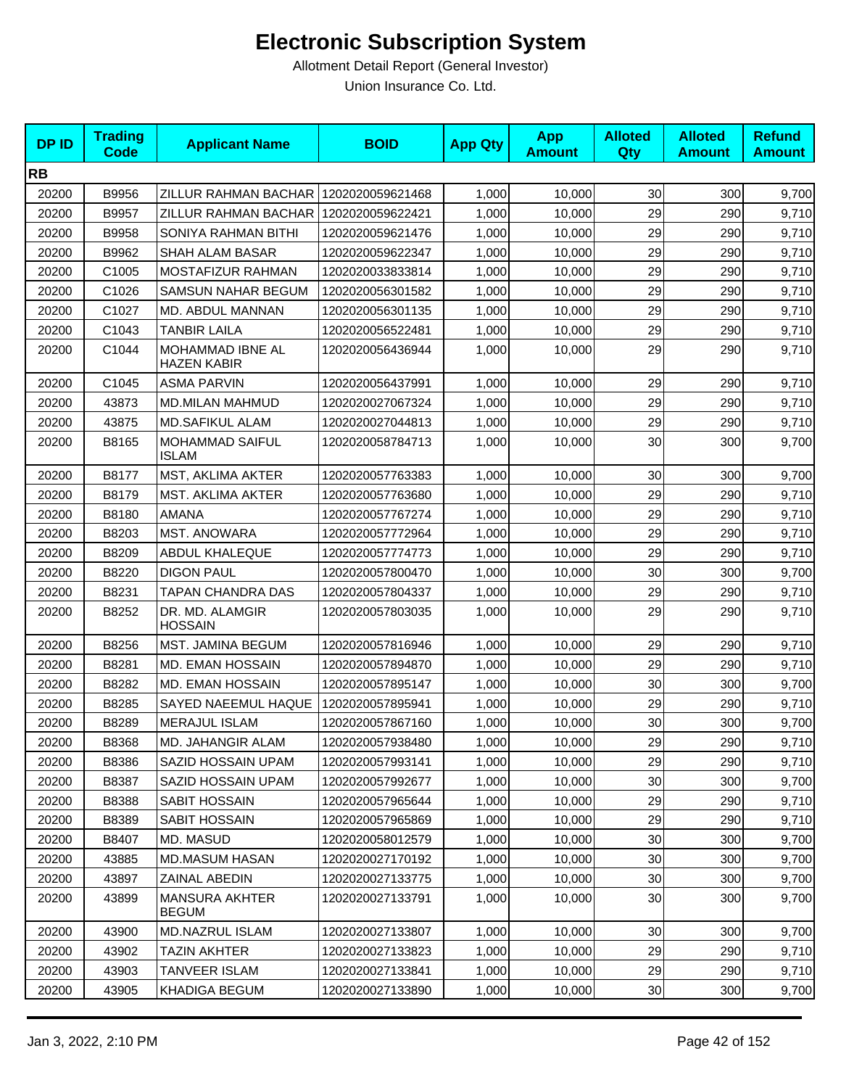| <b>DPID</b> | <b>Trading</b><br><b>Code</b> | <b>Applicant Name</b>                 | <b>BOID</b>      | <b>App Qty</b> | <b>App</b><br><b>Amount</b> | <b>Alloted</b><br><b>Qty</b> | <b>Alloted</b><br><b>Amount</b> | <b>Refund</b><br><b>Amount</b> |
|-------------|-------------------------------|---------------------------------------|------------------|----------------|-----------------------------|------------------------------|---------------------------------|--------------------------------|
| <b>RB</b>   |                               |                                       |                  |                |                             |                              |                                 |                                |
| 20200       | B9956                         | ZILLUR RAHMAN BACHAR                  | 1202020059621468 | 1,000          | 10,000                      | 30                           | 300                             | 9,700                          |
| 20200       | B9957                         | ZILLUR RAHMAN BACHAR                  | 1202020059622421 | 1,000          | 10,000                      | 29                           | 290                             | 9,710                          |
| 20200       | B9958                         | SONIYA RAHMAN BITHI                   | 1202020059621476 | 1,000          | 10,000                      | 29                           | 290                             | 9,710                          |
| 20200       | B9962                         | SHAH ALAM BASAR                       | 1202020059622347 | 1,000          | 10,000                      | 29                           | 290                             | 9,710                          |
| 20200       | C1005                         | MOSTAFIZUR RAHMAN                     | 1202020033833814 | 1,000          | 10,000                      | 29                           | 290                             | 9,710                          |
| 20200       | C1026                         | <b>SAMSUN NAHAR BEGUM</b>             | 1202020056301582 | 1,000          | 10,000                      | 29                           | 290                             | 9,710                          |
| 20200       | C1027                         | MD. ABDUL MANNAN                      | 1202020056301135 | 1,000          | 10,000                      | 29                           | 290                             | 9,710                          |
| 20200       | C1043                         | <b>TANBIR LAILA</b>                   | 1202020056522481 | 1,000          | 10,000                      | 29                           | 290                             | 9,710                          |
| 20200       | C1044                         | MOHAMMAD IBNE AL<br>HAZEN KABIR       | 1202020056436944 | 1,000          | 10,000                      | 29                           | 290                             | 9,710                          |
| 20200       | C1045                         | <b>ASMA PARVIN</b>                    | 1202020056437991 | 1,000          | 10,000                      | 29                           | 290                             | 9,710                          |
| 20200       | 43873                         | <b>MD.MILAN MAHMUD</b>                | 1202020027067324 | 1,000          | 10,000                      | 29                           | 290                             | 9,710                          |
| 20200       | 43875                         | <b>MD.SAFIKUL ALAM</b>                | 1202020027044813 | 1,000          | 10,000                      | 29                           | 290                             | 9,710                          |
| 20200       | B8165                         | MOHAMMAD SAIFUL<br><b>ISLAM</b>       | 1202020058784713 | 1,000          | 10,000                      | 30                           | 300                             | 9,700                          |
| 20200       | B8177                         | MST, AKLIMA AKTER                     | 1202020057763383 | 1,000          | 10,000                      | 30                           | 300                             | 9,700                          |
| 20200       | B8179                         | MST. AKLIMA AKTER                     | 1202020057763680 | 1,000          | 10,000                      | 29                           | 290                             | 9,710                          |
| 20200       | B8180                         | <b>AMANA</b>                          | 1202020057767274 | 1,000          | 10,000                      | 29                           | 290                             | 9,710                          |
| 20200       | B8203                         | MST. ANOWARA                          | 1202020057772964 | 1,000          | 10,000                      | 29                           | 290                             | 9,710                          |
| 20200       | B8209                         | <b>ABDUL KHALEQUE</b>                 | 1202020057774773 | 1,000          | 10,000                      | 29                           | 290                             | 9,710                          |
| 20200       | B8220                         | <b>DIGON PAUL</b>                     | 1202020057800470 | 1,000          | 10,000                      | 30                           | 300                             | 9,700                          |
| 20200       | B8231                         | TAPAN CHANDRA DAS                     | 1202020057804337 | 1,000          | 10,000                      | 29                           | 290                             | 9,710                          |
| 20200       | B8252                         | DR. MD. ALAMGIR<br><b>HOSSAIN</b>     | 1202020057803035 | 1,000          | 10,000                      | 29                           | 290                             | 9,710                          |
| 20200       | B8256                         | MST. JAMINA BEGUM                     | 1202020057816946 | 1,000          | 10,000                      | 29                           | 290                             | 9,710                          |
| 20200       | B8281                         | MD. EMAN HOSSAIN                      | 1202020057894870 | 1,000          | 10,000                      | 29                           | 290                             | 9,710                          |
| 20200       | B8282                         | MD. EMAN HOSSAIN                      | 1202020057895147 | 1,000          | 10,000                      | 30                           | 300                             | 9,700                          |
| 20200       | B8285                         | SAYED NAEEMUL HAQUE                   | 1202020057895941 | 1,000          | 10,000                      | 29                           | 290                             | 9,710                          |
| 20200       | B8289                         | <b>MERAJUL ISLAM</b>                  | 1202020057867160 | 1,000          | 10,000                      | 30                           | 300                             | 9,700                          |
| 20200       | B8368                         | MD. JAHANGIR ALAM                     | 1202020057938480 | 1,000          | 10,000                      | 29                           | 290                             | 9,710                          |
| 20200       | B8386                         | SAZID HOSSAIN UPAM                    | 1202020057993141 | 1,000          | 10,000                      | 29                           | 290                             | 9,710                          |
| 20200       | B8387                         | SAZID HOSSAIN UPAM                    | 1202020057992677 | 1,000          | 10,000                      | 30                           | 300                             | 9,700                          |
| 20200       | B8388                         | SABIT HOSSAIN                         | 1202020057965644 | 1,000          | 10,000                      | 29                           | 290                             | 9,710                          |
| 20200       | B8389                         | SABIT HOSSAIN                         | 1202020057965869 | 1,000          | 10,000                      | 29                           | 290                             | 9,710                          |
| 20200       | B8407                         | MD. MASUD                             | 1202020058012579 | 1,000          | 10,000                      | 30                           | 300                             | 9,700                          |
| 20200       | 43885                         | <b>MD.MASUM HASAN</b>                 | 1202020027170192 | 1,000          | 10,000                      | 30                           | 300                             | 9,700                          |
| 20200       | 43897                         | ZAINAL ABEDIN                         | 1202020027133775 | 1,000          | 10,000                      | 30                           | 300                             | 9,700                          |
| 20200       | 43899                         | <b>MANSURA AKHTER</b><br><b>BEGUM</b> | 1202020027133791 | 1,000          | 10,000                      | 30                           | 300                             | 9,700                          |
| 20200       | 43900                         | MD.NAZRUL ISLAM                       | 1202020027133807 | 1,000          | 10,000                      | 30                           | 300                             | 9,700                          |
| 20200       | 43902                         | <b>TAZIN AKHTER</b>                   | 1202020027133823 | 1,000          | 10,000                      | 29                           | 290                             | 9,710                          |
| 20200       | 43903                         | TANVEER ISLAM                         | 1202020027133841 | 1,000          | 10,000                      | 29                           | 290                             | 9,710                          |
| 20200       | 43905                         | KHADIGA BEGUM                         | 1202020027133890 | 1,000          | 10,000                      | 30 <sub>2</sub>              | 300                             | 9,700                          |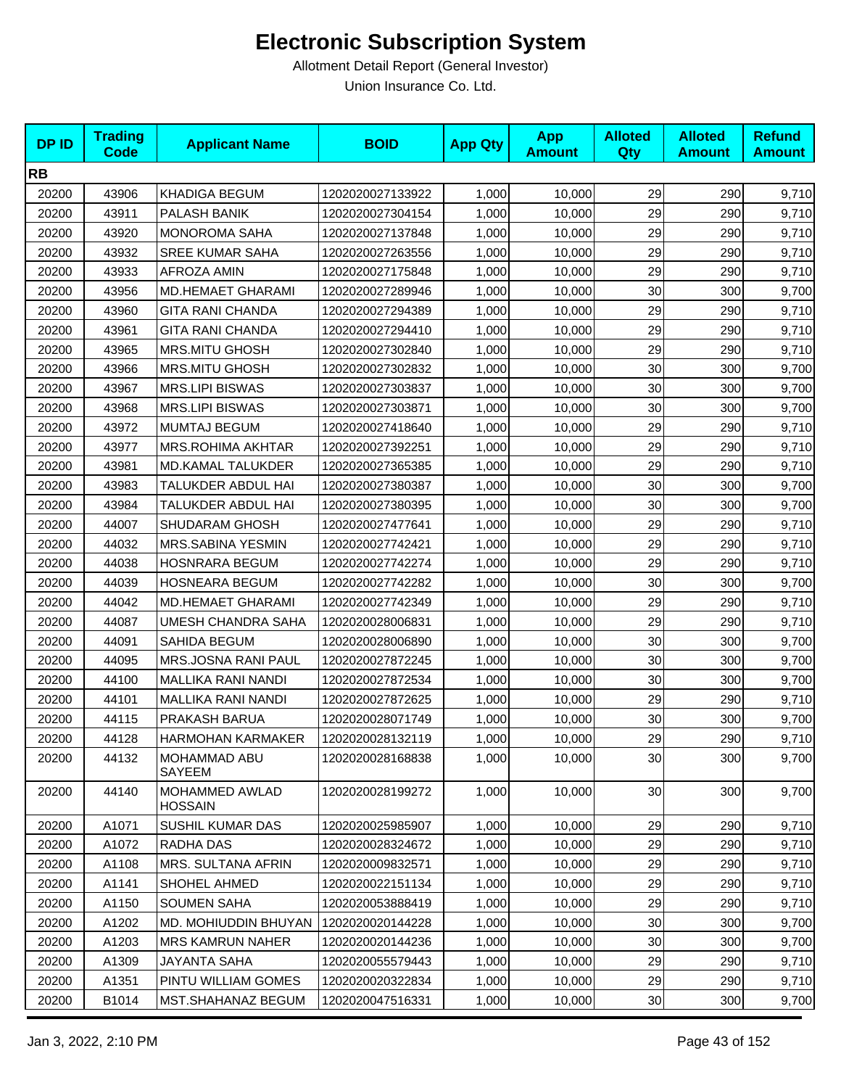| <b>DPID</b> | <b>Trading</b><br><b>Code</b> | <b>Applicant Name</b>      | <b>BOID</b>      | <b>App Qty</b> | <b>App</b><br><b>Amount</b> | <b>Alloted</b><br><b>Qty</b> | <b>Alloted</b><br><b>Amount</b> | <b>Refund</b><br><b>Amount</b> |
|-------------|-------------------------------|----------------------------|------------------|----------------|-----------------------------|------------------------------|---------------------------------|--------------------------------|
| <b>RB</b>   |                               |                            |                  |                |                             |                              |                                 |                                |
| 20200       | 43906                         | <b>KHADIGA BEGUM</b>       | 1202020027133922 | 1,000          | 10,000                      | 29                           | 290                             | 9,710                          |
| 20200       | 43911                         | PALASH BANIK               | 1202020027304154 | 1,000          | 10,000                      | 29                           | 290                             | 9,710                          |
| 20200       | 43920                         | MONOROMA SAHA              | 1202020027137848 | 1,000          | 10,000                      | 29                           | 290                             | 9,710                          |
| 20200       | 43932                         | <b>SREE KUMAR SAHA</b>     | 1202020027263556 | 1,000          | 10,000                      | 29                           | 290                             | 9,710                          |
| 20200       | 43933                         | <b>AFROZA AMIN</b>         | 1202020027175848 | 1,000          | 10,000                      | 29                           | 290                             | 9,710                          |
| 20200       | 43956                         | <b>MD.HEMAET GHARAMI</b>   | 1202020027289946 | 1,000          | 10,000                      | 30                           | 300                             | 9,700                          |
| 20200       | 43960                         | <b>GITA RANI CHANDA</b>    | 1202020027294389 | 1,000          | 10,000                      | 29                           | 290                             | 9,710                          |
| 20200       | 43961                         | <b>GITA RANI CHANDA</b>    | 1202020027294410 | 1,000          | 10,000                      | 29                           | 290                             | 9,710                          |
| 20200       | 43965                         | <b>MRS.MITU GHOSH</b>      | 1202020027302840 | 1,000          | 10,000                      | 29                           | 290                             | 9,710                          |
| 20200       | 43966                         | <b>MRS.MITU GHOSH</b>      | 1202020027302832 | 1,000          | 10,000                      | 30                           | 300                             | 9,700                          |
| 20200       | 43967                         | <b>MRS.LIPI BISWAS</b>     | 1202020027303837 | 1,000          | 10,000                      | 30                           | 300                             | 9,700                          |
| 20200       | 43968                         | <b>MRS.LIPI BISWAS</b>     | 1202020027303871 | 1,000          | 10,000                      | 30                           | 300                             | 9,700                          |
| 20200       | 43972                         | <b>MUMTAJ BEGUM</b>        | 1202020027418640 | 1,000          | 10,000                      | 29                           | 290                             | 9,710                          |
| 20200       | 43977                         | <b>MRS.ROHIMA AKHTAR</b>   | 1202020027392251 | 1,000          | 10,000                      | 29                           | 290                             | 9,710                          |
| 20200       | 43981                         | MD.KAMAL TALUKDER          | 1202020027365385 | 1,000          | 10,000                      | 29                           | 290                             | 9,710                          |
| 20200       | 43983                         | TALUKDER ABDUL HAI         | 1202020027380387 | 1,000          | 10,000                      | 30                           | 300                             | 9,700                          |
| 20200       | 43984                         | TALUKDER ABDUL HAI         | 1202020027380395 | 1,000          | 10,000                      | 30                           | 300                             | 9,700                          |
| 20200       | 44007                         | SHUDARAM GHOSH             | 1202020027477641 | 1,000          | 10,000                      | 29                           | 290                             | 9,710                          |
| 20200       | 44032                         | <b>MRS.SABINA YESMIN</b>   | 1202020027742421 | 1,000          | 10,000                      | 29                           | 290                             | 9,710                          |
| 20200       | 44038                         | <b>HOSNRARA BEGUM</b>      | 1202020027742274 | 1,000          | 10,000                      | 29                           | 290                             | 9,710                          |
| 20200       | 44039                         | <b>HOSNEARA BEGUM</b>      | 1202020027742282 | 1,000          | 10,000                      | 30                           | 300                             | 9,700                          |
| 20200       | 44042                         | <b>MD.HEMAET GHARAMI</b>   | 1202020027742349 | 1,000          | 10,000                      | 29                           | 290                             | 9,710                          |
| 20200       | 44087                         | UMESH CHANDRA SAHA         | 1202020028006831 | 1,000          | 10,000                      | 29                           | 290                             | 9,710                          |
| 20200       | 44091                         | SAHIDA BEGUM               | 1202020028006890 | 1,000          | 10,000                      | 30                           | 300                             | 9,700                          |
| 20200       | 44095                         | <b>MRS.JOSNA RANI PAUL</b> | 1202020027872245 | 1,000          | 10,000                      | 30                           | 300                             | 9,700                          |
| 20200       | 44100                         | <b>MALLIKA RANI NANDI</b>  | 1202020027872534 | 1,000          | 10,000                      | 30                           | 300                             | 9,700                          |
| 20200       | 44101                         | <b>MALLIKA RANI NANDI</b>  | 1202020027872625 | 1,000          | 10,000                      | 29                           | 290                             | 9,710                          |
| 20200       | 44115                         | PRAKASH BARUA              | 1202020028071749 | 1,000          | 10,000                      | 30                           | 300                             | 9,700                          |
| 20200       | 44128                         | HARMOHAN KARMAKER          | 1202020028132119 | 1,000          | 10,000                      | 29                           | 290                             | 9,710                          |
| 20200       | 44132                         | MOHAMMAD ABU<br>SAYEEM     | 1202020028168838 | 1,000          | 10.000                      | 30 <sub>0</sub>              | 300                             | 9,700                          |
| 20200       | 44140                         | MOHAMMED AWLAD<br>HOSSAIN  | 1202020028199272 | 1,000          | 10,000                      | 30 <sub>0</sub>              | 300                             | 9,700                          |
| 20200       | A1071                         | <b>SUSHIL KUMAR DAS</b>    | 1202020025985907 | 1,000          | 10,000                      | 29                           | 290                             | 9,710                          |
| 20200       | A1072                         | RADHA DAS                  | 1202020028324672 | 1,000          | 10.000                      | 29                           | 290                             | 9,710                          |
| 20200       | A1108                         | MRS. SULTANA AFRIN         | 1202020009832571 | 1,000          | 10,000                      | 29                           | 290                             | 9,710                          |
| 20200       | A1141                         | <b>SHOHEL AHMED</b>        | 1202020022151134 | 1,000          | 10,000                      | 29                           | 290                             | 9,710                          |
| 20200       | A1150                         | <b>SOUMEN SAHA</b>         | 1202020053888419 | 1,000          | 10.000                      | 29                           | 290                             | 9,710                          |
| 20200       | A1202                         | MD. MOHIUDDIN BHUYAN       | 1202020020144228 | 1,000          | 10,000                      | 30                           | 300                             | 9,700                          |
| 20200       | A1203                         | <b>MRS KAMRUN NAHER</b>    | 1202020020144236 | 1,000          | 10,000                      | 30                           | 300                             | 9,700                          |
| 20200       | A1309                         | JAYANTA SAHA               | 1202020055579443 | 1,000          | 10,000                      | 29                           | 290                             | 9,710                          |
| 20200       | A1351                         | PINTU WILLIAM GOMES        | 1202020020322834 | 1,000          | 10,000                      | 29                           | 290                             | 9,710                          |
| 20200       | B1014                         | MST.SHAHANAZ BEGUM         | 1202020047516331 | 1,000          | 10,000                      | 30                           | 300                             | 9,700                          |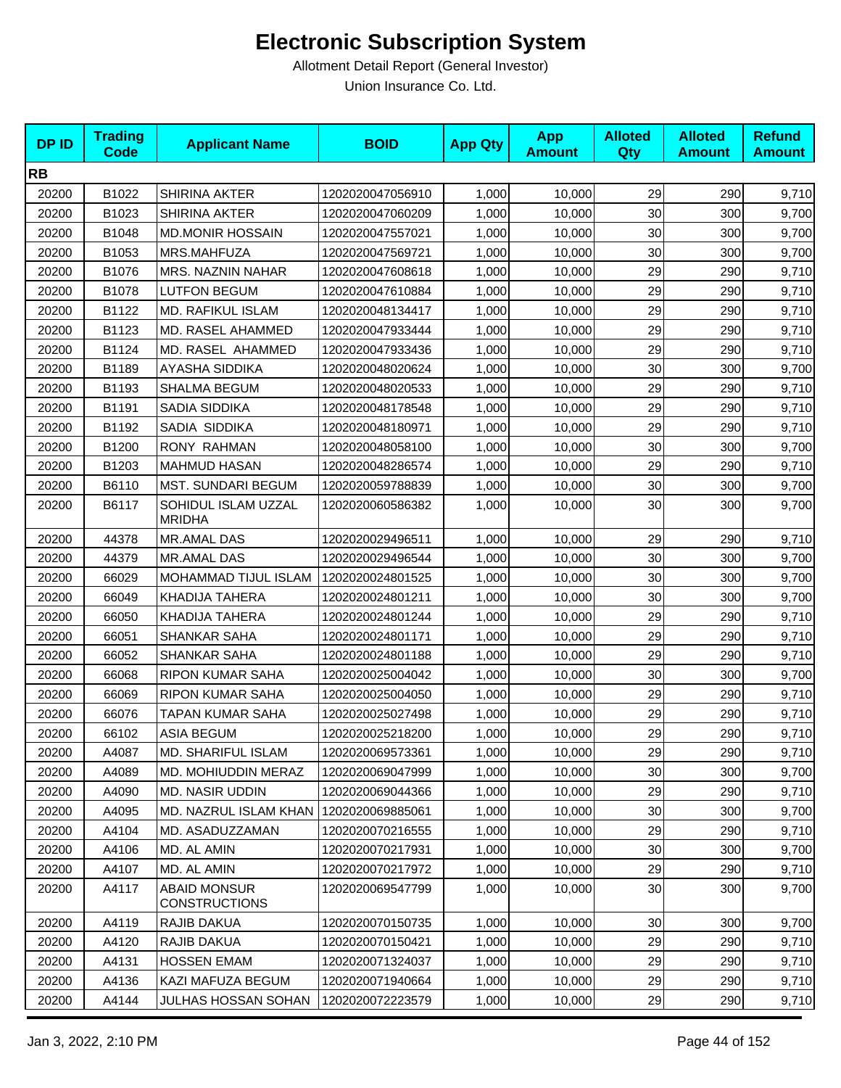| <b>DPID</b> | <b>Trading</b><br><b>Code</b> | <b>Applicant Name</b>                       | <b>BOID</b>      | <b>App Qty</b> | <b>App</b><br><b>Amount</b> | <b>Alloted</b><br><b>Qty</b> | <b>Alloted</b><br><b>Amount</b> | <b>Refund</b><br><b>Amount</b> |
|-------------|-------------------------------|---------------------------------------------|------------------|----------------|-----------------------------|------------------------------|---------------------------------|--------------------------------|
| <b>RB</b>   |                               |                                             |                  |                |                             |                              |                                 |                                |
| 20200       | B1022                         | <b>SHIRINA AKTER</b>                        | 1202020047056910 | 1,000          | 10,000                      | 29                           | 290                             | 9,710                          |
| 20200       | B1023                         | <b>SHIRINA AKTER</b>                        | 1202020047060209 | 1,000          | 10,000                      | 30                           | 300                             | 9,700                          |
| 20200       | B1048                         | <b>MD.MONIR HOSSAIN</b>                     | 1202020047557021 | 1,000          | 10,000                      | 30                           | 300                             | 9,700                          |
| 20200       | B1053                         | MRS.MAHFUZA                                 | 1202020047569721 | 1,000          | 10,000                      | 30                           | 300                             | 9,700                          |
| 20200       | B1076                         | MRS. NAZNIN NAHAR                           | 1202020047608618 | 1,000          | 10,000                      | 29                           | 290                             | 9,710                          |
| 20200       | B1078                         | <b>LUTFON BEGUM</b>                         | 1202020047610884 | 1,000          | 10,000                      | 29                           | 290                             | 9,710                          |
| 20200       | B1122                         | MD. RAFIKUL ISLAM                           | 1202020048134417 | 1,000          | 10,000                      | 29                           | 290                             | 9,710                          |
| 20200       | B1123                         | MD. RASEL AHAMMED                           | 1202020047933444 | 1,000          | 10,000                      | 29                           | 290                             | 9,710                          |
| 20200       | B1124                         | MD. RASEL AHAMMED                           | 1202020047933436 | 1,000          | 10,000                      | 29                           | 290                             | 9,710                          |
| 20200       | B1189                         | AYASHA SIDDIKA                              | 1202020048020624 | 1,000          | 10,000                      | 30                           | 300                             | 9,700                          |
| 20200       | B1193                         | SHALMA BEGUM                                | 1202020048020533 | 1,000          | 10,000                      | 29                           | 290                             | 9,710                          |
| 20200       | B1191                         | <b>SADIA SIDDIKA</b>                        | 1202020048178548 | 1,000          | 10,000                      | 29                           | 290                             | 9,710                          |
| 20200       | B1192                         | SADIA SIDDIKA                               | 1202020048180971 | 1,000          | 10,000                      | 29                           | 290                             | 9,710                          |
| 20200       | B1200                         | RONY RAHMAN                                 | 1202020048058100 | 1,000          | 10,000                      | 30                           | 300                             | 9,700                          |
| 20200       | B1203                         | <b>MAHMUD HASAN</b>                         | 1202020048286574 | 1,000          | 10,000                      | 29                           | 290                             | 9,710                          |
| 20200       | B6110                         | MST. SUNDARI BEGUM                          | 1202020059788839 | 1,000          | 10,000                      | 30                           | 300                             | 9,700                          |
| 20200       | B6117                         | SOHIDUL ISLAM UZZAL<br><b>MRIDHA</b>        | 1202020060586382 | 1,000          | 10,000                      | 30                           | 300                             | 9,700                          |
| 20200       | 44378                         | MR.AMAL DAS                                 | 1202020029496511 | 1,000          | 10,000                      | 29                           | 290                             | 9,710                          |
| 20200       | 44379                         | MR.AMAL DAS                                 | 1202020029496544 | 1,000          | 10,000                      | 30                           | 300                             | 9,700                          |
| 20200       | 66029                         | MOHAMMAD TIJUL ISLAM                        | 1202020024801525 | 1,000          | 10,000                      | 30                           | 300                             | 9,700                          |
| 20200       | 66049                         | KHADIJA TAHERA                              | 1202020024801211 | 1,000          | 10,000                      | 30                           | 300                             | 9,700                          |
| 20200       | 66050                         | KHADIJA TAHERA                              | 1202020024801244 | 1,000          | 10,000                      | 29                           | 290                             | 9,710                          |
| 20200       | 66051                         | SHANKAR SAHA                                | 1202020024801171 | 1,000          | 10,000                      | 29                           | 290                             | 9,710                          |
| 20200       | 66052                         | <b>SHANKAR SAHA</b>                         | 1202020024801188 | 1,000          | 10,000                      | 29                           | 290                             | 9,710                          |
| 20200       | 66068                         | RIPON KUMAR SAHA                            | 1202020025004042 | 1,000          | 10,000                      | 30                           | 300                             | 9,700                          |
| 20200       | 66069                         | RIPON KUMAR SAHA                            | 1202020025004050 | 1,000          | 10,000                      | 29                           | 290                             | 9,710                          |
| 20200       | 66076                         | TAPAN KUMAR SAHA                            | 1202020025027498 | 1,000          | 10,000                      | 29                           | 290                             | 9,710                          |
| 20200       | 66102                         | <b>ASIA BEGUM</b>                           | 1202020025218200 | 1,000          | 10,000                      | 29                           | 290                             | 9,710                          |
| 20200       | A4087                         | <b>MD. SHARIFUL ISLAM</b>                   | 1202020069573361 | 1,000          | 10,000                      | 29                           | 290                             | 9,710                          |
| 20200       | A4089                         | MD. MOHIUDDIN MERAZ                         | 1202020069047999 | 1,000          | 10,000                      | 30                           | 300                             | 9,700                          |
| 20200       | A4090                         | <b>MD. NASIR UDDIN</b>                      | 1202020069044366 | 1,000          | 10,000                      | 29                           | 290                             | 9,710                          |
| 20200       | A4095                         | MD. NAZRUL ISLAM KHAN                       | 1202020069885061 | 1,000          | 10,000                      | 30                           | 300                             | 9,700                          |
| 20200       | A4104                         | MD. ASADUZZAMAN                             | 1202020070216555 | 1,000          | 10,000                      | 29                           | 290                             | 9,710                          |
| 20200       | A4106                         | MD. AL AMIN                                 | 1202020070217931 | 1,000          | 10,000                      | 30                           | 300                             | 9,700                          |
| 20200       | A4107                         | MD. AL AMIN                                 | 1202020070217972 | 1,000          | 10,000                      | 29                           | 290                             | 9,710                          |
| 20200       | A4117                         | <b>ABAID MONSUR</b><br><b>CONSTRUCTIONS</b> | 1202020069547799 | 1,000          | 10,000                      | 30                           | 300                             | 9,700                          |
| 20200       | A4119                         | RAJIB DAKUA                                 | 1202020070150735 | 1,000          | 10,000                      | 30                           | 300                             | 9,700                          |
| 20200       | A4120                         | RAJIB DAKUA                                 | 1202020070150421 | 1,000          | 10,000                      | 29                           | 290                             | 9,710                          |
| 20200       | A4131                         | <b>HOSSEN EMAM</b>                          | 1202020071324037 | 1,000          | 10,000                      | 29                           | 290                             | 9,710                          |
| 20200       | A4136                         | KAZI MAFUZA BEGUM                           | 1202020071940664 | 1,000          | 10,000                      | 29                           | 290                             | 9,710                          |
| 20200       | A4144                         | JULHAS HOSSAN SOHAN                         | 1202020072223579 | 1,000          | 10,000                      | 29                           | 290                             | 9,710                          |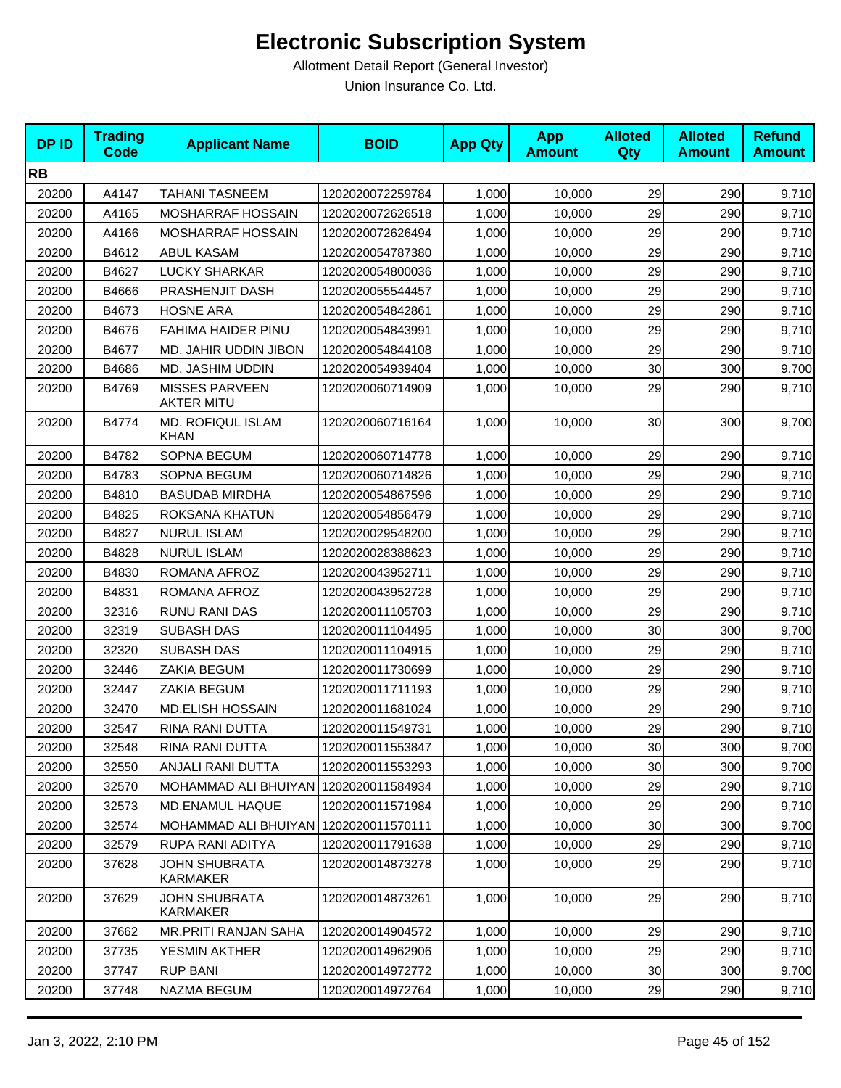| <b>DPID</b> | <b>Trading</b><br><b>Code</b> | <b>Applicant Name</b>                      | <b>BOID</b>      | <b>App Qty</b> | <b>App</b><br><b>Amount</b> | <b>Alloted</b><br><b>Qty</b> | <b>Alloted</b><br><b>Amount</b> | <b>Refund</b><br><b>Amount</b> |
|-------------|-------------------------------|--------------------------------------------|------------------|----------------|-----------------------------|------------------------------|---------------------------------|--------------------------------|
| <b>RB</b>   |                               |                                            |                  |                |                             |                              |                                 |                                |
| 20200       | A4147                         | TAHANI TASNEEM                             | 1202020072259784 | 1,000          | 10,000                      | 29                           | 290                             | 9,710                          |
| 20200       | A4165                         | MOSHARRAF HOSSAIN                          | 1202020072626518 | 1,000          | 10,000                      | 29                           | 290                             | 9,710                          |
| 20200       | A4166                         | MOSHARRAF HOSSAIN                          | 1202020072626494 | 1,000          | 10,000                      | 29                           | 290                             | 9,710                          |
| 20200       | B4612                         | <b>ABUL KASAM</b>                          | 1202020054787380 | 1,000          | 10,000                      | 29                           | 290                             | 9,710                          |
| 20200       | B4627                         | <b>LUCKY SHARKAR</b>                       | 1202020054800036 | 1,000          | 10,000                      | 29                           | 290                             | 9,710                          |
| 20200       | B4666                         | PRASHENJIT DASH                            | 1202020055544457 | 1,000          | 10,000                      | 29                           | 290                             | 9,710                          |
| 20200       | B4673                         | <b>HOSNE ARA</b>                           | 1202020054842861 | 1,000          | 10,000                      | 29                           | 290                             | 9,710                          |
| 20200       | B4676                         | FAHIMA HAIDER PINU                         | 1202020054843991 | 1,000          | 10,000                      | 29                           | 290                             | 9,710                          |
| 20200       | B4677                         | MD. JAHIR UDDIN JIBON                      | 1202020054844108 | 1,000          | 10,000                      | 29                           | 290                             | 9,710                          |
| 20200       | B4686                         | MD. JASHIM UDDIN                           | 1202020054939404 | 1,000          | 10,000                      | 30                           | 300                             | 9,700                          |
| 20200       | B4769                         | <b>MISSES PARVEEN</b><br><b>AKTER MITU</b> | 1202020060714909 | 1,000          | 10,000                      | 29                           | 290                             | 9,710                          |
| 20200       | B4774                         | <b>MD. ROFIQUL ISLAM</b><br>KHAN           | 1202020060716164 | 1,000          | 10,000                      | 30                           | 300                             | 9,700                          |
| 20200       | B4782                         | SOPNA BEGUM                                | 1202020060714778 | 1,000          | 10,000                      | 29                           | 290                             | 9,710                          |
| 20200       | B4783                         | SOPNA BEGUM                                | 1202020060714826 | 1,000          | 10,000                      | 29                           | 290                             | 9,710                          |
| 20200       | B4810                         | <b>BASUDAB MIRDHA</b>                      | 1202020054867596 | 1,000          | 10,000                      | 29                           | 290                             | 9,710                          |
| 20200       | B4825                         | ROKSANA KHATUN                             | 1202020054856479 | 1,000          | 10,000                      | 29                           | 290                             | 9,710                          |
| 20200       | B4827                         | <b>NURUL ISLAM</b>                         | 1202020029548200 | 1,000          | 10,000                      | 29                           | 290                             | 9,710                          |
| 20200       | B4828                         | <b>NURUL ISLAM</b>                         | 1202020028388623 | 1,000          | 10,000                      | 29                           | 290                             | 9,710                          |
| 20200       | B4830                         | ROMANA AFROZ                               | 1202020043952711 | 1,000          | 10,000                      | 29                           | 290                             | 9,710                          |
| 20200       | B4831                         | ROMANA AFROZ                               | 1202020043952728 | 1,000          | 10,000                      | 29                           | 290                             | 9,710                          |
| 20200       | 32316                         | RUNU RANI DAS                              | 1202020011105703 | 1,000          | 10,000                      | 29                           | 290                             | 9,710                          |
| 20200       | 32319                         | <b>SUBASH DAS</b>                          | 1202020011104495 | 1,000          | 10,000                      | 30                           | 300                             | 9,700                          |
| 20200       | 32320                         | SUBASH DAS                                 | 1202020011104915 | 1,000          | 10,000                      | 29                           | 290                             | 9,710                          |
| 20200       | 32446                         | ZAKIA BEGUM                                | 1202020011730699 | 1,000          | 10,000                      | 29                           | 290                             | 9,710                          |
| 20200       | 32447                         | ZAKIA BEGUM                                | 1202020011711193 | 1,000          | 10,000                      | 29                           | 290                             | 9,710                          |
| 20200       | 32470                         | <b>MD.ELISH HOSSAIN</b>                    | 1202020011681024 | 1,000          | 10,000                      | 29                           | 290                             | 9,710                          |
| 20200       | 32547                         | RINA RANI DUTTA                            | 1202020011549731 | 1,000          | 10,000                      | 29                           | 290                             | 9,710                          |
| 20200       | 32548                         | RINA RANI DUTTA                            | 1202020011553847 | 1,000          | 10,000                      | 30                           | 300                             | 9,700                          |
| 20200       | 32550                         | ANJALI RANI DUTTA                          | 1202020011553293 | 1,000          | 10,000                      | 30                           | 300                             | 9,700                          |
| 20200       | 32570                         | MOHAMMAD ALI BHUIYAN   1202020011584934    |                  | 1,000          | 10,000                      | 29                           | 290                             | 9,710                          |
| 20200       | 32573                         | <b>MD.ENAMUL HAQUE</b>                     | 1202020011571984 | 1,000          | 10,000                      | 29                           | 290                             | 9,710                          |
| 20200       | 32574                         | MOHAMMAD ALI BHUIYAN                       | 1202020011570111 | 1,000          | 10,000                      | 30                           | 300                             | 9,700                          |
| 20200       | 32579                         | RUPA RANI ADITYA                           | 1202020011791638 | 1,000          | 10,000                      | 29                           | 290                             | 9,710                          |
| 20200       | 37628                         | <b>JOHN SHUBRATA</b><br><b>KARMAKER</b>    | 1202020014873278 | 1,000          | 10,000                      | 29                           | 290                             | 9,710                          |
| 20200       | 37629                         | <b>JOHN SHUBRATA</b><br>KARMAKER           | 1202020014873261 | 1,000          | 10,000                      | 29                           | 290                             | 9,710                          |
| 20200       | 37662                         | MR.PRITI RANJAN SAHA                       | 1202020014904572 | 1,000          | 10,000                      | 29                           | 290                             | 9,710                          |
| 20200       | 37735                         | YESMIN AKTHER                              | 1202020014962906 | 1,000          | 10,000                      | 29                           | 290                             | 9,710                          |
| 20200       | 37747                         | <b>RUP BANI</b>                            | 1202020014972772 | 1,000          | 10,000                      | 30                           | 300                             | 9,700                          |
| 20200       | 37748                         | NAZMA BEGUM                                | 1202020014972764 | 1,000          | 10,000                      | 29                           | 290                             | 9,710                          |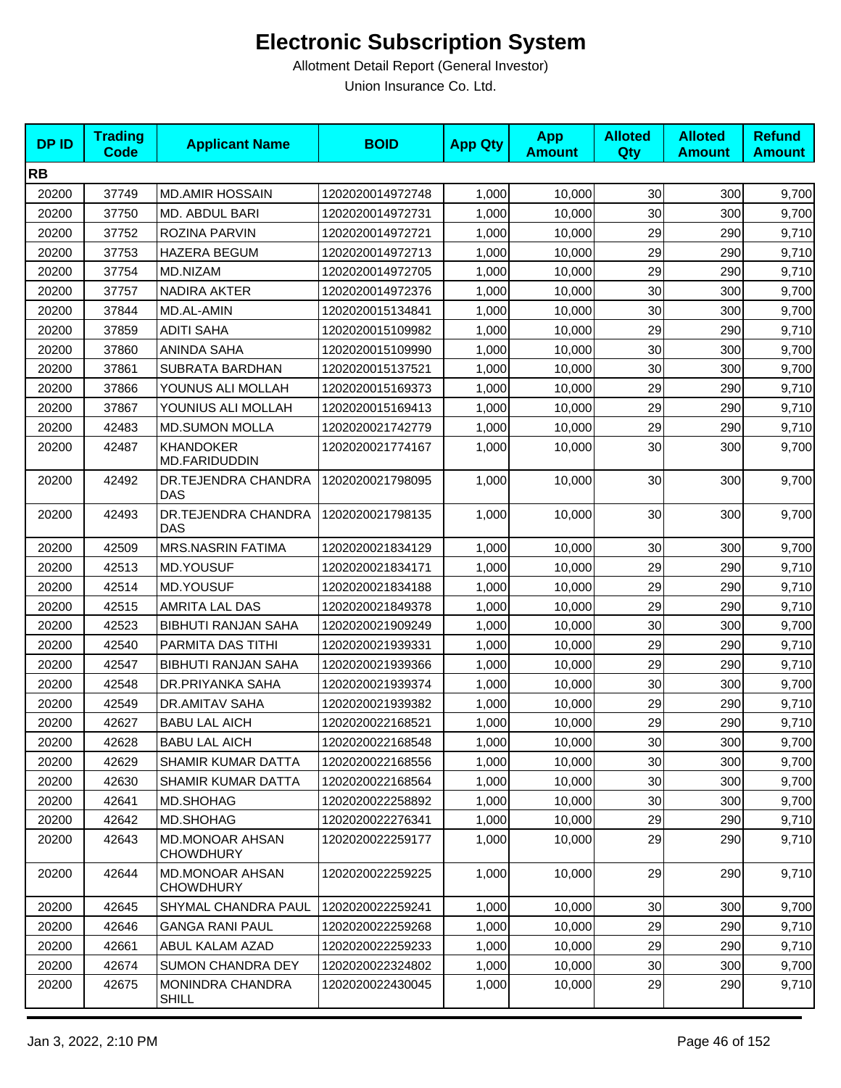| <b>DPID</b> | <b>Trading</b><br><b>Code</b> | <b>Applicant Name</b>                      | <b>BOID</b>      | <b>App Qty</b> | <b>App</b><br><b>Amount</b> | <b>Alloted</b><br><b>Qty</b> | <b>Alloted</b><br><b>Amount</b> | <b>Refund</b><br><b>Amount</b> |
|-------------|-------------------------------|--------------------------------------------|------------------|----------------|-----------------------------|------------------------------|---------------------------------|--------------------------------|
| <b>RB</b>   |                               |                                            |                  |                |                             |                              |                                 |                                |
| 20200       | 37749                         | <b>MD.AMIR HOSSAIN</b>                     | 1202020014972748 | 1,000          | 10,000                      | 30                           | 300                             | 9,700                          |
| 20200       | 37750                         | MD. ABDUL BARI                             | 1202020014972731 | 1,000          | 10,000                      | 30                           | 300                             | 9,700                          |
| 20200       | 37752                         | ROZINA PARVIN                              | 1202020014972721 | 1,000          | 10,000                      | 29                           | 290                             | 9,710                          |
| 20200       | 37753                         | <b>HAZERA BEGUM</b>                        | 1202020014972713 | 1,000          | 10,000                      | 29                           | 290                             | 9,710                          |
| 20200       | 37754                         | MD.NIZAM                                   | 1202020014972705 | 1,000          | 10,000                      | 29                           | 290                             | 9,710                          |
| 20200       | 37757                         | <b>NADIRA AKTER</b>                        | 1202020014972376 | 1,000          | 10,000                      | 30                           | 300                             | 9,700                          |
| 20200       | 37844                         | MD.AL-AMIN                                 | 1202020015134841 | 1,000          | 10,000                      | 30                           | 300                             | 9,700                          |
| 20200       | 37859                         | <b>ADITI SAHA</b>                          | 1202020015109982 | 1,000          | 10,000                      | 29                           | 290                             | 9,710                          |
| 20200       | 37860                         | <b>ANINDA SAHA</b>                         | 1202020015109990 | 1,000          | 10,000                      | 30                           | 300                             | 9,700                          |
| 20200       | 37861                         | SUBRATA BARDHAN                            | 1202020015137521 | 1,000          | 10,000                      | 30                           | 300                             | 9,700                          |
| 20200       | 37866                         | YOUNUS ALI MOLLAH                          | 1202020015169373 | 1,000          | 10,000                      | 29                           | 290                             | 9,710                          |
| 20200       | 37867                         | YOUNIUS ALI MOLLAH                         | 1202020015169413 | 1,000          | 10,000                      | 29                           | 290                             | 9,710                          |
| 20200       | 42483                         | <b>MD.SUMON MOLLA</b>                      | 1202020021742779 | 1,000          | 10,000                      | 29                           | 290                             | 9,710                          |
| 20200       | 42487                         | <b>KHANDOKER</b><br>MD.FARIDUDDIN          | 1202020021774167 | 1,000          | 10,000                      | 30                           | 300                             | 9,700                          |
| 20200       | 42492                         | DR.TEJENDRA CHANDRA<br><b>DAS</b>          | 1202020021798095 | 1,000          | 10,000                      | 30                           | 300                             | 9,700                          |
| 20200       | 42493                         | DR.TEJENDRA CHANDRA<br><b>DAS</b>          | 1202020021798135 | 1,000          | 10,000                      | 30                           | 300                             | 9,700                          |
| 20200       | 42509                         | <b>MRS.NASRIN FATIMA</b>                   | 1202020021834129 | 1,000          | 10,000                      | 30                           | 300                             | 9,700                          |
| 20200       | 42513                         | MD.YOUSUF                                  | 1202020021834171 | 1,000          | 10,000                      | 29                           | 290                             | 9,710                          |
| 20200       | 42514                         | <b>MD.YOUSUF</b>                           | 1202020021834188 | 1,000          | 10,000                      | 29                           | 290                             | 9,710                          |
| 20200       | 42515                         | <b>AMRITA LAL DAS</b>                      | 1202020021849378 | 1,000          | 10,000                      | 29                           | 290                             | 9,710                          |
| 20200       | 42523                         | <b>BIBHUTI RANJAN SAHA</b>                 | 1202020021909249 | 1,000          | 10,000                      | 30                           | 300                             | 9,700                          |
| 20200       | 42540                         | PARMITA DAS TITHI                          | 1202020021939331 | 1,000          | 10,000                      | 29                           | 290                             | 9,710                          |
| 20200       | 42547                         | <b>BIBHUTI RANJAN SAHA</b>                 | 1202020021939366 | 1,000          | 10,000                      | 29                           | 290                             | 9,710                          |
| 20200       | 42548                         | DR.PRIYANKA SAHA                           | 1202020021939374 | 1,000          | 10,000                      | 30                           | 300                             | 9,700                          |
| 20200       | 42549                         | <b>DR.AMITAV SAHA</b>                      | 1202020021939382 | 1,000          | 10,000                      | 29                           | 290                             | 9,710                          |
| 20200       | 42627                         | <b>BABU LAL AICH</b>                       | 1202020022168521 | 1,000          | 10,000                      | 29                           | 290                             | 9,710                          |
| 20200       | 42628                         | <b>BABU LAL AICH</b>                       | 1202020022168548 | 1,000          | 10,000                      | 30                           | 300                             | 9,700                          |
| 20200       | 42629                         | SHAMIR KUMAR DATTA                         | 1202020022168556 | 1,000          | 10,000                      | 30                           | 300                             | 9,700                          |
| 20200       | 42630                         | SHAMIR KUMAR DATTA                         | 1202020022168564 | 1,000          | 10,000                      | 30                           | 300                             | 9,700                          |
| 20200       | 42641                         | MD.SHOHAG                                  | 1202020022258892 | 1,000          | 10,000                      | 30                           | 300                             | 9,700                          |
| 20200       | 42642                         | MD.SHOHAG                                  | 1202020022276341 | 1,000          | 10,000                      | 29                           | 290                             | 9,710                          |
| 20200       | 42643                         | <b>MD.MONOAR AHSAN</b><br><b>CHOWDHURY</b> | 1202020022259177 | 1,000          | 10,000                      | 29                           | 290                             | 9,710                          |
| 20200       | 42644                         | <b>MD.MONOAR AHSAN</b><br><b>CHOWDHURY</b> | 1202020022259225 | 1,000          | 10,000                      | 29                           | 290                             | 9,710                          |
| 20200       | 42645                         | SHYMAL CHANDRA PAUL                        | 1202020022259241 | 1,000          | 10,000                      | 30                           | 300                             | 9,700                          |
| 20200       | 42646                         | <b>GANGA RANI PAUL</b>                     | 1202020022259268 | 1,000          | 10,000                      | 29                           | 290                             | 9,710                          |
| 20200       | 42661                         | ABUL KALAM AZAD                            | 1202020022259233 | 1,000          | 10,000                      | 29                           | 290                             | 9,710                          |
| 20200       | 42674                         | <b>SUMON CHANDRA DEY</b>                   | 1202020022324802 | 1,000          | 10,000                      | 30 <sub>0</sub>              | 300                             | 9,700                          |
| 20200       | 42675                         | <b>MONINDRA CHANDRA</b><br>SHILL           | 1202020022430045 | 1,000          | 10,000                      | 29                           | 290                             | 9,710                          |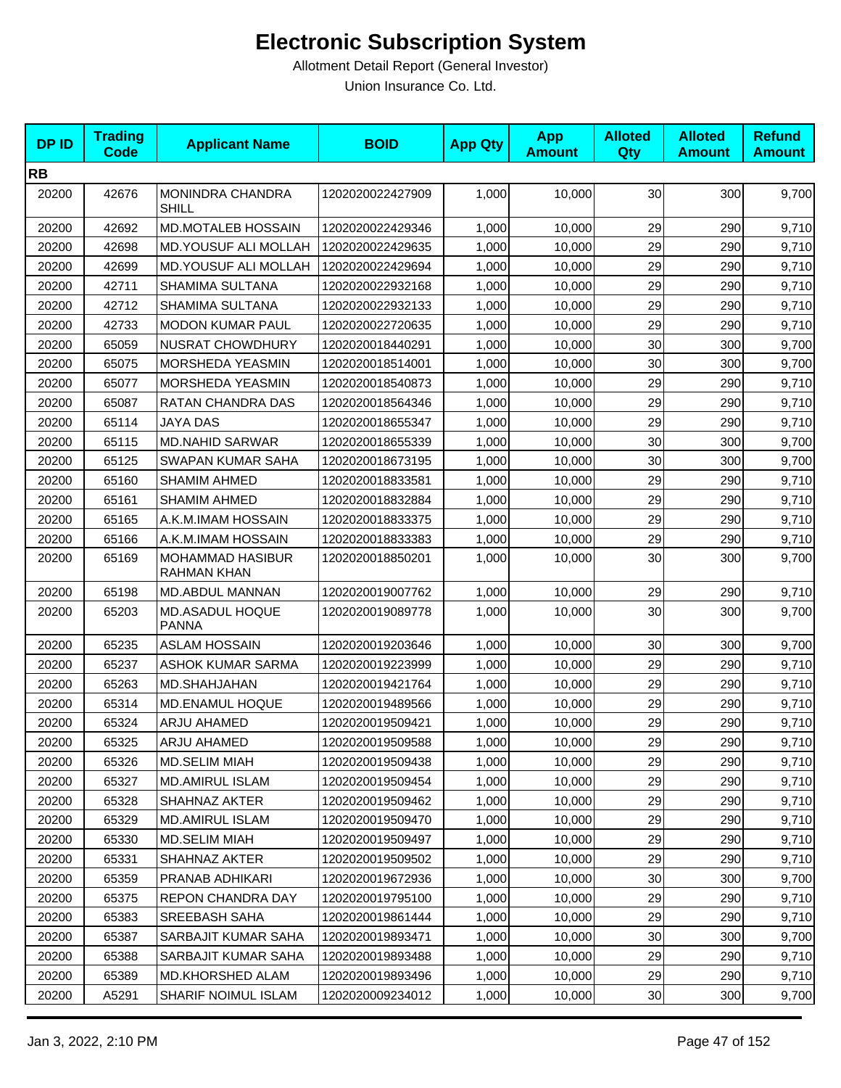| <b>DPID</b> | <b>Trading</b><br><b>Code</b> | <b>Applicant Name</b>                         | <b>BOID</b>      | <b>App Qty</b> | <b>App</b><br><b>Amount</b> | <b>Alloted</b><br>Qty | <b>Alloted</b><br><b>Amount</b> | <b>Refund</b><br><b>Amount</b> |
|-------------|-------------------------------|-----------------------------------------------|------------------|----------------|-----------------------------|-----------------------|---------------------------------|--------------------------------|
| <b>RB</b>   |                               |                                               |                  |                |                             |                       |                                 |                                |
| 20200       | 42676                         | MONINDRA CHANDRA<br>SHILL                     | 1202020022427909 | 1,000          | 10,000                      | 30                    | 300                             | 9,700                          |
| 20200       | 42692                         | <b>MD.MOTALEB HOSSAIN</b>                     | 1202020022429346 | 1,000          | 10,000                      | 29                    | 290                             | 9,710                          |
| 20200       | 42698                         | <b>MD.YOUSUF ALI MOLLAH</b>                   | 1202020022429635 | 1,000          | 10,000                      | 29                    | 290                             | 9,710                          |
| 20200       | 42699                         | MD.YOUSUF ALI MOLLAH                          | 1202020022429694 | 1,000          | 10,000                      | 29                    | 290                             | 9,710                          |
| 20200       | 42711                         | SHAMIMA SULTANA                               | 1202020022932168 | 1,000          | 10,000                      | 29                    | 290                             | 9,710                          |
| 20200       | 42712                         | SHAMIMA SULTANA                               | 1202020022932133 | 1,000          | 10,000                      | 29                    | 290                             | 9,710                          |
| 20200       | 42733                         | <b>MODON KUMAR PAUL</b>                       | 1202020022720635 | 1,000          | 10,000                      | 29                    | 290                             | 9,710                          |
| 20200       | 65059                         | <b>NUSRAT CHOWDHURY</b>                       | 1202020018440291 | 1,000          | 10,000                      | 30                    | 300                             | 9,700                          |
| 20200       | 65075                         | MORSHEDA YEASMIN                              | 1202020018514001 | 1,000          | 10,000                      | 30                    | 300                             | 9,700                          |
| 20200       | 65077                         | <b>MORSHEDA YEASMIN</b>                       | 1202020018540873 | 1,000          | 10,000                      | 29                    | 290                             | 9,710                          |
| 20200       | 65087                         | RATAN CHANDRA DAS                             | 1202020018564346 | 1,000          | 10,000                      | 29                    | 290                             | 9,710                          |
| 20200       | 65114                         | JAYA DAS                                      | 1202020018655347 | 1,000          | 10,000                      | 29                    | 290                             | 9,710                          |
| 20200       | 65115                         | <b>MD.NAHID SARWAR</b>                        | 1202020018655339 | 1,000          | 10,000                      | 30                    | 300                             | 9,700                          |
| 20200       | 65125                         | SWAPAN KUMAR SAHA                             | 1202020018673195 | 1,000          | 10,000                      | 30                    | 300                             | 9,700                          |
| 20200       | 65160                         | <b>SHAMIM AHMED</b>                           | 1202020018833581 | 1,000          | 10,000                      | 29                    | 290                             | 9,710                          |
| 20200       | 65161                         | <b>SHAMIM AHMED</b>                           | 1202020018832884 | 1,000          | 10,000                      | 29                    | 290                             | 9,710                          |
| 20200       | 65165                         | A.K.M.IMAM HOSSAIN                            | 1202020018833375 | 1,000          | 10,000                      | 29                    | 290                             | 9,710                          |
| 20200       | 65166                         | A.K.M.IMAM HOSSAIN                            | 1202020018833383 | 1,000          | 10,000                      | 29                    | 290                             | 9,710                          |
| 20200       | 65169                         | <b>MOHAMMAD HASIBUR</b><br><b>RAHMAN KHAN</b> | 1202020018850201 | 1,000          | 10,000                      | 30                    | 300                             | 9,700                          |
| 20200       | 65198                         | MD.ABDUL MANNAN                               | 1202020019007762 | 1,000          | 10,000                      | 29                    | 290                             | 9,710                          |
| 20200       | 65203                         | MD.ASADUL HOQUE<br><b>PANNA</b>               | 1202020019089778 | 1,000          | 10,000                      | 30                    | 300                             | 9,700                          |
| 20200       | 65235                         | <b>ASLAM HOSSAIN</b>                          | 1202020019203646 | 1,000          | 10,000                      | 30                    | 300                             | 9,700                          |
| 20200       | 65237                         | <b>ASHOK KUMAR SARMA</b>                      | 1202020019223999 | 1,000          | 10,000                      | 29                    | 290                             | 9,710                          |
| 20200       | 65263                         | MD.SHAHJAHAN                                  | 1202020019421764 | 1,000          | 10,000                      | 29                    | 290                             | 9,710                          |
| 20200       | 65314                         | <b>MD.ENAMUL HOQUE</b>                        | 1202020019489566 | 1,000          | 10,000                      | 29                    | 290                             | 9,710                          |
| 20200       | 65324                         | ARJU AHAMED                                   | 1202020019509421 | 1,000          | 10,000                      | 29                    | 290                             | 9,710                          |
| 20200       | 65325                         | ARJU AHAMED                                   | 1202020019509588 | 1,000          | 10,000                      | 29                    | 290                             | 9,710                          |
| 20200       | 65326                         | MD.SELIM MIAH                                 | 1202020019509438 | 1,000          | 10,000                      | 29                    | 290                             | 9,710                          |
| 20200       | 65327                         | <b>MD.AMIRUL ISLAM</b>                        | 1202020019509454 | 1,000          | 10,000                      | 29                    | 290                             | 9,710                          |
| 20200       | 65328                         | SHAHNAZ AKTER                                 | 1202020019509462 | 1,000          | 10,000                      | 29                    | 290                             | 9,710                          |
| 20200       | 65329                         | MD.AMIRUL ISLAM                               | 1202020019509470 | 1,000          | 10,000                      | 29                    | 290                             | 9,710                          |
| 20200       | 65330                         | <b>MD.SELIM MIAH</b>                          | 1202020019509497 | 1,000          | 10,000                      | 29                    | 290                             | 9,710                          |
| 20200       | 65331                         | SHAHNAZ AKTER                                 | 1202020019509502 | 1,000          | 10,000                      | 29                    | 290                             | 9,710                          |
| 20200       | 65359                         | PRANAB ADHIKARI                               | 1202020019672936 | 1,000          | 10,000                      | 30                    | 300                             | 9,700                          |
| 20200       | 65375                         | REPON CHANDRA DAY                             | 1202020019795100 | 1,000          | 10,000                      | 29                    | 290                             | 9,710                          |
| 20200       | 65383                         | SREEBASH SAHA                                 | 1202020019861444 | 1,000          | 10,000                      | 29                    | 290                             | 9,710                          |
| 20200       | 65387                         | SARBAJIT KUMAR SAHA                           | 1202020019893471 | 1,000          | 10,000                      | 30                    | 300                             | 9,700                          |
| 20200       | 65388                         | SARBAJIT KUMAR SAHA                           | 1202020019893488 | 1,000          | 10,000                      | 29                    | 290                             | 9,710                          |
| 20200       | 65389                         | MD.KHORSHED ALAM                              | 1202020019893496 | 1,000          | 10,000                      | 29                    | 290                             | 9,710                          |
| 20200       | A5291                         | SHARIF NOIMUL ISLAM                           | 1202020009234012 | 1,000          | 10,000                      | 30                    | 300                             | 9,700                          |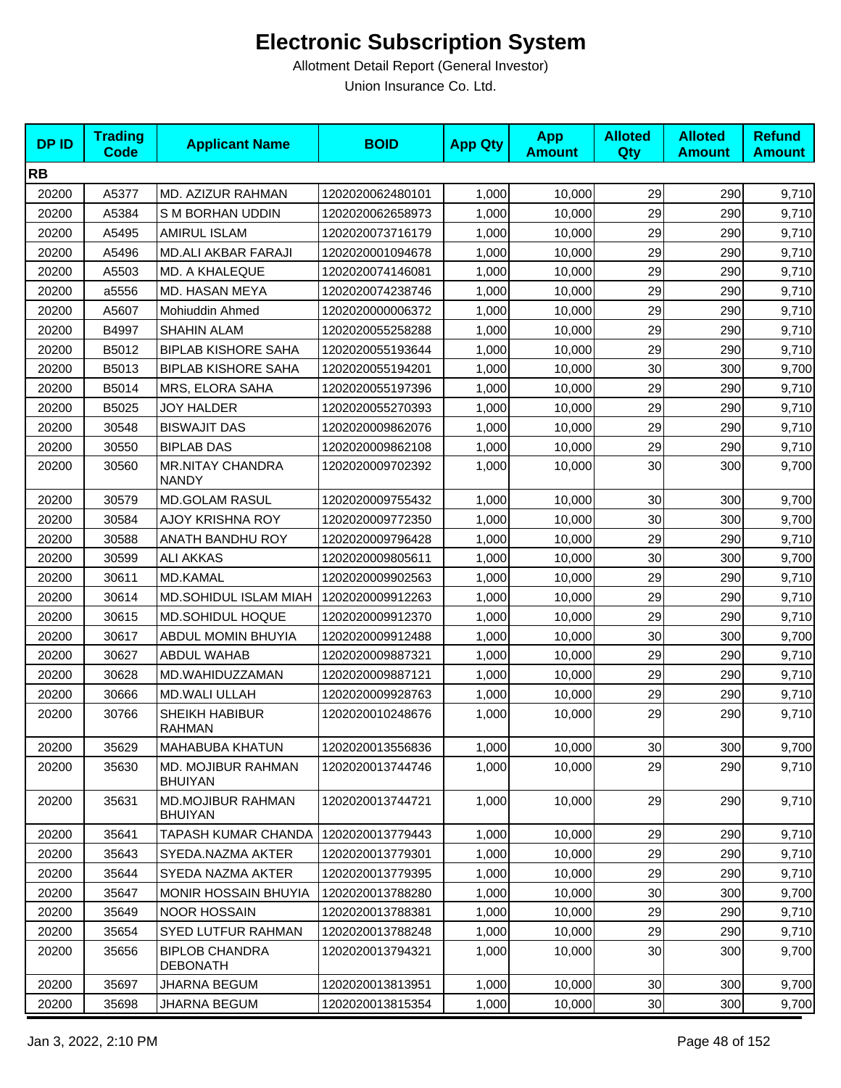| <b>DPID</b> | <b>Trading</b><br><b>Code</b> | <b>Applicant Name</b>                      | <b>BOID</b>      | <b>App Qty</b> | <b>App</b><br><b>Amount</b> | <b>Alloted</b><br>Qty | <b>Alloted</b><br><b>Amount</b> | <b>Refund</b><br><b>Amount</b> |
|-------------|-------------------------------|--------------------------------------------|------------------|----------------|-----------------------------|-----------------------|---------------------------------|--------------------------------|
| <b>RB</b>   |                               |                                            |                  |                |                             |                       |                                 |                                |
| 20200       | A5377                         | MD. AZIZUR RAHMAN                          | 1202020062480101 | 1,000          | 10,000                      | 29                    | 290                             | 9,710                          |
| 20200       | A5384                         | S M BORHAN UDDIN                           | 1202020062658973 | 1,000          | 10,000                      | 29                    | 290                             | 9,710                          |
| 20200       | A5495                         | <b>AMIRUL ISLAM</b>                        | 1202020073716179 | 1,000          | 10,000                      | 29                    | 290                             | 9,710                          |
| 20200       | A5496                         | MD.ALI AKBAR FARAJI                        | 1202020001094678 | 1,000          | 10,000                      | 29                    | 290                             | 9,710                          |
| 20200       | A5503                         | MD. A KHALEQUE                             | 1202020074146081 | 1,000          | 10,000                      | 29                    | 290                             | 9,710                          |
| 20200       | a5556                         | MD. HASAN MEYA                             | 1202020074238746 | 1,000          | 10,000                      | 29                    | 290                             | 9,710                          |
| 20200       | A5607                         | Mohiuddin Ahmed                            | 1202020000006372 | 1,000          | 10,000                      | 29                    | 290                             | 9,710                          |
| 20200       | B4997                         | <b>SHAHIN ALAM</b>                         | 1202020055258288 | 1,000          | 10,000                      | 29                    | 290                             | 9,710                          |
| 20200       | B5012                         | <b>BIPLAB KISHORE SAHA</b>                 | 1202020055193644 | 1,000          | 10,000                      | 29                    | 290                             | 9,710                          |
| 20200       | B5013                         | <b>BIPLAB KISHORE SAHA</b>                 | 1202020055194201 | 1,000          | 10,000                      | 30                    | 300                             | 9,700                          |
| 20200       | B5014                         | MRS, ELORA SAHA                            | 1202020055197396 | 1,000          | 10,000                      | 29                    | 290                             | 9,710                          |
| 20200       | B5025                         | <b>JOY HALDER</b>                          | 1202020055270393 | 1,000          | 10,000                      | 29                    | 290                             | 9,710                          |
| 20200       | 30548                         | <b>BISWAJIT DAS</b>                        | 1202020009862076 | 1,000          | 10,000                      | 29                    | 290                             | 9,710                          |
| 20200       | 30550                         | <b>BIPLAB DAS</b>                          | 1202020009862108 | 1,000          | 10,000                      | 29                    | 290                             | 9,710                          |
| 20200       | 30560                         | <b>MR.NITAY CHANDRA</b><br><b>NANDY</b>    | 1202020009702392 | 1,000          | 10,000                      | 30                    | 300                             | 9,700                          |
| 20200       | 30579                         | <b>MD.GOLAM RASUL</b>                      | 1202020009755432 | 1,000          | 10,000                      | 30                    | 300                             | 9,700                          |
| 20200       | 30584                         | AJOY KRISHNA ROY                           | 1202020009772350 | 1,000          | 10.000                      | 30                    | 300                             | 9,700                          |
| 20200       | 30588                         | ANATH BANDHU ROY                           | 1202020009796428 | 1,000          | 10,000                      | 29                    | 290                             | 9,710                          |
| 20200       | 30599                         | <b>ALI AKKAS</b>                           | 1202020009805611 | 1,000          | 10,000                      | 30                    | 300                             | 9,700                          |
| 20200       | 30611                         | MD.KAMAL                                   | 1202020009902563 | 1,000          | 10,000                      | 29                    | 290                             | 9,710                          |
| 20200       | 30614                         | MD.SOHIDUL ISLAM MIAH                      | 1202020009912263 | 1,000          | 10,000                      | 29                    | 290                             | 9,710                          |
| 20200       | 30615                         | MD.SOHIDUL HOQUE                           | 1202020009912370 | 1,000          | 10,000                      | 29                    | 290                             | 9,710                          |
| 20200       | 30617                         | ABDUL MOMIN BHUYIA                         | 1202020009912488 | 1,000          | 10,000                      | 30                    | 300                             | 9,700                          |
| 20200       | 30627                         | <b>ABDUL WAHAB</b>                         | 1202020009887321 | 1,000          | 10,000                      | 29                    | 290                             | 9,710                          |
| 20200       | 30628                         | MD.WAHIDUZZAMAN                            | 1202020009887121 | 1,000          | 10,000                      | 29                    | 290                             | 9,710                          |
| 20200       | 30666                         | <b>MD.WALI ULLAH</b>                       | 1202020009928763 | 1,000          | 10,000                      | 29                    | 290                             | 9,710                          |
| 20200       | 30766                         | SHEIKH HABIBUR<br><b>RAHMAN</b>            | 1202020010248676 | 1,000          | 10,000                      | 29                    | 290                             | 9,710                          |
| 20200       | 35629                         | <b>MAHABUBA KHATUN</b>                     | 1202020013556836 | 1,000          | 10,000                      | 30                    | 300                             | 9,700                          |
| 20200       | 35630                         | MD. MOJIBUR RAHMAN<br><b>BHUIYAN</b>       | 1202020013744746 | 1,000          | 10,000                      | 29                    | 290                             | 9,710                          |
| 20200       | 35631                         | <b>MD.MOJIBUR RAHMAN</b><br><b>BHUIYAN</b> | 1202020013744721 | 1,000          | 10,000                      | 29                    | 290                             | 9,710                          |
| 20200       | 35641                         | TAPASH KUMAR CHANDA                        | 1202020013779443 | 1,000          | 10,000                      | 29                    | 290                             | 9,710                          |
| 20200       | 35643                         | SYEDA.NAZMA AKTER                          | 1202020013779301 | 1,000          | 10,000                      | 29                    | 290                             | 9,710                          |
| 20200       | 35644                         | SYEDA NAZMA AKTER                          | 1202020013779395 | 1,000          | 10,000                      | 29                    | 290                             | 9,710                          |
| 20200       | 35647                         | <b>MONIR HOSSAIN BHUYIA</b>                | 1202020013788280 | 1,000          | 10,000                      | 30                    | 300                             | 9,700                          |
| 20200       | 35649                         | <b>NOOR HOSSAIN</b>                        | 1202020013788381 | 1,000          | 10,000                      | 29                    | 290                             | 9,710                          |
| 20200       | 35654                         | SYED LUTFUR RAHMAN                         | 1202020013788248 | 1,000          | 10,000                      | 29                    | 290                             | 9,710                          |
| 20200       | 35656                         | <b>BIPLOB CHANDRA</b><br><b>DEBONATH</b>   | 1202020013794321 | 1,000          | 10,000                      | 30                    | 300                             | 9,700                          |
| 20200       | 35697                         | <b>JHARNA BEGUM</b>                        | 1202020013813951 | 1,000          | 10,000                      | 30                    | 300                             | 9,700                          |
| 20200       | 35698                         | <b>JHARNA BEGUM</b>                        | 1202020013815354 | 1,000          | 10,000                      | 30                    | 300                             | 9,700                          |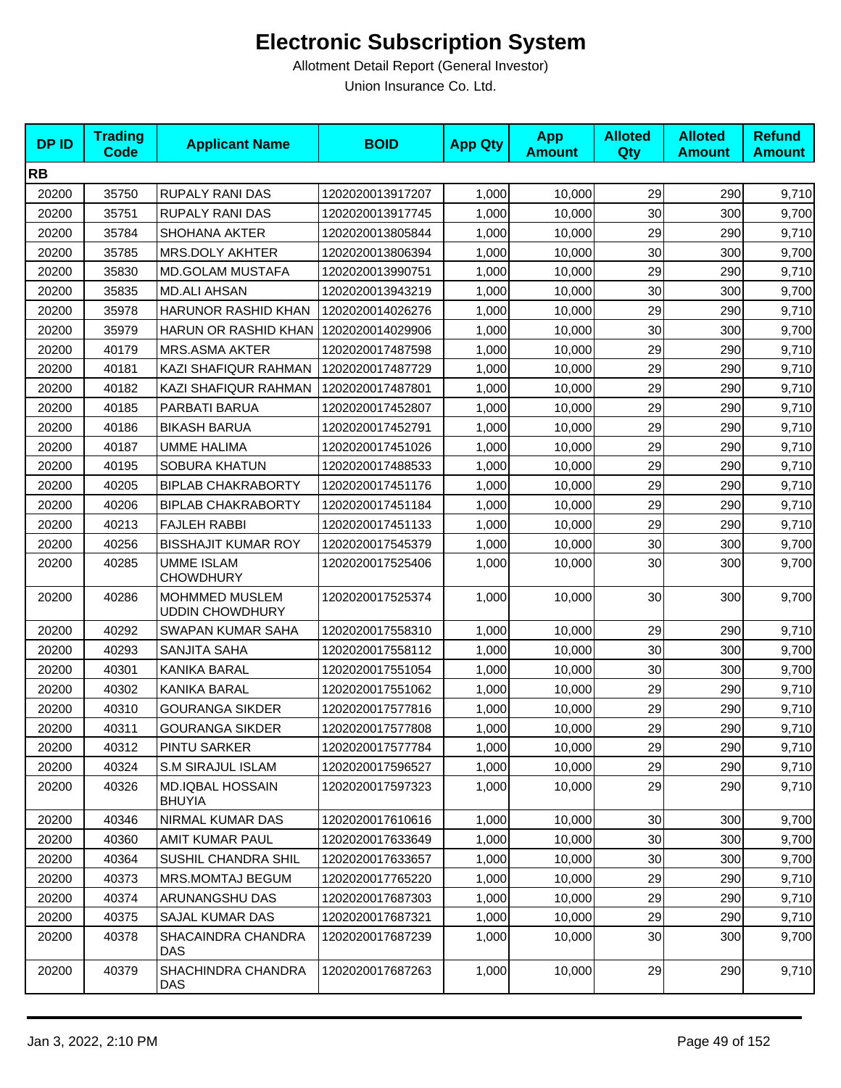| <b>DPID</b> | <b>Trading</b><br>Code | <b>Applicant Name</b>                    | <b>BOID</b>      | <b>App Qty</b> | <b>App</b><br><b>Amount</b> | <b>Alloted</b><br>Qty | <b>Alloted</b><br><b>Amount</b> | <b>Refund</b><br><b>Amount</b> |
|-------------|------------------------|------------------------------------------|------------------|----------------|-----------------------------|-----------------------|---------------------------------|--------------------------------|
| <b>RB</b>   |                        |                                          |                  |                |                             |                       |                                 |                                |
| 20200       | 35750                  | <b>RUPALY RANI DAS</b>                   | 1202020013917207 | 1,000          | 10,000                      | 29                    | 290                             | 9,710                          |
| 20200       | 35751                  | <b>RUPALY RANI DAS</b>                   | 1202020013917745 | 1,000          | 10,000                      | 30                    | 300                             | 9,700                          |
| 20200       | 35784                  | <b>SHOHANA AKTER</b>                     | 1202020013805844 | 1,000          | 10,000                      | 29                    | 290                             | 9,710                          |
| 20200       | 35785                  | MRS.DOLY AKHTER                          | 1202020013806394 | 1,000          | 10,000                      | 30                    | 300                             | 9,700                          |
| 20200       | 35830                  | <b>MD.GOLAM MUSTAFA</b>                  | 1202020013990751 | 1,000          | 10,000                      | 29                    | 290                             | 9,710                          |
| 20200       | 35835                  | <b>MD.ALI AHSAN</b>                      | 1202020013943219 | 1,000          | 10,000                      | 30                    | 300                             | 9,700                          |
| 20200       | 35978                  | HARUNOR RASHID KHAN                      | 1202020014026276 | 1,000          | 10,000                      | 29                    | 290                             | 9,710                          |
| 20200       | 35979                  | HARUN OR RASHID KHAN                     | 1202020014029906 | 1,000          | 10,000                      | 30                    | 300                             | 9,700                          |
| 20200       | 40179                  | <b>MRS.ASMA AKTER</b>                    | 1202020017487598 | 1,000          | 10,000                      | 29                    | 290                             | 9,710                          |
| 20200       | 40181                  | KAZI SHAFIQUR RAHMAN                     | 1202020017487729 | 1,000          | 10,000                      | 29                    | 290                             | 9,710                          |
| 20200       | 40182                  | KAZI SHAFIQUR RAHMAN                     | 1202020017487801 | 1,000          | 10,000                      | 29                    | 290                             | 9,710                          |
| 20200       | 40185                  | PARBATI BARUA                            | 1202020017452807 | 1,000          | 10,000                      | 29                    | 290                             | 9,710                          |
| 20200       | 40186                  | <b>BIKASH BARUA</b>                      | 1202020017452791 | 1,000          | 10,000                      | 29                    | 290                             | 9,710                          |
| 20200       | 40187                  | <b>UMME HALIMA</b>                       | 1202020017451026 | 1,000          | 10,000                      | 29                    | 290                             | 9,710                          |
| 20200       | 40195                  | <b>SOBURA KHATUN</b>                     | 1202020017488533 | 1,000          | 10,000                      | 29                    | 290                             | 9,710                          |
| 20200       | 40205                  | <b>BIPLAB CHAKRABORTY</b>                | 1202020017451176 | 1,000          | 10,000                      | 29                    | 290                             | 9,710                          |
| 20200       | 40206                  | <b>BIPLAB CHAKRABORTY</b>                | 1202020017451184 | 1,000          | 10,000                      | 29                    | 290                             | 9,710                          |
| 20200       | 40213                  | <b>FAJLEH RABBI</b>                      | 1202020017451133 | 1,000          | 10,000                      | 29                    | 290                             | 9,710                          |
| 20200       | 40256                  | <b>BISSHAJIT KUMAR ROY</b>               | 1202020017545379 | 1,000          | 10,000                      | 30                    | 300                             | 9,700                          |
| 20200       | 40285                  | <b>UMME ISLAM</b><br><b>CHOWDHURY</b>    | 1202020017525406 | 1,000          | 10,000                      | 30                    | 300                             | 9,700                          |
| 20200       | 40286                  | MOHMMED MUSLEM<br><b>UDDIN CHOWDHURY</b> | 1202020017525374 | 1,000          | 10,000                      | 30                    | 300                             | 9,700                          |
| 20200       | 40292                  | SWAPAN KUMAR SAHA                        | 1202020017558310 | 1,000          | 10,000                      | 29                    | 290                             | 9,710                          |
| 20200       | 40293                  | SANJITA SAHA                             | 1202020017558112 | 1,000          | 10,000                      | 30                    | 300                             | 9,700                          |
| 20200       | 40301                  | KANIKA BARAL                             | 1202020017551054 | 1,000          | 10,000                      | 30                    | 300                             | 9,700                          |
| 20200       | 40302                  | <b>KANIKA BARAL</b>                      | 1202020017551062 | 1,000          | 10,000                      | 29                    | 290                             | 9,710                          |
| 20200       | 40310                  | <b>GOURANGA SIKDER</b>                   | 1202020017577816 | 1,000          | 10,000                      | 29                    | 290                             | 9,710                          |
| 20200       | 40311                  | <b>GOURANGA SIKDER</b>                   | 1202020017577808 | 1,000          | 10,000                      | 29                    | 290                             | 9,710                          |
| 20200       | 40312                  | <b>PINTU SARKER</b>                      | 1202020017577784 | 1,000          | 10,000                      | 29                    | 290                             | 9,710                          |
| 20200       | 40324                  | <b>S.M SIRAJUL ISLAM</b>                 | 1202020017596527 | 1,000          | 10,000                      | 29                    | 290                             | 9,710                          |
| 20200       | 40326                  | <b>MD.IQBAL HOSSAIN</b><br><b>BHUYIA</b> | 1202020017597323 | 1,000          | 10,000                      | 29                    | 290                             | 9,710                          |
| 20200       | 40346                  | NIRMAL KUMAR DAS                         | 1202020017610616 | 1,000          | 10,000                      | 30                    | 300                             | 9,700                          |
| 20200       | 40360                  | AMIT KUMAR PAUL                          | 1202020017633649 | 1,000          | 10,000                      | 30                    | 300                             | 9,700                          |
| 20200       | 40364                  | SUSHIL CHANDRA SHIL                      | 1202020017633657 | 1,000          | 10,000                      | 30                    | 300                             | 9,700                          |
| 20200       | 40373                  | <b>MRS.MOMTAJ BEGUM</b>                  | 1202020017765220 | 1,000          | 10,000                      | 29                    | 290                             | 9,710                          |
| 20200       | 40374                  | ARUNANGSHU DAS                           | 1202020017687303 | 1,000          | 10,000                      | 29                    | 290                             | 9,710                          |
| 20200       | 40375                  | SAJAL KUMAR DAS                          | 1202020017687321 | 1,000          | 10,000                      | 29                    | 290                             | 9,710                          |
| 20200       | 40378                  | SHACAINDRA CHANDRA<br><b>DAS</b>         | 1202020017687239 | 1,000          | 10,000                      | 30                    | 300                             | 9,700                          |
| 20200       | 40379                  | SHACHINDRA CHANDRA<br>DAS                | 1202020017687263 | 1,000          | 10,000                      | 29                    | 290                             | 9,710                          |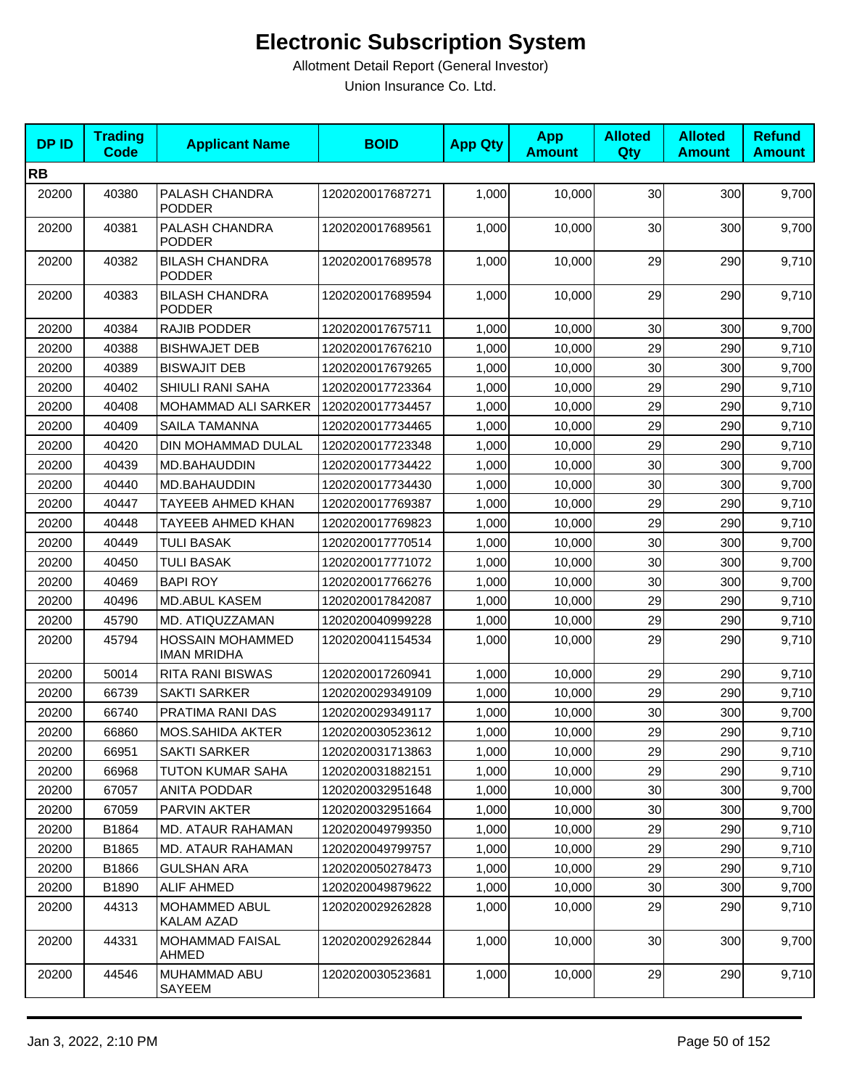| <b>DPID</b> | <b>Trading</b><br>Code | <b>Applicant Name</b>                         | <b>BOID</b>      | <b>App Qty</b> | <b>App</b><br><b>Amount</b> | <b>Alloted</b><br>Qty | <b>Alloted</b><br><b>Amount</b> | <b>Refund</b><br><b>Amount</b> |
|-------------|------------------------|-----------------------------------------------|------------------|----------------|-----------------------------|-----------------------|---------------------------------|--------------------------------|
| <b>RB</b>   |                        |                                               |                  |                |                             |                       |                                 |                                |
| 20200       | 40380                  | PALASH CHANDRA<br><b>PODDER</b>               | 1202020017687271 | 1,000          | 10,000                      | 30                    | 300                             | 9,700                          |
| 20200       | 40381                  | PALASH CHANDRA<br>PODDER                      | 1202020017689561 | 1,000          | 10,000                      | 30                    | 300                             | 9,700                          |
| 20200       | 40382                  | <b>BILASH CHANDRA</b><br><b>PODDER</b>        | 1202020017689578 | 1,000          | 10,000                      | 29                    | 290                             | 9,710                          |
| 20200       | 40383                  | <b>BILASH CHANDRA</b><br>PODDER               | 1202020017689594 | 1,000          | 10,000                      | 29                    | 290                             | 9,710                          |
| 20200       | 40384                  | RAJIB PODDER                                  | 1202020017675711 | 1,000          | 10,000                      | 30                    | 300                             | 9,700                          |
| 20200       | 40388                  | <b>BISHWAJET DEB</b>                          | 1202020017676210 | 1,000          | 10,000                      | 29                    | 290                             | 9,710                          |
| 20200       | 40389                  | <b>BISWAJIT DEB</b>                           | 1202020017679265 | 1,000          | 10,000                      | 30                    | 300                             | 9,700                          |
| 20200       | 40402                  | SHIULI RANI SAHA                              | 1202020017723364 | 1,000          | 10,000                      | 29                    | 290                             | 9,710                          |
| 20200       | 40408                  | MOHAMMAD ALI SARKER                           | 1202020017734457 | 1,000          | 10,000                      | 29                    | 290                             | 9,710                          |
| 20200       | 40409                  | <b>SAILA TAMANNA</b>                          | 1202020017734465 | 1,000          | 10,000                      | 29                    | 290                             | 9,710                          |
| 20200       | 40420                  | DIN MOHAMMAD DULAL                            | 1202020017723348 | 1,000          | 10,000                      | 29                    | 290                             | 9,710                          |
| 20200       | 40439                  | MD.BAHAUDDIN                                  | 1202020017734422 | 1,000          | 10,000                      | 30                    | 300                             | 9,700                          |
| 20200       | 40440                  | MD.BAHAUDDIN                                  | 1202020017734430 | 1,000          | 10,000                      | 30                    | 300                             | 9,700                          |
| 20200       | 40447                  | TAYEEB AHMED KHAN                             | 1202020017769387 | 1,000          | 10,000                      | 29                    | 290                             | 9,710                          |
| 20200       | 40448                  | <b>TAYEEB AHMED KHAN</b>                      | 1202020017769823 | 1,000          | 10,000                      | 29                    | 290                             | 9,710                          |
| 20200       | 40449                  | <b>TULI BASAK</b>                             | 1202020017770514 | 1,000          | 10,000                      | 30                    | 300                             | 9,700                          |
| 20200       | 40450                  | <b>TULI BASAK</b>                             | 1202020017771072 | 1,000          | 10,000                      | 30                    | 300                             | 9,700                          |
| 20200       | 40469                  | <b>BAPI ROY</b>                               | 1202020017766276 | 1,000          | 10,000                      | 30                    | 300                             | 9,700                          |
| 20200       | 40496                  | MD.ABUL KASEM                                 | 1202020017842087 | 1,000          | 10,000                      | 29                    | 290                             | 9,710                          |
| 20200       | 45790                  | MD. ATIQUZZAMAN                               | 1202020040999228 | 1,000          | 10,000                      | 29                    | 290                             | 9,710                          |
| 20200       | 45794                  | <b>HOSSAIN MOHAMMED</b><br><b>IMAN MRIDHA</b> | 1202020041154534 | 1,000          | 10,000                      | 29                    | 290                             | 9,710                          |
| 20200       | 50014                  | <b>RITA RANI BISWAS</b>                       | 1202020017260941 | 1,000          | 10,000                      | 29                    | 290                             | 9,710                          |
| 20200       | 66739                  | <b>SAKTI SARKER</b>                           | 1202020029349109 | 1,000          | 10,000                      | 29                    | 290                             | 9,710                          |
| 20200       | 66740                  | PRATIMA RANI DAS                              | 1202020029349117 | 1,000          | 10,000                      | 30                    | 300                             | 9,700                          |
| 20200       | 66860                  | <b>MOS.SAHIDA AKTER</b>                       | 1202020030523612 | 1,000          | 10,000                      | 29                    | 290                             | 9,710                          |
| 20200       | 66951                  | <b>SAKTI SARKER</b>                           | 1202020031713863 | 1,000          | 10,000                      | 29                    | 290                             | 9,710                          |
| 20200       | 66968                  | <b>TUTON KUMAR SAHA</b>                       | 1202020031882151 | 1,000          | 10,000                      | 29                    | 290                             | 9,710                          |
| 20200       | 67057                  | ANITA PODDAR                                  | 1202020032951648 | 1,000          | 10,000                      | 30                    | 300                             | 9,700                          |
| 20200       | 67059                  | PARVIN AKTER                                  | 1202020032951664 | 1,000          | 10,000                      | 30                    | 300                             | 9,700                          |
| 20200       | B1864                  | MD. ATAUR RAHAMAN                             | 1202020049799350 | 1,000          | 10,000                      | 29                    | 290                             | 9,710                          |
| 20200       | B1865                  | MD. ATAUR RAHAMAN                             | 1202020049799757 | 1,000          | 10,000                      | 29                    | 290                             | 9,710                          |
| 20200       | B1866                  | <b>GULSHAN ARA</b>                            | 1202020050278473 | 1,000          | 10,000                      | 29                    | 290                             | 9,710                          |
| 20200       | B1890                  | <b>ALIF AHMED</b>                             | 1202020049879622 | 1,000          | 10,000                      | 30                    | 300                             | 9,700                          |
| 20200       | 44313                  | MOHAMMED ABUL<br>KALAM AZAD                   | 1202020029262828 | 1,000          | 10,000                      | 29                    | 290                             | 9,710                          |
| 20200       | 44331                  | <b>MOHAMMAD FAISAL</b><br>AHMED               | 1202020029262844 | 1,000          | 10,000                      | 30                    | 300                             | 9,700                          |
| 20200       | 44546                  | MUHAMMAD ABU<br>SAYEEM                        | 1202020030523681 | 1,000          | 10,000                      | 29                    | 290                             | 9,710                          |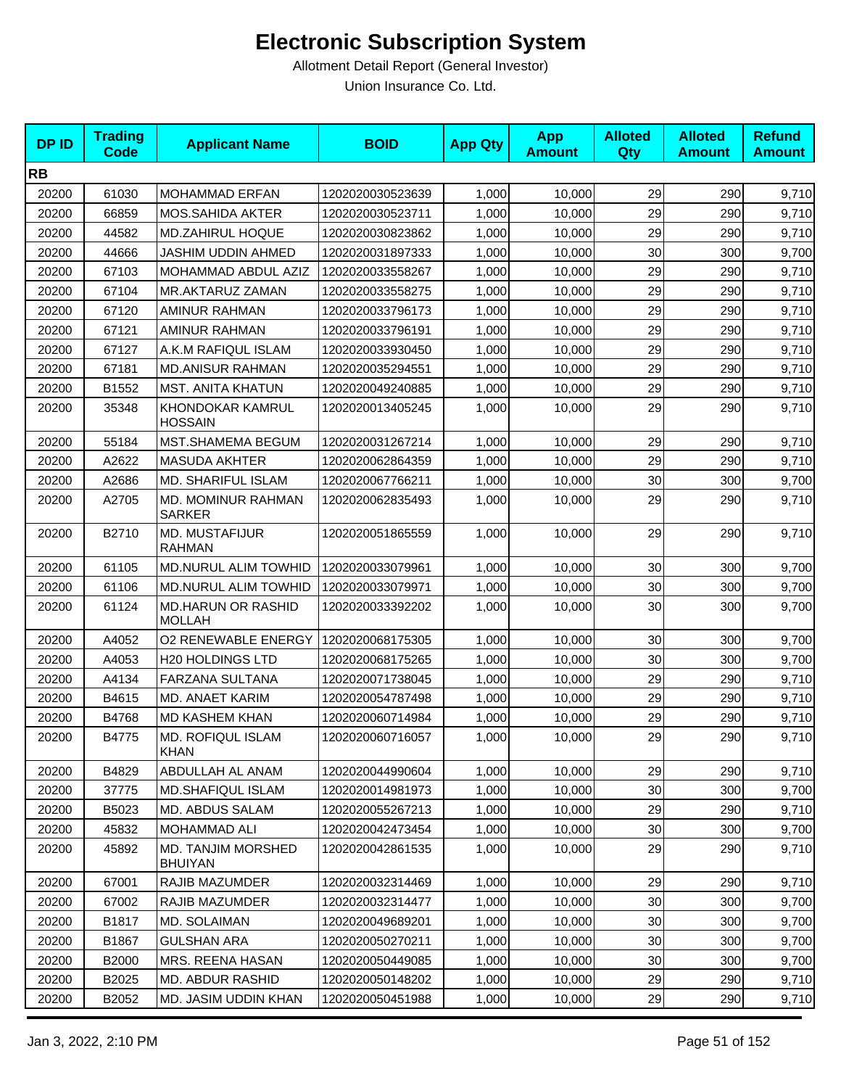| <b>DPID</b> | <b>Trading</b><br><b>Code</b> | <b>Applicant Name</b>                       | <b>BOID</b>      | <b>App Qty</b> | <b>App</b><br><b>Amount</b> | <b>Alloted</b><br><b>Qty</b> | <b>Alloted</b><br><b>Amount</b> | <b>Refund</b><br><b>Amount</b> |
|-------------|-------------------------------|---------------------------------------------|------------------|----------------|-----------------------------|------------------------------|---------------------------------|--------------------------------|
| <b>RB</b>   |                               |                                             |                  |                |                             |                              |                                 |                                |
| 20200       | 61030                         | <b>MOHAMMAD ERFAN</b>                       | 1202020030523639 | 1,000          | 10,000                      | 29                           | 290                             | 9,710                          |
| 20200       | 66859                         | <b>MOS.SAHIDA AKTER</b>                     | 1202020030523711 | 1,000          | 10,000                      | 29                           | 290                             | 9,710                          |
| 20200       | 44582                         | <b>MD.ZAHIRUL HOQUE</b>                     | 1202020030823862 | 1,000          | 10,000                      | 29                           | 290                             | 9,710                          |
| 20200       | 44666                         | JASHIM UDDIN AHMED                          | 1202020031897333 | 1,000          | 10,000                      | 30                           | 300                             | 9,700                          |
| 20200       | 67103                         | MOHAMMAD ABDUL AZIZ                         | 1202020033558267 | 1,000          | 10,000                      | 29                           | 290                             | 9,710                          |
| 20200       | 67104                         | MR.AKTARUZ ZAMAN                            | 1202020033558275 | 1,000          | 10,000                      | 29                           | 290                             | 9,710                          |
| 20200       | 67120                         | AMINUR RAHMAN                               | 1202020033796173 | 1,000          | 10,000                      | 29                           | 290                             | 9,710                          |
| 20200       | 67121                         | AMINUR RAHMAN                               | 1202020033796191 | 1,000          | 10,000                      | 29                           | 290                             | 9,710                          |
| 20200       | 67127                         | A.K.M RAFIQUL ISLAM                         | 1202020033930450 | 1,000          | 10,000                      | 29                           | 290                             | 9,710                          |
| 20200       | 67181                         | <b>MD.ANISUR RAHMAN</b>                     | 1202020035294551 | 1,000          | 10,000                      | 29                           | 290                             | 9,710                          |
| 20200       | B1552                         | MST. ANITA KHATUN                           | 1202020049240885 | 1,000          | 10,000                      | 29                           | 290                             | 9,710                          |
| 20200       | 35348                         | KHONDOKAR KAMRUL<br>HOSSAIN                 | 1202020013405245 | 1,000          | 10,000                      | 29                           | 290                             | 9,710                          |
| 20200       | 55184                         | MST.SHAMEMA BEGUM                           | 1202020031267214 | 1,000          | 10,000                      | 29                           | 290                             | 9,710                          |
| 20200       | A2622                         | <b>MASUDA AKHTER</b>                        | 1202020062864359 | 1,000          | 10,000                      | 29                           | 290                             | 9,710                          |
| 20200       | A2686                         | <b>MD. SHARIFUL ISLAM</b>                   | 1202020067766211 | 1,000          | 10,000                      | 30                           | 300                             | 9,700                          |
| 20200       | A2705                         | MD. MOMINUR RAHMAN<br><b>SARKER</b>         | 1202020062835493 | 1,000          | 10,000                      | 29                           | 290                             | 9,710                          |
| 20200       | B2710                         | MD. MUSTAFIJUR<br><b>RAHMAN</b>             | 1202020051865559 | 1,000          | 10,000                      | 29                           | 290                             | 9,710                          |
| 20200       | 61105                         | MD.NURUL ALIM TOWHID                        | 1202020033079961 | 1,000          | 10,000                      | 30                           | 300                             | 9,700                          |
| 20200       | 61106                         | MD.NURUL ALIM TOWHID                        | 1202020033079971 | 1,000          | 10,000                      | 30                           | 300                             | 9,700                          |
| 20200       | 61124                         | <b>MD.HARUN OR RASHID</b><br><b>MOLLAH</b>  | 1202020033392202 | 1,000          | 10,000                      | 30                           | 300                             | 9,700                          |
| 20200       | A4052                         | <b>O2 RENEWABLE ENERGY</b>                  | 1202020068175305 | 1,000          | 10,000                      | 30                           | 300                             | 9,700                          |
| 20200       | A4053                         | <b>H20 HOLDINGS LTD</b>                     | 1202020068175265 | 1,000          | 10,000                      | 30                           | 300                             | 9,700                          |
| 20200       | A4134                         | <b>FARZANA SULTANA</b>                      | 1202020071738045 | 1,000          | 10,000                      | 29                           | 290                             | 9,710                          |
| 20200       | B4615                         | MD. ANAET KARIM                             | 1202020054787498 | 1,000          | 10,000                      | 29                           | 290                             | 9,710                          |
| 20200       | B4768                         | <b>MD KASHEM KHAN</b>                       | 1202020060714984 | 1,000          | 10,000                      | 29                           | 290                             | 9,710                          |
| 20200       | B4775                         | <b>MD. ROFIQUL ISLAM</b><br><b>KHAN</b>     | 1202020060716057 | 1,000          | 10,000                      | 29                           | 290                             | 9,710                          |
| 20200       | B4829                         | ABDULLAH AL ANAM                            | 1202020044990604 | 1,000          | 10,000                      | 29                           | 290                             | 9,710                          |
| 20200       | 37775                         | <b>MD.SHAFIQUL ISLAM</b>                    | 1202020014981973 | 1,000          | 10,000                      | 30                           | 300                             | 9,700                          |
| 20200       | B5023                         | MD. ABDUS SALAM                             | 1202020055267213 | 1,000          | 10,000                      | 29                           | 290                             | 9,710                          |
| 20200       | 45832                         | MOHAMMAD ALI                                | 1202020042473454 | 1,000          | 10,000                      | $30\,$                       | 300                             | 9,700                          |
| 20200       | 45892                         | <b>MD. TANJIM MORSHED</b><br><b>BHUIYAN</b> | 1202020042861535 | 1,000          | 10,000                      | 29                           | 290                             | 9,710                          |
| 20200       | 67001                         | RAJIB MAZUMDER                              | 1202020032314469 | 1,000          | 10,000                      | 29                           | 290                             | 9,710                          |
| 20200       | 67002                         | RAJIB MAZUMDER                              | 1202020032314477 | 1,000          | 10,000                      | 30                           | 300                             | 9,700                          |
| 20200       | B1817                         | MD. SOLAIMAN                                | 1202020049689201 | 1,000          | 10,000                      | 30                           | 300                             | 9,700                          |
| 20200       | B1867                         | <b>GULSHAN ARA</b>                          | 1202020050270211 | 1,000          | 10,000                      | 30                           | 300                             | 9,700                          |
| 20200       | B2000                         | MRS. REENA HASAN                            | 1202020050449085 | 1,000          | 10,000                      | 30                           | 300                             | 9,700                          |
| 20200       | B2025                         | MD. ABDUR RASHID                            | 1202020050148202 | 1,000          | 10,000                      | 29                           | 290                             | 9,710                          |
| 20200       | B2052                         | MD. JASIM UDDIN KHAN                        | 1202020050451988 | 1,000          | 10,000                      | 29                           | 290                             | 9,710                          |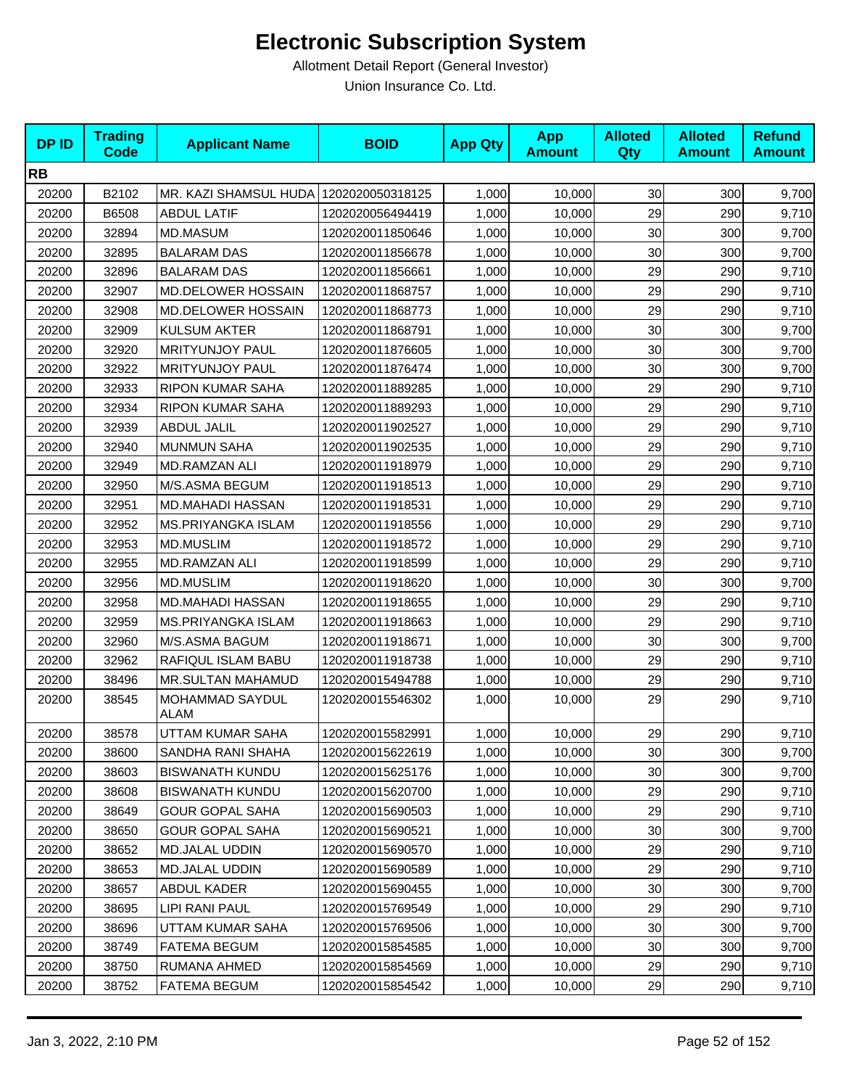| <b>DPID</b> | <b>Trading</b><br><b>Code</b> | <b>Applicant Name</b>          | <b>BOID</b>      | <b>App Qty</b> | <b>App</b><br><b>Amount</b> | <b>Alloted</b><br>Qty | <b>Alloted</b><br><b>Amount</b> | <b>Refund</b><br><b>Amount</b> |
|-------------|-------------------------------|--------------------------------|------------------|----------------|-----------------------------|-----------------------|---------------------------------|--------------------------------|
| <b>RB</b>   |                               |                                |                  |                |                             |                       |                                 |                                |
| 20200       | B2102                         | MR. KAZI SHAMSUL HUDA          | 1202020050318125 | 1,000          | 10,000                      | 30 <sub>0</sub>       | 300                             | 9,700                          |
| 20200       | B6508                         | <b>ABDUL LATIF</b>             | 1202020056494419 | 1,000          | 10,000                      | 29                    | 290                             | 9,710                          |
| 20200       | 32894                         | <b>MD.MASUM</b>                | 1202020011850646 | 1,000          | 10,000                      | 30                    | 300                             | 9,700                          |
| 20200       | 32895                         | <b>BALARAM DAS</b>             | 1202020011856678 | 1,000          | 10,000                      | 30                    | 300                             | 9,700                          |
| 20200       | 32896                         | <b>BALARAM DAS</b>             | 1202020011856661 | 1,000          | 10,000                      | 29                    | 290                             | 9,710                          |
| 20200       | 32907                         | <b>MD.DELOWER HOSSAIN</b>      | 1202020011868757 | 1,000          | 10,000                      | 29                    | 290                             | 9,710                          |
| 20200       | 32908                         | MD.DELOWER HOSSAIN             | 1202020011868773 | 1,000          | 10,000                      | 29                    | 290                             | 9,710                          |
| 20200       | 32909                         | <b>KULSUM AKTER</b>            | 1202020011868791 | 1,000          | 10,000                      | 30                    | 300                             | 9,700                          |
| 20200       | 32920                         | <b>MRITYUNJOY PAUL</b>         | 1202020011876605 | 1,000          | 10,000                      | 30                    | 300                             | 9,700                          |
| 20200       | 32922                         | <b>MRITYUNJOY PAUL</b>         | 1202020011876474 | 1,000          | 10,000                      | 30                    | 300                             | 9,700                          |
| 20200       | 32933                         | RIPON KUMAR SAHA               | 1202020011889285 | 1,000          | 10,000                      | 29                    | 290                             | 9,710                          |
| 20200       | 32934                         | RIPON KUMAR SAHA               | 1202020011889293 | 1,000          | 10,000                      | 29                    | 290                             | 9,710                          |
| 20200       | 32939                         | <b>ABDUL JALIL</b>             | 1202020011902527 | 1,000          | 10,000                      | 29                    | 290                             | 9,710                          |
| 20200       | 32940                         | <b>MUNMUN SAHA</b>             | 1202020011902535 | 1,000          | 10,000                      | 29                    | 290                             | 9,710                          |
| 20200       | 32949                         | MD.RAMZAN ALI                  | 1202020011918979 | 1,000          | 10,000                      | 29                    | 290                             | 9,710                          |
| 20200       | 32950                         | M/S.ASMA BEGUM                 | 1202020011918513 | 1,000          | 10,000                      | 29                    | 290                             | 9,710                          |
| 20200       | 32951                         | <b>MD.MAHADI HASSAN</b>        | 1202020011918531 | 1,000          | 10,000                      | 29                    | 290                             | 9,710                          |
| 20200       | 32952                         | <b>MS.PRIYANGKA ISLAM</b>      | 1202020011918556 | 1,000          | 10,000                      | 29                    | 290                             | 9,710                          |
| 20200       | 32953                         | <b>MD.MUSLIM</b>               | 1202020011918572 | 1,000          | 10,000                      | 29                    | 290                             | 9,710                          |
| 20200       | 32955                         | MD.RAMZAN ALI                  | 1202020011918599 | 1,000          | 10,000                      | 29                    | 290                             | 9,710                          |
| 20200       | 32956                         | <b>MD.MUSLIM</b>               | 1202020011918620 | 1,000          | 10,000                      | 30                    | 300                             | 9,700                          |
| 20200       | 32958                         | MD.MAHADI HASSAN               | 1202020011918655 | 1,000          | 10,000                      | 29                    | 290                             | 9,710                          |
| 20200       | 32959                         | <b>MS.PRIYANGKA ISLAM</b>      | 1202020011918663 | 1,000          | 10,000                      | 29                    | 290                             | 9,710                          |
| 20200       | 32960                         | M/S.ASMA BAGUM                 | 1202020011918671 | 1,000          | 10,000                      | 30                    | 300                             | 9,700                          |
| 20200       | 32962                         | RAFIQUL ISLAM BABU             | 1202020011918738 | 1,000          | 10,000                      | 29                    | 290                             | 9,710                          |
| 20200       | 38496                         | MR.SULTAN MAHAMUD              | 1202020015494788 | 1,000          | 10,000                      | 29                    | 290                             | 9,710                          |
| 20200       | 38545                         | MOHAMMAD SAYDUL<br><b>ALAM</b> | 1202020015546302 | 1,000          | 10,000                      | 29                    | 290                             | 9,710                          |
| 20200       | 38578                         | UTTAM KUMAR SAHA               | 1202020015582991 | 1,000          | 10,000                      | 29                    | 290                             | 9,710                          |
| 20200       | 38600                         | SANDHA RANI SHAHA              | 1202020015622619 | 1,000          | 10,000                      | 30 <sub>0</sub>       | 300                             | 9,700                          |
| 20200       | 38603                         | <b>BISWANATH KUNDU</b>         | 1202020015625176 | 1,000          | 10,000                      | 30                    | 300                             | 9,700                          |
| 20200       | 38608                         | <b>BISWANATH KUNDU</b>         | 1202020015620700 | 1,000          | 10,000                      | 29                    | 290                             | 9,710                          |
| 20200       | 38649                         | <b>GOUR GOPAL SAHA</b>         | 1202020015690503 | 1,000          | 10,000                      | 29                    | 290                             | 9,710                          |
| 20200       | 38650                         | <b>GOUR GOPAL SAHA</b>         | 1202020015690521 | 1,000          | 10,000                      | 30                    | 300                             | 9,700                          |
| 20200       | 38652                         | MD.JALAL UDDIN                 | 1202020015690570 | 1,000          | 10,000                      | 29                    | 290                             | 9,710                          |
| 20200       | 38653                         | MD.JALAL UDDIN                 | 1202020015690589 | 1,000          | 10,000                      | 29                    | 290                             | 9,710                          |
| 20200       | 38657                         | ABDUL KADER                    | 1202020015690455 | 1,000          | 10,000                      | 30                    | 300                             | 9,700                          |
| 20200       | 38695                         | LIPI RANI PAUL                 | 1202020015769549 | 1,000          | 10,000                      | 29                    | 290                             | 9,710                          |
| 20200       | 38696                         | UTTAM KUMAR SAHA               | 1202020015769506 | 1,000          | 10,000                      | 30                    | 300                             | 9,700                          |
| 20200       | 38749                         | <b>FATEMA BEGUM</b>            | 1202020015854585 | 1,000          | 10,000                      | 30                    | 300                             | 9,700                          |
| 20200       | 38750                         | RUMANA AHMED                   | 1202020015854569 | 1,000          | 10,000                      | 29                    | 290                             | 9,710                          |
| 20200       | 38752                         | <b>FATEMA BEGUM</b>            | 1202020015854542 | 1,000          | 10,000                      | 29                    | 290                             | 9,710                          |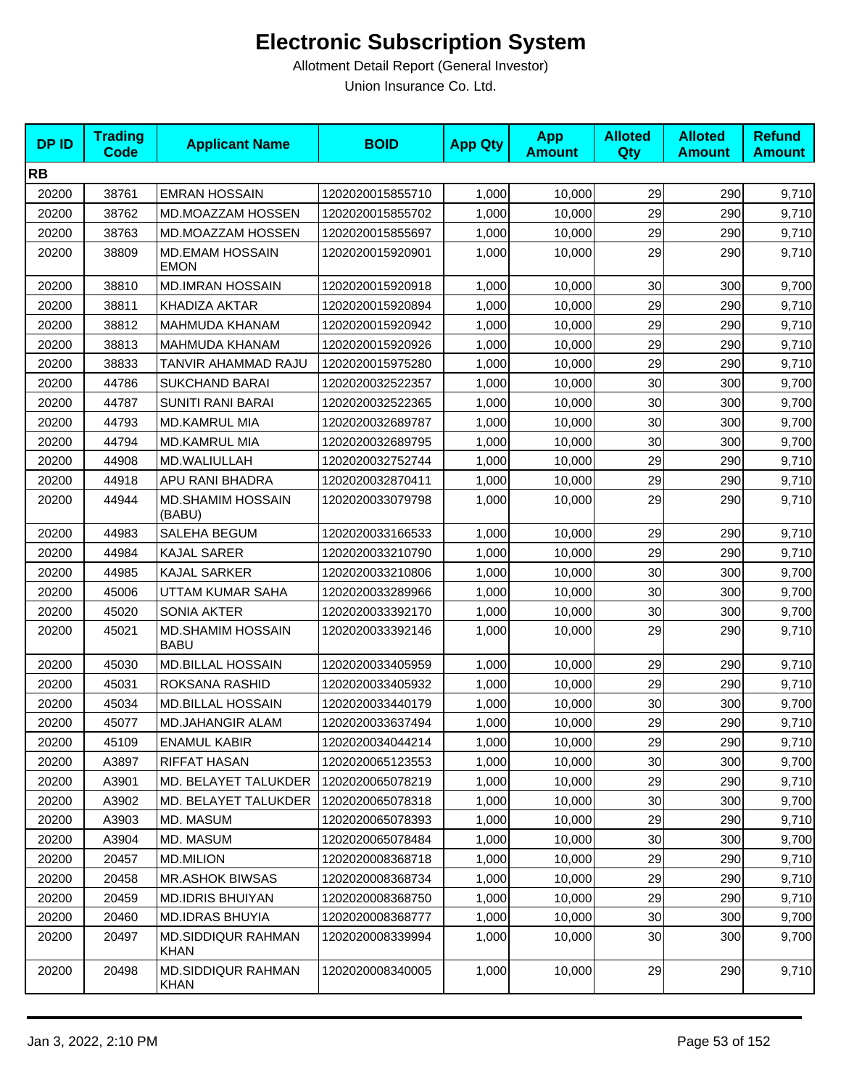| <b>DPID</b> | <b>Trading</b><br><b>Code</b> | <b>Applicant Name</b>                    | <b>BOID</b>      | <b>App Qty</b> | <b>App</b><br><b>Amount</b> | <b>Alloted</b><br><b>Qty</b> | <b>Alloted</b><br><b>Amount</b> | <b>Refund</b><br><b>Amount</b> |
|-------------|-------------------------------|------------------------------------------|------------------|----------------|-----------------------------|------------------------------|---------------------------------|--------------------------------|
| <b>RB</b>   |                               |                                          |                  |                |                             |                              |                                 |                                |
| 20200       | 38761                         | <b>EMRAN HOSSAIN</b>                     | 1202020015855710 | 1,000          | 10,000                      | 29                           | 290                             | 9,710                          |
| 20200       | 38762                         | MD.MOAZZAM HOSSEN                        | 1202020015855702 | 1,000          | 10,000                      | 29                           | 290                             | 9,710                          |
| 20200       | 38763                         | MD.MOAZZAM HOSSEN                        | 1202020015855697 | 1,000          | 10,000                      | 29                           | 290                             | 9,710                          |
| 20200       | 38809                         | <b>MD.EMAM HOSSAIN</b><br><b>EMON</b>    | 1202020015920901 | 1,000          | 10,000                      | 29                           | 290                             | 9,710                          |
| 20200       | 38810                         | <b>MD.IMRAN HOSSAIN</b>                  | 1202020015920918 | 1,000          | 10,000                      | 30                           | 300                             | 9,700                          |
| 20200       | 38811                         | <b>KHADIZA AKTAR</b>                     | 1202020015920894 | 1,000          | 10,000                      | 29                           | 290                             | 9,710                          |
| 20200       | 38812                         | <b>MAHMUDA KHANAM</b>                    | 1202020015920942 | 1,000          | 10,000                      | 29                           | 290                             | 9,710                          |
| 20200       | 38813                         | MAHMUDA KHANAM                           | 1202020015920926 | 1,000          | 10,000                      | 29                           | 290                             | 9,710                          |
| 20200       | 38833                         | TANVIR AHAMMAD RAJU                      | 1202020015975280 | 1,000          | 10,000                      | 29                           | 290                             | 9,710                          |
| 20200       | 44786                         | <b>SUKCHAND BARAI</b>                    | 1202020032522357 | 1,000          | 10,000                      | 30                           | 300                             | 9,700                          |
| 20200       | 44787                         | <b>SUNITI RANI BARAI</b>                 | 1202020032522365 | 1,000          | 10,000                      | 30                           | 300                             | 9,700                          |
| 20200       | 44793                         | <b>MD.KAMRUL MIA</b>                     | 1202020032689787 | 1,000          | 10,000                      | 30                           | 300                             | 9,700                          |
| 20200       | 44794                         | <b>MD.KAMRUL MIA</b>                     | 1202020032689795 | 1,000          | 10,000                      | 30                           | 300                             | 9,700                          |
| 20200       | 44908                         | MD.WALIULLAH                             | 1202020032752744 | 1,000          | 10,000                      | 29                           | 290                             | 9,710                          |
| 20200       | 44918                         | APU RANI BHADRA                          | 1202020032870411 | 1,000          | 10,000                      | 29                           | 290                             | 9,710                          |
| 20200       | 44944                         | <b>MD.SHAMIM HOSSAIN</b><br>(BABU)       | 1202020033079798 | 1,000          | 10,000                      | 29                           | 290                             | 9,710                          |
| 20200       | 44983                         | SALEHA BEGUM                             | 1202020033166533 | 1,000          | 10,000                      | 29                           | 290                             | 9,710                          |
| 20200       | 44984                         | <b>KAJAL SARER</b>                       | 1202020033210790 | 1,000          | 10,000                      | 29                           | 290                             | 9,710                          |
| 20200       | 44985                         | <b>KAJAL SARKER</b>                      | 1202020033210806 | 1,000          | 10,000                      | 30                           | 300                             | 9,700                          |
| 20200       | 45006                         | UTTAM KUMAR SAHA                         | 1202020033289966 | 1,000          | 10,000                      | 30                           | 300                             | 9,700                          |
| 20200       | 45020                         | <b>SONIA AKTER</b>                       | 1202020033392170 | 1,000          | 10,000                      | 30                           | 300                             | 9,700                          |
| 20200       | 45021                         | <b>MD.SHAMIM HOSSAIN</b><br><b>BABU</b>  | 1202020033392146 | 1,000          | 10,000                      | 29                           | 290                             | 9,710                          |
| 20200       | 45030                         | <b>MD.BILLAL HOSSAIN</b>                 | 1202020033405959 | 1,000          | 10,000                      | 29                           | 290                             | 9,710                          |
| 20200       | 45031                         | ROKSANA RASHID                           | 1202020033405932 | 1,000          | 10,000                      | 29                           | 290                             | 9,710                          |
| 20200       | 45034                         | <b>MD.BILLAL HOSSAIN</b>                 | 1202020033440179 | 1,000          | 10,000                      | 30                           | 300                             | 9,700                          |
| 20200       | 45077                         | <b>MD.JAHANGIR ALAM</b>                  | 1202020033637494 | 1,000          | 10,000                      | 29                           | 290                             | 9,710                          |
| 20200       | 45109                         | <b>ENAMUL KABIR</b>                      | 1202020034044214 | 1,000          | 10,000                      | 29                           | 290                             | 9,710                          |
| 20200       | A3897                         | RIFFAT HASAN                             | 1202020065123553 | 1,000          | 10,000                      | 30                           | 300                             | 9,700                          |
| 20200       | A3901                         | MD. BELAYET TALUKDER                     | 1202020065078219 | 1,000          | 10,000                      | 29                           | 290                             | 9,710                          |
| 20200       | A3902                         | MD. BELAYET TALUKDER                     | 1202020065078318 | 1,000          | 10,000                      | 30                           | 300                             | 9,700                          |
| 20200       | A3903                         | MD. MASUM                                | 1202020065078393 | 1,000          | 10,000                      | 29                           | 290                             | 9,710                          |
| 20200       | A3904                         | MD. MASUM                                | 1202020065078484 | 1,000          | 10,000                      | 30                           | 300                             | 9,700                          |
| 20200       | 20457                         | <b>MD.MILION</b>                         | 1202020008368718 | 1,000          | 10,000                      | 29                           | 290                             | 9,710                          |
| 20200       | 20458                         | <b>MR.ASHOK BIWSAS</b>                   | 1202020008368734 | 1,000          | 10,000                      | 29                           | 290                             | 9,710                          |
| 20200       | 20459                         | MD.IDRIS BHUIYAN                         | 1202020008368750 | 1,000          | 10,000                      | 29                           | 290                             | 9,710                          |
| 20200       | 20460                         | <b>MD.IDRAS BHUYIA</b>                   | 1202020008368777 | 1,000          | 10,000                      | 30                           | 300                             | 9,700                          |
| 20200       | 20497                         | <b>MD.SIDDIQUR RAHMAN</b><br><b>KHAN</b> | 1202020008339994 | 1,000          | 10,000                      | 30                           | 300                             | 9,700                          |
| 20200       | 20498                         | MD.SIDDIQUR RAHMAN<br><b>KHAN</b>        | 1202020008340005 | 1,000          | 10,000                      | 29                           | 290                             | 9,710                          |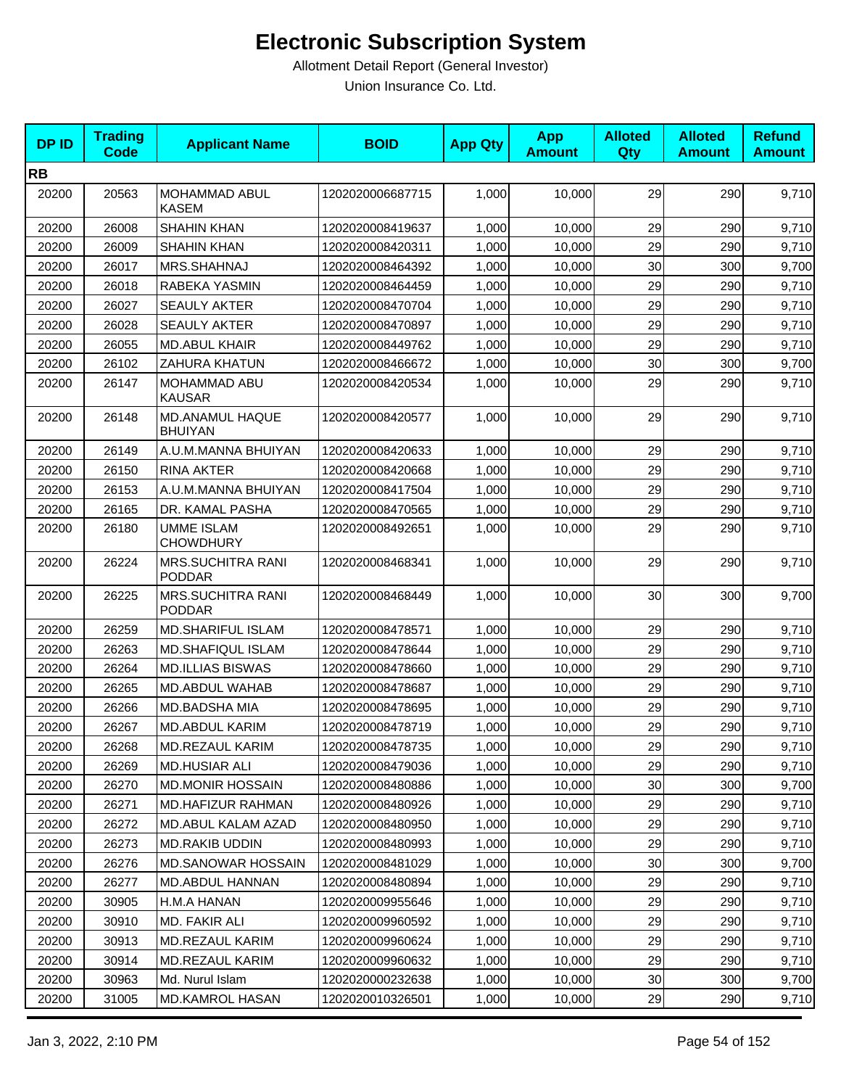| <b>DPID</b> | <b>Trading</b><br><b>Code</b> | <b>Applicant Name</b>                     | <b>BOID</b>      | <b>App Qty</b> | <b>App</b><br><b>Amount</b> | <b>Alloted</b><br>Qty | <b>Alloted</b><br><b>Amount</b> | <b>Refund</b><br><b>Amount</b> |
|-------------|-------------------------------|-------------------------------------------|------------------|----------------|-----------------------------|-----------------------|---------------------------------|--------------------------------|
| <b>RB</b>   |                               |                                           |                  |                |                             |                       |                                 |                                |
| 20200       | 20563                         | <b>MOHAMMAD ABUL</b><br><b>KASEM</b>      | 1202020006687715 | 1,000          | 10,000                      | 29                    | 290                             | 9,710                          |
| 20200       | 26008                         | <b>SHAHIN KHAN</b>                        | 1202020008419637 | 1,000          | 10,000                      | 29                    | 290                             | 9,710                          |
| 20200       | 26009                         | <b>SHAHIN KHAN</b>                        | 1202020008420311 | 1,000          | 10,000                      | 29                    | 290                             | 9,710                          |
| 20200       | 26017                         | MRS.SHAHNAJ                               | 1202020008464392 | 1,000          | 10,000                      | 30                    | 300                             | 9,700                          |
| 20200       | 26018                         | RABEKA YASMIN                             | 1202020008464459 | 1,000          | 10,000                      | 29                    | 290                             | 9,710                          |
| 20200       | 26027                         | SEAULY AKTER                              | 1202020008470704 | 1,000          | 10,000                      | 29                    | 290                             | 9,710                          |
| 20200       | 26028                         | <b>SEAULY AKTER</b>                       | 1202020008470897 | 1,000          | 10,000                      | 29                    | 290                             | 9,710                          |
| 20200       | 26055                         | <b>MD.ABUL KHAIR</b>                      | 1202020008449762 | 1,000          | 10,000                      | 29                    | 290                             | 9,710                          |
| 20200       | 26102                         | <b>ZAHURA KHATUN</b>                      | 1202020008466672 | 1,000          | 10,000                      | 30                    | 300                             | 9,700                          |
| 20200       | 26147                         | MOHAMMAD ABU<br><b>KAUSAR</b>             | 1202020008420534 | 1,000          | 10,000                      | 29                    | 290                             | 9,710                          |
| 20200       | 26148                         | MD.ANAMUL HAQUE<br><b>BHUIYAN</b>         | 1202020008420577 | 1,000          | 10,000                      | 29                    | 290                             | 9,710                          |
| 20200       | 26149                         | A.U.M.MANNA BHUIYAN                       | 1202020008420633 | 1,000          | 10,000                      | 29                    | 290                             | 9,710                          |
| 20200       | 26150                         | <b>RINA AKTER</b>                         | 1202020008420668 | 1,000          | 10,000                      | 29                    | 290                             | 9,710                          |
| 20200       | 26153                         | A.U.M.MANNA BHUIYAN                       | 1202020008417504 | 1,000          | 10,000                      | 29                    | 290                             | 9,710                          |
| 20200       | 26165                         | DR. KAMAL PASHA                           | 1202020008470565 | 1,000          | 10,000                      | 29                    | 290                             | 9,710                          |
| 20200       | 26180                         | <b>UMME ISLAM</b><br><b>CHOWDHURY</b>     | 1202020008492651 | 1,000          | 10,000                      | 29                    | 290                             | 9,710                          |
| 20200       | 26224                         | <b>MRS.SUCHITRA RANI</b><br><b>PODDAR</b> | 1202020008468341 | 1,000          | 10,000                      | 29                    | 290                             | 9,710                          |
| 20200       | 26225                         | <b>MRS.SUCHITRA RANI</b><br><b>PODDAR</b> | 1202020008468449 | 1,000          | 10,000                      | 30                    | 300                             | 9,700                          |
| 20200       | 26259                         | <b>MD.SHARIFUL ISLAM</b>                  | 1202020008478571 | 1,000          | 10,000                      | 29                    | 290                             | 9,710                          |
| 20200       | 26263                         | <b>MD.SHAFIQUL ISLAM</b>                  | 1202020008478644 | 1,000          | 10,000                      | 29                    | 290                             | 9,710                          |
| 20200       | 26264                         | <b>MD.ILLIAS BISWAS</b>                   | 1202020008478660 | 1,000          | 10,000                      | 29                    | 290                             | 9,710                          |
| 20200       | 26265                         | MD.ABDUL WAHAB                            | 1202020008478687 | 1,000          | 10,000                      | 29                    | 290                             | 9,710                          |
| 20200       | 26266                         | <b>MD.BADSHA MIA</b>                      | 1202020008478695 | 1,000          | 10,000                      | 29                    | 290                             | 9,710                          |
| 20200       | 26267                         | <b>MD.ABDUL KARIM</b>                     | 1202020008478719 | 1,000          | 10,000                      | 29                    | 290                             | 9,710                          |
| 20200       | 26268                         | MD.REZAUL KARIM                           | 1202020008478735 | 1,000          | 10,000                      | 29                    | 290                             | 9,710                          |
| 20200       | 26269                         | <b>MD.HUSIAR ALI</b>                      | 1202020008479036 | 1,000          | 10,000                      | 29                    | 290                             | 9,710                          |
| 20200       | 26270                         | <b>MD.MONIR HOSSAIN</b>                   | 1202020008480886 | 1,000          | 10,000                      | 30 <sub>1</sub>       | 300                             | 9,700                          |
| 20200       | 26271                         | <b>MD.HAFIZUR RAHMAN</b>                  | 1202020008480926 | 1,000          | 10,000                      | 29                    | 290                             | 9,710                          |
| 20200       | 26272                         | MD.ABUL KALAM AZAD                        | 1202020008480950 | 1,000          | 10,000                      | 29                    | 290                             | 9,710                          |
| 20200       | 26273                         | <b>MD.RAKIB UDDIN</b>                     | 1202020008480993 | 1,000          | 10,000                      | 29                    | 290                             | 9,710                          |
| 20200       | 26276                         | <b>MD.SANOWAR HOSSAIN</b>                 | 1202020008481029 | 1,000          | 10,000                      | 30                    | 300                             | 9,700                          |
| 20200       | 26277                         | <b>MD.ABDUL HANNAN</b>                    | 1202020008480894 | 1,000          | 10,000                      | 29                    | 290                             | 9,710                          |
| 20200       | 30905                         | H.M.A HANAN                               | 1202020009955646 | 1,000          | 10,000                      | 29                    | 290                             | 9,710                          |
| 20200       | 30910                         | MD. FAKIR ALI                             | 1202020009960592 | 1,000          | 10,000                      | 29                    | 290                             | 9,710                          |
| 20200       | 30913                         | MD.REZAUL KARIM                           | 1202020009960624 | 1,000          | 10,000                      | 29                    | 290                             | 9,710                          |
| 20200       | 30914                         | <b>MD.REZAUL KARIM</b>                    | 1202020009960632 | 1,000          | 10,000                      | 29                    | 290                             | 9,710                          |
| 20200       | 30963                         | Md. Nurul Islam                           | 1202020000232638 | 1,000          | 10,000                      | 30                    | 300                             | 9,700                          |
| 20200       | 31005                         | <b>MD.KAMROL HASAN</b>                    | 1202020010326501 | 1,000          | 10,000                      | 29                    | 290                             | 9,710                          |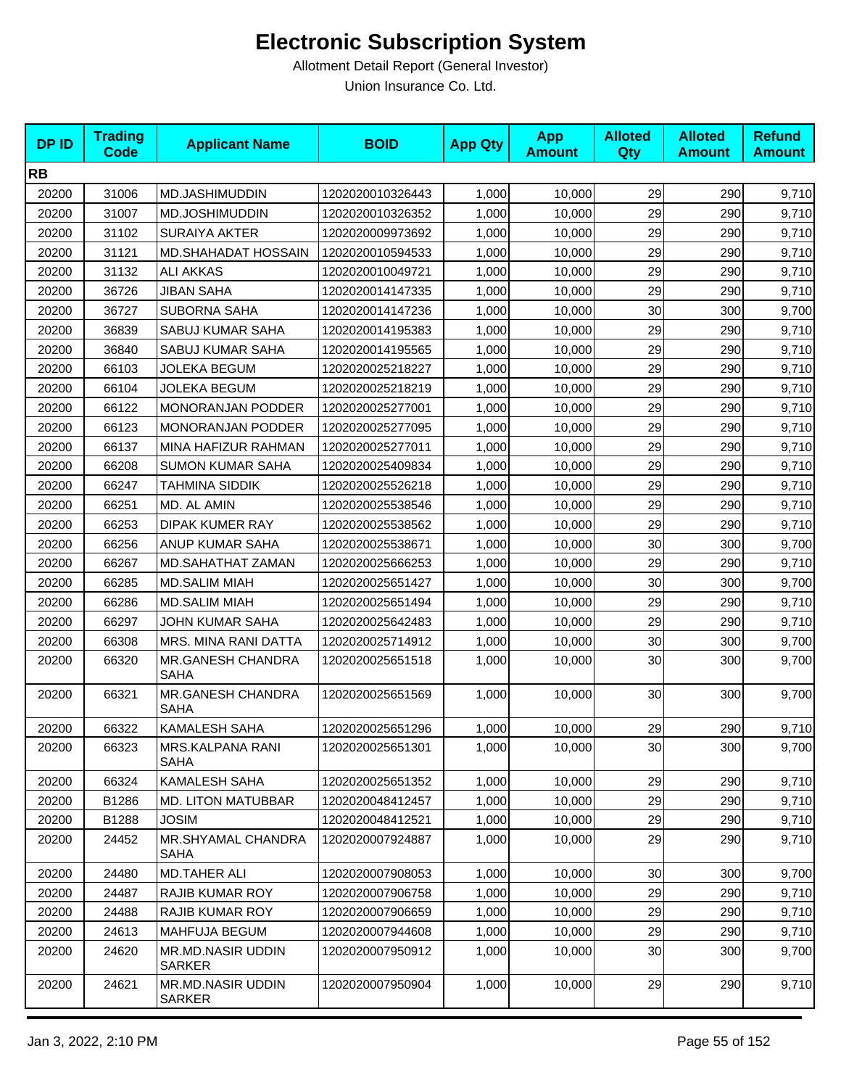| <b>DPID</b> | <b>Trading</b><br><b>Code</b> | <b>Applicant Name</b>                     | <b>BOID</b>      | <b>App Qty</b> | <b>App</b><br><b>Amount</b> | <b>Alloted</b><br>Qty | <b>Alloted</b><br><b>Amount</b> | <b>Refund</b><br><b>Amount</b> |
|-------------|-------------------------------|-------------------------------------------|------------------|----------------|-----------------------------|-----------------------|---------------------------------|--------------------------------|
| <b>RB</b>   |                               |                                           |                  |                |                             |                       |                                 |                                |
| 20200       | 31006                         | MD.JASHIMUDDIN                            | 1202020010326443 | 1,000          | 10,000                      | 29                    | 290                             | 9,710                          |
| 20200       | 31007                         | MD.JOSHIMUDDIN                            | 1202020010326352 | 1,000          | 10,000                      | 29                    | 290                             | 9,710                          |
| 20200       | 31102                         | <b>SURAIYA AKTER</b>                      | 1202020009973692 | 1,000          | 10,000                      | 29                    | 290                             | 9,710                          |
| 20200       | 31121                         | MD.SHAHADAT HOSSAIN                       | 1202020010594533 | 1,000          | 10,000                      | 29                    | 290                             | 9,710                          |
| 20200       | 31132                         | ALI AKKAS                                 | 1202020010049721 | 1,000          | 10,000                      | 29                    | 290                             | 9,710                          |
| 20200       | 36726                         | JIBAN SAHA                                | 1202020014147335 | 1,000          | 10,000                      | 29                    | 290                             | 9,710                          |
| 20200       | 36727                         | <b>SUBORNA SAHA</b>                       | 1202020014147236 | 1,000          | 10,000                      | 30                    | 300                             | 9,700                          |
| 20200       | 36839                         | SABUJ KUMAR SAHA                          | 1202020014195383 | 1,000          | 10,000                      | 29                    | 290                             | 9,710                          |
| 20200       | 36840                         | SABUJ KUMAR SAHA                          | 1202020014195565 | 1,000          | 10,000                      | 29                    | 290                             | 9,710                          |
| 20200       | 66103                         | JOLEKA BEGUM                              | 1202020025218227 | 1,000          | 10,000                      | 29                    | 290                             | 9,710                          |
| 20200       | 66104                         | <b>JOLEKA BEGUM</b>                       | 1202020025218219 | 1,000          | 10,000                      | 29                    | 290                             | 9,710                          |
| 20200       | 66122                         | <b>MONORANJAN PODDER</b>                  | 1202020025277001 | 1,000          | 10,000                      | 29                    | 290                             | 9,710                          |
| 20200       | 66123                         | MONORANJAN PODDER                         | 1202020025277095 | 1,000          | 10,000                      | 29                    | 290                             | 9,710                          |
| 20200       | 66137                         | MINA HAFIZUR RAHMAN                       | 1202020025277011 | 1,000          | 10,000                      | 29                    | 290                             | 9,710                          |
| 20200       | 66208                         | <b>SUMON KUMAR SAHA</b>                   | 1202020025409834 | 1,000          | 10,000                      | 29                    | 290                             | 9,710                          |
| 20200       | 66247                         | <b>TAHMINA SIDDIK</b>                     | 1202020025526218 | 1,000          | 10,000                      | 29                    | 290                             | 9,710                          |
| 20200       | 66251                         | MD. AL AMIN                               | 1202020025538546 | 1,000          | 10,000                      | 29                    | 290                             | 9,710                          |
| 20200       | 66253                         | <b>DIPAK KUMER RAY</b>                    | 1202020025538562 | 1,000          | 10,000                      | 29                    | 290                             | 9,710                          |
| 20200       | 66256                         | ANUP KUMAR SAHA                           | 1202020025538671 | 1,000          | 10,000                      | 30                    | 300                             | 9,700                          |
| 20200       | 66267                         | MD.SAHATHAT ZAMAN                         | 1202020025666253 | 1,000          | 10,000                      | 29                    | 290                             | 9,710                          |
| 20200       | 66285                         | <b>MD.SALIM MIAH</b>                      | 1202020025651427 | 1,000          | 10,000                      | 30                    | 300                             | 9,700                          |
| 20200       | 66286                         | <b>MD.SALIM MIAH</b>                      | 1202020025651494 | 1,000          | 10,000                      | 29                    | 290                             | 9,710                          |
| 20200       | 66297                         | JOHN KUMAR SAHA                           | 1202020025642483 | 1,000          | 10,000                      | 29                    | 290                             | 9,710                          |
| 20200       | 66308                         | MRS. MINA RANI DATTA                      | 1202020025714912 | 1,000          | 10,000                      | 30                    | 300                             | 9,700                          |
| 20200       | 66320                         | MR.GANESH CHANDRA<br><b>SAHA</b>          | 1202020025651518 | 1,000          | 10,000                      | 30                    | 300                             | 9,700                          |
| 20200       | 66321                         | MR.GANESH CHANDRA<br><b>SAHA</b>          | 1202020025651569 | 1,000          | 10,000                      | 30                    | 300                             | 9,700                          |
| 20200       | 66322                         | <b>KAMALESH SAHA</b>                      | 1202020025651296 | 1,000          | 10,000                      | 29                    | 290                             | 9,710                          |
| 20200       | 66323                         | MRS.KALPANA RANI<br><b>SAHA</b>           | 1202020025651301 | 1,000          | 10,000                      | 30                    | 300                             | 9,700                          |
| 20200       | 66324                         | <b>KAMALESH SAHA</b>                      | 1202020025651352 | 1,000          | 10,000                      | 29                    | 290                             | 9,710                          |
| 20200       | B1286                         | MD. LITON MATUBBAR                        | 1202020048412457 | 1,000          | 10,000                      | 29                    | 290                             | 9,710                          |
| 20200       | B1288                         | <b>JOSIM</b>                              | 1202020048412521 | 1,000          | 10,000                      | 29                    | 290                             | 9,710                          |
| 20200       | 24452                         | MR.SHYAMAL CHANDRA<br>SAHA                | 1202020007924887 | 1,000          | 10,000                      | 29                    | 290                             | 9,710                          |
| 20200       | 24480                         | <b>MD.TAHER ALI</b>                       | 1202020007908053 | 1,000          | 10,000                      | 30                    | 300                             | 9,700                          |
| 20200       | 24487                         | <b>RAJIB KUMAR ROY</b>                    | 1202020007906758 | 1,000          | 10,000                      | 29                    | 290                             | 9,710                          |
| 20200       | 24488                         | <b>RAJIB KUMAR ROY</b>                    | 1202020007906659 | 1,000          | 10,000                      | 29                    | 290                             | 9,710                          |
| 20200       | 24613                         | MAHFUJA BEGUM                             | 1202020007944608 | 1,000          | 10,000                      | 29                    | 290                             | 9,710                          |
| 20200       | 24620                         | <b>MR.MD.NASIR UDDIN</b><br><b>SARKER</b> | 1202020007950912 | 1,000          | 10,000                      | 30                    | 300                             | 9,700                          |
| 20200       | 24621                         | <b>MR.MD.NASIR UDDIN</b><br><b>SARKER</b> | 1202020007950904 | 1,000          | 10,000                      | 29                    | 290                             | 9,710                          |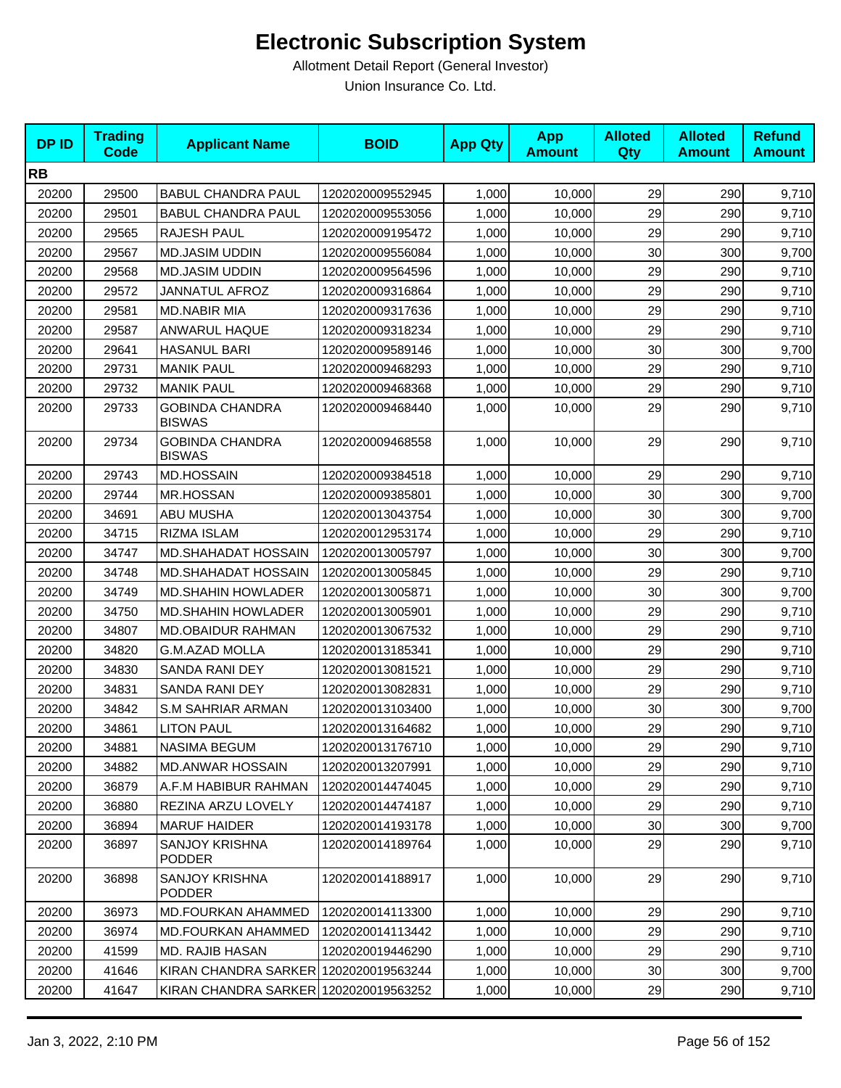| <b>DPID</b> | <b>Trading</b><br><b>Code</b> | <b>Applicant Name</b>                   | <b>BOID</b>      | <b>App Qty</b> | <b>App</b><br><b>Amount</b> | <b>Alloted</b><br>Qty | <b>Alloted</b><br><b>Amount</b> | <b>Refund</b><br><b>Amount</b> |
|-------------|-------------------------------|-----------------------------------------|------------------|----------------|-----------------------------|-----------------------|---------------------------------|--------------------------------|
| <b>RB</b>   |                               |                                         |                  |                |                             |                       |                                 |                                |
| 20200       | 29500                         | <b>BABUL CHANDRA PAUL</b>               | 1202020009552945 | 1,000          | 10,000                      | 29                    | 290                             | 9,710                          |
| 20200       | 29501                         | <b>BABUL CHANDRA PAUL</b>               | 1202020009553056 | 1,000          | 10,000                      | 29                    | 290                             | 9,710                          |
| 20200       | 29565                         | RAJESH PAUL                             | 1202020009195472 | 1,000          | 10,000                      | 29                    | 290                             | 9,710                          |
| 20200       | 29567                         | <b>MD.JASIM UDDIN</b>                   | 1202020009556084 | 1,000          | 10,000                      | 30                    | 300                             | 9,700                          |
| 20200       | 29568                         | <b>MD.JASIM UDDIN</b>                   | 1202020009564596 | 1,000          | 10,000                      | 29                    | 290                             | 9,710                          |
| 20200       | 29572                         | <b>JANNATUL AFROZ</b>                   | 1202020009316864 | 1,000          | 10,000                      | 29                    | 290                             | 9,710                          |
| 20200       | 29581                         | <b>MD.NABIR MIA</b>                     | 1202020009317636 | 1,000          | 10,000                      | 29                    | 290                             | 9,710                          |
| 20200       | 29587                         | ANWARUL HAQUE                           | 1202020009318234 | 1,000          | 10,000                      | 29                    | 290                             | 9,710                          |
| 20200       | 29641                         | <b>HASANUL BARI</b>                     | 1202020009589146 | 1,000          | 10,000                      | 30                    | 300                             | 9,700                          |
| 20200       | 29731                         | <b>MANIK PAUL</b>                       | 1202020009468293 | 1,000          | 10,000                      | 29                    | 290                             | 9,710                          |
| 20200       | 29732                         | <b>MANIK PAUL</b>                       | 1202020009468368 | 1,000          | 10,000                      | 29                    | 290                             | 9,710                          |
| 20200       | 29733                         | <b>GOBINDA CHANDRA</b><br><b>BISWAS</b> | 1202020009468440 | 1,000          | 10,000                      | 29                    | 290                             | 9,710                          |
| 20200       | 29734                         | <b>GOBINDA CHANDRA</b><br><b>BISWAS</b> | 1202020009468558 | 1,000          | 10,000                      | 29                    | 290                             | 9,710                          |
| 20200       | 29743                         | <b>MD.HOSSAIN</b>                       | 1202020009384518 | 1,000          | 10,000                      | 29                    | 290                             | 9,710                          |
| 20200       | 29744                         | <b>MR.HOSSAN</b>                        | 1202020009385801 | 1,000          | 10,000                      | 30                    | 300                             | 9,700                          |
| 20200       | 34691                         | ABU MUSHA                               | 1202020013043754 | 1,000          | 10,000                      | 30                    | 300                             | 9,700                          |
| 20200       | 34715                         | RIZMA ISLAM                             | 1202020012953174 | 1,000          | 10,000                      | 29                    | 290                             | 9,710                          |
| 20200       | 34747                         | MD.SHAHADAT HOSSAIN                     | 1202020013005797 | 1,000          | 10,000                      | 30                    | 300                             | 9,700                          |
| 20200       | 34748                         | <b>MD.SHAHADAT HOSSAIN</b>              | 1202020013005845 | 1,000          | 10,000                      | 29                    | 290                             | 9,710                          |
| 20200       | 34749                         | <b>MD.SHAHIN HOWLADER</b>               | 1202020013005871 | 1,000          | 10,000                      | 30                    | 300                             | 9,700                          |
| 20200       | 34750                         | <b>MD.SHAHIN HOWLADER</b>               | 1202020013005901 | 1,000          | 10,000                      | 29                    | 290                             | 9,710                          |
| 20200       | 34807                         | <b>MD.OBAIDUR RAHMAN</b>                | 1202020013067532 | 1,000          | 10,000                      | 29                    | 290                             | 9,710                          |
| 20200       | 34820                         | <b>G.M.AZAD MOLLA</b>                   | 1202020013185341 | 1,000          | 10,000                      | 29                    | 290                             | 9,710                          |
| 20200       | 34830                         | SANDA RANI DEY                          | 1202020013081521 | 1,000          | 10,000                      | 29                    | 290                             | 9,710                          |
| 20200       | 34831                         | SANDA RANI DEY                          | 1202020013082831 | 1,000          | 10,000                      | 29                    | 290                             | 9,710                          |
| 20200       | 34842                         | <b>S.M SAHRIAR ARMAN</b>                | 1202020013103400 | 1,000          | 10,000                      | 30                    | 300                             | 9,700                          |
| 20200       | 34861                         | <b>LITON PAUL</b>                       | 1202020013164682 | 1,000          | 10,000                      | 29                    | 290                             | 9,710                          |
| 20200       | 34881                         | <b>NASIMA BEGUM</b>                     | 1202020013176710 | 1,000          | 10,000                      | 29                    | 290                             | 9,710                          |
| 20200       | 34882                         | <b>MD.ANWAR HOSSAIN</b>                 | 1202020013207991 | 1,000          | 10,000                      | 29                    | 290                             | 9,710                          |
| 20200       | 36879                         | A.F.M HABIBUR RAHMAN                    | 1202020014474045 | 1,000          | 10,000                      | 29                    | 290                             | 9,710                          |
| 20200       | 36880                         | REZINA ARZU LOVELY                      | 1202020014474187 | 1,000          | 10,000                      | 29                    | 290                             | 9,710                          |
| 20200       | 36894                         | <b>MARUF HAIDER</b>                     | 1202020014193178 | 1,000          | 10,000                      | 30                    | 300                             | 9,700                          |
| 20200       | 36897                         | <b>SANJOY KRISHNA</b><br><b>PODDER</b>  | 1202020014189764 | 1,000          | 10,000                      | 29                    | 290                             | 9,710                          |
| 20200       | 36898                         | <b>SANJOY KRISHNA</b><br><b>PODDER</b>  | 1202020014188917 | 1,000          | 10,000                      | 29                    | 290                             | 9,710                          |
| 20200       | 36973                         | MD.FOURKAN AHAMMED                      | 1202020014113300 | 1,000          | 10,000                      | 29                    | 290                             | 9,710                          |
| 20200       | 36974                         | <b>MD.FOURKAN AHAMMED</b>               | 1202020014113442 | 1,000          | 10,000                      | 29                    | 290                             | 9,710                          |
| 20200       | 41599                         | MD. RAJIB HASAN                         | 1202020019446290 | 1,000          | 10,000                      | 29                    | 290                             | 9,710                          |
| 20200       | 41646                         | KIRAN CHANDRA SARKER 1202020019563244   |                  | 1,000          | 10,000                      | 30                    | 300                             | 9,700                          |
| 20200       | 41647                         | KIRAN CHANDRA SARKER 1202020019563252   |                  | 1,000          | 10,000                      | 29                    | 290                             | 9,710                          |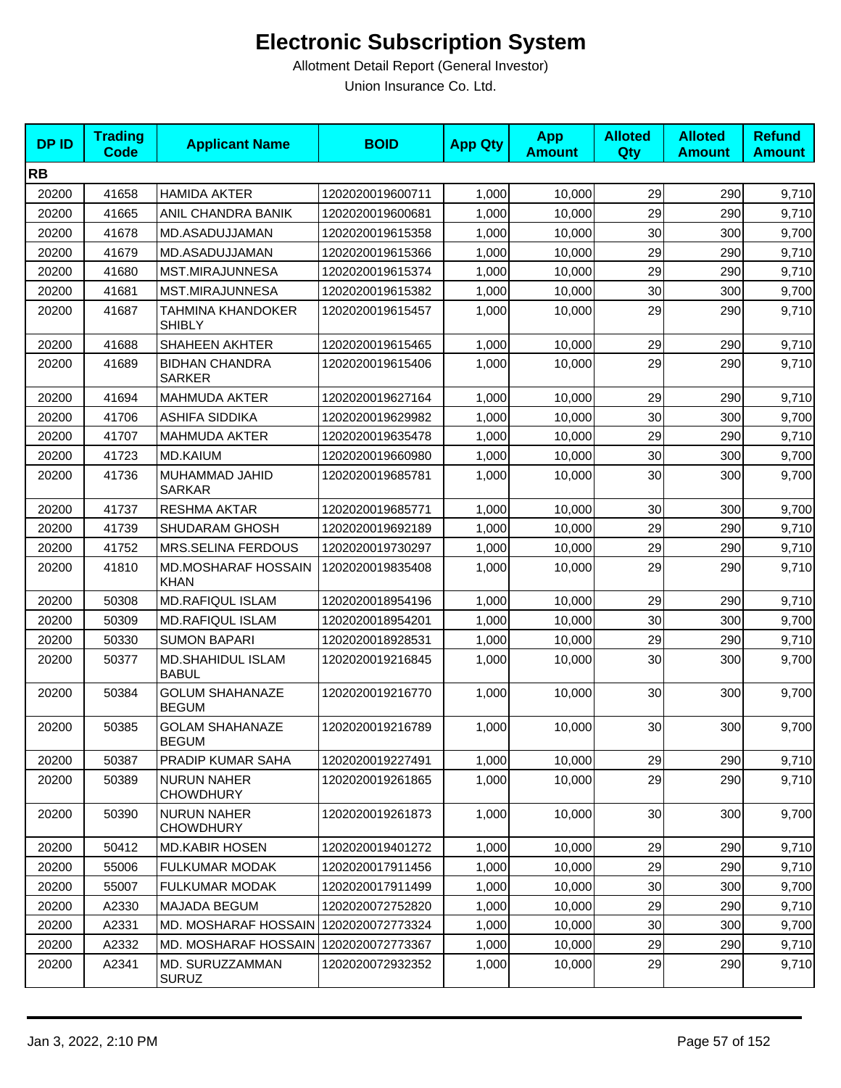| <b>DPID</b> | <b>Trading</b><br><b>Code</b> | <b>Applicant Name</b>                     | <b>BOID</b>      | <b>App Qty</b> | <b>App</b><br><b>Amount</b> | <b>Alloted</b><br>Qty | <b>Alloted</b><br><b>Amount</b> | <b>Refund</b><br><b>Amount</b> |
|-------------|-------------------------------|-------------------------------------------|------------------|----------------|-----------------------------|-----------------------|---------------------------------|--------------------------------|
| <b>RB</b>   |                               |                                           |                  |                |                             |                       |                                 |                                |
| 20200       | 41658                         | <b>HAMIDA AKTER</b>                       | 1202020019600711 | 1,000          | 10,000                      | 29                    | 290                             | 9,710                          |
| 20200       | 41665                         | ANIL CHANDRA BANIK                        | 1202020019600681 | 1,000          | 10,000                      | 29                    | 290                             | 9,710                          |
| 20200       | 41678                         | MD.ASADUJJAMAN                            | 1202020019615358 | 1,000          | 10,000                      | 30                    | 300                             | 9,700                          |
| 20200       | 41679                         | MD.ASADUJJAMAN                            | 1202020019615366 | 1,000          | 10,000                      | 29                    | 290                             | 9,710                          |
| 20200       | 41680                         | MST.MIRAJUNNESA                           | 1202020019615374 | 1,000          | 10,000                      | 29                    | 290                             | 9,710                          |
| 20200       | 41681                         | MST.MIRAJUNNESA                           | 1202020019615382 | 1,000          | 10,000                      | 30                    | 300                             | 9,700                          |
| 20200       | 41687                         | <b>TAHMINA KHANDOKER</b><br><b>SHIBLY</b> | 1202020019615457 | 1,000          | 10,000                      | 29                    | 290                             | 9,710                          |
| 20200       | 41688                         | <b>SHAHEEN AKHTER</b>                     | 1202020019615465 | 1,000          | 10,000                      | 29                    | 290                             | 9,710                          |
| 20200       | 41689                         | <b>BIDHAN CHANDRA</b><br><b>SARKER</b>    | 1202020019615406 | 1,000          | 10,000                      | 29                    | 290                             | 9,710                          |
| 20200       | 41694                         | <b>MAHMUDA AKTER</b>                      | 1202020019627164 | 1,000          | 10,000                      | 29                    | 290                             | 9,710                          |
| 20200       | 41706                         | <b>ASHIFA SIDDIKA</b>                     | 1202020019629982 | 1,000          | 10,000                      | 30                    | 300                             | 9,700                          |
| 20200       | 41707                         | <b>MAHMUDA AKTER</b>                      | 1202020019635478 | 1,000          | 10,000                      | 29                    | 290                             | 9,710                          |
| 20200       | 41723                         | <b>MD.KAIUM</b>                           | 1202020019660980 | 1,000          | 10,000                      | 30                    | 300                             | 9,700                          |
| 20200       | 41736                         | MUHAMMAD JAHID<br><b>SARKAR</b>           | 1202020019685781 | 1,000          | 10,000                      | 30                    | 300                             | 9,700                          |
| 20200       | 41737                         | <b>RESHMA AKTAR</b>                       | 1202020019685771 | 1,000          | 10,000                      | 30                    | 300                             | 9,700                          |
| 20200       | 41739                         | SHUDARAM GHOSH                            | 1202020019692189 | 1,000          | 10,000                      | 29                    | 290                             | 9,710                          |
| 20200       | 41752                         | <b>MRS.SELINA FERDOUS</b>                 | 1202020019730297 | 1,000          | 10,000                      | 29                    | 290                             | 9,710                          |
| 20200       | 41810                         | <b>MD.MOSHARAF HOSSAIN</b><br><b>KHAN</b> | 1202020019835408 | 1,000          | 10,000                      | 29                    | 290                             | 9,710                          |
| 20200       | 50308                         | <b>MD.RAFIQUL ISLAM</b>                   | 1202020018954196 | 1,000          | 10,000                      | 29                    | 290                             | 9,710                          |
| 20200       | 50309                         | <b>MD.RAFIQUL ISLAM</b>                   | 1202020018954201 | 1,000          | 10,000                      | 30                    | 300                             | 9,700                          |
| 20200       | 50330                         | <b>SUMON BAPARI</b>                       | 1202020018928531 | 1,000          | 10,000                      | 29                    | 290                             | 9,710                          |
| 20200       | 50377                         | <b>MD.SHAHIDUL ISLAM</b><br><b>BABUL</b>  | 1202020019216845 | 1,000          | 10,000                      | 30                    | 300                             | 9,700                          |
| 20200       | 50384                         | <b>GOLUM SHAHANAZE</b><br><b>BEGUM</b>    | 1202020019216770 | 1,000          | 10,000                      | 30                    | 300                             | 9,700                          |
| 20200       | 50385                         | <b>GOLAM SHAHANAZE</b><br><b>BEGUM</b>    | 1202020019216789 | 1,000          | 10,000                      | 30                    | 300                             | 9,700                          |
| 20200       | 50387                         | PRADIP KUMAR SAHA                         | 1202020019227491 | 1,000          | 10,000                      | 29                    | 290                             | 9,710                          |
| 20200       | 50389                         | <b>NURUN NAHER</b><br><b>CHOWDHURY</b>    | 1202020019261865 | 1,000          | 10,000                      | 29                    | 290                             | 9,710                          |
| 20200       | 50390                         | <b>NURUN NAHER</b><br><b>CHOWDHURY</b>    | 1202020019261873 | 1,000          | 10,000                      | 30                    | 300                             | 9,700                          |
| 20200       | 50412                         | <b>MD.KABIR HOSEN</b>                     | 1202020019401272 | 1,000          | 10,000                      | 29                    | 290                             | 9,710                          |
| 20200       | 55006                         | <b>FULKUMAR MODAK</b>                     | 1202020017911456 | 1,000          | 10,000                      | 29                    | 290                             | 9,710                          |
| 20200       | 55007                         | <b>FULKUMAR MODAK</b>                     | 1202020017911499 | 1,000          | 10,000                      | 30                    | 300                             | 9,700                          |
| 20200       | A2330                         | MAJADA BEGUM                              | 1202020072752820 | 1,000          | 10,000                      | 29                    | 290                             | 9,710                          |
| 20200       | A2331                         | MD. MOSHARAF HOSSAIN 1202020072773324     |                  | 1,000          | 10,000                      | 30                    | 300                             | 9,700                          |
| 20200       | A2332                         | MD. MOSHARAF HOSSAIN 1202020072773367     |                  | 1,000          | 10,000                      | 29                    | 290                             | 9,710                          |
| 20200       | A2341                         | MD. SURUZZAMMAN<br><b>SURUZ</b>           | 1202020072932352 | 1,000          | 10,000                      | 29                    | 290                             | 9,710                          |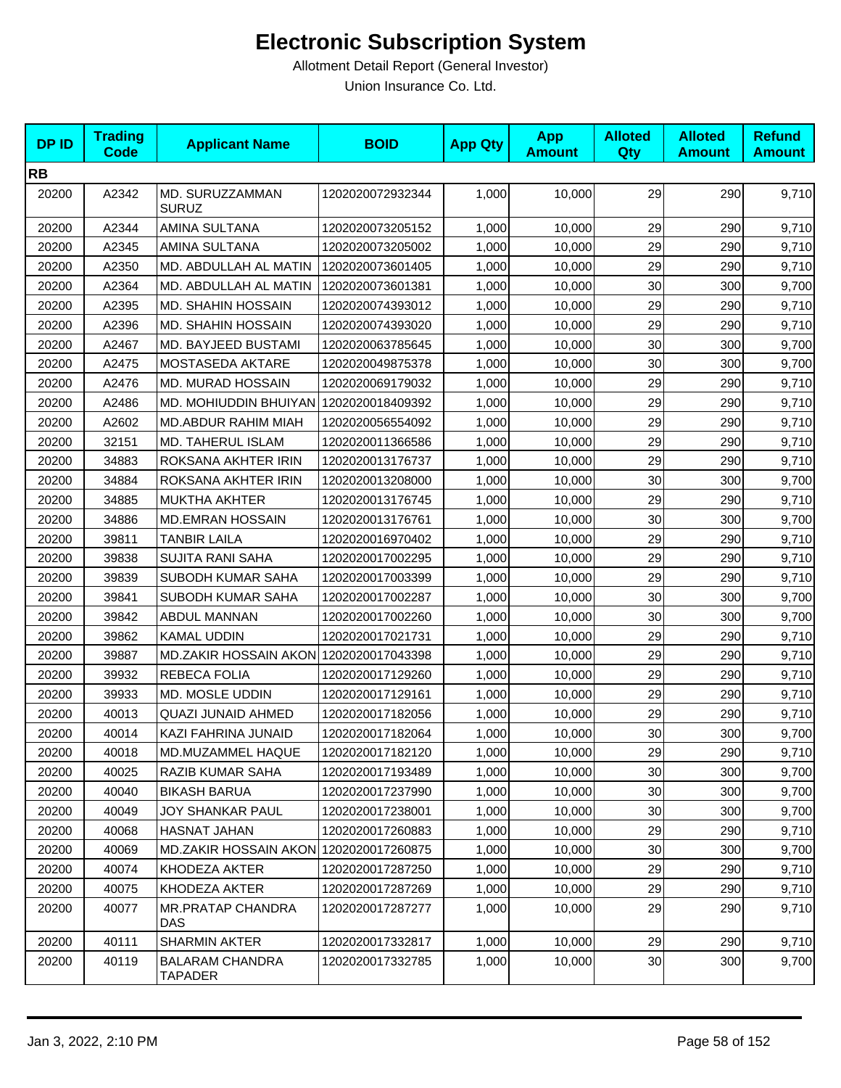| <b>DPID</b> | <b>Trading</b><br><b>Code</b> | <b>Applicant Name</b>                  | <b>BOID</b>      | <b>App Qty</b> | <b>App</b><br><b>Amount</b> | <b>Alloted</b><br>Qty | <b>Alloted</b><br><b>Amount</b> | <b>Refund</b><br><b>Amount</b> |
|-------------|-------------------------------|----------------------------------------|------------------|----------------|-----------------------------|-----------------------|---------------------------------|--------------------------------|
| <b>RB</b>   |                               |                                        |                  |                |                             |                       |                                 |                                |
| 20200       | A2342                         | MD. SURUZZAMMAN<br><b>SURUZ</b>        | 1202020072932344 | 1,000          | 10,000                      | 29                    | 290                             | 9,710                          |
| 20200       | A2344                         | AMINA SULTANA                          | 1202020073205152 | 1,000          | 10,000                      | 29                    | 290                             | 9,710                          |
| 20200       | A2345                         | AMINA SULTANA                          | 1202020073205002 | 1,000          | 10,000                      | 29                    | 290                             | 9,710                          |
| 20200       | A2350                         | MD. ABDULLAH AL MATIN                  | 1202020073601405 | 1,000          | 10,000                      | 29                    | 290                             | 9,710                          |
| 20200       | A2364                         | MD. ABDULLAH AL MATIN                  | 1202020073601381 | 1,000          | 10,000                      | 30                    | 300                             | 9,700                          |
| 20200       | A2395                         | <b>MD. SHAHIN HOSSAIN</b>              | 1202020074393012 | 1,000          | 10,000                      | 29                    | 290                             | 9,710                          |
| 20200       | A2396                         | <b>MD. SHAHIN HOSSAIN</b>              | 1202020074393020 | 1,000          | 10,000                      | 29                    | 290                             | 9,710                          |
| 20200       | A2467                         | MD. BAYJEED BUSTAMI                    | 1202020063785645 | 1,000          | 10,000                      | 30                    | 300                             | 9,700                          |
| 20200       | A2475                         | <b>MOSTASEDA AKTARE</b>                | 1202020049875378 | 1,000          | 10,000                      | 30                    | 300                             | 9,700                          |
| 20200       | A2476                         | MD. MURAD HOSSAIN                      | 1202020069179032 | 1,000          | 10,000                      | 29                    | 290                             | 9,710                          |
| 20200       | A2486                         | MD. MOHIUDDIN BHUIYAN                  | 1202020018409392 | 1,000          | 10,000                      | 29                    | 290                             | 9,710                          |
| 20200       | A2602                         | MD.ABDUR RAHIM MIAH                    | 1202020056554092 | 1,000          | 10,000                      | 29                    | 290                             | 9,710                          |
| 20200       | 32151                         | MD. TAHERUL ISLAM                      | 1202020011366586 | 1,000          | 10,000                      | 29                    | 290                             | 9,710                          |
| 20200       | 34883                         | ROKSANA AKHTER IRIN                    | 1202020013176737 | 1,000          | 10,000                      | 29                    | 290                             | 9,710                          |
| 20200       | 34884                         | ROKSANA AKHTER IRIN                    | 1202020013208000 | 1,000          | 10,000                      | 30                    | 300                             | 9,700                          |
| 20200       | 34885                         | MUKTHA AKHTER                          | 1202020013176745 | 1,000          | 10,000                      | 29                    | 290                             | 9,710                          |
| 20200       | 34886                         | <b>MD.EMRAN HOSSAIN</b>                | 1202020013176761 | 1,000          | 10,000                      | 30                    | 300                             | 9,700                          |
| 20200       | 39811                         | <b>TANBIR LAILA</b>                    | 1202020016970402 | 1,000          | 10,000                      | 29                    | 290                             | 9,710                          |
| 20200       | 39838                         | <b>SUJITA RANI SAHA</b>                | 1202020017002295 | 1,000          | 10,000                      | 29                    | 290                             | 9,710                          |
| 20200       | 39839                         | SUBODH KUMAR SAHA                      | 1202020017003399 | 1,000          | 10,000                      | 29                    | 290                             | 9,710                          |
| 20200       | 39841                         | SUBODH KUMAR SAHA                      | 1202020017002287 | 1,000          | 10,000                      | 30                    | 300                             | 9,700                          |
| 20200       | 39842                         | <b>ABDUL MANNAN</b>                    | 1202020017002260 | 1,000          | 10,000                      | 30                    | 300                             | 9,700                          |
| 20200       | 39862                         | <b>KAMAL UDDIN</b>                     | 1202020017021731 | 1,000          | 10,000                      | 29                    | 290                             | 9,710                          |
| 20200       | 39887                         | MD.ZAKIR HOSSAIN AKON 1202020017043398 |                  | 1,000          | 10,000                      | 29                    | 290                             | 9,710                          |
| 20200       | 39932                         | REBECA FOLIA                           | 1202020017129260 | 1,000          | 10,000                      | 29                    | 290                             | 9,710                          |
| 20200       | 39933                         | MD. MOSLE UDDIN                        | 1202020017129161 | 1,000          | 10,000                      | 29                    | 290                             | 9,710                          |
| 20200       | 40013                         | QUAZI JUNAID AHMED                     | 1202020017182056 | 1,000          | 10,000                      | 29                    | 290                             | 9,710                          |
| 20200       | 40014                         | KAZI FAHRINA JUNAID                    | 1202020017182064 | 1,000          | 10,000                      | 30                    | 300                             | 9,700                          |
| 20200       | 40018                         | MD.MUZAMMEL HAQUE                      | 1202020017182120 | 1,000          | 10,000                      | 29                    | 290                             | 9,710                          |
| 20200       | 40025                         | <b>RAZIB KUMAR SAHA</b>                | 1202020017193489 | 1,000          | 10,000                      | 30                    | 300                             | 9,700                          |
| 20200       | 40040                         | <b>BIKASH BARUA</b>                    | 1202020017237990 | 1,000          | 10,000                      | 30                    | 300                             | 9,700                          |
| 20200       | 40049                         | JOY SHANKAR PAUL                       | 1202020017238001 | 1,000          | 10,000                      | 30                    | 300                             | 9,700                          |
| 20200       | 40068                         | HASNAT JAHAN                           | 1202020017260883 | 1,000          | 10,000                      | 29                    | 290                             | 9,710                          |
| 20200       | 40069                         | MD.ZAKIR HOSSAIN AKON 1202020017260875 |                  | 1,000          | 10,000                      | 30 <sub>0</sub>       | 300                             | 9,700                          |
| 20200       | 40074                         | KHODEZA AKTER                          | 1202020017287250 | 1,000          | 10,000                      | 29                    | 290                             | 9,710                          |
| 20200       | 40075                         | KHODEZA AKTER                          | 1202020017287269 | 1,000          | 10,000                      | 29                    | 290                             | 9,710                          |
| 20200       | 40077                         | <b>MR.PRATAP CHANDRA</b><br>DAS        | 1202020017287277 | 1,000          | 10,000                      | 29                    | 290                             | 9,710                          |
| 20200       | 40111                         | SHARMIN AKTER                          | 1202020017332817 | 1,000          | 10,000                      | 29                    | 290                             | 9,710                          |
| 20200       | 40119                         | <b>BALARAM CHANDRA</b><br>TAPADER      | 1202020017332785 | 1,000          | 10,000                      | 30 <sub>0</sub>       | 300                             | 9,700                          |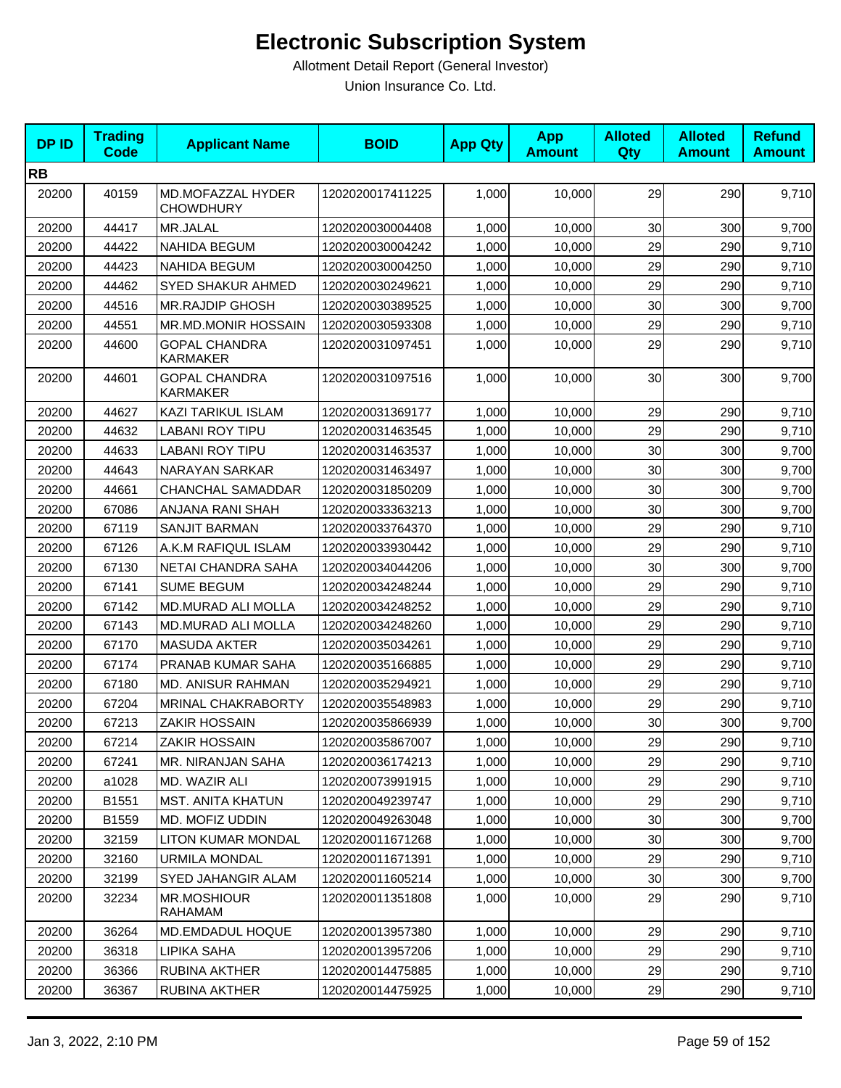| <b>DPID</b> | <b>Trading</b><br><b>Code</b> | <b>Applicant Name</b>                   | <b>BOID</b>      | <b>App Qty</b> | <b>App</b><br><b>Amount</b> | <b>Alloted</b><br><b>Qty</b> | <b>Alloted</b><br><b>Amount</b> | <b>Refund</b><br><b>Amount</b> |
|-------------|-------------------------------|-----------------------------------------|------------------|----------------|-----------------------------|------------------------------|---------------------------------|--------------------------------|
| <b>RB</b>   |                               |                                         |                  |                |                             |                              |                                 |                                |
| 20200       | 40159                         | MD.MOFAZZAL HYDER<br><b>CHOWDHURY</b>   | 1202020017411225 | 1,000          | 10,000                      | 29                           | 290                             | 9,710                          |
| 20200       | 44417                         | MR.JALAL                                | 1202020030004408 | 1,000          | 10,000                      | 30                           | 300                             | 9,700                          |
| 20200       | 44422                         | <b>NAHIDA BEGUM</b>                     | 1202020030004242 | 1,000          | 10,000                      | 29                           | 290                             | 9,710                          |
| 20200       | 44423                         | <b>NAHIDA BEGUM</b>                     | 1202020030004250 | 1,000          | 10,000                      | 29                           | 290                             | 9,710                          |
| 20200       | 44462                         | SYED SHAKUR AHMED                       | 1202020030249621 | 1,000          | 10,000                      | 29                           | 290                             | 9,710                          |
| 20200       | 44516                         | <b>MR.RAJDIP GHOSH</b>                  | 1202020030389525 | 1,000          | 10,000                      | 30                           | 300                             | 9,700                          |
| 20200       | 44551                         | MR.MD.MONIR HOSSAIN                     | 1202020030593308 | 1,000          | 10,000                      | 29                           | 290                             | 9,710                          |
| 20200       | 44600                         | <b>GOPAL CHANDRA</b><br>KARMAKER        | 1202020031097451 | 1,000          | 10,000                      | 29                           | 290                             | 9,710                          |
| 20200       | 44601                         | <b>GOPAL CHANDRA</b><br><b>KARMAKER</b> | 1202020031097516 | 1,000          | 10,000                      | 30                           | 300                             | 9,700                          |
| 20200       | 44627                         | KAZI TARIKUL ISLAM                      | 1202020031369177 | 1,000          | 10,000                      | 29                           | 290                             | 9,710                          |
| 20200       | 44632                         | LABANI ROY TIPU                         | 1202020031463545 | 1,000          | 10,000                      | 29                           | 290                             | 9,710                          |
| 20200       | 44633                         | <b>LABANI ROY TIPU</b>                  | 1202020031463537 | 1,000          | 10,000                      | 30                           | 300                             | 9,700                          |
| 20200       | 44643                         | <b>NARAYAN SARKAR</b>                   | 1202020031463497 | 1,000          | 10,000                      | 30                           | 300                             | 9,700                          |
| 20200       | 44661                         | <b>CHANCHAL SAMADDAR</b>                | 1202020031850209 | 1.000          | 10.000                      | 30                           | 300                             | 9,700                          |
| 20200       | 67086                         | ANJANA RANI SHAH                        | 1202020033363213 | 1,000          | 10,000                      | 30                           | 300                             | 9,700                          |
| 20200       | 67119                         | <b>SANJIT BARMAN</b>                    | 1202020033764370 | 1,000          | 10,000                      | 29                           | 290                             | 9,710                          |
| 20200       | 67126                         | A.K.M RAFIQUL ISLAM                     | 1202020033930442 | 1,000          | 10,000                      | 29                           | 290                             | 9,710                          |
| 20200       | 67130                         | NETAI CHANDRA SAHA                      | 1202020034044206 | 1,000          | 10,000                      | 30                           | 300                             | 9,700                          |
| 20200       | 67141                         | <b>SUME BEGUM</b>                       | 1202020034248244 | 1,000          | 10,000                      | 29                           | 290                             | 9,710                          |
| 20200       | 67142                         | MD.MURAD ALI MOLLA                      | 1202020034248252 | 1,000          | 10,000                      | 29                           | 290                             | 9,710                          |
| 20200       | 67143                         | MD.MURAD ALI MOLLA                      | 1202020034248260 | 1,000          | 10,000                      | 29                           | 290                             | 9,710                          |
| 20200       | 67170                         | <b>MASUDA AKTER</b>                     | 1202020035034261 | 1,000          | 10,000                      | 29                           | 290                             | 9,710                          |
| 20200       | 67174                         | PRANAB KUMAR SAHA                       | 1202020035166885 | 1,000          | 10,000                      | 29                           | 290                             | 9,710                          |
| 20200       | 67180                         | MD. ANISUR RAHMAN                       | 1202020035294921 | 1,000          | 10,000                      | 29                           | 290                             | 9,710                          |
| 20200       | 67204                         | <b>MRINAL CHAKRABORTY</b>               | 1202020035548983 | 1,000          | 10,000                      | 29                           | 290                             | 9,710                          |
| 20200       | 67213                         | <b>ZAKIR HOSSAIN</b>                    | 1202020035866939 | 1,000          | 10,000                      | 30                           | 300                             | 9,700                          |
| 20200       | 67214                         | ZAKIR HOSSAIN                           | 1202020035867007 | 1,000          | 10,000                      | 29                           | 290                             | 9,710                          |
| 20200       | 67241                         | MR. NIRANJAN SAHA                       | 1202020036174213 | 1,000          | 10,000                      | 29                           | 290                             | 9,710                          |
| 20200       | a1028                         | MD. WAZIR ALI                           | 1202020073991915 | 1,000          | 10,000                      | 29                           | 290                             | 9,710                          |
| 20200       | B1551                         | <b>MST. ANITA KHATUN</b>                | 1202020049239747 | 1,000          | 10,000                      | 29                           | 290                             | 9,710                          |
| 20200       | B1559                         | MD. MOFIZ UDDIN                         | 1202020049263048 | 1,000          | 10,000                      | 30                           | 300                             | 9,700                          |
| 20200       | 32159                         | <b>LITON KUMAR MONDAL</b>               | 1202020011671268 | 1,000          | 10,000                      | 30                           | 300                             | 9,700                          |
| 20200       | 32160                         | <b>URMILA MONDAL</b>                    | 1202020011671391 | 1,000          | 10,000                      | 29                           | 290                             | 9,710                          |
| 20200       | 32199                         | SYED JAHANGIR ALAM                      | 1202020011605214 | 1,000          | 10,000                      | 30                           | 300                             | 9,700                          |
| 20200       | 32234                         | <b>MR.MOSHIOUR</b><br>RAHAMAM           | 1202020011351808 | 1,000          | 10.000                      | 29                           | 290                             | 9,710                          |
| 20200       | 36264                         | MD.EMDADUL HOQUE                        | 1202020013957380 | 1,000          | 10,000                      | 29                           | 290                             | 9,710                          |
| 20200       | 36318                         | LIPIKA SAHA                             | 1202020013957206 | 1,000          | 10,000                      | 29                           | 290                             | 9,710                          |
| 20200       | 36366                         | RUBINA AKTHER                           | 1202020014475885 | 1,000          | 10,000                      | 29                           | 290                             | 9,710                          |
| 20200       | 36367                         | RUBINA AKTHER                           | 1202020014475925 | 1,000          | 10,000                      | 29                           | 290                             | 9,710                          |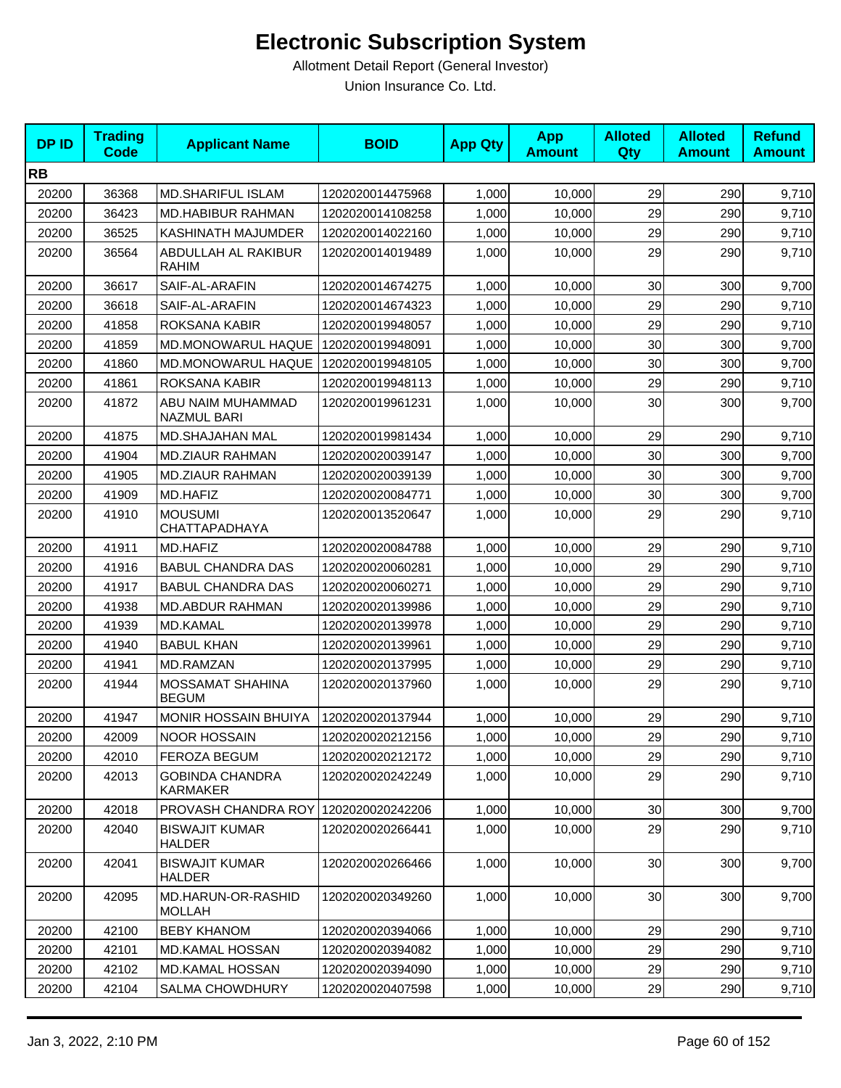| <b>DPID</b> | <b>Trading</b><br><b>Code</b> | <b>Applicant Name</b>                   | <b>BOID</b>      | <b>App Qty</b> | <b>App</b><br><b>Amount</b> | <b>Alloted</b><br>Qty | <b>Alloted</b><br><b>Amount</b> | <b>Refund</b><br><b>Amount</b> |
|-------------|-------------------------------|-----------------------------------------|------------------|----------------|-----------------------------|-----------------------|---------------------------------|--------------------------------|
| <b>RB</b>   |                               |                                         |                  |                |                             |                       |                                 |                                |
| 20200       | 36368                         | <b>MD.SHARIFUL ISLAM</b>                | 1202020014475968 | 1,000          | 10,000                      | 29                    | 290                             | 9,710                          |
| 20200       | 36423                         | MD.HABIBUR RAHMAN                       | 1202020014108258 | 1,000          | 10,000                      | 29                    | 290                             | 9,710                          |
| 20200       | 36525                         | KASHINATH MAJUMDER                      | 1202020014022160 | 1,000          | 10,000                      | 29                    | 290                             | 9,710                          |
| 20200       | 36564                         | ABDULLAH AL RAKIBUR<br><b>RAHIM</b>     | 1202020014019489 | 1,000          | 10,000                      | 29                    | 290                             | 9,710                          |
| 20200       | 36617                         | SAIF-AL-ARAFIN                          | 1202020014674275 | 1,000          | 10,000                      | 30                    | 300                             | 9,700                          |
| 20200       | 36618                         | SAIF-AL-ARAFIN                          | 1202020014674323 | 1,000          | 10,000                      | 29                    | 290                             | 9,710                          |
| 20200       | 41858                         | ROKSANA KABIR                           | 1202020019948057 | 1.000          | 10.000                      | 29                    | 290                             | 9,710                          |
| 20200       | 41859                         | MD.MONOWARUL HAQUE                      | 1202020019948091 | 1,000          | 10,000                      | 30                    | 300                             | 9,700                          |
| 20200       | 41860                         | MD.MONOWARUL HAQUE                      | 1202020019948105 | 1,000          | 10,000                      | 30                    | 300                             | 9,700                          |
| 20200       | 41861                         | ROKSANA KABIR                           | 1202020019948113 | 1,000          | 10,000                      | 29                    | 290                             | 9,710                          |
| 20200       | 41872                         | ABU NAIM MUHAMMAD<br><b>NAZMUL BARI</b> | 1202020019961231 | 1,000          | 10,000                      | 30                    | 300                             | 9,700                          |
| 20200       | 41875                         | MD.SHAJAHAN MAL                         | 1202020019981434 | 1,000          | 10,000                      | 29                    | 290                             | 9,710                          |
| 20200       | 41904                         | <b>MD.ZIAUR RAHMAN</b>                  | 1202020020039147 | 1,000          | 10,000                      | 30                    | 300                             | 9,700                          |
| 20200       | 41905                         | <b>MD.ZIAUR RAHMAN</b>                  | 1202020020039139 | 1,000          | 10,000                      | 30                    | 300                             | 9,700                          |
| 20200       | 41909                         | MD.HAFIZ                                | 1202020020084771 | 1,000          | 10,000                      | 30                    | 300                             | 9,700                          |
| 20200       | 41910                         | <b>MOUSUMI</b><br>CHATTAPADHAYA         | 1202020013520647 | 1,000          | 10.000                      | 29                    | 290                             | 9,710                          |
| 20200       | 41911                         | MD.HAFIZ                                | 1202020020084788 | 1,000          | 10,000                      | 29                    | 290                             | 9,710                          |
| 20200       | 41916                         | <b>BABUL CHANDRA DAS</b>                | 1202020020060281 | 1,000          | 10,000                      | 29                    | 290                             | 9,710                          |
| 20200       | 41917                         | <b>BABUL CHANDRA DAS</b>                | 1202020020060271 | 1,000          | 10,000                      | 29                    | 290                             | 9,710                          |
| 20200       | 41938                         | <b>MD.ABDUR RAHMAN</b>                  | 1202020020139986 | 1,000          | 10,000                      | 29                    | 290                             | 9,710                          |
| 20200       | 41939                         | <b>MD.KAMAL</b>                         | 1202020020139978 | 1,000          | 10,000                      | 29                    | 290                             | 9,710                          |
| 20200       | 41940                         | <b>BABUL KHAN</b>                       | 1202020020139961 | 1,000          | 10,000                      | 29                    | 290                             | 9,710                          |
| 20200       | 41941                         | MD.RAMZAN                               | 1202020020137995 | 1,000          | 10,000                      | 29                    | 290                             | 9,710                          |
| 20200       | 41944                         | <b>MOSSAMAT SHAHINA</b><br><b>BEGUM</b> | 1202020020137960 | 1,000          | 10,000                      | 29                    | 290                             | 9,710                          |
| 20200       | 41947                         | <b>MONIR HOSSAIN BHUIYA</b>             | 1202020020137944 | 1,000          | 10,000                      | 29                    | 290                             | 9,710                          |
| 20200       | 42009                         | <b>NOOR HOSSAIN</b>                     | 1202020020212156 | 1,000          | 10,000                      | 29                    | 290                             | 9,710                          |
| 20200       | 42010                         | FEROZA BEGUM                            | 1202020020212172 | 1,000          | 10,000                      | 29                    | 290                             | 9,710                          |
| 20200       | 42013                         | <b>GOBINDA CHANDRA</b><br>KARMAKER      | 1202020020242249 | 1,000          | 10,000                      | 29                    | 290                             | 9,710                          |
| 20200       | 42018                         | PROVASH CHANDRA ROY   1202020020242206  |                  | 1,000          | 10,000                      | 30                    | 300                             | 9,700                          |
| 20200       | 42040                         | <b>BISWAJIT KUMAR</b><br><b>HALDER</b>  | 1202020020266441 | 1,000          | 10,000                      | 29                    | 290                             | 9,710                          |
| 20200       | 42041                         | <b>BISWAJIT KUMAR</b><br><b>HALDER</b>  | 1202020020266466 | 1,000          | 10,000                      | 30                    | 300                             | 9,700                          |
| 20200       | 42095                         | MD.HARUN-OR-RASHID<br><b>MOLLAH</b>     | 1202020020349260 | 1,000          | 10,000                      | 30                    | 300                             | 9,700                          |
| 20200       | 42100                         | <b>BEBY KHANOM</b>                      | 1202020020394066 | 1,000          | 10,000                      | 29                    | 290                             | 9,710                          |
| 20200       | 42101                         | MD.KAMAL HOSSAN                         | 1202020020394082 | 1,000          | 10,000                      | 29                    | 290                             | 9,710                          |
| 20200       | 42102                         | <b>MD.KAMAL HOSSAN</b>                  | 1202020020394090 | 1,000          | 10,000                      | 29                    | 290                             | 9,710                          |
| 20200       | 42104                         | <b>SALMA CHOWDHURY</b>                  | 1202020020407598 | 1,000          | 10,000                      | 29                    | 290                             | 9,710                          |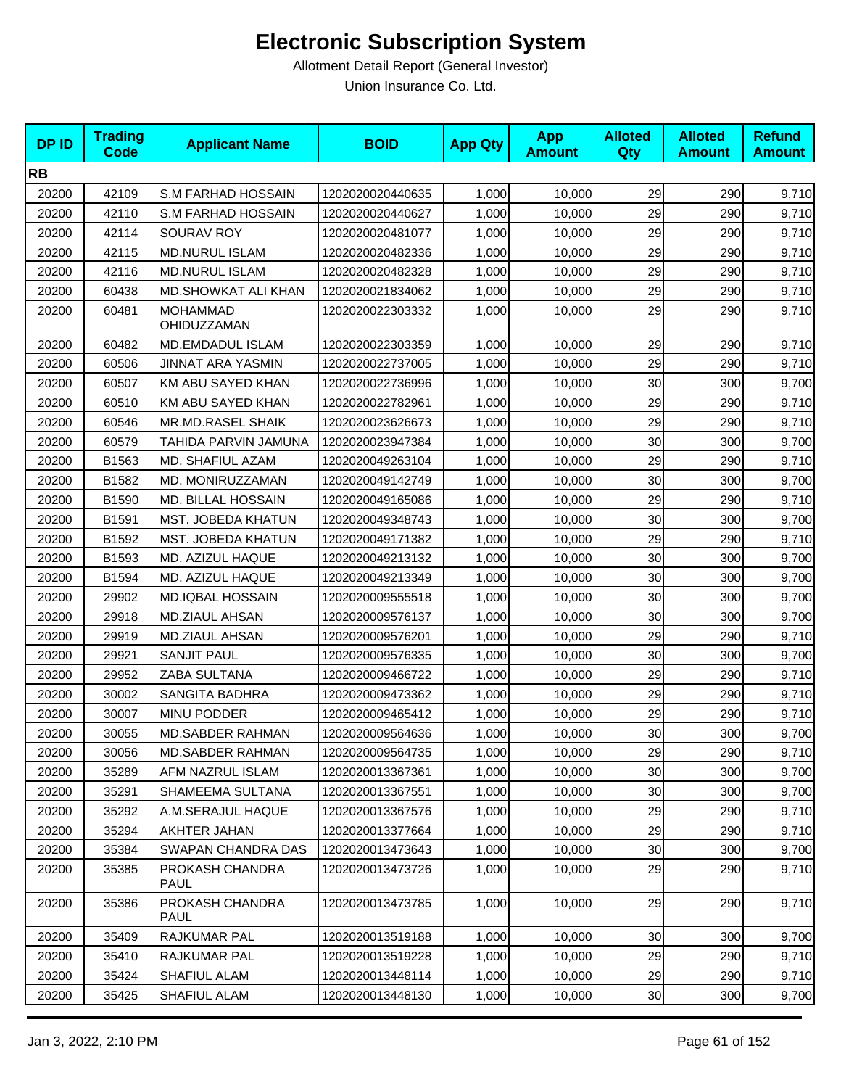| <b>DPID</b> | <b>Trading</b><br><b>Code</b> | <b>Applicant Name</b>          | <b>BOID</b>      | <b>App Qty</b> | <b>App</b><br><b>Amount</b> | <b>Alloted</b><br>Qty | <b>Alloted</b><br><b>Amount</b> | <b>Refund</b><br><b>Amount</b> |
|-------------|-------------------------------|--------------------------------|------------------|----------------|-----------------------------|-----------------------|---------------------------------|--------------------------------|
| <b>RB</b>   |                               |                                |                  |                |                             |                       |                                 |                                |
| 20200       | 42109                         | S.M FARHAD HOSSAIN             | 1202020020440635 | 1,000          | 10,000                      | 29                    | 290                             | 9,710                          |
| 20200       | 42110                         | S.M FARHAD HOSSAIN             | 1202020020440627 | 1,000          | 10.000                      | 29                    | 290                             | 9,710                          |
| 20200       | 42114                         | SOURAV ROY                     | 1202020020481077 | 1,000          | 10,000                      | 29                    | 290                             | 9,710                          |
| 20200       | 42115                         | <b>MD.NURUL ISLAM</b>          | 1202020020482336 | 1,000          | 10,000                      | 29                    | 290                             | 9,710                          |
| 20200       | 42116                         | <b>MD.NURUL ISLAM</b>          | 1202020020482328 | 1,000          | 10,000                      | 29                    | 290                             | 9,710                          |
| 20200       | 60438                         | MD.SHOWKAT ALI KHAN            | 1202020021834062 | 1,000          | 10,000                      | 29                    | 290                             | 9,710                          |
| 20200       | 60481                         | <b>MOHAMMAD</b><br>OHIDUZZAMAN | 1202020022303332 | 1,000          | 10,000                      | 29                    | 290                             | 9,710                          |
| 20200       | 60482                         | MD.EMDADUL ISLAM               | 1202020022303359 | 1,000          | 10,000                      | 29                    | 290                             | 9,710                          |
| 20200       | 60506                         | <b>JINNAT ARA YASMIN</b>       | 1202020022737005 | 1,000          | 10,000                      | 29                    | 290                             | 9,710                          |
| 20200       | 60507                         | KM ABU SAYED KHAN              | 1202020022736996 | 1,000          | 10,000                      | 30                    | 300                             | 9,700                          |
| 20200       | 60510                         | KM ABU SAYED KHAN              | 1202020022782961 | 1,000          | 10,000                      | 29                    | 290                             | 9,710                          |
| 20200       | 60546                         | MR.MD.RASEL SHAIK              | 1202020023626673 | 1,000          | 10,000                      | 29                    | 290                             | 9,710                          |
| 20200       | 60579                         | TAHIDA PARVIN JAMUNA           | 1202020023947384 | 1,000          | 10,000                      | 30                    | 300                             | 9,700                          |
| 20200       | B1563                         | MD. SHAFIUL AZAM               | 1202020049263104 | 1,000          | 10,000                      | 29                    | 290                             | 9,710                          |
| 20200       | B1582                         | MD. MONIRUZZAMAN               | 1202020049142749 | 1,000          | 10,000                      | 30                    | 300                             | 9,700                          |
| 20200       | B1590                         | MD. BILLAL HOSSAIN             | 1202020049165086 | 1,000          | 10,000                      | 29                    | 290                             | 9,710                          |
| 20200       | B1591                         | MST. JOBEDA KHATUN             | 1202020049348743 | 1,000          | 10,000                      | 30                    | 300                             | 9,700                          |
| 20200       | B1592                         | MST. JOBEDA KHATUN             | 1202020049171382 | 1,000          | 10,000                      | 29                    | 290                             | 9,710                          |
| 20200       | B1593                         | MD. AZIZUL HAQUE               | 1202020049213132 | 1,000          | 10,000                      | 30                    | 300                             | 9,700                          |
| 20200       | B1594                         | MD. AZIZUL HAQUE               | 1202020049213349 | 1,000          | 10,000                      | 30                    | 300                             | 9,700                          |
| 20200       | 29902                         | <b>MD.IQBAL HOSSAIN</b>        | 1202020009555518 | 1,000          | 10,000                      | 30                    | 300                             | 9,700                          |
| 20200       | 29918                         | <b>MD.ZIAUL AHSAN</b>          | 1202020009576137 | 1,000          | 10,000                      | 30                    | 300                             | 9,700                          |
| 20200       | 29919                         | <b>MD.ZIAUL AHSAN</b>          | 1202020009576201 | 1,000          | 10,000                      | 29                    | 290                             | 9,710                          |
| 20200       | 29921                         | <b>SANJIT PAUL</b>             | 1202020009576335 | 1,000          | 10,000                      | 30                    | 300                             | 9,700                          |
| 20200       | 29952                         | ZABA SULTANA                   | 1202020009466722 | 1,000          | 10,000                      | 29                    | 290                             | 9,710                          |
| 20200       | 30002                         | <b>SANGITA BADHRA</b>          | 1202020009473362 | 1,000          | 10,000                      | 29                    | 290                             | 9,710                          |
| 20200       | 30007                         | MINU PODDER                    | 1202020009465412 | 1,000          | 10,000                      | 29                    | 290                             | 9,710                          |
| 20200       | 30055                         | <b>MD.SABDER RAHMAN</b>        | 1202020009564636 | 1,000          | 10,000                      | 30                    | 300                             | 9,700                          |
| 20200       | 30056                         | <b>MD.SABDER RAHMAN</b>        | 1202020009564735 | 1,000          | 10,000                      | 29                    | 290                             | 9,710                          |
| 20200       | 35289                         | AFM NAZRUL ISLAM               | 1202020013367361 | 1,000          | 10,000                      | 30                    | 300                             | 9,700                          |
| 20200       | 35291                         | SHAMEEMA SULTANA               | 1202020013367551 | 1,000          | 10,000                      | 30 <sub>0</sub>       | 300                             | 9,700                          |
| 20200       | 35292                         | A.M.SERAJUL HAQUE              | 1202020013367576 | 1,000          | 10,000                      | 29                    | 290                             | 9,710                          |
| 20200       | 35294                         | AKHTER JAHAN                   | 1202020013377664 | 1,000          | 10,000                      | 29                    | 290                             | 9,710                          |
| 20200       | 35384                         | SWAPAN CHANDRA DAS             | 1202020013473643 | 1,000          | 10,000                      | 30                    | 300                             | 9,700                          |
| 20200       | 35385                         | PROKASH CHANDRA<br><b>PAUL</b> | 1202020013473726 | 1,000          | 10,000                      | 29                    | 290                             | 9,710                          |
| 20200       | 35386                         | PROKASH CHANDRA<br>PAUL        | 1202020013473785 | 1,000          | 10,000                      | 29                    | 290                             | 9,710                          |
| 20200       | 35409                         | RAJKUMAR PAL                   | 1202020013519188 | 1,000          | 10,000                      | 30                    | 300                             | 9,700                          |
| 20200       | 35410                         | RAJKUMAR PAL                   | 1202020013519228 | 1,000          | 10,000                      | 29                    | 290                             | 9,710                          |
| 20200       | 35424                         | <b>SHAFIUL ALAM</b>            | 1202020013448114 | 1,000          | 10,000                      | 29                    | 290                             | 9,710                          |
| 20200       | 35425                         | SHAFIUL ALAM                   | 1202020013448130 | 1,000          | 10,000                      | 30 <sub>0</sub>       | 300                             | 9,700                          |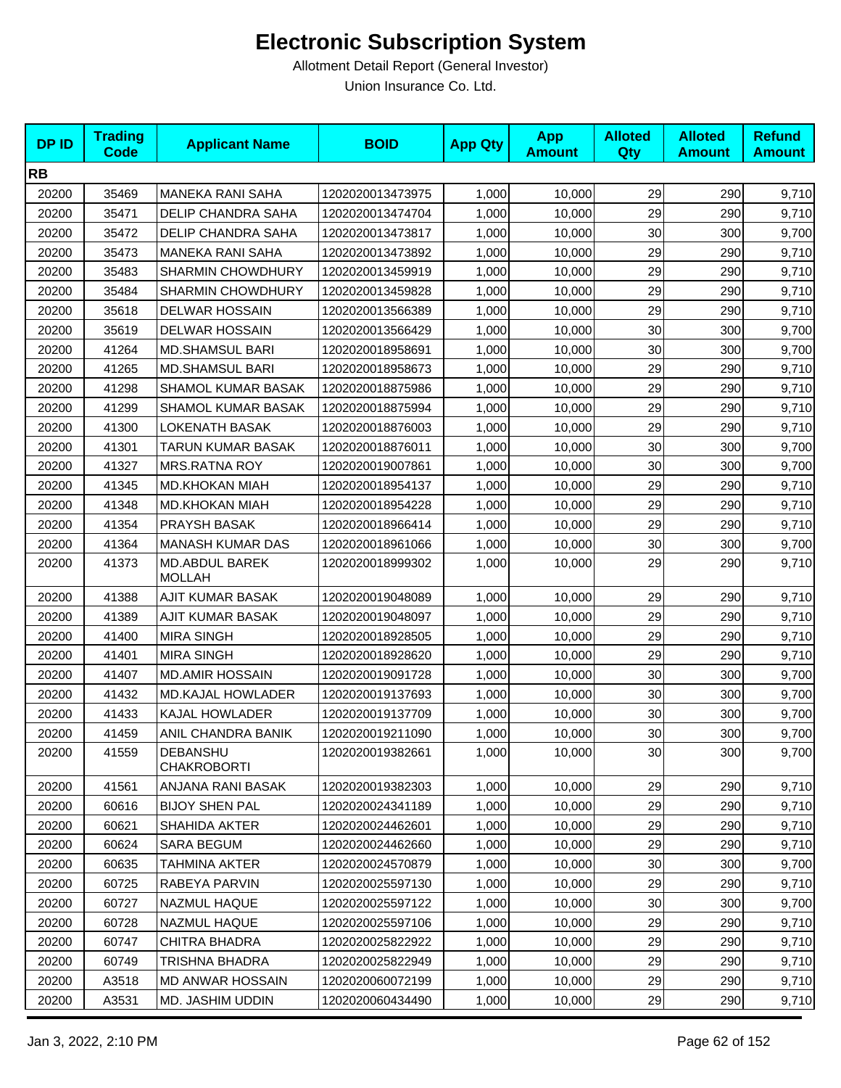| <b>DPID</b> | <b>Trading</b><br><b>Code</b> | <b>Applicant Name</b>                  | <b>BOID</b>      | <b>App Qty</b> | <b>App</b><br><b>Amount</b> | <b>Alloted</b><br>Qty | <b>Alloted</b><br><b>Amount</b> | <b>Refund</b><br><b>Amount</b> |
|-------------|-------------------------------|----------------------------------------|------------------|----------------|-----------------------------|-----------------------|---------------------------------|--------------------------------|
| <b>RB</b>   |                               |                                        |                  |                |                             |                       |                                 |                                |
| 20200       | 35469                         | <b>MANEKA RANI SAHA</b>                | 1202020013473975 | 1,000          | 10,000                      | 29                    | 290                             | 9,710                          |
| 20200       | 35471                         | DELIP CHANDRA SAHA                     | 1202020013474704 | 1,000          | 10,000                      | 29                    | 290                             | 9,710                          |
| 20200       | 35472                         | DELIP CHANDRA SAHA                     | 1202020013473817 | 1,000          | 10,000                      | 30                    | 300                             | 9,700                          |
| 20200       | 35473                         | <b>MANEKA RANI SAHA</b>                | 1202020013473892 | 1,000          | 10,000                      | 29                    | 290                             | 9,710                          |
| 20200       | 35483                         | <b>SHARMIN CHOWDHURY</b>               | 1202020013459919 | 1,000          | 10,000                      | 29                    | 290                             | 9,710                          |
| 20200       | 35484                         | <b>SHARMIN CHOWDHURY</b>               | 1202020013459828 | 1,000          | 10,000                      | 29                    | 290                             | 9,710                          |
| 20200       | 35618                         | <b>DELWAR HOSSAIN</b>                  | 1202020013566389 | 1,000          | 10,000                      | 29                    | 290                             | 9,710                          |
| 20200       | 35619                         | <b>DELWAR HOSSAIN</b>                  | 1202020013566429 | 1,000          | 10,000                      | 30                    | 300                             | 9,700                          |
| 20200       | 41264                         | <b>MD.SHAMSUL BARI</b>                 | 1202020018958691 | 1,000          | 10,000                      | 30                    | 300                             | 9,700                          |
| 20200       | 41265                         | <b>MD.SHAMSUL BARI</b>                 | 1202020018958673 | 1,000          | 10,000                      | 29                    | 290                             | 9,710                          |
| 20200       | 41298                         | SHAMOL KUMAR BASAK                     | 1202020018875986 | 1,000          | 10,000                      | 29                    | 290                             | 9,710                          |
| 20200       | 41299                         | SHAMOL KUMAR BASAK                     | 1202020018875994 | 1,000          | 10,000                      | 29                    | 290                             | 9,710                          |
| 20200       | 41300                         | <b>LOKENATH BASAK</b>                  | 1202020018876003 | 1,000          | 10,000                      | 29                    | 290                             | 9,710                          |
| 20200       | 41301                         | TARUN KUMAR BASAK                      | 1202020018876011 | 1,000          | 10,000                      | 30                    | 300                             | 9,700                          |
| 20200       | 41327                         | <b>MRS.RATNA ROY</b>                   | 1202020019007861 | 1,000          | 10,000                      | 30                    | 300                             | 9,700                          |
| 20200       | 41345                         | <b>MD.KHOKAN MIAH</b>                  | 1202020018954137 | 1,000          | 10,000                      | 29                    | 290                             | 9,710                          |
| 20200       | 41348                         | <b>MD.KHOKAN MIAH</b>                  | 1202020018954228 | 1,000          | 10,000                      | 29                    | 290                             | 9,710                          |
| 20200       | 41354                         | PRAYSH BASAK                           | 1202020018966414 | 1,000          | 10,000                      | 29                    | 290                             | 9,710                          |
| 20200       | 41364                         | <b>MANASH KUMAR DAS</b>                | 1202020018961066 | 1,000          | 10,000                      | 30 <sub>0</sub>       | 300                             | 9,700                          |
| 20200       | 41373                         | <b>MD.ABDUL BAREK</b><br><b>MOLLAH</b> | 1202020018999302 | 1,000          | 10,000                      | 29                    | 290                             | 9,710                          |
| 20200       | 41388                         | <b>AJIT KUMAR BASAK</b>                | 1202020019048089 | 1,000          | 10,000                      | 29                    | 290                             | 9,710                          |
| 20200       | 41389                         | AJIT KUMAR BASAK                       | 1202020019048097 | 1,000          | 10,000                      | 29                    | 290                             | 9,710                          |
| 20200       | 41400                         | <b>MIRA SINGH</b>                      | 1202020018928505 | 1,000          | 10,000                      | 29                    | 290                             | 9,710                          |
| 20200       | 41401                         | <b>MIRA SINGH</b>                      | 1202020018928620 | 1,000          | 10,000                      | 29                    | 290                             | 9,710                          |
| 20200       | 41407                         | <b>MD.AMIR HOSSAIN</b>                 | 1202020019091728 | 1,000          | 10,000                      | 30                    | 300                             | 9,700                          |
| 20200       | 41432                         | <b>MD.KAJAL HOWLADER</b>               | 1202020019137693 | 1,000          | 10,000                      | 30                    | 300                             | 9,700                          |
| 20200       | 41433                         | KAJAL HOWLADER                         | 1202020019137709 | 1,000          | 10,000                      | 30                    | 300                             | 9,700                          |
| 20200       | 41459                         | ANIL CHANDRA BANIK                     | 1202020019211090 | 1,000          | 10,000                      | 30 <sub>l</sub>       | 300                             | 9,700                          |
| 20200       | 41559                         | DEBANSHU<br><b>CHAKROBORTI</b>         | 1202020019382661 | 1,000          | 10,000                      | 30                    | 300                             | 9,700                          |
| 20200       | 41561                         | ANJANA RANI BASAK                      | 1202020019382303 | 1,000          | 10,000                      | 29                    | 290                             | 9,710                          |
| 20200       | 60616                         | <b>BIJOY SHEN PAL</b>                  | 1202020024341189 | 1,000          | 10,000                      | 29                    | 290                             | 9,710                          |
| 20200       | 60621                         | SHAHIDA AKTER                          | 1202020024462601 | 1,000          | 10,000                      | 29                    | 290                             | 9,710                          |
| 20200       | 60624                         | SARA BEGUM                             | 1202020024462660 | 1,000          | 10,000                      | 29                    | 290                             | 9,710                          |
| 20200       | 60635                         | TAHMINA AKTER                          | 1202020024570879 | 1,000          | 10,000                      | 30                    | 300                             | 9,700                          |
| 20200       | 60725                         | RABEYA PARVIN                          | 1202020025597130 | 1,000          | 10,000                      | 29                    | 290                             | 9,710                          |
| 20200       | 60727                         | NAZMUL HAQUE                           | 1202020025597122 | 1,000          | 10,000                      | 30                    | 300                             | 9,700                          |
| 20200       | 60728                         | NAZMUL HAQUE                           | 1202020025597106 | 1,000          | 10,000                      | 29                    | 290                             | 9,710                          |
| 20200       | 60747                         | CHITRA BHADRA                          | 1202020025822922 | 1,000          | 10,000                      | 29                    | 290                             | 9,710                          |
| 20200       | 60749                         | TRISHNA BHADRA                         | 1202020025822949 | 1,000          | 10,000                      | 29                    | 290                             | 9,710                          |
| 20200       | A3518                         | <b>MD ANWAR HOSSAIN</b>                | 1202020060072199 | 1,000          | 10,000                      | 29                    | 290                             | 9,710                          |
| 20200       | A3531                         | MD. JASHIM UDDIN                       | 1202020060434490 | 1,000          | 10,000                      | 29                    | 290                             | 9,710                          |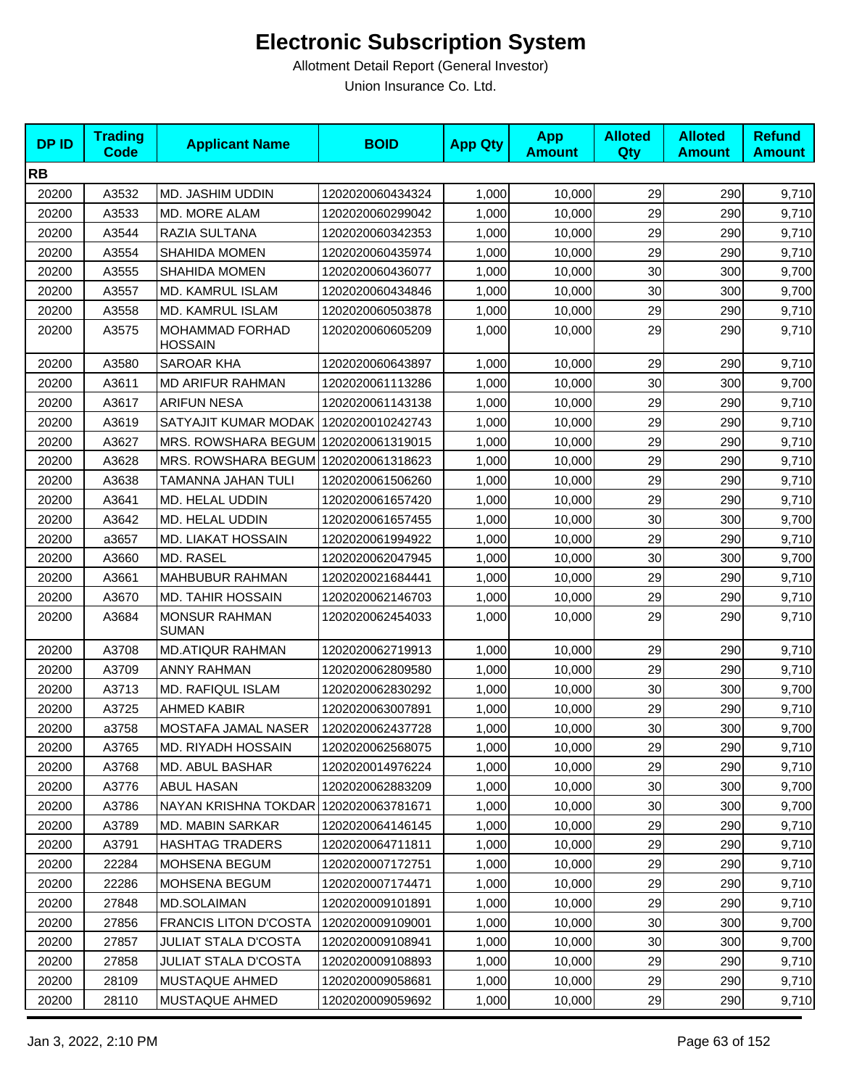| <b>DPID</b> | <b>Trading</b><br><b>Code</b> | <b>Applicant Name</b>                    | <b>BOID</b>      | <b>App Qty</b> | <b>App</b><br><b>Amount</b> | <b>Alloted</b><br><b>Qty</b> | <b>Alloted</b><br><b>Amount</b> | <b>Refund</b><br><b>Amount</b> |
|-------------|-------------------------------|------------------------------------------|------------------|----------------|-----------------------------|------------------------------|---------------------------------|--------------------------------|
| <b>RB</b>   |                               |                                          |                  |                |                             |                              |                                 |                                |
| 20200       | A3532                         | MD. JASHIM UDDIN                         | 1202020060434324 | 1,000          | 10,000                      | 29                           | 290                             | 9,710                          |
| 20200       | A3533                         | MD. MORE ALAM                            | 1202020060299042 | 1,000          | 10,000                      | 29                           | 290                             | 9,710                          |
| 20200       | A3544                         | RAZIA SULTANA                            | 1202020060342353 | 1,000          | 10,000                      | 29                           | 290                             | 9,710                          |
| 20200       | A3554                         | <b>SHAHIDA MOMEN</b>                     | 1202020060435974 | 1,000          | 10,000                      | 29                           | 290                             | 9,710                          |
| 20200       | A3555                         | <b>SHAHIDA MOMEN</b>                     | 1202020060436077 | 1,000          | 10,000                      | 30                           | 300                             | 9,700                          |
| 20200       | A3557                         | MD. KAMRUL ISLAM                         | 1202020060434846 | 1,000          | 10,000                      | 30                           | 300                             | 9,700                          |
| 20200       | A3558                         | MD. KAMRUL ISLAM                         | 1202020060503878 | 1,000          | 10,000                      | 29                           | 290                             | 9,710                          |
| 20200       | A3575                         | <b>MOHAMMAD FORHAD</b><br><b>HOSSAIN</b> | 1202020060605209 | 1,000          | 10,000                      | 29                           | 290                             | 9,710                          |
| 20200       | A3580                         | <b>SAROAR KHA</b>                        | 1202020060643897 | 1,000          | 10,000                      | 29                           | 290                             | 9,710                          |
| 20200       | A3611                         | <b>MD ARIFUR RAHMAN</b>                  | 1202020061113286 | 1,000          | 10,000                      | 30                           | 300                             | 9,700                          |
| 20200       | A3617                         | <b>ARIFUN NESA</b>                       | 1202020061143138 | 1,000          | 10,000                      | 29                           | 290                             | 9,710                          |
| 20200       | A3619                         | SATYAJIT KUMAR MODAK                     | 1202020010242743 | 1,000          | 10,000                      | 29                           | 290                             | 9,710                          |
| 20200       | A3627                         | MRS. ROWSHARA BEGUM                      | 1202020061319015 | 1,000          | 10,000                      | 29                           | 290                             | 9,710                          |
| 20200       | A3628                         | MRS. ROWSHARA BEGUM 1202020061318623     |                  | 1,000          | 10,000                      | 29                           | 290                             | 9,710                          |
| 20200       | A3638                         | TAMANNA JAHAN TULI                       | 1202020061506260 | 1,000          | 10,000                      | 29                           | 290                             | 9,710                          |
| 20200       | A3641                         | MD. HELAL UDDIN                          | 1202020061657420 | 1,000          | 10,000                      | 29                           | 290                             | 9,710                          |
| 20200       | A3642                         | MD. HELAL UDDIN                          | 1202020061657455 | 1,000          | 10,000                      | 30                           | 300                             | 9,700                          |
| 20200       | a3657                         | MD. LIAKAT HOSSAIN                       | 1202020061994922 | 1,000          | 10,000                      | 29                           | 290                             | 9,710                          |
| 20200       | A3660                         | MD. RASEL                                | 1202020062047945 | 1,000          | 10,000                      | 30                           | 300                             | 9,700                          |
| 20200       | A3661                         | <b>MAHBUBUR RAHMAN</b>                   | 1202020021684441 | 1,000          | 10,000                      | 29                           | 290                             | 9,710                          |
| 20200       | A3670                         | <b>MD. TAHIR HOSSAIN</b>                 | 1202020062146703 | 1,000          | 10,000                      | 29                           | 290                             | 9,710                          |
| 20200       | A3684                         | <b>MONSUR RAHMAN</b><br><b>SUMAN</b>     | 1202020062454033 | 1,000          | 10,000                      | 29                           | 290                             | 9,710                          |
| 20200       | A3708                         | <b>MD.ATIQUR RAHMAN</b>                  | 1202020062719913 | 1,000          | 10,000                      | 29                           | 290                             | 9,710                          |
| 20200       | A3709                         | <b>ANNY RAHMAN</b>                       | 1202020062809580 | 1,000          | 10,000                      | 29                           | 290                             | 9,710                          |
| 20200       | A3713                         | <b>MD. RAFIQUL ISLAM</b>                 | 1202020062830292 | 1,000          | 10,000                      | 30                           | 300                             | 9,700                          |
| 20200       | A3725                         | <b>AHMED KABIR</b>                       | 1202020063007891 | 1,000          | 10,000                      | 29                           | 290                             | 9,710                          |
| 20200       | a3758                         | MOSTAFA JAMAL NASER                      | 1202020062437728 | 1,000          | 10,000                      | 30                           | 300                             | 9,700                          |
| 20200       | A3765                         | MD. RIYADH HOSSAIN                       | 1202020062568075 | 1,000          | 10,000                      | 29                           | 290                             | 9,710                          |
| 20200       | A3768                         | <b>MD. ABUL BASHAR</b>                   | 1202020014976224 | 1,000          | 10,000                      | 29                           | 290                             | 9,710                          |
| 20200       | A3776                         | ABUL HASAN                               | 1202020062883209 | 1,000          | 10,000                      | 30                           | 300                             | 9,700                          |
| 20200       | A3786                         | NAYAN KRISHNA TOKDAR 1202020063781671    |                  | 1,000          | 10,000                      | 30                           | 300                             | 9,700                          |
| 20200       | A3789                         | MD. MABIN SARKAR                         | 1202020064146145 | 1,000          | 10,000                      | 29                           | 290                             | 9,710                          |
| 20200       | A3791                         | <b>HASHTAG TRADERS</b>                   | 1202020064711811 | 1,000          | 10.000                      | 29                           | 290                             | 9,710                          |
| 20200       | 22284                         | MOHSENA BEGUM                            | 1202020007172751 | 1,000          | 10,000                      | 29                           | 290                             | 9,710                          |
| 20200       | 22286                         | MOHSENA BEGUM                            | 1202020007174471 | 1,000          | 10,000                      | 29                           | 290                             | 9,710                          |
| 20200       | 27848                         | MD.SOLAIMAN                              | 1202020009101891 | 1,000          | 10,000                      | 29                           | 290                             | 9,710                          |
| 20200       | 27856                         | <b>FRANCIS LITON D'COSTA</b>             | 1202020009109001 | 1,000          | 10,000                      | 30                           | 300                             | 9,700                          |
| 20200       | 27857                         | JULIAT STALA D'COSTA                     | 1202020009108941 | 1,000          | 10,000                      | 30                           | 300                             | 9,700                          |
| 20200       | 27858                         | <b>JULIAT STALA D'COSTA</b>              | 1202020009108893 | 1,000          | 10,000                      | 29                           | 290                             | 9,710                          |
| 20200       | 28109                         | MUSTAQUE AHMED                           | 1202020009058681 | 1,000          | 10,000                      | 29                           | 290                             | 9,710                          |
| 20200       | 28110                         | MUSTAQUE AHMED                           | 1202020009059692 | 1,000          | 10,000                      | 29                           | 290                             | 9,710                          |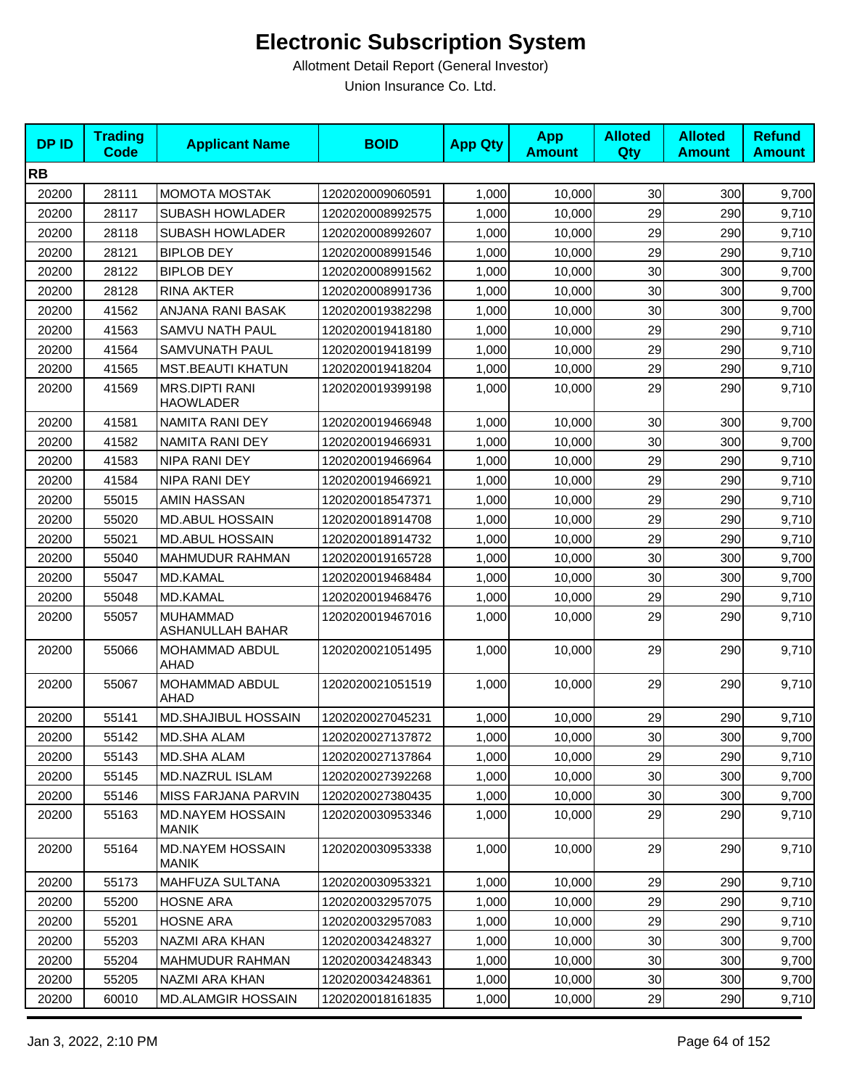| <b>DPID</b> | <b>Trading</b><br><b>Code</b> | <b>Applicant Name</b>                     | <b>BOID</b>      | <b>App Qty</b> | <b>App</b><br><b>Amount</b> | <b>Alloted</b><br>Qty | <b>Alloted</b><br><b>Amount</b> | <b>Refund</b><br><b>Amount</b> |
|-------------|-------------------------------|-------------------------------------------|------------------|----------------|-----------------------------|-----------------------|---------------------------------|--------------------------------|
| <b>RB</b>   |                               |                                           |                  |                |                             |                       |                                 |                                |
| 20200       | 28111                         | <b>MOMOTA MOSTAK</b>                      | 1202020009060591 | 1,000          | 10,000                      | 30                    | 300                             | 9,700                          |
| 20200       | 28117                         | <b>SUBASH HOWLADER</b>                    | 1202020008992575 | 1,000          | 10,000                      | 29                    | 290                             | 9,710                          |
| 20200       | 28118                         | <b>SUBASH HOWLADER</b>                    | 1202020008992607 | 1,000          | 10,000                      | 29                    | 290                             | 9,710                          |
| 20200       | 28121                         | <b>BIPLOB DEY</b>                         | 1202020008991546 | 1,000          | 10,000                      | 29                    | 290                             | 9,710                          |
| 20200       | 28122                         | <b>BIPLOB DEY</b>                         | 1202020008991562 | 1,000          | 10,000                      | 30                    | 300                             | 9,700                          |
| 20200       | 28128                         | <b>RINA AKTER</b>                         | 1202020008991736 | 1,000          | 10,000                      | 30                    | 300                             | 9,700                          |
| 20200       | 41562                         | ANJANA RANI BASAK                         | 1202020019382298 | 1,000          | 10,000                      | 30                    | 300                             | 9,700                          |
| 20200       | 41563                         | SAMVU NATH PAUL                           | 1202020019418180 | 1,000          | 10,000                      | 29                    | 290                             | 9,710                          |
| 20200       | 41564                         | SAMVUNATH PAUL                            | 1202020019418199 | 1,000          | 10,000                      | 29                    | 290                             | 9,710                          |
| 20200       | 41565                         | <b>MST.BEAUTI KHATUN</b>                  | 1202020019418204 | 1,000          | 10,000                      | 29                    | 290                             | 9,710                          |
| 20200       | 41569                         | <b>MRS.DIPTI RANI</b><br><b>HAOWLADER</b> | 1202020019399198 | 1,000          | 10,000                      | 29                    | 290                             | 9,710                          |
| 20200       | 41581                         | NAMITA RANI DEY                           | 1202020019466948 | 1,000          | 10,000                      | 30                    | 300                             | 9,700                          |
| 20200       | 41582                         | NAMITA RANI DEY                           | 1202020019466931 | 1,000          | 10.000                      | 30                    | 300                             | 9,700                          |
| 20200       | 41583                         | NIPA RANI DEY                             | 1202020019466964 | 1,000          | 10,000                      | 29                    | 290                             | 9,710                          |
| 20200       | 41584                         | NIPA RANI DEY                             | 1202020019466921 | 1,000          | 10,000                      | 29                    | 290                             | 9,710                          |
| 20200       | 55015                         | AMIN HASSAN                               | 1202020018547371 | 1,000          | 10,000                      | 29                    | 290                             | 9,710                          |
| 20200       | 55020                         | <b>MD.ABUL HOSSAIN</b>                    | 1202020018914708 | 1,000          | 10,000                      | 29                    | 290                             | 9,710                          |
| 20200       | 55021                         | <b>MD.ABUL HOSSAIN</b>                    | 1202020018914732 | 1,000          | 10,000                      | 29                    | 290                             | 9,710                          |
| 20200       | 55040                         | MAHMUDUR RAHMAN                           | 1202020019165728 | 1,000          | 10,000                      | 30                    | 300                             | 9,700                          |
| 20200       | 55047                         | MD.KAMAL                                  | 1202020019468484 | 1,000          | 10,000                      | 30                    | 300                             | 9,700                          |
| 20200       | 55048                         | <b>MD.KAMAL</b>                           | 1202020019468476 | 1,000          | 10,000                      | 29                    | 290                             | 9,710                          |
| 20200       | 55057                         | <b>MUHAMMAD</b><br>ASHANULLAH BAHAR       | 1202020019467016 | 1,000          | 10,000                      | 29                    | 290                             | 9,710                          |
| 20200       | 55066                         | MOHAMMAD ABDUL<br>AHAD                    | 1202020021051495 | 1,000          | 10,000                      | 29                    | 290                             | 9,710                          |
| 20200       | 55067                         | MOHAMMAD ABDUL<br>AHAD                    | 1202020021051519 | 1,000          | 10,000                      | 29                    | 290                             | 9,710                          |
| 20200       | 55141                         | MD.SHAJIBUL HOSSAIN                       | 1202020027045231 | 1,000          | 10,000                      | 29                    | 290                             | 9,710                          |
| 20200       | 55142                         | MD.SHA ALAM                               | 1202020027137872 | 1,000          | 10,000                      | 30 <sup>1</sup>       | 300                             | 9,700                          |
| 20200       | 55143                         | <b>MD.SHA ALAM</b>                        | 1202020027137864 | 1,000          | 10,000                      | 29                    | 290                             | 9,710                          |
| 20200       | 55145                         | MD.NAZRUL ISLAM                           | 1202020027392268 | 1,000          | 10,000                      | 30                    | 300                             | 9,700                          |
| 20200       | 55146                         | <b>MISS FARJANA PARVIN</b>                | 1202020027380435 | 1,000          | 10,000                      | 30                    | 300                             | 9,700                          |
| 20200       | 55163                         | <b>MD.NAYEM HOSSAIN</b><br>MANIK          | 1202020030953346 | 1,000          | 10,000                      | 29                    | 290                             | 9,710                          |
| 20200       | 55164                         | <b>MD.NAYEM HOSSAIN</b><br><b>MANIK</b>   | 1202020030953338 | 1,000          | 10,000                      | 29                    | 290                             | 9,710                          |
| 20200       | 55173                         | MAHFUZA SULTANA                           | 1202020030953321 | 1,000          | 10,000                      | 29                    | 290                             | 9,710                          |
| 20200       | 55200                         | <b>HOSNE ARA</b>                          | 1202020032957075 | 1,000          | 10,000                      | 29                    | 290                             | 9,710                          |
| 20200       | 55201                         | <b>HOSNE ARA</b>                          | 1202020032957083 | 1,000          | 10,000                      | 29                    | 290                             | 9,710                          |
| 20200       | 55203                         | NAZMI ARA KHAN                            | 1202020034248327 | 1,000          | 10,000                      | 30 <sub>0</sub>       | 300                             | 9,700                          |
| 20200       | 55204                         | <b>MAHMUDUR RAHMAN</b>                    | 1202020034248343 | 1,000          | 10,000                      | 30                    | 300                             | 9,700                          |
| 20200       | 55205                         | NAZMI ARA KHAN                            | 1202020034248361 | 1,000          | 10,000                      | $30\,$                | 300                             | 9,700                          |
| 20200       | 60010                         | <b>MD.ALAMGIR HOSSAIN</b>                 | 1202020018161835 | 1,000          | 10,000                      | 29                    | 290                             | 9,710                          |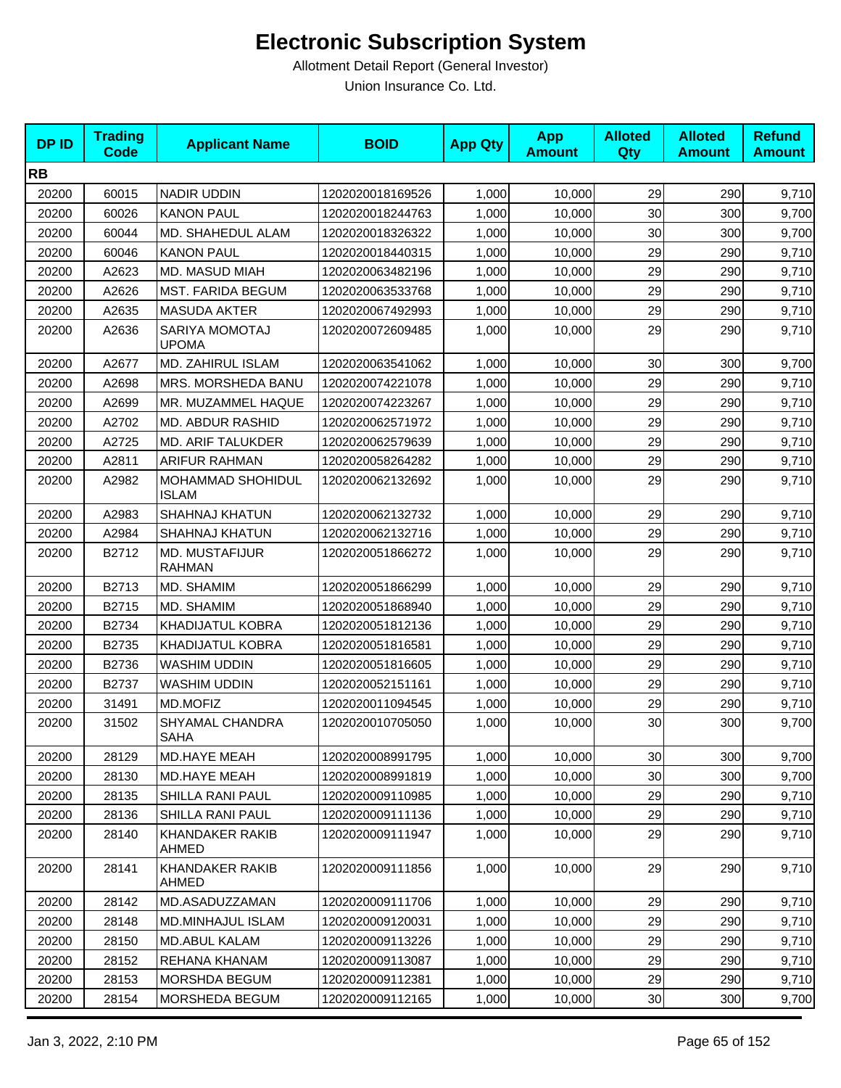| <b>DPID</b> | <b>Trading</b><br><b>Code</b> | <b>Applicant Name</b>                  | <b>BOID</b>      | <b>App Qty</b> | <b>App</b><br><b>Amount</b> | <b>Alloted</b><br><b>Qty</b> | <b>Alloted</b><br><b>Amount</b> | <b>Refund</b><br><b>Amount</b> |
|-------------|-------------------------------|----------------------------------------|------------------|----------------|-----------------------------|------------------------------|---------------------------------|--------------------------------|
| <b>RB</b>   |                               |                                        |                  |                |                             |                              |                                 |                                |
| 20200       | 60015                         | <b>NADIR UDDIN</b>                     | 1202020018169526 | 1,000          | 10,000                      | 29                           | 290                             | 9,710                          |
| 20200       | 60026                         | <b>KANON PAUL</b>                      | 1202020018244763 | 1,000          | 10,000                      | 30                           | 300                             | 9,700                          |
| 20200       | 60044                         | MD. SHAHEDUL ALAM                      | 1202020018326322 | 1,000          | 10,000                      | 30                           | 300                             | 9,700                          |
| 20200       | 60046                         | <b>KANON PAUL</b>                      | 1202020018440315 | 1,000          | 10,000                      | 29                           | 290                             | 9,710                          |
| 20200       | A2623                         | MD. MASUD MIAH                         | 1202020063482196 | 1,000          | 10,000                      | 29                           | 290                             | 9,710                          |
| 20200       | A2626                         | <b>MST. FARIDA BEGUM</b>               | 1202020063533768 | 1,000          | 10,000                      | 29                           | 290                             | 9,710                          |
| 20200       | A2635                         | <b>MASUDA AKTER</b>                    | 1202020067492993 | 1,000          | 10,000                      | 29                           | 290                             | 9,710                          |
| 20200       | A2636                         | SARIYA MOMOTAJ<br><b>UPOMA</b>         | 1202020072609485 | 1,000          | 10,000                      | 29                           | 290                             | 9,710                          |
| 20200       | A2677                         | MD. ZAHIRUL ISLAM                      | 1202020063541062 | 1,000          | 10,000                      | 30                           | 300                             | 9,700                          |
| 20200       | A2698                         | MRS. MORSHEDA BANU                     | 1202020074221078 | 1,000          | 10,000                      | 29                           | 290                             | 9,710                          |
| 20200       | A2699                         | MR. MUZAMMEL HAQUE                     | 1202020074223267 | 1,000          | 10,000                      | 29                           | 290                             | 9,710                          |
| 20200       | A2702                         | MD. ABDUR RASHID                       | 1202020062571972 | 1,000          | 10,000                      | 29                           | 290                             | 9,710                          |
| 20200       | A2725                         | MD. ARIF TALUKDER                      | 1202020062579639 | 1,000          | 10,000                      | 29                           | 290                             | 9,710                          |
| 20200       | A2811                         | ARIFUR RAHMAN                          | 1202020058264282 | 1,000          | 10,000                      | 29                           | 290                             | 9,710                          |
| 20200       | A2982                         | MOHAMMAD SHOHIDUL<br><b>ISLAM</b>      | 1202020062132692 | 1,000          | 10,000                      | 29                           | 290                             | 9,710                          |
| 20200       | A2983                         | <b>SHAHNAJ KHATUN</b>                  | 1202020062132732 | 1,000          | 10,000                      | 29                           | 290                             | 9,710                          |
| 20200       | A2984                         | <b>SHAHNAJ KHATUN</b>                  | 1202020062132716 | 1,000          | 10,000                      | 29                           | 290                             | 9,710                          |
| 20200       | B2712                         | <b>MD. MUSTAFIJUR</b><br><b>RAHMAN</b> | 1202020051866272 | 1,000          | 10,000                      | 29                           | 290                             | 9,710                          |
| 20200       | B2713                         | MD. SHAMIM                             | 1202020051866299 | 1,000          | 10,000                      | 29                           | 290                             | 9,710                          |
| 20200       | B2715                         | MD. SHAMIM                             | 1202020051868940 | 1,000          | 10,000                      | 29                           | 290                             | 9,710                          |
| 20200       | B2734                         | KHADIJATUL KOBRA                       | 1202020051812136 | 1,000          | 10,000                      | 29                           | 290                             | 9,710                          |
| 20200       | B2735                         | <b>KHADIJATUL KOBRA</b>                | 1202020051816581 | 1,000          | 10,000                      | 29                           | 290                             | 9,710                          |
| 20200       | B2736                         | WASHIM UDDIN                           | 1202020051816605 | 1,000          | 10,000                      | 29                           | 290                             | 9,710                          |
| 20200       | B2737                         | <b>WASHIM UDDIN</b>                    | 1202020052151161 | 1,000          | 10,000                      | 29                           | 290                             | 9,710                          |
| 20200       | 31491                         | MD.MOFIZ                               | 1202020011094545 | 1,000          | 10,000                      | 29                           | 290                             | 9,710                          |
| 20200       | 31502                         | SHYAMAL CHANDRA<br><b>SAHA</b>         | 1202020010705050 | 1,000          | 10,000                      | 30                           | 300                             | 9,700                          |
| 20200       | 28129                         | MD.HAYE MEAH                           | 1202020008991795 | 1,000          | 10,000                      | 30                           | 300                             | 9,700                          |
| 20200       | 28130                         | MD.HAYE MEAH                           | 1202020008991819 | 1,000          | 10,000                      | 30                           | 300                             | 9,700                          |
| 20200       | 28135                         | SHILLA RANI PAUL                       | 1202020009110985 | 1,000          | 10,000                      | 29                           | 290                             | 9,710                          |
| 20200       | 28136                         | SHILLA RANI PAUL                       | 1202020009111136 | 1,000          | 10,000                      | 29                           | 290                             | 9,710                          |
| 20200       | 28140                         | <b>KHANDAKER RAKIB</b><br>AHMED        | 1202020009111947 | 1,000          | 10,000                      | 29                           | 290                             | 9,710                          |
| 20200       | 28141                         | KHANDAKER RAKIB<br>AHMED               | 1202020009111856 | 1,000          | 10,000                      | 29                           | 290                             | 9,710                          |
| 20200       | 28142                         | MD.ASADUZZAMAN                         | 1202020009111706 | 1,000          | 10,000                      | 29                           | 290                             | 9,710                          |
| 20200       | 28148                         | MD.MINHAJUL ISLAM                      | 1202020009120031 | 1,000          | 10,000                      | 29                           | 290                             | 9,710                          |
| 20200       | 28150                         | MD.ABUL KALAM                          | 1202020009113226 | 1,000          | 10,000                      | 29                           | 290                             | 9,710                          |
| 20200       | 28152                         | REHANA KHANAM                          | 1202020009113087 | 1,000          | 10,000                      | 29                           | 290                             | 9,710                          |
| 20200       | 28153                         | MORSHDA BEGUM                          | 1202020009112381 | 1,000          | 10,000                      | 29                           | 290                             | 9,710                          |
| 20200       | 28154                         | MORSHEDA BEGUM                         | 1202020009112165 | 1,000          | 10,000                      | 30                           | 300                             | 9,700                          |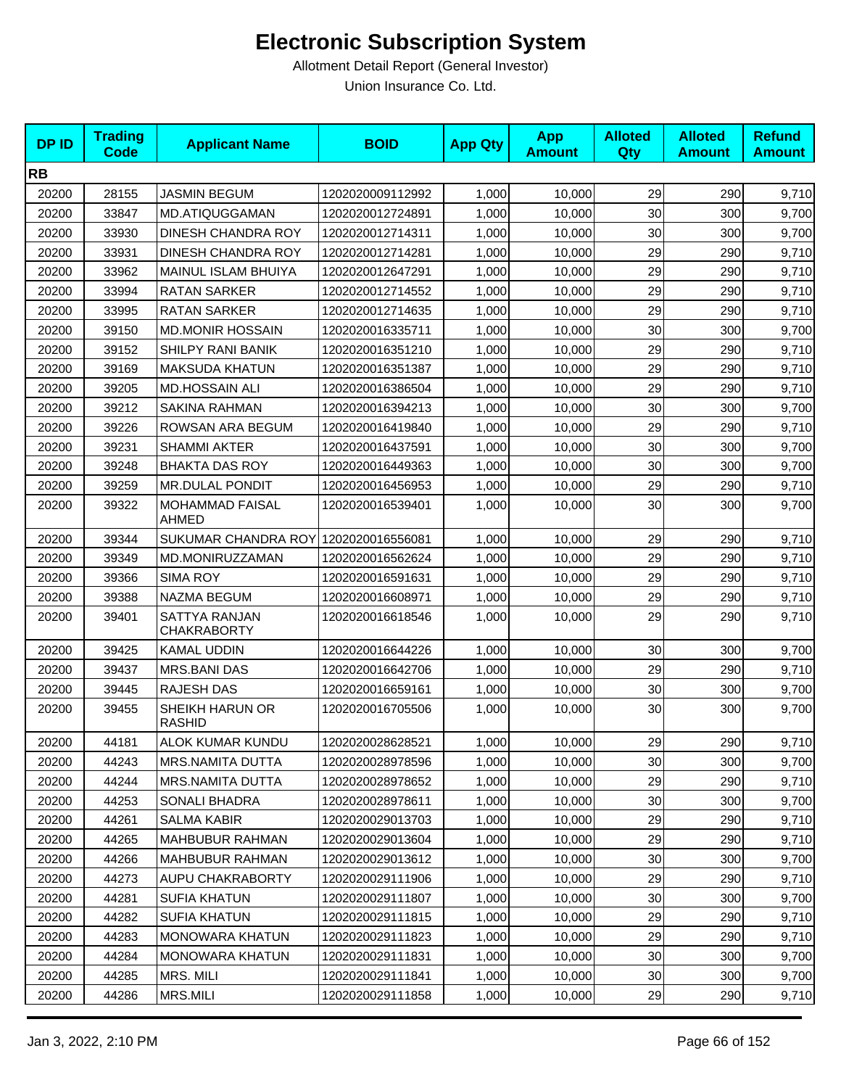| <b>DPID</b> | <b>Trading</b><br><b>Code</b> | <b>Applicant Name</b>                | <b>BOID</b>      | <b>App Qty</b> | <b>App</b><br><b>Amount</b> | <b>Alloted</b><br>Qty | <b>Alloted</b><br><b>Amount</b> | <b>Refund</b><br><b>Amount</b> |
|-------------|-------------------------------|--------------------------------------|------------------|----------------|-----------------------------|-----------------------|---------------------------------|--------------------------------|
| <b>RB</b>   |                               |                                      |                  |                |                             |                       |                                 |                                |
| 20200       | 28155                         | <b>JASMIN BEGUM</b>                  | 1202020009112992 | 1,000          | 10,000                      | 29                    | 290                             | 9,710                          |
| 20200       | 33847                         | <b>MD.ATIQUGGAMAN</b>                | 1202020012724891 | 1,000          | 10,000                      | 30                    | 300                             | 9,700                          |
| 20200       | 33930                         | DINESH CHANDRA ROY                   | 1202020012714311 | 1,000          | 10,000                      | 30                    | 300                             | 9,700                          |
| 20200       | 33931                         | DINESH CHANDRA ROY                   | 1202020012714281 | 1,000          | 10,000                      | 29                    | 290                             | 9,710                          |
| 20200       | 33962                         | MAINUL ISLAM BHUIYA                  | 1202020012647291 | 1,000          | 10,000                      | 29                    | 290                             | 9,710                          |
| 20200       | 33994                         | <b>RATAN SARKER</b>                  | 1202020012714552 | 1,000          | 10,000                      | 29                    | 290                             | 9,710                          |
| 20200       | 33995                         | <b>RATAN SARKER</b>                  | 1202020012714635 | 1,000          | 10,000                      | 29                    | 290                             | 9,710                          |
| 20200       | 39150                         | <b>MD.MONIR HOSSAIN</b>              | 1202020016335711 | 1,000          | 10,000                      | 30                    | 300                             | 9,700                          |
| 20200       | 39152                         | SHILPY RANI BANIK                    | 1202020016351210 | 1,000          | 10,000                      | 29                    | 290                             | 9,710                          |
| 20200       | 39169                         | <b>MAKSUDA KHATUN</b>                | 1202020016351387 | 1,000          | 10,000                      | 29                    | 290                             | 9,710                          |
| 20200       | 39205                         | <b>MD.HOSSAIN ALI</b>                | 1202020016386504 | 1,000          | 10,000                      | 29                    | 290                             | 9,710                          |
| 20200       | 39212                         | SAKINA RAHMAN                        | 1202020016394213 | 1,000          | 10,000                      | 30                    | 300                             | 9,700                          |
| 20200       | 39226                         | ROWSAN ARA BEGUM                     | 1202020016419840 | 1,000          | 10,000                      | 29                    | 290                             | 9,710                          |
| 20200       | 39231                         | <b>SHAMMI AKTER</b>                  | 1202020016437591 | 1,000          | 10,000                      | 30                    | 300                             | 9,700                          |
| 20200       | 39248                         | <b>BHAKTA DAS ROY</b>                | 1202020016449363 | 1,000          | 10,000                      | 30                    | 300                             | 9,700                          |
| 20200       | 39259                         | <b>MR.DULAL PONDIT</b>               | 1202020016456953 | 1,000          | 10,000                      | 29                    | 290                             | 9,710                          |
| 20200       | 39322                         | MOHAMMAD FAISAL<br>AHMED             | 1202020016539401 | 1,000          | 10,000                      | 30                    | 300                             | 9,700                          |
| 20200       | 39344                         | SUKUMAR CHANDRA ROY 1202020016556081 |                  | 1,000          | 10,000                      | 29                    | 290                             | 9,710                          |
| 20200       | 39349                         | MD.MONIRUZZAMAN                      | 1202020016562624 | 1,000          | 10,000                      | 29                    | 290                             | 9,710                          |
| 20200       | 39366                         | <b>SIMA ROY</b>                      | 1202020016591631 | 1,000          | 10,000                      | 29                    | 290                             | 9,710                          |
| 20200       | 39388                         | NAZMA BEGUM                          | 1202020016608971 | 1,000          | 10,000                      | 29                    | 290                             | 9,710                          |
| 20200       | 39401                         | SATTYA RANJAN<br><b>CHAKRABORTY</b>  | 1202020016618546 | 1,000          | 10,000                      | 29                    | 290                             | 9,710                          |
| 20200       | 39425                         | <b>KAMAL UDDIN</b>                   | 1202020016644226 | 1,000          | 10,000                      | 30                    | 300                             | 9,700                          |
| 20200       | 39437                         | MRS.BANI DAS                         | 1202020016642706 | 1,000          | 10,000                      | 29                    | 290                             | 9,710                          |
| 20200       | 39445                         | <b>RAJESH DAS</b>                    | 1202020016659161 | 1,000          | 10,000                      | 30                    | 300                             | 9,700                          |
| 20200       | 39455                         | SHEIKH HARUN OR<br><b>RASHID</b>     | 1202020016705506 | 1,000          | 10,000                      | 30                    | 300                             | 9,700                          |
| 20200       | 44181                         | ALOK KUMAR KUNDU                     | 1202020028628521 | 1,000          | 10,000                      | 29                    | 290                             | 9,710                          |
| 20200       | 44243                         | <b>MRS.NAMITA DUTTA</b>              | 1202020028978596 | 1,000          | 10.000                      | 30                    | 300                             | 9,700                          |
| 20200       | 44244                         | MRS.NAMITA DUTTA                     | 1202020028978652 | 1,000          | 10,000                      | 29                    | 290                             | 9,710                          |
| 20200       | 44253                         | SONALI BHADRA                        | 1202020028978611 | 1,000          | 10,000                      | 30                    | 300                             | 9,700                          |
| 20200       | 44261                         | <b>SALMA KABIR</b>                   | 1202020029013703 | 1,000          | 10,000                      | 29                    | 290                             | 9,710                          |
| 20200       | 44265                         | MAHBUBUR RAHMAN                      | 1202020029013604 | 1,000          | 10,000                      | 29                    | 290                             | 9,710                          |
| 20200       | 44266                         | MAHBUBUR RAHMAN                      | 1202020029013612 | 1,000          | 10,000                      | 30                    | 300                             | 9,700                          |
| 20200       | 44273                         | AUPU CHAKRABORTY                     | 1202020029111906 | 1,000          | 10,000                      | 29                    | 290                             | 9,710                          |
| 20200       | 44281                         | <b>SUFIA KHATUN</b>                  | 1202020029111807 | 1,000          | 10,000                      | 30 <sub>0</sub>       | 300                             | 9,700                          |
| 20200       | 44282                         | <b>SUFIA KHATUN</b>                  | 1202020029111815 | 1,000          | 10,000                      | 29                    | 290                             | 9,710                          |
| 20200       | 44283                         | MONOWARA KHATUN                      | 1202020029111823 | 1,000          | 10,000                      | 29                    | 290                             | 9,710                          |
| 20200       | 44284                         | <b>MONOWARA KHATUN</b>               | 1202020029111831 | 1,000          | 10,000                      | 30                    | 300                             | 9,700                          |
| 20200       | 44285                         | MRS. MILI                            | 1202020029111841 | 1,000          | 10,000                      | 30                    | 300                             | 9,700                          |
| 20200       | 44286                         | MRS.MILI                             | 1202020029111858 | 1,000          | 10,000                      | 29                    | 290                             | 9,710                          |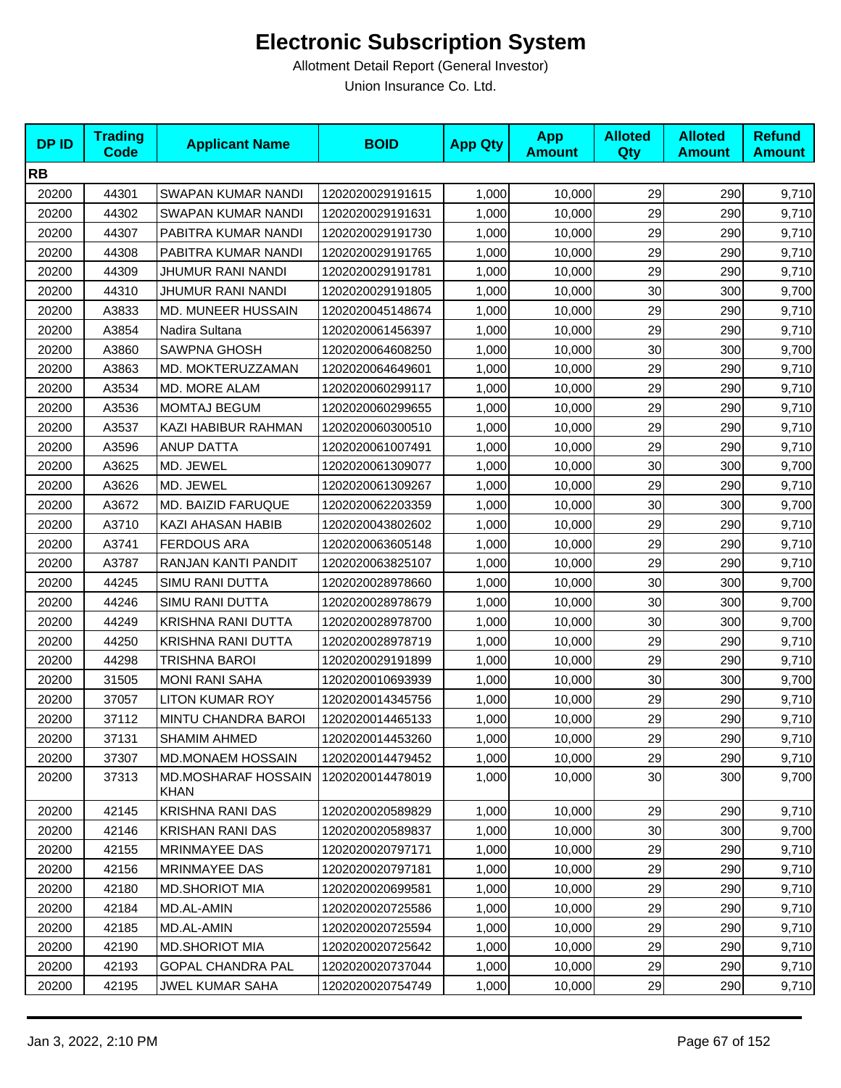| <b>DPID</b> | <b>Trading</b><br><b>Code</b> | <b>Applicant Name</b>                     | <b>BOID</b>      | <b>App Qty</b> | <b>App</b><br><b>Amount</b> | <b>Alloted</b><br><b>Qty</b> | <b>Alloted</b><br><b>Amount</b> | <b>Refund</b><br><b>Amount</b> |
|-------------|-------------------------------|-------------------------------------------|------------------|----------------|-----------------------------|------------------------------|---------------------------------|--------------------------------|
| <b>RB</b>   |                               |                                           |                  |                |                             |                              |                                 |                                |
| 20200       | 44301                         | SWAPAN KUMAR NANDI                        | 1202020029191615 | 1,000          | 10,000                      | 29                           | 290                             | 9,710                          |
| 20200       | 44302                         | SWAPAN KUMAR NANDI                        | 1202020029191631 | 1,000          | 10,000                      | 29                           | 290                             | 9,710                          |
| 20200       | 44307                         | PABITRA KUMAR NANDI                       | 1202020029191730 | 1,000          | 10,000                      | 29                           | 290                             | 9,710                          |
| 20200       | 44308                         | PABITRA KUMAR NANDI                       | 1202020029191765 | 1,000          | 10,000                      | 29                           | 290                             | 9,710                          |
| 20200       | 44309                         | JHUMUR RANI NANDI                         | 1202020029191781 | 1,000          | 10,000                      | 29                           | 290                             | 9,710                          |
| 20200       | 44310                         | JHUMUR RANI NANDI                         | 1202020029191805 | 1,000          | 10,000                      | 30                           | 300                             | 9,700                          |
| 20200       | A3833                         | MD. MUNEER HUSSAIN                        | 1202020045148674 | 1,000          | 10,000                      | 29                           | 290                             | 9,710                          |
| 20200       | A3854                         | Nadira Sultana                            | 1202020061456397 | 1,000          | 10,000                      | 29                           | 290                             | 9,710                          |
| 20200       | A3860                         | <b>SAWPNA GHOSH</b>                       | 1202020064608250 | 1,000          | 10,000                      | 30                           | 300                             | 9,700                          |
| 20200       | A3863                         | MD. MOKTERUZZAMAN                         | 1202020064649601 | 1,000          | 10,000                      | 29                           | 290                             | 9,710                          |
| 20200       | A3534                         | MD. MORE ALAM                             | 1202020060299117 | 1,000          | 10,000                      | 29                           | 290                             | 9,710                          |
| 20200       | A3536                         | <b>MOMTAJ BEGUM</b>                       | 1202020060299655 | 1,000          | 10,000                      | 29                           | 290                             | 9,710                          |
| 20200       | A3537                         | KAZI HABIBUR RAHMAN                       | 1202020060300510 | 1,000          | 10,000                      | 29                           | 290                             | 9,710                          |
| 20200       | A3596                         | ANUP DATTA                                | 1202020061007491 | 1,000          | 10,000                      | 29                           | 290                             | 9,710                          |
| 20200       | A3625                         | MD. JEWEL                                 | 1202020061309077 | 1,000          | 10,000                      | 30                           | 300                             | 9,700                          |
| 20200       | A3626                         | MD. JEWEL                                 | 1202020061309267 | 1,000          | 10,000                      | 29                           | 290                             | 9,710                          |
| 20200       | A3672                         | MD. BAIZID FARUQUE                        | 1202020062203359 | 1,000          | 10,000                      | 30                           | 300                             | 9,700                          |
| 20200       | A3710                         | KAZI AHASAN HABIB                         | 1202020043802602 | 1,000          | 10,000                      | 29                           | 290                             | 9,710                          |
| 20200       | A3741                         | <b>FERDOUS ARA</b>                        | 1202020063605148 | 1,000          | 10,000                      | 29                           | 290                             | 9,710                          |
| 20200       | A3787                         | RANJAN KANTI PANDIT                       | 1202020063825107 | 1,000          | 10,000                      | 29                           | 290                             | 9,710                          |
| 20200       | 44245                         | SIMU RANI DUTTA                           | 1202020028978660 | 1,000          | 10,000                      | 30                           | 300                             | 9,700                          |
| 20200       | 44246                         | SIMU RANI DUTTA                           | 1202020028978679 | 1,000          | 10,000                      | 30                           | 300                             | 9,700                          |
| 20200       | 44249                         | KRISHNA RANI DUTTA                        | 1202020028978700 | 1,000          | 10,000                      | 30                           | 300                             | 9,700                          |
| 20200       | 44250                         | KRISHNA RANI DUTTA                        | 1202020028978719 | 1,000          | 10,000                      | 29                           | 290                             | 9,710                          |
| 20200       | 44298                         | TRISHNA BAROI                             | 1202020029191899 | 1,000          | 10,000                      | 29                           | 290                             | 9,710                          |
| 20200       | 31505                         | <b>MONI RANI SAHA</b>                     | 1202020010693939 | 1,000          | 10,000                      | 30                           | 300                             | 9,700                          |
| 20200       | 37057                         | LITON KUMAR ROY                           | 1202020014345756 | 1,000          | 10,000                      | 29                           | 290                             | 9,710                          |
| 20200       | 37112                         | MINTU CHANDRA BAROI                       | 1202020014465133 | 1,000          | 10,000                      | 29                           | 290                             | 9,710                          |
| 20200       | 37131                         | <b>SHAMIM AHMED</b>                       | 1202020014453260 | 1,000          | 10,000                      | 29                           | 290                             | 9,710                          |
| 20200       | 37307                         | MD.MONAEM HOSSAIN                         | 1202020014479452 | 1,000          | 10,000                      | 29                           | 290                             | 9,710                          |
| 20200       | 37313                         | <b>MD.MOSHARAF HOSSAIN</b><br><b>KHAN</b> | 1202020014478019 | 1,000          | 10,000                      | 30                           | 300                             | 9,700                          |
| 20200       | 42145                         | <b>KRISHNA RANI DAS</b>                   | 1202020020589829 | 1,000          | 10,000                      | 29                           | 290                             | 9,710                          |
| 20200       | 42146                         | <b>KRISHAN RANI DAS</b>                   | 1202020020589837 | 1,000          | 10,000                      | 30                           | 300                             | 9,700                          |
| 20200       | 42155                         | MRINMAYEE DAS                             | 1202020020797171 | 1,000          | 10,000                      | 29                           | 290                             | 9,710                          |
| 20200       | 42156                         | MRINMAYEE DAS                             | 1202020020797181 | 1,000          | 10,000                      | 29                           | 290                             | 9,710                          |
| 20200       | 42180                         | <b>MD.SHORIOT MIA</b>                     | 1202020020699581 | 1,000          | 10,000                      | 29                           | 290                             | 9,710                          |
| 20200       | 42184                         | MD.AL-AMIN                                | 1202020020725586 | 1,000          | 10,000                      | 29                           | 290                             | 9,710                          |
| 20200       | 42185                         | MD.AL-AMIN                                | 1202020020725594 | 1,000          | 10,000                      | 29                           | 290                             | 9,710                          |
| 20200       | 42190                         | <b>MD.SHORIOT MIA</b>                     | 1202020020725642 | 1,000          | 10,000                      | 29                           | 290                             | 9,710                          |
| 20200       | 42193                         | <b>GOPAL CHANDRA PAL</b>                  | 1202020020737044 | 1,000          | 10,000                      | 29                           | 290                             | 9,710                          |
| 20200       | 42195                         | <b>JWEL KUMAR SAHA</b>                    | 1202020020754749 | 1,000          | 10,000                      | 29                           | 290                             | 9,710                          |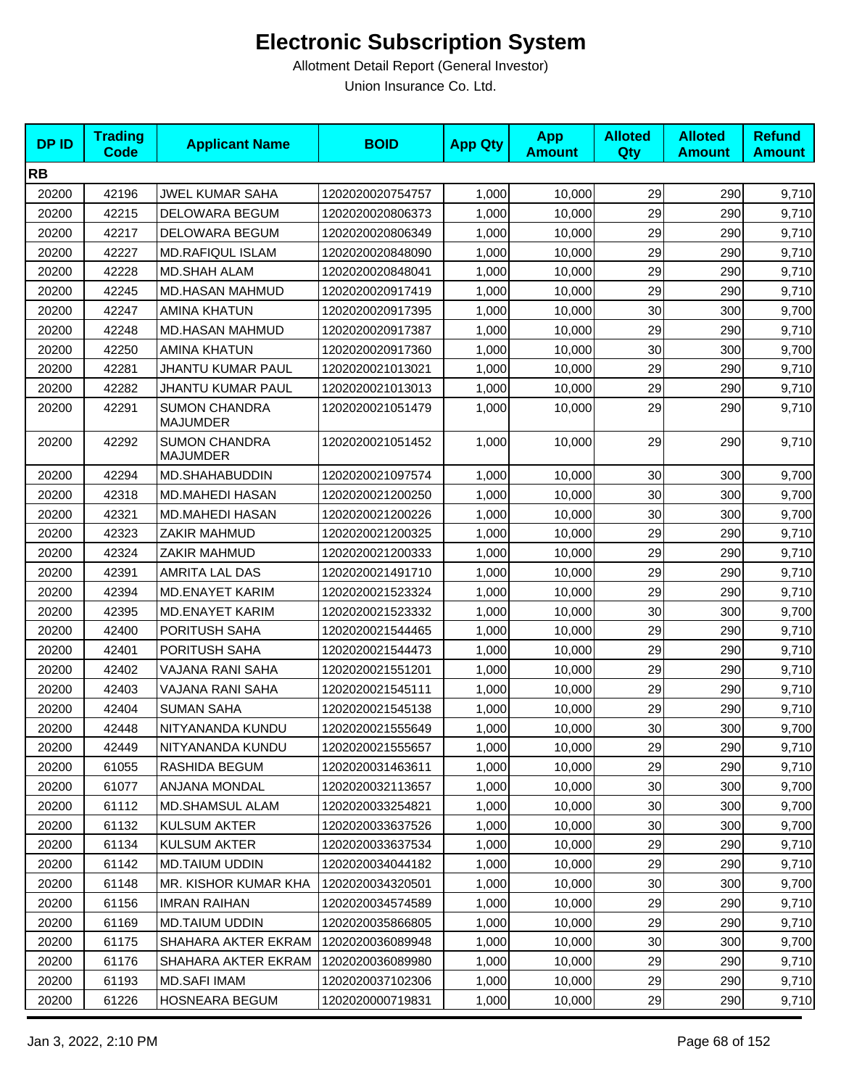| <b>DPID</b> | <b>Trading</b><br><b>Code</b> | <b>Applicant Name</b>                   | <b>BOID</b>      | <b>App Qty</b> | <b>App</b><br><b>Amount</b> | <b>Alloted</b><br>Qty | <b>Alloted</b><br><b>Amount</b> | <b>Refund</b><br><b>Amount</b> |
|-------------|-------------------------------|-----------------------------------------|------------------|----------------|-----------------------------|-----------------------|---------------------------------|--------------------------------|
| <b>RB</b>   |                               |                                         |                  |                |                             |                       |                                 |                                |
| 20200       | 42196                         | <b>JWEL KUMAR SAHA</b>                  | 1202020020754757 | 1,000          | 10,000                      | 29                    | 290                             | 9,710                          |
| 20200       | 42215                         | DELOWARA BEGUM                          | 1202020020806373 | 1,000          | 10.000                      | 29                    | 290                             | 9,710                          |
| 20200       | 42217                         | DELOWARA BEGUM                          | 1202020020806349 | 1,000          | 10,000                      | 29                    | 290                             | 9,710                          |
| 20200       | 42227                         | <b>MD.RAFIQUL ISLAM</b>                 | 1202020020848090 | 1,000          | 10,000                      | 29                    | 290                             | 9,710                          |
| 20200       | 42228                         | MD.SHAH ALAM                            | 1202020020848041 | 1,000          | 10,000                      | 29                    | 290                             | 9,710                          |
| 20200       | 42245                         | MD.HASAN MAHMUD                         | 1202020020917419 | 1,000          | 10,000                      | 29                    | 290                             | 9,710                          |
| 20200       | 42247                         | <b>AMINA KHATUN</b>                     | 1202020020917395 | 1,000          | 10,000                      | 30                    | 300                             | 9,700                          |
| 20200       | 42248                         | MD.HASAN MAHMUD                         | 1202020020917387 | 1,000          | 10,000                      | 29                    | 290                             | 9,710                          |
| 20200       | 42250                         | <b>AMINA KHATUN</b>                     | 1202020020917360 | 1,000          | 10,000                      | 30                    | 300                             | 9,700                          |
| 20200       | 42281                         | JHANTU KUMAR PAUL                       | 1202020021013021 | 1,000          | 10,000                      | 29                    | 290                             | 9,710                          |
| 20200       | 42282                         | <b>JHANTU KUMAR PAUL</b>                | 1202020021013013 | 1,000          | 10,000                      | 29                    | 290                             | 9,710                          |
| 20200       | 42291                         | <b>SUMON CHANDRA</b><br><b>MAJUMDER</b> | 1202020021051479 | 1,000          | 10,000                      | 29                    | 290                             | 9,710                          |
| 20200       | 42292                         | <b>SUMON CHANDRA</b><br><b>MAJUMDER</b> | 1202020021051452 | 1,000          | 10,000                      | 29                    | 290                             | 9,710                          |
| 20200       | 42294                         | MD.SHAHABUDDIN                          | 1202020021097574 | 1,000          | 10,000                      | 30                    | 300                             | 9,700                          |
| 20200       | 42318                         | <b>MD.MAHEDI HASAN</b>                  | 1202020021200250 | 1,000          | 10,000                      | 30                    | 300                             | 9,700                          |
| 20200       | 42321                         | <b>MD.MAHEDI HASAN</b>                  | 1202020021200226 | 1,000          | 10,000                      | 30                    | 300                             | 9,700                          |
| 20200       | 42323                         | ZAKIR MAHMUD                            | 1202020021200325 | 1,000          | 10,000                      | 29                    | 290                             | 9,710                          |
| 20200       | 42324                         | ZAKIR MAHMUD                            | 1202020021200333 | 1,000          | 10,000                      | 29                    | 290                             | 9,710                          |
| 20200       | 42391                         | AMRITA LAL DAS                          | 1202020021491710 | 1,000          | 10,000                      | 29                    | 290                             | 9,710                          |
| 20200       | 42394                         | <b>MD.ENAYET KARIM</b>                  | 1202020021523324 | 1,000          | 10,000                      | 29                    | 290                             | 9,710                          |
| 20200       | 42395                         | <b>MD.ENAYET KARIM</b>                  | 1202020021523332 | 1,000          | 10,000                      | 30                    | 300                             | 9,700                          |
| 20200       | 42400                         | PORITUSH SAHA                           | 1202020021544465 | 1,000          | 10,000                      | 29                    | 290                             | 9,710                          |
| 20200       | 42401                         | PORITUSH SAHA                           | 1202020021544473 | 1,000          | 10,000                      | 29                    | 290                             | 9,710                          |
| 20200       | 42402                         | VAJANA RANI SAHA                        | 1202020021551201 | 1,000          | 10,000                      | 29                    | 290                             | 9,710                          |
| 20200       | 42403                         | VAJANA RANI SAHA                        | 1202020021545111 | 1,000          | 10,000                      | 29                    | 290                             | 9,710                          |
| 20200       | 42404                         | <b>SUMAN SAHA</b>                       | 1202020021545138 | 1,000          | 10,000                      | 29                    | 290                             | 9,710                          |
| 20200       | 42448                         | NITYANANDA KUNDU                        | 1202020021555649 | 1,000          | 10,000                      | 30                    | 300                             | 9,700                          |
| 20200       | 42449                         | NITYANANDA KUNDU                        | 1202020021555657 | 1,000          | 10,000                      | 29                    | 290                             | 9,710                          |
| 20200       | 61055                         | RASHIDA BEGUM                           | 1202020031463611 | 1,000          | 10,000                      | 29                    | 290                             | 9,710                          |
| 20200       | 61077                         | ANJANA MONDAL                           | 1202020032113657 | 1,000          | 10,000                      | 30                    | 300                             | 9,700                          |
| 20200       | 61112                         | MD.SHAMSUL ALAM                         | 1202020033254821 | 1,000          | 10,000                      | 30                    | 300                             | 9,700                          |
| 20200       | 61132                         | <b>KULSUM AKTER</b>                     | 1202020033637526 | 1,000          | 10,000                      | 30                    | 300                             | 9,700                          |
| 20200       | 61134                         | <b>KULSUM AKTER</b>                     | 1202020033637534 | 1,000          | 10,000                      | 29                    | 290                             | 9,710                          |
| 20200       | 61142                         | <b>MD.TAIUM UDDIN</b>                   | 1202020034044182 | 1,000          | 10,000                      | 29                    | 290                             | 9,710                          |
| 20200       | 61148                         | MR. KISHOR KUMAR KHA                    | 1202020034320501 | 1,000          | 10,000                      | 30                    | 300                             | 9,700                          |
| 20200       | 61156                         | <b>IMRAN RAIHAN</b>                     | 1202020034574589 | 1,000          | 10,000                      | 29                    | 290                             | 9,710                          |
| 20200       | 61169                         | <b>MD.TAIUM UDDIN</b>                   | 1202020035866805 | 1,000          | 10,000                      | 29                    | 290                             | 9,710                          |
| 20200       | 61175                         | SHAHARA AKTER EKRAM                     | 1202020036089948 | 1,000          | 10,000                      | 30                    | 300                             | 9,700                          |
| 20200       | 61176                         | SHAHARA AKTER EKRAM                     | 1202020036089980 | 1,000          | 10,000                      | 29                    | 290                             | 9,710                          |
| 20200       | 61193                         | <b>MD.SAFI IMAM</b>                     | 1202020037102306 | 1,000          | 10,000                      | 29                    | 290                             | 9,710                          |
| 20200       | 61226                         | HOSNEARA BEGUM                          | 1202020000719831 | 1,000          | 10,000                      | 29                    | 290                             | 9,710                          |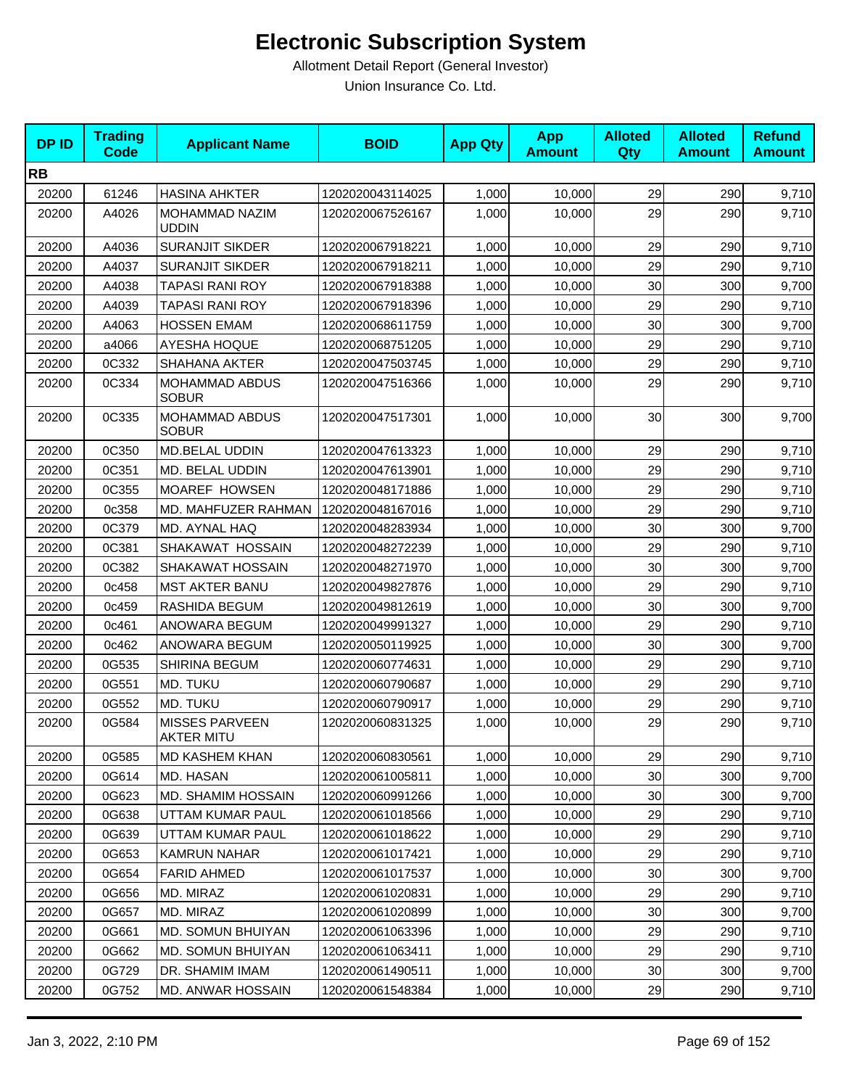| <b>DPID</b> | <b>Trading</b><br><b>Code</b> | <b>Applicant Name</b>                      | <b>BOID</b>      | <b>App Qty</b> | <b>App</b><br><b>Amount</b> | <b>Alloted</b><br><b>Qty</b> | <b>Alloted</b><br><b>Amount</b> | <b>Refund</b><br><b>Amount</b> |
|-------------|-------------------------------|--------------------------------------------|------------------|----------------|-----------------------------|------------------------------|---------------------------------|--------------------------------|
| <b>RB</b>   |                               |                                            |                  |                |                             |                              |                                 |                                |
| 20200       | 61246                         | <b>HASINA AHKTER</b>                       | 1202020043114025 | 1,000          | 10,000                      | 29                           | 290                             | 9,710                          |
| 20200       | A4026                         | MOHAMMAD NAZIM<br><b>UDDIN</b>             | 1202020067526167 | 1,000          | 10,000                      | 29                           | 290                             | 9,710                          |
| 20200       | A4036                         | <b>SURANJIT SIKDER</b>                     | 1202020067918221 | 1,000          | 10,000                      | 29                           | 290                             | 9,710                          |
| 20200       | A4037                         | <b>SURANJIT SIKDER</b>                     | 1202020067918211 | 1,000          | 10,000                      | 29                           | 290                             | 9,710                          |
| 20200       | A4038                         | <b>TAPASI RANI ROY</b>                     | 1202020067918388 | 1,000          | 10,000                      | 30                           | 300                             | 9,700                          |
| 20200       | A4039                         | TAPASI RANI ROY                            | 1202020067918396 | 1,000          | 10,000                      | 29                           | 290                             | 9,710                          |
| 20200       | A4063                         | <b>HOSSEN EMAM</b>                         | 1202020068611759 | 1,000          | 10,000                      | 30                           | 300                             | 9,700                          |
| 20200       | a4066                         | AYESHA HOQUE                               | 1202020068751205 | 1,000          | 10,000                      | 29                           | 290                             | 9,710                          |
| 20200       | 0C332                         | <b>SHAHANA AKTER</b>                       | 1202020047503745 | 1,000          | 10,000                      | 29                           | 290                             | 9,710                          |
| 20200       | 0C334                         | MOHAMMAD ABDUS<br><b>SOBUR</b>             | 1202020047516366 | 1,000          | 10,000                      | 29                           | 290                             | 9,710                          |
| 20200       | 0C335                         | MOHAMMAD ABDUS<br><b>SOBUR</b>             | 1202020047517301 | 1,000          | 10,000                      | 30                           | 300                             | 9,700                          |
| 20200       | 0C350                         | MD.BELAL UDDIN                             | 1202020047613323 | 1,000          | 10,000                      | 29                           | 290                             | 9,710                          |
| 20200       | 0C351                         | MD. BELAL UDDIN                            | 1202020047613901 | 1,000          | 10,000                      | 29                           | 290                             | 9,710                          |
| 20200       | 0C355                         | MOAREF HOWSEN                              | 1202020048171886 | 1,000          | 10,000                      | 29                           | 290                             | 9,710                          |
| 20200       | 0c358                         | MD. MAHFUZER RAHMAN                        | 1202020048167016 | 1,000          | 10,000                      | 29                           | 290                             | 9,710                          |
| 20200       | 0C379                         | MD. AYNAL HAQ                              | 1202020048283934 | 1,000          | 10,000                      | 30 <sup>°</sup>              | 300                             | 9,700                          |
| 20200       | 0C381                         | SHAKAWAT HOSSAIN                           | 1202020048272239 | 1,000          | 10,000                      | 29                           | 290                             | 9,710                          |
| 20200       | 0C382                         | SHAKAWAT HOSSAIN                           | 1202020048271970 | 1,000          | 10,000                      | 30                           | 300                             | 9,700                          |
| 20200       | 0c458                         | <b>MST AKTER BANU</b>                      | 1202020049827876 | 1,000          | 10,000                      | 29                           | 290                             | 9,710                          |
| 20200       | 0c459                         | RASHIDA BEGUM                              | 1202020049812619 | 1,000          | 10,000                      | 30                           | 300                             | 9,700                          |
| 20200       | 0c461                         | ANOWARA BEGUM                              | 1202020049991327 | 1,000          | 10,000                      | 29                           | 290                             | 9,710                          |
| 20200       | 0c462                         | ANOWARA BEGUM                              | 1202020050119925 | 1,000          | 10,000                      | 30 <sup>°</sup>              | 300                             | 9,700                          |
| 20200       | 0G535                         | <b>SHIRINA BEGUM</b>                       | 1202020060774631 | 1,000          | 10,000                      | 29                           | 290                             | 9,710                          |
| 20200       | 0G551                         | MD. TUKU                                   | 1202020060790687 | 1,000          | 10,000                      | 29                           | 290                             | 9,710                          |
| 20200       | 0G552                         | MD. TUKU                                   | 1202020060790917 | 1,000          | 10,000                      | 29                           | 290                             | 9,710                          |
| 20200       | 0G584                         | <b>MISSES PARVEEN</b><br><b>AKTER MITU</b> | 1202020060831325 | 1,000          | 10,000                      | 29                           | 290                             | 9,710                          |
| 20200       | 0G585                         | <b>MD KASHEM KHAN</b>                      | 1202020060830561 | 1,000          | 10,000                      | 29                           | 290                             | 9,710                          |
| 20200       | 0G614                         | MD. HASAN                                  | 1202020061005811 | 1,000          | 10,000                      | 30                           | 300                             | 9,700                          |
| 20200       | 0G623                         | MD. SHAMIM HOSSAIN                         | 1202020060991266 | 1,000          | 10,000                      | 30                           | 300                             | 9,700                          |
| 20200       | 0G638                         | UTTAM KUMAR PAUL                           | 1202020061018566 | 1,000          | 10,000                      | 29                           | 290                             | 9,710                          |
| 20200       | 0G639                         | UTTAM KUMAR PAUL                           | 1202020061018622 | 1,000          | 10,000                      | 29                           | 290                             | 9,710                          |
| 20200       | 0G653                         | KAMRUN NAHAR                               | 1202020061017421 | 1,000          | 10,000                      | 29                           | 290                             | 9,710                          |
| 20200       | 0G654                         | <b>FARID AHMED</b>                         | 1202020061017537 | 1,000          | 10,000                      | 30                           | 300                             | 9,700                          |
| 20200       | 0G656                         | MD. MIRAZ                                  | 1202020061020831 | 1,000          | 10,000                      | 29                           | 290                             | 9,710                          |
| 20200       | 0G657                         | MD. MIRAZ                                  | 1202020061020899 | 1,000          | 10,000                      | 30                           | 300                             | 9,700                          |
| 20200       | 0G661                         | MD. SOMUN BHUIYAN                          | 1202020061063396 | 1,000          | 10,000                      | 29                           | 290                             | 9,710                          |
| 20200       | 0G662                         | <b>MD. SOMUN BHUIYAN</b>                   | 1202020061063411 | 1,000          | 10,000                      | 29                           | 290                             | 9,710                          |
| 20200       | 0G729                         | DR. SHAMIM IMAM                            | 1202020061490511 | 1,000          | 10,000                      | 30                           | 300                             | 9,700                          |
| 20200       | 0G752                         | MD. ANWAR HOSSAIN                          | 1202020061548384 | 1,000          | 10,000                      | 29                           | 290                             | 9,710                          |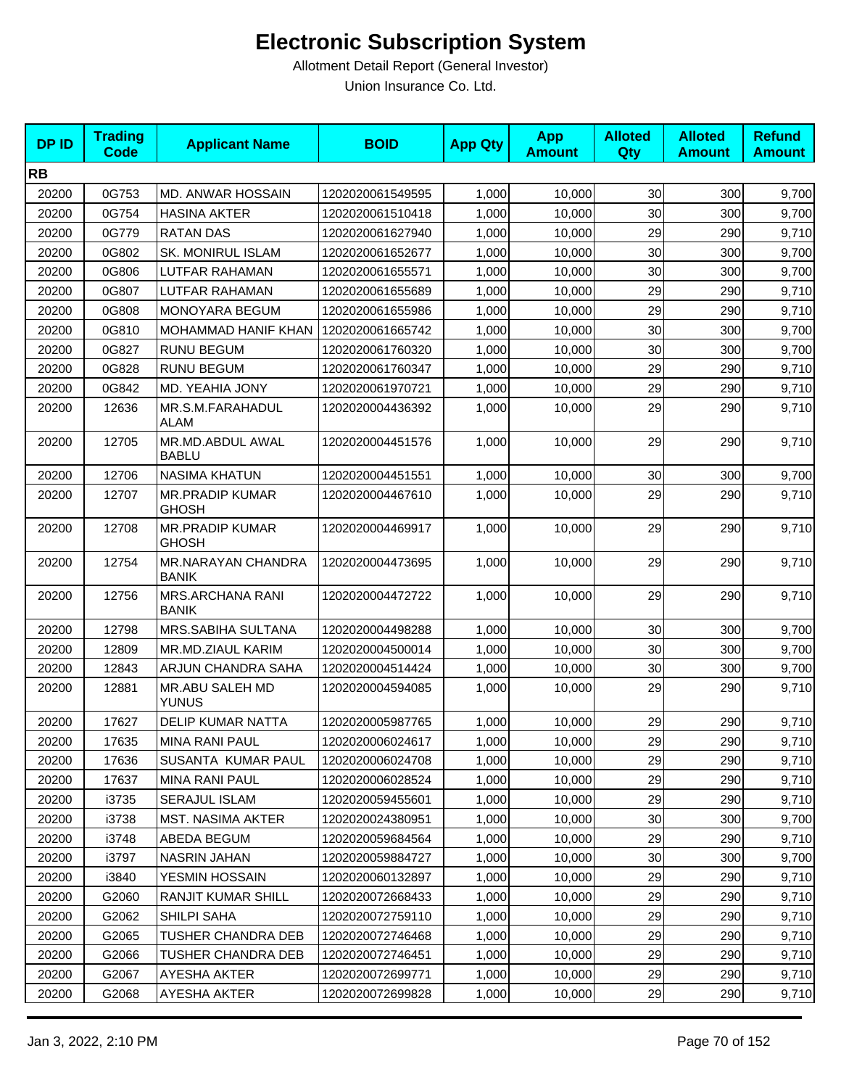| <b>DPID</b> | <b>Trading</b><br><b>Code</b> | <b>Applicant Name</b>                   | <b>BOID</b>      | <b>App Qty</b> | <b>App</b><br><b>Amount</b> | <b>Alloted</b><br><b>Qty</b> | <b>Alloted</b><br><b>Amount</b> | <b>Refund</b><br><b>Amount</b> |
|-------------|-------------------------------|-----------------------------------------|------------------|----------------|-----------------------------|------------------------------|---------------------------------|--------------------------------|
| <b>RB</b>   |                               |                                         |                  |                |                             |                              |                                 |                                |
| 20200       | 0G753                         | MD. ANWAR HOSSAIN                       | 1202020061549595 | 1,000          | 10,000                      | 30                           | 300                             | 9,700                          |
| 20200       | 0G754                         | <b>HASINA AKTER</b>                     | 1202020061510418 | 1,000          | 10,000                      | 30                           | 300                             | 9,700                          |
| 20200       | 0G779                         | <b>RATAN DAS</b>                        | 1202020061627940 | 1,000          | 10,000                      | 29                           | 290                             | 9,710                          |
| 20200       | 0G802                         | SK. MONIRUL ISLAM                       | 1202020061652677 | 1,000          | 10,000                      | 30                           | 300                             | 9,700                          |
| 20200       | 0G806                         | LUTFAR RAHAMAN                          | 1202020061655571 | 1,000          | 10,000                      | 30                           | 300                             | 9,700                          |
| 20200       | 0G807                         | LUTFAR RAHAMAN                          | 1202020061655689 | 1,000          | 10,000                      | 29                           | 290                             | 9,710                          |
| 20200       | 0G808                         | MONOYARA BEGUM                          | 1202020061655986 | 1,000          | 10,000                      | 29                           | 290                             | 9,710                          |
| 20200       | 0G810                         | <b>MOHAMMAD HANIF KHAN</b>              | 1202020061665742 | 1,000          | 10,000                      | 30                           | 300                             | 9,700                          |
| 20200       | 0G827                         | <b>RUNU BEGUM</b>                       | 1202020061760320 | 1,000          | 10,000                      | 30                           | 300                             | 9,700                          |
| 20200       | 0G828                         | <b>RUNU BEGUM</b>                       | 1202020061760347 | 1,000          | 10,000                      | 29                           | 290                             | 9,710                          |
| 20200       | 0G842                         | MD. YEAHIA JONY                         | 1202020061970721 | 1,000          | 10,000                      | 29                           | 290                             | 9,710                          |
| 20200       | 12636                         | MR.S.M.FARAHADUL<br>ALAM                | 1202020004436392 | 1,000          | 10,000                      | 29                           | 290                             | 9,710                          |
| 20200       | 12705                         | MR.MD.ABDUL AWAL<br><b>BABLU</b>        | 1202020004451576 | 1,000          | 10,000                      | 29                           | 290                             | 9,710                          |
| 20200       | 12706                         | <b>NASIMA KHATUN</b>                    | 1202020004451551 | 1,000          | 10,000                      | 30                           | 300                             | 9,700                          |
| 20200       | 12707                         | <b>MR.PRADIP KUMAR</b><br><b>GHOSH</b>  | 1202020004467610 | 1,000          | 10,000                      | 29                           | 290                             | 9,710                          |
| 20200       | 12708                         | <b>MR.PRADIP KUMAR</b><br><b>GHOSH</b>  | 1202020004469917 | 1,000          | 10,000                      | 29                           | 290                             | 9,710                          |
| 20200       | 12754                         | MR.NARAYAN CHANDRA<br><b>BANIK</b>      | 1202020004473695 | 1,000          | 10,000                      | 29                           | 290                             | 9,710                          |
| 20200       | 12756                         | <b>MRS.ARCHANA RANI</b><br><b>BANIK</b> | 1202020004472722 | 1,000          | 10,000                      | 29                           | 290                             | 9,710                          |
| 20200       | 12798                         | MRS.SABIHA SULTANA                      | 1202020004498288 | 1,000          | 10,000                      | 30                           | 300                             | 9,700                          |
| 20200       | 12809                         | MR.MD.ZIAUL KARIM                       | 1202020004500014 | 1,000          | 10,000                      | 30                           | 300                             | 9,700                          |
| 20200       | 12843                         | ARJUN CHANDRA SAHA                      | 1202020004514424 | 1,000          | 10,000                      | 30                           | 300                             | 9,700                          |
| 20200       | 12881                         | MR.ABU SALEH MD<br><b>YUNUS</b>         | 1202020004594085 | 1,000          | 10,000                      | 29                           | 290                             | 9,710                          |
| 20200       | 17627                         | <b>DELIP KUMAR NATTA</b>                | 1202020005987765 | 1,000          | 10,000                      | 29                           | 290                             | 9,710                          |
| 20200       | 17635                         | MINA RANI PAUL                          | 1202020006024617 | 1,000          | 10,000                      | 29                           | 290                             | 9,710                          |
| 20200       | 17636                         | SUSANTA KUMAR PAUL                      | 1202020006024708 | 1,000          | 10,000                      | 29                           | 290                             | 9,710                          |
| 20200       | 17637                         | <b>MINA RANI PAUL</b>                   | 1202020006028524 | 1,000          | 10,000                      | 29                           | 290                             | 9,710                          |
| 20200       | i3735                         | <b>SERAJUL ISLAM</b>                    | 1202020059455601 | 1,000          | 10,000                      | 29                           | 290                             | 9,710                          |
| 20200       | i3738                         | MST. NASIMA AKTER                       | 1202020024380951 | 1,000          | 10,000                      | 30                           | 300                             | 9,700                          |
| 20200       | i3748                         | ABEDA BEGUM                             | 1202020059684564 | 1,000          | 10,000                      | 29                           | 290                             | 9,710                          |
| 20200       | i3797                         | NASRIN JAHAN                            | 1202020059884727 | 1,000          | 10,000                      | 30                           | 300                             | 9,700                          |
| 20200       | i3840                         | YESMIN HOSSAIN                          | 1202020060132897 | 1,000          | 10,000                      | 29                           | 290                             | 9,710                          |
| 20200       | G2060                         | <b>RANJIT KUMAR SHILL</b>               | 1202020072668433 | 1,000          | 10,000                      | 29                           | 290                             | 9,710                          |
| 20200       | G2062                         | SHILPI SAHA                             | 1202020072759110 | 1,000          | 10,000                      | 29                           | 290                             | 9,710                          |
| 20200       | G2065                         | <b>TUSHER CHANDRA DEB</b>               | 1202020072746468 | 1,000          | 10,000                      | 29                           | 290                             | 9,710                          |
| 20200       | G2066                         | TUSHER CHANDRA DEB                      | 1202020072746451 | 1,000          | 10,000                      | 29                           | 290                             | 9,710                          |
| 20200       | G2067                         | AYESHA AKTER                            | 1202020072699771 | 1,000          | 10,000                      | 29                           | 290                             | 9,710                          |
| 20200       | G2068                         | AYESHA AKTER                            | 1202020072699828 | 1,000          | 10,000                      | 29                           | 290                             | 9,710                          |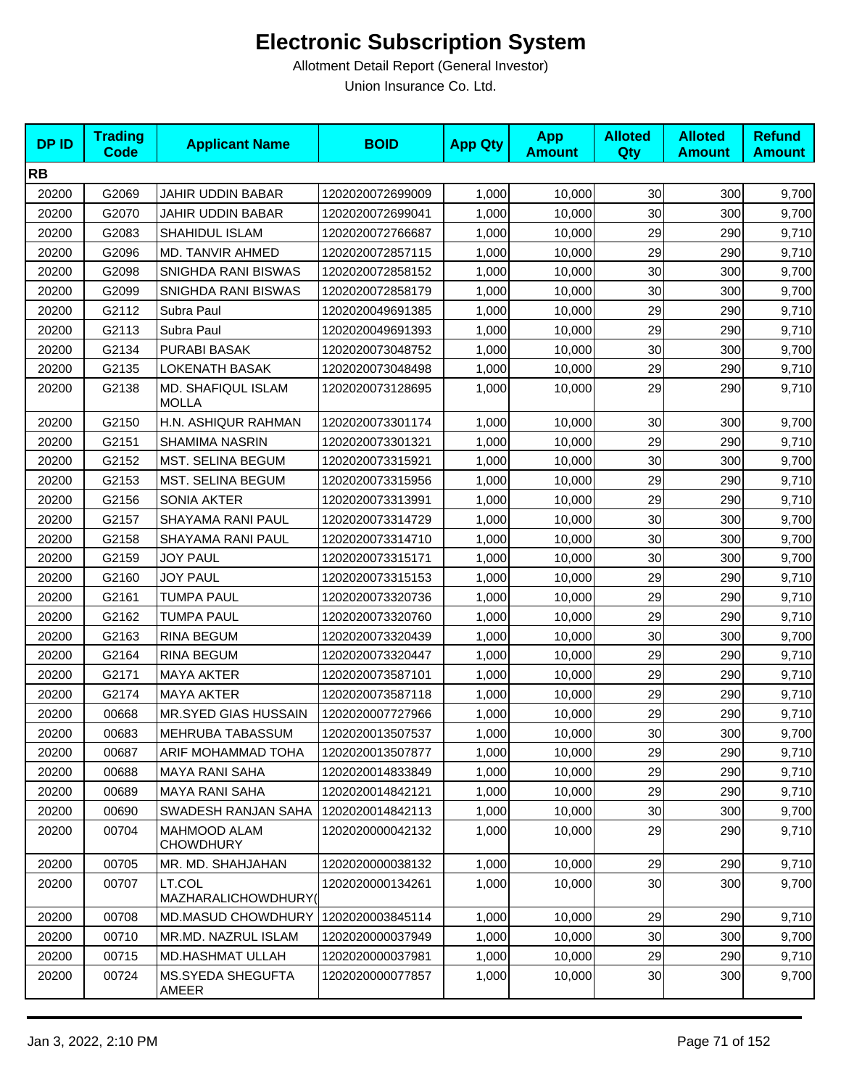| <b>DPID</b> | <b>Trading</b><br><b>Code</b> | <b>Applicant Name</b>              | <b>BOID</b>      | <b>App Qty</b> | <b>App</b><br><b>Amount</b> | <b>Alloted</b><br>Qty | <b>Alloted</b><br><b>Amount</b> | <b>Refund</b><br><b>Amount</b> |
|-------------|-------------------------------|------------------------------------|------------------|----------------|-----------------------------|-----------------------|---------------------------------|--------------------------------|
| <b>RB</b>   |                               |                                    |                  |                |                             |                       |                                 |                                |
| 20200       | G2069                         | <b>JAHIR UDDIN BABAR</b>           | 1202020072699009 | 1,000          | 10,000                      | 30 <sub>0</sub>       | 300                             | 9,700                          |
| 20200       | G2070                         | <b>JAHIR UDDIN BABAR</b>           | 1202020072699041 | 1,000          | 10,000                      | 30                    | 300                             | 9,700                          |
| 20200       | G2083                         | SHAHIDUL ISLAM                     | 1202020072766687 | 1,000          | 10,000                      | 29                    | 290                             | 9,710                          |
| 20200       | G2096                         | MD. TANVIR AHMED                   | 1202020072857115 | 1,000          | 10,000                      | 29                    | 290                             | 9,710                          |
| 20200       | G2098                         | SNIGHDA RANI BISWAS                | 1202020072858152 | 1,000          | 10,000                      | 30                    | 300                             | 9,700                          |
| 20200       | G2099                         | SNIGHDA RANI BISWAS                | 1202020072858179 | 1,000          | 10,000                      | 30                    | 300                             | 9,700                          |
| 20200       | G2112                         | Subra Paul                         | 1202020049691385 | 1,000          | 10,000                      | 29                    | 290                             | 9,710                          |
| 20200       | G2113                         | Subra Paul                         | 1202020049691393 | 1,000          | 10,000                      | 29                    | 290                             | 9,710                          |
| 20200       | G2134                         | PURABI BASAK                       | 1202020073048752 | 1,000          | 10,000                      | 30                    | 300                             | 9,700                          |
| 20200       | G2135                         | <b>LOKENATH BASAK</b>              | 1202020073048498 | 1,000          | 10,000                      | 29                    | 290                             | 9,710                          |
| 20200       | G2138                         | MD. SHAFIQUL ISLAM<br><b>MOLLA</b> | 1202020073128695 | 1,000          | 10,000                      | 29                    | 290                             | 9,710                          |
| 20200       | G2150                         | H.N. ASHIQUR RAHMAN                | 1202020073301174 | 1,000          | 10,000                      | 30                    | 300                             | 9,700                          |
| 20200       | G2151                         | <b>SHAMIMA NASRIN</b>              | 1202020073301321 | 1,000          | 10,000                      | 29                    | 290                             | 9,710                          |
| 20200       | G2152                         | MST. SELINA BEGUM                  | 1202020073315921 | 1,000          | 10,000                      | 30                    | 300                             | 9,700                          |
| 20200       | G2153                         | MST. SELINA BEGUM                  | 1202020073315956 | 1,000          | 10,000                      | 29                    | 290                             | 9,710                          |
| 20200       | G2156                         | SONIA AKTER                        | 1202020073313991 | 1,000          | 10,000                      | 29                    | 290                             | 9,710                          |
| 20200       | G2157                         | SHAYAMA RANI PAUL                  | 1202020073314729 | 1,000          | 10,000                      | 30                    | 300                             | 9,700                          |
| 20200       | G2158                         | SHAYAMA RANI PAUL                  | 1202020073314710 | 1,000          | 10,000                      | 30                    | 300                             | 9,700                          |
| 20200       | G2159                         | <b>JOY PAUL</b>                    | 1202020073315171 | 1,000          | 10,000                      | 30                    | 300                             | 9,700                          |
| 20200       | G2160                         | <b>JOY PAUL</b>                    | 1202020073315153 | 1,000          | 10,000                      | 29                    | 290                             | 9,710                          |
| 20200       | G2161                         | <b>TUMPA PAUL</b>                  | 1202020073320736 | 1,000          | 10,000                      | 29                    | 290                             | 9,710                          |
| 20200       | G2162                         | <b>TUMPA PAUL</b>                  | 1202020073320760 | 1,000          | 10,000                      | 29                    | 290                             | 9,710                          |
| 20200       | G2163                         | RINA BEGUM                         | 1202020073320439 | 1,000          | 10,000                      | 30                    | 300                             | 9,700                          |
| 20200       | G2164                         | RINA BEGUM                         | 1202020073320447 | 1,000          | 10,000                      | 29                    | 290                             | 9,710                          |
| 20200       | G2171                         | <b>MAYA AKTER</b>                  | 1202020073587101 | 1,000          | 10,000                      | 29                    | 290                             | 9,710                          |
| 20200       | G2174                         | <b>MAYA AKTER</b>                  | 1202020073587118 | 1,000          | 10,000                      | 29                    | 290                             | 9,710                          |
| 20200       | 00668                         | MR.SYED GIAS HUSSAIN               | 1202020007727966 | 1,000          | 10,000                      | 29                    | 290                             | 9,710                          |
| 20200       | 00683                         | <b>MEHRUBA TABASSUM</b>            | 1202020013507537 | 1,000          | 10,000                      | 30                    | 300                             | 9,700                          |
| 20200       | 00687                         | ARIF MOHAMMAD TOHA                 | 1202020013507877 | 1,000          | 10,000                      | 29                    | 290                             | 9,710                          |
| 20200       | 00688                         | MAYA RANI SAHA                     | 1202020014833849 | 1,000          | 10,000                      | 29                    | 290                             | 9,710                          |
| 20200       | 00689                         | MAYA RANI SAHA                     | 1202020014842121 | 1,000          | 10,000                      | 29                    | 290                             | 9,710                          |
| 20200       | 00690                         | SWADESH RANJAN SAHA                | 1202020014842113 | 1,000          | 10,000                      | 30                    | 300                             | 9,700                          |
| 20200       | 00704                         | MAHMOOD ALAM<br><b>CHOWDHURY</b>   | 1202020000042132 | 1,000          | 10.000                      | 29                    | 290                             | 9,710                          |
| 20200       | 00705                         | MR. MD. SHAHJAHAN                  | 1202020000038132 | 1,000          | 10,000                      | 29                    | 290                             | 9,710                          |
| 20200       | 00707                         | LT.COL<br>MAZHARALICHOWDHURY(      | 1202020000134261 | 1,000          | 10,000                      | 30                    | 300                             | 9,700                          |
| 20200       | 00708                         | <b>MD.MASUD CHOWDHURY</b>          | 1202020003845114 | 1,000          | 10,000                      | 29                    | 290                             | 9,710                          |
| 20200       | 00710                         | MR.MD. NAZRUL ISLAM                | 1202020000037949 | 1,000          | 10,000                      | 30                    | 300                             | 9,700                          |
| 20200       | 00715                         | <b>MD.HASHMAT ULLAH</b>            | 1202020000037981 | 1,000          | 10,000                      | 29                    | 290                             | 9,710                          |
| 20200       | 00724                         | MS.SYEDA SHEGUFTA<br>AMEER         | 1202020000077857 | 1,000          | 10,000                      | 30 <sub>o</sub>       | 300                             | 9,700                          |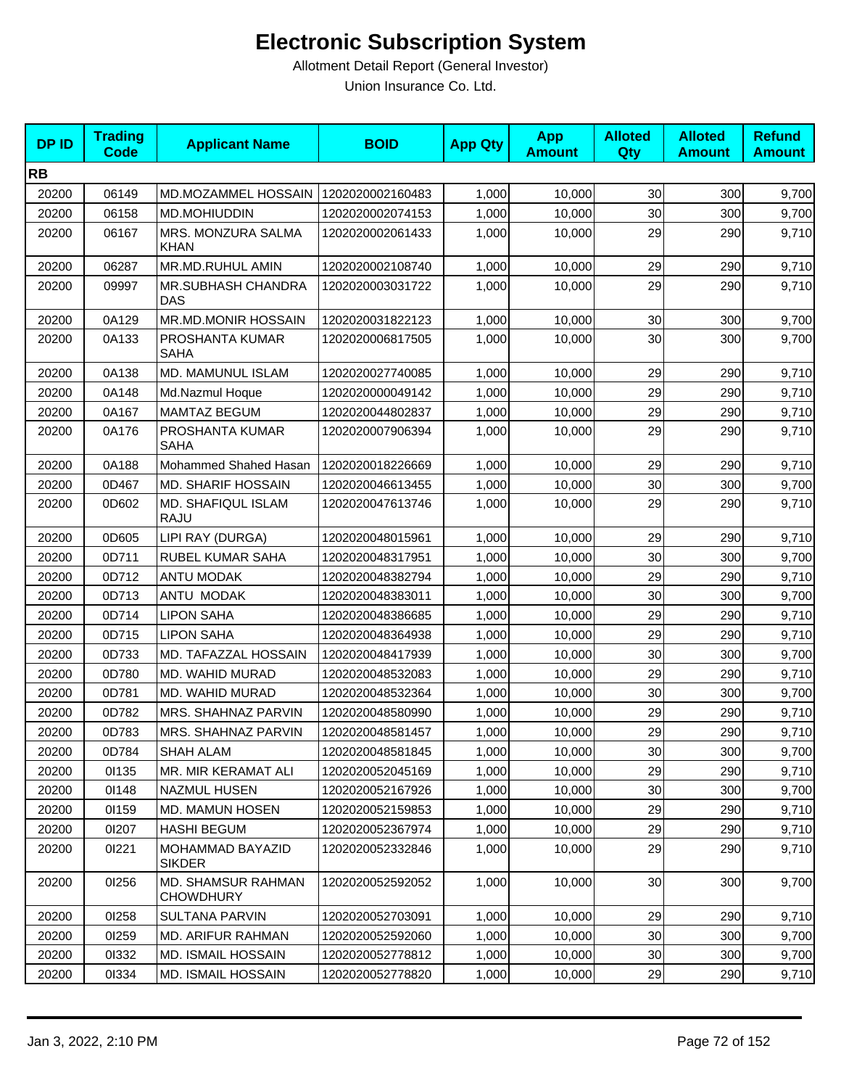| <b>DPID</b> | <b>Trading</b><br><b>Code</b> | <b>Applicant Name</b>                         | <b>BOID</b>      | <b>App Qty</b> | <b>App</b><br><b>Amount</b> | <b>Alloted</b><br>Qty | <b>Alloted</b><br><b>Amount</b> | <b>Refund</b><br><b>Amount</b> |
|-------------|-------------------------------|-----------------------------------------------|------------------|----------------|-----------------------------|-----------------------|---------------------------------|--------------------------------|
| <b>RB</b>   |                               |                                               |                  |                |                             |                       |                                 |                                |
| 20200       | 06149                         | MD.MOZAMMEL HOSSAIN                           | 1202020002160483 | 1,000          | 10,000                      | 30                    | 300                             | 9,700                          |
| 20200       | 06158                         | <b>MD.MOHIUDDIN</b>                           | 1202020002074153 | 1,000          | 10,000                      | 30                    | 300                             | 9,700                          |
| 20200       | 06167                         | MRS. MONZURA SALMA<br><b>KHAN</b>             | 1202020002061433 | 1,000          | 10,000                      | 29                    | 290                             | 9,710                          |
| 20200       | 06287                         | MR.MD.RUHUL AMIN                              | 1202020002108740 | 1,000          | 10,000                      | 29                    | 290                             | 9,710                          |
| 20200       | 09997                         | <b>MR.SUBHASH CHANDRA</b><br><b>DAS</b>       | 1202020003031722 | 1,000          | 10,000                      | 29                    | 290                             | 9,710                          |
| 20200       | 0A129                         | MR.MD.MONIR HOSSAIN                           | 1202020031822123 | 1,000          | 10,000                      | 30                    | 300                             | 9,700                          |
| 20200       | 0A133                         | PROSHANTA KUMAR<br><b>SAHA</b>                | 1202020006817505 | 1,000          | 10,000                      | 30                    | 300                             | 9,700                          |
| 20200       | 0A138                         | MD. MAMUNUL ISLAM                             | 1202020027740085 | 1,000          | 10,000                      | 29                    | 290                             | 9,710                          |
| 20200       | 0A148                         | Md.Nazmul Hoque                               | 1202020000049142 | 1,000          | 10,000                      | 29                    | 290                             | 9,710                          |
| 20200       | 0A167                         | <b>MAMTAZ BEGUM</b>                           | 1202020044802837 | 1,000          | 10,000                      | 29                    | 290                             | 9,710                          |
| 20200       | 0A176                         | PROSHANTA KUMAR<br><b>SAHA</b>                | 1202020007906394 | 1,000          | 10,000                      | 29                    | 290                             | 9,710                          |
| 20200       | 0A188                         | Mohammed Shahed Hasan                         | 1202020018226669 | 1,000          | 10,000                      | 29                    | 290                             | 9,710                          |
| 20200       | 0D467                         | <b>MD. SHARIF HOSSAIN</b>                     | 1202020046613455 | 1,000          | 10,000                      | 30                    | 300                             | 9,700                          |
| 20200       | 0D602                         | MD. SHAFIQUL ISLAM<br>RAJU                    | 1202020047613746 | 1,000          | 10,000                      | 29                    | 290                             | 9,710                          |
| 20200       | 0D605                         | LIPI RAY (DURGA)                              | 1202020048015961 | 1,000          | 10,000                      | 29                    | 290                             | 9,710                          |
| 20200       | 0D711                         | RUBEL KUMAR SAHA                              | 1202020048317951 | 1,000          | 10,000                      | 30                    | 300                             | 9,700                          |
| 20200       | 0D712                         | ANTU MODAK                                    | 1202020048382794 | 1,000          | 10,000                      | 29                    | 290                             | 9,710                          |
| 20200       | 0D713                         | ANTU MODAK                                    | 1202020048383011 | 1,000          | 10,000                      | 30                    | 300                             | 9,700                          |
| 20200       | 0D714                         | <b>LIPON SAHA</b>                             | 1202020048386685 | 1,000          | 10,000                      | 29                    | 290                             | 9,710                          |
| 20200       | 0D715                         | <b>LIPON SAHA</b>                             | 1202020048364938 | 1,000          | 10,000                      | 29                    | 290                             | 9,710                          |
| 20200       | 0D733                         | MD. TAFAZZAL HOSSAIN                          | 1202020048417939 | 1,000          | 10,000                      | 30                    | 300                             | 9,700                          |
| 20200       | 0D780                         | MD. WAHID MURAD                               | 1202020048532083 | 1,000          | 10,000                      | 29                    | 290                             | 9,710                          |
| 20200       | 0D781                         | MD. WAHID MURAD                               | 1202020048532364 | 1,000          | 10,000                      | 30                    | 300                             | 9,700                          |
| 20200       | 0D782                         | MRS. SHAHNAZ PARVIN                           | 1202020048580990 | 1,000          | 10,000                      | 29                    | 290                             | 9,710                          |
| 20200       | 0D783                         | MRS. SHAHNAZ PARVIN                           | 1202020048581457 | 1,000          | 10,000                      | 29                    | 290                             | 9,710                          |
| 20200       | 0D784                         | SHAH ALAM                                     | 1202020048581845 | 1,000          | 10,000                      | 30 <sub>0</sub>       | 300                             | 9,700                          |
| 20200       | 01135                         | MR. MIR KERAMAT ALI                           | 1202020052045169 | 1,000          | 10,000                      | 29                    | 290                             | 9,710                          |
| 20200       | 01148                         | NAZMUL HUSEN                                  | 1202020052167926 | 1,000          | 10,000                      | 30                    | 300                             | 9,700                          |
| 20200       | 01159                         | MD. MAMUN HOSEN                               | 1202020052159853 | 1,000          | 10,000                      | 29                    | 290                             | 9,710                          |
| 20200       | 01207                         | <b>HASHI BEGUM</b>                            | 1202020052367974 | 1,000          | 10,000                      | 29                    | 290                             | 9,710                          |
| 20200       | 01221                         | MOHAMMAD BAYAZID<br><b>SIKDER</b>             | 1202020052332846 | 1,000          | 10,000                      | 29                    | 290                             | 9,710                          |
| 20200       | 01256                         | <b>MD. SHAMSUR RAHMAN</b><br><b>CHOWDHURY</b> | 1202020052592052 | 1,000          | 10,000                      | 30 <sub>1</sub>       | 300                             | 9,700                          |
| 20200       | 01258                         | <b>SULTANA PARVIN</b>                         | 1202020052703091 | 1,000          | 10,000                      | 29                    | 290                             | 9,710                          |
| 20200       | 01259                         | MD. ARIFUR RAHMAN                             | 1202020052592060 | 1,000          | 10,000                      | 30                    | 300                             | 9,700                          |
| 20200       | 01332                         | MD. ISMAIL HOSSAIN                            | 1202020052778812 | 1,000          | 10,000                      | 30                    | 300                             | 9,700                          |
| 20200       | 01334                         | MD. ISMAIL HOSSAIN                            | 1202020052778820 | 1,000          | 10,000                      | 29                    | 290                             | 9,710                          |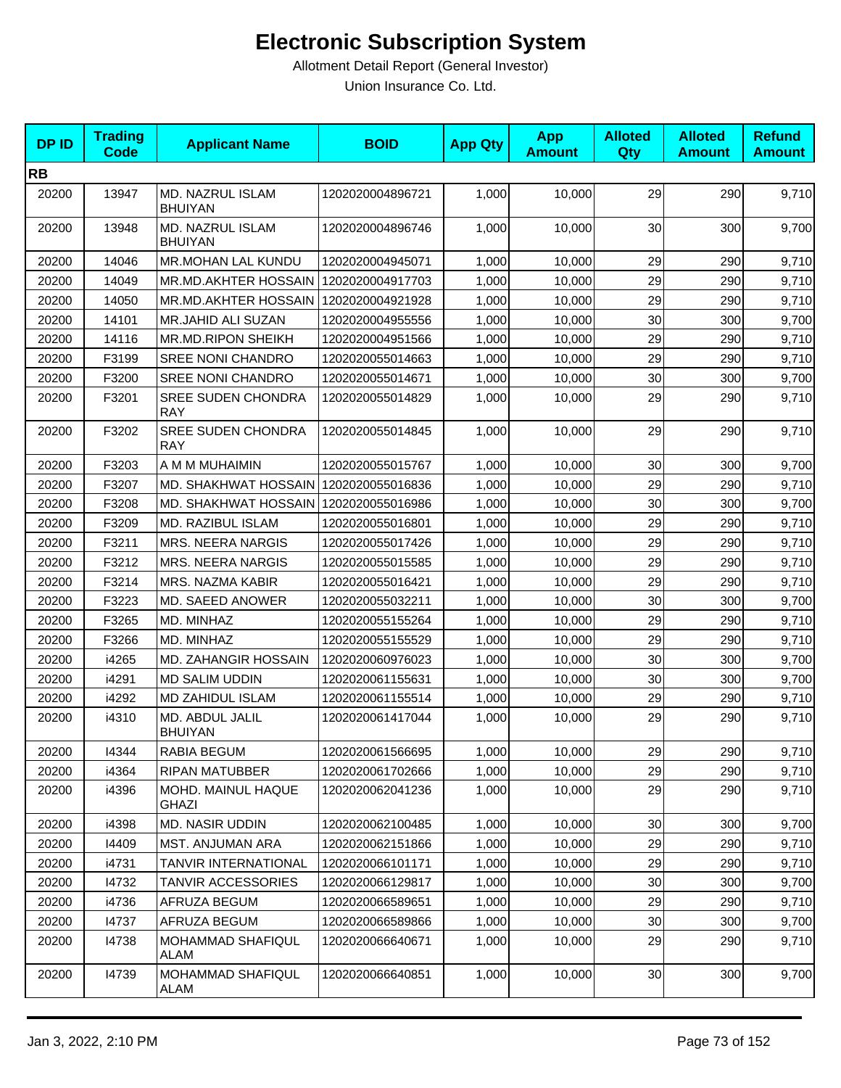| <b>DPID</b> | <b>Trading</b><br><b>Code</b> | <b>Applicant Name</b>                   | <b>BOID</b>      | <b>App Qty</b> | <b>App</b><br><b>Amount</b> | <b>Alloted</b><br>Qty | <b>Alloted</b><br><b>Amount</b> | <b>Refund</b><br><b>Amount</b> |
|-------------|-------------------------------|-----------------------------------------|------------------|----------------|-----------------------------|-----------------------|---------------------------------|--------------------------------|
| <b>RB</b>   |                               |                                         |                  |                |                             |                       |                                 |                                |
| 20200       | 13947                         | MD. NAZRUL ISLAM<br><b>BHUIYAN</b>      | 1202020004896721 | 1,000          | 10,000                      | 29                    | 290                             | 9,710                          |
| 20200       | 13948                         | MD. NAZRUL ISLAM<br><b>BHUIYAN</b>      | 1202020004896746 | 1,000          | 10,000                      | 30                    | 300                             | 9,700                          |
| 20200       | 14046                         | <b>MR.MOHAN LAL KUNDU</b>               | 1202020004945071 | 1,000          | 10,000                      | 29                    | 290                             | 9,710                          |
| 20200       | 14049                         | MR.MD.AKHTER HOSSAIN                    | 1202020004917703 | 1,000          | 10.000                      | 29                    | 290                             | 9,710                          |
| 20200       | 14050                         | MR.MD.AKHTER HOSSAIN                    | 1202020004921928 | 1,000          | 10,000                      | 29                    | 290                             | 9,710                          |
| 20200       | 14101                         | MR.JAHID ALI SUZAN                      | 1202020004955556 | 1,000          | 10,000                      | 30                    | 300                             | 9,700                          |
| 20200       | 14116                         | MR.MD.RIPON SHEIKH                      | 1202020004951566 | 1,000          | 10,000                      | 29                    | 290                             | 9,710                          |
| 20200       | F3199                         | <b>SREE NONI CHANDRO</b>                | 1202020055014663 | 1,000          | 10,000                      | 29                    | 290                             | 9,710                          |
| 20200       | F3200                         | <b>SREE NONI CHANDRO</b>                | 1202020055014671 | 1,000          | 10,000                      | 30                    | 300                             | 9,700                          |
| 20200       | F3201                         | <b>SREE SUDEN CHONDRA</b><br><b>RAY</b> | 1202020055014829 | 1,000          | 10,000                      | 29                    | 290                             | 9,710                          |
| 20200       | F3202                         | <b>SREE SUDEN CHONDRA</b><br><b>RAY</b> | 1202020055014845 | 1,000          | 10,000                      | 29                    | 290                             | 9,710                          |
| 20200       | F3203                         | A M M MUHAIMIN                          | 1202020055015767 | 1,000          | 10,000                      | 30                    | 300                             | 9,700                          |
| 20200       | F3207                         | MD. SHAKHWAT HOSSAIN 1202020055016836   |                  | 1,000          | 10,000                      | 29                    | 290                             | 9,710                          |
| 20200       | F3208                         | MD. SHAKHWAT HOSSAIN 1202020055016986   |                  | 1,000          | 10,000                      | 30                    | 300                             | 9,700                          |
| 20200       | F3209                         | MD. RAZIBUL ISLAM                       | 1202020055016801 | 1,000          | 10,000                      | 29                    | 290                             | 9,710                          |
| 20200       | F3211                         | <b>MRS. NEERA NARGIS</b>                | 1202020055017426 | 1,000          | 10,000                      | 29                    | 290                             | 9,710                          |
| 20200       | F3212                         | <b>MRS. NEERA NARGIS</b>                | 1202020055015585 | 1,000          | 10,000                      | 29                    | 290                             | 9,710                          |
| 20200       | F3214                         | MRS. NAZMA KABIR                        | 1202020055016421 | 1,000          | 10,000                      | 29                    | 290                             | 9,710                          |
| 20200       | F3223                         | MD. SAEED ANOWER                        | 1202020055032211 | 1,000          | 10,000                      | 30                    | 300                             | 9,700                          |
| 20200       | F3265                         | MD. MINHAZ                              | 1202020055155264 | 1,000          | 10,000                      | 29                    | 290                             | 9,710                          |
| 20200       | F3266                         | MD. MINHAZ                              | 1202020055155529 | 1,000          | 10,000                      | 29                    | 290                             | 9,710                          |
| 20200       | i4265                         | MD. ZAHANGIR HOSSAIN                    | 1202020060976023 | 1,000          | 10,000                      | 30                    | 300                             | 9,700                          |
| 20200       | i4291                         | <b>MD SALIM UDDIN</b>                   | 1202020061155631 | 1,000          | 10,000                      | 30                    | 300                             | 9,700                          |
| 20200       | i4292                         | MD ZAHIDUL ISLAM                        | 1202020061155514 | 1,000          | 10,000                      | 29                    | 290                             | 9,710                          |
| 20200       | i4310                         | MD. ABDUL JALIL<br><b>BHUIYAN</b>       | 1202020061417044 | 1,000          | 10,000                      | 29                    | 290                             | 9,710                          |
| 20200       | 14344                         | RABIA BEGUM                             | 1202020061566695 | 1,000          | 10,000                      | 29                    | 290                             | 9,710                          |
| 20200       | i4364                         | <b>RIPAN MATUBBER</b>                   | 1202020061702666 | 1,000          | 10,000                      | 29                    | 290                             | 9,710                          |
| 20200       | i4396                         | MOHD. MAINUL HAQUE<br><b>GHAZI</b>      | 1202020062041236 | 1,000          | 10,000                      | 29                    | 290                             | 9,710                          |
| 20200       | i4398                         | MD. NASIR UDDIN                         | 1202020062100485 | 1,000          | 10,000                      | 30                    | 300                             | 9,700                          |
| 20200       | 14409                         | MST. ANJUMAN ARA                        | 1202020062151866 | 1,000          | 10,000                      | 29                    | 290                             | 9,710                          |
| 20200       | i4731                         | TANVIR INTERNATIONAL                    | 1202020066101171 | 1,000          | 10,000                      | 29                    | 290                             | 9,710                          |
| 20200       | 14732                         | <b>TANVIR ACCESSORIES</b>               | 1202020066129817 | 1,000          | 10,000                      | 30                    | 300                             | 9,700                          |
| 20200       | i4736                         | AFRUZA BEGUM                            | 1202020066589651 | 1,000          | 10,000                      | 29                    | 290                             | 9,710                          |
| 20200       | 14737                         | AFRUZA BEGUM                            | 1202020066589866 | 1,000          | 10,000                      | 30                    | 300                             | 9,700                          |
| 20200       | 14738                         | <b>MOHAMMAD SHAFIQUL</b><br>ALAM        | 1202020066640671 | 1,000          | 10,000                      | 29                    | 290                             | 9,710                          |
| 20200       | 14739                         | MOHAMMAD SHAFIQUL<br>ALAM               | 1202020066640851 | 1,000          | 10,000                      | 30                    | 300                             | 9,700                          |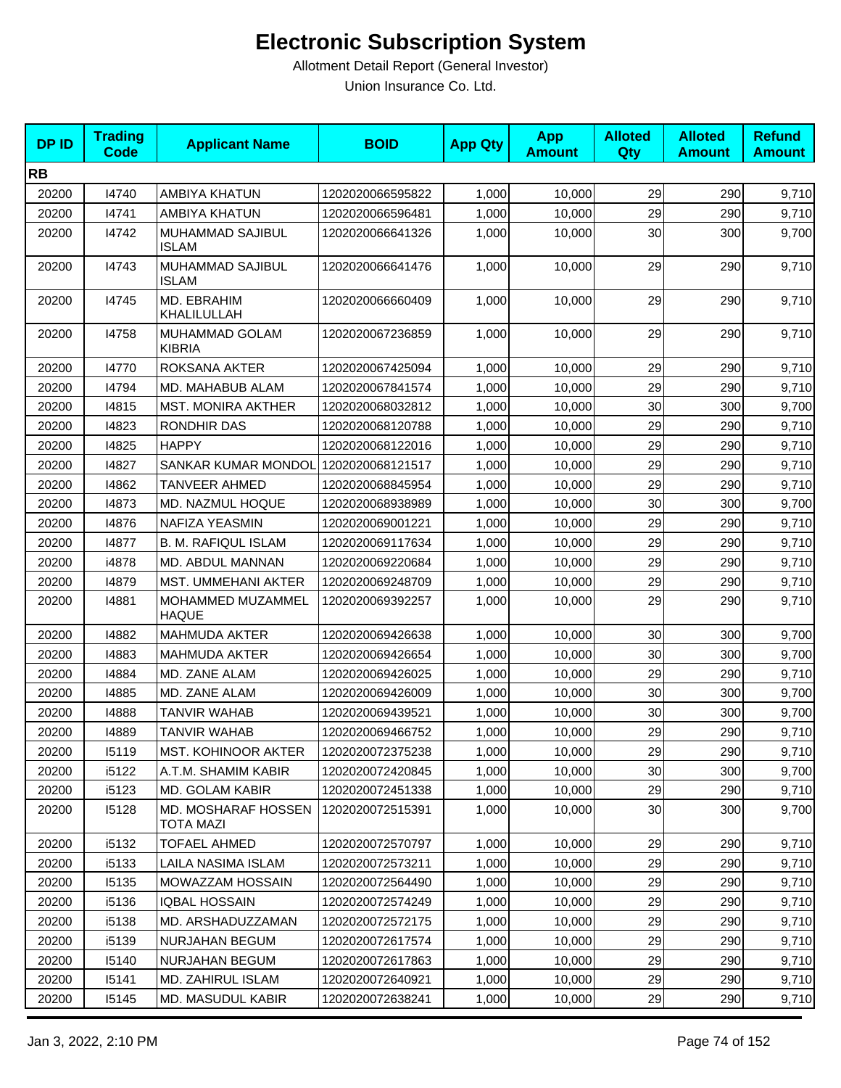| <b>DPID</b> | <b>Trading</b><br><b>Code</b> | <b>Applicant Name</b>             | <b>BOID</b>      | <b>App Qty</b> | <b>App</b><br><b>Amount</b> | <b>Alloted</b><br>Qty | <b>Alloted</b><br><b>Amount</b> | <b>Refund</b><br><b>Amount</b> |
|-------------|-------------------------------|-----------------------------------|------------------|----------------|-----------------------------|-----------------------|---------------------------------|--------------------------------|
| <b>RB</b>   |                               |                                   |                  |                |                             |                       |                                 |                                |
| 20200       | 14740                         | AMBIYA KHATUN                     | 1202020066595822 | 1,000          | 10,000                      | 29                    | 290                             | 9,710                          |
| 20200       | 14741                         | AMBIYA KHATUN                     | 1202020066596481 | 1,000          | 10,000                      | 29                    | 290                             | 9,710                          |
| 20200       | 14742                         | MUHAMMAD SAJIBUL<br><b>ISLAM</b>  | 1202020066641326 | 1,000          | 10,000                      | 30                    | 300                             | 9,700                          |
| 20200       | 14743                         | MUHAMMAD SAJIBUL<br><b>ISLAM</b>  | 1202020066641476 | 1,000          | 10,000                      | 29                    | 290                             | 9,710                          |
| 20200       | 14745                         | MD. EBRAHIM<br>KHALILULLAH        | 1202020066660409 | 1,000          | 10,000                      | 29                    | 290                             | 9,710                          |
| 20200       | 14758                         | MUHAMMAD GOLAM<br><b>KIBRIA</b>   | 1202020067236859 | 1,000          | 10,000                      | 29                    | 290                             | 9,710                          |
| 20200       | 14770                         | ROKSANA AKTER                     | 1202020067425094 | 1,000          | 10,000                      | 29                    | 290                             | 9,710                          |
| 20200       | 14794                         | MD. MAHABUB ALAM                  | 1202020067841574 | 1,000          | 10,000                      | 29                    | 290                             | 9,710                          |
| 20200       | 14815                         | <b>MST. MONIRA AKTHER</b>         | 1202020068032812 | 1,000          | 10,000                      | 30                    | 300                             | 9,700                          |
| 20200       | 14823                         | RONDHIR DAS                       | 1202020068120788 | 1,000          | 10,000                      | 29                    | 290                             | 9,710                          |
| 20200       | 14825                         | <b>HAPPY</b>                      | 1202020068122016 | 1,000          | 10,000                      | 29                    | 290                             | 9,710                          |
| 20200       | 14827                         | SANKAR KUMAR MONDOL               | 1202020068121517 | 1,000          | 10,000                      | 29                    | 290                             | 9,710                          |
| 20200       | 14862                         | TANVEER AHMED                     | 1202020068845954 | 1,000          | 10,000                      | 29                    | 290                             | 9,710                          |
| 20200       | 14873                         | MD. NAZMUL HOQUE                  | 1202020068938989 | 1,000          | 10.000                      | 30 <sup>°</sup>       | 300                             | 9,700                          |
| 20200       | 14876                         | NAFIZA YEASMIN                    | 1202020069001221 | 1,000          | 10,000                      | 29                    | 290                             | 9,710                          |
| 20200       | 14877                         | <b>B. M. RAFIQUL ISLAM</b>        | 1202020069117634 | 1,000          | 10,000                      | 29                    | 290                             | 9,710                          |
| 20200       | i4878                         | MD. ABDUL MANNAN                  | 1202020069220684 | 1,000          | 10,000                      | 29                    | 290                             | 9,710                          |
| 20200       | 14879                         | MST. UMMEHANI AKTER               | 1202020069248709 | 1,000          | 10,000                      | 29                    | 290                             | 9,710                          |
| 20200       | 14881                         | MOHAMMED MUZAMMEL<br><b>HAQUE</b> | 1202020069392257 | 1,000          | 10,000                      | 29                    | 290                             | 9,710                          |
| 20200       | 14882                         | <b>MAHMUDA AKTER</b>              | 1202020069426638 | 1,000          | 10,000                      | 30                    | 300                             | 9,700                          |
| 20200       | 14883                         | <b>MAHMUDA AKTER</b>              | 1202020069426654 | 1,000          | 10,000                      | 30                    | 300                             | 9,700                          |
| 20200       | 14884                         | MD. ZANE ALAM                     | 1202020069426025 | 1,000          | 10,000                      | 29                    | 290                             | 9,710                          |
| 20200       | 14885                         | MD. ZANE ALAM                     | 1202020069426009 | 1,000          | 10,000                      | 30                    | 300                             | 9,700                          |
| 20200       | 14888                         | TANVIR WAHAB                      | 1202020069439521 | 1,000          | 10,000                      | 30                    | 300                             | 9,700                          |
| 20200       | 14889                         | <b>TANVIR WAHAB</b>               | 1202020069466752 | 1,000          | 10,000                      | 29                    | 290                             | 9,710                          |
| 20200       | 15119                         | MST. KOHINOOR AKTER               | 1202020072375238 | 1,000          | 10,000                      | 29                    | 290                             | 9,710                          |
| 20200       | i5122                         | A.T.M. SHAMIM KABIR               | 1202020072420845 | 1,000          | 10,000                      | 30                    | 300                             | 9,700                          |
| 20200       | i5123                         | MD. GOLAM KABIR                   | 1202020072451338 | 1,000          | 10,000                      | 29                    | 290                             | 9,710                          |
| 20200       | 15128                         | MD. MOSHARAF HOSSEN<br>TOTA MAZI  | 1202020072515391 | 1,000          | 10,000                      | 30                    | 300                             | 9,700                          |
| 20200       | i5132                         | <b>TOFAEL AHMED</b>               | 1202020072570797 | 1,000          | 10,000                      | 29                    | 290                             | 9,710                          |
| 20200       | i5133                         | LAILA NASIMA ISLAM                | 1202020072573211 | 1,000          | 10,000                      | 29                    | 290                             | 9,710                          |
| 20200       | 15135                         | MOWAZZAM HOSSAIN                  | 1202020072564490 | 1,000          | 10,000                      | 29                    | 290                             | 9,710                          |
| 20200       | i5136                         | <b>IQBAL HOSSAIN</b>              | 1202020072574249 | 1,000          | 10,000                      | 29                    | 290                             | 9,710                          |
| 20200       | i5138                         | MD. ARSHADUZZAMAN                 | 1202020072572175 | 1,000          | 10,000                      | 29                    | 290                             | 9,710                          |
| 20200       | i5139                         | NURJAHAN BEGUM                    | 1202020072617574 | 1,000          | 10,000                      | 29                    | 290                             | 9,710                          |
| 20200       | 15140                         | NURJAHAN BEGUM                    | 1202020072617863 | 1,000          | 10,000                      | 29                    | 290                             | 9,710                          |
| 20200       | 15141                         | MD. ZAHIRUL ISLAM                 | 1202020072640921 | 1,000          | 10,000                      | 29                    | 290                             | 9,710                          |
| 20200       | 15145                         | MD. MASUDUL KABIR                 | 1202020072638241 | 1,000          | 10,000                      | 29                    | 290                             | 9,710                          |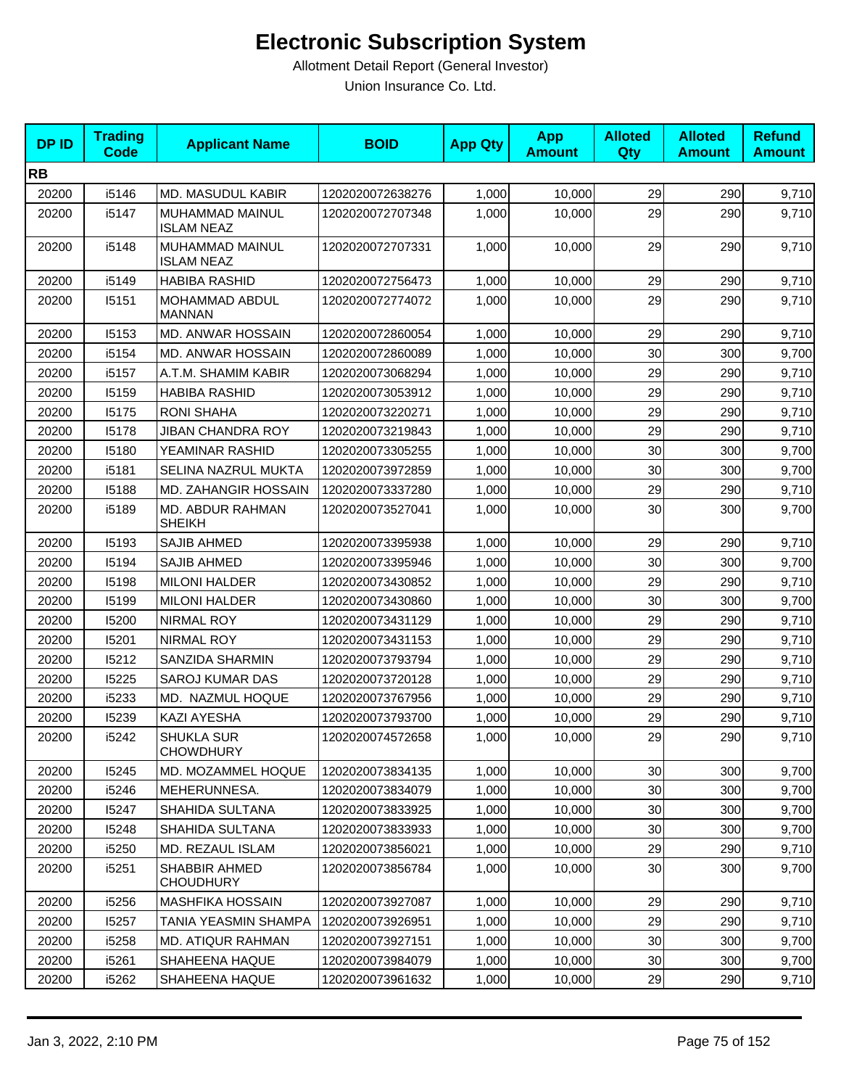| <b>DPID</b> | <b>Trading</b><br><b>Code</b> | <b>Applicant Name</b>                    | <b>BOID</b>      | <b>App Qty</b> | <b>App</b><br><b>Amount</b> | <b>Alloted</b><br>Qty | <b>Alloted</b><br><b>Amount</b> | <b>Refund</b><br><b>Amount</b> |
|-------------|-------------------------------|------------------------------------------|------------------|----------------|-----------------------------|-----------------------|---------------------------------|--------------------------------|
| <b>RB</b>   |                               |                                          |                  |                |                             |                       |                                 |                                |
| 20200       | i5146                         | MD. MASUDUL KABIR                        | 1202020072638276 | 1,000          | 10,000                      | 29                    | 290                             | 9,710                          |
| 20200       | i5147                         | MUHAMMAD MAINUL<br><b>ISLAM NEAZ</b>     | 1202020072707348 | 1,000          | 10,000                      | 29                    | 290                             | 9,710                          |
| 20200       | i5148                         | MUHAMMAD MAINUL<br><b>ISLAM NEAZ</b>     | 1202020072707331 | 1,000          | 10,000                      | 29                    | 290                             | 9,710                          |
| 20200       | i5149                         | <b>HABIBA RASHID</b>                     | 1202020072756473 | 1,000          | 10,000                      | 29                    | 290                             | 9,710                          |
| 20200       | 15151                         | MOHAMMAD ABDUL<br><b>MANNAN</b>          | 1202020072774072 | 1,000          | 10,000                      | 29                    | 290                             | 9,710                          |
| 20200       | 15153                         | MD. ANWAR HOSSAIN                        | 1202020072860054 | 1,000          | 10,000                      | 29                    | 290                             | 9,710                          |
| 20200       | i5154                         | MD. ANWAR HOSSAIN                        | 1202020072860089 | 1,000          | 10,000                      | 30                    | 300                             | 9,700                          |
| 20200       | i5157                         | A.T.M. SHAMIM KABIR                      | 1202020073068294 | 1,000          | 10,000                      | 29                    | 290                             | 9,710                          |
| 20200       | 15159                         | <b>HABIBA RASHID</b>                     | 1202020073053912 | 1,000          | 10,000                      | 29                    | 290                             | 9,710                          |
| 20200       | 15175                         | <b>RONI SHAHA</b>                        | 1202020073220271 | 1,000          | 10,000                      | 29                    | 290                             | 9,710                          |
| 20200       | 15178                         | JIBAN CHANDRA ROY                        | 1202020073219843 | 1,000          | 10,000                      | 29                    | 290                             | 9,710                          |
| 20200       | 15180                         | YEAMINAR RASHID                          | 1202020073305255 | 1,000          | 10,000                      | 30                    | 300                             | 9,700                          |
| 20200       | i5181                         | SELINA NAZRUL MUKTA                      | 1202020073972859 | 1,000          | 10,000                      | 30                    | 300                             | 9,700                          |
| 20200       | 15188                         | MD. ZAHANGIR HOSSAIN                     | 1202020073337280 | 1,000          | 10,000                      | 29                    | 290                             | 9,710                          |
| 20200       | i5189                         | MD. ABDUR RAHMAN<br><b>SHEIKH</b>        | 1202020073527041 | 1,000          | 10,000                      | 30                    | 300                             | 9,700                          |
| 20200       | 15193                         | SAJIB AHMED                              | 1202020073395938 | 1,000          | 10,000                      | 29                    | 290                             | 9,710                          |
| 20200       | 15194                         | <b>SAJIB AHMED</b>                       | 1202020073395946 | 1,000          | 10,000                      | 30                    | 300                             | 9,700                          |
| 20200       | 15198                         | <b>MILONI HALDER</b>                     | 1202020073430852 | 1,000          | 10,000                      | 29                    | 290                             | 9,710                          |
| 20200       | 15199                         | <b>MILONI HALDER</b>                     | 1202020073430860 | 1,000          | 10,000                      | 30                    | 300                             | 9,700                          |
| 20200       | 15200                         | NIRMAL ROY                               | 1202020073431129 | 1,000          | 10,000                      | 29                    | 290                             | 9,710                          |
| 20200       | 15201                         | <b>NIRMAL ROY</b>                        | 1202020073431153 | 1,000          | 10,000                      | 29                    | 290                             | 9,710                          |
| 20200       | 15212                         | SANZIDA SHARMIN                          | 1202020073793794 | 1,000          | 10,000                      | 29                    | 290                             | 9,710                          |
| 20200       | 15225                         | <b>SAROJ KUMAR DAS</b>                   | 1202020073720128 | 1,000          | 10,000                      | 29                    | 290                             | 9,710                          |
| 20200       | i5233                         | MD. NAZMUL HOQUE                         | 1202020073767956 | 1,000          | 10,000                      | 29                    | 290                             | 9,710                          |
| 20200       | 15239                         | KAZI AYESHA                              | 1202020073793700 | 1,000          | 10,000                      | 29                    | 290                             | 9,710                          |
| 20200       | i5242                         | SHUKLA SUR<br><b>CHOWDHURY</b>           | 1202020074572658 | 1,000          | 10,000                      | 29                    | 290                             | 9,710                          |
| 20200       | 15245                         | MD. MOZAMMEL HOQUE                       | 1202020073834135 | 1,000          | 10,000                      | 30                    | 300                             | 9,700                          |
| 20200       | i5246                         | MEHERUNNESA.                             | 1202020073834079 | 1,000          | 10,000                      | 30                    | 300                             | 9,700                          |
| 20200       | 15247                         | SHAHIDA SULTANA                          | 1202020073833925 | 1,000          | 10,000                      | 30                    | 300                             | 9,700                          |
| 20200       | 15248                         | SHAHIDA SULTANA                          | 1202020073833933 | 1,000          | 10,000                      | 30                    | 300                             | 9,700                          |
| 20200       | i5250                         | MD. REZAUL ISLAM                         | 1202020073856021 | 1,000          | 10,000                      | 29                    | 290                             | 9,710                          |
| 20200       | i5251                         | <b>SHABBIR AHMED</b><br><b>CHOUDHURY</b> | 1202020073856784 | 1,000          | 10,000                      | 30                    | 300                             | 9,700                          |
| 20200       | i5256                         | <b>MASHFIKA HOSSAIN</b>                  | 1202020073927087 | 1,000          | 10,000                      | 29                    | 290                             | 9,710                          |
| 20200       | 15257                         | TANIA YEASMIN SHAMPA                     | 1202020073926951 | 1,000          | 10,000                      | 29                    | 290                             | 9,710                          |
| 20200       | i5258                         | <b>MD. ATIQUR RAHMAN</b>                 | 1202020073927151 | 1,000          | 10,000                      | 30                    | 300                             | 9,700                          |
| 20200       | i5261                         | SHAHEENA HAQUE                           | 1202020073984079 | 1,000          | 10,000                      | 30                    | 300                             | 9,700                          |
| 20200       | i5262                         | SHAHEENA HAQUE                           | 1202020073961632 | 1,000          | 10,000                      | 29                    | 290                             | 9,710                          |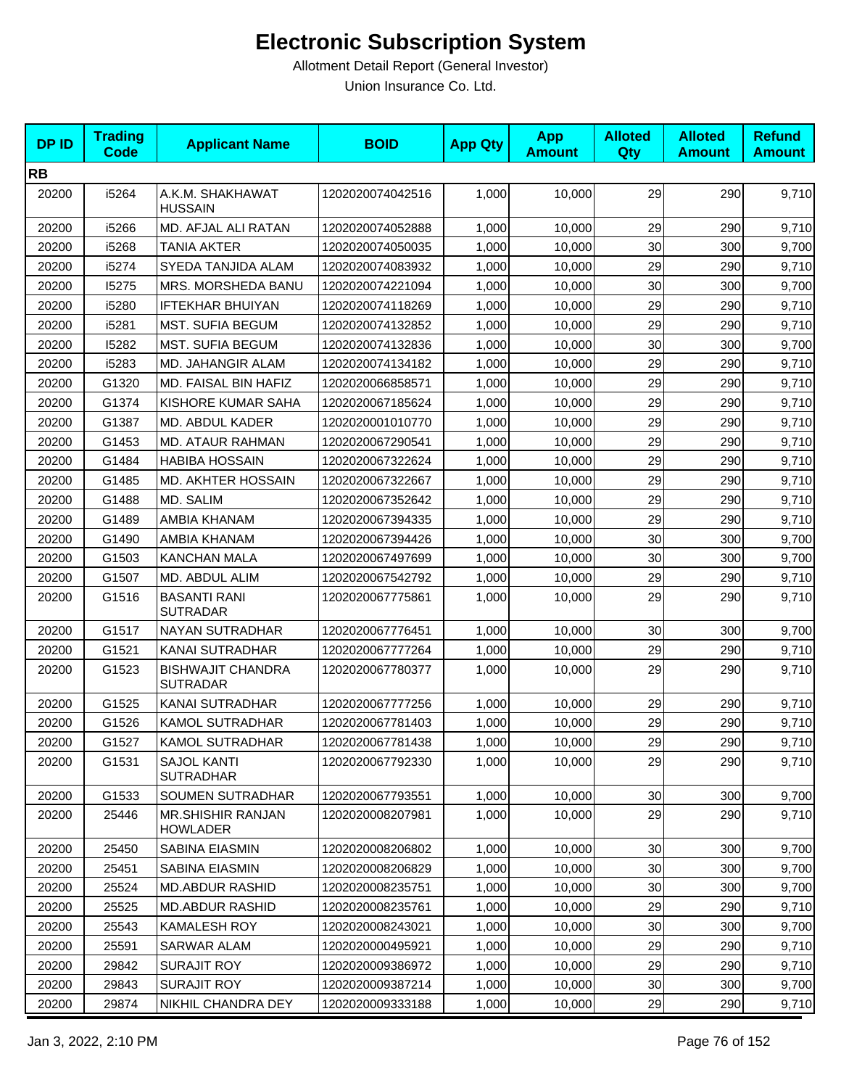| <b>DPID</b> | <b>Trading</b><br><b>Code</b> | <b>Applicant Name</b>                       | <b>BOID</b>      | <b>App Qty</b> | <b>App</b><br><b>Amount</b> | <b>Alloted</b><br>Qty | <b>Alloted</b><br><b>Amount</b> | <b>Refund</b><br><b>Amount</b> |
|-------------|-------------------------------|---------------------------------------------|------------------|----------------|-----------------------------|-----------------------|---------------------------------|--------------------------------|
| <b>RB</b>   |                               |                                             |                  |                |                             |                       |                                 |                                |
| 20200       | i5264                         | A.K.M. SHAKHAWAT<br><b>HUSSAIN</b>          | 1202020074042516 | 1,000          | 10,000                      | 29                    | 290                             | 9,710                          |
| 20200       | i5266                         | MD. AFJAL ALI RATAN                         | 1202020074052888 | 1,000          | 10,000                      | 29                    | 290                             | 9,710                          |
| 20200       | i5268                         | <b>TANIA AKTER</b>                          | 1202020074050035 | 1,000          | 10,000                      | 30                    | 300                             | 9,700                          |
| 20200       | i5274                         | SYEDA TANJIDA ALAM                          | 1202020074083932 | 1,000          | 10,000                      | 29                    | 290                             | 9,710                          |
| 20200       | 15275                         | MRS. MORSHEDA BANU                          | 1202020074221094 | 1,000          | 10,000                      | 30                    | 300                             | 9,700                          |
| 20200       | i5280                         | <b>IFTEKHAR BHUIYAN</b>                     | 1202020074118269 | 1,000          | 10,000                      | 29                    | 290                             | 9,710                          |
| 20200       | i5281                         | <b>MST. SUFIA BEGUM</b>                     | 1202020074132852 | 1.000          | 10,000                      | 29                    | 290                             | 9,710                          |
| 20200       | 15282                         | MST. SUFIA BEGUM                            | 1202020074132836 | 1,000          | 10,000                      | 30                    | 300                             | 9,700                          |
| 20200       | i5283                         | <b>MD. JAHANGIR ALAM</b>                    | 1202020074134182 | 1,000          | 10,000                      | 29                    | 290                             | 9,710                          |
| 20200       | G1320                         | MD. FAISAL BIN HAFIZ                        | 1202020066858571 | 1,000          | 10,000                      | 29                    | 290                             | 9,710                          |
| 20200       | G1374                         | KISHORE KUMAR SAHA                          | 1202020067185624 | 1,000          | 10,000                      | 29                    | 290                             | 9,710                          |
| 20200       | G1387                         | MD. ABDUL KADER                             | 1202020001010770 | 1,000          | 10,000                      | 29                    | 290                             | 9,710                          |
| 20200       | G1453                         | MD. ATAUR RAHMAN                            | 1202020067290541 | 1,000          | 10,000                      | 29                    | 290                             | 9,710                          |
| 20200       | G1484                         | <b>HABIBA HOSSAIN</b>                       | 1202020067322624 | 1,000          | 10,000                      | 29                    | 290                             | 9,710                          |
| 20200       | G1485                         | MD. AKHTER HOSSAIN                          | 1202020067322667 | 1,000          | 10,000                      | 29                    | 290                             | 9,710                          |
| 20200       | G1488                         | MD. SALIM                                   | 1202020067352642 | 1,000          | 10,000                      | 29                    | 290                             | 9,710                          |
| 20200       | G1489                         | AMBIA KHANAM                                | 1202020067394335 | 1,000          | 10,000                      | 29                    | 290                             | 9,710                          |
| 20200       | G1490                         | AMBIA KHANAM                                | 1202020067394426 | 1,000          | 10,000                      | 30                    | 300                             | 9,700                          |
| 20200       | G1503                         | <b>KANCHAN MALA</b>                         | 1202020067497699 | 1,000          | 10,000                      | 30                    | 300                             | 9,700                          |
| 20200       | G1507                         | MD. ABDUL ALIM                              | 1202020067542792 | 1,000          | 10,000                      | 29                    | 290                             | 9,710                          |
| 20200       | G1516                         | <b>BASANTI RANI</b><br><b>SUTRADAR</b>      | 1202020067775861 | 1,000          | 10,000                      | 29                    | 290                             | 9,710                          |
| 20200       | G1517                         | NAYAN SUTRADHAR                             | 1202020067776451 | 1,000          | 10,000                      | 30                    | 300                             | 9,700                          |
| 20200       | G1521                         | KANAI SUTRADHAR                             | 1202020067777264 | 1,000          | 10,000                      | 29                    | 290                             | 9,710                          |
| 20200       | G1523                         | <b>BISHWAJIT CHANDRA</b><br><b>SUTRADAR</b> | 1202020067780377 | 1,000          | 10,000                      | 29                    | 290                             | 9,710                          |
| 20200       | G1525                         | <b>KANAI SUTRADHAR</b>                      | 1202020067777256 | 1,000          | 10,000                      | 29                    | 290                             | 9,710                          |
| 20200       | G1526                         | <b>KAMOL SUTRADHAR</b>                      | 1202020067781403 | 1,000          | 10,000                      | 29                    | 290                             | 9,710                          |
| 20200       | G1527                         | KAMOL SUTRADHAR                             | 1202020067781438 | 1,000          | 10,000                      | 29                    | 290                             | 9,710                          |
| 20200       | G1531                         | <b>SAJOL KANTI</b><br><b>SUTRADHAR</b>      | 1202020067792330 | 1,000          | 10,000                      | 29                    | 290                             | 9,710                          |
| 20200       | G1533                         | SOUMEN SUTRADHAR                            | 1202020067793551 | 1,000          | 10,000                      | 30                    | 300                             | 9,700                          |
| 20200       | 25446                         | <b>MR.SHISHIR RANJAN</b><br><b>HOWLADER</b> | 1202020008207981 | 1,000          | 10,000                      | 29                    | 290                             | 9,710                          |
| 20200       | 25450                         | SABINA EIASMIN                              | 1202020008206802 | 1,000          | 10,000                      | 30                    | 300                             | 9,700                          |
| 20200       | 25451                         | SABINA EIASMIN                              | 1202020008206829 | 1,000          | 10,000                      | 30                    | 300                             | 9,700                          |
| 20200       | 25524                         | <b>MD.ABDUR RASHID</b>                      | 1202020008235751 | 1,000          | 10,000                      | 30                    | 300                             | 9,700                          |
| 20200       | 25525                         | <b>MD.ABDUR RASHID</b>                      | 1202020008235761 | 1,000          | 10,000                      | 29                    | 290                             | 9,710                          |
| 20200       | 25543                         | <b>KAMALESH ROY</b>                         | 1202020008243021 | 1,000          | 10,000                      | 30                    | 300                             | 9,700                          |
| 20200       | 25591                         | <b>SARWAR ALAM</b>                          | 1202020000495921 | 1,000          | 10,000                      | 29                    | 290                             | 9,710                          |
| 20200       | 29842                         | <b>SURAJIT ROY</b>                          | 1202020009386972 | 1,000          | 10,000                      | 29                    | 290                             | 9,710                          |
| 20200       | 29843                         | SURAJIT ROY                                 | 1202020009387214 | 1,000          | 10,000                      | 30 <sup>°</sup>       | 300                             | 9,700                          |
| 20200       | 29874                         | NIKHIL CHANDRA DEY                          | 1202020009333188 | 1,000          | 10,000                      | 29                    | 290                             | 9,710                          |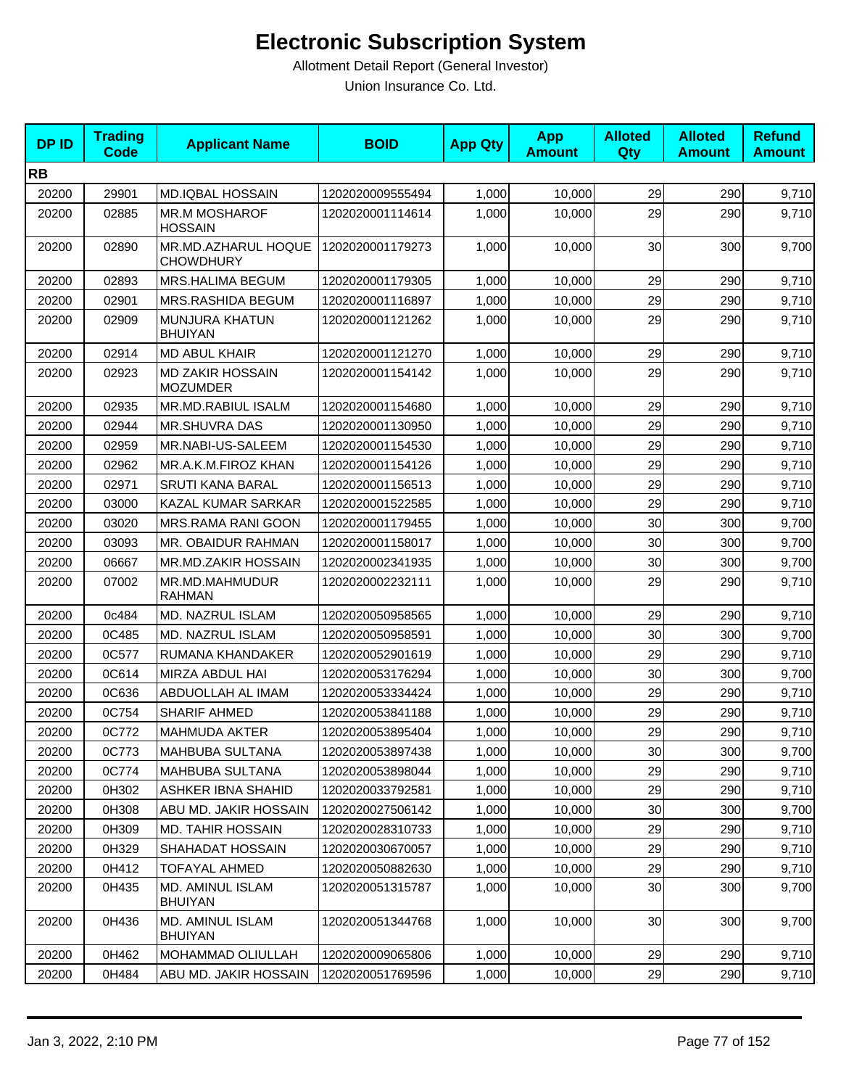| <b>DPID</b> | <b>Trading</b><br><b>Code</b> | <b>Applicant Name</b>                      | <b>BOID</b>      | <b>App Qty</b> | <b>App</b><br><b>Amount</b> | <b>Alloted</b><br>Qty | <b>Alloted</b><br><b>Amount</b> | <b>Refund</b><br><b>Amount</b> |
|-------------|-------------------------------|--------------------------------------------|------------------|----------------|-----------------------------|-----------------------|---------------------------------|--------------------------------|
| <b>RB</b>   |                               |                                            |                  |                |                             |                       |                                 |                                |
| 20200       | 29901                         | <b>MD.IQBAL HOSSAIN</b>                    | 1202020009555494 | 1,000          | 10,000                      | 29                    | 290                             | 9,710                          |
| 20200       | 02885                         | <b>MR.M MOSHAROF</b><br><b>HOSSAIN</b>     | 1202020001114614 | 1,000          | 10,000                      | 29                    | 290                             | 9,710                          |
| 20200       | 02890                         | MR.MD.AZHARUL HOQUE<br><b>CHOWDHURY</b>    | 1202020001179273 | 1,000          | 10,000                      | 30                    | 300                             | 9,700                          |
| 20200       | 02893                         | MRS.HALIMA BEGUM                           | 1202020001179305 | 1,000          | 10,000                      | 29                    | 290                             | 9,710                          |
| 20200       | 02901                         | MRS.RASHIDA BEGUM                          | 1202020001116897 | 1,000          | 10,000                      | 29                    | 290                             | 9,710                          |
| 20200       | 02909                         | MUNJURA KHATUN<br><b>BHUIYAN</b>           | 1202020001121262 | 1,000          | 10,000                      | 29                    | 290                             | 9,710                          |
| 20200       | 02914                         | <b>MD ABUL KHAIR</b>                       | 1202020001121270 | 1,000          | 10,000                      | 29                    | 290                             | 9,710                          |
| 20200       | 02923                         | <b>MD ZAKIR HOSSAIN</b><br><b>MOZUMDER</b> | 1202020001154142 | 1,000          | 10,000                      | 29                    | 290                             | 9,710                          |
| 20200       | 02935                         | MR.MD.RABIUL ISALM                         | 1202020001154680 | 1,000          | 10,000                      | 29                    | 290                             | 9,710                          |
| 20200       | 02944                         | <b>MR.SHUVRA DAS</b>                       | 1202020001130950 | 1,000          | 10,000                      | 29                    | 290                             | 9,710                          |
| 20200       | 02959                         | MR.NABI-US-SALEEM                          | 1202020001154530 | 1,000          | 10,000                      | 29                    | 290                             | 9,710                          |
| 20200       | 02962                         | MR.A.K.M.FIROZ KHAN                        | 1202020001154126 | 1,000          | 10,000                      | 29                    | 290                             | 9,710                          |
| 20200       | 02971                         | <b>SRUTI KANA BARAL</b>                    | 1202020001156513 | 1,000          | 10,000                      | 29                    | 290                             | 9,710                          |
| 20200       | 03000                         | <b>KAZAL KUMAR SARKAR</b>                  | 1202020001522585 | 1,000          | 10,000                      | 29                    | 290                             | 9,710                          |
| 20200       | 03020                         | MRS.RAMA RANI GOON                         | 1202020001179455 | 1,000          | 10.000                      | 30                    | 300                             | 9,700                          |
| 20200       | 03093                         | MR. OBAIDUR RAHMAN                         | 1202020001158017 | 1,000          | 10,000                      | 30                    | 300                             | 9,700                          |
| 20200       | 06667                         | MR.MD.ZAKIR HOSSAIN                        | 1202020002341935 | 1,000          | 10,000                      | 30                    | 300                             | 9,700                          |
| 20200       | 07002                         | MR.MD.MAHMUDUR<br><b>RAHMAN</b>            | 1202020002232111 | 1,000          | 10,000                      | 29                    | 290                             | 9,710                          |
| 20200       | 0c484                         | MD. NAZRUL ISLAM                           | 1202020050958565 | 1,000          | 10,000                      | 29                    | 290                             | 9,710                          |
| 20200       | 0C485                         | MD. NAZRUL ISLAM                           | 1202020050958591 | 1,000          | 10,000                      | 30                    | 300                             | 9,700                          |
| 20200       | 0C577                         | RUMANA KHANDAKER                           | 1202020052901619 | 1,000          | 10,000                      | 29                    | 290                             | 9,710                          |
| 20200       | 0C614                         | MIRZA ABDUL HAI                            | 1202020053176294 | 1,000          | 10,000                      | 30                    | 300                             | 9,700                          |
| 20200       | 0C636                         | ABDUOLLAH AL IMAM                          | 1202020053334424 | 1,000          | 10,000                      | 29                    | 290                             | 9,710                          |
| 20200       | 0C754                         | <b>SHARIF AHMED</b>                        | 1202020053841188 | 1,000          | 10,000                      | 29                    | 290                             | 9,710                          |
| 20200       | 0C772                         | <b>MAHMUDA AKTER</b>                       | 1202020053895404 | 1,000          | 10,000                      | 29                    | 290                             | 9,710                          |
| 20200       | 0C773                         | MAHBUBA SULTANA                            | 1202020053897438 | 1,000          | 10,000                      | 30 <sub>0</sub>       | 300                             | 9,700                          |
| 20200       | 0C774                         | <b>MAHBUBA SULTANA</b>                     | 1202020053898044 | 1,000          | 10,000                      | 29                    | 290                             | 9,710                          |
| 20200       | 0H302                         | <b>ASHKER IBNA SHAHID</b>                  | 1202020033792581 | 1,000          | 10,000                      | 29                    | 290                             | 9,710                          |
| 20200       | 0H308                         | ABU MD. JAKIR HOSSAIN                      | 1202020027506142 | 1,000          | 10,000                      | 30                    | 300                             | 9,700                          |
| 20200       | 0H309                         | <b>MD. TAHIR HOSSAIN</b>                   | 1202020028310733 | 1,000          | 10,000                      | 29                    | 290                             | 9,710                          |
| 20200       | 0H329                         | SHAHADAT HOSSAIN                           | 1202020030670057 | 1,000          | 10,000                      | 29                    | 290                             | 9,710                          |
| 20200       | 0H412                         | <b>TOFAYAL AHMED</b>                       | 1202020050882630 | 1,000          | 10,000                      | 29                    | 290                             | 9,710                          |
| 20200       | 0H435                         | MD. AMINUL ISLAM<br>BHUIYAN                | 1202020051315787 | 1,000          | 10,000                      | 30                    | 300                             | 9,700                          |
| 20200       | 0H436                         | MD. AMINUL ISLAM<br><b>BHUIYAN</b>         | 1202020051344768 | 1,000          | 10,000                      | 30                    | 300                             | 9,700                          |
| 20200       | 0H462                         | MOHAMMAD OLIULLAH                          | 1202020009065806 | 1,000          | 10,000                      | 29                    | 290                             | 9,710                          |
| 20200       | 0H484                         | ABU MD. JAKIR HOSSAIN                      | 1202020051769596 | 1,000          | 10,000                      | 29                    | 290                             | 9,710                          |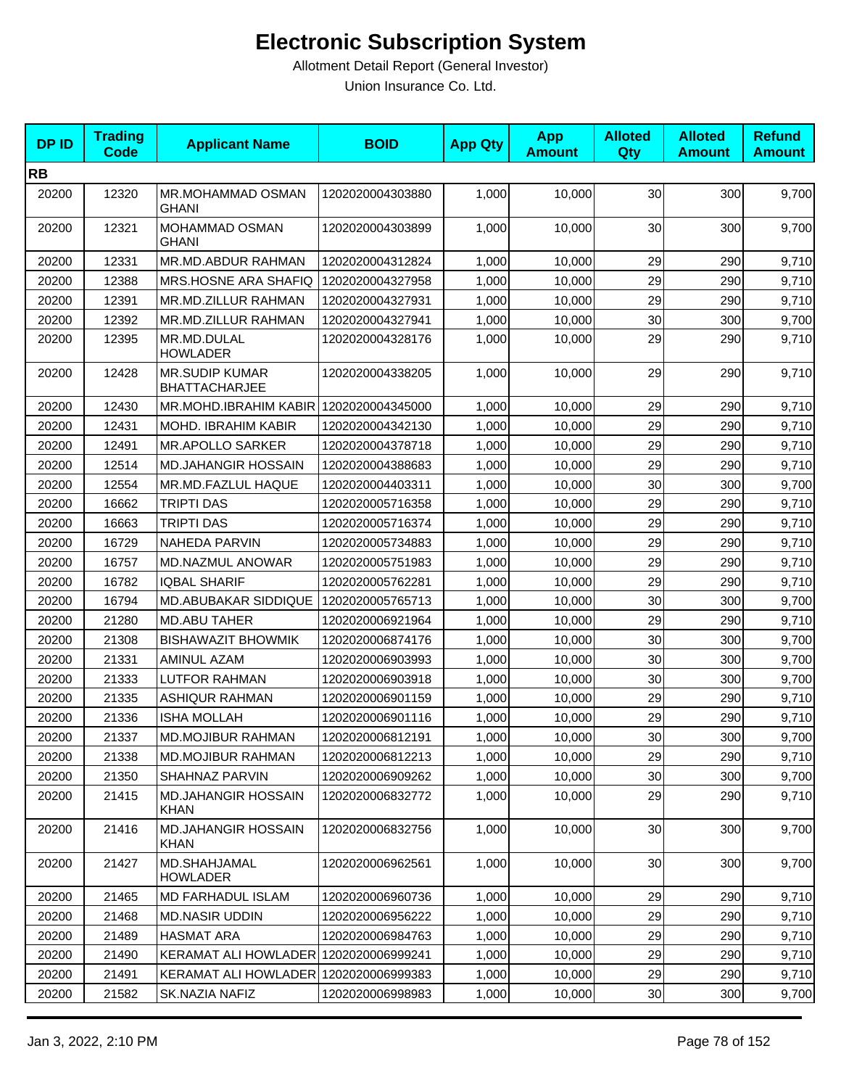| <b>DPID</b> | <b>Trading</b><br><b>Code</b> | <b>Applicant Name</b>                         | <b>BOID</b>      | <b>App Qty</b> | <b>App</b><br><b>Amount</b> | <b>Alloted</b><br>Qty | <b>Alloted</b><br><b>Amount</b> | <b>Refund</b><br><b>Amount</b> |
|-------------|-------------------------------|-----------------------------------------------|------------------|----------------|-----------------------------|-----------------------|---------------------------------|--------------------------------|
| <b>RB</b>   |                               |                                               |                  |                |                             |                       |                                 |                                |
| 20200       | 12320                         | MR.MOHAMMAD OSMAN<br><b>GHANI</b>             | 1202020004303880 | 1,000          | 10,000                      | 30                    | 300                             | 9,700                          |
| 20200       | 12321                         | <b>MOHAMMAD OSMAN</b><br><b>GHANI</b>         | 1202020004303899 | 1,000          | 10,000                      | 30                    | 300                             | 9,700                          |
| 20200       | 12331                         | MR.MD.ABDUR RAHMAN                            | 1202020004312824 | 1,000          | 10,000                      | 29                    | 290                             | 9,710                          |
| 20200       | 12388                         | MRS.HOSNE ARA SHAFIQ                          | 1202020004327958 | 1,000          | 10,000                      | 29                    | 290                             | 9,710                          |
| 20200       | 12391                         | MR.MD.ZILLUR RAHMAN                           | 1202020004327931 | 1,000          | 10,000                      | 29                    | 290                             | 9,710                          |
| 20200       | 12392                         | MR.MD.ZILLUR RAHMAN                           | 1202020004327941 | 1,000          | 10,000                      | 30                    | 300                             | 9,700                          |
| 20200       | 12395                         | MR.MD.DULAL<br><b>HOWLADER</b>                | 1202020004328176 | 1,000          | 10,000                      | 29                    | 290                             | 9,710                          |
| 20200       | 12428                         | <b>MR.SUDIP KUMAR</b><br><b>BHATTACHARJEE</b> | 1202020004338205 | 1,000          | 10,000                      | 29                    | 290                             | 9,710                          |
| 20200       | 12430                         | MR.MOHD.IBRAHIM KABIR 1202020004345000        |                  | 1,000          | 10,000                      | 29                    | 290                             | 9,710                          |
| 20200       | 12431                         | MOHD. IBRAHIM KABIR                           | 1202020004342130 | 1,000          | 10,000                      | 29                    | 290                             | 9,710                          |
| 20200       | 12491                         | <b>MR.APOLLO SARKER</b>                       | 1202020004378718 | 1,000          | 10,000                      | 29                    | 290                             | 9,710                          |
| 20200       | 12514                         | <b>MD.JAHANGIR HOSSAIN</b>                    | 1202020004388683 | 1,000          | 10,000                      | 29                    | 290                             | 9,710                          |
| 20200       | 12554                         | MR.MD.FAZLUL HAQUE                            | 1202020004403311 | 1,000          | 10,000                      | 30                    | 300                             | 9,700                          |
| 20200       | 16662                         | <b>TRIPTI DAS</b>                             | 1202020005716358 | 1,000          | 10,000                      | 29                    | 290                             | 9,710                          |
| 20200       | 16663                         | <b>TRIPTI DAS</b>                             | 1202020005716374 | 1,000          | 10,000                      | 29                    | 290                             | 9,710                          |
| 20200       | 16729                         | <b>NAHEDA PARVIN</b>                          | 1202020005734883 | 1,000          | 10,000                      | 29                    | 290                             | 9,710                          |
| 20200       | 16757                         | MD.NAZMUL ANOWAR                              | 1202020005751983 | 1,000          | 10,000                      | 29                    | 290                             | 9,710                          |
| 20200       | 16782                         | <b>IQBAL SHARIF</b>                           | 1202020005762281 | 1,000          | 10,000                      | 29                    | 290                             | 9,710                          |
| 20200       | 16794                         | MD.ABUBAKAR SIDDIQUE                          | 1202020005765713 | 1,000          | 10,000                      | 30                    | 300                             | 9,700                          |
| 20200       | 21280                         | <b>MD.ABU TAHER</b>                           | 1202020006921964 | 1,000          | 10,000                      | 29                    | 290                             | 9,710                          |
| 20200       | 21308                         | <b>BISHAWAZIT BHOWMIK</b>                     | 1202020006874176 | 1,000          | 10,000                      | 30                    | 300                             | 9,700                          |
| 20200       | 21331                         | <b>AMINUL AZAM</b>                            | 1202020006903993 | 1,000          | 10,000                      | 30                    | 300                             | 9,700                          |
| 20200       | 21333                         | LUTFOR RAHMAN                                 | 1202020006903918 | 1,000          | 10,000                      | 30                    | 300                             | 9,700                          |
| 20200       | 21335                         | <b>ASHIQUR RAHMAN</b>                         | 1202020006901159 | 1,000          | 10,000                      | 29                    | 290                             | 9,710                          |
| 20200       | 21336                         | <b>ISHA MOLLAH</b>                            | 1202020006901116 | 1,000          | 10,000                      | 29                    | 290                             | 9,710                          |
| 20200       | 21337                         | MD.MOJIBUR RAHMAN                             | 1202020006812191 | 1,000          | 10,000                      | 30 <sup>°</sup>       | 300                             | 9,700                          |
| 20200       | 21338                         | <b>MD.MOJIBUR RAHMAN</b>                      | 1202020006812213 | 1,000          | 10,000                      | 29                    | 290                             | 9,710                          |
| 20200       | 21350                         | SHAHNAZ PARVIN                                | 1202020006909262 | 1,000          | 10,000                      | 30                    | 300                             | 9,700                          |
| 20200       | 21415                         | <b>MD.JAHANGIR HOSSAIN</b><br>KHAN            | 1202020006832772 | 1,000          | 10,000                      | 29                    | 290                             | 9,710                          |
| 20200       | 21416                         | <b>MD.JAHANGIR HOSSAIN</b><br><b>KHAN</b>     | 1202020006832756 | 1,000          | 10,000                      | 30                    | 300                             | 9,700                          |
| 20200       | 21427                         | MD.SHAHJAMAL<br><b>HOWLADER</b>               | 1202020006962561 | 1,000          | 10,000                      | 30                    | 300                             | 9,700                          |
| 20200       | 21465                         | MD FARHADUL ISLAM                             | 1202020006960736 | 1,000          | 10,000                      | 29                    | 290                             | 9,710                          |
| 20200       | 21468                         | <b>MD.NASIR UDDIN</b>                         | 1202020006956222 | 1,000          | 10,000                      | 29                    | 290                             | 9,710                          |
| 20200       | 21489                         | <b>HASMAT ARA</b>                             | 1202020006984763 | 1,000          | 10,000                      | 29                    | 290                             | 9,710                          |
| 20200       | 21490                         | KERAMAT ALI HOWLADER 1202020006999241         |                  | 1,000          | 10,000                      | 29                    | 290                             | 9,710                          |
| 20200       | 21491                         | KERAMAT ALI HOWLADER 1202020006999383         |                  | 1,000          | 10,000                      | 29                    | 290                             | 9,710                          |
| 20200       | 21582                         | SK.NAZIA NAFIZ                                | 1202020006998983 | 1,000          | 10,000                      | 30                    | 300                             | 9,700                          |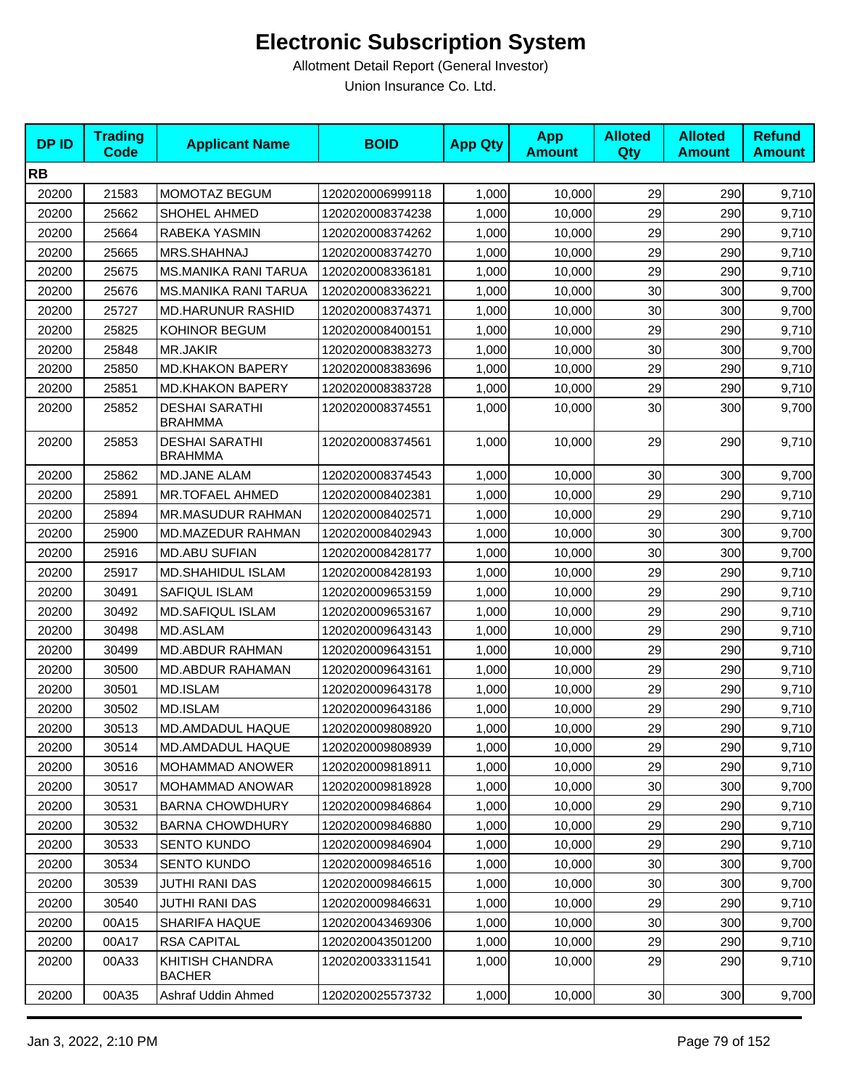| <b>DPID</b> | <b>Trading</b><br><b>Code</b> | <b>Applicant Name</b>                   | <b>BOID</b>      | <b>App Qty</b> | <b>App</b><br><b>Amount</b> | <b>Alloted</b><br>Qty | <b>Alloted</b><br><b>Amount</b> | <b>Refund</b><br><b>Amount</b> |
|-------------|-------------------------------|-----------------------------------------|------------------|----------------|-----------------------------|-----------------------|---------------------------------|--------------------------------|
| <b>RB</b>   |                               |                                         |                  |                |                             |                       |                                 |                                |
| 20200       | 21583                         | <b>MOMOTAZ BEGUM</b>                    | 1202020006999118 | 1,000          | 10,000                      | 29                    | 290                             | 9,710                          |
| 20200       | 25662                         | SHOHEL AHMED                            | 1202020008374238 | 1,000          | 10,000                      | 29                    | 290                             | 9,710                          |
| 20200       | 25664                         | RABEKA YASMIN                           | 1202020008374262 | 1,000          | 10,000                      | 29                    | 290                             | 9,710                          |
| 20200       | 25665                         | MRS.SHAHNAJ                             | 1202020008374270 | 1,000          | 10,000                      | 29                    | 290                             | 9,710                          |
| 20200       | 25675                         | <b>MS.MANIKA RANI TARUA</b>             | 1202020008336181 | 1,000          | 10,000                      | 29                    | 290                             | 9,710                          |
| 20200       | 25676                         | <b>MS.MANIKA RANI TARUA</b>             | 1202020008336221 | 1,000          | 10,000                      | 30                    | 300                             | 9,700                          |
| 20200       | 25727                         | <b>MD.HARUNUR RASHID</b>                | 1202020008374371 | 1,000          | 10,000                      | 30                    | 300                             | 9,700                          |
| 20200       | 25825                         | <b>KOHINOR BEGUM</b>                    | 1202020008400151 | 1,000          | 10,000                      | 29                    | 290                             | 9,710                          |
| 20200       | 25848                         | <b>MR.JAKIR</b>                         | 1202020008383273 | 1,000          | 10,000                      | 30                    | 300                             | 9,700                          |
| 20200       | 25850                         | <b>MD.KHAKON BAPERY</b>                 | 1202020008383696 | 1,000          | 10,000                      | 29                    | 290                             | 9,710                          |
| 20200       | 25851                         | <b>MD.KHAKON BAPERY</b>                 | 1202020008383728 | 1,000          | 10,000                      | 29                    | 290                             | 9,710                          |
| 20200       | 25852                         | <b>DESHAI SARATHI</b><br><b>BRAHMMA</b> | 1202020008374551 | 1,000          | 10,000                      | 30                    | 300                             | 9,700                          |
| 20200       | 25853                         | <b>DESHAI SARATHI</b><br><b>BRAHMMA</b> | 1202020008374561 | 1,000          | 10,000                      | 29                    | 290                             | 9,710                          |
| 20200       | 25862                         | MD.JANE ALAM                            | 1202020008374543 | 1,000          | 10,000                      | 30                    | 300                             | 9,700                          |
| 20200       | 25891                         | MR.TOFAEL AHMED                         | 1202020008402381 | 1,000          | 10,000                      | 29                    | 290                             | 9,710                          |
| 20200       | 25894                         | MR.MASUDUR RAHMAN                       | 1202020008402571 | 1,000          | 10,000                      | 29                    | 290                             | 9,710                          |
| 20200       | 25900                         | MD.MAZEDUR RAHMAN                       | 1202020008402943 | 1,000          | 10,000                      | 30                    | 300                             | 9,700                          |
| 20200       | 25916                         | <b>MD.ABU SUFIAN</b>                    | 1202020008428177 | 1,000          | 10,000                      | 30                    | 300                             | 9,700                          |
| 20200       | 25917                         | <b>MD.SHAHIDUL ISLAM</b>                | 1202020008428193 | 1,000          | 10,000                      | 29                    | 290                             | 9,710                          |
| 20200       | 30491                         | SAFIQUL ISLAM                           | 1202020009653159 | 1,000          | 10,000                      | 29                    | 290                             | 9,710                          |
| 20200       | 30492                         | <b>MD.SAFIQUL ISLAM</b>                 | 1202020009653167 | 1,000          | 10,000                      | 29                    | 290                             | 9,710                          |
| 20200       | 30498                         | MD.ASLAM                                | 1202020009643143 | 1,000          | 10,000                      | 29                    | 290                             | 9,710                          |
| 20200       | 30499                         | <b>MD.ABDUR RAHMAN</b>                  | 1202020009643151 | 1,000          | 10,000                      | 29                    | 290                             | 9,710                          |
| 20200       | 30500                         | <b>MD.ABDUR RAHAMAN</b>                 | 1202020009643161 | 1,000          | 10,000                      | 29                    | 290                             | 9,710                          |
| 20200       | 30501                         | MD.ISLAM                                | 1202020009643178 | 1,000          | 10,000                      | 29                    | 290                             | 9,710                          |
| 20200       | 30502                         | <b>MD.ISLAM</b>                         | 1202020009643186 | 1,000          | 10,000                      | 29                    | 290                             | 9,710                          |
| 20200       | 30513                         | MD.AMDADUL HAQUE                        | 1202020009808920 | 1,000          | 10,000                      | 29                    | 290                             | 9,710                          |
| 20200       | 30514                         | <b>MD.AMDADUL HAQUE</b>                 | 1202020009808939 | 1,000          | 10,000                      | 29                    | 290                             | 9,710                          |
| 20200       | 30516                         | <b>MOHAMMAD ANOWER</b>                  | 1202020009818911 | 1,000          | 10,000                      | 29                    | 290                             | 9,710                          |
| 20200       | 30517                         | <b>MOHAMMAD ANOWAR</b>                  | 1202020009818928 | 1,000          | 10,000                      | 30                    | 300                             | 9,700                          |
| 20200       | 30531                         | <b>BARNA CHOWDHURY</b>                  | 1202020009846864 | 1,000          | 10,000                      | 29                    | 290                             | 9,710                          |
| 20200       | 30532                         | <b>BARNA CHOWDHURY</b>                  | 1202020009846880 | 1,000          | 10,000                      | 29                    | 290                             | 9,710                          |
| 20200       | 30533                         | <b>SENTO KUNDO</b>                      | 1202020009846904 | 1,000          | 10,000                      | 29                    | 290                             | 9,710                          |
| 20200       | 30534                         | <b>SENTO KUNDO</b>                      | 1202020009846516 | 1,000          | 10,000                      | 30                    | 300                             | 9,700                          |
| 20200       | 30539                         | JUTHI RANI DAS                          | 1202020009846615 | 1,000          | 10,000                      | 30                    | 300                             | 9,700                          |
| 20200       | 30540                         | <b>JUTHI RANI DAS</b>                   | 1202020009846631 | 1,000          | 10,000                      | 29                    | 290                             | 9,710                          |
| 20200       | 00A15                         | <b>SHARIFA HAQUE</b>                    | 1202020043469306 | 1,000          | 10,000                      | 30                    | 300                             | 9,700                          |
| 20200       | 00A17                         | <b>RSA CAPITAL</b>                      | 1202020043501200 | 1,000          | 10,000                      | 29                    | 290                             | 9,710                          |
| 20200       | 00A33                         | <b>KHITISH CHANDRA</b><br><b>BACHER</b> | 1202020033311541 | 1,000          | 10,000                      | 29                    | 290                             | 9,710                          |
| 20200       | 00A35                         | Ashraf Uddin Ahmed                      | 1202020025573732 | 1,000          | 10,000                      | 30 <sub>1</sub>       | 300                             | 9,700                          |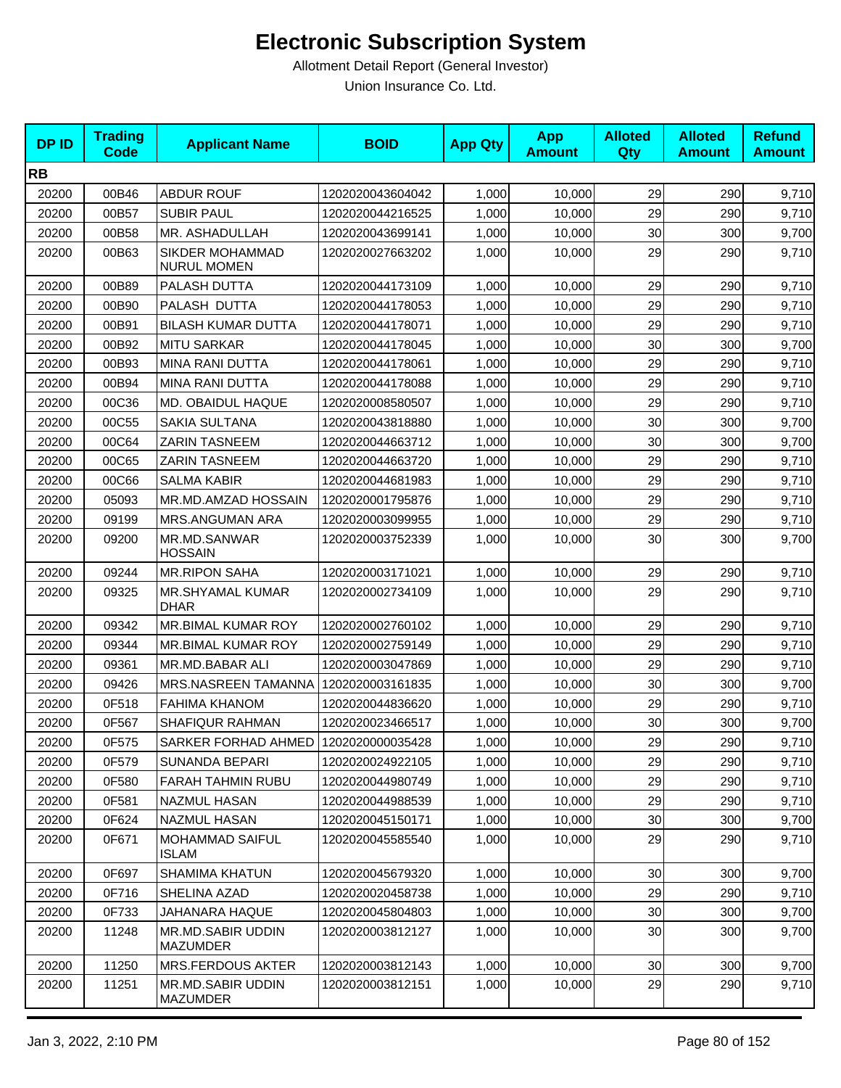| <b>DPID</b> | <b>Trading</b><br><b>Code</b> | <b>Applicant Name</b>                        | <b>BOID</b>      | <b>App Qty</b> | <b>App</b><br><b>Amount</b> | <b>Alloted</b><br>Qty | <b>Alloted</b><br><b>Amount</b> | <b>Refund</b><br><b>Amount</b> |
|-------------|-------------------------------|----------------------------------------------|------------------|----------------|-----------------------------|-----------------------|---------------------------------|--------------------------------|
| <b>RB</b>   |                               |                                              |                  |                |                             |                       |                                 |                                |
| 20200       | 00B46                         | <b>ABDUR ROUF</b>                            | 1202020043604042 | 1,000          | 10,000                      | 29                    | 290                             | 9,710                          |
| 20200       | 00B57                         | <b>SUBIR PAUL</b>                            | 1202020044216525 | 1,000          | 10,000                      | 29                    | 290                             | 9,710                          |
| 20200       | 00B58                         | MR. ASHADULLAH                               | 1202020043699141 | 1,000          | 10,000                      | 30                    | 300                             | 9,700                          |
| 20200       | 00B63                         | <b>SIKDER MOHAMMAD</b><br><b>NURUL MOMEN</b> | 1202020027663202 | 1,000          | 10,000                      | 29                    | 290                             | 9,710                          |
| 20200       | 00B89                         | PALASH DUTTA                                 | 1202020044173109 | 1,000          | 10.000                      | 29                    | 290                             | 9,710                          |
| 20200       | 00B90                         | PALASH DUTTA                                 | 1202020044178053 | 1,000          | 10,000                      | 29                    | 290                             | 9,710                          |
| 20200       | 00B91                         | <b>BILASH KUMAR DUTTA</b>                    | 1202020044178071 | 1,000          | 10,000                      | 29                    | 290                             | 9,710                          |
| 20200       | 00B92                         | <b>MITU SARKAR</b>                           | 1202020044178045 | 1,000          | 10,000                      | 30                    | 300                             | 9,700                          |
| 20200       | 00B93                         | <b>MINA RANI DUTTA</b>                       | 1202020044178061 | 1,000          | 10,000                      | 29                    | 290                             | 9,710                          |
| 20200       | 00B94                         | MINA RANI DUTTA                              | 1202020044178088 | 1,000          | 10,000                      | 29                    | 290                             | 9,710                          |
| 20200       | 00C36                         | MD. OBAIDUL HAQUE                            | 1202020008580507 | 1,000          | 10,000                      | 29                    | 290                             | 9,710                          |
| 20200       | 00C55                         | SAKIA SULTANA                                | 1202020043818880 | 1,000          | 10,000                      | 30                    | 300                             | 9,700                          |
| 20200       | 00C64                         | <b>ZARIN TASNEEM</b>                         | 1202020044663712 | 1,000          | 10,000                      | 30                    | 300                             | 9,700                          |
| 20200       | 00C65                         | <b>ZARIN TASNEEM</b>                         | 1202020044663720 | 1,000          | 10,000                      | 29                    | 290                             | 9,710                          |
| 20200       | 00C66                         | <b>SALMA KABIR</b>                           | 1202020044681983 | 1,000          | 10,000                      | 29                    | 290                             | 9,710                          |
| 20200       | 05093                         | MR.MD.AMZAD HOSSAIN                          | 1202020001795876 | 1,000          | 10,000                      | 29                    | 290                             | 9,710                          |
| 20200       | 09199                         | <b>MRS.ANGUMAN ARA</b>                       | 1202020003099955 | 1,000          | 10,000                      | 29                    | 290                             | 9,710                          |
| 20200       | 09200                         | MR.MD.SANWAR<br><b>HOSSAIN</b>               | 1202020003752339 | 1,000          | 10,000                      | 30                    | 300                             | 9,700                          |
| 20200       | 09244                         | <b>MR.RIPON SAHA</b>                         | 1202020003171021 | 1,000          | 10,000                      | 29                    | 290                             | 9,710                          |
| 20200       | 09325                         | MR.SHYAMAL KUMAR<br><b>DHAR</b>              | 1202020002734109 | 1,000          | 10,000                      | 29                    | 290                             | 9,710                          |
| 20200       | 09342                         | MR.BIMAL KUMAR ROY                           | 1202020002760102 | 1,000          | 10,000                      | 29                    | 290                             | 9,710                          |
| 20200       | 09344                         | MR.BIMAL KUMAR ROY                           | 1202020002759149 | 1,000          | 10,000                      | 29                    | 290                             | 9,710                          |
| 20200       | 09361                         | MR.MD.BABAR ALI                              | 1202020003047869 | 1,000          | 10,000                      | 29                    | 290                             | 9,710                          |
| 20200       | 09426                         | MRS.NASREEN TAMANNA                          | 1202020003161835 | 1,000          | 10,000                      | 30                    | 300                             | 9,700                          |
| 20200       | 0F518                         | <b>FAHIMA KHANOM</b>                         | 1202020044836620 | 1,000          | 10,000                      | 29                    | 290                             | 9,710                          |
| 20200       | 0F567                         | SHAFIQUR RAHMAN                              | 1202020023466517 | 1,000          | 10,000                      | 30                    | 300                             | 9,700                          |
| 20200       | 0F575                         | SARKER FORHAD AHMED   1202020000035428       |                  | 1,000          | 10,000                      | 29                    | 290                             | 9,710                          |
| 20200       | 0F579                         | SUNANDA BEPARI                               | 1202020024922105 | 1,000          | 10,000                      | 29                    | 290                             | 9,710                          |
| 20200       | 0F580                         | <b>FARAH TAHMIN RUBU</b>                     | 1202020044980749 | 1,000          | 10,000                      | 29                    | 290                             | 9,710                          |
| 20200       | 0F581                         | <b>NAZMUL HASAN</b>                          | 1202020044988539 | 1,000          | 10,000                      | 29                    | 290                             | 9,710                          |
| 20200       | 0F624                         | NAZMUL HASAN                                 | 1202020045150171 | 1,000          | 10,000                      | 30                    | 300                             | 9,700                          |
| 20200       | 0F671                         | <b>MOHAMMAD SAIFUL</b><br><b>ISLAM</b>       | 1202020045585540 | 1,000          | 10,000                      | 29                    | 290                             | 9,710                          |
| 20200       | 0F697                         | <b>SHAMIMA KHATUN</b>                        | 1202020045679320 | 1,000          | 10,000                      | 30                    | 300                             | 9,700                          |
| 20200       | 0F716                         | SHELINA AZAD                                 | 1202020020458738 | 1,000          | 10,000                      | 29                    | 290                             | 9,710                          |
| 20200       | 0F733                         | JAHANARA HAQUE                               | 1202020045804803 | 1,000          | 10,000                      | 30                    | 300                             | 9,700                          |
| 20200       | 11248                         | MR.MD.SABIR UDDIN<br><b>MAZUMDER</b>         | 1202020003812127 | 1,000          | 10,000                      | 30                    | 300                             | 9,700                          |
| 20200       | 11250                         | MRS.FERDOUS AKTER                            | 1202020003812143 | 1,000          | 10,000                      | 30 <sub>0</sub>       | 300                             | 9,700                          |
| 20200       | 11251                         | MR.MD.SABIR UDDIN<br>MAZUMDER                | 1202020003812151 | 1,000          | 10,000                      | 29                    | 290                             | 9,710                          |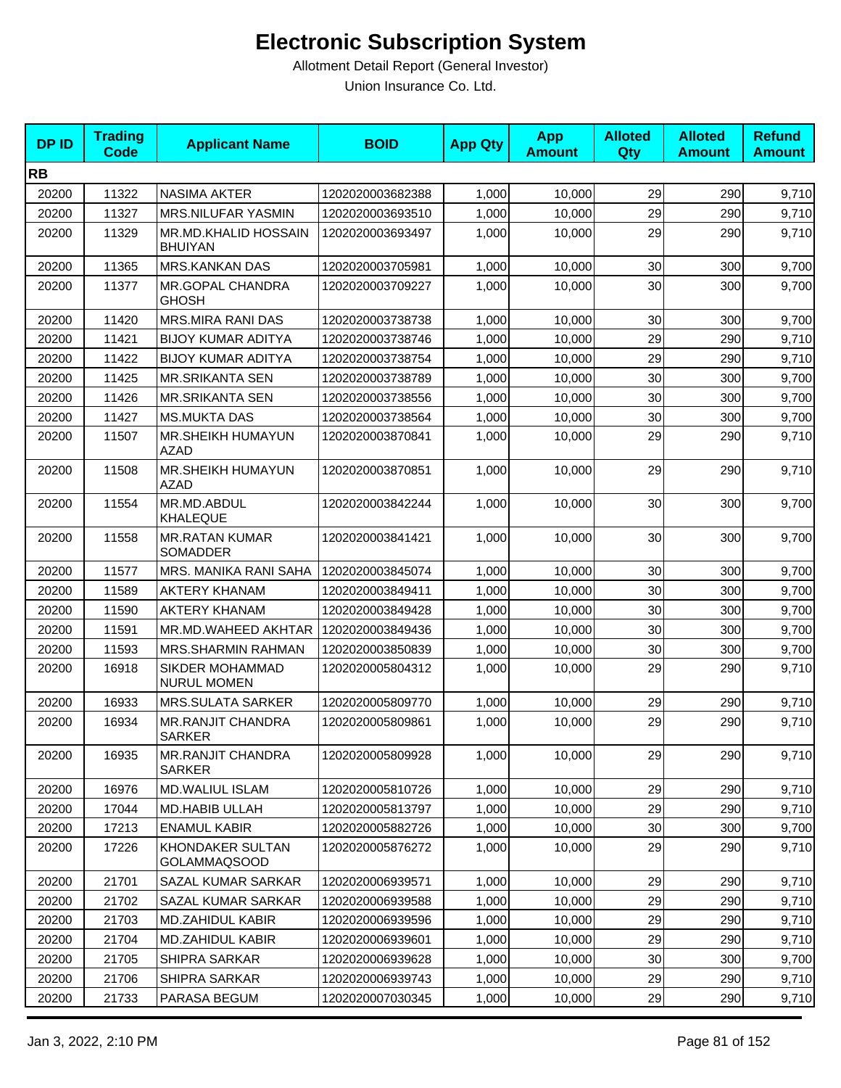| <b>DPID</b> | <b>Trading</b><br><b>Code</b> | <b>Applicant Name</b>                     | <b>BOID</b>      | <b>App Qty</b> | <b>App</b><br><b>Amount</b> | <b>Alloted</b><br>Qty | <b>Alloted</b><br><b>Amount</b> | <b>Refund</b><br><b>Amount</b> |
|-------------|-------------------------------|-------------------------------------------|------------------|----------------|-----------------------------|-----------------------|---------------------------------|--------------------------------|
| <b>RB</b>   |                               |                                           |                  |                |                             |                       |                                 |                                |
| 20200       | 11322                         | <b>NASIMA AKTER</b>                       | 1202020003682388 | 1,000          | 10,000                      | 29                    | 290                             | 9,710                          |
| 20200       | 11327                         | MRS.NILUFAR YASMIN                        | 1202020003693510 | 1,000          | 10,000                      | 29                    | 290                             | 9,710                          |
| 20200       | 11329                         | MR.MD.KHALID HOSSAIN<br><b>BHUIYAN</b>    | 1202020003693497 | 1,000          | 10,000                      | 29                    | 290                             | 9,710                          |
| 20200       | 11365                         | <b>MRS.KANKAN DAS</b>                     | 1202020003705981 | 1,000          | 10,000                      | 30                    | 300                             | 9,700                          |
| 20200       | 11377                         | MR.GOPAL CHANDRA<br><b>GHOSH</b>          | 1202020003709227 | 1,000          | 10,000                      | 30                    | 300                             | 9,700                          |
| 20200       | 11420                         | <b>MRS.MIRA RANI DAS</b>                  | 1202020003738738 | 1,000          | 10,000                      | 30                    | 300                             | 9,700                          |
| 20200       | 11421                         | <b>BIJOY KUMAR ADITYA</b>                 | 1202020003738746 | 1,000          | 10,000                      | 29                    | 290                             | 9,710                          |
| 20200       | 11422                         | <b>BIJOY KUMAR ADITYA</b>                 | 1202020003738754 | 1,000          | 10,000                      | 29                    | 290                             | 9,710                          |
| 20200       | 11425                         | <b>MR.SRIKANTA SEN</b>                    | 1202020003738789 | 1,000          | 10,000                      | 30                    | 300                             | 9,700                          |
| 20200       | 11426                         | <b>MR.SRIKANTA SEN</b>                    | 1202020003738556 | 1,000          | 10,000                      | 30                    | 300                             | 9,700                          |
| 20200       | 11427                         | <b>MS.MUKTA DAS</b>                       | 1202020003738564 | 1,000          | 10,000                      | 30                    | 300                             | 9,700                          |
| 20200       | 11507                         | MR.SHEIKH HUMAYUN<br><b>AZAD</b>          | 1202020003870841 | 1,000          | 10,000                      | 29                    | 290                             | 9,710                          |
| 20200       | 11508                         | MR.SHEIKH HUMAYUN<br><b>AZAD</b>          | 1202020003870851 | 1,000          | 10,000                      | 29                    | 290                             | 9,710                          |
| 20200       | 11554                         | MR.MD.ABDUL<br><b>KHALEQUE</b>            | 1202020003842244 | 1,000          | 10,000                      | 30                    | 300                             | 9,700                          |
| 20200       | 11558                         | <b>MR.RATAN KUMAR</b><br>SOMADDER         | 1202020003841421 | 1,000          | 10,000                      | 30                    | 300                             | 9,700                          |
| 20200       | 11577                         | MRS. MANIKA RANI SAHA                     | 1202020003845074 | 1,000          | 10,000                      | 30                    | 300                             | 9,700                          |
| 20200       | 11589                         | <b>AKTERY KHANAM</b>                      | 1202020003849411 | 1,000          | 10,000                      | 30                    | 300                             | 9,700                          |
| 20200       | 11590                         | <b>AKTERY KHANAM</b>                      | 1202020003849428 | 1,000          | 10,000                      | 30                    | 300                             | 9,700                          |
| 20200       | 11591                         | MR.MD.WAHEED AKHTAR                       | 1202020003849436 | 1,000          | 10,000                      | 30                    | 300                             | 9,700                          |
| 20200       | 11593                         | MRS.SHARMIN RAHMAN                        | 1202020003850839 | 1,000          | 10,000                      | 30                    | 300                             | 9,700                          |
| 20200       | 16918                         | SIKDER MOHAMMAD<br><b>NURUL MOMEN</b>     | 1202020005804312 | 1,000          | 10,000                      | 29                    | 290                             | 9,710                          |
| 20200       | 16933                         | <b>MRS.SULATA SARKER</b>                  | 1202020005809770 | 1,000          | 10,000                      | 29                    | 290                             | 9,710                          |
| 20200       | 16934                         | <b>MR.RANJIT CHANDRA</b><br><b>SARKER</b> | 1202020005809861 | 1,000          | 10,000                      | 29                    | 290                             | 9,710                          |
| 20200       | 16935                         | <b>MR.RANJIT CHANDRA</b><br><b>SARKER</b> | 1202020005809928 | 1,000          | 10,000                      | 29                    | 290                             | 9,710                          |
| 20200       | 16976                         | MD.WALIUL ISLAM                           | 1202020005810726 | 1,000          | 10,000                      | 29                    | 290                             | 9,710                          |
| 20200       | 17044                         | MD.HABIB ULLAH                            | 1202020005813797 | 1,000          | 10,000                      | 29                    | 290                             | 9,710                          |
| 20200       | 17213                         | <b>ENAMUL KABIR</b>                       | 1202020005882726 | 1,000          | 10,000                      | 30                    | 300                             | 9,700                          |
| 20200       | 17226                         | KHONDAKER SULTAN<br><b>GOLAMMAQSOOD</b>   | 1202020005876272 | 1,000          | 10,000                      | 29                    | 290                             | 9,710                          |
| 20200       | 21701                         | SAZAL KUMAR SARKAR                        | 1202020006939571 | 1,000          | 10,000                      | 29                    | 290                             | 9,710                          |
| 20200       | 21702                         | SAZAL KUMAR SARKAR                        | 1202020006939588 | 1,000          | 10,000                      | 29                    | 290                             | 9,710                          |
| 20200       | 21703                         | <b>MD.ZAHIDUL KABIR</b>                   | 1202020006939596 | 1,000          | 10,000                      | 29                    | 290                             | 9,710                          |
| 20200       | 21704                         | <b>MD.ZAHIDUL KABIR</b>                   | 1202020006939601 | 1,000          | 10,000                      | 29                    | 290                             | 9,710                          |
| 20200       | 21705                         | SHIPRA SARKAR                             | 1202020006939628 | 1,000          | 10,000                      | 30                    | 300                             | 9,700                          |
| 20200       | 21706                         | SHIPRA SARKAR                             | 1202020006939743 | 1,000          | 10,000                      | 29                    | 290                             | 9,710                          |
| 20200       | 21733                         | PARASA BEGUM                              | 1202020007030345 | 1,000          | 10,000                      | 29                    | 290                             | 9,710                          |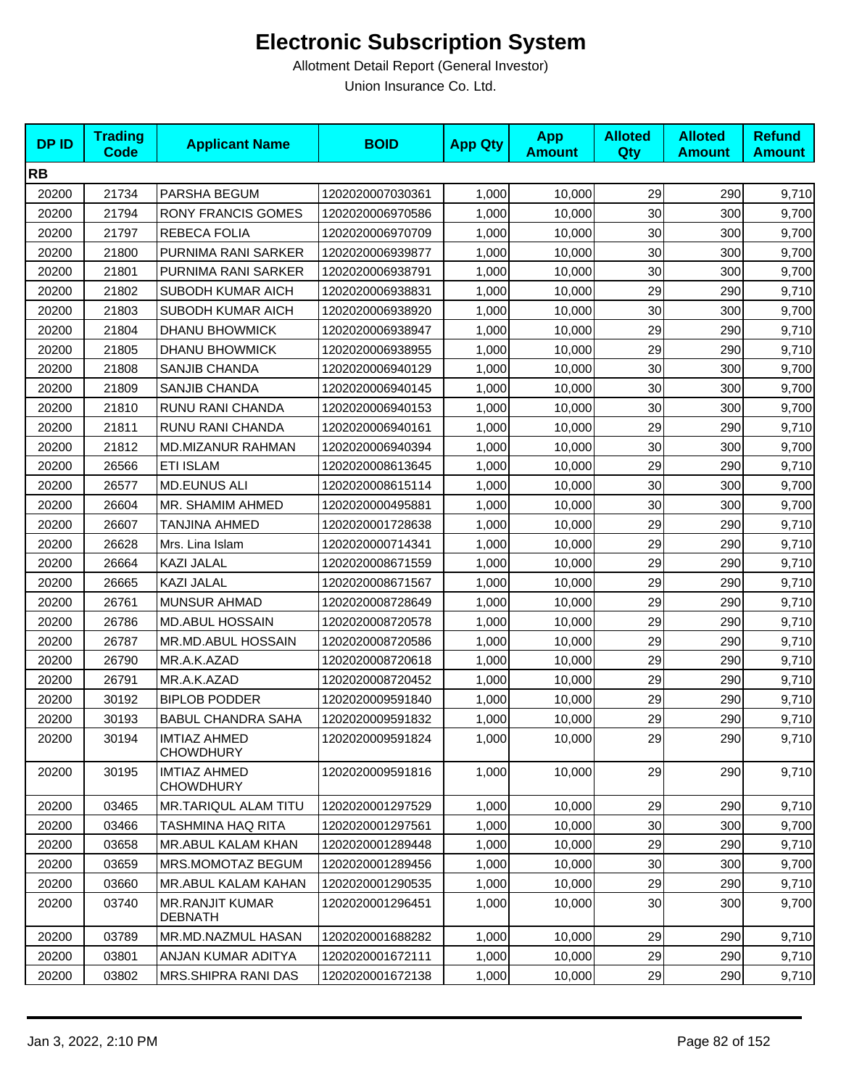| <b>DPID</b> | <b>Trading</b><br><b>Code</b> | <b>Applicant Name</b>                    | <b>BOID</b>      | <b>App Qty</b> | <b>App</b><br><b>Amount</b> | <b>Alloted</b><br>Qty | <b>Alloted</b><br><b>Amount</b> | <b>Refund</b><br><b>Amount</b> |
|-------------|-------------------------------|------------------------------------------|------------------|----------------|-----------------------------|-----------------------|---------------------------------|--------------------------------|
| <b>RB</b>   |                               |                                          |                  |                |                             |                       |                                 |                                |
| 20200       | 21734                         | PARSHA BEGUM                             | 1202020007030361 | 1,000          | 10,000                      | 29                    | 290                             | 9,710                          |
| 20200       | 21794                         | <b>RONY FRANCIS GOMES</b>                | 1202020006970586 | 1,000          | 10,000                      | 30                    | 300                             | 9,700                          |
| 20200       | 21797                         | REBECA FOLIA                             | 1202020006970709 | 1,000          | 10,000                      | 30                    | 300                             | 9,700                          |
| 20200       | 21800                         | PURNIMA RANI SARKER                      | 1202020006939877 | 1,000          | 10,000                      | 30                    | 300                             | 9,700                          |
| 20200       | 21801                         | PURNIMA RANI SARKER                      | 1202020006938791 | 1,000          | 10,000                      | 30                    | 300                             | 9,700                          |
| 20200       | 21802                         | SUBODH KUMAR AICH                        | 1202020006938831 | 1,000          | 10,000                      | 29                    | 290                             | 9,710                          |
| 20200       | 21803                         | SUBODH KUMAR AICH                        | 1202020006938920 | 1,000          | 10,000                      | 30                    | 300                             | 9,700                          |
| 20200       | 21804                         | <b>DHANU BHOWMICK</b>                    | 1202020006938947 | 1,000          | 10,000                      | 29                    | 290                             | 9,710                          |
| 20200       | 21805                         | DHANU BHOWMICK                           | 1202020006938955 | 1,000          | 10,000                      | 29                    | 290                             | 9,710                          |
| 20200       | 21808                         | <b>SANJIB CHANDA</b>                     | 1202020006940129 | 1,000          | 10,000                      | 30                    | 300                             | 9,700                          |
| 20200       | 21809                         | SANJIB CHANDA                            | 1202020006940145 | 1,000          | 10,000                      | 30                    | 300                             | 9,700                          |
| 20200       | 21810                         | RUNU RANI CHANDA                         | 1202020006940153 | 1,000          | 10,000                      | 30                    | 300                             | 9,700                          |
| 20200       | 21811                         | RUNU RANI CHANDA                         | 1202020006940161 | 1,000          | 10,000                      | 29                    | 290                             | 9,710                          |
| 20200       | 21812                         | <b>MD.MIZANUR RAHMAN</b>                 | 1202020006940394 | 1,000          | 10,000                      | 30                    | 300                             | 9,700                          |
| 20200       | 26566                         | <b>ETI ISLAM</b>                         | 1202020008613645 | 1,000          | 10,000                      | 29                    | 290                             | 9,710                          |
| 20200       | 26577                         | <b>MD.EUNUS ALI</b>                      | 1202020008615114 | 1,000          | 10,000                      | 30                    | 300                             | 9,700                          |
| 20200       | 26604                         | MR. SHAMIM AHMED                         | 1202020000495881 | 1,000          | 10,000                      | 30                    | 300                             | 9,700                          |
| 20200       | 26607                         | <b>TANJINA AHMED</b>                     | 1202020001728638 | 1,000          | 10,000                      | 29                    | 290                             | 9,710                          |
| 20200       | 26628                         | Mrs. Lina Islam                          | 1202020000714341 | 1,000          | 10,000                      | 29                    | 290                             | 9,710                          |
| 20200       | 26664                         | KAZI JALAL                               | 1202020008671559 | 1,000          | 10,000                      | 29                    | 290                             | 9,710                          |
| 20200       | 26665                         | <b>KAZI JALAL</b>                        | 1202020008671567 | 1,000          | 10,000                      | 29                    | 290                             | 9,710                          |
| 20200       | 26761                         | <b>MUNSUR AHMAD</b>                      | 1202020008728649 | 1,000          | 10,000                      | 29                    | 290                             | 9,710                          |
| 20200       | 26786                         | <b>MD.ABUL HOSSAIN</b>                   | 1202020008720578 | 1,000          | 10,000                      | 29                    | 290                             | 9,710                          |
| 20200       | 26787                         | MR.MD.ABUL HOSSAIN                       | 1202020008720586 | 1,000          | 10,000                      | 29                    | 290                             | 9,710                          |
| 20200       | 26790                         | MR.A.K.AZAD                              | 1202020008720618 | 1,000          | 10,000                      | 29                    | 290                             | 9,710                          |
| 20200       | 26791                         | MR.A.K.AZAD                              | 1202020008720452 | 1,000          | 10,000                      | 29                    | 290                             | 9,710                          |
| 20200       | 30192                         | <b>BIPLOB PODDER</b>                     | 1202020009591840 | 1,000          | 10,000                      | 29                    | 290                             | 9,710                          |
| 20200       | 30193                         | <b>BABUL CHANDRA SAHA</b>                | 1202020009591832 | 1,000          | 10,000                      | 29                    | 290                             | 9,710                          |
| 20200       | 30194                         | IMTIAZ AHMED<br><b>CHOWDHURY</b>         | 1202020009591824 | 1,000          | 10,000                      | 29                    | 290                             | 9,710                          |
| 20200       | 30195                         | <b>IMTIAZ AHMED</b><br><b>CHOWDHURY</b>  | 1202020009591816 | 1,000          | 10,000                      | 29                    | 290                             | 9,710                          |
| 20200       | 03465                         | MR.TARIQUL ALAM TITU                     | 1202020001297529 | 1,000          | 10,000                      | 29                    | 290                             | 9,710                          |
| 20200       | 03466                         | <b>TASHMINA HAQ RITA</b>                 | 1202020001297561 | 1,000          | 10,000                      | 30                    | 300                             | 9,700                          |
| 20200       | 03658                         | MR.ABUL KALAM KHAN                       | 1202020001289448 | 1,000          | 10,000                      | 29                    | 290                             | 9,710                          |
| 20200       | 03659                         | MRS.MOMOTAZ BEGUM                        | 1202020001289456 | 1,000          | 10,000                      | 30                    | 300                             | 9,700                          |
| 20200       | 03660                         | <b>MR.ABUL KALAM KAHAN</b>               | 1202020001290535 | 1,000          | 10,000                      | 29                    | 290                             | 9,710                          |
| 20200       | 03740                         | <b>MR.RANJIT KUMAR</b><br><b>DEBNATH</b> | 1202020001296451 | 1,000          | 10,000                      | 30                    | 300                             | 9,700                          |
| 20200       | 03789                         | MR.MD.NAZMUL HASAN                       | 1202020001688282 | 1,000          | 10,000                      | 29                    | 290                             | 9,710                          |
| 20200       | 03801                         | ANJAN KUMAR ADITYA                       | 1202020001672111 | 1,000          | 10,000                      | 29                    | 290                             | 9,710                          |
| 20200       | 03802                         | MRS.SHIPRA RANI DAS                      | 1202020001672138 | 1,000          | 10,000                      | 29                    | 290                             | 9,710                          |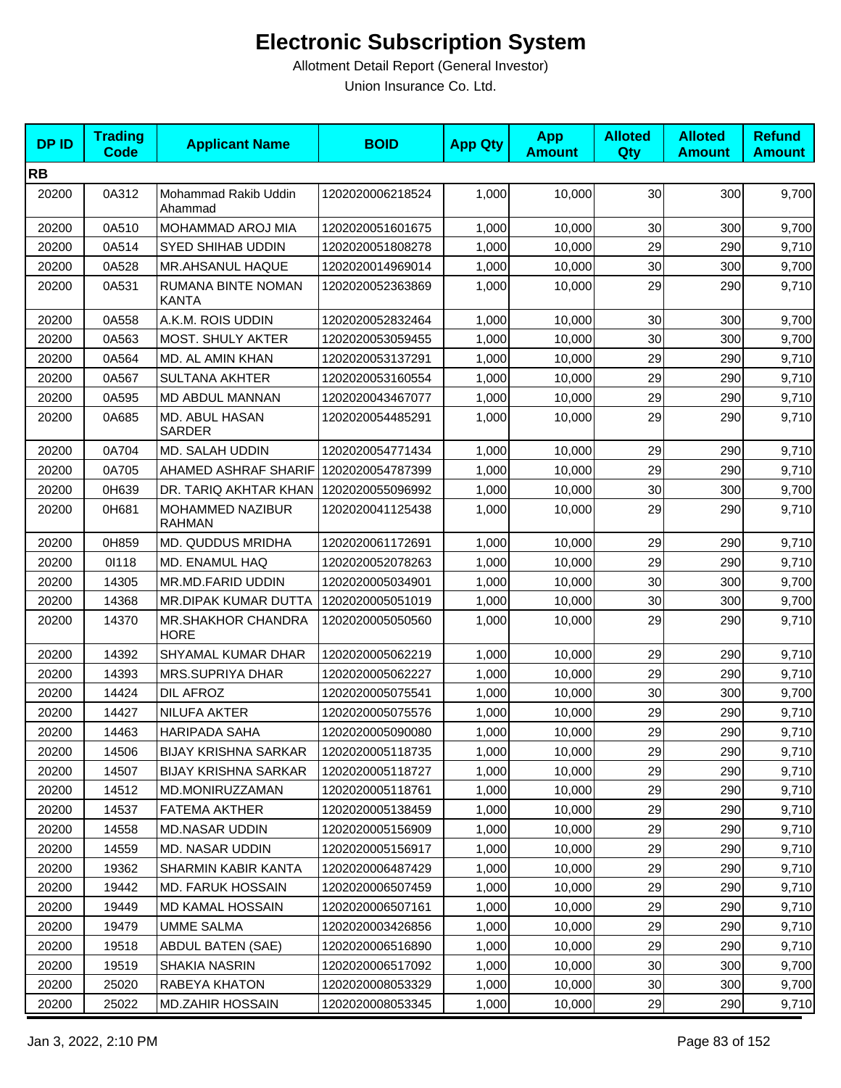| <b>DPID</b> | <b>Trading</b><br><b>Code</b> | <b>Applicant Name</b>              | <b>BOID</b>      | <b>App Qty</b> | <b>App</b><br><b>Amount</b> | <b>Alloted</b><br>Qty | <b>Alloted</b><br><b>Amount</b> | <b>Refund</b><br><b>Amount</b> |
|-------------|-------------------------------|------------------------------------|------------------|----------------|-----------------------------|-----------------------|---------------------------------|--------------------------------|
| <b>RB</b>   |                               |                                    |                  |                |                             |                       |                                 |                                |
| 20200       | 0A312                         | Mohammad Rakib Uddin<br>Ahammad    | 1202020006218524 | 1,000          | 10,000                      | 30                    | 300                             | 9,700                          |
| 20200       | 0A510                         | <b>MOHAMMAD AROJ MIA</b>           | 1202020051601675 | 1,000          | 10,000                      | 30                    | 300                             | 9,700                          |
| 20200       | 0A514                         | <b>SYED SHIHAB UDDIN</b>           | 1202020051808278 | 1,000          | 10,000                      | 29                    | 290                             | 9,710                          |
| 20200       | 0A528                         | MR.AHSANUL HAQUE                   | 1202020014969014 | 1,000          | 10,000                      | 30                    | 300                             | 9,700                          |
| 20200       | 0A531                         | RUMANA BINTE NOMAN<br><b>KANTA</b> | 1202020052363869 | 1,000          | 10,000                      | 29                    | 290                             | 9,710                          |
| 20200       | 0A558                         | A.K.M. ROIS UDDIN                  | 1202020052832464 | 1,000          | 10,000                      | 30                    | 300                             | 9,700                          |
| 20200       | 0A563                         | <b>MOST. SHULY AKTER</b>           | 1202020053059455 | 1,000          | 10,000                      | 30                    | 300                             | 9,700                          |
| 20200       | 0A564                         | MD. AL AMIN KHAN                   | 1202020053137291 | 1,000          | 10,000                      | 29                    | 290                             | 9,710                          |
| 20200       | 0A567                         | <b>SULTANA AKHTER</b>              | 1202020053160554 | 1,000          | 10,000                      | 29                    | 290                             | 9,710                          |
| 20200       | 0A595                         | MD ABDUL MANNAN                    | 1202020043467077 | 1,000          | 10,000                      | 29                    | 290                             | 9,710                          |
| 20200       | 0A685                         | MD. ABUL HASAN<br><b>SARDER</b>    | 1202020054485291 | 1,000          | 10,000                      | 29                    | 290                             | 9,710                          |
| 20200       | 0A704                         | MD. SALAH UDDIN                    | 1202020054771434 | 1,000          | 10,000                      | 29                    | 290                             | 9,710                          |
| 20200       | 0A705                         | AHAMED ASHRAF SHARIF               | 1202020054787399 | 1,000          | 10,000                      | 29                    | 290                             | 9,710                          |
| 20200       | 0H639                         | DR. TARIQ AKHTAR KHAN              | 1202020055096992 | 1,000          | 10,000                      | 30                    | 300                             | 9,700                          |
| 20200       | 0H681                         | MOHAMMED NAZIBUR<br><b>RAHMAN</b>  | 1202020041125438 | 1,000          | 10.000                      | 29                    | 290                             | 9,710                          |
| 20200       | 0H859                         | <b>MD. QUDDUS MRIDHA</b>           | 1202020061172691 | 1,000          | 10,000                      | 29                    | 290                             | 9,710                          |
| 20200       | 01118                         | MD. ENAMUL HAQ                     | 1202020052078263 | 1,000          | 10,000                      | 29                    | 290                             | 9,710                          |
| 20200       | 14305                         | MR.MD.FARID UDDIN                  | 1202020005034901 | 1,000          | 10,000                      | 30                    | 300                             | 9,700                          |
| 20200       | 14368                         | MR.DIPAK KUMAR DUTTA               | 1202020005051019 | 1,000          | 10,000                      | 30                    | 300                             | 9,700                          |
| 20200       | 14370                         | MR.SHAKHOR CHANDRA<br><b>HORE</b>  | 1202020005050560 | 1,000          | 10,000                      | 29                    | 290                             | 9,710                          |
| 20200       | 14392                         | SHYAMAL KUMAR DHAR                 | 1202020005062219 | 1,000          | 10,000                      | 29                    | 290                             | 9,710                          |
| 20200       | 14393                         | <b>MRS.SUPRIYA DHAR</b>            | 1202020005062227 | 1,000          | 10,000                      | 29                    | 290                             | 9,710                          |
| 20200       | 14424                         | DIL AFROZ                          | 1202020005075541 | 1,000          | 10,000                      | 30                    | 300                             | 9,700                          |
| 20200       | 14427                         | <b>NILUFA AKTER</b>                | 1202020005075576 | 1,000          | 10,000                      | 29                    | 290                             | 9,710                          |
| 20200       | 14463                         | <b>HARIPADA SAHA</b>               | 1202020005090080 | 1,000          | 10,000                      | 29                    | 290                             | 9,710                          |
| 20200       | 14506                         | <b>BIJAY KRISHNA SARKAR</b>        | 1202020005118735 | 1,000          | 10,000                      | 29                    | 290                             | 9,710                          |
| 20200       | 14507                         | <b>BIJAY KRISHNA SARKAR</b>        | 1202020005118727 | 1,000          | 10,000                      | 29                    | 290                             | 9,710                          |
| 20200       | 14512                         | MD.MONIRUZZAMAN                    | 1202020005118761 | 1,000          | 10,000                      | 29                    | 290                             | 9,710                          |
| 20200       | 14537                         | <b>FATEMA AKTHER</b>               | 1202020005138459 | 1,000          | 10,000                      | 29                    | 290                             | 9,710                          |
| 20200       | 14558                         | <b>MD.NASAR UDDIN</b>              | 1202020005156909 | 1,000          | 10,000                      | 29                    | 290                             | 9,710                          |
| 20200       | 14559                         | <b>MD. NASAR UDDIN</b>             | 1202020005156917 | 1,000          | 10,000                      | 29                    | 290                             | 9,710                          |
| 20200       | 19362                         | SHARMIN KABIR KANTA                | 1202020006487429 | 1,000          | 10,000                      | 29                    | 290                             | 9,710                          |
| 20200       | 19442                         | MD. FARUK HOSSAIN                  | 1202020006507459 | 1,000          | 10,000                      | 29                    | 290                             | 9,710                          |
| 20200       | 19449                         | MD KAMAL HOSSAIN                   | 1202020006507161 | 1,000          | 10,000                      | 29                    | 290                             | 9,710                          |
| 20200       | 19479                         | <b>UMME SALMA</b>                  | 1202020003426856 | 1,000          | 10,000                      | 29                    | 290                             | 9,710                          |
| 20200       | 19518                         | <b>ABDUL BATEN (SAE)</b>           | 1202020006516890 | 1,000          | 10,000                      | 29                    | 290                             | 9,710                          |
| 20200       | 19519                         | SHAKIA NASRIN                      | 1202020006517092 | 1,000          | 10,000                      | 30                    | 300                             | 9,700                          |
| 20200       | 25020                         | RABEYA KHATON                      | 1202020008053329 | 1,000          | 10,000                      | 30                    | 300                             | 9,700                          |
| 20200       | 25022                         | <b>MD.ZAHIR HOSSAIN</b>            | 1202020008053345 | 1,000          | 10,000                      | 29                    | 290                             | 9,710                          |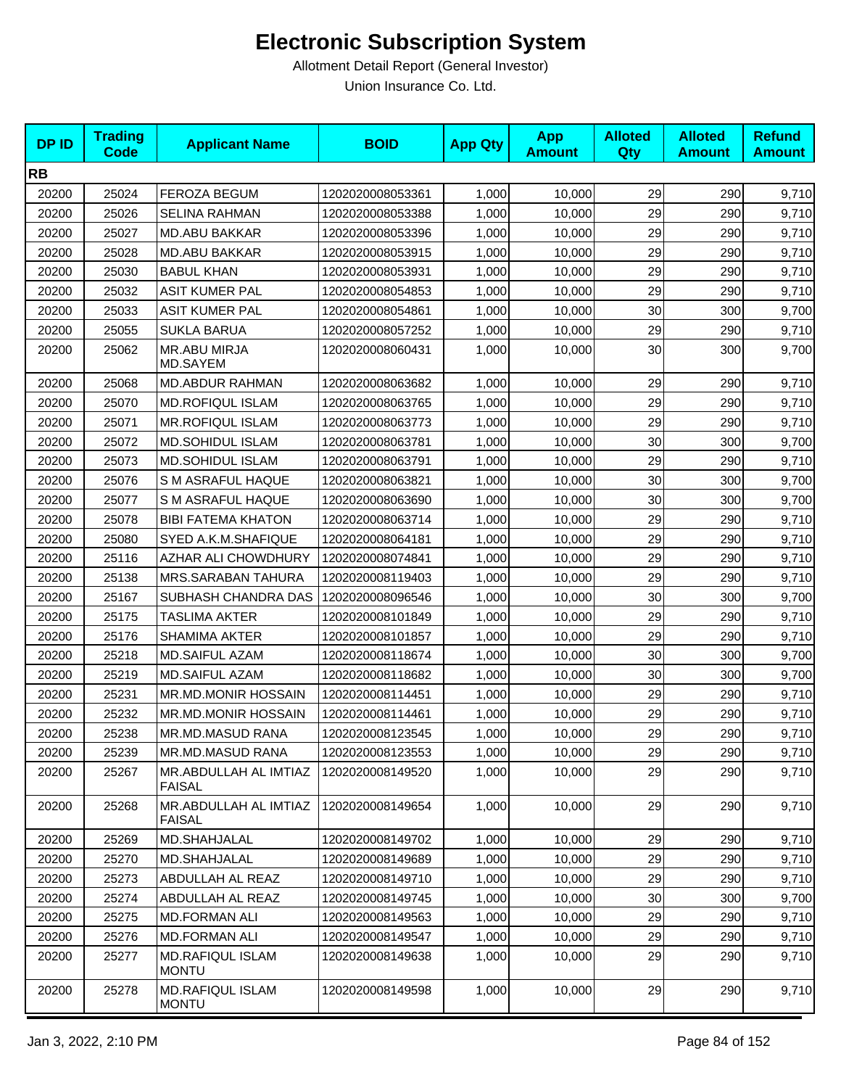| <b>DPID</b> | <b>Trading</b><br><b>Code</b> | <b>Applicant Name</b>                   | <b>BOID</b>      | <b>App Qty</b> | <b>App</b><br><b>Amount</b> | <b>Alloted</b><br><b>Qty</b> | <b>Alloted</b><br><b>Amount</b> | <b>Refund</b><br><b>Amount</b> |
|-------------|-------------------------------|-----------------------------------------|------------------|----------------|-----------------------------|------------------------------|---------------------------------|--------------------------------|
| <b>RB</b>   |                               |                                         |                  |                |                             |                              |                                 |                                |
| 20200       | 25024                         | FEROZA BEGUM                            | 1202020008053361 | 1,000          | 10,000                      | 29                           | 290                             | 9,710                          |
| 20200       | 25026                         | <b>SELINA RAHMAN</b>                    | 1202020008053388 | 1,000          | 10,000                      | 29                           | 290                             | 9,710                          |
| 20200       | 25027                         | <b>MD.ABU BAKKAR</b>                    | 1202020008053396 | 1,000          | 10,000                      | 29                           | 290                             | 9,710                          |
| 20200       | 25028                         | <b>MD.ABU BAKKAR</b>                    | 1202020008053915 | 1,000          | 10,000                      | 29                           | 290                             | 9,710                          |
| 20200       | 25030                         | <b>BABUL KHAN</b>                       | 1202020008053931 | 1,000          | 10,000                      | 29                           | 290                             | 9,710                          |
| 20200       | 25032                         | <b>ASIT KUMER PAL</b>                   | 1202020008054853 | 1,000          | 10,000                      | 29                           | 290                             | 9,710                          |
| 20200       | 25033                         | <b>ASIT KUMER PAL</b>                   | 1202020008054861 | 1,000          | 10,000                      | 30                           | 300                             | 9,700                          |
| 20200       | 25055                         | <b>SUKLA BARUA</b>                      | 1202020008057252 | 1,000          | 10,000                      | 29                           | 290                             | 9,710                          |
| 20200       | 25062                         | MR.ABU MIRJA<br>MD.SAYEM                | 1202020008060431 | 1,000          | 10,000                      | 30                           | 300                             | 9,700                          |
| 20200       | 25068                         | MD.ABDUR RAHMAN                         | 1202020008063682 | 1,000          | 10,000                      | 29                           | 290                             | 9,710                          |
| 20200       | 25070                         | <b>MD.ROFIQUL ISLAM</b>                 | 1202020008063765 | 1,000          | 10,000                      | 29                           | 290                             | 9,710                          |
| 20200       | 25071                         | <b>MR.ROFIQUL ISLAM</b>                 | 1202020008063773 | 1,000          | 10,000                      | 29                           | 290                             | 9,710                          |
| 20200       | 25072                         | <b>MD.SOHIDUL ISLAM</b>                 | 1202020008063781 | 1,000          | 10,000                      | 30                           | 300                             | 9,700                          |
| 20200       | 25073                         | <b>MD.SOHIDUL ISLAM</b>                 | 1202020008063791 | 1,000          | 10,000                      | 29                           | 290                             | 9,710                          |
| 20200       | 25076                         | S M ASRAFUL HAQUE                       | 1202020008063821 | 1,000          | 10,000                      | 30                           | 300                             | 9,700                          |
| 20200       | 25077                         | S M ASRAFUL HAQUE                       | 1202020008063690 | 1,000          | 10,000                      | 30                           | 300                             | 9,700                          |
| 20200       | 25078                         | <b>BIBI FATEMA KHATON</b>               | 1202020008063714 | 1,000          | 10,000                      | 29                           | 290                             | 9,710                          |
| 20200       | 25080                         | SYED A.K.M.SHAFIQUE                     | 1202020008064181 | 1,000          | 10,000                      | 29                           | 290                             | 9,710                          |
| 20200       | 25116                         | AZHAR ALI CHOWDHURY                     | 1202020008074841 | 1,000          | 10,000                      | 29                           | 290                             | 9,710                          |
| 20200       | 25138                         | MRS.SARABAN TAHURA                      | 1202020008119403 | 1,000          | 10,000                      | 29                           | 290                             | 9,710                          |
| 20200       | 25167                         | SUBHASH CHANDRA DAS                     | 1202020008096546 | 1,000          | 10,000                      | 30                           | 300                             | 9,700                          |
| 20200       | 25175                         | <b>TASLIMA AKTER</b>                    | 1202020008101849 | 1,000          | 10,000                      | 29                           | 290                             | 9,710                          |
| 20200       | 25176                         | <b>SHAMIMA AKTER</b>                    | 1202020008101857 | 1,000          | 10,000                      | 29                           | 290                             | 9,710                          |
| 20200       | 25218                         | <b>MD.SAIFUL AZAM</b>                   | 1202020008118674 | 1,000          | 10,000                      | 30                           | 300                             | 9,700                          |
| 20200       | 25219                         | <b>MD.SAIFUL AZAM</b>                   | 1202020008118682 | 1,000          | 10,000                      | 30                           | 300                             | 9,700                          |
| 20200       | 25231                         | MR.MD.MONIR HOSSAIN                     | 1202020008114451 | 1,000          | 10,000                      | 29                           | 290                             | 9,710                          |
| 20200       | 25232                         | MR.MD.MONIR HOSSAIN                     | 1202020008114461 | 1,000          | 10,000                      | 29                           | 290                             | 9,710                          |
| 20200       | 25238                         | MR.MD.MASUD RANA                        | 1202020008123545 | 1,000          | 10,000                      | 29                           | 290                             | 9,710                          |
| 20200       | 25239                         | MR.MD.MASUD RANA                        | 1202020008123553 | 1,000          | 10,000                      | 29                           | 290                             | 9,710                          |
| 20200       | 25267                         | MR.ABDULLAH AL IMTIAZ<br><b>FAISAL</b>  | 1202020008149520 | 1,000          | 10,000                      | 29                           | 290                             | 9,710                          |
| 20200       | 25268                         | MR.ABDULLAH AL IMTIAZ<br><b>FAISAL</b>  | 1202020008149654 | 1,000          | 10,000                      | 29                           | 290                             | 9,710                          |
| 20200       | 25269                         | MD.SHAHJALAL                            | 1202020008149702 | 1,000          | 10,000                      | 29                           | 290                             | 9,710                          |
| 20200       | 25270                         | MD.SHAHJALAL                            | 1202020008149689 | 1,000          | 10,000                      | 29                           | 290                             | 9,710                          |
| 20200       | 25273                         | ABDULLAH AL REAZ                        | 1202020008149710 | 1,000          | 10,000                      | 29                           | 290                             | 9,710                          |
| 20200       | 25274                         | ABDULLAH AL REAZ                        | 1202020008149745 | 1,000          | 10,000                      | 30                           | 300                             | 9,700                          |
| 20200       | 25275                         | <b>MD.FORMAN ALI</b>                    | 1202020008149563 | 1,000          | 10,000                      | 29                           | 290                             | 9,710                          |
| 20200       | 25276                         | <b>MD.FORMAN ALI</b>                    | 1202020008149547 | 1,000          | 10,000                      | 29                           | 290                             | 9,710                          |
| 20200       | 25277                         | MD.RAFIQUL ISLAM<br><b>MONTU</b>        | 1202020008149638 | 1,000          | 10,000                      | 29                           | 290                             | 9,710                          |
| 20200       | 25278                         | <b>MD.RAFIQUL ISLAM</b><br><b>MONTU</b> | 1202020008149598 | 1,000          | 10,000                      | 29                           | 290                             | 9,710                          |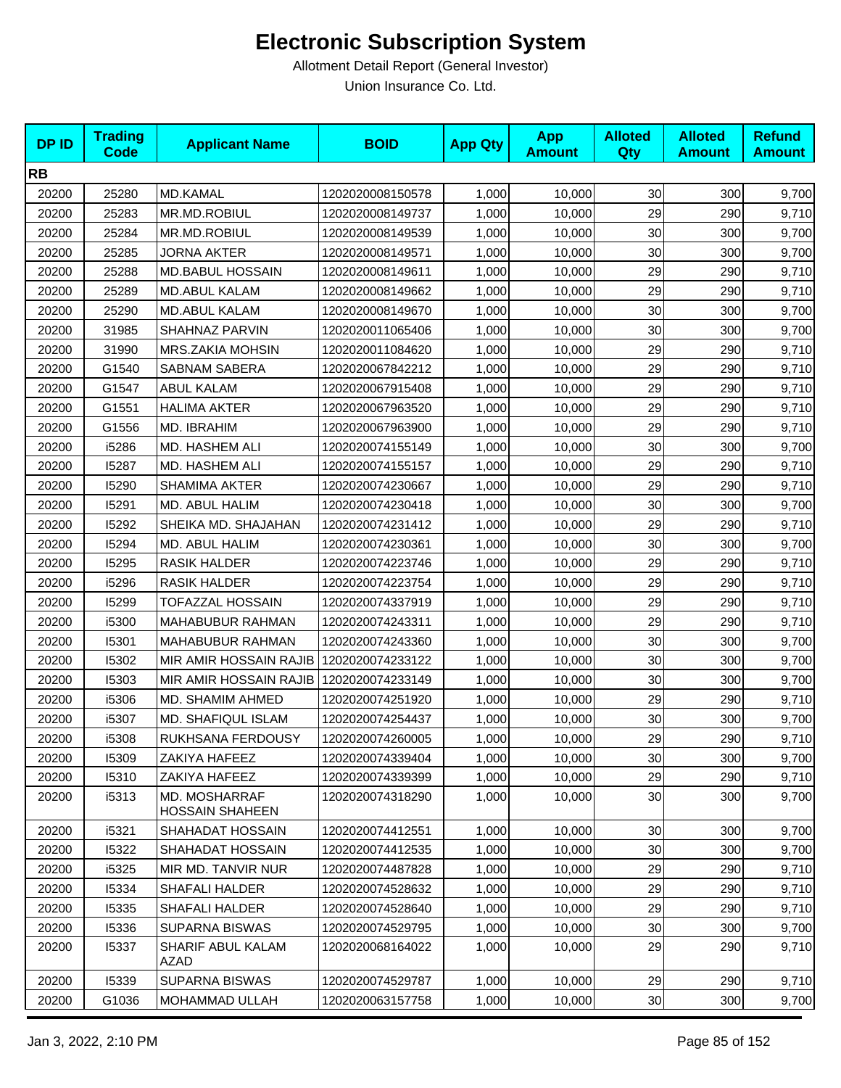| <b>DPID</b> | <b>Trading</b><br><b>Code</b> | <b>Applicant Name</b>                   | <b>BOID</b>      | <b>App Qty</b> | <b>App</b><br><b>Amount</b> | <b>Alloted</b><br>Qty | <b>Alloted</b><br><b>Amount</b> | <b>Refund</b><br><b>Amount</b> |
|-------------|-------------------------------|-----------------------------------------|------------------|----------------|-----------------------------|-----------------------|---------------------------------|--------------------------------|
| <b>RB</b>   |                               |                                         |                  |                |                             |                       |                                 |                                |
| 20200       | 25280                         | MD.KAMAL                                | 1202020008150578 | 1,000          | 10,000                      | 30                    | 300                             | 9,700                          |
| 20200       | 25283                         | MR.MD.ROBIUL                            | 1202020008149737 | 1,000          | 10,000                      | 29                    | 290                             | 9,710                          |
| 20200       | 25284                         | MR.MD.ROBIUL                            | 1202020008149539 | 1,000          | 10,000                      | 30                    | 300                             | 9,700                          |
| 20200       | 25285                         | <b>JORNA AKTER</b>                      | 1202020008149571 | 1,000          | 10,000                      | 30                    | 300                             | 9,700                          |
| 20200       | 25288                         | <b>MD.BABUL HOSSAIN</b>                 | 1202020008149611 | 1,000          | 10,000                      | 29                    | 290                             | 9,710                          |
| 20200       | 25289                         | MD.ABUL KALAM                           | 1202020008149662 | 1,000          | 10,000                      | 29                    | 290                             | 9,710                          |
| 20200       | 25290                         | <b>MD.ABUL KALAM</b>                    | 1202020008149670 | 1,000          | 10,000                      | 30                    | 300                             | 9,700                          |
| 20200       | 31985                         | SHAHNAZ PARVIN                          | 1202020011065406 | 1,000          | 10,000                      | 30                    | 300                             | 9,700                          |
| 20200       | 31990                         | <b>MRS.ZAKIA MOHSIN</b>                 | 1202020011084620 | 1,000          | 10,000                      | 29                    | 290                             | 9,710                          |
| 20200       | G1540                         | SABNAM SABERA                           | 1202020067842212 | 1,000          | 10,000                      | 29                    | 290                             | 9,710                          |
| 20200       | G1547                         | <b>ABUL KALAM</b>                       | 1202020067915408 | 1,000          | 10,000                      | 29                    | 290                             | 9,710                          |
| 20200       | G1551                         | <b>HALIMA AKTER</b>                     | 1202020067963520 | 1,000          | 10,000                      | 29                    | 290                             | 9,710                          |
| 20200       | G1556                         | MD. IBRAHIM                             | 1202020067963900 | 1,000          | 10,000                      | 29                    | 290                             | 9,710                          |
| 20200       | i5286                         | <b>MD. HASHEM ALI</b>                   | 1202020074155149 | 1,000          | 10,000                      | 30                    | 300                             | 9,700                          |
| 20200       | 15287                         | MD. HASHEM ALI                          | 1202020074155157 | 1,000          | 10,000                      | 29                    | 290                             | 9,710                          |
| 20200       | 15290                         | SHAMIMA AKTER                           | 1202020074230667 | 1,000          | 10,000                      | 29                    | 290                             | 9,710                          |
| 20200       | 15291                         | MD. ABUL HALIM                          | 1202020074230418 | 1,000          | 10,000                      | 30                    | 300                             | 9,700                          |
| 20200       | 15292                         | SHEIKA MD. SHAJAHAN                     | 1202020074231412 | 1,000          | 10,000                      | 29                    | 290                             | 9,710                          |
| 20200       | 15294                         | MD. ABUL HALIM                          | 1202020074230361 | 1,000          | 10,000                      | 30                    | 300                             | 9,700                          |
| 20200       | 15295                         | RASIK HALDER                            | 1202020074223746 | 1,000          | 10,000                      | 29                    | 290                             | 9,710                          |
| 20200       | i5296                         | <b>RASIK HALDER</b>                     | 1202020074223754 | 1,000          | 10,000                      | 29                    | 290                             | 9,710                          |
| 20200       | 15299                         | TOFAZZAL HOSSAIN                        | 1202020074337919 | 1,000          | 10,000                      | 29                    | 290                             | 9,710                          |
| 20200       | i5300                         | MAHABUBUR RAHMAN                        | 1202020074243311 | 1,000          | 10,000                      | 29                    | 290                             | 9,710                          |
| 20200       | 15301                         | MAHABUBUR RAHMAN                        | 1202020074243360 | 1,000          | 10,000                      | 30                    | 300                             | 9,700                          |
| 20200       | 15302                         | MIR AMIR HOSSAIN RAJIB                  | 1202020074233122 | 1,000          | 10,000                      | 30                    | 300                             | 9,700                          |
| 20200       | 15303                         | MIR AMIR HOSSAIN RAJIB                  | 1202020074233149 | 1,000          | 10,000                      | 30                    | 300                             | 9,700                          |
| 20200       | i5306                         | MD. SHAMIM AHMED                        | 1202020074251920 | 1,000          | 10,000                      | 29                    | 290                             | 9,710                          |
| 20200       | i5307                         | MD. SHAFIQUL ISLAM                      | 1202020074254437 | 1,000          | 10,000                      | 30                    | 300                             | 9,700                          |
| 20200       | i5308                         | RUKHSANA FERDOUSY                       | 1202020074260005 | 1,000          | 10,000                      | 29                    | 290                             | 9,710                          |
| 20200       | 15309                         | ZAKIYA HAFEEZ                           | 1202020074339404 | 1,000          | 10,000                      | 30                    | 300                             | 9,700                          |
| 20200       | 15310                         | ZAKIYA HAFEEZ                           | 1202020074339399 | 1,000          | 10,000                      | 29                    | 290                             | 9,710                          |
| 20200       | i5313                         | MD. MOSHARRAF<br><b>HOSSAIN SHAHEEN</b> | 1202020074318290 | 1,000          | 10,000                      | 30                    | 300                             | 9,700                          |
| 20200       | i5321                         | SHAHADAT HOSSAIN                        | 1202020074412551 | 1,000          | 10,000                      | 30                    | 300                             | 9,700                          |
| 20200       | 15322                         | SHAHADAT HOSSAIN                        | 1202020074412535 | 1,000          | 10,000                      | 30 <sub>0</sub>       | 300                             | 9,700                          |
| 20200       | i5325                         | MIR MD. TANVIR NUR                      | 1202020074487828 | 1,000          | 10,000                      | 29                    | 290                             | 9,710                          |
| 20200       | 15334                         | SHAFALI HALDER                          | 1202020074528632 | 1,000          | 10,000                      | 29                    | 290                             | 9,710                          |
| 20200       | 15335                         | SHAFALI HALDER                          | 1202020074528640 | 1,000          | 10,000                      | 29                    | 290                             | 9,710                          |
| 20200       | 15336                         | <b>SUPARNA BISWAS</b>                   | 1202020074529795 | 1,000          | 10,000                      | 30                    | 300                             | 9,700                          |
| 20200       | 15337                         | SHARIF ABUL KALAM<br>AZAD               | 1202020068164022 | 1,000          | 10,000                      | 29                    | 290                             | 9,710                          |
| 20200       | 15339                         | <b>SUPARNA BISWAS</b>                   | 1202020074529787 | 1,000          | 10,000                      | 29                    | 290                             | 9,710                          |
| 20200       | G1036                         | MOHAMMAD ULLAH                          | 1202020063157758 | 1,000          | 10,000                      | 30 <sub>2</sub>       | 300                             | 9,700                          |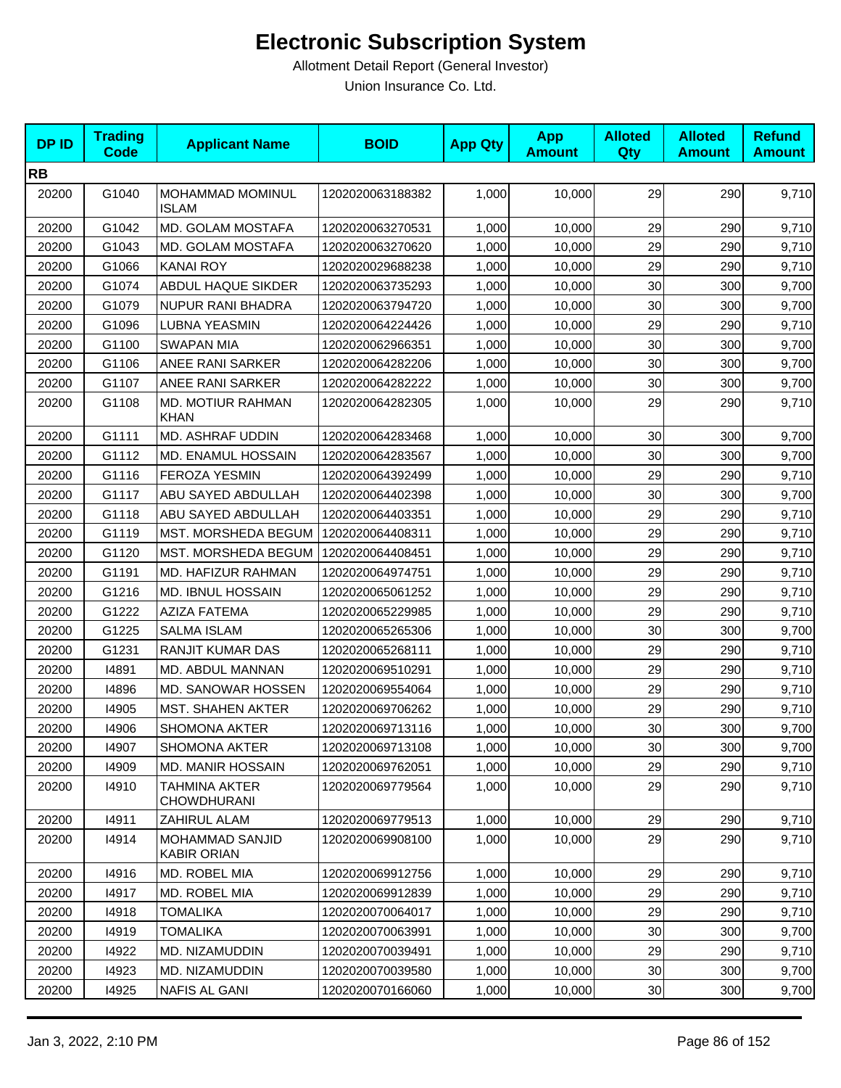| <b>DPID</b> | <b>Trading</b><br><b>Code</b> | <b>Applicant Name</b>                        | <b>BOID</b>      | <b>App Qty</b> | <b>App</b><br><b>Amount</b> | <b>Alloted</b><br>Qty | <b>Alloted</b><br><b>Amount</b> | <b>Refund</b><br><b>Amount</b> |
|-------------|-------------------------------|----------------------------------------------|------------------|----------------|-----------------------------|-----------------------|---------------------------------|--------------------------------|
| <b>RB</b>   |                               |                                              |                  |                |                             |                       |                                 |                                |
| 20200       | G1040                         | MOHAMMAD MOMINUL<br><b>ISLAM</b>             | 1202020063188382 | 1,000          | 10,000                      | 29                    | 290                             | 9,710                          |
| 20200       | G1042                         | MD. GOLAM MOSTAFA                            | 1202020063270531 | 1,000          | 10,000                      | 29                    | 290                             | 9,710                          |
| 20200       | G1043                         | MD. GOLAM MOSTAFA                            | 1202020063270620 | 1,000          | 10,000                      | 29                    | 290                             | 9,710                          |
| 20200       | G1066                         | <b>KANAI ROY</b>                             | 1202020029688238 | 1,000          | 10,000                      | 29                    | 290                             | 9,710                          |
| 20200       | G1074                         | ABDUL HAQUE SIKDER                           | 1202020063735293 | 1,000          | 10,000                      | 30                    | 300                             | 9,700                          |
| 20200       | G1079                         | NUPUR RANI BHADRA                            | 1202020063794720 | 1,000          | 10,000                      | 30                    | 300                             | 9,700                          |
| 20200       | G1096                         | LUBNA YEASMIN                                | 1202020064224426 | 1,000          | 10,000                      | 29                    | 290                             | 9,710                          |
| 20200       | G1100                         | <b>SWAPAN MIA</b>                            | 1202020062966351 | 1,000          | 10,000                      | 30                    | 300                             | 9,700                          |
| 20200       | G1106                         | ANEE RANI SARKER                             | 1202020064282206 | 1,000          | 10,000                      | 30                    | 300                             | 9,700                          |
| 20200       | G1107                         | ANEE RANI SARKER                             | 1202020064282222 | 1,000          | 10,000                      | 30                    | 300                             | 9,700                          |
| 20200       | G1108                         | MD. MOTIUR RAHMAN<br><b>KHAN</b>             | 1202020064282305 | 1,000          | 10,000                      | 29                    | 290                             | 9,710                          |
| 20200       | G1111                         | MD. ASHRAF UDDIN                             | 1202020064283468 | 1,000          | 10,000                      | 30                    | 300                             | 9,700                          |
| 20200       | G1112                         | MD. ENAMUL HOSSAIN                           | 1202020064283567 | 1,000          | 10,000                      | 30                    | 300                             | 9,700                          |
| 20200       | G1116                         | <b>FEROZA YESMIN</b>                         | 1202020064392499 | 1,000          | 10,000                      | 29                    | 290                             | 9,710                          |
| 20200       | G1117                         | ABU SAYED ABDULLAH                           | 1202020064402398 | 1,000          | 10,000                      | 30                    | 300                             | 9,700                          |
| 20200       | G1118                         | ABU SAYED ABDULLAH                           | 1202020064403351 | 1,000          | 10,000                      | 29                    | 290                             | 9,710                          |
| 20200       | G1119                         | MST. MORSHEDA BEGUM                          | 1202020064408311 | 1,000          | 10,000                      | 29                    | 290                             | 9,710                          |
| 20200       | G1120                         | MST. MORSHEDA BEGUM                          | 1202020064408451 | 1,000          | 10,000                      | 29                    | 290                             | 9,710                          |
| 20200       | G1191                         | MD. HAFIZUR RAHMAN                           | 1202020064974751 | 1,000          | 10,000                      | 29                    | 290                             | 9,710                          |
| 20200       | G1216                         | MD. IBNUL HOSSAIN                            | 1202020065061252 | 1,000          | 10,000                      | 29                    | 290                             | 9,710                          |
| 20200       | G1222                         | <b>AZIZA FATEMA</b>                          | 1202020065229985 | 1,000          | 10,000                      | 29                    | 290                             | 9,710                          |
| 20200       | G1225                         | <b>SALMA ISLAM</b>                           | 1202020065265306 | 1,000          | 10,000                      | 30                    | 300                             | 9,700                          |
| 20200       | G1231                         | RANJIT KUMAR DAS                             | 1202020065268111 | 1,000          | 10,000                      | 29                    | 290                             | 9,710                          |
| 20200       | 14891                         | MD. ABDUL MANNAN                             | 1202020069510291 | 1,000          | 10,000                      | 29                    | 290                             | 9,710                          |
| 20200       | 14896                         | MD. SANOWAR HOSSEN                           | 1202020069554064 | 1,000          | 10,000                      | 29                    | 290                             | 9,710                          |
| 20200       | 14905                         | <b>MST. SHAHEN AKTER</b>                     | 1202020069706262 | 1,000          | 10,000                      | 29                    | 290                             | 9,710                          |
| 20200       | 14906                         | SHOMONA AKTER                                | 1202020069713116 | 1,000          | 10,000                      | 30                    | 300                             | 9,700                          |
| 20200       | 14907                         | SHOMONA AKTER                                | 1202020069713108 | 1,000          | 10,000                      | 30 <sub>0</sub>       | 300                             | 9,700                          |
| 20200       | 14909                         | MD. MANIR HOSSAIN                            | 1202020069762051 | 1,000          | 10,000                      | 29                    | 290                             | 9,710                          |
| 20200       | 14910                         | TAHMINA AKTER<br>CHOWDHURANI                 | 1202020069779564 | 1,000          | 10,000                      | 29                    | 290                             | 9,710                          |
| 20200       | 14911                         | ZAHIRUL ALAM                                 | 1202020069779513 | 1,000          | 10,000                      | 29                    | 290                             | 9,710                          |
| 20200       | 14914                         | <b>MOHAMMAD SANJID</b><br><b>KABIR ORIAN</b> | 1202020069908100 | 1,000          | 10,000                      | 29                    | 290                             | 9,710                          |
| 20200       | 14916                         | MD. ROBEL MIA                                | 1202020069912756 | 1,000          | 10,000                      | 29                    | 290                             | 9,710                          |
| 20200       | 14917                         | MD. ROBEL MIA                                | 1202020069912839 | 1,000          | 10,000                      | 29                    | 290                             | 9,710                          |
| 20200       | 14918                         | <b>TOMALIKA</b>                              | 1202020070064017 | 1,000          | 10,000                      | 29                    | 290                             | 9,710                          |
| 20200       | 14919                         | <b>TOMALIKA</b>                              | 1202020070063991 | 1,000          | 10,000                      | 30                    | 300                             | 9,700                          |
| 20200       | 14922                         | MD. NIZAMUDDIN                               | 1202020070039491 | 1,000          | 10,000                      | 29                    | 290                             | 9,710                          |
| 20200       | 14923                         | MD. NIZAMUDDIN                               | 1202020070039580 | 1,000          | 10,000                      | 30                    | 300                             | 9,700                          |
| 20200       | 14925                         | NAFIS AL GANI                                | 1202020070166060 | 1,000          | 10,000                      | 30 <sub>0</sub>       | 300                             | 9,700                          |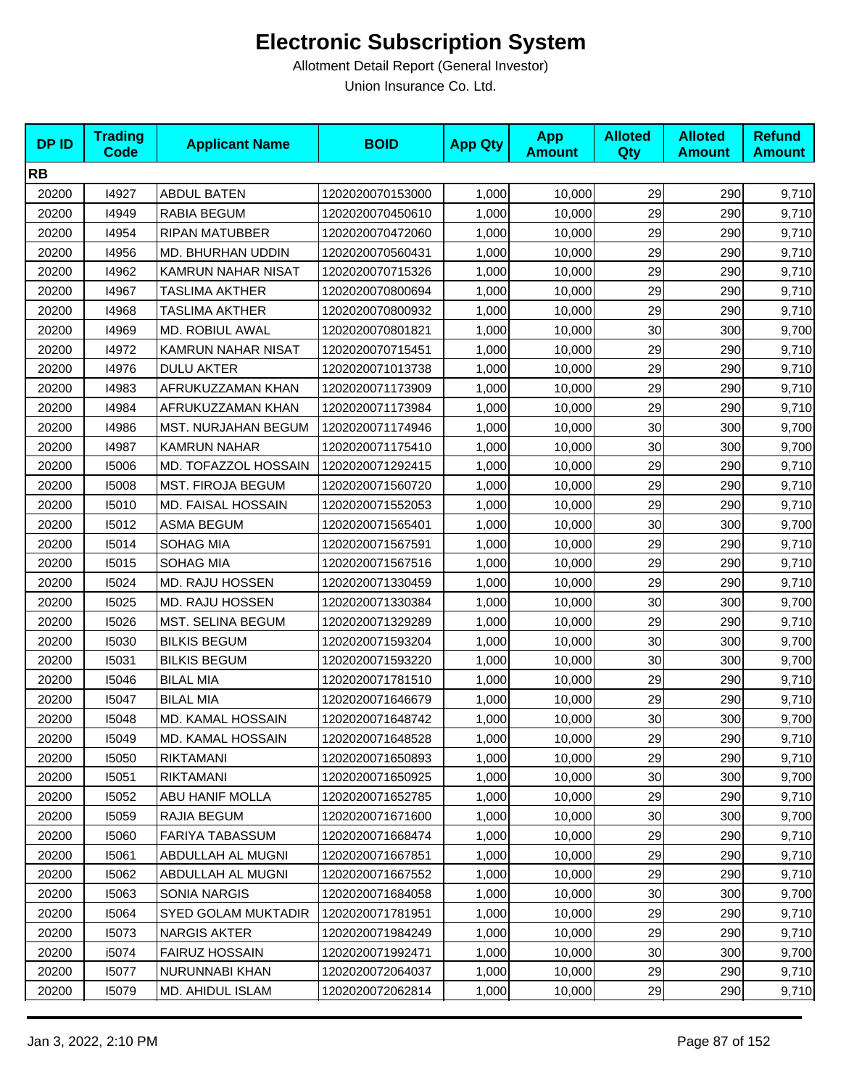| <b>DPID</b> | <b>Trading</b><br><b>Code</b> | <b>Applicant Name</b>      | <b>BOID</b>      | <b>App Qty</b> | <b>App</b><br><b>Amount</b> | <b>Alloted</b><br>Qty | <b>Alloted</b><br><b>Amount</b> | <b>Refund</b><br><b>Amount</b> |
|-------------|-------------------------------|----------------------------|------------------|----------------|-----------------------------|-----------------------|---------------------------------|--------------------------------|
| <b>RB</b>   |                               |                            |                  |                |                             |                       |                                 |                                |
| 20200       | 14927                         | <b>ABDUL BATEN</b>         | 1202020070153000 | 1,000          | 10,000                      | 29                    | 290                             | 9,710                          |
| 20200       | 14949                         | RABIA BEGUM                | 1202020070450610 | 1,000          | 10,000                      | 29                    | 290                             | 9,710                          |
| 20200       | 14954                         | <b>RIPAN MATUBBER</b>      | 1202020070472060 | 1,000          | 10,000                      | 29                    | 290                             | 9,710                          |
| 20200       | 14956                         | MD. BHURHAN UDDIN          | 1202020070560431 | 1,000          | 10,000                      | 29                    | 290                             | 9,710                          |
| 20200       | 14962                         | KAMRUN NAHAR NISAT         | 1202020070715326 | 1,000          | 10,000                      | 29                    | 290                             | 9,710                          |
| 20200       | 14967                         | TASLIMA AKTHER             | 1202020070800694 | 1,000          | 10,000                      | 29                    | 290                             | 9,710                          |
| 20200       | 14968                         | TASLIMA AKTHER             | 1202020070800932 | 1,000          | 10,000                      | 29                    | 290                             | 9,710                          |
| 20200       | 14969                         | MD. ROBIUL AWAL            | 1202020070801821 | 1,000          | 10,000                      | 30                    | 300                             | 9,700                          |
| 20200       | 14972                         | KAMRUN NAHAR NISAT         | 1202020070715451 | 1,000          | 10,000                      | 29                    | 290                             | 9,710                          |
| 20200       | 14976                         | <b>DULU AKTER</b>          | 1202020071013738 | 1,000          | 10,000                      | 29                    | 290                             | 9,710                          |
| 20200       | 14983                         | AFRUKUZZAMAN KHAN          | 1202020071173909 | 1,000          | 10,000                      | 29                    | 290                             | 9,710                          |
| 20200       | 14984                         | AFRUKUZZAMAN KHAN          | 1202020071173984 | 1,000          | 10,000                      | 29                    | 290                             | 9,710                          |
| 20200       | 14986                         | <b>MST. NURJAHAN BEGUM</b> | 1202020071174946 | 1,000          | 10,000                      | 30                    | 300                             | 9,700                          |
| 20200       | 14987                         | <b>KAMRUN NAHAR</b>        | 1202020071175410 | 1,000          | 10,000                      | 30                    | 300                             | 9,700                          |
| 20200       | 15006                         | MD. TOFAZZOL HOSSAIN       | 1202020071292415 | 1,000          | 10,000                      | 29                    | 290                             | 9,710                          |
| 20200       | 15008                         | MST. FIROJA BEGUM          | 1202020071560720 | 1,000          | 10,000                      | 29                    | 290                             | 9,710                          |
| 20200       | 15010                         | MD. FAISAL HOSSAIN         | 1202020071552053 | 1,000          | 10,000                      | 29                    | 290                             | 9,710                          |
| 20200       | 15012                         | <b>ASMA BEGUM</b>          | 1202020071565401 | 1,000          | 10,000                      | 30                    | 300                             | 9,700                          |
| 20200       | 15014                         | <b>SOHAG MIA</b>           | 1202020071567591 | 1,000          | 10,000                      | 29                    | 290                             | 9,710                          |
| 20200       | 15015                         | SOHAG MIA                  | 1202020071567516 | 1,000          | 10,000                      | 29                    | 290                             | 9,710                          |
| 20200       | 15024                         | MD. RAJU HOSSEN            | 1202020071330459 | 1,000          | 10,000                      | 29                    | 290                             | 9,710                          |
| 20200       | 15025                         | MD. RAJU HOSSEN            | 1202020071330384 | 1,000          | 10,000                      | 30                    | 300                             | 9,700                          |
| 20200       | 15026                         | MST. SELINA BEGUM          | 1202020071329289 | 1,000          | 10,000                      | 29                    | 290                             | 9,710                          |
| 20200       | 15030                         | <b>BILKIS BEGUM</b>        | 1202020071593204 | 1,000          | 10,000                      | 30                    | 300                             | 9,700                          |
| 20200       | 15031                         | <b>BILKIS BEGUM</b>        | 1202020071593220 | 1,000          | 10,000                      | 30                    | 300                             | 9,700                          |
| 20200       | 15046                         | <b>BILAL MIA</b>           | 1202020071781510 | 1,000          | 10,000                      | 29                    | 290                             | 9,710                          |
| 20200       | 15047                         | <b>BILAL MIA</b>           | 1202020071646679 | 1,000          | 10,000                      | 29                    | 290                             | 9,710                          |
| 20200       | 15048                         | MD. KAMAL HOSSAIN          | 1202020071648742 | 1,000          | 10,000                      | 30                    | 300                             | 9,700                          |
| 20200       | 15049                         | MD. KAMAL HOSSAIN          | 1202020071648528 | 1,000          | 10,000                      | 29                    | 290                             | 9,710                          |
| 20200       | 15050                         | RIKTAMANI                  | 1202020071650893 | 1,000          | 10,000                      | 29                    | 290                             | 9,710                          |
| 20200       | 15051                         | RIKTAMANI                  | 1202020071650925 | 1,000          | 10,000                      | 30                    | 300                             | 9,700                          |
| 20200       | 15052                         | ABU HANIF MOLLA            | 1202020071652785 | 1,000          | 10,000                      | 29                    | 290                             | 9,710                          |
| 20200       | 15059                         | RAJIA BEGUM                | 1202020071671600 | 1,000          | 10,000                      | 30                    | 300                             | 9,700                          |
| 20200       | 15060                         | <b>FARIYA TABASSUM</b>     | 1202020071668474 | 1,000          | 10,000                      | 29                    | 290                             | 9,710                          |
| 20200       | 15061                         | ABDULLAH AL MUGNI          | 1202020071667851 | 1,000          | 10,000                      | 29                    | 290                             | 9,710                          |
| 20200       | 15062                         | ABDULLAH AL MUGNI          | 1202020071667552 | 1,000          | 10,000                      | 29                    | 290                             | 9,710                          |
| 20200       | 15063                         | SONIA NARGIS               | 1202020071684058 | 1,000          | 10,000                      | 30                    | 300                             | 9,700                          |
| 20200       | 15064                         | <b>SYED GOLAM MUKTADIR</b> | 1202020071781951 | 1,000          | 10,000                      | 29                    | 290                             | 9,710                          |
| 20200       | 15073                         | <b>NARGIS AKTER</b>        | 1202020071984249 | 1,000          | 10,000                      | 29                    | 290                             | 9,710                          |
| 20200       | i5074                         | <b>FAIRUZ HOSSAIN</b>      | 1202020071992471 | 1,000          | 10,000                      | 30                    | 300                             | 9,700                          |
| 20200       | 15077                         | NURUNNABI KHAN             | 1202020072064037 | 1,000          | 10,000                      | 29                    | 290                             | 9,710                          |
| 20200       | 15079                         | MD. AHIDUL ISLAM           | 1202020072062814 | 1,000          | 10,000                      | 29                    | 290                             | 9,710                          |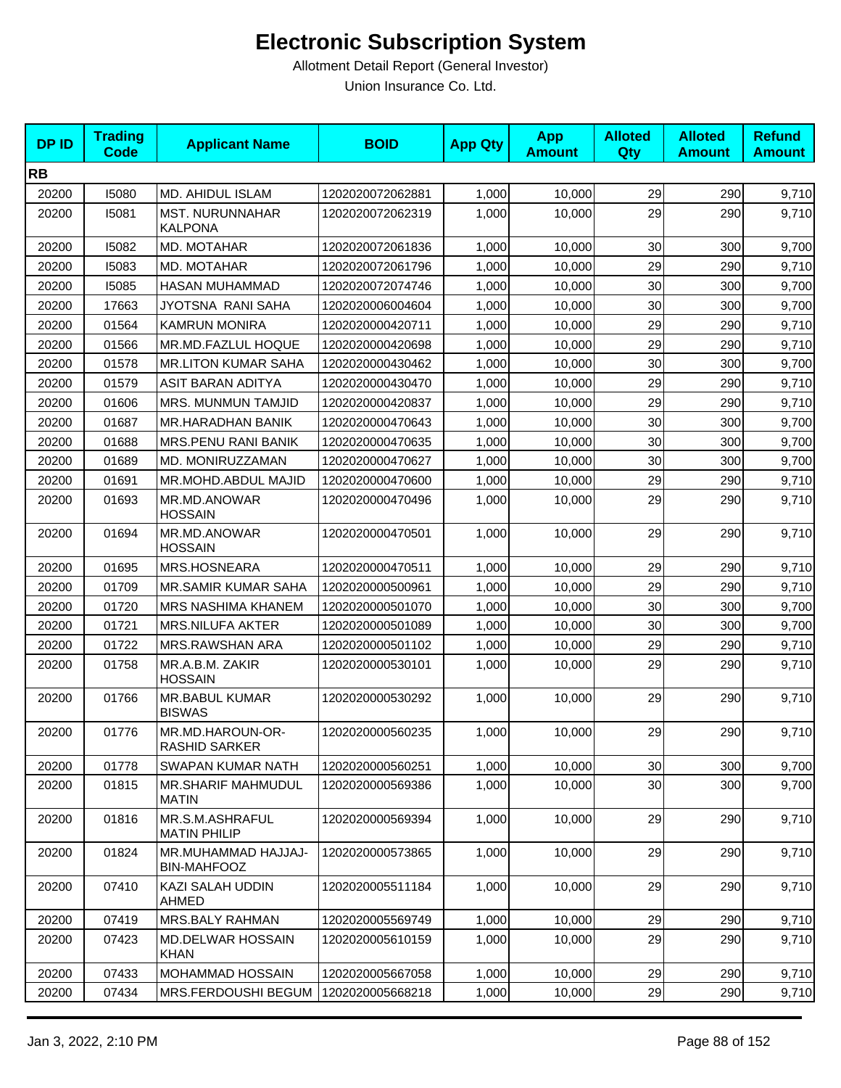| <b>DPID</b> | <b>Trading</b><br><b>Code</b> | <b>Applicant Name</b>                     | <b>BOID</b>      | <b>App Qty</b> | <b>App</b><br><b>Amount</b> | <b>Alloted</b><br>Qty | <b>Alloted</b><br><b>Amount</b> | <b>Refund</b><br><b>Amount</b> |
|-------------|-------------------------------|-------------------------------------------|------------------|----------------|-----------------------------|-----------------------|---------------------------------|--------------------------------|
| <b>RB</b>   |                               |                                           |                  |                |                             |                       |                                 |                                |
| 20200       | 15080                         | MD. AHIDUL ISLAM                          | 1202020072062881 | 1,000          | 10,000                      | 29                    | 290                             | 9,710                          |
| 20200       | 15081                         | <b>MST. NURUNNAHAR</b><br><b>KALPONA</b>  | 1202020072062319 | 1.000          | 10,000                      | 29                    | 290                             | 9,710                          |
| 20200       | 15082                         | MD. MOTAHAR                               | 1202020072061836 | 1,000          | 10,000                      | 30                    | 300                             | 9,700                          |
| 20200       | 15083                         | MD. MOTAHAR                               | 1202020072061796 | 1,000          | 10,000                      | 29                    | 290                             | 9,710                          |
| 20200       | 15085                         | HASAN MUHAMMAD                            | 1202020072074746 | 1,000          | 10,000                      | 30                    | 300                             | 9,700                          |
| 20200       | 17663                         | JYOTSNA RANI SAHA                         | 1202020006004604 | 1,000          | 10,000                      | 30                    | 300                             | 9,700                          |
| 20200       | 01564                         | <b>KAMRUN MONIRA</b>                      | 1202020000420711 | 1,000          | 10,000                      | 29                    | 290                             | 9,710                          |
| 20200       | 01566                         | MR.MD.FAZLUL HOQUE                        | 1202020000420698 | 1,000          | 10,000                      | 29                    | 290                             | 9,710                          |
| 20200       | 01578                         | <b>MR.LITON KUMAR SAHA</b>                | 1202020000430462 | 1,000          | 10,000                      | 30                    | 300                             | 9,700                          |
| 20200       | 01579                         | ASIT BARAN ADITYA                         | 1202020000430470 | 1,000          | 10,000                      | 29                    | 290                             | 9,710                          |
| 20200       | 01606                         | MRS. MUNMUN TAMJID                        | 1202020000420837 | 1,000          | 10,000                      | 29                    | 290                             | 9,710                          |
| 20200       | 01687                         | <b>MR.HARADHAN BANIK</b>                  | 1202020000470643 | 1,000          | 10,000                      | 30                    | 300                             | 9,700                          |
| 20200       | 01688                         | MRS.PENU RANI BANIK                       | 1202020000470635 | 1,000          | 10,000                      | 30                    | 300                             | 9,700                          |
| 20200       | 01689                         | MD. MONIRUZZAMAN                          | 1202020000470627 | 1,000          | 10,000                      | 30                    | 300                             | 9,700                          |
| 20200       | 01691                         | MR.MOHD.ABDUL MAJID                       | 1202020000470600 | 1,000          | 10,000                      | 29                    | 290                             | 9,710                          |
| 20200       | 01693                         | MR.MD.ANOWAR<br><b>HOSSAIN</b>            | 1202020000470496 | 1,000          | 10,000                      | 29                    | 290                             | 9,710                          |
| 20200       | 01694                         | MR.MD.ANOWAR<br><b>HOSSAIN</b>            | 1202020000470501 | 1,000          | 10,000                      | 29                    | 290                             | 9,710                          |
| 20200       | 01695                         | MRS.HOSNEARA                              | 1202020000470511 | 1,000          | 10,000                      | 29                    | 290                             | 9,710                          |
| 20200       | 01709                         | <b>MR.SAMIR KUMAR SAHA</b>                | 1202020000500961 | 1,000          | 10,000                      | 29                    | 290                             | 9,710                          |
| 20200       | 01720                         | <b>MRS NASHIMA KHANEM</b>                 | 1202020000501070 | 1,000          | 10,000                      | 30                    | 300                             | 9,700                          |
| 20200       | 01721                         | <b>MRS.NILUFA AKTER</b>                   | 1202020000501089 | 1,000          | 10,000                      | 30                    | 300                             | 9,700                          |
| 20200       | 01722                         | MRS.RAWSHAN ARA                           | 1202020000501102 | 1,000          | 10,000                      | 29                    | 290                             | 9,710                          |
| 20200       | 01758                         | MR.A.B.M. ZAKIR<br><b>HOSSAIN</b>         | 1202020000530101 | 1,000          | 10,000                      | 29                    | 290                             | 9,710                          |
| 20200       | 01766                         | <b>MR.BABUL KUMAR</b><br><b>BISWAS</b>    | 1202020000530292 | 1,000          | 10,000                      | 29                    | 290                             | 9,710                          |
| 20200       | 01776                         | MR.MD.HAROUN-OR-<br>RASHID SARKER         | 1202020000560235 | 1,000          | 10,000                      | 29                    | 290                             | 9,710                          |
| 20200       | 01778                         | SWAPAN KUMAR NATH                         | 1202020000560251 | 1,000          | 10,000                      | 30                    | 300                             | 9,700                          |
| 20200       | 01815                         | <b>MR.SHARIF MAHMUDUL</b><br><b>MATIN</b> | 1202020000569386 | 1,000          | 10,000                      | 30                    | 300                             | 9,700                          |
| 20200       | 01816                         | MR.S.M.ASHRAFUL<br><b>MATIN PHILIP</b>    | 1202020000569394 | 1,000          | 10,000                      | 29                    | 290                             | 9,710                          |
| 20200       | 01824                         | MR.MUHAMMAD HAJJAJ-<br><b>BIN-MAHFOOZ</b> | 1202020000573865 | 1,000          | 10,000                      | 29                    | 290                             | 9,710                          |
| 20200       | 07410                         | KAZI SALAH UDDIN<br>AHMED                 | 1202020005511184 | 1,000          | 10,000                      | 29                    | 290                             | 9,710                          |
| 20200       | 07419                         | MRS.BALY RAHMAN                           | 1202020005569749 | 1,000          | 10,000                      | 29                    | 290                             | 9,710                          |
| 20200       | 07423                         | <b>MD.DELWAR HOSSAIN</b><br><b>KHAN</b>   | 1202020005610159 | 1,000          | 10,000                      | 29                    | 290                             | 9,710                          |
| 20200       | 07433                         | MOHAMMAD HOSSAIN                          | 1202020005667058 | 1,000          | 10,000                      | 29                    | 290                             | 9,710                          |
| 20200       | 07434                         | MRS.FERDOUSHI BEGUM                       | 1202020005668218 | 1,000          | 10,000                      | 29                    | 290                             | 9,710                          |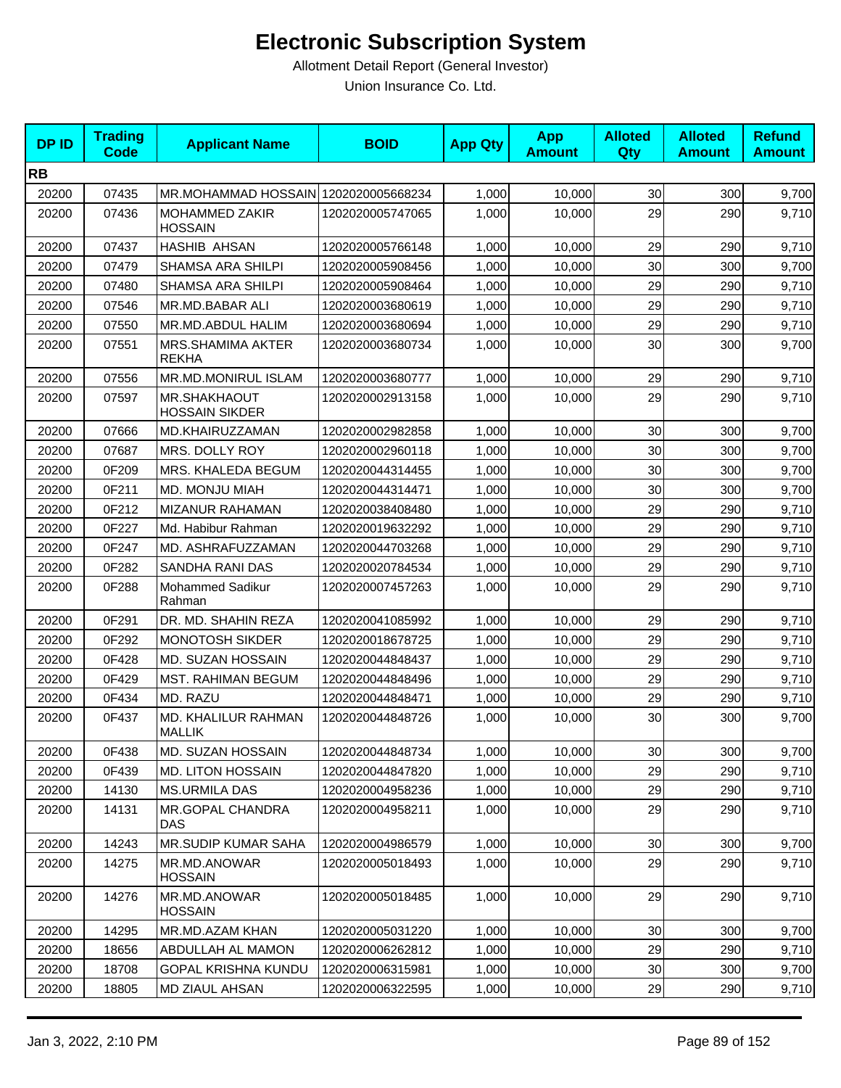| <b>DPID</b> | <b>Trading</b><br><b>Code</b> | <b>Applicant Name</b>                 | <b>BOID</b>      | <b>App Qty</b> | <b>App</b><br><b>Amount</b> | <b>Alloted</b><br>Qty | <b>Alloted</b><br><b>Amount</b> | <b>Refund</b><br><b>Amount</b> |
|-------------|-------------------------------|---------------------------------------|------------------|----------------|-----------------------------|-----------------------|---------------------------------|--------------------------------|
| <b>RB</b>   |                               |                                       |                  |                |                             |                       |                                 |                                |
| 20200       | 07435                         | MR.MOHAMMAD HOSSAIN 1202020005668234  |                  | 1,000          | 10,000                      | 30                    | 300                             | 9,700                          |
| 20200       | 07436                         | MOHAMMED ZAKIR<br><b>HOSSAIN</b>      | 1202020005747065 | 1,000          | 10,000                      | 29                    | 290                             | 9,710                          |
| 20200       | 07437                         | <b>HASHIB AHSAN</b>                   | 1202020005766148 | 1,000          | 10,000                      | 29                    | 290                             | 9,710                          |
| 20200       | 07479                         | SHAMSA ARA SHILPI                     | 1202020005908456 | 1,000          | 10,000                      | 30                    | 300                             | 9,700                          |
| 20200       | 07480                         | SHAMSA ARA SHILPI                     | 1202020005908464 | 1,000          | 10,000                      | 29                    | 290                             | 9,710                          |
| 20200       | 07546                         | MR.MD.BABAR ALI                       | 1202020003680619 | 1,000          | 10,000                      | 29                    | 290                             | 9,710                          |
| 20200       | 07550                         | MR.MD.ABDUL HALIM                     | 1202020003680694 | 1,000          | 10,000                      | 29                    | 290                             | 9,710                          |
| 20200       | 07551                         | MRS.SHAMIMA AKTER<br><b>REKHA</b>     | 1202020003680734 | 1,000          | 10,000                      | 30                    | 300                             | 9,700                          |
| 20200       | 07556                         | MR.MD.MONIRUL ISLAM                   | 1202020003680777 | 1,000          | 10,000                      | 29                    | 290                             | 9,710                          |
| 20200       | 07597                         | MR.SHAKHAOUT<br><b>HOSSAIN SIKDER</b> | 1202020002913158 | 1,000          | 10,000                      | 29                    | 290                             | 9,710                          |
| 20200       | 07666                         | MD.KHAIRUZZAMAN                       | 1202020002982858 | 1,000          | 10,000                      | 30                    | 300                             | 9,700                          |
| 20200       | 07687                         | MRS. DOLLY ROY                        | 1202020002960118 | 1,000          | 10,000                      | 30                    | 300                             | 9,700                          |
| 20200       | 0F209                         | MRS. KHALEDA BEGUM                    | 1202020044314455 | 1,000          | 10,000                      | 30                    | 300                             | 9,700                          |
| 20200       | 0F211                         | <b>MD. MONJU MIAH</b>                 | 1202020044314471 | 1,000          | 10,000                      | 30                    | 300                             | 9,700                          |
| 20200       | 0F212                         | <b>MIZANUR RAHAMAN</b>                | 1202020038408480 | 1,000          | 10,000                      | 29                    | 290                             | 9,710                          |
| 20200       | 0F227                         | Md. Habibur Rahman                    | 1202020019632292 | 1,000          | 10,000                      | 29                    | 290                             | 9,710                          |
| 20200       | 0F247                         | MD. ASHRAFUZZAMAN                     | 1202020044703268 | 1,000          | 10,000                      | 29                    | 290                             | 9,710                          |
| 20200       | 0F282                         | SANDHA RANI DAS                       | 1202020020784534 | 1,000          | 10,000                      | 29                    | 290                             | 9,710                          |
| 20200       | 0F288                         | Mohammed Sadikur<br>Rahman            | 1202020007457263 | 1,000          | 10,000                      | 29                    | 290                             | 9,710                          |
| 20200       | 0F291                         | DR. MD. SHAHIN REZA                   | 1202020041085992 | 1,000          | 10,000                      | 29                    | 290                             | 9,710                          |
| 20200       | 0F292                         | <b>MONOTOSH SIKDER</b>                | 1202020018678725 | 1,000          | 10,000                      | 29                    | 290                             | 9,710                          |
| 20200       | 0F428                         | MD. SUZAN HOSSAIN                     | 1202020044848437 | 1,000          | 10,000                      | 29                    | 290                             | 9,710                          |
| 20200       | 0F429                         | <b>MST. RAHIMAN BEGUM</b>             | 1202020044848496 | 1,000          | 10,000                      | 29                    | 290                             | 9,710                          |
| 20200       | 0F434                         | MD. RAZU                              | 1202020044848471 | 1,000          | 10,000                      | 29                    | 290                             | 9,710                          |
| 20200       | 0F437                         | MD. KHALILUR RAHMAN<br><b>MALLIK</b>  | 1202020044848726 | 1,000          | 10,000                      | 30                    | 300                             | 9,700                          |
| 20200       | 0F438                         | MD. SUZAN HOSSAIN                     | 1202020044848734 | 1,000          | 10,000                      | 30 <sub>0</sub>       | 300                             | 9,700                          |
| 20200       | 0F439                         | MD. LITON HOSSAIN                     | 1202020044847820 | 1,000          | 10,000                      | 29                    | 290                             | 9,710                          |
| 20200       | 14130                         | <b>MS.URMILA DAS</b>                  | 1202020004958236 | 1,000          | 10,000                      | 29                    | 290                             | 9,710                          |
| 20200       | 14131                         | MR.GOPAL CHANDRA<br>DAS               | 1202020004958211 | 1,000          | 10,000                      | 29                    | 290                             | 9,710                          |
| 20200       | 14243                         | MR.SUDIP KUMAR SAHA                   | 1202020004986579 | 1,000          | 10,000                      | 30 <sub>0</sub>       | 300                             | 9,700                          |
| 20200       | 14275                         | MR.MD.ANOWAR<br><b>HOSSAIN</b>        | 1202020005018493 | 1,000          | 10,000                      | 29                    | 290                             | 9,710                          |
| 20200       | 14276                         | MR.MD.ANOWAR<br><b>HOSSAIN</b>        | 1202020005018485 | 1,000          | 10,000                      | 29                    | 290                             | 9,710                          |
| 20200       | 14295                         | MR.MD.AZAM KHAN                       | 1202020005031220 | 1,000          | 10,000                      | 30 <sub>0</sub>       | 300                             | 9,700                          |
| 20200       | 18656                         | ABDULLAH AL MAMON                     | 1202020006262812 | 1,000          | 10,000                      | 29                    | 290                             | 9,710                          |
| 20200       | 18708                         | <b>GOPAL KRISHNA KUNDU</b>            | 1202020006315981 | 1,000          | 10,000                      | 30                    | 300                             | 9,700                          |
| 20200       | 18805                         | MD ZIAUL AHSAN                        | 1202020006322595 | 1,000          | 10,000                      | 29                    | 290                             | 9,710                          |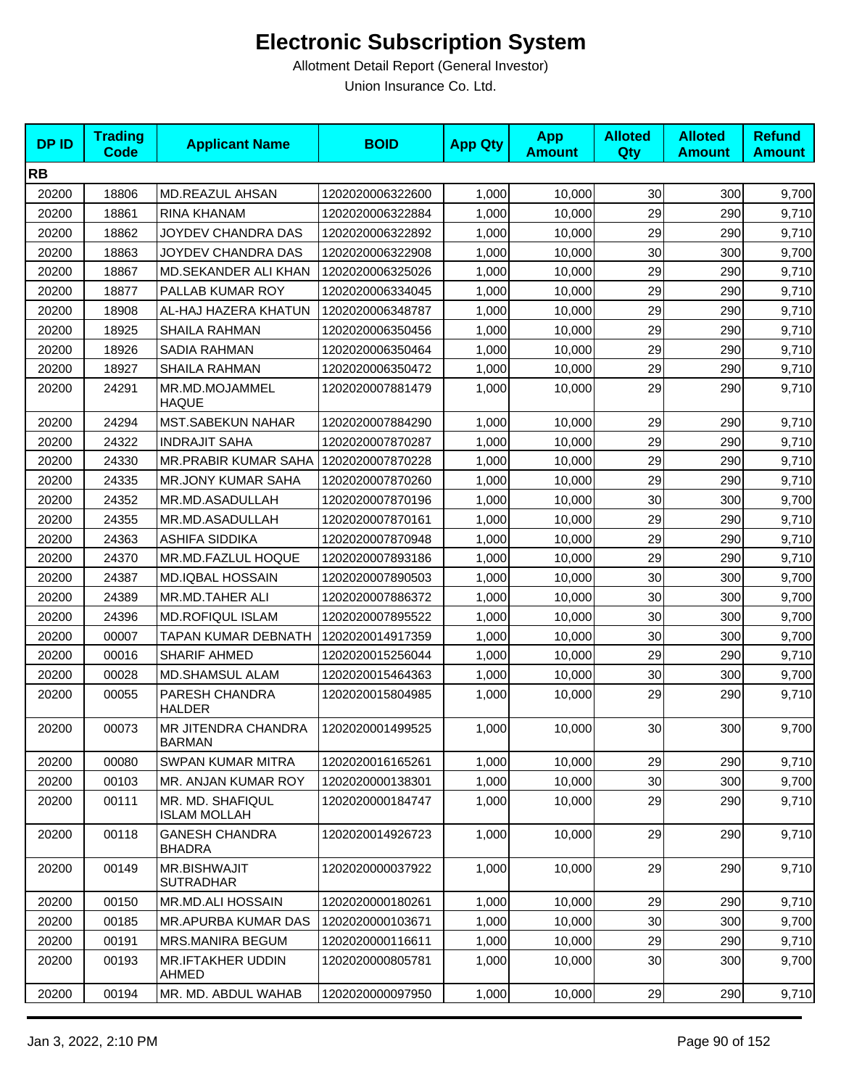| <b>DPID</b> | <b>Trading</b><br><b>Code</b> | <b>Applicant Name</b>                   | <b>BOID</b>      | <b>App Qty</b> | <b>App</b><br><b>Amount</b> | <b>Alloted</b><br><b>Qty</b> | <b>Alloted</b><br><b>Amount</b> | <b>Refund</b><br><b>Amount</b> |
|-------------|-------------------------------|-----------------------------------------|------------------|----------------|-----------------------------|------------------------------|---------------------------------|--------------------------------|
| <b>RB</b>   |                               |                                         |                  |                |                             |                              |                                 |                                |
| 20200       | 18806                         | MD.REAZUL AHSAN                         | 1202020006322600 | 1,000          | 10,000                      | 30 <sub>0</sub>              | 300                             | 9,700                          |
| 20200       | 18861                         | RINA KHANAM                             | 1202020006322884 | 1,000          | 10,000                      | 29                           | 290                             | 9,710                          |
| 20200       | 18862                         | JOYDEV CHANDRA DAS                      | 1202020006322892 | 1,000          | 10,000                      | 29                           | 290                             | 9,710                          |
| 20200       | 18863                         | JOYDEV CHANDRA DAS                      | 1202020006322908 | 1,000          | 10,000                      | 30                           | 300                             | 9,700                          |
| 20200       | 18867                         | MD.SEKANDER ALI KHAN                    | 1202020006325026 | 1,000          | 10,000                      | 29                           | 290                             | 9,710                          |
| 20200       | 18877                         | PALLAB KUMAR ROY                        | 1202020006334045 | 1,000          | 10,000                      | 29                           | 290                             | 9,710                          |
| 20200       | 18908                         | AL-HAJ HAZERA KHATUN                    | 1202020006348787 | 1,000          | 10,000                      | 29                           | 290                             | 9,710                          |
| 20200       | 18925                         | <b>SHAILA RAHMAN</b>                    | 1202020006350456 | 1,000          | 10,000                      | 29                           | 290                             | 9,710                          |
| 20200       | 18926                         | SADIA RAHMAN                            | 1202020006350464 | 1,000          | 10,000                      | 29                           | 290                             | 9,710                          |
| 20200       | 18927                         | <b>SHAILA RAHMAN</b>                    | 1202020006350472 | 1,000          | 10,000                      | 29                           | 290                             | 9,710                          |
| 20200       | 24291                         | MR.MD.MOJAMMEL<br><b>HAQUE</b>          | 1202020007881479 | 1,000          | 10,000                      | 29                           | 290                             | 9,710                          |
| 20200       | 24294                         | <b>MST.SABEKUN NAHAR</b>                | 1202020007884290 | 1,000          | 10,000                      | 29                           | 290                             | 9,710                          |
| 20200       | 24322                         | <b>INDRAJIT SAHA</b>                    | 1202020007870287 | 1,000          | 10,000                      | 29                           | 290                             | 9,710                          |
| 20200       | 24330                         | MR.PRABIR KUMAR SAHA                    | 1202020007870228 | 1,000          | 10,000                      | 29                           | 290                             | 9,710                          |
| 20200       | 24335                         | <b>MR.JONY KUMAR SAHA</b>               | 1202020007870260 | 1,000          | 10,000                      | 29                           | 290                             | 9,710                          |
| 20200       | 24352                         | MR.MD.ASADULLAH                         | 1202020007870196 | 1,000          | 10,000                      | 30                           | 300                             | 9,700                          |
| 20200       | 24355                         | MR.MD.ASADULLAH                         | 1202020007870161 | 1,000          | 10,000                      | 29                           | 290                             | 9,710                          |
| 20200       | 24363                         | ASHIFA SIDDIKA                          | 1202020007870948 | 1,000          | 10,000                      | 29                           | 290                             | 9,710                          |
| 20200       | 24370                         | MR.MD.FAZLUL HOQUE                      | 1202020007893186 | 1,000          | 10,000                      | 29                           | 290                             | 9,710                          |
| 20200       | 24387                         | <b>MD.IQBAL HOSSAIN</b>                 | 1202020007890503 | 1,000          | 10,000                      | 30                           | 300                             | 9,700                          |
| 20200       | 24389                         | MR.MD.TAHER ALI                         | 1202020007886372 | 1,000          | 10,000                      | 30                           | 300                             | 9,700                          |
| 20200       | 24396                         | <b>MD.ROFIQUL ISLAM</b>                 | 1202020007895522 | 1,000          | 10,000                      | 30                           | 300                             | 9,700                          |
| 20200       | 00007                         | TAPAN KUMAR DEBNATH                     | 1202020014917359 | 1,000          | 10,000                      | 30                           | 300                             | 9,700                          |
| 20200       | 00016                         | <b>SHARIF AHMED</b>                     | 1202020015256044 | 1,000          | 10,000                      | 29                           | 290                             | 9,710                          |
| 20200       | 00028                         | <b>MD.SHAMSUL ALAM</b>                  | 1202020015464363 | 1,000          | 10,000                      | 30                           | 300                             | 9,700                          |
| 20200       | 00055                         | PARESH CHANDRA<br><b>HALDER</b>         | 1202020015804985 | 1,000          | 10,000                      | 29                           | 290                             | 9,710                          |
| 20200       | 00073                         | MR JITENDRA CHANDRA<br><b>BARMAN</b>    | 1202020001499525 | 1,000          | 10,000                      | 30                           | 300                             | 9,700                          |
| 20200       | 00080                         | <b>SWPAN KUMAR MITRA</b>                | 1202020016165261 | 1,000          | 10,000                      | 29                           | 290                             | 9,710                          |
| 20200       | 00103                         | MR. ANJAN KUMAR ROY                     | 1202020000138301 | 1,000          | 10,000                      | 30                           | 300                             | 9,700                          |
| 20200       | 00111                         | MR. MD. SHAFIQUL<br><b>ISLAM MOLLAH</b> | 1202020000184747 | 1,000          | 10,000                      | 29                           | 290                             | 9,710                          |
| 20200       | 00118                         | <b>GANESH CHANDRA</b><br><b>BHADRA</b>  | 1202020014926723 | 1,000          | 10,000                      | 29                           | 290                             | 9,710                          |
| 20200       | 00149                         | <b>MR.BISHWAJIT</b><br><b>SUTRADHAR</b> | 1202020000037922 | 1,000          | 10,000                      | 29                           | 290                             | 9,710                          |
| 20200       | 00150                         | MR.MD.ALI HOSSAIN                       | 1202020000180261 | 1,000          | 10,000                      | 29                           | 290                             | 9,710                          |
| 20200       | 00185                         | MR.APURBA KUMAR DAS                     | 1202020000103671 | 1,000          | 10,000                      | 30                           | 300                             | 9,700                          |
| 20200       | 00191                         | <b>MRS.MANIRA BEGUM</b>                 | 1202020000116611 | 1,000          | 10,000                      | 29                           | 290                             | 9,710                          |
| 20200       | 00193                         | <b>MR.IFTAKHER UDDIN</b><br>AHMED       | 1202020000805781 | 1,000          | 10,000                      | 30                           | 300                             | 9,700                          |
| 20200       | 00194                         | MR. MD. ABDUL WAHAB                     | 1202020000097950 | 1,000          | 10,000                      | 29                           | 290                             | 9,710                          |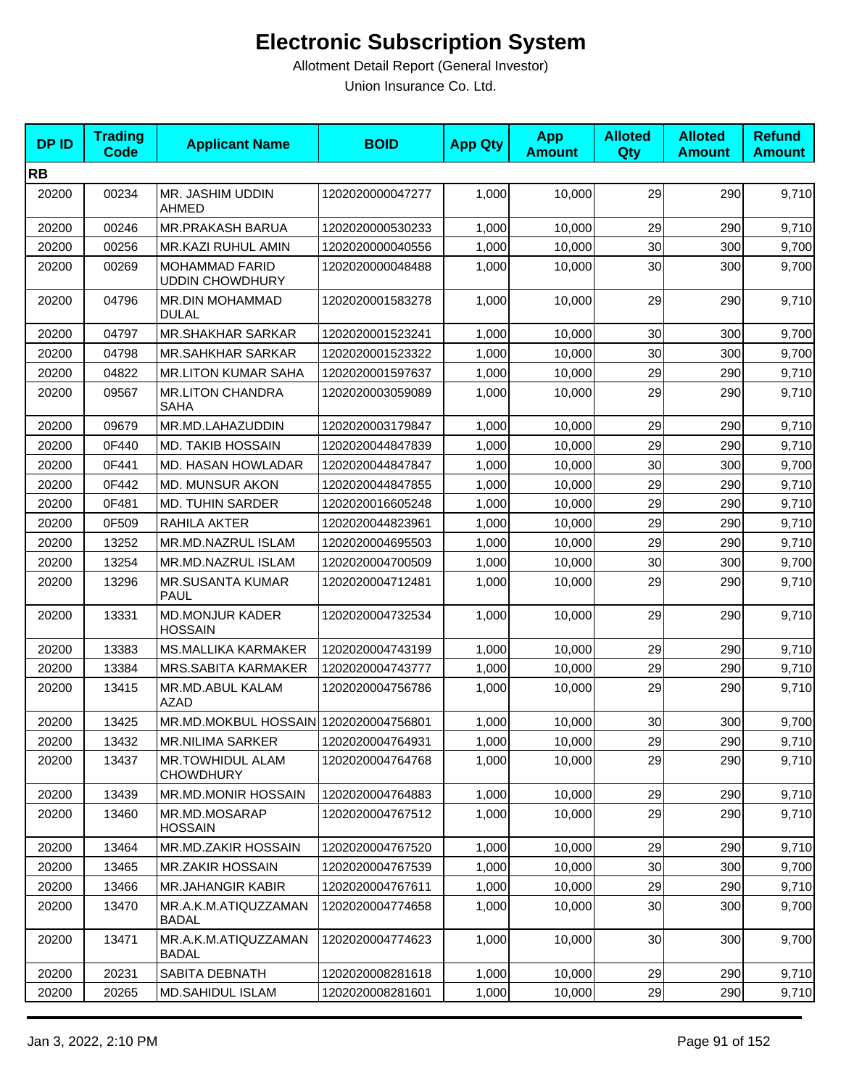| <b>DPID</b> | <b>Trading</b><br><b>Code</b> | <b>Applicant Name</b>                           | <b>BOID</b>      | <b>App Qty</b> | <b>App</b><br><b>Amount</b> | <b>Alloted</b><br>Qty | <b>Alloted</b><br><b>Amount</b> | <b>Refund</b><br><b>Amount</b> |
|-------------|-------------------------------|-------------------------------------------------|------------------|----------------|-----------------------------|-----------------------|---------------------------------|--------------------------------|
| <b>RB</b>   |                               |                                                 |                  |                |                             |                       |                                 |                                |
| 20200       | 00234                         | MR. JASHIM UDDIN<br><b>AHMED</b>                | 1202020000047277 | 1,000          | 10,000                      | 29                    | 290                             | 9,710                          |
| 20200       | 00246                         | <b>MR.PRAKASH BARUA</b>                         | 1202020000530233 | 1,000          | 10,000                      | 29                    | 290                             | 9,710                          |
| 20200       | 00256                         | MR.KAZI RUHUL AMIN                              | 1202020000040556 | 1,000          | 10,000                      | 30                    | 300                             | 9,700                          |
| 20200       | 00269                         | <b>MOHAMMAD FARID</b><br><b>UDDIN CHOWDHURY</b> | 1202020000048488 | 1,000          | 10,000                      | 30                    | 300                             | 9,700                          |
| 20200       | 04796                         | MR.DIN MOHAMMAD<br><b>DULAL</b>                 | 1202020001583278 | 1,000          | 10,000                      | 29                    | 290                             | 9,710                          |
| 20200       | 04797                         | <b>MR.SHAKHAR SARKAR</b>                        | 1202020001523241 | 1,000          | 10,000                      | 30                    | 300                             | 9,700                          |
| 20200       | 04798                         | <b>MR.SAHKHAR SARKAR</b>                        | 1202020001523322 | 1,000          | 10,000                      | 30                    | 300                             | 9,700                          |
| 20200       | 04822                         | <b>MR.LITON KUMAR SAHA</b>                      | 1202020001597637 | 1,000          | 10,000                      | 29                    | 290                             | 9,710                          |
| 20200       | 09567                         | <b>MR.LITON CHANDRA</b><br><b>SAHA</b>          | 1202020003059089 | 1,000          | 10,000                      | 29                    | 290                             | 9,710                          |
| 20200       | 09679                         | MR.MD.LAHAZUDDIN                                | 1202020003179847 | 1,000          | 10,000                      | 29                    | 290                             | 9,710                          |
| 20200       | 0F440                         | <b>MD. TAKIB HOSSAIN</b>                        | 1202020044847839 | 1,000          | 10,000                      | 29                    | 290                             | 9,710                          |
| 20200       | 0F441                         | MD. HASAN HOWLADAR                              | 1202020044847847 | 1,000          | 10,000                      | 30                    | 300                             | 9,700                          |
| 20200       | 0F442                         | MD. MUNSUR AKON                                 | 1202020044847855 | 1,000          | 10,000                      | 29                    | 290                             | 9,710                          |
| 20200       | 0F481                         | <b>MD. TUHIN SARDER</b>                         | 1202020016605248 | 1,000          | 10,000                      | 29                    | 290                             | 9,710                          |
| 20200       | 0F509                         | RAHILA AKTER                                    | 1202020044823961 | 1,000          | 10.000                      | 29                    | 290                             | 9,710                          |
| 20200       | 13252                         | MR.MD.NAZRUL ISLAM                              | 1202020004695503 | 1,000          | 10,000                      | 29                    | 290                             | 9,710                          |
| 20200       | 13254                         | MR.MD.NAZRUL ISLAM                              | 1202020004700509 | 1,000          | 10,000                      | 30                    | 300                             | 9,700                          |
| 20200       | 13296                         | <b>MR.SUSANTA KUMAR</b><br>PAUL                 | 1202020004712481 | 1,000          | 10,000                      | 29                    | 290                             | 9,710                          |
| 20200       | 13331                         | <b>MD.MONJUR KADER</b><br><b>HOSSAIN</b>        | 1202020004732534 | 1,000          | 10,000                      | 29                    | 290                             | 9,710                          |
| 20200       | 13383                         | <b>MS.MALLIKA KARMAKER</b>                      | 1202020004743199 | 1,000          | 10,000                      | 29                    | 290                             | 9,710                          |
| 20200       | 13384                         | <b>MRS.SABITA KARMAKER</b>                      | 1202020004743777 | 1,000          | 10,000                      | 29                    | 290                             | 9,710                          |
| 20200       | 13415                         | MR.MD.ABUL KALAM<br>AZAD                        | 1202020004756786 | 1,000          | 10,000                      | 29                    | 290                             | 9,710                          |
| 20200       | 13425                         | MR.MD.MOKBUL HOSSAIN 1202020004756801           |                  | 1,000          | 10,000                      | 30                    | 300                             | 9,700                          |
| 20200       | 13432                         | MR.NILIMA SARKER                                | 1202020004764931 | 1,000          | 10,000                      | 29                    | 290                             | 9,710                          |
| 20200       | 13437                         | <b>MR.TOWHIDUL ALAM</b><br><b>CHOWDHURY</b>     | 1202020004764768 | 1,000          | 10,000                      | 29                    | 290                             | 9,710                          |
| 20200       | 13439                         | MR.MD.MONIR HOSSAIN                             | 1202020004764883 | 1,000          | 10,000                      | 29                    | 290                             | 9,710                          |
| 20200       | 13460                         | MR.MD.MOSARAP<br><b>HOSSAIN</b>                 | 1202020004767512 | 1,000          | 10,000                      | 29                    | 290                             | 9,710                          |
| 20200       | 13464                         | MR.MD.ZAKIR HOSSAIN                             | 1202020004767520 | 1,000          | 10,000                      | 29                    | 290                             | 9,710                          |
| 20200       | 13465                         | <b>MR.ZAKIR HOSSAIN</b>                         | 1202020004767539 | 1,000          | 10,000                      | 30                    | 300                             | 9,700                          |
| 20200       | 13466                         | <b>MR.JAHANGIR KABIR</b>                        | 1202020004767611 | 1,000          | 10,000                      | 29                    | 290                             | 9,710                          |
| 20200       | 13470                         | MR.A.K.M.ATIQUZZAMAN<br><b>BADAL</b>            | 1202020004774658 | 1,000          | 10,000                      | 30                    | 300                             | 9,700                          |
| 20200       | 13471                         | MR.A.K.M.ATIQUZZAMAN<br><b>BADAL</b>            | 1202020004774623 | 1,000          | 10,000                      | 30                    | 300                             | 9,700                          |
| 20200       | 20231                         | SABITA DEBNATH                                  | 1202020008281618 | 1,000          | 10,000                      | 29                    | 290                             | 9,710                          |
| 20200       | 20265                         | <b>MD.SAHIDUL ISLAM</b>                         | 1202020008281601 | 1,000          | 10,000                      | 29                    | 290                             | 9,710                          |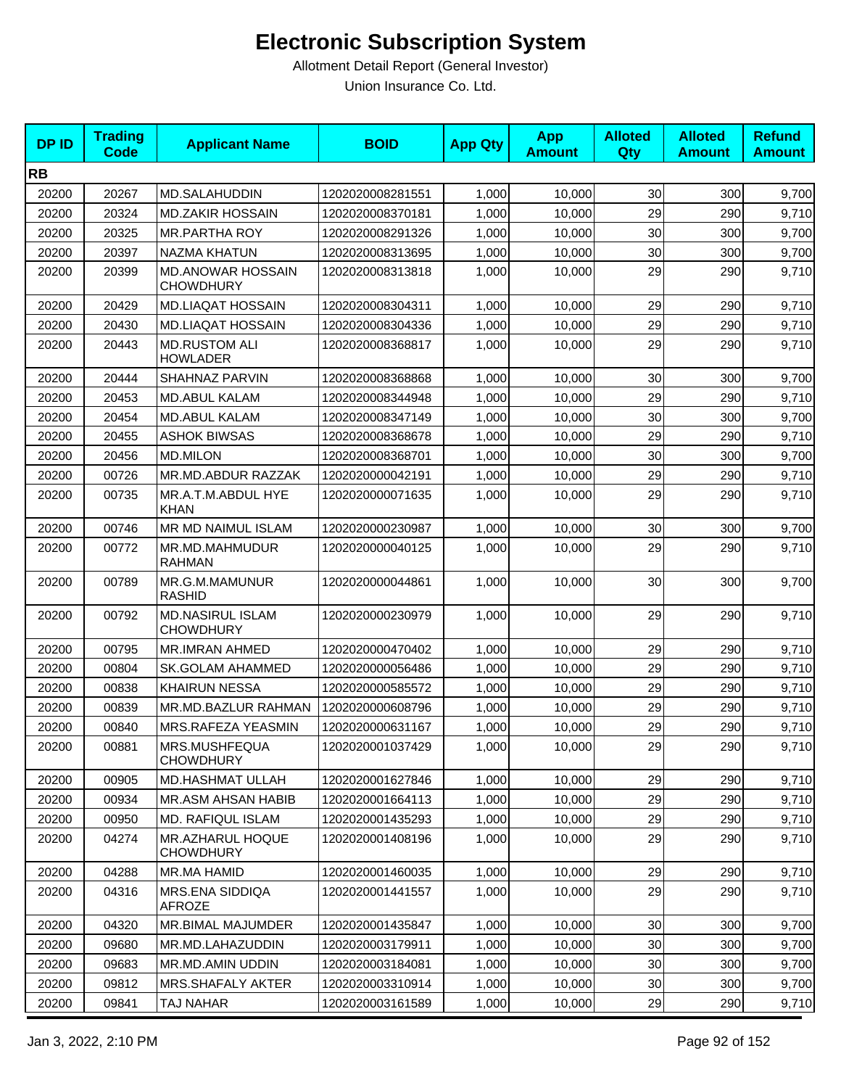| <b>DPID</b> | <b>Trading</b><br><b>Code</b> | <b>Applicant Name</b>                        | <b>BOID</b>      | <b>App Qty</b> | <b>App</b><br><b>Amount</b> | <b>Alloted</b><br><b>Qty</b> | <b>Alloted</b><br><b>Amount</b> | <b>Refund</b><br><b>Amount</b> |
|-------------|-------------------------------|----------------------------------------------|------------------|----------------|-----------------------------|------------------------------|---------------------------------|--------------------------------|
| <b>RB</b>   |                               |                                              |                  |                |                             |                              |                                 |                                |
| 20200       | 20267                         | <b>MD.SALAHUDDIN</b>                         | 1202020008281551 | 1,000          | 10,000                      | 30                           | 300                             | 9,700                          |
| 20200       | 20324                         | <b>MD.ZAKIR HOSSAIN</b>                      | 1202020008370181 | 1,000          | 10,000                      | 29                           | 290                             | 9,710                          |
| 20200       | 20325                         | <b>MR.PARTHA ROY</b>                         | 1202020008291326 | 1,000          | 10,000                      | 30                           | 300                             | 9,700                          |
| 20200       | 20397                         | NAZMA KHATUN                                 | 1202020008313695 | 1,000          | 10,000                      | 30                           | 300                             | 9,700                          |
| 20200       | 20399                         | <b>MD.ANOWAR HOSSAIN</b><br><b>CHOWDHURY</b> | 1202020008313818 | 1,000          | 10,000                      | 29                           | 290                             | 9,710                          |
| 20200       | 20429                         | <b>MD.LIAQAT HOSSAIN</b>                     | 1202020008304311 | 1,000          | 10,000                      | 29                           | 290                             | 9,710                          |
| 20200       | 20430                         | <b>MD.LIAQAT HOSSAIN</b>                     | 1202020008304336 | 1,000          | 10,000                      | 29                           | 290                             | 9,710                          |
| 20200       | 20443                         | <b>MD.RUSTOM ALI</b><br><b>HOWLADER</b>      | 1202020008368817 | 1,000          | 10,000                      | 29                           | 290                             | 9,710                          |
| 20200       | 20444                         | SHAHNAZ PARVIN                               | 1202020008368868 | 1,000          | 10,000                      | 30                           | 300                             | 9,700                          |
| 20200       | 20453                         | <b>MD.ABUL KALAM</b>                         | 1202020008344948 | 1,000          | 10.000                      | 29                           | 290                             | 9,710                          |
| 20200       | 20454                         | <b>MD.ABUL KALAM</b>                         | 1202020008347149 | 1,000          | 10,000                      | 30                           | 300                             | 9,700                          |
| 20200       | 20455                         | <b>ASHOK BIWSAS</b>                          | 1202020008368678 | 1,000          | 10,000                      | 29                           | 290                             | 9,710                          |
| 20200       | 20456                         | <b>MD.MILON</b>                              | 1202020008368701 | 1,000          | 10,000                      | 30                           | 300                             | 9,700                          |
| 20200       | 00726                         | MR.MD.ABDUR RAZZAK                           | 1202020000042191 | 1,000          | 10,000                      | 29                           | 290                             | 9,710                          |
| 20200       | 00735                         | MR.A.T.M.ABDUL HYE<br><b>KHAN</b>            | 1202020000071635 | 1,000          | 10,000                      | 29                           | 290                             | 9,710                          |
| 20200       | 00746                         | MR MD NAIMUL ISLAM                           | 1202020000230987 | 1,000          | 10,000                      | 30                           | 300                             | 9,700                          |
| 20200       | 00772                         | MR.MD.MAHMUDUR<br><b>RAHMAN</b>              | 1202020000040125 | 1,000          | 10,000                      | 29                           | 290                             | 9,710                          |
| 20200       | 00789                         | MR.G.M.MAMUNUR<br><b>RASHID</b>              | 1202020000044861 | 1,000          | 10,000                      | 30                           | 300                             | 9,700                          |
| 20200       | 00792                         | <b>MD.NASIRUL ISLAM</b><br><b>CHOWDHURY</b>  | 1202020000230979 | 1,000          | 10,000                      | 29                           | 290                             | 9,710                          |
| 20200       | 00795                         | <b>MR.IMRAN AHMED</b>                        | 1202020000470402 | 1,000          | 10,000                      | 29                           | 290                             | 9,710                          |
| 20200       | 00804                         | <b>SK.GOLAM AHAMMED</b>                      | 1202020000056486 | 1,000          | 10,000                      | 29                           | 290                             | 9,710                          |
| 20200       | 00838                         | <b>KHAIRUN NESSA</b>                         | 1202020000585572 | 1,000          | 10,000                      | 29                           | 290                             | 9,710                          |
| 20200       | 00839                         | MR.MD.BAZLUR RAHMAN                          | 1202020000608796 | 1,000          | 10,000                      | 29                           | 290                             | 9,710                          |
| 20200       | 00840                         | MRS.RAFEZA YEASMIN                           | 1202020000631167 | 1,000          | 10,000                      | 29                           | 290                             | 9,710                          |
| 20200       | 00881                         | MRS.MUSHFEQUA<br><b>CHOWDHURY</b>            | 1202020001037429 | 1,000          | 10,000                      | 29                           | 290                             | 9,710                          |
| 20200       | 00905                         | <b>MD.HASHMAT ULLAH</b>                      | 1202020001627846 | 1,000          | 10,000                      | 29                           | 290                             | 9,710                          |
| 20200       | 00934                         | <b>MR.ASM AHSAN HABIB</b>                    | 1202020001664113 | 1,000          | 10,000                      | 29                           | 290                             | 9,710                          |
| 20200       | 00950                         | MD. RAFIQUL ISLAM                            | 1202020001435293 | 1,000          | 10,000                      | 29                           | 290                             | 9,710                          |
| 20200       | 04274                         | MR.AZHARUL HOQUE<br><b>CHOWDHURY</b>         | 1202020001408196 | 1,000          | 10,000                      | 29                           | 290                             | 9,710                          |
| 20200       | 04288                         | MR.MA HAMID                                  | 1202020001460035 | 1,000          | 10,000                      | 29                           | 290                             | 9,710                          |
| 20200       | 04316                         | MRS.ENA SIDDIQA<br>AFROZE                    | 1202020001441557 | 1,000          | 10,000                      | 29                           | 290                             | 9,710                          |
| 20200       | 04320                         | MR.BIMAL MAJUMDER                            | 1202020001435847 | 1,000          | 10,000                      | 30                           | 300                             | 9,700                          |
| 20200       | 09680                         | MR.MD.LAHAZUDDIN                             | 1202020003179911 | 1,000          | 10,000                      | 30                           | 300                             | 9,700                          |
| 20200       | 09683                         | MR.MD.AMIN UDDIN                             | 1202020003184081 | 1,000          | 10,000                      | 30 <sub>0</sub>              | 300                             | 9,700                          |
| 20200       | 09812                         | <b>MRS.SHAFALY AKTER</b>                     | 1202020003310914 | 1,000          | 10,000                      | 30 <sub>0</sub>              | 300                             | 9,700                          |
| 20200       | 09841                         | TAJ NAHAR                                    | 1202020003161589 | 1,000          | 10,000                      | 29                           | 290                             | 9,710                          |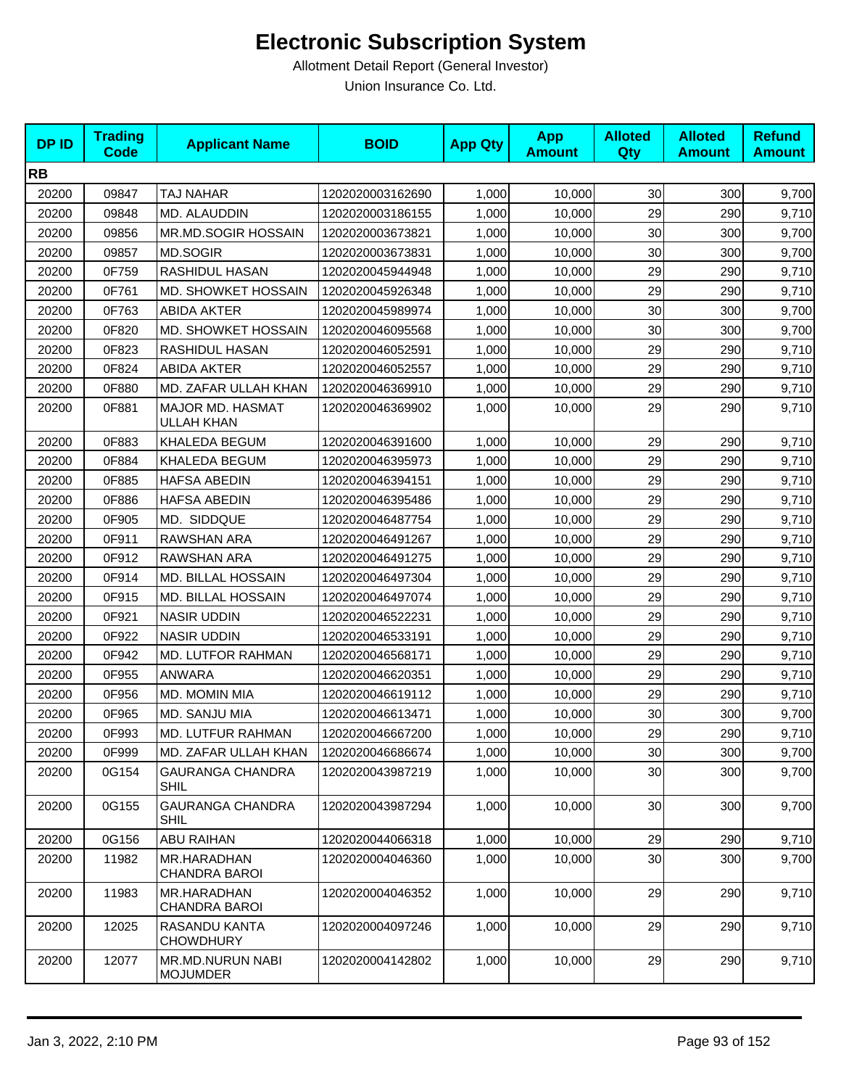| <b>DPID</b> | <b>Trading</b><br><b>Code</b> | <b>Applicant Name</b>                  | <b>BOID</b>      | <b>App Qty</b> | <b>App</b><br><b>Amount</b> | <b>Alloted</b><br>Qty | <b>Alloted</b><br><b>Amount</b> | <b>Refund</b><br><b>Amount</b> |
|-------------|-------------------------------|----------------------------------------|------------------|----------------|-----------------------------|-----------------------|---------------------------------|--------------------------------|
| <b>RB</b>   |                               |                                        |                  |                |                             |                       |                                 |                                |
| 20200       | 09847                         | TAJ NAHAR                              | 1202020003162690 | 1,000          | 10,000                      | 30                    | 300                             | 9,700                          |
| 20200       | 09848                         | MD. ALAUDDIN                           | 1202020003186155 | 1,000          | 10,000                      | 29                    | 290                             | 9,710                          |
| 20200       | 09856                         | MR.MD.SOGIR HOSSAIN                    | 1202020003673821 | 1,000          | 10,000                      | 30                    | 300                             | 9,700                          |
| 20200       | 09857                         | MD.SOGIR                               | 1202020003673831 | 1,000          | 10,000                      | 30                    | 300                             | 9,700                          |
| 20200       | 0F759                         | RASHIDUL HASAN                         | 1202020045944948 | 1,000          | 10,000                      | 29                    | 290                             | 9,710                          |
| 20200       | 0F761                         | <b>MD. SHOWKET HOSSAIN</b>             | 1202020045926348 | 1,000          | 10,000                      | 29                    | 290                             | 9,710                          |
| 20200       | 0F763                         | <b>ABIDA AKTER</b>                     | 1202020045989974 | 1,000          | 10,000                      | 30                    | 300                             | 9,700                          |
| 20200       | 0F820                         | MD. SHOWKET HOSSAIN                    | 1202020046095568 | 1,000          | 10,000                      | 30                    | 300                             | 9,700                          |
| 20200       | 0F823                         | RASHIDUL HASAN                         | 1202020046052591 | 1,000          | 10,000                      | 29                    | 290                             | 9,710                          |
| 20200       | 0F824                         | <b>ABIDA AKTER</b>                     | 1202020046052557 | 1,000          | 10,000                      | 29                    | 290                             | 9,710                          |
| 20200       | 0F880                         | MD. ZAFAR ULLAH KHAN                   | 1202020046369910 | 1,000          | 10,000                      | 29                    | 290                             | 9,710                          |
| 20200       | 0F881                         | MAJOR MD. HASMAT<br>ULLAH KHAN         | 1202020046369902 | 1,000          | 10,000                      | 29                    | 290                             | 9,710                          |
| 20200       | 0F883                         | KHALEDA BEGUM                          | 1202020046391600 | 1,000          | 10,000                      | 29                    | 290                             | 9,710                          |
| 20200       | 0F884                         | KHALEDA BEGUM                          | 1202020046395973 | 1,000          | 10,000                      | 29                    | 290                             | 9,710                          |
| 20200       | 0F885                         | <b>HAFSA ABEDIN</b>                    | 1202020046394151 | 1,000          | 10,000                      | 29                    | 290                             | 9,710                          |
| 20200       | 0F886                         | <b>HAFSA ABEDIN</b>                    | 1202020046395486 | 1,000          | 10,000                      | 29                    | 290                             | 9,710                          |
| 20200       | 0F905                         | MD. SIDDQUE                            | 1202020046487754 | 1,000          | 10,000                      | 29                    | 290                             | 9,710                          |
| 20200       | 0F911                         | RAWSHAN ARA                            | 1202020046491267 | 1,000          | 10,000                      | 29                    | 290                             | 9,710                          |
| 20200       | 0F912                         | RAWSHAN ARA                            | 1202020046491275 | 1,000          | 10,000                      | 29                    | 290                             | 9,710                          |
| 20200       | 0F914                         | MD. BILLAL HOSSAIN                     | 1202020046497304 | 1,000          | 10,000                      | 29                    | 290                             | 9,710                          |
| 20200       | 0F915                         | MD. BILLAL HOSSAIN                     | 1202020046497074 | 1,000          | 10,000                      | 29                    | 290                             | 9,710                          |
| 20200       | 0F921                         | <b>NASIR UDDIN</b>                     | 1202020046522231 | 1,000          | 10,000                      | 29                    | 290                             | 9,710                          |
| 20200       | 0F922                         | <b>NASIR UDDIN</b>                     | 1202020046533191 | 1,000          | 10,000                      | 29                    | 290                             | 9,710                          |
| 20200       | 0F942                         | MD. LUTFOR RAHMAN                      | 1202020046568171 | 1,000          | 10,000                      | 29                    | 290                             | 9,710                          |
| 20200       | 0F955                         | <b>ANWARA</b>                          | 1202020046620351 | 1,000          | 10,000                      | 29                    | 290                             | 9,710                          |
| 20200       | 0F956                         | MD. MOMIN MIA                          | 1202020046619112 | 1,000          | 10,000                      | 29                    | 290                             | 9,710                          |
| 20200       | 0F965                         | MD. SANJU MIA                          | 1202020046613471 | 1,000          | 10,000                      | 30                    | 300                             | 9,700                          |
| 20200       | 0F993                         | MD. LUTFUR RAHMAN                      | 1202020046667200 | 1,000          | 10,000                      | 29                    | 290                             | 9,710                          |
| 20200       | 0F999                         | MD. ZAFAR ULLAH KHAN                   | 1202020046686674 | 1,000          | 10,000                      | 30                    | 300                             | 9,700                          |
| 20200       | 0G154                         | <b>GAURANGA CHANDRA</b><br><b>SHIL</b> | 1202020043987219 | 1,000          | 10,000                      | 30                    | 300                             | 9,700                          |
| 20200       | 0G155                         | <b>GAURANGA CHANDRA</b><br><b>SHIL</b> | 1202020043987294 | 1,000          | 10,000                      | 30                    | 300                             | 9,700                          |
| 20200       | 0G156                         | <b>ABU RAIHAN</b>                      | 1202020044066318 | 1,000          | 10,000                      | 29                    | 290                             | 9,710                          |
| 20200       | 11982                         | MR.HARADHAN<br>CHANDRA BAROI           | 1202020004046360 | 1,000          | 10,000                      | 30                    | 300                             | 9,700                          |
| 20200       | 11983                         | MR.HARADHAN<br>CHANDRA BAROI           | 1202020004046352 | 1,000          | 10,000                      | 29                    | 290                             | 9,710                          |
| 20200       | 12025                         | RASANDU KANTA<br><b>CHOWDHURY</b>      | 1202020004097246 | 1,000          | 10,000                      | 29                    | 290                             | 9,710                          |
| 20200       | 12077                         | MR.MD.NURUN NABI<br><b>MOJUMDER</b>    | 1202020004142802 | 1,000          | 10,000                      | 29                    | 290                             | 9,710                          |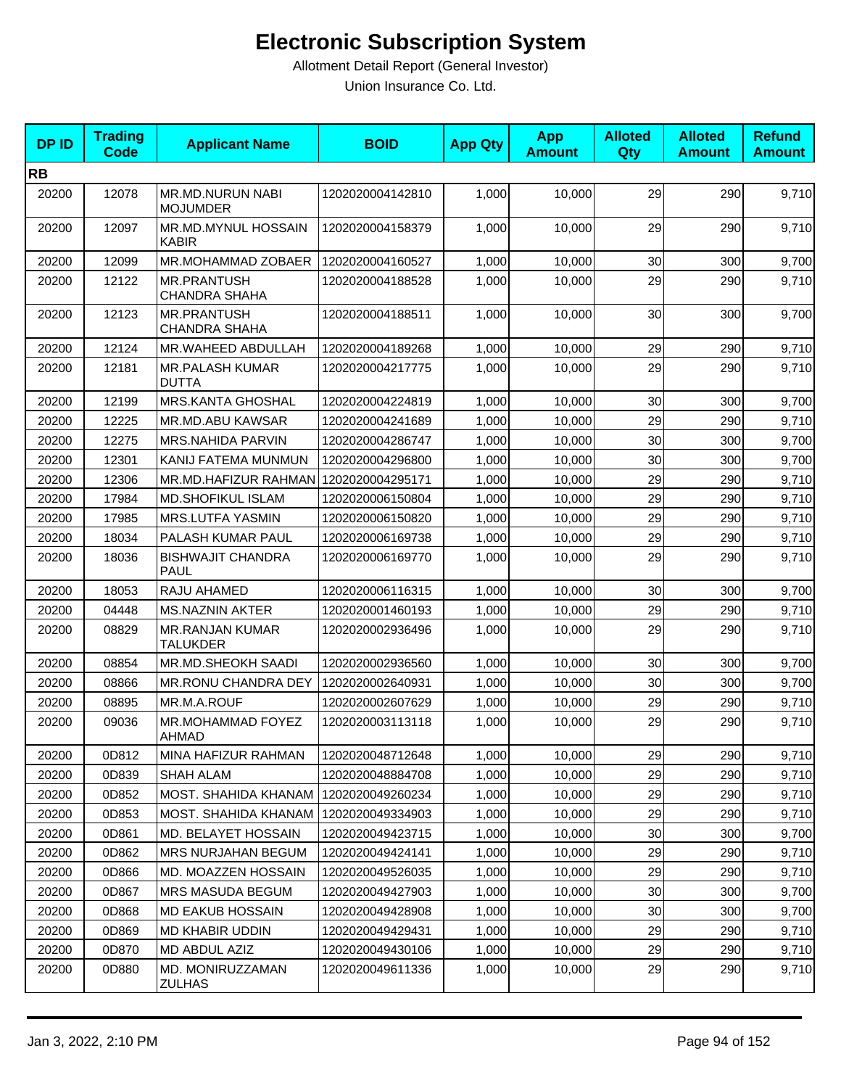| <b>DPID</b> | <b>Trading</b><br><b>Code</b> | <b>Applicant Name</b>                      | <b>BOID</b>      | <b>App Qty</b> | <b>App</b><br><b>Amount</b> | <b>Alloted</b><br>Qty | <b>Alloted</b><br><b>Amount</b> | <b>Refund</b><br><b>Amount</b> |
|-------------|-------------------------------|--------------------------------------------|------------------|----------------|-----------------------------|-----------------------|---------------------------------|--------------------------------|
| <b>RB</b>   |                               |                                            |                  |                |                             |                       |                                 |                                |
| 20200       | 12078                         | MR.MD.NURUN NABI<br><b>MOJUMDER</b>        | 1202020004142810 | 1,000          | 10,000                      | 29                    | 290                             | 9,710                          |
| 20200       | 12097                         | <b>MR.MD.MYNUL HOSSAIN</b><br><b>KABIR</b> | 1202020004158379 | 1,000          | 10,000                      | 29                    | 290                             | 9,710                          |
| 20200       | 12099                         | <b>MR.MOHAMMAD ZOBAER</b>                  | 1202020004160527 | 1,000          | 10,000                      | 30                    | 300                             | 9,700                          |
| 20200       | 12122                         | <b>MR.PRANTUSH</b><br><b>CHANDRA SHAHA</b> | 1202020004188528 | 1,000          | 10.000                      | 29                    | 290                             | 9,710                          |
| 20200       | 12123                         | MR.PRANTUSH<br><b>CHANDRA SHAHA</b>        | 1202020004188511 | 1,000          | 10,000                      | 30                    | 300                             | 9,700                          |
| 20200       | 12124                         | MR.WAHEED ABDULLAH                         | 1202020004189268 | 1,000          | 10,000                      | 29                    | 290                             | 9,710                          |
| 20200       | 12181                         | <b>MR.PALASH KUMAR</b><br>DUTTA            | 1202020004217775 | 1,000          | 10,000                      | 29                    | 290                             | 9,710                          |
| 20200       | 12199                         | MRS.KANTA GHOSHAL                          | 1202020004224819 | 1,000          | 10,000                      | 30                    | 300                             | 9,700                          |
| 20200       | 12225                         | MR.MD.ABU KAWSAR                           | 1202020004241689 | 1,000          | 10,000                      | 29                    | 290                             | 9,710                          |
| 20200       | 12275                         | <b>MRS.NAHIDA PARVIN</b>                   | 1202020004286747 | 1,000          | 10,000                      | 30                    | 300                             | 9,700                          |
| 20200       | 12301                         | KANIJ FATEMA MUNMUN                        | 1202020004296800 | 1,000          | 10,000                      | 30                    | 300                             | 9,700                          |
| 20200       | 12306                         | MR.MD.HAFIZUR RAHMAN                       | 1202020004295171 | 1,000          | 10,000                      | 29                    | 290                             | 9,710                          |
| 20200       | 17984                         | <b>MD.SHOFIKUL ISLAM</b>                   | 1202020006150804 | 1,000          | 10,000                      | 29                    | 290                             | 9,710                          |
| 20200       | 17985                         | MRS.LUTFA YASMIN                           | 1202020006150820 | 1,000          | 10,000                      | 29                    | 290                             | 9,710                          |
| 20200       | 18034                         | PALASH KUMAR PAUL                          | 1202020006169738 | 1,000          | 10,000                      | 29                    | 290                             | 9,710                          |
| 20200       | 18036                         | <b>BISHWAJIT CHANDRA</b><br><b>PAUL</b>    | 1202020006169770 | 1,000          | 10,000                      | 29                    | 290                             | 9,710                          |
| 20200       | 18053                         | RAJU AHAMED                                | 1202020006116315 | 1,000          | 10,000                      | 30                    | 300                             | 9,700                          |
| 20200       | 04448                         | <b>MS.NAZNIN AKTER</b>                     | 1202020001460193 | 1,000          | 10,000                      | 29                    | 290                             | 9,710                          |
| 20200       | 08829                         | <b>MR.RANJAN KUMAR</b><br><b>TALUKDER</b>  | 1202020002936496 | 1,000          | 10,000                      | 29                    | 290                             | 9,710                          |
| 20200       | 08854                         | MR.MD.SHEOKH SAADI                         | 1202020002936560 | 1,000          | 10,000                      | 30                    | 300                             | 9,700                          |
| 20200       | 08866                         | MR.RONU CHANDRA DEY                        | 1202020002640931 | 1,000          | 10,000                      | 30                    | 300                             | 9,700                          |
| 20200       | 08895                         | MR.M.A.ROUF                                | 1202020002607629 | 1,000          | 10,000                      | 29                    | 290                             | 9,710                          |
| 20200       | 09036                         | MR.MOHAMMAD FOYEZ<br>AHMAD                 | 1202020003113118 | 1,000          | 10,000                      | 29                    | 290                             | 9,710                          |
| 20200       | 0D812                         | MINA HAFIZUR RAHMAN                        | 1202020048712648 | 1,000          | 10,000                      | 29                    | 290                             | 9,710                          |
| 20200       | 0D839                         | SHAH ALAM                                  | 1202020048884708 | 1,000          | 10,000                      | 29                    | 290                             | 9,710                          |
| 20200       | 0D852                         | MOST. SHAHIDA KHANAM                       | 1202020049260234 | 1,000          | 10,000                      | 29                    | 290                             | 9,710                          |
| 20200       | 0D853                         | MOST. SHAHIDA KHANAM                       | 1202020049334903 | 1,000          | 10,000                      | 29                    | 290                             | 9,710                          |
| 20200       | 0D861                         | MD. BELAYET HOSSAIN                        | 1202020049423715 | 1,000          | 10,000                      | 30                    | 300                             | 9,700                          |
| 20200       | 0D862                         | <b>MRS NURJAHAN BEGUM</b>                  | 1202020049424141 | 1,000          | 10,000                      | 29                    | 290                             | 9,710                          |
| 20200       | 0D866                         | MD. MOAZZEN HOSSAIN                        | 1202020049526035 | 1,000          | 10,000                      | 29                    | 290                             | 9,710                          |
| 20200       | 0D867                         | MRS MASUDA BEGUM                           | 1202020049427903 | 1,000          | 10,000                      | 30                    | 300                             | 9,700                          |
| 20200       | 0D868                         | MD EAKUB HOSSAIN                           | 1202020049428908 | 1,000          | 10,000                      | 30                    | 300                             | 9,700                          |
| 20200       | 0D869                         | MD KHABIR UDDIN                            | 1202020049429431 | 1,000          | 10,000                      | 29                    | 290                             | 9,710                          |
| 20200       | 0D870                         | MD ABDUL AZIZ                              | 1202020049430106 | 1,000          | 10,000                      | 29                    | 290                             | 9,710                          |
| 20200       | 0D880                         | MD. MONIRUZZAMAN<br>ZULHAS                 | 1202020049611336 | 1,000          | 10,000                      | 29                    | 290                             | 9,710                          |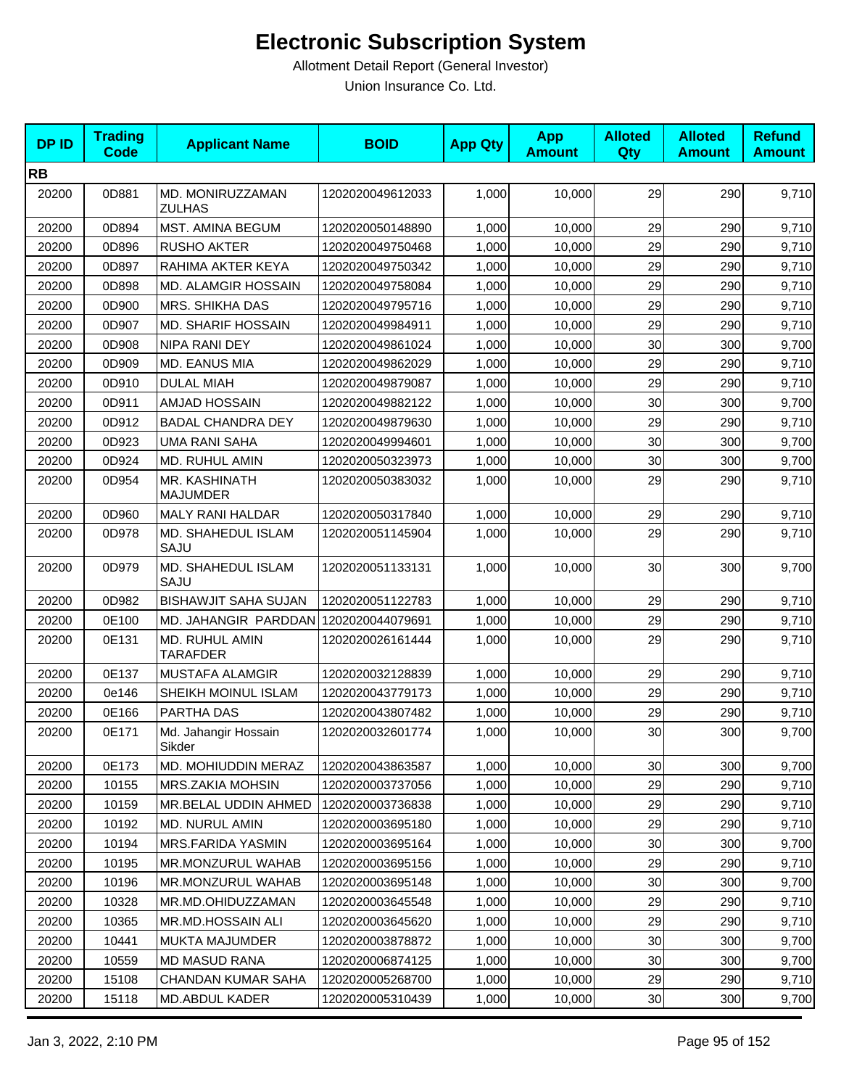| <b>DPID</b> | <b>Trading</b><br><b>Code</b> | <b>Applicant Name</b>                 | <b>BOID</b>      | <b>App Qty</b> | <b>App</b><br><b>Amount</b> | <b>Alloted</b><br><b>Qty</b> | <b>Alloted</b><br><b>Amount</b> | <b>Refund</b><br><b>Amount</b> |
|-------------|-------------------------------|---------------------------------------|------------------|----------------|-----------------------------|------------------------------|---------------------------------|--------------------------------|
| <b>RB</b>   |                               |                                       |                  |                |                             |                              |                                 |                                |
| 20200       | 0D881                         | MD. MONIRUZZAMAN<br><b>ZULHAS</b>     | 1202020049612033 | 1,000          | 10,000                      | 29                           | 290                             | 9,710                          |
| 20200       | 0D894                         | MST. AMINA BEGUM                      | 1202020050148890 | 1,000          | 10,000                      | 29                           | 290                             | 9,710                          |
| 20200       | 0D896                         | <b>RUSHO AKTER</b>                    | 1202020049750468 | 1,000          | 10,000                      | 29                           | 290                             | 9,710                          |
| 20200       | 0D897                         | RAHIMA AKTER KEYA                     | 1202020049750342 | 1,000          | 10,000                      | 29                           | 290                             | 9,710                          |
| 20200       | 0D898                         | MD. ALAMGIR HOSSAIN                   | 1202020049758084 | 1,000          | 10,000                      | 29                           | 290                             | 9,710                          |
| 20200       | 0D900                         | MRS. SHIKHA DAS                       | 1202020049795716 | 1,000          | 10,000                      | 29                           | 290                             | 9,710                          |
| 20200       | 0D907                         | <b>MD. SHARIF HOSSAIN</b>             | 1202020049984911 | 1,000          | 10,000                      | 29                           | 290                             | 9,710                          |
| 20200       | 0D908                         | NIPA RANI DEY                         | 1202020049861024 | 1,000          | 10,000                      | 30                           | 300                             | 9,700                          |
| 20200       | 0D909                         | MD. EANUS MIA                         | 1202020049862029 | 1,000          | 10,000                      | 29                           | 290                             | 9,710                          |
| 20200       | 0D910                         | <b>DULAL MIAH</b>                     | 1202020049879087 | 1,000          | 10,000                      | 29                           | 290                             | 9,710                          |
| 20200       | 0D911                         | <b>AMJAD HOSSAIN</b>                  | 1202020049882122 | 1,000          | 10,000                      | 30                           | 300                             | 9,700                          |
| 20200       | 0D912                         | <b>BADAL CHANDRA DEY</b>              | 1202020049879630 | 1,000          | 10,000                      | 29                           | 290                             | 9,710                          |
| 20200       | 0D923                         | <b>UMA RANI SAHA</b>                  | 1202020049994601 | 1,000          | 10,000                      | 30                           | 300                             | 9,700                          |
| 20200       | 0D924                         | MD. RUHUL AMIN                        | 1202020050323973 | 1,000          | 10,000                      | 30                           | 300                             | 9,700                          |
| 20200       | 0D954                         | MR. KASHINATH<br><b>MAJUMDER</b>      | 1202020050383032 | 1,000          | 10,000                      | 29                           | 290                             | 9,710                          |
| 20200       | 0D960                         | MALY RANI HALDAR                      | 1202020050317840 | 1,000          | 10,000                      | 29                           | 290                             | 9,710                          |
| 20200       | 0D978                         | MD. SHAHEDUL ISLAM<br>SAJU            | 1202020051145904 | 1,000          | 10,000                      | 29                           | 290                             | 9,710                          |
| 20200       | 0D979                         | MD. SHAHEDUL ISLAM<br>SAJU            | 1202020051133131 | 1,000          | 10,000                      | 30                           | 300                             | 9,700                          |
| 20200       | 0D982                         | <b>BISHAWJIT SAHA SUJAN</b>           | 1202020051122783 | 1,000          | 10,000                      | 29                           | 290                             | 9,710                          |
| 20200       | 0E100                         | MD. JAHANGIR PARDDAN 1202020044079691 |                  | 1,000          | 10,000                      | 29                           | 290                             | 9,710                          |
| 20200       | 0E131                         | MD. RUHUL AMIN<br><b>TARAFDER</b>     | 1202020026161444 | 1,000          | 10,000                      | 29                           | 290                             | 9,710                          |
| 20200       | 0E137                         | MUSTAFA ALAMGIR                       | 1202020032128839 | 1,000          | 10,000                      | 29                           | 290                             | 9,710                          |
| 20200       | 0e146                         | SHEIKH MOINUL ISLAM                   | 1202020043779173 | 1,000          | 10,000                      | 29                           | 290                             | 9,710                          |
| 20200       | 0E166                         | PARTHA DAS                            | 1202020043807482 | 1,000          | 10,000                      | 29                           | 290                             | 9,710                          |
| 20200       | 0E171                         | Md. Jahangir Hossain<br>Sikder        | 1202020032601774 | 1,000          | 10,000                      | 30                           | 300                             | 9,700                          |
| 20200       | 0E173                         | <b>MD. MOHIUDDIN MERAZ</b>            | 1202020043863587 | 1,000          | 10,000                      | 30                           | 300                             | 9,700                          |
| 20200       | 10155                         | <b>MRS.ZAKIA MOHSIN</b>               | 1202020003737056 | 1,000          | 10,000                      | 29                           | 290                             | 9,710                          |
| 20200       | 10159                         | MR.BELAL UDDIN AHMED                  | 1202020003736838 | 1,000          | 10,000                      | 29                           | 290                             | 9,710                          |
| 20200       | 10192                         | MD. NURUL AMIN                        | 1202020003695180 | 1,000          | 10,000                      | 29                           | 290                             | 9,710                          |
| 20200       | 10194                         | MRS.FARIDA YASMIN                     | 1202020003695164 | 1,000          | 10,000                      | 30                           | 300                             | 9,700                          |
| 20200       | 10195                         | MR.MONZURUL WAHAB                     | 1202020003695156 | 1,000          | 10,000                      | 29                           | 290                             | 9,710                          |
| 20200       | 10196                         | <b>MR.MONZURUL WAHAB</b>              | 1202020003695148 | 1,000          | 10,000                      | 30                           | 300                             | 9,700                          |
| 20200       | 10328                         | MR.MD.OHIDUZZAMAN                     | 1202020003645548 | 1,000          | 10,000                      | 29                           | 290                             | 9,710                          |
| 20200       | 10365                         | MR.MD.HOSSAIN ALI                     | 1202020003645620 | 1,000          | 10,000                      | 29                           | 290                             | 9,710                          |
| 20200       | 10441                         | <b>MUKTA MAJUMDER</b>                 | 1202020003878872 | 1,000          | 10,000                      | 30                           | 300                             | 9,700                          |
| 20200       | 10559                         | <b>MD MASUD RANA</b>                  | 1202020006874125 | 1,000          | 10,000                      | 30                           | 300                             | 9,700                          |
| 20200       | 15108                         | CHANDAN KUMAR SAHA                    | 1202020005268700 | 1,000          | 10,000                      | 29                           | 290                             | 9,710                          |
| 20200       | 15118                         | MD.ABDUL KADER                        | 1202020005310439 | 1,000          | 10,000                      | 30                           | 300                             | 9,700                          |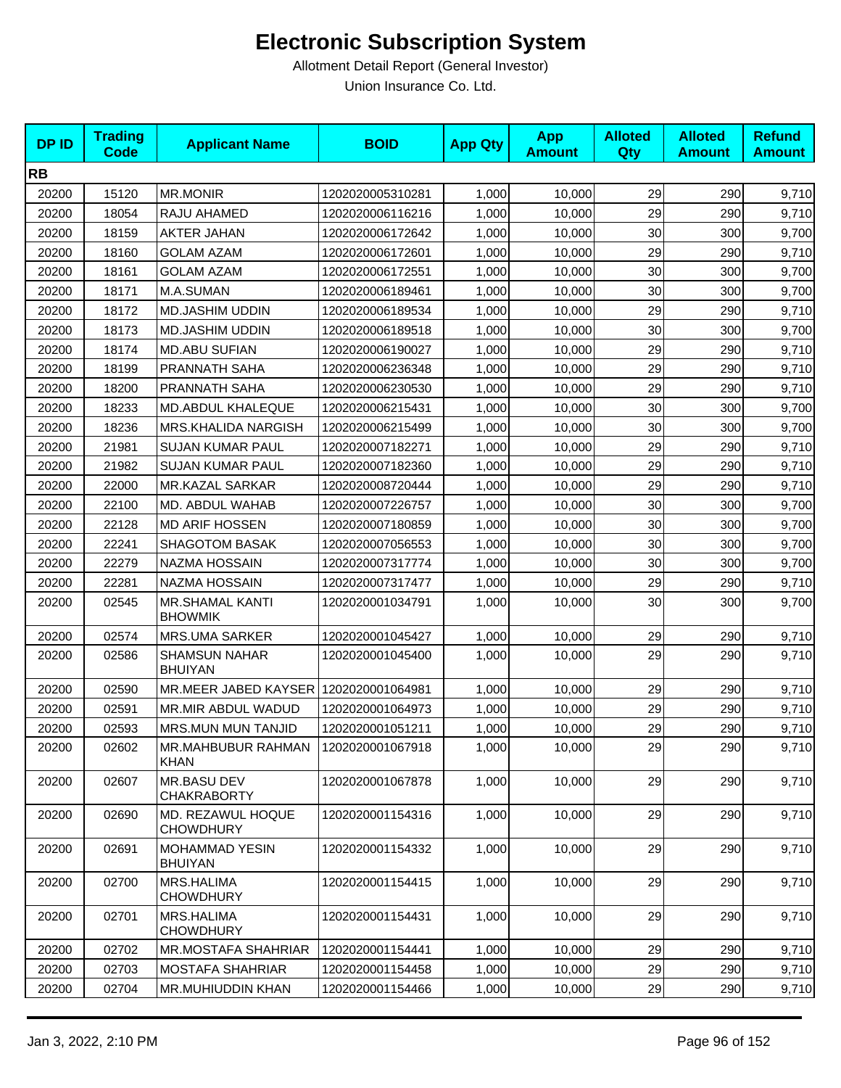| <b>DPID</b> | <b>Trading</b><br><b>Code</b> | <b>Applicant Name</b>                    | <b>BOID</b>      | <b>App Qty</b> | <b>App</b><br><b>Amount</b> | <b>Alloted</b><br><b>Qty</b> | <b>Alloted</b><br><b>Amount</b> | <b>Refund</b><br><b>Amount</b> |
|-------------|-------------------------------|------------------------------------------|------------------|----------------|-----------------------------|------------------------------|---------------------------------|--------------------------------|
| <b>RB</b>   |                               |                                          |                  |                |                             |                              |                                 |                                |
| 20200       | 15120                         | <b>MR.MONIR</b>                          | 1202020005310281 | 1,000          | 10,000                      | 29                           | 290                             | 9,710                          |
| 20200       | 18054                         | RAJU AHAMED                              | 1202020006116216 | 1,000          | 10,000                      | 29                           | 290                             | 9,710                          |
| 20200       | 18159                         | <b>AKTER JAHAN</b>                       | 1202020006172642 | 1,000          | 10,000                      | 30                           | 300                             | 9,700                          |
| 20200       | 18160                         | <b>GOLAM AZAM</b>                        | 1202020006172601 | 1,000          | 10,000                      | 29                           | 290                             | 9,710                          |
| 20200       | 18161                         | <b>GOLAM AZAM</b>                        | 1202020006172551 | 1,000          | 10,000                      | 30                           | 300                             | 9,700                          |
| 20200       | 18171                         | M.A.SUMAN                                | 1202020006189461 | 1,000          | 10,000                      | 30                           | 300                             | 9,700                          |
| 20200       | 18172                         | <b>MD.JASHIM UDDIN</b>                   | 1202020006189534 | 1,000          | 10,000                      | 29                           | 290                             | 9,710                          |
| 20200       | 18173                         | <b>MD.JASHIM UDDIN</b>                   | 1202020006189518 | 1,000          | 10,000                      | 30                           | 300                             | 9,700                          |
| 20200       | 18174                         | <b>MD.ABU SUFIAN</b>                     | 1202020006190027 | 1,000          | 10,000                      | 29                           | 290                             | 9,710                          |
| 20200       | 18199                         | PRANNATH SAHA                            | 1202020006236348 | 1,000          | 10,000                      | 29                           | 290                             | 9,710                          |
| 20200       | 18200                         | PRANNATH SAHA                            | 1202020006230530 | 1,000          | 10,000                      | 29                           | 290                             | 9,710                          |
| 20200       | 18233                         | MD.ABDUL KHALEQUE                        | 1202020006215431 | 1,000          | 10,000                      | 30                           | 300                             | 9,700                          |
| 20200       | 18236                         | MRS.KHALIDA NARGISH                      | 1202020006215499 | 1,000          | 10,000                      | 30                           | 300                             | 9,700                          |
| 20200       | 21981                         | <b>SUJAN KUMAR PAUL</b>                  | 1202020007182271 | 1,000          | 10,000                      | 29                           | 290                             | 9,710                          |
| 20200       | 21982                         | <b>SUJAN KUMAR PAUL</b>                  | 1202020007182360 | 1,000          | 10,000                      | 29                           | 290                             | 9,710                          |
| 20200       | 22000                         | MR.KAZAL SARKAR                          | 1202020008720444 | 1,000          | 10,000                      | 29                           | 290                             | 9,710                          |
| 20200       | 22100                         | MD. ABDUL WAHAB                          | 1202020007226757 | 1,000          | 10,000                      | 30                           | 300                             | 9,700                          |
| 20200       | 22128                         | <b>MD ARIF HOSSEN</b>                    | 1202020007180859 | 1,000          | 10,000                      | 30                           | 300                             | 9,700                          |
| 20200       | 22241                         | <b>SHAGOTOM BASAK</b>                    | 1202020007056553 | 1,000          | 10,000                      | 30                           | 300                             | 9,700                          |
| 20200       | 22279                         | NAZMA HOSSAIN                            | 1202020007317774 | 1,000          | 10,000                      | 30                           | 300                             | 9,700                          |
| 20200       | 22281                         | NAZMA HOSSAIN                            | 1202020007317477 | 1,000          | 10,000                      | 29                           | 290                             | 9,710                          |
| 20200       | 02545                         | <b>MR.SHAMAL KANTI</b><br><b>BHOWMIK</b> | 1202020001034791 | 1,000          | 10,000                      | 30                           | 300                             | 9,700                          |
| 20200       | 02574                         | <b>MRS.UMA SARKER</b>                    | 1202020001045427 | 1,000          | 10,000                      | 29                           | 290                             | 9,710                          |
| 20200       | 02586                         | <b>SHAMSUN NAHAR</b><br><b>BHUIYAN</b>   | 1202020001045400 | 1,000          | 10,000                      | 29                           | 290                             | 9,710                          |
| 20200       | 02590                         | MR.MEER JABED KAYSER                     | 1202020001064981 | 1,000          | 10,000                      | 29                           | 290                             | 9,710                          |
| 20200       | 02591                         | MR.MIR ABDUL WADUD                       | 1202020001064973 | 1,000          | 10,000                      | 29                           | 290                             | 9,710                          |
| 20200       | 02593                         | <b>MRS.MUN MUN TANJID</b>                | 1202020001051211 | 1,000          | 10,000                      | 29                           | 290                             | 9,710                          |
| 20200       | 02602                         | MR.MAHBUBUR RAHMAN<br><b>KHAN</b>        | 1202020001067918 | 1,000          | 10,000                      | 29                           | 290                             | 9,710                          |
| 20200       | 02607                         | MR.BASU DEV<br><b>CHAKRABORTY</b>        | 1202020001067878 | 1,000          | 10,000                      | 29                           | 290                             | 9,710                          |
| 20200       | 02690                         | MD. REZAWUL HOQUE<br><b>CHOWDHURY</b>    | 1202020001154316 | 1,000          | 10,000                      | 29                           | 290                             | 9,710                          |
| 20200       | 02691                         | <b>MOHAMMAD YESIN</b><br><b>BHUIYAN</b>  | 1202020001154332 | 1,000          | 10,000                      | 29                           | 290                             | 9,710                          |
| 20200       | 02700                         | MRS.HALIMA<br><b>CHOWDHURY</b>           | 1202020001154415 | 1,000          | 10,000                      | 29                           | 290                             | 9,710                          |
| 20200       | 02701                         | MRS.HALIMA<br><b>CHOWDHURY</b>           | 1202020001154431 | 1,000          | 10,000                      | 29                           | 290                             | 9,710                          |
| 20200       | 02702                         | MR.MOSTAFA SHAHRIAR                      | 1202020001154441 | 1,000          | 10,000                      | 29                           | 290                             | 9,710                          |
| 20200       | 02703                         | <b>MOSTAFA SHAHRIAR</b>                  | 1202020001154458 | 1,000          | 10,000                      | 29                           | 290                             | 9,710                          |
| 20200       | 02704                         | MR.MUHIUDDIN KHAN                        | 1202020001154466 | 1,000          | 10,000                      | 29                           | 290                             | 9,710                          |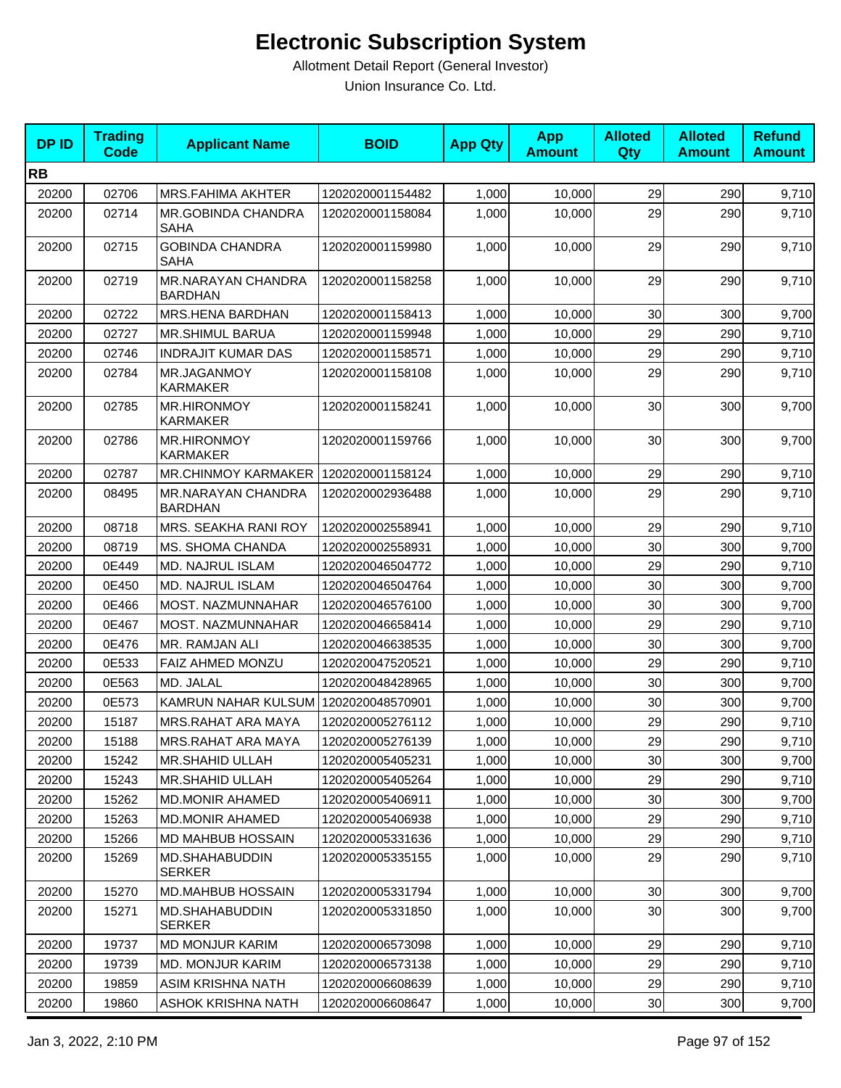| <b>DPID</b> | <b>Trading</b><br>Code | <b>Applicant Name</b>                    | <b>BOID</b>      | <b>App Qty</b> | <b>App</b><br><b>Amount</b> | <b>Alloted</b><br>Qty | <b>Alloted</b><br><b>Amount</b> | <b>Refund</b><br><b>Amount</b> |
|-------------|------------------------|------------------------------------------|------------------|----------------|-----------------------------|-----------------------|---------------------------------|--------------------------------|
| <b>RB</b>   |                        |                                          |                  |                |                             |                       |                                 |                                |
| 20200       | 02706                  | <b>MRS.FAHIMA AKHTER</b>                 | 1202020001154482 | 1,000          | 10,000                      | 29                    | 290                             | 9,710                          |
| 20200       | 02714                  | <b>MR.GOBINDA CHANDRA</b><br><b>SAHA</b> | 1202020001158084 | 1,000          | 10,000                      | 29                    | 290                             | 9,710                          |
| 20200       | 02715                  | <b>GOBINDA CHANDRA</b><br><b>SAHA</b>    | 1202020001159980 | 1,000          | 10,000                      | 29                    | 290                             | 9,710                          |
| 20200       | 02719                  | MR.NARAYAN CHANDRA<br><b>BARDHAN</b>     | 1202020001158258 | 1,000          | 10.000                      | 29                    | 290                             | 9,710                          |
| 20200       | 02722                  | MRS.HENA BARDHAN                         | 1202020001158413 | 1,000          | 10,000                      | 30                    | 300                             | 9,700                          |
| 20200       | 02727                  | MR.SHIMUL BARUA                          | 1202020001159948 | 1,000          | 10,000                      | 29                    | 290                             | 9,710                          |
| 20200       | 02746                  | <b>INDRAJIT KUMAR DAS</b>                | 1202020001158571 | 1,000          | 10,000                      | 29                    | 290                             | 9,710                          |
| 20200       | 02784                  | MR.JAGANMOY<br>KARMAKER                  | 1202020001158108 | 1,000          | 10,000                      | 29                    | 290                             | 9,710                          |
| 20200       | 02785                  | <b>MR.HIRONMOY</b><br><b>KARMAKER</b>    | 1202020001158241 | 1,000          | 10,000                      | 30                    | 300                             | 9,700                          |
| 20200       | 02786                  | <b>MR.HIRONMOY</b><br><b>KARMAKER</b>    | 1202020001159766 | 1,000          | 10,000                      | 30                    | 300                             | 9,700                          |
| 20200       | 02787                  | <b>MR.CHINMOY KARMAKER</b>               | 1202020001158124 | 1,000          | 10,000                      | 29                    | 290                             | 9,710                          |
| 20200       | 08495                  | MR.NARAYAN CHANDRA<br><b>BARDHAN</b>     | 1202020002936488 | 1,000          | 10,000                      | 29                    | 290                             | 9,710                          |
| 20200       | 08718                  | MRS. SEAKHA RANI ROY                     | 1202020002558941 | 1,000          | 10,000                      | 29                    | 290                             | 9,710                          |
| 20200       | 08719                  | MS. SHOMA CHANDA                         | 1202020002558931 | 1,000          | 10,000                      | 30                    | 300                             | 9,700                          |
| 20200       | 0E449                  | MD. NAJRUL ISLAM                         | 1202020046504772 | 1,000          | 10,000                      | 29                    | 290                             | 9,710                          |
| 20200       | 0E450                  | MD. NAJRUL ISLAM                         | 1202020046504764 | 1,000          | 10,000                      | 30 <sup>°</sup>       | 300                             | 9,700                          |
| 20200       | 0E466                  | MOST. NAZMUNNAHAR                        | 1202020046576100 | 1,000          | 10,000                      | 30                    | 300                             | 9,700                          |
| 20200       | 0E467                  | MOST. NAZMUNNAHAR                        | 1202020046658414 | 1,000          | 10,000                      | 29                    | 290                             | 9,710                          |
| 20200       | 0E476                  | MR. RAMJAN ALI                           | 1202020046638535 | 1,000          | 10,000                      | 30                    | 300                             | 9,700                          |
| 20200       | 0E533                  | FAIZ AHMED MONZU                         | 1202020047520521 | 1,000          | 10.000                      | 29                    | 290                             | 9,710                          |
| 20200       | 0E563                  | MD. JALAL                                | 1202020048428965 | 1,000          | 10,000                      | 30                    | 300                             | 9,700                          |
| 20200       | 0E573                  | KAMRUN NAHAR KULSUM 1202020048570901     |                  | 1,000          | 10,000                      | 30                    | 300                             | 9,700                          |
| 20200       | 15187                  | MRS.RAHAT ARA MAYA                       | 1202020005276112 | 1,000          | 10,000                      | 29                    | 290                             | 9,710                          |
| 20200       | 15188                  | MRS.RAHAT ARA MAYA                       | 1202020005276139 | 1,000          | 10,000                      | 29                    | 290                             | 9,710                          |
| 20200       | 15242                  | MR.SHAHID ULLAH                          | 1202020005405231 | 1,000          | 10,000                      | 30                    | 300                             | 9,700                          |
| 20200       | 15243                  | <b>MR.SHAHID ULLAH</b>                   | 1202020005405264 | 1,000          | 10,000                      | 29                    | 290                             | 9,710                          |
| 20200       | 15262                  | <b>MD.MONIR AHAMED</b>                   | 1202020005406911 | 1,000          | 10,000                      | 30                    | 300                             | 9,700                          |
| 20200       | 15263                  | <b>MD.MONIR AHAMED</b>                   | 1202020005406938 | 1,000          | 10,000                      | 29                    | 290                             | 9,710                          |
| 20200       | 15266                  | MD MAHBUB HOSSAIN                        | 1202020005331636 | 1,000          | 10,000                      | 29                    | 290                             | 9,710                          |
| 20200       | 15269                  | MD.SHAHABUDDIN<br><b>SERKER</b>          | 1202020005335155 | 1,000          | 10.000                      | 29                    | 290                             | 9,710                          |
| 20200       | 15270                  | MD.MAHBUB HOSSAIN                        | 1202020005331794 | 1,000          | 10,000                      | 30                    | 300                             | 9,700                          |
| 20200       | 15271                  | MD.SHAHABUDDIN<br><b>SERKER</b>          | 1202020005331850 | 1,000          | 10,000                      | 30                    | 300                             | 9,700                          |
| 20200       | 19737                  | <b>MD MONJUR KARIM</b>                   | 1202020006573098 | 1,000          | 10,000                      | 29                    | 290                             | 9,710                          |
| 20200       | 19739                  | <b>MD. MONJUR KARIM</b>                  | 1202020006573138 | 1,000          | 10,000                      | 29                    | 290                             | 9,710                          |
| 20200       | 19859                  | ASIM KRISHNA NATH                        | 1202020006608639 | 1,000          | 10,000                      | 29                    | 290                             | 9,710                          |
| 20200       | 19860                  | ASHOK KRISHNA NATH                       | 1202020006608647 | 1,000          | 10,000                      | 30 <sup>°</sup>       | 300                             | 9,700                          |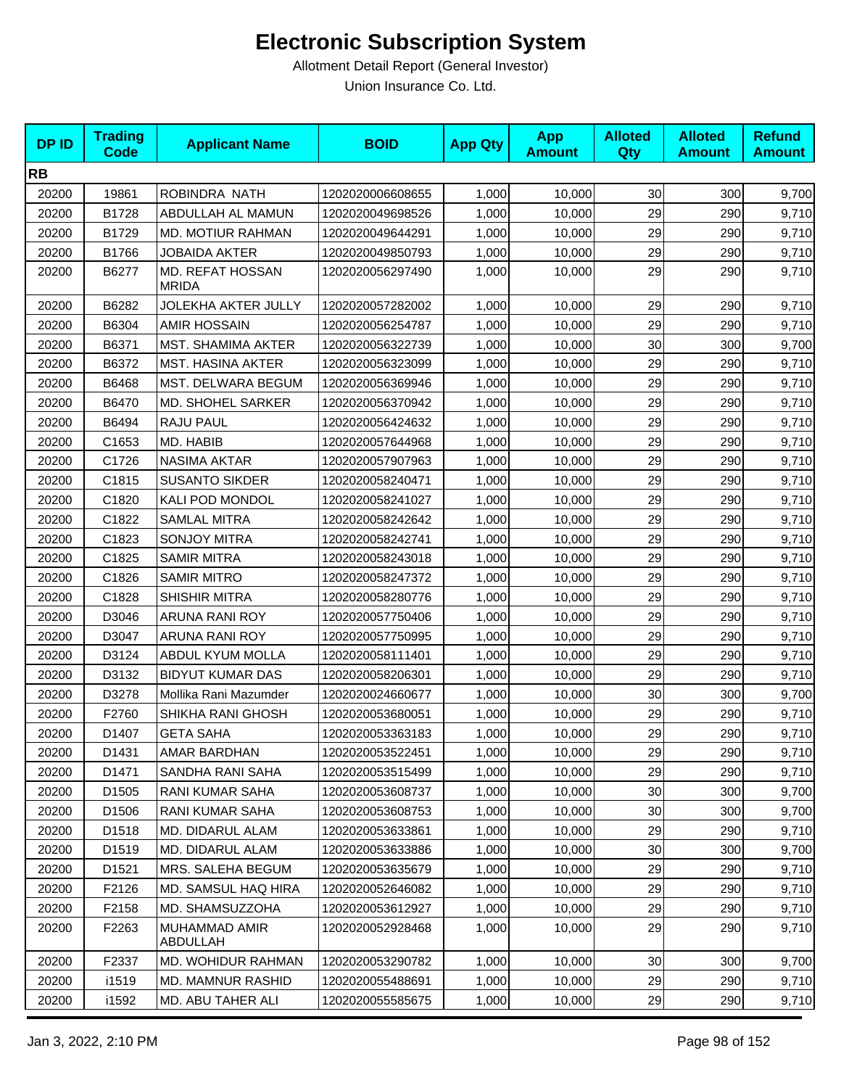| <b>DPID</b> | <b>Trading</b><br><b>Code</b> | <b>Applicant Name</b>                   | <b>BOID</b>      | <b>App Qty</b> | <b>App</b><br><b>Amount</b> | <b>Alloted</b><br>Qty | <b>Alloted</b><br><b>Amount</b> | <b>Refund</b><br><b>Amount</b> |
|-------------|-------------------------------|-----------------------------------------|------------------|----------------|-----------------------------|-----------------------|---------------------------------|--------------------------------|
| <b>RB</b>   |                               |                                         |                  |                |                             |                       |                                 |                                |
| 20200       | 19861                         | ROBINDRA NATH                           | 1202020006608655 | 1,000          | 10,000                      | 30                    | 300                             | 9,700                          |
| 20200       | B1728                         | ABDULLAH AL MAMUN                       | 1202020049698526 | 1,000          | 10,000                      | 29                    | 290                             | 9,710                          |
| 20200       | B1729                         | MD. MOTIUR RAHMAN                       | 1202020049644291 | 1,000          | 10,000                      | 29                    | 290                             | 9,710                          |
| 20200       | B1766                         | <b>JOBAIDA AKTER</b>                    | 1202020049850793 | 1,000          | 10,000                      | 29                    | 290                             | 9,710                          |
| 20200       | B6277                         | <b>MD. REFAT HOSSAN</b><br><b>MRIDA</b> | 1202020056297490 | 1,000          | 10,000                      | 29                    | 290                             | 9,710                          |
| 20200       | B6282                         | JOLEKHA AKTER JULLY                     | 1202020057282002 | 1,000          | 10,000                      | 29                    | 290                             | 9,710                          |
| 20200       | B6304                         | <b>AMIR HOSSAIN</b>                     | 1202020056254787 | 1,000          | 10,000                      | 29                    | 290                             | 9,710                          |
| 20200       | B6371                         | <b>MST. SHAMIMA AKTER</b>               | 1202020056322739 | 1,000          | 10,000                      | 30                    | 300                             | 9,700                          |
| 20200       | B6372                         | <b>MST. HASINA AKTER</b>                | 1202020056323099 | 1,000          | 10,000                      | 29                    | 290                             | 9,710                          |
| 20200       | B6468                         | MST. DELWARA BEGUM                      | 1202020056369946 | 1,000          | 10,000                      | 29                    | 290                             | 9,710                          |
| 20200       | B6470                         | MD. SHOHEL SARKER                       | 1202020056370942 | 1,000          | 10,000                      | 29                    | 290                             | 9,710                          |
| 20200       | B6494                         | RAJU PAUL                               | 1202020056424632 | 1,000          | 10,000                      | 29                    | 290                             | 9,710                          |
| 20200       | C1653                         | MD. HABIB                               | 1202020057644968 | 1,000          | 10,000                      | 29                    | 290                             | 9,710                          |
| 20200       | C1726                         | <b>NASIMA AKTAR</b>                     | 1202020057907963 | 1,000          | 10,000                      | 29                    | 290                             | 9,710                          |
| 20200       | C1815                         | <b>SUSANTO SIKDER</b>                   | 1202020058240471 | 1,000          | 10,000                      | 29                    | 290                             | 9,710                          |
| 20200       | C1820                         | KALI POD MONDOL                         | 1202020058241027 | 1,000          | 10,000                      | 29                    | 290                             | 9,710                          |
| 20200       | C1822                         | <b>SAMLAL MITRA</b>                     | 1202020058242642 | 1,000          | 10,000                      | 29                    | 290                             | 9,710                          |
| 20200       | C1823                         | <b>SONJOY MITRA</b>                     | 1202020058242741 | 1,000          | 10,000                      | 29                    | 290                             | 9,710                          |
| 20200       | C1825                         | <b>SAMIR MITRA</b>                      | 1202020058243018 | 1,000          | 10,000                      | 29                    | 290                             | 9,710                          |
| 20200       | C1826                         | <b>SAMIR MITRO</b>                      | 1202020058247372 | 1,000          | 10,000                      | 29                    | 290                             | 9,710                          |
| 20200       | C1828                         | SHISHIR MITRA                           | 1202020058280776 | 1,000          | 10,000                      | 29                    | 290                             | 9,710                          |
| 20200       | D3046                         | ARUNA RANI ROY                          | 1202020057750406 | 1,000          | 10,000                      | 29                    | 290                             | 9,710                          |
| 20200       | D3047                         | ARUNA RANI ROY                          | 1202020057750995 | 1,000          | 10,000                      | 29                    | 290                             | 9,710                          |
| 20200       | D3124                         | ABDUL KYUM MOLLA                        | 1202020058111401 | 1,000          | 10,000                      | 29                    | 290                             | 9,710                          |
| 20200       | D3132                         | <b>BIDYUT KUMAR DAS</b>                 | 1202020058206301 | 1,000          | 10,000                      | 29                    | 290                             | 9,710                          |
| 20200       | D3278                         | Mollika Rani Mazumder                   | 1202020024660677 | 1,000          | 10,000                      | 30                    | 300                             | 9,700                          |
| 20200       | F2760                         | SHIKHA RANI GHOSH                       | 1202020053680051 | 1,000          | 10,000                      | 29                    | 290                             | 9,710                          |
| 20200       | D1407                         | <b>GETA SAHA</b>                        | 1202020053363183 | 1,000          | 10,000                      | 29                    | 290                             | 9,710                          |
| 20200       | D1431                         | AMAR BARDHAN                            | 1202020053522451 | 1,000          | 10,000                      | 29                    | 290                             | 9,710                          |
| 20200       | D1471                         | SANDHA RANI SAHA                        | 1202020053515499 | 1,000          | 10,000                      | 29                    | 290                             | 9,710                          |
| 20200       | D <sub>1505</sub>             | RANI KUMAR SAHA                         | 1202020053608737 | 1,000          | 10,000                      | 30                    | 300                             | 9,700                          |
| 20200       | D1506                         | RANI KUMAR SAHA                         | 1202020053608753 | 1,000          | 10,000                      | 30                    | 300                             | 9,700                          |
| 20200       | D1518                         | MD. DIDARUL ALAM                        | 1202020053633861 | 1,000          | 10,000                      | 29                    | 290                             | 9,710                          |
| 20200       | D1519                         | MD. DIDARUL ALAM                        | 1202020053633886 | 1,000          | 10,000                      | 30                    | 300                             | 9,700                          |
| 20200       | D1521                         | MRS. SALEHA BEGUM                       | 1202020053635679 | 1,000          | 10,000                      | 29                    | 290                             | 9,710                          |
| 20200       | F2126                         | MD. SAMSUL HAQ HIRA                     | 1202020052646082 | 1,000          | 10,000                      | 29                    | 290                             | 9,710                          |
| 20200       | F2158                         | MD. SHAMSUZZOHA                         | 1202020053612927 | 1,000          | 10,000                      | 29                    | 290                             | 9,710                          |
| 20200       | F2263                         | MUHAMMAD AMIR<br>ABDULLAH               | 1202020052928468 | 1,000          | 10,000                      | 29                    | 290                             | 9,710                          |
| 20200       | F2337                         | <b>MD. WOHIDUR RAHMAN</b>               | 1202020053290782 | 1,000          | 10,000                      | 30                    | 300                             | 9,700                          |
| 20200       | i1519                         | MD. MAMNUR RASHID                       | 1202020055488691 | 1,000          | 10,000                      | 29                    | 290                             | 9,710                          |
| 20200       | i1592                         | MD. ABU TAHER ALI                       | 1202020055585675 | 1,000          | 10,000                      | 29                    | 290                             | 9,710                          |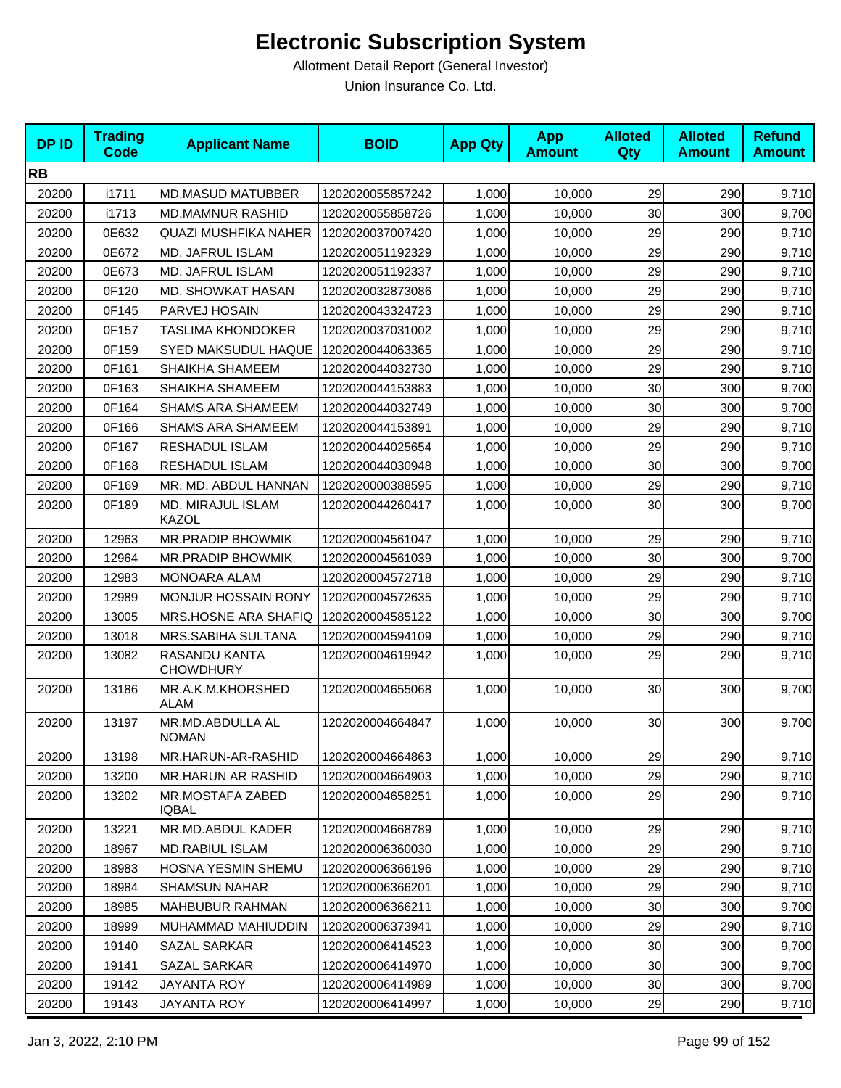| <b>DPID</b> | <b>Trading</b><br><b>Code</b> | <b>Applicant Name</b>                   | <b>BOID</b>      | <b>App Qty</b> | <b>App</b><br><b>Amount</b> | <b>Alloted</b><br>Qty | <b>Alloted</b><br><b>Amount</b> | <b>Refund</b><br><b>Amount</b> |
|-------------|-------------------------------|-----------------------------------------|------------------|----------------|-----------------------------|-----------------------|---------------------------------|--------------------------------|
| <b>RB</b>   |                               |                                         |                  |                |                             |                       |                                 |                                |
| 20200       | i1711                         | <b>MD.MASUD MATUBBER</b>                | 1202020055857242 | 1,000          | 10,000                      | 29                    | 290                             | 9,710                          |
| 20200       | i1713                         | <b>MD.MAMNUR RASHID</b>                 | 1202020055858726 | 1,000          | 10,000                      | 30                    | 300                             | 9,700                          |
| 20200       | 0E632                         | QUAZI MUSHFIKA NAHER                    | 1202020037007420 | 1,000          | 10,000                      | 29                    | 290                             | 9,710                          |
| 20200       | 0E672                         | MD. JAFRUL ISLAM                        | 1202020051192329 | 1,000          | 10,000                      | 29                    | 290                             | 9,710                          |
| 20200       | 0E673                         | MD. JAFRUL ISLAM                        | 1202020051192337 | 1,000          | 10,000                      | 29                    | 290                             | 9,710                          |
| 20200       | 0F120                         | MD. SHOWKAT HASAN                       | 1202020032873086 | 1,000          | 10,000                      | 29                    | 290                             | 9,710                          |
| 20200       | 0F145                         | PARVEJ HOSAIN                           | 1202020043324723 | 1,000          | 10,000                      | 29                    | 290                             | 9,710                          |
| 20200       | 0F157                         | TASLIMA KHONDOKER                       | 1202020037031002 | 1,000          | 10,000                      | 29                    | 290                             | 9,710                          |
| 20200       | 0F159                         | SYED MAKSUDUL HAQUE                     | 1202020044063365 | 1,000          | 10,000                      | 29                    | 290                             | 9,710                          |
| 20200       | 0F161                         | SHAIKHA SHAMEEM                         | 1202020044032730 | 1,000          | 10,000                      | 29                    | 290                             | 9,710                          |
| 20200       | 0F163                         | SHAIKHA SHAMEEM                         | 1202020044153883 | 1,000          | 10,000                      | 30                    | 300                             | 9,700                          |
| 20200       | 0F164                         | <b>SHAMS ARA SHAMEEM</b>                | 1202020044032749 | 1,000          | 10,000                      | 30                    | 300                             | 9,700                          |
| 20200       | 0F166                         | <b>SHAMS ARA SHAMEEM</b>                | 1202020044153891 | 1,000          | 10,000                      | 29                    | 290                             | 9,710                          |
| 20200       | 0F167                         | RESHADUL ISLAM                          | 1202020044025654 | 1,000          | 10,000                      | 29                    | 290                             | 9,710                          |
| 20200       | 0F168                         | RESHADUL ISLAM                          | 1202020044030948 | 1,000          | 10,000                      | 30                    | 300                             | 9,700                          |
| 20200       | 0F169                         | MR. MD. ABDUL HANNAN                    | 1202020000388595 | 1,000          | 10,000                      | 29                    | 290                             | 9,710                          |
| 20200       | 0F189                         | MD. MIRAJUL ISLAM<br>KAZOL              | 1202020044260417 | 1,000          | 10,000                      | 30                    | 300                             | 9,700                          |
| 20200       | 12963                         | MR.PRADIP BHOWMIK                       | 1202020004561047 | 1,000          | 10,000                      | 29                    | 290                             | 9,710                          |
| 20200       | 12964                         | MR.PRADIP BHOWMIK                       | 1202020004561039 | 1,000          | 10,000                      | 30                    | 300                             | 9,700                          |
| 20200       | 12983                         | <b>MONOARA ALAM</b>                     | 1202020004572718 | 1,000          | 10,000                      | 29                    | 290                             | 9,710                          |
| 20200       | 12989                         | <b>MONJUR HOSSAIN RONY</b>              | 1202020004572635 | 1,000          | 10,000                      | 29                    | 290                             | 9,710                          |
| 20200       | 13005                         | MRS.HOSNE ARA SHAFIQ                    | 1202020004585122 | 1,000          | 10,000                      | 30                    | 300                             | 9,700                          |
| 20200       | 13018                         | MRS.SABIHA SULTANA                      | 1202020004594109 | 1,000          | 10,000                      | 29                    | 290                             | 9,710                          |
| 20200       | 13082                         | RASANDU KANTA<br><b>CHOWDHURY</b>       | 1202020004619942 | 1,000          | 10,000                      | 29                    | 290                             | 9,710                          |
| 20200       | 13186                         | MR.A.K.M.KHORSHED<br>ALAM               | 1202020004655068 | 1,000          | 10,000                      | 30                    | 300                             | 9,700                          |
| 20200       | 13197                         | MR.MD.ABDULLA AL<br><b>NOMAN</b>        | 1202020004664847 | 1,000          | 10,000                      | 30                    | 300                             | 9,700                          |
| 20200       | 13198                         | MR.HARUN-AR-RASHID                      | 1202020004664863 | 1,000          | 10,000                      | 29                    | 290                             | 9,710                          |
| 20200       | 13200                         | <b>MR.HARUN AR RASHID</b>               | 1202020004664903 | 1,000          | 10,000                      | 29                    | 290                             | 9,710                          |
| 20200       | 13202                         | <b>MR.MOSTAFA ZABED</b><br><b>IQBAL</b> | 1202020004658251 | 1,000          | 10,000                      | 29                    | 290                             | 9,710                          |
| 20200       | 13221                         | MR.MD.ABDUL KADER                       | 1202020004668789 | 1,000          | 10,000                      | 29                    | 290                             | 9,710                          |
| 20200       | 18967                         | <b>MD.RABIUL ISLAM</b>                  | 1202020006360030 | 1,000          | 10,000                      | 29                    | 290                             | 9,710                          |
| 20200       | 18983                         | HOSNA YESMIN SHEMU                      | 1202020006366196 | 1,000          | 10,000                      | 29                    | 290                             | 9,710                          |
| 20200       | 18984                         | <b>SHAMSUN NAHAR</b>                    | 1202020006366201 | 1,000          | 10,000                      | 29                    | 290                             | 9,710                          |
| 20200       | 18985                         | <b>MAHBUBUR RAHMAN</b>                  | 1202020006366211 | 1,000          | 10,000                      | 30                    | 300                             | 9,700                          |
| 20200       | 18999                         | MUHAMMAD MAHIUDDIN                      | 1202020006373941 | 1,000          | 10,000                      | 29                    | 290                             | 9,710                          |
| 20200       | 19140                         | SAZAL SARKAR                            | 1202020006414523 | 1,000          | 10,000                      | 30                    | 300                             | 9,700                          |
| 20200       | 19141                         | SAZAL SARKAR                            | 1202020006414970 | 1,000          | 10,000                      | 30                    | 300                             | 9,700                          |
| 20200       | 19142                         | JAYANTA ROY                             | 1202020006414989 | 1,000          | 10,000                      | 30 <sub>0</sub>       | 300                             | 9,700                          |
| 20200       | 19143                         | JAYANTA ROY                             | 1202020006414997 | 1,000          | 10,000                      | 29                    | 290                             | 9,710                          |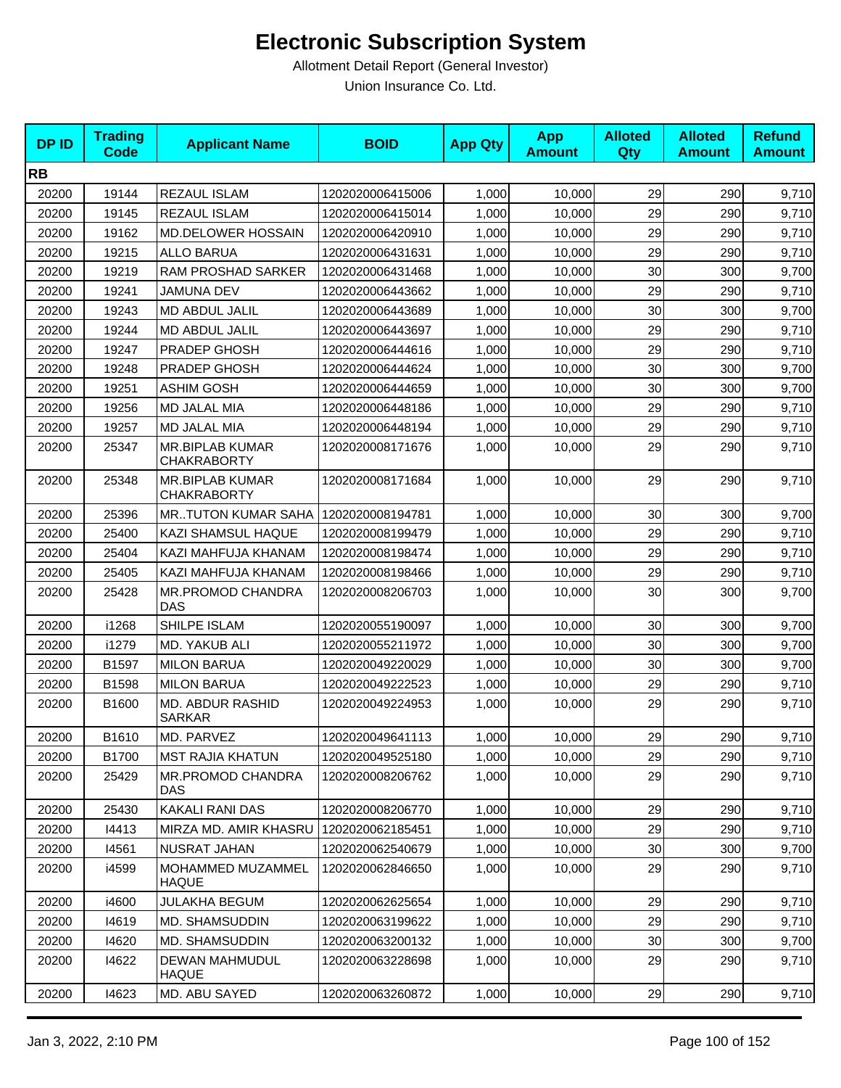| <b>DPID</b> | <b>Trading</b><br><b>Code</b> | <b>Applicant Name</b>                        | <b>BOID</b>      | <b>App Qty</b> | <b>App</b><br><b>Amount</b> | <b>Alloted</b><br>Qty | <b>Alloted</b><br><b>Amount</b> | <b>Refund</b><br><b>Amount</b> |
|-------------|-------------------------------|----------------------------------------------|------------------|----------------|-----------------------------|-----------------------|---------------------------------|--------------------------------|
| <b>RB</b>   |                               |                                              |                  |                |                             |                       |                                 |                                |
| 20200       | 19144                         | REZAUL ISLAM                                 | 1202020006415006 | 1,000          | 10,000                      | 29                    | 290                             | 9,710                          |
| 20200       | 19145                         | REZAUL ISLAM                                 | 1202020006415014 | 1,000          | 10,000                      | 29                    | 290                             | 9,710                          |
| 20200       | 19162                         | MD.DELOWER HOSSAIN                           | 1202020006420910 | 1,000          | 10,000                      | 29                    | 290                             | 9,710                          |
| 20200       | 19215                         | <b>ALLO BARUA</b>                            | 1202020006431631 | 1,000          | 10,000                      | 29                    | 290                             | 9,710                          |
| 20200       | 19219                         | RAM PROSHAD SARKER                           | 1202020006431468 | 1,000          | 10,000                      | 30                    | 300                             | 9,700                          |
| 20200       | 19241                         | JAMUNA DEV                                   | 1202020006443662 | 1,000          | 10,000                      | 29                    | 290                             | 9,710                          |
| 20200       | 19243                         | MD ABDUL JALIL                               | 1202020006443689 | 1,000          | 10,000                      | 30                    | 300                             | 9,700                          |
| 20200       | 19244                         | MD ABDUL JALIL                               | 1202020006443697 | 1,000          | 10,000                      | 29                    | 290                             | 9,710                          |
| 20200       | 19247                         | PRADEP GHOSH                                 | 1202020006444616 | 1,000          | 10,000                      | 29                    | 290                             | 9,710                          |
| 20200       | 19248                         | PRADEP GHOSH                                 | 1202020006444624 | 1,000          | 10,000                      | 30                    | 300                             | 9,700                          |
| 20200       | 19251                         | <b>ASHIM GOSH</b>                            | 1202020006444659 | 1,000          | 10,000                      | 30                    | 300                             | 9,700                          |
| 20200       | 19256                         | MD JALAL MIA                                 | 1202020006448186 | 1,000          | 10,000                      | 29                    | 290                             | 9,710                          |
| 20200       | 19257                         | MD JALAL MIA                                 | 1202020006448194 | 1,000          | 10,000                      | 29                    | 290                             | 9,710                          |
| 20200       | 25347                         | <b>MR.BIPLAB KUMAR</b><br><b>CHAKRABORTY</b> | 1202020008171676 | 1,000          | 10,000                      | 29                    | 290                             | 9,710                          |
| 20200       | 25348                         | <b>MR.BIPLAB KUMAR</b><br><b>CHAKRABORTY</b> | 1202020008171684 | 1,000          | 10,000                      | 29                    | 290                             | 9,710                          |
| 20200       | 25396                         | <b>MRTUTON KUMAR SAHA</b>                    | 1202020008194781 | 1,000          | 10,000                      | 30                    | 300                             | 9,700                          |
| 20200       | 25400                         | KAZI SHAMSUL HAQUE                           | 1202020008199479 | 1,000          | 10,000                      | 29                    | 290                             | 9,710                          |
| 20200       | 25404                         | KAZI MAHFUJA KHANAM                          | 1202020008198474 | 1,000          | 10,000                      | 29                    | 290                             | 9,710                          |
| 20200       | 25405                         | KAZI MAHFUJA KHANAM                          | 1202020008198466 | 1,000          | 10,000                      | 29                    | 290                             | 9,710                          |
| 20200       | 25428                         | MR.PROMOD CHANDRA<br><b>DAS</b>              | 1202020008206703 | 1,000          | 10,000                      | 30                    | 300                             | 9,700                          |
| 20200       | i1268                         | SHILPE ISLAM                                 | 1202020055190097 | 1,000          | 10,000                      | 30                    | 300                             | 9,700                          |
| 20200       | i1279                         | MD. YAKUB ALI                                | 1202020055211972 | 1,000          | 10,000                      | 30                    | 300                             | 9,700                          |
| 20200       | B1597                         | <b>MILON BARUA</b>                           | 1202020049220029 | 1,000          | 10,000                      | 30                    | 300                             | 9,700                          |
| 20200       | B1598                         | <b>MILON BARUA</b>                           | 1202020049222523 | 1,000          | 10,000                      | 29                    | 290                             | 9,710                          |
| 20200       | B1600                         | MD. ABDUR RASHID<br><b>SARKAR</b>            | 1202020049224953 | 1,000          | 10,000                      | 29                    | 290                             | 9,710                          |
| 20200       | B1610                         | MD. PARVEZ                                   | 1202020049641113 | 1,000          | 10,000                      | 29                    | 290                             | 9,710                          |
| 20200       | B1700                         | <b>MST RAJIA KHATUN</b>                      | 1202020049525180 | 1,000          | 10,000                      | 29                    | 290                             | 9,710                          |
| 20200       | 25429                         | MR.PROMOD CHANDRA<br><b>DAS</b>              | 1202020008206762 | 1,000          | 10,000                      | 29                    | 290                             | 9,710                          |
| 20200       | 25430                         | <b>KAKALI RANI DAS</b>                       | 1202020008206770 | 1,000          | 10,000                      | 29                    | 290                             | 9,710                          |
| 20200       | 14413                         | MIRZA MD. AMIR KHASRU                        | 1202020062185451 | 1,000          | 10,000                      | 29                    | 290                             | 9,710                          |
| 20200       | 14561                         | NUSRAT JAHAN                                 | 1202020062540679 | 1,000          | 10,000                      | 30                    | 300                             | 9,700                          |
| 20200       | i4599                         | MOHAMMED MUZAMMEL<br><b>HAQUE</b>            | 1202020062846650 | 1,000          | 10,000                      | 29                    | 290                             | 9,710                          |
| 20200       | i4600                         | <b>JULAKHA BEGUM</b>                         | 1202020062625654 | 1,000          | 10,000                      | 29                    | 290                             | 9,710                          |
| 20200       | 14619                         | MD. SHAMSUDDIN                               | 1202020063199622 | 1,000          | 10,000                      | 29                    | 290                             | 9,710                          |
| 20200       | 14620                         | MD. SHAMSUDDIN                               | 1202020063200132 | 1,000          | 10,000                      | 30                    | 300                             | 9,700                          |
| 20200       | 14622                         | DEWAN MAHMUDUL<br><b>HAQUE</b>               | 1202020063228698 | 1,000          | 10,000                      | 29                    | 290                             | 9,710                          |
| 20200       | 14623                         | MD. ABU SAYED                                | 1202020063260872 | 1,000          | 10,000                      | 29                    | 290                             | 9,710                          |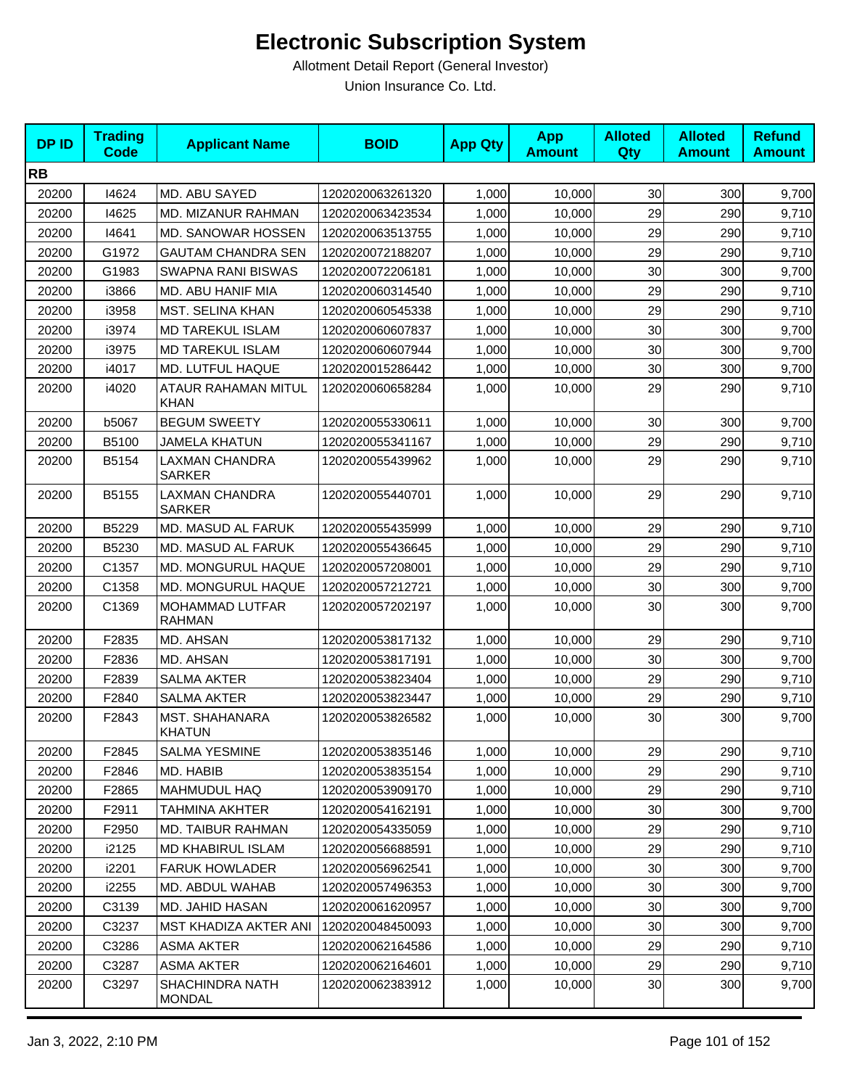| <b>DPID</b> | <b>Trading</b><br><b>Code</b> | <b>Applicant Name</b>                   | <b>BOID</b>      | <b>App Qty</b> | <b>App</b><br><b>Amount</b> | <b>Alloted</b><br><b>Qty</b> | <b>Alloted</b><br><b>Amount</b> | <b>Refund</b><br><b>Amount</b> |
|-------------|-------------------------------|-----------------------------------------|------------------|----------------|-----------------------------|------------------------------|---------------------------------|--------------------------------|
| <b>RB</b>   |                               |                                         |                  |                |                             |                              |                                 |                                |
| 20200       | 14624                         | MD. ABU SAYED                           | 1202020063261320 | 1,000          | 10,000                      | 30                           | 300                             | 9,700                          |
| 20200       | 14625                         | MD. MIZANUR RAHMAN                      | 1202020063423534 | 1,000          | 10,000                      | 29                           | 290                             | 9,710                          |
| 20200       | 14641                         | <b>MD. SANOWAR HOSSEN</b>               | 1202020063513755 | 1,000          | 10,000                      | 29                           | 290                             | 9,710                          |
| 20200       | G1972                         | <b>GAUTAM CHANDRA SEN</b>               | 1202020072188207 | 1,000          | 10,000                      | 29                           | 290                             | 9,710                          |
| 20200       | G1983                         | <b>SWAPNA RANI BISWAS</b>               | 1202020072206181 | 1,000          | 10,000                      | 30                           | 300                             | 9,700                          |
| 20200       | i3866                         | MD. ABU HANIF MIA                       | 1202020060314540 | 1,000          | 10,000                      | 29                           | 290                             | 9,710                          |
| 20200       | i3958                         | MST. SELINA KHAN                        | 1202020060545338 | 1,000          | 10,000                      | 29                           | 290                             | 9,710                          |
| 20200       | i3974                         | <b>MD TAREKUL ISLAM</b>                 | 1202020060607837 | 1,000          | 10,000                      | 30                           | 300                             | 9,700                          |
| 20200       | i3975                         | <b>MD TAREKUL ISLAM</b>                 | 1202020060607944 | 1,000          | 10,000                      | 30                           | 300                             | 9,700                          |
| 20200       | i4017                         | MD. LUTFUL HAQUE                        | 1202020015286442 | 1,000          | 10,000                      | 30                           | 300                             | 9,700                          |
| 20200       | i4020                         | ATAUR RAHAMAN MITUL<br><b>KHAN</b>      | 1202020060658284 | 1,000          | 10,000                      | 29                           | 290                             | 9,710                          |
| 20200       | b5067                         | <b>BEGUM SWEETY</b>                     | 1202020055330611 | 1,000          | 10,000                      | 30                           | 300                             | 9,700                          |
| 20200       | B5100                         | <b>JAMELA KHATUN</b>                    | 1202020055341167 | 1,000          | 10,000                      | 29                           | 290                             | 9,710                          |
| 20200       | B5154                         | LAXMAN CHANDRA<br><b>SARKER</b>         | 1202020055439962 | 1,000          | 10,000                      | 29                           | 290                             | 9,710                          |
| 20200       | B5155                         | <b>LAXMAN CHANDRA</b><br><b>SARKER</b>  | 1202020055440701 | 1,000          | 10,000                      | 29                           | 290                             | 9,710                          |
| 20200       | B5229                         | MD. MASUD AL FARUK                      | 1202020055435999 | 1,000          | 10,000                      | 29                           | 290                             | 9,710                          |
| 20200       | B5230                         | MD. MASUD AL FARUK                      | 1202020055436645 | 1,000          | 10,000                      | 29                           | 290                             | 9,710                          |
| 20200       | C1357                         | MD. MONGURUL HAQUE                      | 1202020057208001 | 1,000          | 10,000                      | 29                           | 290                             | 9,710                          |
| 20200       | C1358                         | MD. MONGURUL HAQUE                      | 1202020057212721 | 1,000          | 10,000                      | 30                           | 300                             | 9,700                          |
| 20200       | C1369                         | MOHAMMAD LUTFAR<br><b>RAHMAN</b>        | 1202020057202197 | 1,000          | 10,000                      | 30                           | 300                             | 9,700                          |
| 20200       | F2835                         | MD. AHSAN                               | 1202020053817132 | 1,000          | 10,000                      | 29                           | 290                             | 9,710                          |
| 20200       | F2836                         | MD. AHSAN                               | 1202020053817191 | 1,000          | 10,000                      | 30                           | 300                             | 9,700                          |
| 20200       | F2839                         | <b>SALMA AKTER</b>                      | 1202020053823404 | 1,000          | 10,000                      | 29                           | 290                             | 9,710                          |
| 20200       | F2840                         | <b>SALMA AKTER</b>                      | 1202020053823447 | 1,000          | 10,000                      | 29                           | 290                             | 9,710                          |
| 20200       | F2843                         | MST. SHAHANARA<br><b>KHATUN</b>         | 1202020053826582 | 1,000          | 10,000                      | 30                           | 300                             | 9,700                          |
| 20200       | F2845                         | <b>SALMA YESMINE</b>                    | 1202020053835146 | 1,000          | 10,000                      | 29                           | 290                             | 9,710                          |
| 20200       | F2846                         | MD. HABIB                               | 1202020053835154 | 1,000          | 10,000                      | 29                           | 290                             | 9,710                          |
| 20200       | F2865                         | MAHMUDUL HAQ                            | 1202020053909170 | 1,000          | 10,000                      | 29                           | 290                             | 9,710                          |
| 20200       | F2911                         | TAHMINA AKHTER                          | 1202020054162191 | 1,000          | 10,000                      | 30                           | 300                             | 9,700                          |
| 20200       | F2950                         | MD. TAIBUR RAHMAN                       | 1202020054335059 | 1,000          | 10,000                      | 29                           | 290                             | 9,710                          |
| 20200       | i2125                         | <b>MD KHABIRUL ISLAM</b>                | 1202020056688591 | 1,000          | 10,000                      | 29                           | 290                             | 9,710                          |
| 20200       | i2201                         | <b>FARUK HOWLADER</b>                   | 1202020056962541 | 1,000          | 10,000                      | 30                           | 300                             | 9,700                          |
| 20200       | i2255                         | MD. ABDUL WAHAB                         | 1202020057496353 | 1,000          | 10,000                      | 30                           | 300                             | 9,700                          |
| 20200       | C3139                         | MD. JAHID HASAN                         | 1202020061620957 | 1,000          | 10,000                      | 30                           | 300                             | 9,700                          |
| 20200       | C3237                         | MST KHADIZA AKTER ANI                   | 1202020048450093 | 1,000          | 10,000                      | 30                           | 300                             | 9,700                          |
| 20200       | C3286                         | <b>ASMA AKTER</b>                       | 1202020062164586 | 1,000          | 10,000                      | 29                           | 290                             | 9,710                          |
| 20200       | C3287                         | ASMA AKTER                              | 1202020062164601 | 1,000          | 10,000                      | 29                           | 290                             | 9,710                          |
| 20200       | C3297                         | <b>SHACHINDRA NATH</b><br><b>MONDAL</b> | 1202020062383912 | 1,000          | 10,000                      | 30 <sub>0</sub>              | 300                             | 9,700                          |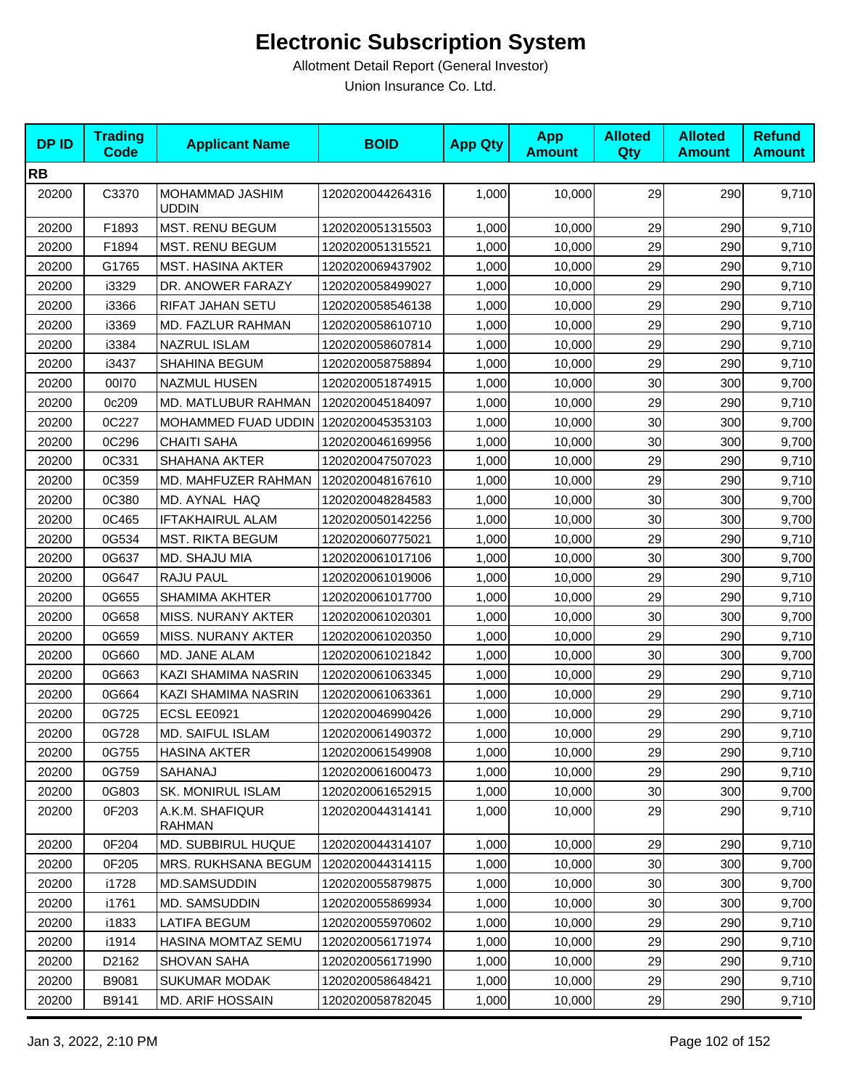| <b>DPID</b> | <b>Trading</b><br><b>Code</b> | <b>Applicant Name</b>            | <b>BOID</b>      | <b>App Qty</b> | <b>App</b><br><b>Amount</b> | <b>Alloted</b><br><b>Qty</b> | <b>Alloted</b><br><b>Amount</b> | <b>Refund</b><br><b>Amount</b> |
|-------------|-------------------------------|----------------------------------|------------------|----------------|-----------------------------|------------------------------|---------------------------------|--------------------------------|
| <b>RB</b>   |                               |                                  |                  |                |                             |                              |                                 |                                |
| 20200       | C3370                         | MOHAMMAD JASHIM<br><b>UDDIN</b>  | 1202020044264316 | 1,000          | 10,000                      | 29                           | 290                             | 9,710                          |
| 20200       | F1893                         | MST. RENU BEGUM                  | 1202020051315503 | 1,000          | 10,000                      | 29                           | 290                             | 9,710                          |
| 20200       | F1894                         | <b>MST. RENU BEGUM</b>           | 1202020051315521 | 1,000          | 10,000                      | 29                           | 290                             | 9,710                          |
| 20200       | G1765                         | <b>MST. HASINA AKTER</b>         | 1202020069437902 | 1,000          | 10,000                      | 29                           | 290                             | 9,710                          |
| 20200       | i3329                         | DR. ANOWER FARAZY                | 1202020058499027 | 1,000          | 10,000                      | 29                           | 290                             | 9,710                          |
| 20200       | i3366                         | RIFAT JAHAN SETU                 | 1202020058546138 | 1,000          | 10,000                      | 29                           | 290                             | 9,710                          |
| 20200       | i3369                         | MD. FAZLUR RAHMAN                | 1202020058610710 | 1,000          | 10,000                      | 29                           | 290                             | 9,710                          |
| 20200       | i3384                         | <b>NAZRUL ISLAM</b>              | 1202020058607814 | 1,000          | 10,000                      | 29                           | 290                             | 9,710                          |
| 20200       | i3437                         | <b>SHAHINA BEGUM</b>             | 1202020058758894 | 1,000          | 10,000                      | 29                           | 290                             | 9,710                          |
| 20200       | 00170                         | <b>NAZMUL HUSEN</b>              | 1202020051874915 | 1,000          | 10,000                      | 30                           | 300                             | 9,700                          |
| 20200       | 0c209                         | MD. MATLUBUR RAHMAN              | 1202020045184097 | 1,000          | 10,000                      | 29                           | 290                             | 9,710                          |
| 20200       | 0C227                         | MOHAMMED FUAD UDDIN              | 1202020045353103 | 1,000          | 10,000                      | 30                           | 300                             | 9,700                          |
| 20200       | 0C296                         | <b>CHAITI SAHA</b>               | 1202020046169956 | 1,000          | 10,000                      | 30                           | 300                             | 9,700                          |
| 20200       | 0C331                         | <b>SHAHANA AKTER</b>             | 1202020047507023 | 1,000          | 10,000                      | 29                           | 290                             | 9,710                          |
| 20200       | 0C359                         | MD. MAHFUZER RAHMAN              | 1202020048167610 | 1,000          | 10,000                      | 29                           | 290                             | 9,710                          |
| 20200       | 0C380                         | MD. AYNAL HAQ                    | 1202020048284583 | 1,000          | 10,000                      | 30                           | 300                             | 9,700                          |
| 20200       | 0C465                         | IFTAKHAIRUL ALAM                 | 1202020050142256 | 1,000          | 10,000                      | 30                           | 300                             | 9,700                          |
| 20200       | 0G534                         | <b>MST. RIKTA BEGUM</b>          | 1202020060775021 | 1,000          | 10,000                      | 29                           | 290                             | 9,710                          |
| 20200       | 0G637                         | MD. SHAJU MIA                    | 1202020061017106 | 1,000          | 10,000                      | 30                           | 300                             | 9,700                          |
| 20200       | 0G647                         | RAJU PAUL                        | 1202020061019006 | 1,000          | 10,000                      | 29                           | 290                             | 9,710                          |
| 20200       | 0G655                         | <b>SHAMIMA AKHTER</b>            | 1202020061017700 | 1,000          | 10,000                      | 29                           | 290                             | 9,710                          |
| 20200       | 0G658                         | MISS. NURANY AKTER               | 1202020061020301 | 1,000          | 10,000                      | 30                           | 300                             | 9,700                          |
| 20200       | 0G659                         | MISS. NURANY AKTER               | 1202020061020350 | 1,000          | 10,000                      | 29                           | 290                             | 9,710                          |
| 20200       | 0G660                         | MD. JANE ALAM                    | 1202020061021842 | 1,000          | 10,000                      | 30                           | 300                             | 9,700                          |
| 20200       | 0G663                         | KAZI SHAMIMA NASRIN              | 1202020061063345 | 1,000          | 10,000                      | 29                           | 290                             | 9,710                          |
| 20200       | 0G664                         | KAZI SHAMIMA NASRIN              | 1202020061063361 | 1,000          | 10,000                      | 29                           | 290                             | 9,710                          |
| 20200       | 0G725                         | ECSL EE0921                      | 1202020046990426 | 1,000          | 10,000                      | 29                           | 290                             | 9,710                          |
| 20200       | 0G728                         | MD. SAIFUL ISLAM                 | 1202020061490372 | 1,000          | 10,000                      | 29                           | 290                             | 9,710                          |
| 20200       | 0G755                         | <b>HASINA AKTER</b>              | 1202020061549908 | 1,000          | 10,000                      | 29                           | 290                             | 9,710                          |
| 20200       | 0G759                         | <b>SAHANAJ</b>                   | 1202020061600473 | 1,000          | 10,000                      | 29                           | 290                             | 9,710                          |
| 20200       | 0G803                         | SK. MONIRUL ISLAM                | 1202020061652915 | 1,000          | 10,000                      | 30                           | 300                             | 9,700                          |
| 20200       | 0F203                         | A.K.M. SHAFIQUR<br><b>RAHMAN</b> | 1202020044314141 | 1,000          | 10,000                      | 29                           | 290                             | 9,710                          |
| 20200       | 0F204                         | MD. SUBBIRUL HUQUE               | 1202020044314107 | 1,000          | 10,000                      | 29                           | 290                             | 9,710                          |
| 20200       | 0F205                         | MRS. RUKHSANA BEGUM              | 1202020044314115 | 1,000          | 10,000                      | 30                           | 300                             | 9,700                          |
| 20200       | i1728                         | MD.SAMSUDDIN                     | 1202020055879875 | 1,000          | 10,000                      | 30                           | 300                             | 9,700                          |
| 20200       | i1761                         | MD. SAMSUDDIN                    | 1202020055869934 | 1,000          | 10,000                      | 30                           | 300                             | 9,700                          |
| 20200       | i1833                         | <b>LATIFA BEGUM</b>              | 1202020055970602 | 1,000          | 10,000                      | 29                           | 290                             | 9,710                          |
| 20200       | i1914                         | <b>HASINA MOMTAZ SEMU</b>        | 1202020056171974 | 1,000          | 10,000                      | 29                           | 290                             | 9,710                          |
| 20200       | D2162                         | <b>SHOVAN SAHA</b>               | 1202020056171990 | 1,000          | 10,000                      | 29                           | 290                             | 9,710                          |
| 20200       | B9081                         | <b>SUKUMAR MODAK</b>             | 1202020058648421 | 1,000          | 10,000                      | 29                           | 290                             | 9,710                          |
| 20200       | B9141                         | MD. ARIF HOSSAIN                 | 1202020058782045 | 1,000          | 10,000                      | 29                           | 290                             | 9,710                          |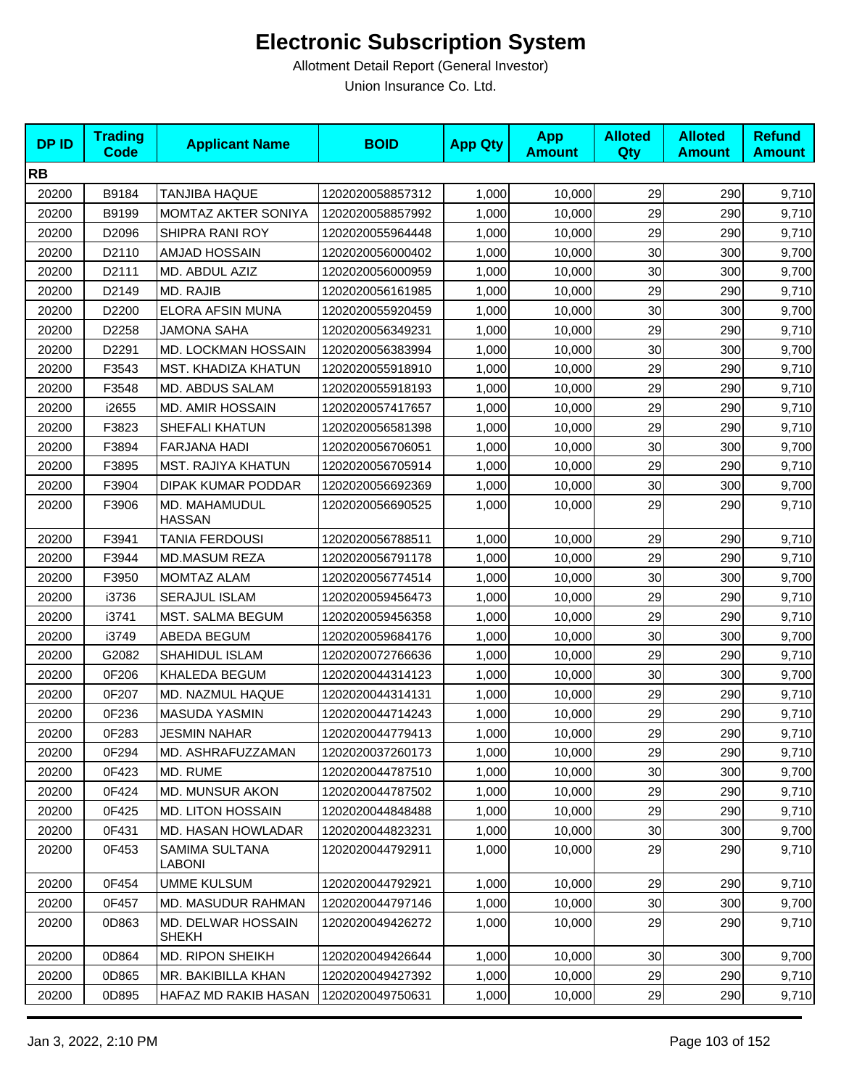| <b>DPID</b> | <b>Trading</b><br><b>Code</b> | <b>Applicant Name</b>              | <b>BOID</b>      | <b>App Qty</b> | <b>App</b><br><b>Amount</b> | <b>Alloted</b><br>Qty | <b>Alloted</b><br><b>Amount</b> | <b>Refund</b><br><b>Amount</b> |
|-------------|-------------------------------|------------------------------------|------------------|----------------|-----------------------------|-----------------------|---------------------------------|--------------------------------|
| <b>RB</b>   |                               |                                    |                  |                |                             |                       |                                 |                                |
| 20200       | B9184                         | <b>TANJIBA HAQUE</b>               | 1202020058857312 | 1,000          | 10,000                      | 29                    | 290                             | 9,710                          |
| 20200       | B9199                         | MOMTAZ AKTER SONIYA                | 1202020058857992 | 1,000          | 10,000                      | 29                    | 290                             | 9,710                          |
| 20200       | D2096                         | SHIPRA RANI ROY                    | 1202020055964448 | 1,000          | 10,000                      | 29                    | 290                             | 9,710                          |
| 20200       | D2110                         | AMJAD HOSSAIN                      | 1202020056000402 | 1,000          | 10,000                      | 30                    | 300                             | 9,700                          |
| 20200       | D2111                         | MD. ABDUL AZIZ                     | 1202020056000959 | 1,000          | 10,000                      | 30                    | 300                             | 9,700                          |
| 20200       | D2149                         | MD. RAJIB                          | 1202020056161985 | 1,000          | 10,000                      | 29                    | 290                             | 9,710                          |
| 20200       | D2200                         | ELORA AFSIN MUNA                   | 1202020055920459 | 1,000          | 10,000                      | 30                    | 300                             | 9,700                          |
| 20200       | D2258                         | <b>JAMONA SAHA</b>                 | 1202020056349231 | 1,000          | 10,000                      | 29                    | 290                             | 9,710                          |
| 20200       | D2291                         | MD. LOCKMAN HOSSAIN                | 1202020056383994 | 1,000          | 10,000                      | 30                    | 300                             | 9,700                          |
| 20200       | F3543                         | MST. KHADIZA KHATUN                | 1202020055918910 | 1,000          | 10,000                      | 29                    | 290                             | 9,710                          |
| 20200       | F3548                         | MD. ABDUS SALAM                    | 1202020055918193 | 1,000          | 10,000                      | 29                    | 290                             | 9,710                          |
| 20200       | i2655                         | <b>MD. AMIR HOSSAIN</b>            | 1202020057417657 | 1,000          | 10,000                      | 29                    | 290                             | 9,710                          |
| 20200       | F3823                         | SHEFALI KHATUN                     | 1202020056581398 | 1,000          | 10,000                      | 29                    | 290                             | 9,710                          |
| 20200       | F3894                         | FARJANA HADI                       | 1202020056706051 | 1,000          | 10,000                      | 30                    | 300                             | 9,700                          |
| 20200       | F3895                         | <b>MST. RAJIYA KHATUN</b>          | 1202020056705914 | 1,000          | 10,000                      | 29                    | 290                             | 9,710                          |
| 20200       | F3904                         | DIPAK KUMAR PODDAR                 | 1202020056692369 | 1,000          | 10,000                      | 30                    | 300                             | 9,700                          |
| 20200       | F3906                         | MD. MAHAMUDUL<br><b>HASSAN</b>     | 1202020056690525 | 1,000          | 10,000                      | 29                    | 290                             | 9,710                          |
| 20200       | F3941                         | <b>TANIA FERDOUSI</b>              | 1202020056788511 | 1,000          | 10,000                      | 29                    | 290                             | 9,710                          |
| 20200       | F3944                         | <b>MD.MASUM REZA</b>               | 1202020056791178 | 1,000          | 10,000                      | 29                    | 290                             | 9,710                          |
| 20200       | F3950                         | <b>MOMTAZ ALAM</b>                 | 1202020056774514 | 1,000          | 10,000                      | 30                    | 300                             | 9,700                          |
| 20200       | i3736                         | <b>SERAJUL ISLAM</b>               | 1202020059456473 | 1,000          | 10,000                      | 29                    | 290                             | 9,710                          |
| 20200       | i3741                         | MST. SALMA BEGUM                   | 1202020059456358 | 1,000          | 10,000                      | 29                    | 290                             | 9,710                          |
| 20200       | i3749                         | ABEDA BEGUM                        | 1202020059684176 | 1,000          | 10,000                      | 30                    | 300                             | 9,700                          |
| 20200       | G2082                         | SHAHIDUL ISLAM                     | 1202020072766636 | 1,000          | 10,000                      | 29                    | 290                             | 9,710                          |
| 20200       | 0F206                         | KHALEDA BEGUM                      | 1202020044314123 | 1,000          | 10,000                      | 30                    | 300                             | 9,700                          |
| 20200       | 0F207                         | MD. NAZMUL HAQUE                   | 1202020044314131 | 1,000          | 10,000                      | 29                    | 290                             | 9,710                          |
| 20200       | 0F236                         | <b>MASUDA YASMIN</b>               | 1202020044714243 | 1,000          | 10,000                      | 29                    | 290                             | 9,710                          |
| 20200       | 0F283                         | JESMIN NAHAR                       | 1202020044779413 | 1,000          | 10,000                      | 29                    | 290                             | 9,710                          |
| 20200       | 0F294                         | MD. ASHRAFUZZAMAN                  | 1202020037260173 | 1,000          | 10,000                      | 29                    | 290                             | 9,710                          |
| 20200       | 0F423                         | MD. RUME                           | 1202020044787510 | 1,000          | 10,000                      | 30                    | 300                             | 9,700                          |
| 20200       | 0F424                         | MD. MUNSUR AKON                    | 1202020044787502 | 1,000          | 10,000                      | 29                    | 290                             | 9,710                          |
| 20200       | 0F425                         | <b>MD. LITON HOSSAIN</b>           | 1202020044848488 | 1,000          | 10,000                      | 29                    | 290                             | 9,710                          |
| 20200       | 0F431                         | MD. HASAN HOWLADAR                 | 1202020044823231 | 1,000          | 10,000                      | 30                    | 300                             | 9,700                          |
| 20200       | 0F453                         | <b>SAMIMA SULTANA</b><br>LABONI    | 1202020044792911 | 1,000          | 10,000                      | 29                    | 290                             | 9,710                          |
| 20200       | 0F454                         | <b>UMME KULSUM</b>                 | 1202020044792921 | 1,000          | 10,000                      | 29                    | 290                             | 9,710                          |
| 20200       | 0F457                         | MD. MASUDUR RAHMAN                 | 1202020044797146 | 1,000          | 10,000                      | 30                    | 300                             | 9,700                          |
| 20200       | 0D863                         | MD. DELWAR HOSSAIN<br><b>SHEKH</b> | 1202020049426272 | 1,000          | 10,000                      | 29                    | 290                             | 9,710                          |
| 20200       | 0D864                         | <b>MD. RIPON SHEIKH</b>            | 1202020049426644 | 1,000          | 10,000                      | 30 <sup>°</sup>       | 300                             | 9,700                          |
| 20200       | 0D865                         | MR. BAKIBILLA KHAN                 | 1202020049427392 | 1,000          | 10,000                      | 29                    | 290                             | 9,710                          |
| 20200       | 0D895                         | HAFAZ MD RAKIB HASAN               | 1202020049750631 | 1,000          | 10,000                      | 29                    | 290                             | 9,710                          |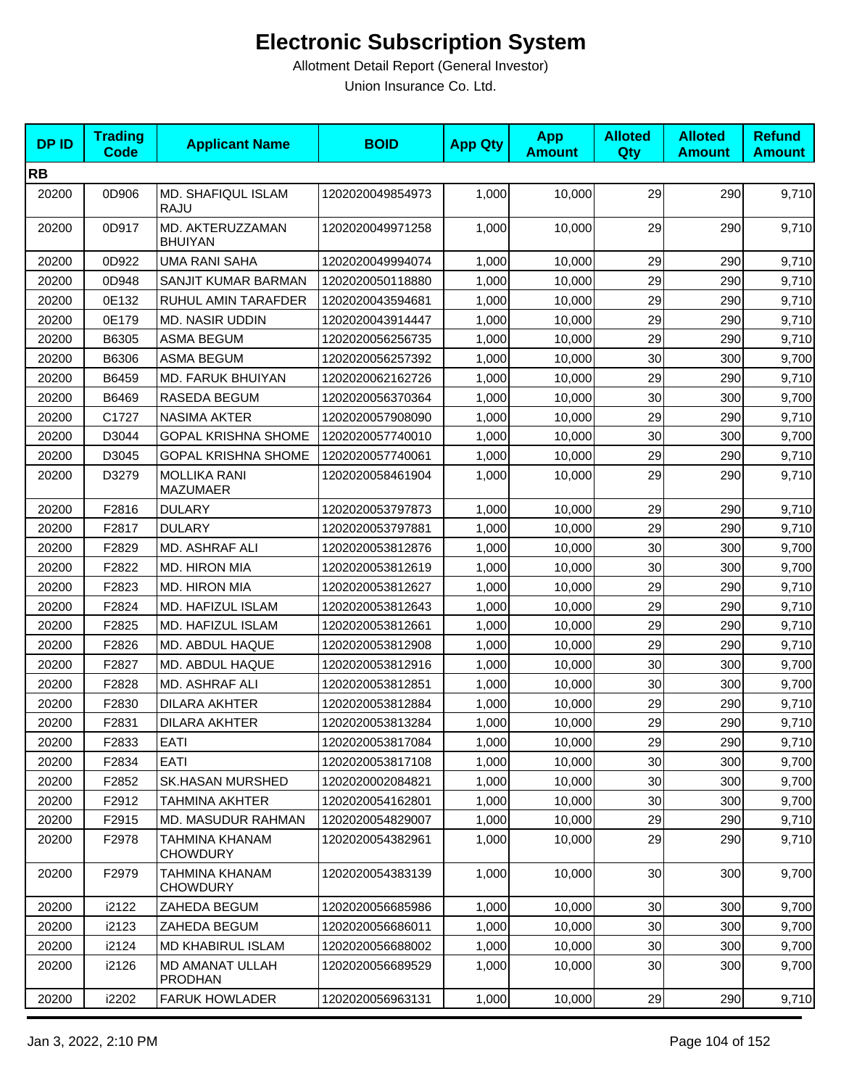| <b>DPID</b> | <b>Trading</b><br><b>Code</b> | <b>Applicant Name</b>                    | <b>BOID</b>      | <b>App Qty</b> | <b>App</b><br><b>Amount</b> | <b>Alloted</b><br>Qty | <b>Alloted</b><br><b>Amount</b> | <b>Refund</b><br><b>Amount</b> |
|-------------|-------------------------------|------------------------------------------|------------------|----------------|-----------------------------|-----------------------|---------------------------------|--------------------------------|
| <b>RB</b>   |                               |                                          |                  |                |                             |                       |                                 |                                |
| 20200       | 0D906                         | MD. SHAFIQUL ISLAM<br><b>RAJU</b>        | 1202020049854973 | 1,000          | 10,000                      | 29                    | 290                             | 9,710                          |
| 20200       | 0D917                         | MD. AKTERUZZAMAN<br><b>BHUIYAN</b>       | 1202020049971258 | 1,000          | 10,000                      | 29                    | 290                             | 9,710                          |
| 20200       | 0D922                         | <b>UMA RANI SAHA</b>                     | 1202020049994074 | 1,000          | 10,000                      | 29                    | 290                             | 9,710                          |
| 20200       | 0D948                         | SANJIT KUMAR BARMAN                      | 1202020050118880 | 1,000          | 10,000                      | 29                    | 290                             | 9,710                          |
| 20200       | 0E132                         | RUHUL AMIN TARAFDER                      | 1202020043594681 | 1,000          | 10,000                      | 29                    | 290                             | 9,710                          |
| 20200       | 0E179                         | <b>MD. NASIR UDDIN</b>                   | 1202020043914447 | 1,000          | 10,000                      | 29                    | 290                             | 9,710                          |
| 20200       | B6305                         | ASMA BEGUM                               | 1202020056256735 | 1,000          | 10,000                      | 29                    | 290                             | 9,710                          |
| 20200       | B6306                         | <b>ASMA BEGUM</b>                        | 1202020056257392 | 1,000          | 10,000                      | 30                    | 300                             | 9,700                          |
| 20200       | B6459                         | <b>MD. FARUK BHUIYAN</b>                 | 1202020062162726 | 1,000          | 10,000                      | 29                    | 290                             | 9,710                          |
| 20200       | B6469                         | RASEDA BEGUM                             | 1202020056370364 | 1,000          | 10,000                      | 30                    | 300                             | 9,700                          |
| 20200       | C1727                         | <b>NASIMA AKTER</b>                      | 1202020057908090 | 1,000          | 10,000                      | 29                    | 290                             | 9,710                          |
| 20200       | D3044                         | <b>GOPAL KRISHNA SHOME</b>               | 1202020057740010 | 1,000          | 10,000                      | 30                    | 300                             | 9,700                          |
| 20200       | D3045                         | <b>GOPAL KRISHNA SHOME</b>               | 1202020057740061 | 1,000          | 10,000                      | 29                    | 290                             | 9,710                          |
| 20200       | D3279                         | <b>MOLLIKA RANI</b><br><b>MAZUMAER</b>   | 1202020058461904 | 1,000          | 10,000                      | 29                    | 290                             | 9,710                          |
| 20200       | F2816                         | <b>DULARY</b>                            | 1202020053797873 | 1,000          | 10,000                      | 29                    | 290                             | 9,710                          |
| 20200       | F2817                         | <b>DULARY</b>                            | 1202020053797881 | 1,000          | 10,000                      | 29                    | 290                             | 9,710                          |
| 20200       | F2829                         | MD. ASHRAF ALI                           | 1202020053812876 | 1,000          | 10,000                      | 30                    | 300                             | 9,700                          |
| 20200       | F2822                         | MD. HIRON MIA                            | 1202020053812619 | 1,000          | 10,000                      | 30                    | 300                             | 9,700                          |
| 20200       | F2823                         | MD. HIRON MIA                            | 1202020053812627 | 1,000          | 10,000                      | 29                    | 290                             | 9,710                          |
| 20200       | F2824                         | MD. HAFIZUL ISLAM                        | 1202020053812643 | 1,000          | 10,000                      | 29                    | 290                             | 9,710                          |
| 20200       | F2825                         | MD. HAFIZUL ISLAM                        | 1202020053812661 | 1,000          | 10,000                      | 29                    | 290                             | 9,710                          |
| 20200       | F2826                         | MD. ABDUL HAQUE                          | 1202020053812908 | 1,000          | 10,000                      | 29                    | 290                             | 9,710                          |
| 20200       | F2827                         | MD. ABDUL HAQUE                          | 1202020053812916 | 1,000          | 10,000                      | 30                    | 300                             | 9,700                          |
| 20200       | F2828                         | MD. ASHRAF ALI                           | 1202020053812851 | 1,000          | 10,000                      | 30                    | 300                             | 9,700                          |
| 20200       | F2830                         | <b>DILARA AKHTER</b>                     | 1202020053812884 | 1,000          | 10,000                      | 29                    | 290                             | 9,710                          |
| 20200       | F2831                         | <b>DILARA AKHTER</b>                     | 1202020053813284 | 1,000          | 10,000                      | 29                    | 290                             | 9,710                          |
| 20200       | F2833                         | EATI                                     | 1202020053817084 | 1,000          | 10,000                      | 29                    | 290                             | 9,710                          |
| 20200       | F2834                         | EATI                                     | 1202020053817108 | 1,000          | 10,000                      | 30                    | 300                             | 9,700                          |
| 20200       | F2852                         | <b>SK.HASAN MURSHED</b>                  | 1202020002084821 | 1,000          | 10,000                      | 30                    | 300                             | 9,700                          |
| 20200       | F2912                         | <b>TAHMINA AKHTER</b>                    | 1202020054162801 | 1,000          | 10,000                      | 30                    | 300                             | 9,700                          |
| 20200       | F2915                         | <b>MD. MASUDUR RAHMAN</b>                | 1202020054829007 | 1,000          | 10,000                      | 29                    | 290                             | 9,710                          |
| 20200       | F2978                         | TAHMINA KHANAM<br><b>CHOWDURY</b>        | 1202020054382961 | 1,000          | 10.000                      | 29                    | 290                             | 9,710                          |
| 20200       | F2979                         | <b>TAHMINA KHANAM</b><br><b>CHOWDURY</b> | 1202020054383139 | 1,000          | 10.000                      | 30                    | 300                             | 9,700                          |
| 20200       | i2122                         | ZAHEDA BEGUM                             | 1202020056685986 | 1,000          | 10,000                      | 30                    | 300                             | 9,700                          |
| 20200       | i2123                         | ZAHEDA BEGUM                             | 1202020056686011 | 1,000          | 10,000                      | 30                    | 300                             | 9,700                          |
| 20200       | i2124                         | MD KHABIRUL ISLAM                        | 1202020056688002 | 1,000          | 10,000                      | 30                    | 300                             | 9,700                          |
| 20200       | i2126                         | MD AMANAT ULLAH<br><b>PRODHAN</b>        | 1202020056689529 | 1,000          | 10,000                      | 30                    | 300                             | 9,700                          |
| 20200       | i2202                         | <b>FARUK HOWLADER</b>                    | 1202020056963131 | 1,000          | 10,000                      | 29                    | 290                             | 9,710                          |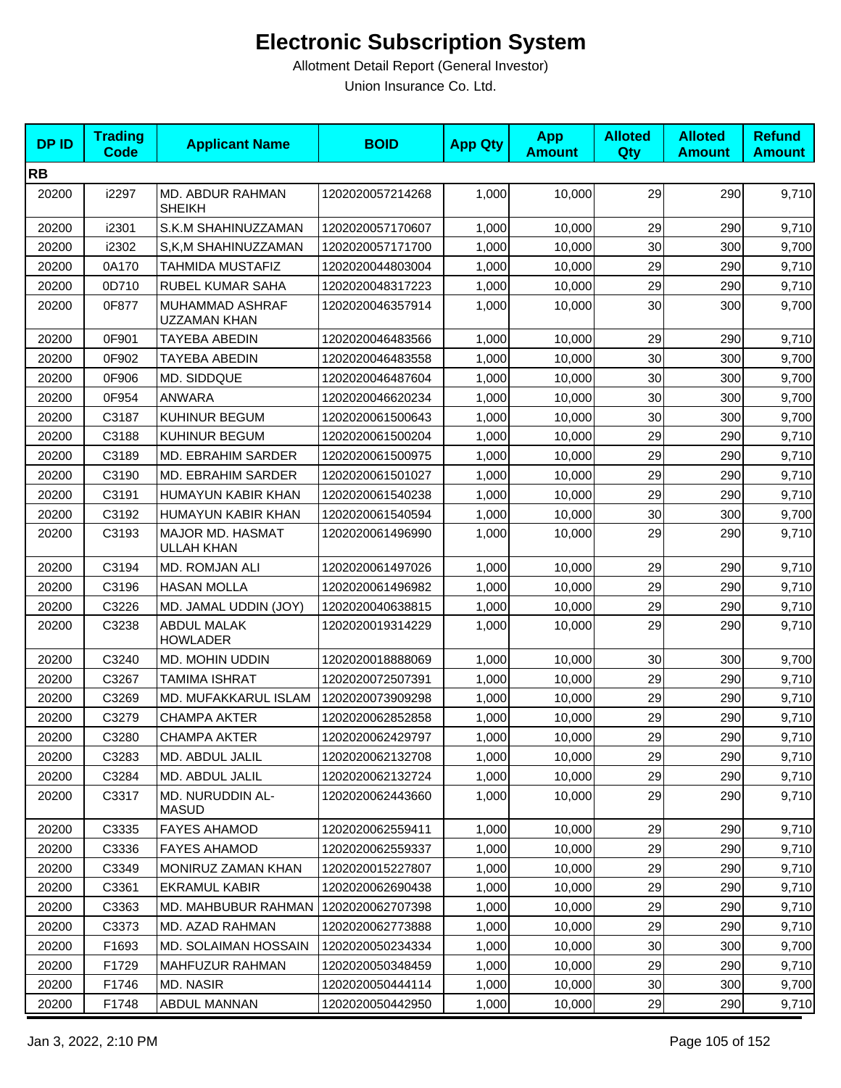| <b>DPID</b> | <b>Trading</b><br><b>Code</b> | <b>Applicant Name</b>                 | <b>BOID</b>      | <b>App Qty</b> | <b>App</b><br><b>Amount</b> | <b>Alloted</b><br>Qty | <b>Alloted</b><br><b>Amount</b> | <b>Refund</b><br><b>Amount</b> |
|-------------|-------------------------------|---------------------------------------|------------------|----------------|-----------------------------|-----------------------|---------------------------------|--------------------------------|
| <b>RB</b>   |                               |                                       |                  |                |                             |                       |                                 |                                |
| 20200       | i2297                         | MD. ABDUR RAHMAN<br><b>SHEIKH</b>     | 1202020057214268 | 1,000          | 10,000                      | 29                    | 290                             | 9,710                          |
| 20200       | i2301                         | S.K.M SHAHINUZZAMAN                   | 1202020057170607 | 1,000          | 10,000                      | 29                    | 290                             | 9,710                          |
| 20200       | i2302                         | S,K,M SHAHINUZZAMAN                   | 1202020057171700 | 1,000          | 10,000                      | 30                    | 300                             | 9,700                          |
| 20200       | 0A170                         | TAHMIDA MUSTAFIZ                      | 1202020044803004 | 1,000          | 10.000                      | 29                    | 290                             | 9,710                          |
| 20200       | 0D710                         | RUBEL KUMAR SAHA                      | 1202020048317223 | 1,000          | 10,000                      | 29                    | 290                             | 9,710                          |
| 20200       | 0F877                         | MUHAMMAD ASHRAF<br>UZZAMAN KHAN       | 1202020046357914 | 1,000          | 10,000                      | 30                    | 300                             | 9,700                          |
| 20200       | 0F901                         | TAYEBA ABEDIN                         | 1202020046483566 | 1,000          | 10,000                      | 29                    | 290                             | 9,710                          |
| 20200       | 0F902                         | TAYEBA ABEDIN                         | 1202020046483558 | 1,000          | 10,000                      | 30                    | 300                             | 9,700                          |
| 20200       | 0F906                         | MD. SIDDQUE                           | 1202020046487604 | 1,000          | 10,000                      | 30                    | 300                             | 9,700                          |
| 20200       | 0F954                         | <b>ANWARA</b>                         | 1202020046620234 | 1,000          | 10,000                      | 30                    | 300                             | 9,700                          |
| 20200       | C3187                         | KUHINUR BEGUM                         | 1202020061500643 | 1,000          | 10,000                      | 30                    | 300                             | 9,700                          |
| 20200       | C3188                         | KUHINUR BEGUM                         | 1202020061500204 | 1,000          | 10,000                      | 29                    | 290                             | 9,710                          |
| 20200       | C3189                         | MD. EBRAHIM SARDER                    | 1202020061500975 | 1,000          | 10,000                      | 29                    | 290                             | 9,710                          |
| 20200       | C3190                         | MD. EBRAHIM SARDER                    | 1202020061501027 | 1,000          | 10,000                      | 29                    | 290                             | 9,710                          |
| 20200       | C3191                         | HUMAYUN KABIR KHAN                    | 1202020061540238 | 1,000          | 10,000                      | 29                    | 290                             | 9,710                          |
| 20200       | C3192                         | HUMAYUN KABIR KHAN                    | 1202020061540594 | 1,000          | 10,000                      | 30                    | 300                             | 9,700                          |
| 20200       | C3193                         | MAJOR MD. HASMAT<br>ULLAH KHAN        | 1202020061496990 | 1,000          | 10,000                      | 29                    | 290                             | 9,710                          |
| 20200       | C3194                         | MD. ROMJAN ALI                        | 1202020061497026 | 1,000          | 10,000                      | 29                    | 290                             | 9,710                          |
| 20200       | C3196                         | <b>HASAN MOLLA</b>                    | 1202020061496982 | 1,000          | 10,000                      | 29                    | 290                             | 9,710                          |
| 20200       | C3226                         | MD. JAMAL UDDIN (JOY)                 | 1202020040638815 | 1,000          | 10,000                      | 29                    | 290                             | 9,710                          |
| 20200       | C3238                         | <b>ABDUL MALAK</b><br><b>HOWLADER</b> | 1202020019314229 | 1,000          | 10,000                      | 29                    | 290                             | 9,710                          |
| 20200       | C3240                         | <b>MD. MOHIN UDDIN</b>                | 1202020018888069 | 1,000          | 10,000                      | 30                    | 300                             | 9,700                          |
| 20200       | C3267                         | <b>TAMIMA ISHRAT</b>                  | 1202020072507391 | 1,000          | 10,000                      | 29                    | 290                             | 9,710                          |
| 20200       | C3269                         | MD. MUFAKKARUL ISLAM                  | 1202020073909298 | 1,000          | 10,000                      | 29                    | 290                             | 9,710                          |
| 20200       | C3279                         | <b>CHAMPA AKTER</b>                   | 1202020062852858 | 1,000          | 10,000                      | 29                    | 290                             | 9,710                          |
| 20200       | C3280                         | <b>CHAMPA AKTER</b>                   | 1202020062429797 | 1,000          | 10,000                      | 29                    | 290                             | 9,710                          |
| 20200       | C3283                         | MD. ABDUL JALIL                       | 1202020062132708 | 1,000          | 10,000                      | 29                    | 290                             | 9,710                          |
| 20200       | C3284                         | MD. ABDUL JALIL                       | 1202020062132724 | 1,000          | 10,000                      | 29                    | 290                             | 9,710                          |
| 20200       | C3317                         | MD. NURUDDIN AL-<br><b>MASUD</b>      | 1202020062443660 | 1,000          | 10,000                      | 29                    | 290                             | 9,710                          |
| 20200       | C3335                         | <b>FAYES AHAMOD</b>                   | 1202020062559411 | 1,000          | 10,000                      | 29                    | 290                             | 9,710                          |
| 20200       | C3336                         | <b>FAYES AHAMOD</b>                   | 1202020062559337 | 1,000          | 10,000                      | 29                    | 290                             | 9,710                          |
| 20200       | C3349                         | MONIRUZ ZAMAN KHAN                    | 1202020015227807 | 1,000          | 10,000                      | 29                    | 290                             | 9,710                          |
| 20200       | C3361                         | <b>EKRAMUL KABIR</b>                  | 1202020062690438 | 1,000          | 10,000                      | 29                    | 290                             | 9,710                          |
| 20200       | C3363                         | MD. MAHBUBUR RAHMAN                   | 1202020062707398 | 1,000          | 10,000                      | 29                    | 290                             | 9,710                          |
| 20200       | C3373                         | MD. AZAD RAHMAN                       | 1202020062773888 | 1,000          | 10,000                      | 29                    | 290                             | 9,710                          |
| 20200       | F1693                         | <b>MD. SOLAIMAN HOSSAIN</b>           | 1202020050234334 | 1,000          | 10,000                      | 30                    | 300                             | 9,700                          |
| 20200       | F1729                         | MAHFUZUR RAHMAN                       | 1202020050348459 | 1,000          | 10,000                      | 29                    | 290                             | 9,710                          |
| 20200       | F1746                         | MD. NASIR                             | 1202020050444114 | 1,000          | 10,000                      | 30                    | 300                             | 9,700                          |
| 20200       | F1748                         | ABDUL MANNAN                          | 1202020050442950 | 1,000          | 10,000                      | 29                    | 290                             | 9,710                          |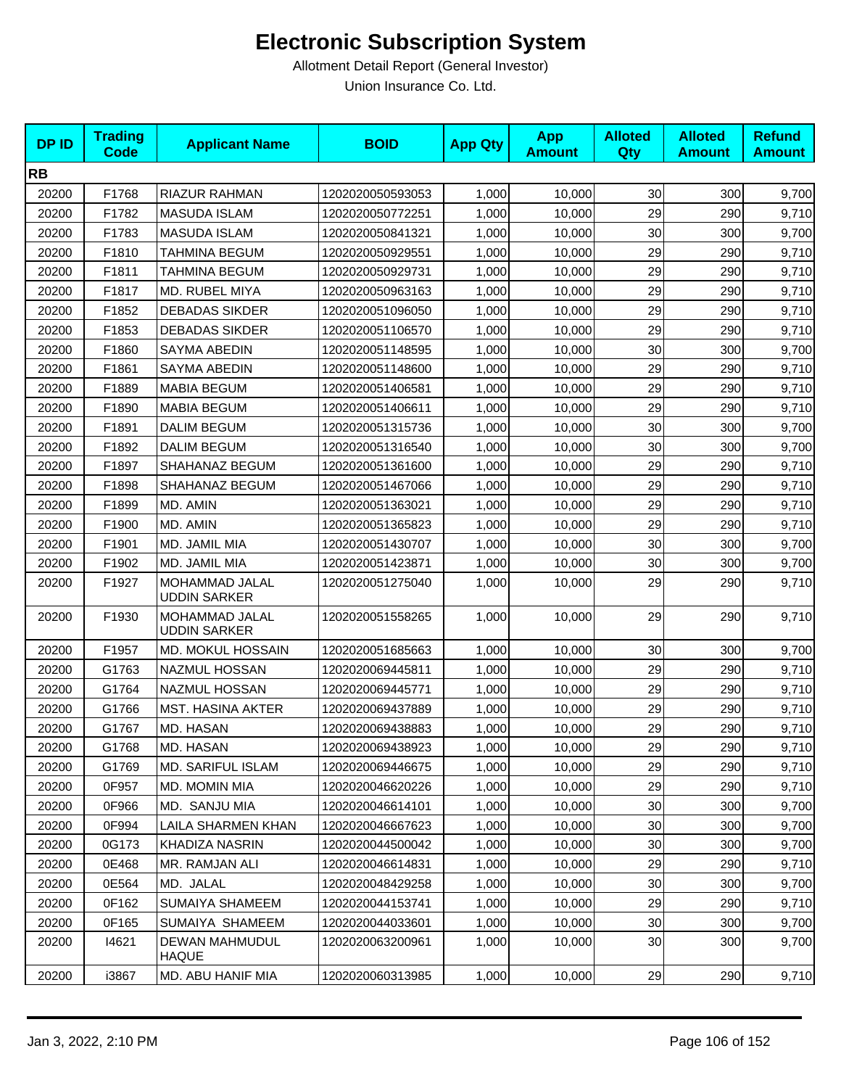| <b>DPID</b> | <b>Trading</b><br>Code | <b>Applicant Name</b>                 | <b>BOID</b>      | <b>App Qty</b> | <b>App</b><br><b>Amount</b> | <b>Alloted</b><br><b>Qty</b> | <b>Alloted</b><br><b>Amount</b> | <b>Refund</b><br><b>Amount</b> |
|-------------|------------------------|---------------------------------------|------------------|----------------|-----------------------------|------------------------------|---------------------------------|--------------------------------|
| <b>RB</b>   |                        |                                       |                  |                |                             |                              |                                 |                                |
| 20200       | F1768                  | RIAZUR RAHMAN                         | 1202020050593053 | 1,000          | 10,000                      | 30                           | 300                             | 9,700                          |
| 20200       | F1782                  | <b>MASUDA ISLAM</b>                   | 1202020050772251 | 1,000          | 10,000                      | 29                           | 290                             | 9,710                          |
| 20200       | F1783                  | <b>MASUDA ISLAM</b>                   | 1202020050841321 | 1,000          | 10,000                      | 30                           | 300                             | 9,700                          |
| 20200       | F1810                  | TAHMINA BEGUM                         | 1202020050929551 | 1,000          | 10,000                      | 29                           | 290                             | 9,710                          |
| 20200       | F1811                  | <b>TAHMINA BEGUM</b>                  | 1202020050929731 | 1,000          | 10,000                      | 29                           | 290                             | 9,710                          |
| 20200       | F1817                  | MD. RUBEL MIYA                        | 1202020050963163 | 1,000          | 10,000                      | 29                           | 290                             | 9,710                          |
| 20200       | F1852                  | <b>DEBADAS SIKDER</b>                 | 1202020051096050 | 1,000          | 10,000                      | 29                           | 290                             | 9,710                          |
| 20200       | F1853                  | <b>DEBADAS SIKDER</b>                 | 1202020051106570 | 1,000          | 10,000                      | 29                           | 290                             | 9,710                          |
| 20200       | F1860                  | SAYMA ABEDIN                          | 1202020051148595 | 1,000          | 10,000                      | 30                           | 300                             | 9,700                          |
| 20200       | F1861                  | SAYMA ABEDIN                          | 1202020051148600 | 1,000          | 10,000                      | 29                           | 290                             | 9,710                          |
| 20200       | F1889                  | <b>MABIA BEGUM</b>                    | 1202020051406581 | 1,000          | 10,000                      | 29                           | 290                             | 9,710                          |
| 20200       | F1890                  | <b>MABIA BEGUM</b>                    | 1202020051406611 | 1,000          | 10,000                      | 29                           | 290                             | 9,710                          |
| 20200       | F1891                  | <b>DALIM BEGUM</b>                    | 1202020051315736 | 1,000          | 10,000                      | 30                           | 300                             | 9,700                          |
| 20200       | F1892                  | <b>DALIM BEGUM</b>                    | 1202020051316540 | 1,000          | 10,000                      | 30                           | 300                             | 9,700                          |
| 20200       | F1897                  | SHAHANAZ BEGUM                        | 1202020051361600 | 1,000          | 10,000                      | 29                           | 290                             | 9,710                          |
| 20200       | F1898                  | SHAHANAZ BEGUM                        | 1202020051467066 | 1,000          | 10,000                      | 29                           | 290                             | 9,710                          |
| 20200       | F1899                  | MD. AMIN                              | 1202020051363021 | 1,000          | 10,000                      | 29                           | 290                             | 9,710                          |
| 20200       | F1900                  | MD. AMIN                              | 1202020051365823 | 1,000          | 10,000                      | 29                           | 290                             | 9,710                          |
| 20200       | F1901                  | MD. JAMIL MIA                         | 1202020051430707 | 1,000          | 10,000                      | 30                           | 300                             | 9,700                          |
| 20200       | F1902                  | MD. JAMIL MIA                         | 1202020051423871 | 1,000          | 10,000                      | 30                           | 300                             | 9,700                          |
| 20200       | F1927                  | MOHAMMAD JALAL<br><b>UDDIN SARKER</b> | 1202020051275040 | 1,000          | 10,000                      | 29                           | 290                             | 9,710                          |
| 20200       | F1930                  | MOHAMMAD JALAL<br><b>UDDIN SARKER</b> | 1202020051558265 | 1,000          | 10,000                      | 29                           | 290                             | 9,710                          |
| 20200       | F1957                  | MD. MOKUL HOSSAIN                     | 1202020051685663 | 1,000          | 10,000                      | 30                           | 300                             | 9,700                          |
| 20200       | G1763                  | NAZMUL HOSSAN                         | 1202020069445811 | 1,000          | 10,000                      | 29                           | 290                             | 9,710                          |
| 20200       | G1764                  | NAZMUL HOSSAN                         | 1202020069445771 | 1,000          | 10,000                      | 29                           | 290                             | 9,710                          |
| 20200       | G1766                  | <b>MST. HASINA AKTER</b>              | 1202020069437889 | 1,000          | 10,000                      | 29                           | 290                             | 9,710                          |
| 20200       | G1767                  | MD. HASAN                             | 1202020069438883 | 1,000          | 10,000                      | 29                           | 290                             | 9,710                          |
| 20200       | G1768                  | MD. HASAN                             | 1202020069438923 | 1,000          | 10,000                      | 29                           | 290                             | 9,710                          |
| 20200       | G1769                  | MD. SARIFUL ISLAM                     | 1202020069446675 | 1,000          | 10,000                      | 29                           | 290                             | 9,710                          |
| 20200       | 0F957                  | MD. MOMIN MIA                         | 1202020046620226 | 1,000          | 10,000                      | 29                           | 290                             | 9,710                          |
| 20200       | 0F966                  | MD. SANJU MIA                         | 1202020046614101 | 1,000          | 10,000                      | 30                           | 300                             | 9,700                          |
| 20200       | 0F994                  | <b>LAILA SHARMEN KHAN</b>             | 1202020046667623 | 1,000          | 10,000                      | 30                           | 300                             | 9,700                          |
| 20200       | 0G173                  | KHADIZA NASRIN                        | 1202020044500042 | 1,000          | 10,000                      | 30                           | 300                             | 9,700                          |
| 20200       | 0E468                  | MR. RAMJAN ALI                        | 1202020046614831 | 1,000          | 10,000                      | 29                           | 290                             | 9,710                          |
| 20200       | 0E564                  | MD. JALAL                             | 1202020048429258 | 1,000          | 10,000                      | 30                           | 300                             | 9,700                          |
| 20200       | 0F162                  | SUMAIYA SHAMEEM                       | 1202020044153741 | 1,000          | 10,000                      | 29                           | 290                             | 9,710                          |
| 20200       | 0F165                  | SUMAIYA SHAMEEM                       | 1202020044033601 | 1,000          | 10,000                      | 30                           | 300                             | 9,700                          |
| 20200       | 14621                  | DEWAN MAHMUDUL<br><b>HAQUE</b>        | 1202020063200961 | 1,000          | 10,000                      | 30                           | 300                             | 9,700                          |
| 20200       | i3867                  | MD. ABU HANIF MIA                     | 1202020060313985 | 1,000          | 10,000                      | 29                           | 290                             | 9,710                          |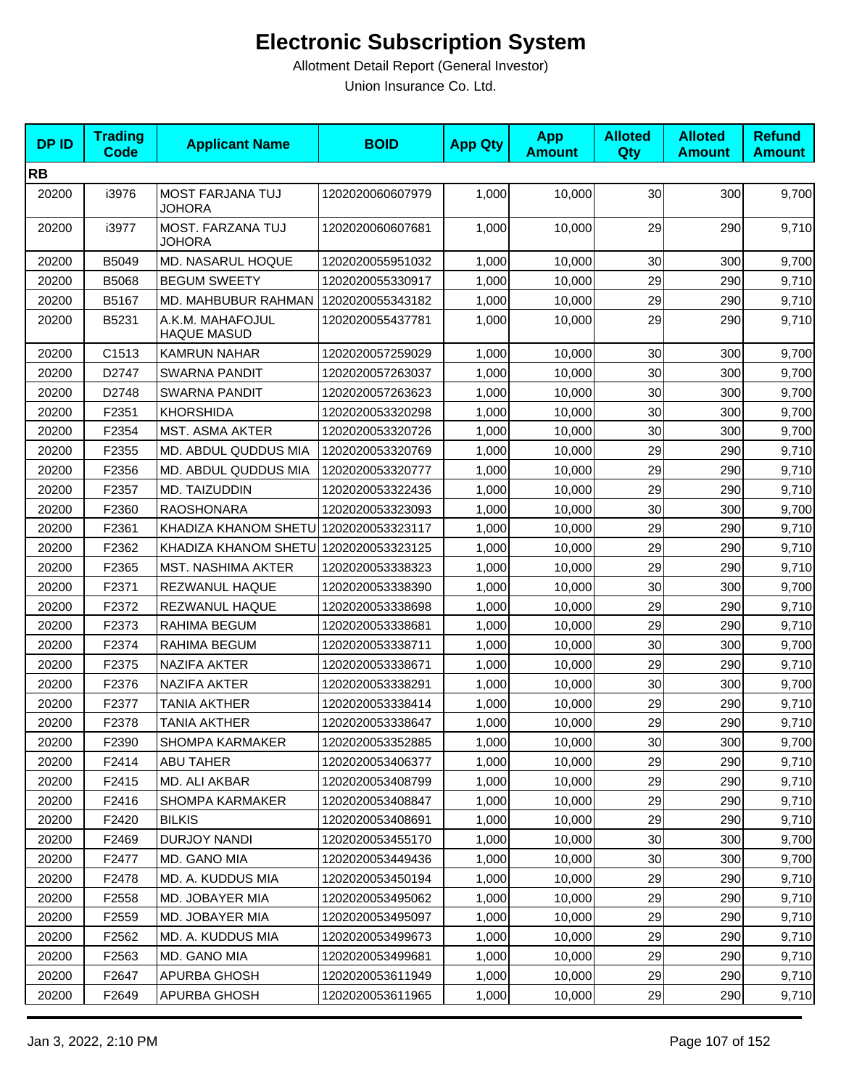| <b>DPID</b> | <b>Trading</b><br><b>Code</b> | <b>Applicant Name</b>                  | <b>BOID</b>      | <b>App Qty</b> | <b>App</b><br><b>Amount</b> | <b>Alloted</b><br>Qty | <b>Alloted</b><br><b>Amount</b> | <b>Refund</b><br><b>Amount</b> |
|-------------|-------------------------------|----------------------------------------|------------------|----------------|-----------------------------|-----------------------|---------------------------------|--------------------------------|
| <b>RB</b>   |                               |                                        |                  |                |                             |                       |                                 |                                |
| 20200       | i3976                         | <b>MOST FARJANA TUJ</b><br>JOHORA      | 1202020060607979 | 1,000          | 10,000                      | 30                    | 300                             | 9,700                          |
| 20200       | i3977                         | MOST. FARZANA TUJ<br><b>JOHORA</b>     | 1202020060607681 | 1,000          | 10,000                      | 29                    | 290                             | 9,710                          |
| 20200       | B5049                         | MD. NASARUL HOQUE                      | 1202020055951032 | 1,000          | 10,000                      | 30                    | 300                             | 9,700                          |
| 20200       | B5068                         | <b>BEGUM SWEETY</b>                    | 1202020055330917 | 1,000          | 10,000                      | 29                    | 290                             | 9,710                          |
| 20200       | B5167                         | MD. MAHBUBUR RAHMAN                    | 1202020055343182 | 1,000          | 10,000                      | 29                    | 290                             | 9,710                          |
| 20200       | B5231                         | A.K.M. MAHAFOJUL<br><b>HAQUE MASUD</b> | 1202020055437781 | 1,000          | 10,000                      | 29                    | 290                             | 9,710                          |
| 20200       | C1513                         | <b>KAMRUN NAHAR</b>                    | 1202020057259029 | 1,000          | 10,000                      | 30                    | 300                             | 9,700                          |
| 20200       | D2747                         | <b>SWARNA PANDIT</b>                   | 1202020057263037 | 1,000          | 10,000                      | 30                    | 300                             | 9,700                          |
| 20200       | D2748                         | SWARNA PANDIT                          | 1202020057263623 | 1,000          | 10,000                      | 30                    | 300                             | 9,700                          |
| 20200       | F2351                         | <b>KHORSHIDA</b>                       | 1202020053320298 | 1,000          | 10,000                      | 30                    | 300                             | 9,700                          |
| 20200       | F2354                         | <b>MST. ASMA AKTER</b>                 | 1202020053320726 | 1,000          | 10,000                      | 30                    | 300                             | 9,700                          |
| 20200       | F2355                         | MD. ABDUL QUDDUS MIA                   | 1202020053320769 | 1,000          | 10,000                      | 29                    | 290                             | 9,710                          |
| 20200       | F2356                         | MD. ABDUL QUDDUS MIA                   | 1202020053320777 | 1,000          | 10,000                      | 29                    | 290                             | 9,710                          |
| 20200       | F2357                         | MD. TAIZUDDIN                          | 1202020053322436 | 1,000          | 10,000                      | 29                    | 290                             | 9,710                          |
| 20200       | F2360                         | <b>RAOSHONARA</b>                      | 1202020053323093 | 1,000          | 10,000                      | 30                    | 300                             | 9,700                          |
| 20200       | F2361                         | KHADIZA KHANOM SHETU 1202020053323117  |                  | 1,000          | 10,000                      | 29                    | 290                             | 9,710                          |
| 20200       | F2362                         | KHADIZA KHANOM SHETU 1202020053323125  |                  | 1,000          | 10,000                      | 29                    | 290                             | 9,710                          |
| 20200       | F2365                         | <b>MST. NASHIMA AKTER</b>              | 1202020053338323 | 1,000          | 10,000                      | 29                    | 290                             | 9,710                          |
| 20200       | F2371                         | REZWANUL HAQUE                         | 1202020053338390 | 1,000          | 10,000                      | 30                    | 300                             | 9,700                          |
| 20200       | F2372                         | REZWANUL HAQUE                         | 1202020053338698 | 1,000          | 10,000                      | 29                    | 290                             | 9,710                          |
| 20200       | F2373                         | RAHIMA BEGUM                           | 1202020053338681 | 1,000          | 10,000                      | 29                    | 290                             | 9,710                          |
| 20200       | F2374                         | RAHIMA BEGUM                           | 1202020053338711 | 1,000          | 10,000                      | 30                    | 300                             | 9,700                          |
| 20200       | F2375                         | <b>NAZIFA AKTER</b>                    | 1202020053338671 | 1,000          | 10,000                      | 29                    | 290                             | 9,710                          |
| 20200       | F2376                         | <b>NAZIFA AKTER</b>                    | 1202020053338291 | 1,000          | 10,000                      | 30                    | 300                             | 9,700                          |
| 20200       | F2377                         | TANIA AKTHER                           | 1202020053338414 | 1,000          | 10,000                      | 29                    | 290                             | 9,710                          |
| 20200       | F2378                         | <b>TANIA AKTHER</b>                    | 1202020053338647 | 1,000          | 10,000                      | 29                    | 290                             | 9,710                          |
| 20200       | F2390                         | SHOMPA KARMAKER                        | 1202020053352885 | 1,000          | 10,000                      | 30                    | 300                             | 9,700                          |
| 20200       | F2414                         | ABU TAHER                              | 1202020053406377 | 1,000          | 10,000                      | 29                    | 290                             | 9,710                          |
| 20200       | F2415                         | MD. ALI AKBAR                          | 1202020053408799 | 1,000          | 10,000                      | 29                    | 290                             | 9,710                          |
| 20200       | F2416                         | <b>SHOMPA KARMAKER</b>                 | 1202020053408847 | 1,000          | 10,000                      | 29                    | 290                             | 9,710                          |
| 20200       | F2420                         | <b>BILKIS</b>                          | 1202020053408691 | 1,000          | 10,000                      | 29                    | 290                             | 9,710                          |
| 20200       | F2469                         | <b>DURJOY NANDI</b>                    | 1202020053455170 | 1,000          | 10,000                      | 30                    | 300                             | 9,700                          |
| 20200       | F2477                         | MD. GANO MIA                           | 1202020053449436 | 1,000          | 10,000                      | 30                    | 300                             | 9,700                          |
| 20200       | F2478                         | MD. A. KUDDUS MIA                      | 1202020053450194 | 1,000          | 10.000                      | 29                    | 290                             | 9,710                          |
| 20200       | F2558                         | MD. JOBAYER MIA                        | 1202020053495062 | 1,000          | 10,000                      | 29                    | 290                             | 9,710                          |
| 20200       | F2559                         | MD. JOBAYER MIA                        | 1202020053495097 | 1,000          | 10,000                      | 29                    | 290                             | 9,710                          |
| 20200       | F2562                         | MD. A. KUDDUS MIA                      | 1202020053499673 | 1,000          | 10,000                      | 29                    | 290                             | 9,710                          |
| 20200       | F2563                         | MD. GANO MIA                           | 1202020053499681 | 1,000          | 10,000                      | 29                    | 290                             | 9,710                          |
| 20200       | F2647                         | APURBA GHOSH                           | 1202020053611949 | 1,000          | 10,000                      | 29                    | 290                             | 9,710                          |
| 20200       | F2649                         | APURBA GHOSH                           | 1202020053611965 | 1,000          | 10,000                      | 29                    | 290                             | 9,710                          |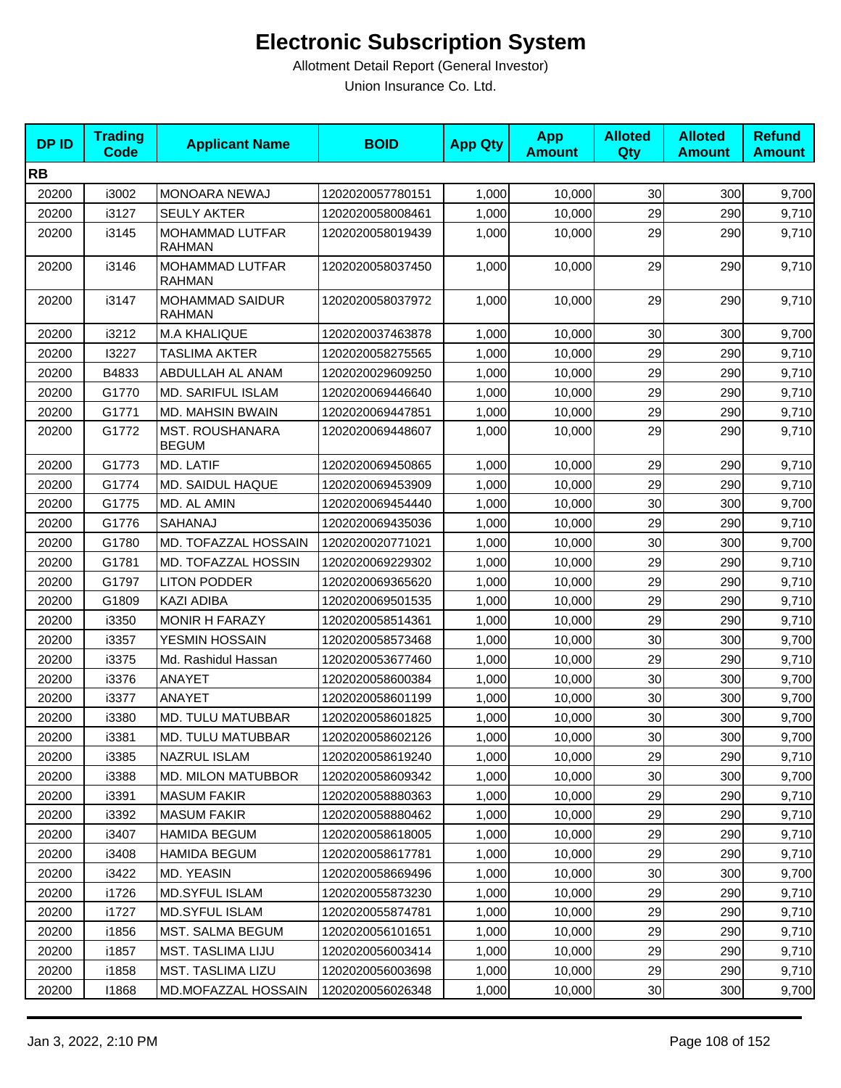| <b>DPID</b> | <b>Trading</b><br><b>Code</b> | <b>Applicant Name</b>                   | <b>BOID</b>      | <b>App Qty</b> | <b>App</b><br><b>Amount</b> | <b>Alloted</b><br>Qty | <b>Alloted</b><br><b>Amount</b> | <b>Refund</b><br><b>Amount</b> |
|-------------|-------------------------------|-----------------------------------------|------------------|----------------|-----------------------------|-----------------------|---------------------------------|--------------------------------|
| <b>RB</b>   |                               |                                         |                  |                |                             |                       |                                 |                                |
| 20200       | i3002                         | <b>MONOARA NEWAJ</b>                    | 1202020057780151 | 1,000          | 10,000                      | 30                    | 300                             | 9,700                          |
| 20200       | i3127                         | <b>SEULY AKTER</b>                      | 1202020058008461 | 1,000          | 10,000                      | 29                    | 290                             | 9,710                          |
| 20200       | i3145                         | MOHAMMAD LUTFAR<br><b>RAHMAN</b>        | 1202020058019439 | 1,000          | 10,000                      | 29                    | 290                             | 9,710                          |
| 20200       | i3146                         | <b>MOHAMMAD LUTFAR</b><br><b>RAHMAN</b> | 1202020058037450 | 1,000          | 10,000                      | 29                    | 290                             | 9,710                          |
| 20200       | i3147                         | <b>MOHAMMAD SAIDUR</b><br><b>RAHMAN</b> | 1202020058037972 | 1,000          | 10,000                      | 29                    | 290                             | 9,710                          |
| 20200       | i3212                         | M.A KHALIQUE                            | 1202020037463878 | 1,000          | 10,000                      | 30                    | 300                             | 9,700                          |
| 20200       | 13227                         | <b>TASLIMA AKTER</b>                    | 1202020058275565 | 1,000          | 10,000                      | 29                    | 290                             | 9,710                          |
| 20200       | B4833                         | ABDULLAH AL ANAM                        | 1202020029609250 | 1,000          | 10,000                      | 29                    | 290                             | 9,710                          |
| 20200       | G1770                         | <b>MD. SARIFUL ISLAM</b>                | 1202020069446640 | 1,000          | 10,000                      | 29                    | 290                             | 9,710                          |
| 20200       | G1771                         | MD. MAHSIN BWAIN                        | 1202020069447851 | 1,000          | 10,000                      | 29                    | 290                             | 9,710                          |
| 20200       | G1772                         | <b>MST. ROUSHANARA</b><br><b>BEGUM</b>  | 1202020069448607 | 1,000          | 10,000                      | 29                    | 290                             | 9,710                          |
| 20200       | G1773                         | MD. LATIF                               | 1202020069450865 | 1,000          | 10,000                      | 29                    | 290                             | 9,710                          |
| 20200       | G1774                         | MD. SAIDUL HAQUE                        | 1202020069453909 | 1,000          | 10,000                      | 29                    | 290                             | 9,710                          |
| 20200       | G1775                         | MD. AL AMIN                             | 1202020069454440 | 1,000          | 10,000                      | 30                    | 300                             | 9,700                          |
| 20200       | G1776                         | <b>SAHANAJ</b>                          | 1202020069435036 | 1,000          | 10.000                      | 29                    | 290                             | 9,710                          |
| 20200       | G1780                         | MD. TOFAZZAL HOSSAIN                    | 1202020020771021 | 1,000          | 10,000                      | 30                    | 300                             | 9,700                          |
| 20200       | G1781                         | MD. TOFAZZAL HOSSIN                     | 1202020069229302 | 1,000          | 10,000                      | 29                    | 290                             | 9,710                          |
| 20200       | G1797                         | <b>LITON PODDER</b>                     | 1202020069365620 | 1,000          | 10,000                      | 29                    | 290                             | 9,710                          |
| 20200       | G1809                         | KAZI ADIBA                              | 1202020069501535 | 1,000          | 10,000                      | 29                    | 290                             | 9,710                          |
| 20200       | i3350                         | <b>MONIR H FARAZY</b>                   | 1202020058514361 | 1,000          | 10,000                      | 29                    | 290                             | 9,710                          |
| 20200       | i3357                         | YESMIN HOSSAIN                          | 1202020058573468 | 1,000          | 10,000                      | 30                    | 300                             | 9,700                          |
| 20200       | i3375                         | Md. Rashidul Hassan                     | 1202020053677460 | 1,000          | 10,000                      | 29                    | 290                             | 9,710                          |
| 20200       | i3376                         | ANAYET                                  | 1202020058600384 | 1,000          | 10,000                      | 30                    | 300                             | 9,700                          |
| 20200       | i3377                         | <b>ANAYET</b>                           | 1202020058601199 | 1,000          | 10,000                      | 30                    | 300                             | 9,700                          |
| 20200       | i3380                         | MD. TULU MATUBBAR                       | 1202020058601825 | 1,000          | 10,000                      | 30                    | 300                             | 9,700                          |
| 20200       | i3381                         | MD. TULU MATUBBAR                       | 1202020058602126 | 1,000          | 10,000                      | 30 <sup>1</sup>       | 300                             | 9,700                          |
| 20200       | i3385                         | NAZRUL ISLAM                            | 1202020058619240 | 1,000          | 10,000                      | 29                    | 290                             | 9,710                          |
| 20200       | i3388                         | MD. MILON MATUBBOR                      | 1202020058609342 | 1,000          | 10,000                      | 30                    | 300                             | 9,700                          |
| 20200       | i3391                         | <b>MASUM FAKIR</b>                      | 1202020058880363 | 1,000          | 10,000                      | 29                    | 290                             | 9,710                          |
| 20200       | i3392                         | <b>MASUM FAKIR</b>                      | 1202020058880462 | 1,000          | 10,000                      | 29                    | 290                             | 9,710                          |
| 20200       | i3407                         | <b>HAMIDA BEGUM</b>                     | 1202020058618005 | 1,000          | 10,000                      | 29                    | 290                             | 9,710                          |
| 20200       | i3408                         | HAMIDA BEGUM                            | 1202020058617781 | 1,000          | 10,000                      | 29                    | 290                             | 9,710                          |
| 20200       | i3422                         | MD. YEASIN                              | 1202020058669496 | 1,000          | 10,000                      | 30                    | 300                             | 9,700                          |
| 20200       | i1726                         | <b>MD.SYFUL ISLAM</b>                   | 1202020055873230 | 1,000          | 10,000                      | 29                    | 290                             | 9,710                          |
| 20200       | i1727                         | <b>MD.SYFUL ISLAM</b>                   | 1202020055874781 | 1,000          | 10,000                      | 29                    | 290                             | 9,710                          |
| 20200       | i1856                         | MST. SALMA BEGUM                        | 1202020056101651 | 1,000          | 10,000                      | 29                    | 290                             | 9,710                          |
| 20200       | i1857                         | MST. TASLIMA LIJU                       | 1202020056003414 | 1,000          | 10,000                      | 29                    | 290                             | 9,710                          |
| 20200       | i1858                         | <b>MST. TASLIMA LIZU</b>                | 1202020056003698 | 1,000          | 10,000                      | 29                    | 290                             | 9,710                          |
| 20200       | 11868                         | MD.MOFAZZAL HOSSAIN                     | 1202020056026348 | 1,000          | 10,000                      | 30                    | 300                             | 9,700                          |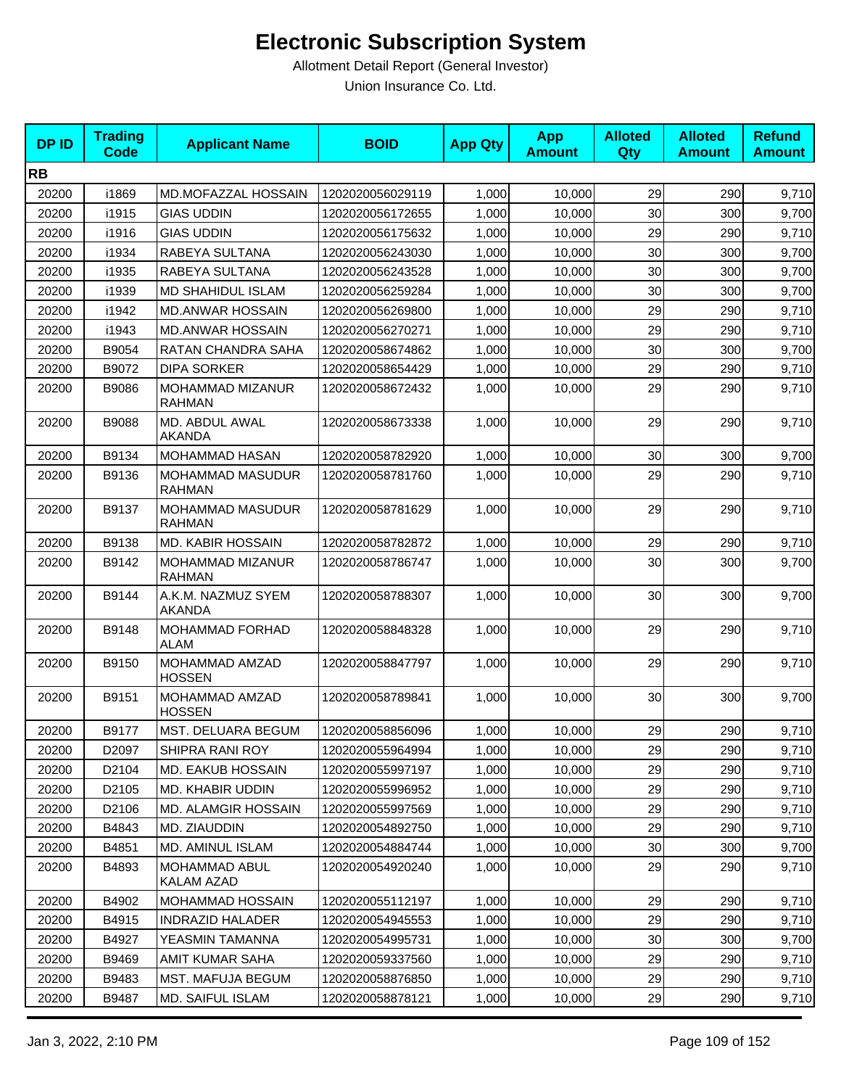| <b>DPID</b> | <b>Trading</b><br><b>Code</b> | <b>Applicant Name</b>                    | <b>BOID</b>      | <b>App Qty</b> | <b>App</b><br><b>Amount</b> | <b>Alloted</b><br>Qty | <b>Alloted</b><br><b>Amount</b> | <b>Refund</b><br><b>Amount</b> |
|-------------|-------------------------------|------------------------------------------|------------------|----------------|-----------------------------|-----------------------|---------------------------------|--------------------------------|
| <b>RB</b>   |                               |                                          |                  |                |                             |                       |                                 |                                |
| 20200       | i1869                         | <b>MD.MOFAZZAL HOSSAIN</b>               | 1202020056029119 | 1,000          | 10,000                      | 29                    | 290                             | 9,710                          |
| 20200       | i1915                         | <b>GIAS UDDIN</b>                        | 1202020056172655 | 1,000          | 10,000                      | 30                    | 300                             | 9,700                          |
| 20200       | i1916                         | <b>GIAS UDDIN</b>                        | 1202020056175632 | 1,000          | 10,000                      | 29                    | 290                             | 9,710                          |
| 20200       | i1934                         | RABEYA SULTANA                           | 1202020056243030 | 1,000          | 10,000                      | 30                    | 300                             | 9,700                          |
| 20200       | i1935                         | RABEYA SULTANA                           | 1202020056243528 | 1,000          | 10,000                      | 30                    | 300                             | 9,700                          |
| 20200       | i1939                         | <b>MD SHAHIDUL ISLAM</b>                 | 1202020056259284 | 1,000          | 10,000                      | 30                    | 300                             | 9,700                          |
| 20200       | i1942                         | <b>MD.ANWAR HOSSAIN</b>                  | 1202020056269800 | 1,000          | 10,000                      | 29                    | 290                             | 9,710                          |
| 20200       | i1943                         | <b>MD.ANWAR HOSSAIN</b>                  | 1202020056270271 | 1,000          | 10,000                      | 29                    | 290                             | 9,710                          |
| 20200       | B9054                         | RATAN CHANDRA SAHA                       | 1202020058674862 | 1,000          | 10,000                      | 30                    | 300                             | 9,700                          |
| 20200       | B9072                         | <b>DIPA SORKER</b>                       | 1202020058654429 | 1,000          | 10,000                      | 29                    | 290                             | 9,710                          |
| 20200       | B9086                         | MOHAMMAD MIZANUR<br><b>RAHMAN</b>        | 1202020058672432 | 1,000          | 10,000                      | 29                    | 290                             | 9,710                          |
| 20200       | B9088                         | MD. ABDUL AWAL<br><b>AKANDA</b>          | 1202020058673338 | 1,000          | 10,000                      | 29                    | 290                             | 9,710                          |
| 20200       | B9134                         | MOHAMMAD HASAN                           | 1202020058782920 | 1,000          | 10,000                      | 30                    | 300                             | 9,700                          |
| 20200       | B9136                         | <b>MOHAMMAD MASUDUR</b><br><b>RAHMAN</b> | 1202020058781760 | 1,000          | 10,000                      | 29                    | 290                             | 9,710                          |
| 20200       | B9137                         | <b>MOHAMMAD MASUDUR</b><br><b>RAHMAN</b> | 1202020058781629 | 1,000          | 10.000                      | 29                    | 290                             | 9,710                          |
| 20200       | B9138                         | <b>MD. KABIR HOSSAIN</b>                 | 1202020058782872 | 1,000          | 10,000                      | 29                    | 290                             | 9,710                          |
| 20200       | B9142                         | MOHAMMAD MIZANUR<br><b>RAHMAN</b>        | 1202020058786747 | 1,000          | 10,000                      | 30                    | 300                             | 9,700                          |
| 20200       | B9144                         | A.K.M. NAZMUZ SYEM<br><b>AKANDA</b>      | 1202020058788307 | 1,000          | 10,000                      | 30                    | 300                             | 9,700                          |
| 20200       | B9148                         | <b>MOHAMMAD FORHAD</b><br>ALAM           | 1202020058848328 | 1,000          | 10,000                      | 29                    | 290                             | 9,710                          |
| 20200       | B9150                         | MOHAMMAD AMZAD<br><b>HOSSEN</b>          | 1202020058847797 | 1,000          | 10,000                      | 29                    | 290                             | 9,710                          |
| 20200       | B9151                         | MOHAMMAD AMZAD<br><b>HOSSEN</b>          | 1202020058789841 | 1,000          | 10,000                      | 30                    | 300                             | 9,700                          |
| 20200       | B9177                         | MST. DELUARA BEGUM                       | 1202020058856096 | 1,000          | 10,000                      | 29                    | 290                             | 9,710                          |
| 20200       | D2097                         | <b>SHIPRA RANI ROY</b>                   | 1202020055964994 | 1,000          | 10,000                      | 29                    | 290                             | 9,710                          |
| 20200       | D2104                         | MD. EAKUB HOSSAIN                        | 1202020055997197 | 1,000          | 10,000                      | 29                    | 290                             | 9,710                          |
| 20200       | D <sub>2105</sub>             | MD. KHABIR UDDIN                         | 1202020055996952 | 1,000          | 10,000                      | 29                    | 290                             | 9,710                          |
| 20200       | D2106                         | <b>MD. ALAMGIR HOSSAIN</b>               | 1202020055997569 | 1,000          | 10,000                      | 29                    | 290                             | 9,710                          |
| 20200       | B4843                         | MD. ZIAUDDIN                             | 1202020054892750 | 1,000          | 10,000                      | 29                    | 290                             | 9,710                          |
| 20200       | B4851                         | MD. AMINUL ISLAM                         | 1202020054884744 | 1,000          | 10,000                      | 30                    | 300                             | 9,700                          |
| 20200       | B4893                         | <b>MOHAMMAD ABUL</b><br>KALAM AZAD       | 1202020054920240 | 1,000          | 10,000                      | 29                    | 290                             | 9,710                          |
| 20200       | B4902                         | MOHAMMAD HOSSAIN                         | 1202020055112197 | 1,000          | 10,000                      | 29                    | 290                             | 9,710                          |
| 20200       | B4915                         | <b>INDRAZID HALADER</b>                  | 1202020054945553 | 1,000          | 10,000                      | 29                    | 290                             | 9,710                          |
| 20200       | B4927                         | YEASMIN TAMANNA                          | 1202020054995731 | 1,000          | 10,000                      | 30                    | 300                             | 9,700                          |
| 20200       | B9469                         | AMIT KUMAR SAHA                          | 1202020059337560 | 1,000          | 10,000                      | 29                    | 290                             | 9,710                          |
| 20200       | B9483                         | MST. MAFUJA BEGUM                        | 1202020058876850 | 1,000          | 10,000                      | 29                    | 290                             | 9,710                          |
| 20200       | B9487                         | MD. SAIFUL ISLAM                         | 1202020058878121 | 1,000          | 10,000                      | 29                    | 290                             | 9,710                          |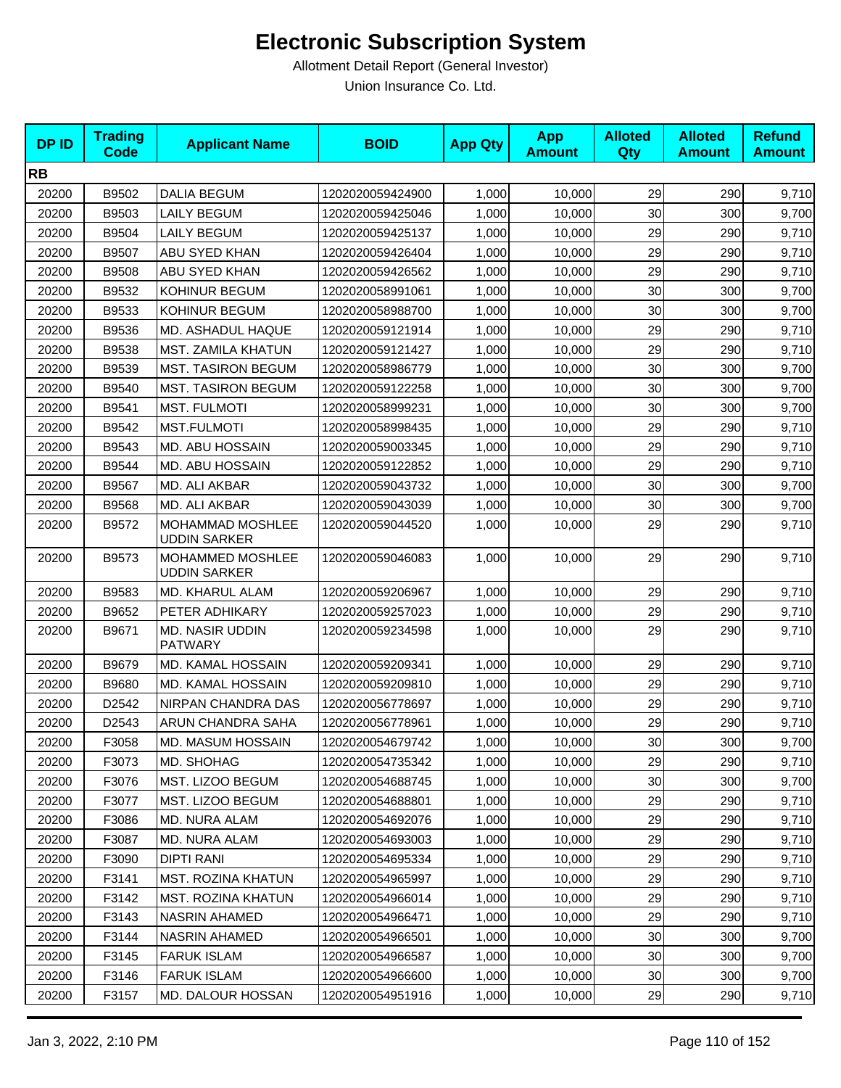| <b>DPID</b> | <b>Trading</b><br><b>Code</b> | <b>Applicant Name</b>                    | <b>BOID</b>      | <b>App Qty</b> | <b>App</b><br><b>Amount</b> | <b>Alloted</b><br><b>Qty</b> | <b>Alloted</b><br><b>Amount</b> | <b>Refund</b><br><b>Amount</b> |
|-------------|-------------------------------|------------------------------------------|------------------|----------------|-----------------------------|------------------------------|---------------------------------|--------------------------------|
| <b>RB</b>   |                               |                                          |                  |                |                             |                              |                                 |                                |
| 20200       | B9502                         | <b>DALIA BEGUM</b>                       | 1202020059424900 | 1,000          | 10,000                      | 29                           | 290                             | 9,710                          |
| 20200       | B9503                         | <b>LAILY BEGUM</b>                       | 1202020059425046 | 1,000          | 10,000                      | 30                           | 300                             | 9,700                          |
| 20200       | B9504                         | <b>LAILY BEGUM</b>                       | 1202020059425137 | 1,000          | 10,000                      | 29                           | 290                             | 9,710                          |
| 20200       | B9507                         | ABU SYED KHAN                            | 1202020059426404 | 1,000          | 10,000                      | 29                           | 290                             | 9,710                          |
| 20200       | B9508                         | ABU SYED KHAN                            | 1202020059426562 | 1,000          | 10,000                      | 29                           | 290                             | 9,710                          |
| 20200       | B9532                         | KOHINUR BEGUM                            | 1202020058991061 | 1,000          | 10,000                      | 30                           | 300                             | 9,700                          |
| 20200       | B9533                         | KOHINUR BEGUM                            | 1202020058988700 | 1,000          | 10,000                      | 30                           | 300                             | 9,700                          |
| 20200       | B9536                         | MD. ASHADUL HAQUE                        | 1202020059121914 | 1,000          | 10,000                      | 29                           | 290                             | 9,710                          |
| 20200       | B9538                         | MST. ZAMILA KHATUN                       | 1202020059121427 | 1,000          | 10,000                      | 29                           | 290                             | 9,710                          |
| 20200       | B9539                         | <b>MST. TASIRON BEGUM</b>                | 1202020058986779 | 1,000          | 10,000                      | 30                           | 300                             | 9,700                          |
| 20200       | B9540                         | <b>MST. TASIRON BEGUM</b>                | 1202020059122258 | 1,000          | 10,000                      | 30                           | 300                             | 9,700                          |
| 20200       | B9541                         | <b>MST. FULMOTI</b>                      | 1202020058999231 | 1,000          | 10,000                      | 30                           | 300                             | 9,700                          |
| 20200       | B9542                         | <b>MST.FULMOTI</b>                       | 1202020058998435 | 1,000          | 10,000                      | 29                           | 290                             | 9,710                          |
| 20200       | B9543                         | MD. ABU HOSSAIN                          | 1202020059003345 | 1,000          | 10,000                      | 29                           | 290                             | 9,710                          |
| 20200       | B9544                         | MD. ABU HOSSAIN                          | 1202020059122852 | 1,000          | 10,000                      | 29                           | 290                             | 9,710                          |
| 20200       | B9567                         | MD. ALI AKBAR                            | 1202020059043732 | 1,000          | 10,000                      | 30                           | 300                             | 9,700                          |
| 20200       | B9568                         | MD. ALI AKBAR                            | 1202020059043039 | 1,000          | 10,000                      | 30                           | 300                             | 9,700                          |
| 20200       | B9572                         | MOHAMMAD MOSHLEE<br><b>UDDIN SARKER</b>  | 1202020059044520 | 1,000          | 10,000                      | 29                           | 290                             | 9,710                          |
| 20200       | B9573                         | MOHAMMED MOSHLEE<br><b>UDDIN SARKER</b>  | 1202020059046083 | 1,000          | 10,000                      | 29                           | 290                             | 9,710                          |
| 20200       | B9583                         | MD. KHARUL ALAM                          | 1202020059206967 | 1,000          | 10,000                      | 29                           | 290                             | 9,710                          |
| 20200       | B9652                         | PETER ADHIKARY                           | 1202020059257023 | 1,000          | 10,000                      | 29                           | 290                             | 9,710                          |
| 20200       | B9671                         | <b>MD. NASIR UDDIN</b><br><b>PATWARY</b> | 1202020059234598 | 1,000          | 10,000                      | 29                           | 290                             | 9,710                          |
| 20200       | B9679                         | MD. KAMAL HOSSAIN                        | 1202020059209341 | 1,000          | 10,000                      | 29                           | 290                             | 9,710                          |
| 20200       | B9680                         | MD. KAMAL HOSSAIN                        | 1202020059209810 | 1,000          | 10,000                      | 29                           | 290                             | 9,710                          |
| 20200       | D2542                         | <b>NIRPAN CHANDRA DAS</b>                | 1202020056778697 | 1,000          | 10,000                      | 29                           | 290                             | 9,710                          |
| 20200       | D2543                         | ARUN CHANDRA SAHA                        | 1202020056778961 | 1,000          | 10,000                      | 29                           | 290                             | 9,710                          |
| 20200       | F3058                         | MD. MASUM HOSSAIN                        | 1202020054679742 | 1,000          | 10,000                      | 30                           | 300                             | 9,700                          |
| 20200       | F3073                         | MD. SHOHAG                               | 1202020054735342 | 1,000          | 10,000                      | 29                           | 290                             | 9,710                          |
| 20200       | F3076                         | MST. LIZOO BEGUM                         | 1202020054688745 | 1,000          | 10,000                      | 30                           | 300                             | 9,700                          |
| 20200       | F3077                         | MST. LIZOO BEGUM                         | 1202020054688801 | 1,000          | 10,000                      | 29                           | 290                             | 9,710                          |
| 20200       | F3086                         | MD. NURA ALAM                            | 1202020054692076 | 1,000          | 10,000                      | 29                           | 290                             | 9,710                          |
| 20200       | F3087                         | MD. NURA ALAM                            | 1202020054693003 | 1,000          | 10,000                      | 29                           | 290                             | 9,710                          |
| 20200       | F3090                         | DIPTI RANI                               | 1202020054695334 | 1,000          | 10,000                      | 29                           | 290                             | 9,710                          |
| 20200       | F3141                         | <b>MST. ROZINA KHATUN</b>                | 1202020054965997 | 1,000          | 10,000                      | 29                           | 290                             | 9,710                          |
| 20200       | F3142                         | <b>MST. ROZINA KHATUN</b>                | 1202020054966014 | 1,000          | 10,000                      | 29                           | 290                             | 9,710                          |
| 20200       | F3143                         | NASRIN AHAMED                            | 1202020054966471 | 1,000          | 10,000                      | 29                           | 290                             | 9,710                          |
| 20200       | F3144                         | <b>NASRIN AHAMED</b>                     | 1202020054966501 | 1,000          | 10,000                      | 30                           | 300                             | 9,700                          |
| 20200       | F3145                         | <b>FARUK ISLAM</b>                       | 1202020054966587 | 1,000          | 10,000                      | 30                           | 300                             | 9,700                          |
| 20200       | F3146                         | <b>FARUK ISLAM</b>                       | 1202020054966600 | 1,000          | 10,000                      | 30                           | 300                             | 9,700                          |
| 20200       | F3157                         | MD. DALOUR HOSSAN                        | 1202020054951916 | 1,000          | 10,000                      | 29                           | 290                             | 9,710                          |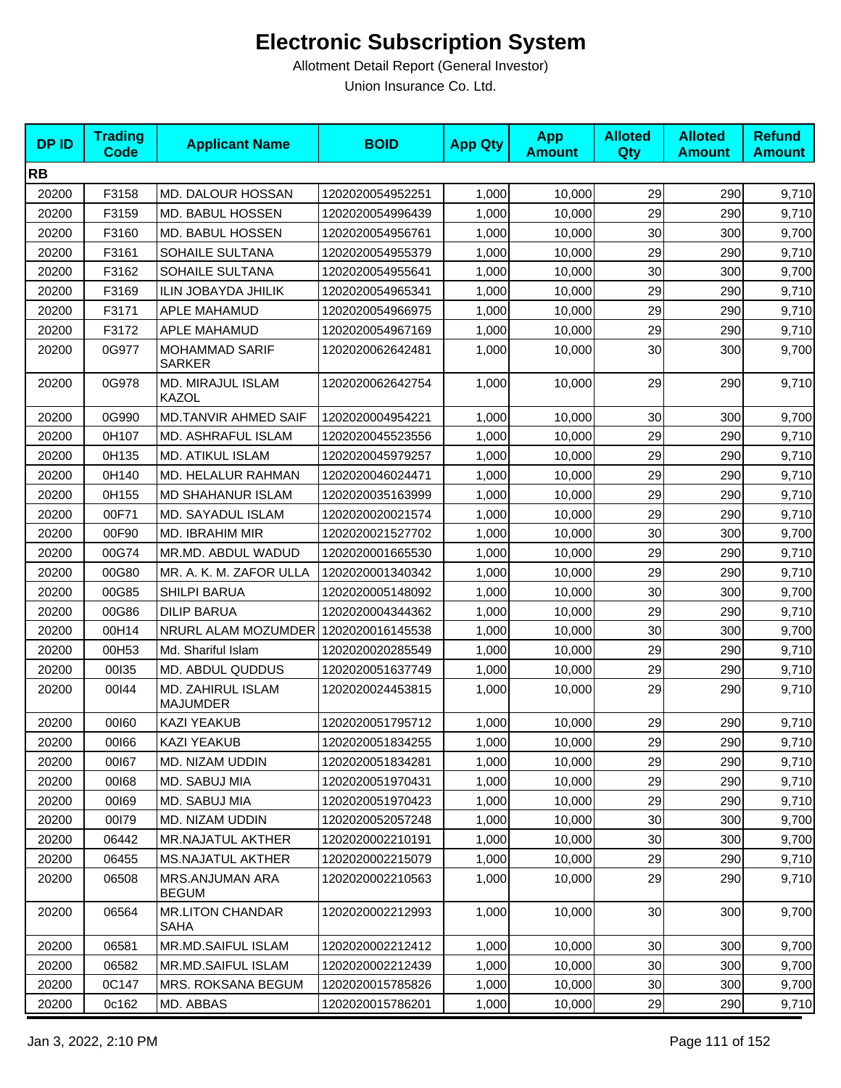| <b>DPID</b> | <b>Trading</b><br><b>Code</b> | <b>Applicant Name</b>                  | <b>BOID</b>      | <b>App Qty</b> | <b>App</b><br><b>Amount</b> | <b>Alloted</b><br>Qty | <b>Alloted</b><br><b>Amount</b> | <b>Refund</b><br><b>Amount</b> |
|-------------|-------------------------------|----------------------------------------|------------------|----------------|-----------------------------|-----------------------|---------------------------------|--------------------------------|
| <b>RB</b>   |                               |                                        |                  |                |                             |                       |                                 |                                |
| 20200       | F3158                         | MD. DALOUR HOSSAN                      | 1202020054952251 | 1,000          | 10,000                      | 29                    | 290                             | 9,710                          |
| 20200       | F3159                         | MD. BABUL HOSSEN                       | 1202020054996439 | 1,000          | 10,000                      | 29                    | 290                             | 9,710                          |
| 20200       | F3160                         | MD. BABUL HOSSEN                       | 1202020054956761 | 1,000          | 10,000                      | 30                    | 300                             | 9,700                          |
| 20200       | F3161                         | SOHAILE SULTANA                        | 1202020054955379 | 1,000          | 10,000                      | 29                    | 290                             | 9,710                          |
| 20200       | F3162                         | SOHAILE SULTANA                        | 1202020054955641 | 1,000          | 10,000                      | 30                    | 300                             | 9,700                          |
| 20200       | F3169                         | <b>ILIN JOBAYDA JHILIK</b>             | 1202020054965341 | 1,000          | 10,000                      | 29                    | 290                             | 9,710                          |
| 20200       | F3171                         | APLE MAHAMUD                           | 1202020054966975 | 1,000          | 10,000                      | 29                    | 290                             | 9,710                          |
| 20200       | F3172                         | APLE MAHAMUD                           | 1202020054967169 | 1,000          | 10,000                      | 29                    | 290                             | 9,710                          |
| 20200       | 0G977                         | <b>MOHAMMAD SARIF</b><br><b>SARKER</b> | 1202020062642481 | 1,000          | 10,000                      | 30                    | 300                             | 9,700                          |
| 20200       | 0G978                         | MD. MIRAJUL ISLAM<br><b>KAZOL</b>      | 1202020062642754 | 1,000          | 10,000                      | 29                    | 290                             | 9,710                          |
| 20200       | 0G990                         | MD.TANVIR AHMED SAIF                   | 1202020004954221 | 1,000          | 10,000                      | 30                    | 300                             | 9,700                          |
| 20200       | 0H107                         | MD. ASHRAFUL ISLAM                     | 1202020045523556 | 1,000          | 10,000                      | 29                    | 290                             | 9,710                          |
| 20200       | 0H135                         | <b>MD. ATIKUL ISLAM</b>                | 1202020045979257 | 1,000          | 10,000                      | 29                    | 290                             | 9,710                          |
| 20200       | 0H140                         | MD. HELALUR RAHMAN                     | 1202020046024471 | 1,000          | 10,000                      | 29                    | 290                             | 9,710                          |
| 20200       | 0H155                         | MD SHAHANUR ISLAM                      | 1202020035163999 | 1,000          | 10,000                      | 29                    | 290                             | 9,710                          |
| 20200       | 00F71                         | MD. SAYADUL ISLAM                      | 1202020020021574 | 1,000          | 10,000                      | 29                    | 290                             | 9,710                          |
| 20200       | 00F90                         | MD. IBRAHIM MIR                        | 1202020021527702 | 1,000          | 10,000                      | 30                    | 300                             | 9,700                          |
| 20200       | 00G74                         | MR.MD. ABDUL WADUD                     | 1202020001665530 | 1,000          | 10,000                      | 29                    | 290                             | 9,710                          |
| 20200       | 00G80                         | MR. A. K. M. ZAFOR ULLA                | 1202020001340342 | 1,000          | 10,000                      | 29                    | 290                             | 9,710                          |
| 20200       | 00G85                         | <b>SHILPI BARUA</b>                    | 1202020005148092 | 1,000          | 10,000                      | 30                    | 300                             | 9,700                          |
| 20200       | 00G86                         | <b>DILIP BARUA</b>                     | 1202020004344362 | 1,000          | 10,000                      | 29                    | 290                             | 9,710                          |
| 20200       | 00H14                         | NRURL ALAM MOZUMDER                    | 1202020016145538 | 1,000          | 10,000                      | 30                    | 300                             | 9,700                          |
| 20200       | 00H53                         | Md. Shariful Islam                     | 1202020020285549 | 1,000          | 10,000                      | 29                    | 290                             | 9,710                          |
| 20200       | 00135                         | MD. ABDUL QUDDUS                       | 1202020051637749 | 1,000          | 10,000                      | 29                    | 290                             | 9,710                          |
| 20200       | 00144                         | MD. ZAHIRUL ISLAM<br><b>MAJUMDER</b>   | 1202020024453815 | 1,000          | 10,000                      | 29                    | 290                             | 9,710                          |
| 20200       | 00160                         | KAZI YEAKUB                            | 1202020051795712 | 1,000          | 10,000                      | 29                    | 290                             | 9,710                          |
| 20200       | 00166                         | <b>KAZI YEAKUB</b>                     | 1202020051834255 | 1,000          | 10,000                      | 29                    | 290                             | 9,710                          |
| 20200       | 00167                         | MD. NIZAM UDDIN                        | 1202020051834281 | 1,000          | 10,000                      | 29                    | 290                             | 9,710                          |
| 20200       | 00168                         | MD. SABUJ MIA                          | 1202020051970431 | 1,000          | 10,000                      | 29                    | 290                             | 9,710                          |
| 20200       | 00169                         | MD. SABUJ MIA                          | 1202020051970423 | 1,000          | 10,000                      | 29                    | 290                             | 9,710                          |
| 20200       | 00179                         | MD. NIZAM UDDIN                        | 1202020052057248 | 1,000          | 10,000                      | 30                    | 300                             | 9,700                          |
| 20200       | 06442                         | MR.NAJATUL AKTHER                      | 1202020002210191 | 1,000          | 10,000                      | 30                    | 300                             | 9,700                          |
| 20200       | 06455                         | <b>MS.NAJATUL AKTHER</b>               | 1202020002215079 | 1,000          | 10,000                      | 29                    | 290                             | 9,710                          |
| 20200       | 06508                         | MRS.ANJUMAN ARA<br><b>BEGUM</b>        | 1202020002210563 | 1,000          | 10,000                      | 29                    | 290                             | 9,710                          |
| 20200       | 06564                         | <b>MR.LITON CHANDAR</b><br>SAHA        | 1202020002212993 | 1,000          | 10,000                      | 30                    | 300                             | 9,700                          |
| 20200       | 06581                         | MR.MD.SAIFUL ISLAM                     | 1202020002212412 | 1,000          | 10,000                      | 30                    | 300                             | 9,700                          |
| 20200       | 06582                         | MR.MD.SAIFUL ISLAM                     | 1202020002212439 | 1,000          | 10,000                      | 30                    | 300                             | 9,700                          |
| 20200       | 0C147                         | MRS. ROKSANA BEGUM                     | 1202020015785826 | 1,000          | 10,000                      | 30                    | 300                             | 9,700                          |
| 20200       | 0c162                         | MD. ABBAS                              | 1202020015786201 | 1,000          | 10,000                      | 29                    | 290                             | 9,710                          |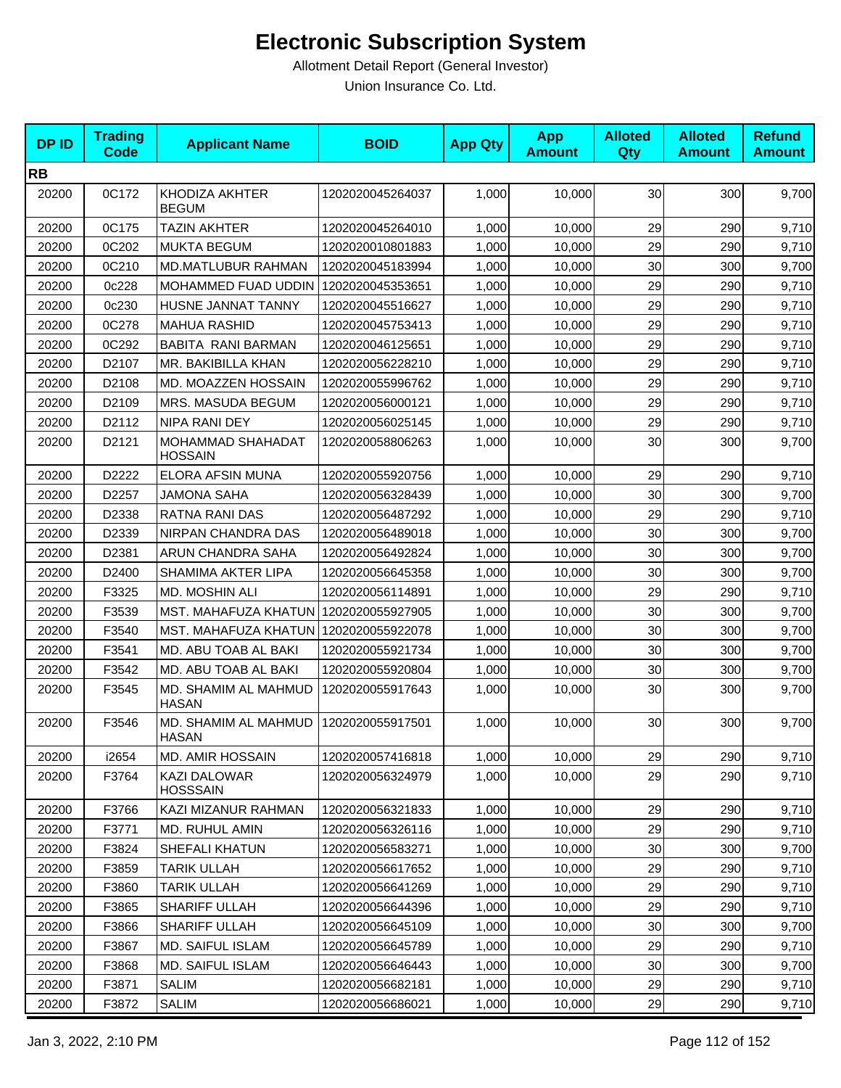| <b>DPID</b> | <b>Trading</b><br><b>Code</b> | <b>Applicant Name</b>                   | <b>BOID</b>      | <b>App Qty</b> | <b>App</b><br><b>Amount</b> | <b>Alloted</b><br>Qty | <b>Alloted</b><br><b>Amount</b> | <b>Refund</b><br><b>Amount</b> |
|-------------|-------------------------------|-----------------------------------------|------------------|----------------|-----------------------------|-----------------------|---------------------------------|--------------------------------|
| <b>RB</b>   |                               |                                         |                  |                |                             |                       |                                 |                                |
| 20200       | 0C172                         | KHODIZA AKHTER<br><b>BEGUM</b>          | 1202020045264037 | 1,000          | 10,000                      | 30                    | 300                             | 9,700                          |
| 20200       | 0C175                         | <b>TAZIN AKHTER</b>                     | 1202020045264010 | 1,000          | 10.000                      | 29                    | 290                             | 9,710                          |
| 20200       | 0C202                         | <b>MUKTA BEGUM</b>                      | 1202020010801883 | 1,000          | 10,000                      | 29                    | 290                             | 9,710                          |
| 20200       | 0C210                         | <b>MD.MATLUBUR RAHMAN</b>               | 1202020045183994 | 1,000          | 10,000                      | 30                    | 300                             | 9,700                          |
| 20200       | 0c228                         | MOHAMMED FUAD UDDIN                     | 1202020045353651 | 1,000          | 10,000                      | 29                    | 290                             | 9,710                          |
| 20200       | 0c230                         | HUSNE JANNAT TANNY                      | 1202020045516627 | 1,000          | 10,000                      | 29                    | 290                             | 9,710                          |
| 20200       | 0C278                         | <b>MAHUA RASHID</b>                     | 1202020045753413 | 1,000          | 10,000                      | 29                    | 290                             | 9,710                          |
| 20200       | 0C292                         | BABITA RANI BARMAN                      | 1202020046125651 | 1,000          | 10,000                      | 29                    | 290                             | 9,710                          |
| 20200       | D2107                         | MR. BAKIBILLA KHAN                      | 1202020056228210 | 1,000          | 10,000                      | 29                    | 290                             | 9,710                          |
| 20200       | D2108                         | MD. MOAZZEN HOSSAIN                     | 1202020055996762 | 1,000          | 10,000                      | 29                    | 290                             | 9,710                          |
| 20200       | D2109                         | MRS. MASUDA BEGUM                       | 1202020056000121 | 1,000          | 10,000                      | 29                    | 290                             | 9,710                          |
| 20200       | D2112                         | NIPA RANI DEY                           | 1202020056025145 | 1,000          | 10,000                      | 29                    | 290                             | 9,710                          |
| 20200       | D2121                         | MOHAMMAD SHAHADAT<br><b>HOSSAIN</b>     | 1202020058806263 | 1,000          | 10,000                      | 30                    | 300                             | 9,700                          |
| 20200       | D2222                         | ELORA AFSIN MUNA                        | 1202020055920756 | 1,000          | 10,000                      | 29                    | 290                             | 9,710                          |
| 20200       | D2257                         | <b>JAMONA SAHA</b>                      | 1202020056328439 | 1,000          | 10,000                      | 30                    | 300                             | 9,700                          |
| 20200       | D2338                         | <b>RATNA RANI DAS</b>                   | 1202020056487292 | 1,000          | 10,000                      | 29                    | 290                             | 9,710                          |
| 20200       | D2339                         | NIRPAN CHANDRA DAS                      | 1202020056489018 | 1,000          | 10,000                      | 30                    | 300                             | 9,700                          |
| 20200       | D2381                         | ARUN CHANDRA SAHA                       | 1202020056492824 | 1,000          | 10,000                      | 30                    | 300                             | 9,700                          |
| 20200       | D <sub>2400</sub>             | SHAMIMA AKTER LIPA                      | 1202020056645358 | 1,000          | 10,000                      | 30                    | 300                             | 9,700                          |
| 20200       | F3325                         | MD. MOSHIN ALI                          | 1202020056114891 | 1,000          | 10,000                      | 29                    | 290                             | 9,710                          |
| 20200       | F3539                         | MST. MAHAFUZA KHATUN                    | 1202020055927905 | 1,000          | 10,000                      | 30                    | 300                             | 9,700                          |
| 20200       | F3540                         | MST. MAHAFUZA KHATUN   1202020055922078 |                  | 1,000          | 10,000                      | 30                    | 300                             | 9,700                          |
| 20200       | F3541                         | MD. ABU TOAB AL BAKI                    | 1202020055921734 | 1,000          | 10,000                      | 30                    | 300                             | 9,700                          |
| 20200       | F3542                         | MD. ABU TOAB AL BAKI                    | 1202020055920804 | 1,000          | 10,000                      | 30                    | 300                             | 9,700                          |
| 20200       | F3545                         | MD. SHAMIM AL MAHMUD<br><b>HASAN</b>    | 1202020055917643 | 1,000          | 10,000                      | 30                    | 300                             | 9,700                          |
| 20200       | F3546                         | MD. SHAMIM AL MAHMUD<br><b>HASAN</b>    | 1202020055917501 | 1,000          | 10,000                      | 30                    | 300                             | 9,700                          |
| 20200       | i2654                         | <b>MD. AMIR HOSSAIN</b>                 | 1202020057416818 | 1,000          | 10,000                      | 29                    | 290                             | 9,710                          |
| 20200       | F3764                         | KAZI DALOWAR<br><b>HOSSSAIN</b>         | 1202020056324979 | 1,000          | 10,000                      | 29                    | 290                             | 9,710                          |
| 20200       | F3766                         | KAZI MIZANUR RAHMAN                     | 1202020056321833 | 1,000          | 10,000                      | 29                    | 290                             | 9,710                          |
| 20200       | F3771                         | <b>MD. RUHUL AMIN</b>                   | 1202020056326116 | 1,000          | 10,000                      | 29                    | 290                             | 9,710                          |
| 20200       | F3824                         | SHEFALI KHATUN                          | 1202020056583271 | 1,000          | 10,000                      | 30                    | 300                             | 9,700                          |
| 20200       | F3859                         | <b>TARIK ULLAH</b>                      | 1202020056617652 | 1,000          | 10,000                      | 29                    | 290                             | 9,710                          |
| 20200       | F3860                         | <b>TARIK ULLAH</b>                      | 1202020056641269 | 1,000          | 10,000                      | 29                    | 290                             | 9,710                          |
| 20200       | F3865                         | SHARIFF ULLAH                           | 1202020056644396 | 1,000          | 10,000                      | 29                    | 290                             | 9,710                          |
| 20200       | F3866                         | SHARIFF ULLAH                           | 1202020056645109 | 1,000          | 10,000                      | 30                    | 300                             | 9,700                          |
| 20200       | F3867                         | MD. SAIFUL ISLAM                        | 1202020056645789 | 1,000          | 10,000                      | 29                    | 290                             | 9,710                          |
| 20200       | F3868                         | MD. SAIFUL ISLAM                        | 1202020056646443 | 1,000          | 10,000                      | 30 <sub>0</sub>       | 300                             | 9,700                          |
| 20200       | F3871                         | SALIM                                   | 1202020056682181 | 1,000          | 10,000                      | 29                    | 290                             | 9,710                          |
| 20200       | F3872                         | <b>SALIM</b>                            | 1202020056686021 | 1,000          | 10,000                      | 29                    | 290                             | 9,710                          |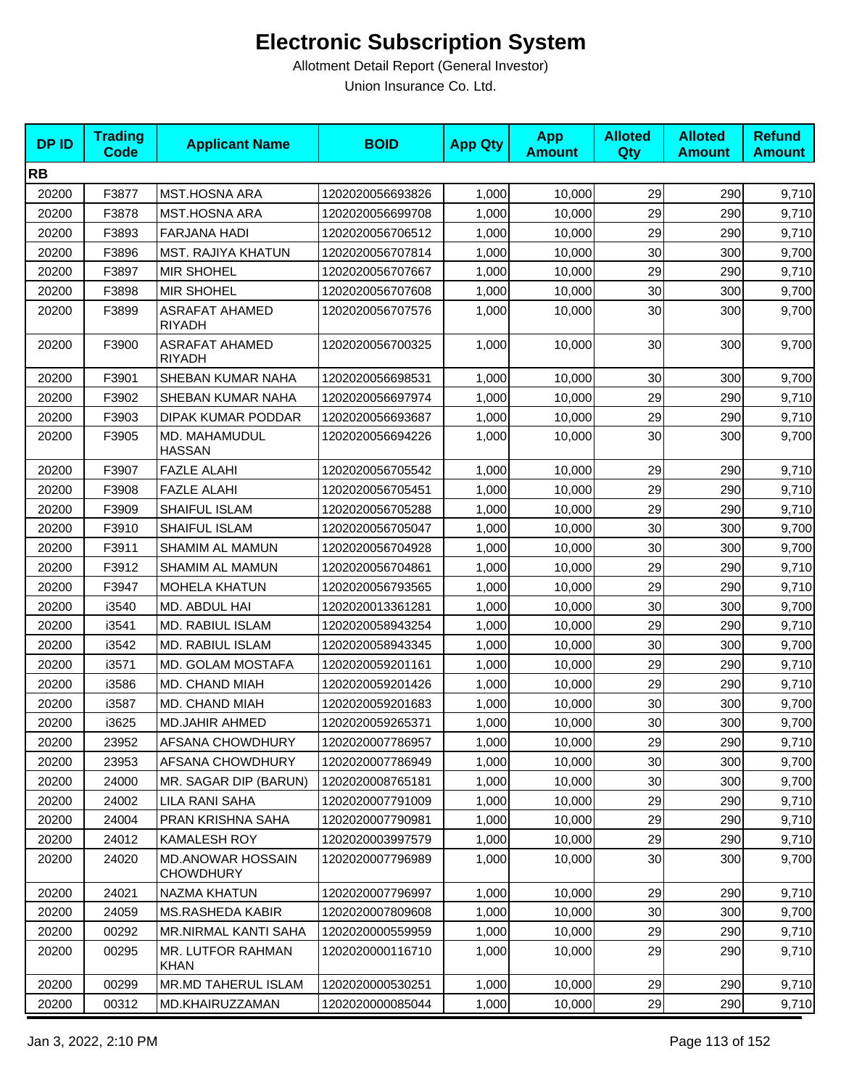| <b>DPID</b> | <b>Trading</b><br><b>Code</b> | <b>Applicant Name</b>                        | <b>BOID</b>      | <b>App Qty</b> | <b>App</b><br><b>Amount</b> | <b>Alloted</b><br>Qty | <b>Alloted</b><br><b>Amount</b> | <b>Refund</b><br><b>Amount</b> |
|-------------|-------------------------------|----------------------------------------------|------------------|----------------|-----------------------------|-----------------------|---------------------------------|--------------------------------|
| <b>RB</b>   |                               |                                              |                  |                |                             |                       |                                 |                                |
| 20200       | F3877                         | <b>MST.HOSNA ARA</b>                         | 1202020056693826 | 1,000          | 10,000                      | 29                    | 290                             | 9,710                          |
| 20200       | F3878                         | <b>MST.HOSNA ARA</b>                         | 1202020056699708 | 1,000          | 10,000                      | 29                    | 290                             | 9,710                          |
| 20200       | F3893                         | FARJANA HADI                                 | 1202020056706512 | 1,000          | 10,000                      | 29                    | 290                             | 9,710                          |
| 20200       | F3896                         | <b>MST. RAJIYA KHATUN</b>                    | 1202020056707814 | 1,000          | 10,000                      | 30                    | 300                             | 9,700                          |
| 20200       | F3897                         | <b>MIR SHOHEL</b>                            | 1202020056707667 | 1,000          | 10,000                      | 29                    | 290                             | 9,710                          |
| 20200       | F3898                         | <b>MIR SHOHEL</b>                            | 1202020056707608 | 1,000          | 10,000                      | 30                    | 300                             | 9,700                          |
| 20200       | F3899                         | <b>ASRAFAT AHAMED</b><br><b>RIYADH</b>       | 1202020056707576 | 1,000          | 10,000                      | 30                    | 300                             | 9,700                          |
| 20200       | F3900                         | <b>ASRAFAT AHAMED</b><br><b>RIYADH</b>       | 1202020056700325 | 1,000          | 10,000                      | 30                    | 300                             | 9,700                          |
| 20200       | F3901                         | SHEBAN KUMAR NAHA                            | 1202020056698531 | 1,000          | 10,000                      | 30                    | 300                             | 9,700                          |
| 20200       | F3902                         | SHEBAN KUMAR NAHA                            | 1202020056697974 | 1,000          | 10,000                      | 29                    | 290                             | 9,710                          |
| 20200       | F3903                         | <b>DIPAK KUMAR PODDAR</b>                    | 1202020056693687 | 1,000          | 10,000                      | 29                    | 290                             | 9,710                          |
| 20200       | F3905                         | MD. MAHAMUDUL<br><b>HASSAN</b>               | 1202020056694226 | 1,000          | 10,000                      | 30                    | 300                             | 9,700                          |
| 20200       | F3907                         | <b>FAZLE ALAHI</b>                           | 1202020056705542 | 1,000          | 10,000                      | 29                    | 290                             | 9,710                          |
| 20200       | F3908                         | <b>FAZLE ALAHI</b>                           | 1202020056705451 | 1,000          | 10,000                      | 29                    | 290                             | 9,710                          |
| 20200       | F3909                         | SHAIFUL ISLAM                                | 1202020056705288 | 1,000          | 10,000                      | 29                    | 290                             | 9,710                          |
| 20200       | F3910                         | SHAIFUL ISLAM                                | 1202020056705047 | 1,000          | 10,000                      | 30                    | 300                             | 9,700                          |
| 20200       | F3911                         | SHAMIM AL MAMUN                              | 1202020056704928 | 1,000          | 10,000                      | 30                    | 300                             | 9,700                          |
| 20200       | F3912                         | SHAMIM AL MAMUN                              | 1202020056704861 | 1,000          | 10,000                      | 29                    | 290                             | 9,710                          |
| 20200       | F3947                         | <b>MOHELA KHATUN</b>                         | 1202020056793565 | 1,000          | 10,000                      | 29                    | 290                             | 9,710                          |
| 20200       | i3540                         | MD. ABDUL HAI                                | 1202020013361281 | 1,000          | 10,000                      | 30                    | 300                             | 9,700                          |
| 20200       | i3541                         | MD. RABIUL ISLAM                             | 1202020058943254 | 1,000          | 10,000                      | 29                    | 290                             | 9,710                          |
| 20200       | i3542                         | MD. RABIUL ISLAM                             | 1202020058943345 | 1,000          | 10,000                      | 30                    | 300                             | 9,700                          |
| 20200       | i3571                         | MD. GOLAM MOSTAFA                            | 1202020059201161 | 1,000          | 10,000                      | 29                    | 290                             | 9,710                          |
| 20200       | i3586                         | MD. CHAND MIAH                               | 1202020059201426 | 1,000          | 10,000                      | 29                    | 290                             | 9,710                          |
| 20200       | i3587                         | MD. CHAND MIAH                               | 1202020059201683 | 1,000          | 10,000                      | 30                    | 300                             | 9,700                          |
| 20200       | i3625                         | <b>MD.JAHIR AHMED</b>                        | 1202020059265371 | 1,000          | 10,000                      | 30                    | 300                             | 9,700                          |
| 20200       | 23952                         | AFSANA CHOWDHURY                             | 1202020007786957 | 1,000          | 10,000                      | 29                    | 290                             | 9,710                          |
| 20200       | 23953                         | AFSANA CHOWDHURY                             | 1202020007786949 | 1,000          | 10,000                      | 30                    | 300                             | 9,700                          |
| 20200       | 24000                         | MR. SAGAR DIP (BARUN)                        | 1202020008765181 | 1,000          | 10,000                      | 30                    | 300                             | 9,700                          |
| 20200       | 24002                         | LILA RANI SAHA                               | 1202020007791009 | 1,000          | 10,000                      | 29                    | 290                             | 9,710                          |
| 20200       | 24004                         | PRAN KRISHNA SAHA                            | 1202020007790981 | 1,000          | 10,000                      | 29                    | 290                             | 9,710                          |
| 20200       | 24012                         | <b>KAMALESH ROY</b>                          | 1202020003997579 | 1,000          | 10,000                      | 29                    | 290                             | 9,710                          |
| 20200       | 24020                         | <b>MD.ANOWAR HOSSAIN</b><br><b>CHOWDHURY</b> | 1202020007796989 | 1,000          | 10,000                      | 30                    | 300                             | 9,700                          |
| 20200       | 24021                         | NAZMA KHATUN                                 | 1202020007796997 | 1,000          | 10,000                      | 29                    | 290                             | 9,710                          |
| 20200       | 24059                         | <b>MS.RASHEDA KABIR</b>                      | 1202020007809608 | 1,000          | 10,000                      | 30                    | 300                             | 9,700                          |
| 20200       | 00292                         | MR.NIRMAL KANTI SAHA                         | 1202020000559959 | 1,000          | 10,000                      | 29                    | 290                             | 9,710                          |
| 20200       | 00295                         | MR. LUTFOR RAHMAN<br><b>KHAN</b>             | 1202020000116710 | 1,000          | 10,000                      | 29                    | 290                             | 9,710                          |
| 20200       | 00299                         | <b>MR.MD TAHERUL ISLAM</b>                   | 1202020000530251 | 1,000          | 10,000                      | 29                    | 290                             | 9,710                          |
| 20200       | 00312                         | MD.KHAIRUZZAMAN                              | 1202020000085044 | 1,000          | 10,000                      | 29                    | 290                             | 9,710                          |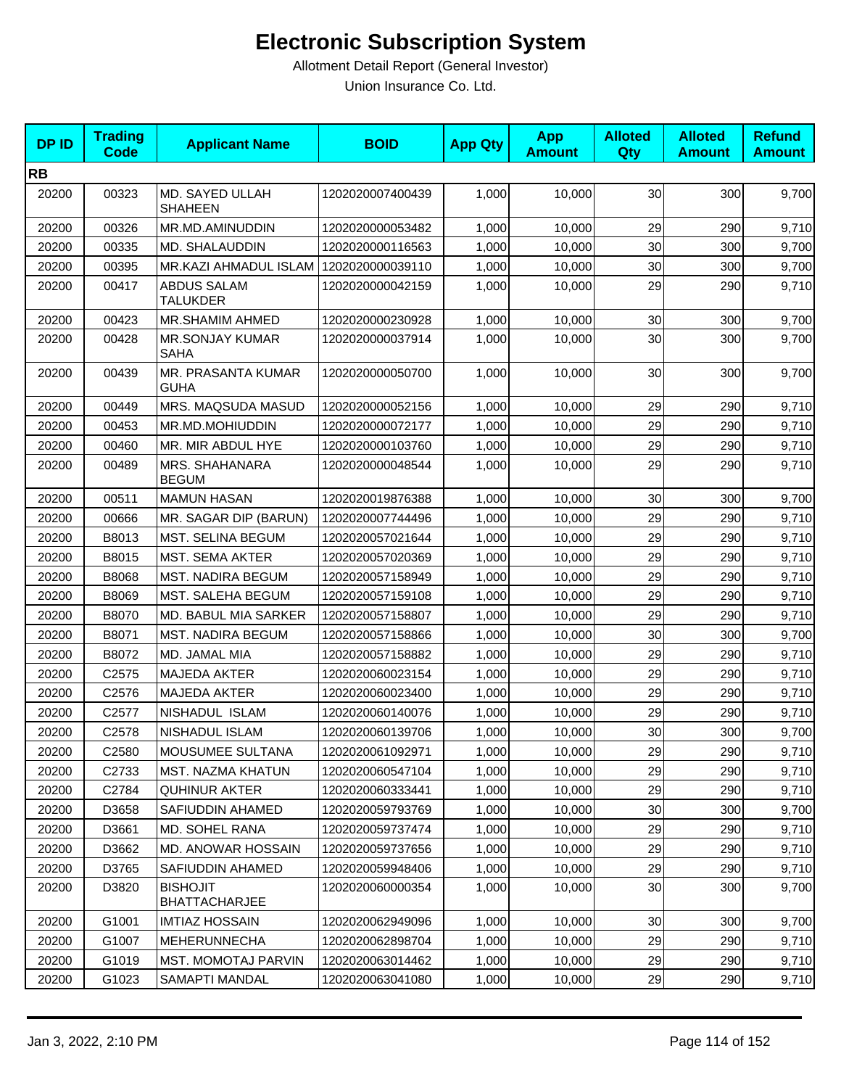| <b>DPID</b> | <b>Trading</b><br><b>Code</b> | <b>Applicant Name</b>                   | <b>BOID</b>      | <b>App Qty</b> | <b>App</b><br><b>Amount</b> | <b>Alloted</b><br><b>Qty</b> | <b>Alloted</b><br><b>Amount</b> | <b>Refund</b><br><b>Amount</b> |
|-------------|-------------------------------|-----------------------------------------|------------------|----------------|-----------------------------|------------------------------|---------------------------------|--------------------------------|
| <b>RB</b>   |                               |                                         |                  |                |                             |                              |                                 |                                |
| 20200       | 00323                         | MD. SAYED ULLAH<br><b>SHAHEEN</b>       | 1202020007400439 | 1,000          | 10,000                      | 30 <sub>0</sub>              | 300                             | 9,700                          |
| 20200       | 00326                         | MR.MD.AMINUDDIN                         | 1202020000053482 | 1,000          | 10,000                      | 29                           | 290                             | 9,710                          |
| 20200       | 00335                         | MD. SHALAUDDIN                          | 1202020000116563 | 1,000          | 10,000                      | 30                           | 300                             | 9,700                          |
| 20200       | 00395                         | MR.KAZI AHMADUL ISLAM                   | 1202020000039110 | 1,000          | 10,000                      | 30                           | 300                             | 9,700                          |
| 20200       | 00417                         | <b>ABDUS SALAM</b><br>TALUKDER          | 1202020000042159 | 1,000          | 10,000                      | 29                           | 290                             | 9,710                          |
| 20200       | 00423                         | MR.SHAMIM AHMED                         | 1202020000230928 | 1,000          | 10,000                      | 30                           | 300                             | 9,700                          |
| 20200       | 00428                         | <b>MR.SONJAY KUMAR</b><br><b>SAHA</b>   | 1202020000037914 | 1,000          | 10,000                      | 30                           | 300                             | 9,700                          |
| 20200       | 00439                         | MR. PRASANTA KUMAR<br><b>GUHA</b>       | 1202020000050700 | 1,000          | 10,000                      | 30                           | 300                             | 9,700                          |
| 20200       | 00449                         | MRS. MAQSUDA MASUD                      | 1202020000052156 | 1,000          | 10,000                      | 29                           | 290                             | 9,710                          |
| 20200       | 00453                         | MR.MD.MOHIUDDIN                         | 1202020000072177 | 1,000          | 10,000                      | 29                           | 290                             | 9,710                          |
| 20200       | 00460                         | MR. MIR ABDUL HYE                       | 1202020000103760 | 1,000          | 10,000                      | 29                           | 290                             | 9,710                          |
| 20200       | 00489                         | MRS. SHAHANARA<br><b>BEGUM</b>          | 1202020000048544 | 1,000          | 10,000                      | 29                           | 290                             | 9,710                          |
| 20200       | 00511                         | <b>MAMUN HASAN</b>                      | 1202020019876388 | 1,000          | 10,000                      | 30                           | 300                             | 9,700                          |
| 20200       | 00666                         | MR. SAGAR DIP (BARUN)                   | 1202020007744496 | 1,000          | 10,000                      | 29                           | 290                             | 9,710                          |
| 20200       | B8013                         | MST. SELINA BEGUM                       | 1202020057021644 | 1,000          | 10,000                      | 29                           | 290                             | 9,710                          |
| 20200       | B8015                         | <b>MST. SEMA AKTER</b>                  | 1202020057020369 | 1,000          | 10,000                      | 29                           | 290                             | 9,710                          |
| 20200       | B8068                         | <b>MST. NADIRA BEGUM</b>                | 1202020057158949 | 1,000          | 10,000                      | 29                           | 290                             | 9,710                          |
| 20200       | B8069                         | MST. SALEHA BEGUM                       | 1202020057159108 | 1,000          | 10,000                      | 29                           | 290                             | 9,710                          |
| 20200       | B8070                         | MD. BABUL MIA SARKER                    | 1202020057158807 | 1,000          | 10,000                      | 29                           | 290                             | 9,710                          |
| 20200       | B8071                         | <b>MST. NADIRA BEGUM</b>                | 1202020057158866 | 1,000          | 10,000                      | 30                           | 300                             | 9,700                          |
| 20200       | B8072                         | MD. JAMAL MIA                           | 1202020057158882 | 1,000          | 10,000                      | 29                           | 290                             | 9,710                          |
| 20200       | C2575                         | <b>MAJEDA AKTER</b>                     | 1202020060023154 | 1,000          | 10,000                      | 29                           | 290                             | 9,710                          |
| 20200       | C2576                         | <b>MAJEDA AKTER</b>                     | 1202020060023400 | 1,000          | 10,000                      | 29                           | 290                             | 9,710                          |
| 20200       | C2577                         | NISHADUL ISLAM                          | 1202020060140076 | 1,000          | 10,000                      | 29                           | 290                             | 9,710                          |
| 20200       | C2578                         | NISHADUL ISLAM                          | 1202020060139706 | 1,000          | 10,000                      | 30                           | 300                             | 9,700                          |
| 20200       | C2580                         | MOUSUMEE SULTANA                        | 1202020061092971 | 1,000          | 10,000                      | 29                           | 290                             | 9,710                          |
| 20200       | C2733                         | <b>MST. NAZMA KHATUN</b>                | 1202020060547104 | 1,000          | 10,000                      | 29                           | 290                             | 9,710                          |
| 20200       | C2784                         | <b>QUHINUR AKTER</b>                    | 1202020060333441 | 1,000          | 10,000                      | 29                           | 290                             | 9,710                          |
| 20200       | D3658                         | SAFIUDDIN AHAMED                        | 1202020059793769 | 1,000          | 10,000                      | 30                           | 300                             | 9,700                          |
| 20200       | D3661                         | MD. SOHEL RANA                          | 1202020059737474 | 1,000          | 10,000                      | 29                           | 290                             | 9,710                          |
| 20200       | D3662                         | MD. ANOWAR HOSSAIN                      | 1202020059737656 | 1,000          | 10,000                      | 29                           | 290                             | 9,710                          |
| 20200       | D3765                         | SAFIUDDIN AHAMED                        | 1202020059948406 | 1,000          | 10,000                      | 29                           | 290                             | 9,710                          |
| 20200       | D3820                         | <b>BISHOJIT</b><br><b>BHATTACHARJEE</b> | 1202020060000354 | 1,000          | 10,000                      | 30                           | 300                             | 9,700                          |
| 20200       | G1001                         | <b>IMTIAZ HOSSAIN</b>                   | 1202020062949096 | 1,000          | 10,000                      | 30                           | 300                             | 9,700                          |
| 20200       | G1007                         | <b>MEHERUNNECHA</b>                     | 1202020062898704 | 1,000          | 10,000                      | 29                           | 290                             | 9,710                          |
| 20200       | G1019                         | <b>MST. MOMOTAJ PARVIN</b>              | 1202020063014462 | 1,000          | 10,000                      | 29                           | 290                             | 9,710                          |
| 20200       | G1023                         | SAMAPTI MANDAL                          | 1202020063041080 | 1,000          | 10,000                      | 29                           | 290                             | 9,710                          |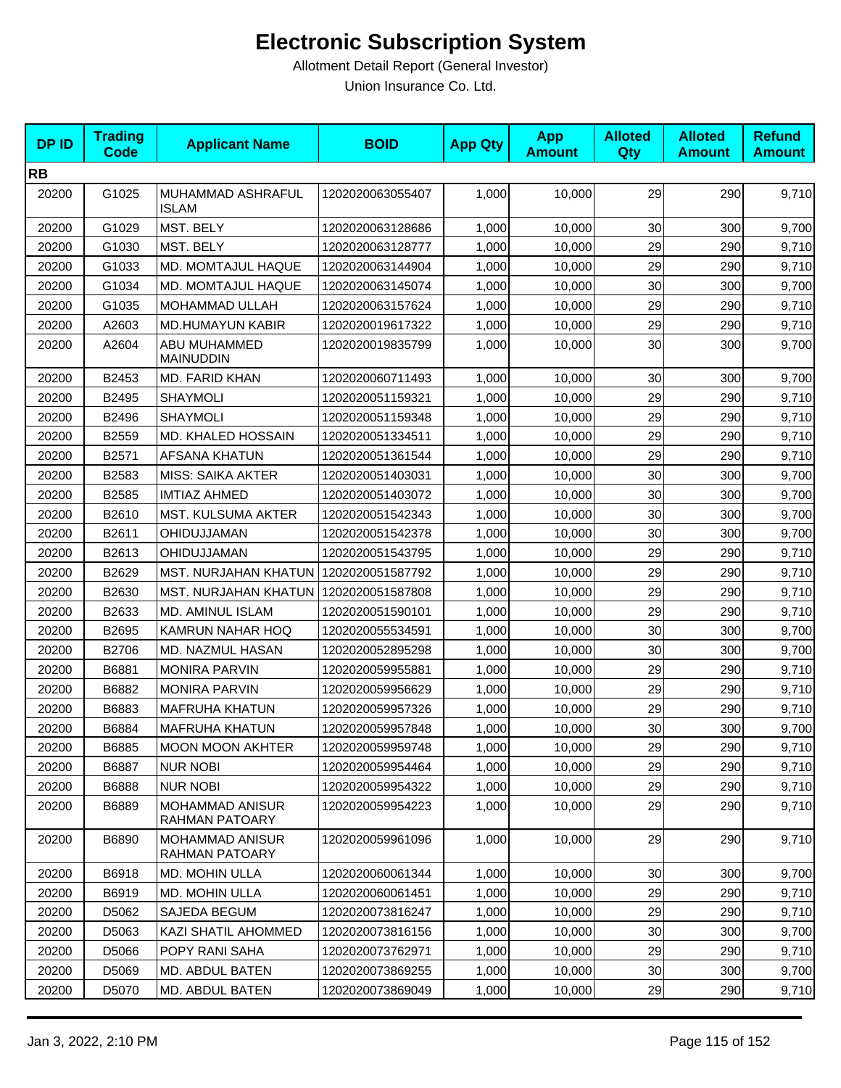| <b>DPID</b> | <b>Trading</b><br><b>Code</b> | <b>Applicant Name</b>             | <b>BOID</b>      | <b>App Qty</b> | <b>App</b><br><b>Amount</b> | <b>Alloted</b><br>Qty | <b>Alloted</b><br><b>Amount</b> | <b>Refund</b><br><b>Amount</b> |
|-------------|-------------------------------|-----------------------------------|------------------|----------------|-----------------------------|-----------------------|---------------------------------|--------------------------------|
| <b>RB</b>   |                               |                                   |                  |                |                             |                       |                                 |                                |
| 20200       | G1025                         | MUHAMMAD ASHRAFUL<br><b>ISLAM</b> | 1202020063055407 | 1,000          | 10,000                      | 29                    | 290                             | 9,710                          |
| 20200       | G1029                         | MST. BELY                         | 1202020063128686 | 1,000          | 10,000                      | 30                    | 300                             | 9,700                          |
| 20200       | G1030                         | MST. BELY                         | 1202020063128777 | 1,000          | 10,000                      | 29                    | 290                             | 9,710                          |
| 20200       | G1033                         | MD. MOMTAJUL HAQUE                | 1202020063144904 | 1,000          | 10,000                      | 29                    | 290                             | 9,710                          |
| 20200       | G1034                         | MD. MOMTAJUL HAQUE                | 1202020063145074 | 1,000          | 10,000                      | 30                    | 300                             | 9,700                          |
| 20200       | G1035                         | MOHAMMAD ULLAH                    | 1202020063157624 | 1,000          | 10,000                      | 29                    | 290                             | 9,710                          |
| 20200       | A2603                         | MD.HUMAYUN KABIR                  | 1202020019617322 | 1,000          | 10,000                      | 29                    | 290                             | 9,710                          |
| 20200       | A2604                         | ABU MUHAMMED<br><b>MAINUDDIN</b>  | 1202020019835799 | 1,000          | 10,000                      | 30                    | 300                             | 9,700                          |
| 20200       | B2453                         | MD. FARID KHAN                    | 1202020060711493 | 1,000          | 10,000                      | 30                    | 300                             | 9,700                          |
| 20200       | B2495                         | SHAYMOLI                          | 1202020051159321 | 1,000          | 10,000                      | 29                    | 290                             | 9,710                          |
| 20200       | B2496                         | <b>SHAYMOLI</b>                   | 1202020051159348 | 1,000          | 10,000                      | 29                    | 290                             | 9,710                          |
| 20200       | B2559                         | MD. KHALED HOSSAIN                | 1202020051334511 | 1,000          | 10,000                      | 29                    | 290                             | 9,710                          |
| 20200       | B2571                         | <b>AFSANA KHATUN</b>              | 1202020051361544 | 1,000          | 10,000                      | 29                    | 290                             | 9,710                          |
| 20200       | B2583                         | <b>MISS: SAIKA AKTER</b>          | 1202020051403031 | 1,000          | 10,000                      | 30                    | 300                             | 9,700                          |
| 20200       | B2585                         | <b>IMTIAZ AHMED</b>               | 1202020051403072 | 1,000          | 10,000                      | 30                    | 300                             | 9,700                          |
| 20200       | B2610                         | MST. KULSUMA AKTER                | 1202020051542343 | 1,000          | 10,000                      | 30                    | 300                             | 9,700                          |
| 20200       | B2611                         | OHIDUJJAMAN                       | 1202020051542378 | 1,000          | 10,000                      | 30                    | 300                             | 9,700                          |
| 20200       | B2613                         | OHIDUJJAMAN                       | 1202020051543795 | 1,000          | 10,000                      | 29                    | 290                             | 9,710                          |
| 20200       | B2629                         | MST. NURJAHAN KHATUN              | 1202020051587792 | 1,000          | 10,000                      | 29                    | 290                             | 9,710                          |
| 20200       | B2630                         | <b>MST. NURJAHAN KHATUN</b>       | 1202020051587808 | 1,000          | 10,000                      | 29                    | 290                             | 9,710                          |
| 20200       | B2633                         | MD. AMINUL ISLAM                  | 1202020051590101 | 1,000          | 10,000                      | 29                    | 290                             | 9,710                          |
| 20200       | B2695                         | KAMRUN NAHAR HOQ                  | 1202020055534591 | 1,000          | 10,000                      | 30                    | 300                             | 9,700                          |
| 20200       | B2706                         | MD. NAZMUL HASAN                  | 1202020052895298 | 1,000          | 10,000                      | 30                    | 300                             | 9,700                          |
| 20200       | B6881                         | <b>MONIRA PARVIN</b>              | 1202020059955881 | 1,000          | 10,000                      | 29                    | 290                             | 9,710                          |
| 20200       | B6882                         | <b>MONIRA PARVIN</b>              | 1202020059956629 | 1,000          | 10,000                      | 29                    | 290                             | 9,710                          |
| 20200       | B6883                         | <b>MAFRUHA KHATUN</b>             | 1202020059957326 | 1,000          | 10,000                      | 29                    | 290                             | 9,710                          |
| 20200       | B6884                         | <b>MAFRUHA KHATUN</b>             | 1202020059957848 | 1,000          | 10,000                      | 30                    | 300                             | 9,700                          |
| 20200       | B6885                         | <b>MOON MOON AKHTER</b>           | 1202020059959748 | 1,000          | 10,000                      | 29                    | 290                             | 9,710                          |
| 20200       | B6887                         | <b>NUR NOBI</b>                   | 1202020059954464 | 1,000          | 10,000                      | 29                    | 290                             | 9,710                          |
| 20200       | B6888                         | <b>NUR NOBI</b>                   | 1202020059954322 | 1,000          | 10,000                      | 29                    | 290                             | 9,710                          |
| 20200       | B6889                         | MOHAMMAD ANISUR<br>RAHMAN PATOARY | 1202020059954223 | 1,000          | 10,000                      | 29                    | 290                             | 9,710                          |
| 20200       | B6890                         | MOHAMMAD ANISUR<br>RAHMAN PATOARY | 1202020059961096 | 1,000          | 10,000                      | 29                    | 290                             | 9,710                          |
| 20200       | B6918                         | MD. MOHIN ULLA                    | 1202020060061344 | 1,000          | 10,000                      | 30                    | 300                             | 9,700                          |
| 20200       | B6919                         | MD. MOHIN ULLA                    | 1202020060061451 | 1,000          | 10,000                      | 29                    | 290                             | 9,710                          |
| 20200       | D5062                         | SAJEDA BEGUM                      | 1202020073816247 | 1,000          | 10,000                      | 29                    | 290                             | 9,710                          |
| 20200       | D5063                         | KAZI SHATIL AHOMMED               | 1202020073816156 | 1,000          | 10,000                      | 30                    | 300                             | 9,700                          |
| 20200       | D5066                         | POPY RANI SAHA                    | 1202020073762971 | 1,000          | 10,000                      | 29                    | 290                             | 9,710                          |
| 20200       | D5069                         | MD. ABDUL BATEN                   | 1202020073869255 | 1,000          | 10,000                      | $30\,$                | 300                             | 9,700                          |
| 20200       | D5070                         | MD. ABDUL BATEN                   | 1202020073869049 | 1,000          | 10,000                      | 29                    | 290                             | 9,710                          |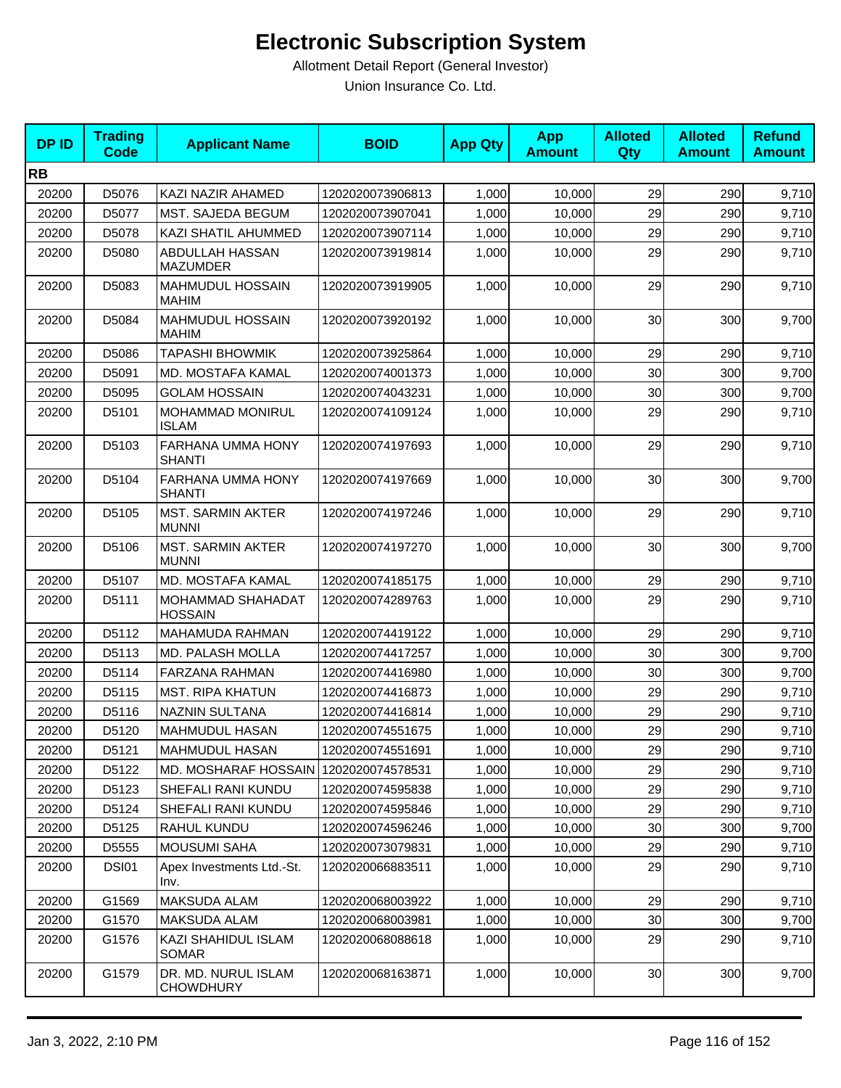| <b>DPID</b> | <b>Trading</b><br><b>Code</b> | <b>Applicant Name</b>                    | <b>BOID</b>      | <b>App Qty</b> | <b>App</b><br><b>Amount</b> | <b>Alloted</b><br>Qty | <b>Alloted</b><br><b>Amount</b> | <b>Refund</b><br><b>Amount</b> |
|-------------|-------------------------------|------------------------------------------|------------------|----------------|-----------------------------|-----------------------|---------------------------------|--------------------------------|
| <b>RB</b>   |                               |                                          |                  |                |                             |                       |                                 |                                |
| 20200       | D5076                         | KAZI NAZIR AHAMED                        | 1202020073906813 | 1,000          | 10,000                      | 29                    | 290                             | 9,710                          |
| 20200       | D5077                         | MST. SAJEDA BEGUM                        | 1202020073907041 | 1,000          | 10,000                      | 29                    | 290                             | 9,710                          |
| 20200       | D5078                         | KAZI SHATIL AHUMMED                      | 1202020073907114 | 1,000          | 10,000                      | 29                    | 290                             | 9,710                          |
| 20200       | D5080                         | ABDULLAH HASSAN<br><b>MAZUMDER</b>       | 1202020073919814 | 1,000          | 10,000                      | 29                    | 290                             | 9,710                          |
| 20200       | D5083                         | MAHMUDUL HOSSAIN<br><b>MAHIM</b>         | 1202020073919905 | 1,000          | 10,000                      | 29                    | 290                             | 9,710                          |
| 20200       | D5084                         | <b>MAHMUDUL HOSSAIN</b><br><b>MAHIM</b>  | 1202020073920192 | 1,000          | 10,000                      | 30                    | 300                             | 9,700                          |
| 20200       | D5086                         | <b>TAPASHI BHOWMIK</b>                   | 1202020073925864 | 1,000          | 10,000                      | 29                    | 290                             | 9,710                          |
| 20200       | D5091                         | <b>MD. MOSTAFA KAMAL</b>                 | 1202020074001373 | 1,000          | 10,000                      | 30                    | 300                             | 9,700                          |
| 20200       | D5095                         | <b>GOLAM HOSSAIN</b>                     | 1202020074043231 | 1,000          | 10,000                      | 30                    | 300                             | 9,700                          |
| 20200       | D5101                         | MOHAMMAD MONIRUL<br><b>ISLAM</b>         | 1202020074109124 | 1,000          | 10,000                      | 29                    | 290                             | 9,710                          |
| 20200       | D5103                         | FARHANA UMMA HONY<br><b>SHANTI</b>       | 1202020074197693 | 1,000          | 10,000                      | 29                    | 290                             | 9,710                          |
| 20200       | D5104                         | FARHANA UMMA HONY<br><b>SHANTI</b>       | 1202020074197669 | 1,000          | 10,000                      | 30                    | 300                             | 9,700                          |
| 20200       | D5105                         | <b>MST. SARMIN AKTER</b><br><b>MUNNI</b> | 1202020074197246 | 1,000          | 10,000                      | 29                    | 290                             | 9,710                          |
| 20200       | D5106                         | <b>MST. SARMIN AKTER</b><br><b>MUNNI</b> | 1202020074197270 | 1,000          | 10,000                      | 30                    | 300                             | 9,700                          |
| 20200       | D5107                         | MD. MOSTAFA KAMAL                        | 1202020074185175 | 1,000          | 10,000                      | 29                    | 290                             | 9,710                          |
| 20200       | D5111                         | MOHAMMAD SHAHADAT<br><b>HOSSAIN</b>      | 1202020074289763 | 1,000          | 10,000                      | 29                    | 290                             | 9,710                          |
| 20200       | D5112                         | MAHAMUDA RAHMAN                          | 1202020074419122 | 1,000          | 10,000                      | 29                    | 290                             | 9,710                          |
| 20200       | D5113                         | MD. PALASH MOLLA                         | 1202020074417257 | 1,000          | 10,000                      | 30                    | 300                             | 9,700                          |
| 20200       | D5114                         | <b>FARZANA RAHMAN</b>                    | 1202020074416980 | 1,000          | 10,000                      | 30                    | 300                             | 9,700                          |
| 20200       | D5115                         | <b>MST. RIPA KHATUN</b>                  | 1202020074416873 | 1,000          | 10,000                      | 29                    | 290                             | 9,710                          |
| 20200       | D5116                         | NAZNIN SULTANA                           | 1202020074416814 | 1,000          | 10,000                      | 29                    | 290                             | 9,710                          |
| 20200       | D5120                         | MAHMUDUL HASAN                           | 1202020074551675 | 1,000          | 10,000                      | 29                    | 290                             | 9,710                          |
| 20200       | D5121                         | <b>MAHMUDUL HASAN</b>                    | 1202020074551691 | 1,000          | 10,000                      | 29                    | 290                             | 9,710                          |
| 20200       | D5122                         | MD. MOSHARAF HOSSAIN 1202020074578531    |                  | 1,000          | 10,000                      | 29                    | 290                             | 9,710                          |
| 20200       | D5123                         | SHEFALI RANI KUNDU                       | 1202020074595838 | 1,000          | 10,000                      | 29                    | 290                             | 9,710                          |
| 20200       | D5124                         | SHEFALI RANI KUNDU                       | 1202020074595846 | 1,000          | 10,000                      | 29                    | 290                             | 9,710                          |
| 20200       | D5125                         | RAHUL KUNDU                              | 1202020074596246 | 1,000          | 10,000                      | 30                    | 300                             | 9,700                          |
| 20200       | D5555                         | <b>MOUSUMI SAHA</b>                      | 1202020073079831 | 1,000          | 10,000                      | 29                    | 290                             | 9,710                          |
| 20200       | DSI01                         | Apex Investments Ltd.-St.<br>Inv.        | 1202020066883511 | 1,000          | 10,000                      | 29                    | 290                             | 9,710                          |
| 20200       | G1569                         | <b>MAKSUDA ALAM</b>                      | 1202020068003922 | 1,000          | 10,000                      | 29                    | 290                             | 9,710                          |
| 20200       | G1570                         | <b>MAKSUDA ALAM</b>                      | 1202020068003981 | 1,000          | 10,000                      | 30                    | 300                             | 9,700                          |
| 20200       | G1576                         | KAZI SHAHIDUL ISLAM<br><b>SOMAR</b>      | 1202020068088618 | 1,000          | 10,000                      | 29                    | 290                             | 9,710                          |
| 20200       | G1579                         | DR. MD. NURUL ISLAM<br><b>CHOWDHURY</b>  | 1202020068163871 | 1,000          | 10,000                      | 30                    | 300                             | 9,700                          |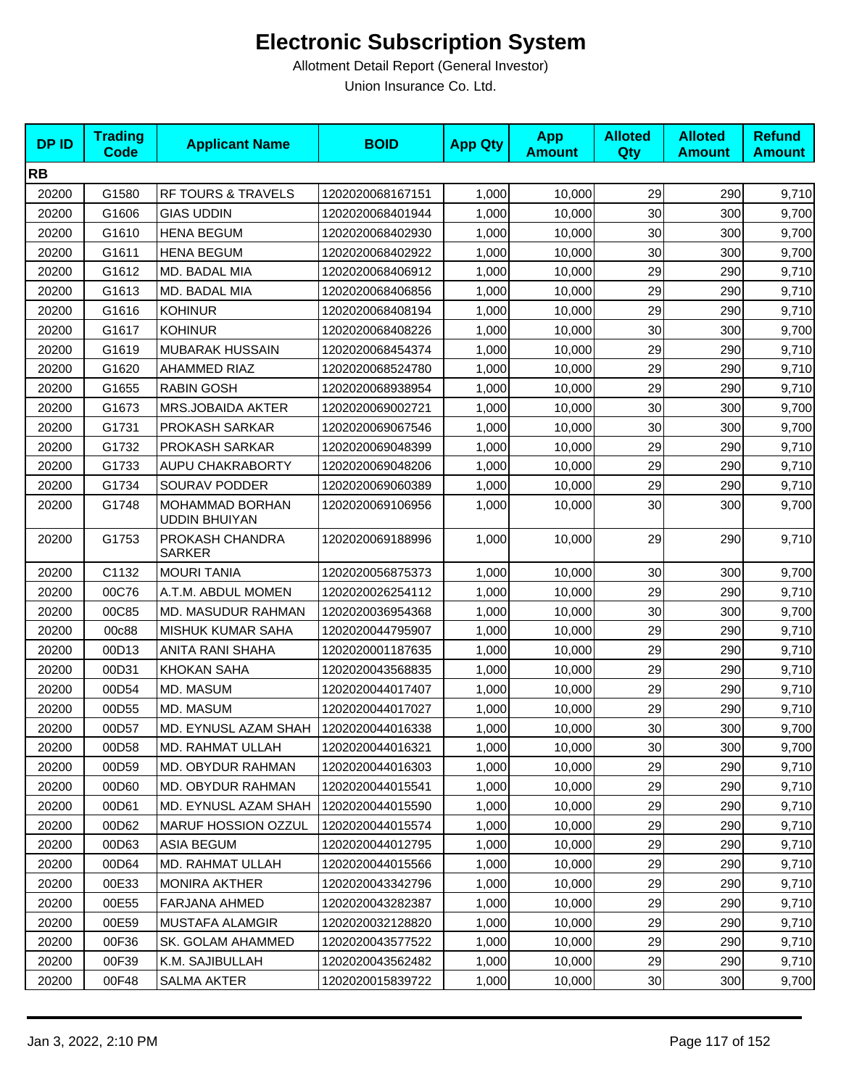| <b>DPID</b> | <b>Trading</b><br><b>Code</b> | <b>Applicant Name</b>                   | <b>BOID</b>      | <b>App Qty</b> | <b>App</b><br><b>Amount</b> | <b>Alloted</b><br>Qty | <b>Alloted</b><br><b>Amount</b> | <b>Refund</b><br><b>Amount</b> |
|-------------|-------------------------------|-----------------------------------------|------------------|----------------|-----------------------------|-----------------------|---------------------------------|--------------------------------|
| <b>RB</b>   |                               |                                         |                  |                |                             |                       |                                 |                                |
| 20200       | G1580                         | RF TOURS & TRAVELS                      | 1202020068167151 | 1,000          | 10,000                      | 29                    | 290                             | 9,710                          |
| 20200       | G1606                         | <b>GIAS UDDIN</b>                       | 1202020068401944 | 1,000          | 10.000                      | 30                    | 300                             | 9,700                          |
| 20200       | G1610                         | <b>HENA BEGUM</b>                       | 1202020068402930 | 1,000          | 10,000                      | 30                    | 300                             | 9,700                          |
| 20200       | G1611                         | <b>HENA BEGUM</b>                       | 1202020068402922 | 1,000          | 10,000                      | 30                    | 300                             | 9,700                          |
| 20200       | G1612                         | MD. BADAL MIA                           | 1202020068406912 | 1,000          | 10,000                      | 29                    | 290                             | 9,710                          |
| 20200       | G1613                         | MD. BADAL MIA                           | 1202020068406856 | 1,000          | 10,000                      | 29                    | 290                             | 9,710                          |
| 20200       | G1616                         | <b>KOHINUR</b>                          | 1202020068408194 | 1,000          | 10,000                      | 29                    | 290                             | 9,710                          |
| 20200       | G1617                         | <b>KOHINUR</b>                          | 1202020068408226 | 1,000          | 10,000                      | 30                    | 300                             | 9,700                          |
| 20200       | G1619                         | <b>MUBARAK HUSSAIN</b>                  | 1202020068454374 | 1,000          | 10,000                      | 29                    | 290                             | 9,710                          |
| 20200       | G1620                         | <b>AHAMMED RIAZ</b>                     | 1202020068524780 | 1,000          | 10,000                      | 29                    | 290                             | 9,710                          |
| 20200       | G1655                         | <b>RABIN GOSH</b>                       | 1202020068938954 | 1,000          | 10,000                      | 29                    | 290                             | 9,710                          |
| 20200       | G1673                         | <b>MRS.JOBAIDA AKTER</b>                | 1202020069002721 | 1,000          | 10,000                      | 30                    | 300                             | 9,700                          |
| 20200       | G1731                         | PROKASH SARKAR                          | 1202020069067546 | 1,000          | 10,000                      | 30                    | 300                             | 9,700                          |
| 20200       | G1732                         | PROKASH SARKAR                          | 1202020069048399 | 1,000          | 10,000                      | 29                    | 290                             | 9,710                          |
| 20200       | G1733                         | <b>AUPU CHAKRABORTY</b>                 | 1202020069048206 | 1,000          | 10,000                      | 29                    | 290                             | 9,710                          |
| 20200       | G1734                         | SOURAV PODDER                           | 1202020069060389 | 1,000          | 10,000                      | 29                    | 290                             | 9,710                          |
| 20200       | G1748                         | MOHAMMAD BORHAN<br><b>UDDIN BHUIYAN</b> | 1202020069106956 | 1,000          | 10,000                      | 30                    | 300                             | 9,700                          |
| 20200       | G1753                         | PROKASH CHANDRA<br><b>SARKER</b>        | 1202020069188996 | 1,000          | 10,000                      | 29                    | 290                             | 9,710                          |
| 20200       | C1132                         | <b>MOURI TANIA</b>                      | 1202020056875373 | 1,000          | 10,000                      | 30                    | 300                             | 9,700                          |
| 20200       | 00C76                         | A.T.M. ABDUL MOMEN                      | 1202020026254112 | 1,000          | 10,000                      | 29                    | 290                             | 9,710                          |
| 20200       | 00C85                         | MD. MASUDUR RAHMAN                      | 1202020036954368 | 1,000          | 10,000                      | 30                    | 300                             | 9,700                          |
| 20200       | 00c88                         | MISHUK KUMAR SAHA                       | 1202020044795907 | 1,000          | 10,000                      | 29                    | 290                             | 9,710                          |
| 20200       | 00D13                         | ANITA RANI SHAHA                        | 1202020001187635 | 1,000          | 10,000                      | 29                    | 290                             | 9,710                          |
| 20200       | 00D31                         | <b>KHOKAN SAHA</b>                      | 1202020043568835 | 1,000          | 10,000                      | 29                    | 290                             | 9,710                          |
| 20200       | 00D54                         | MD. MASUM                               | 1202020044017407 | 1,000          | 10,000                      | 29                    | 290                             | 9,710                          |
| 20200       | 00D55                         | MD. MASUM                               | 1202020044017027 | 1,000          | 10,000                      | 29                    | 290                             | 9,710                          |
| 20200       | 00D57                         | MD. EYNUSL AZAM SHAH                    | 1202020044016338 | 1,000          | 10,000                      | 30                    | 300                             | 9,700                          |
| 20200       | 00D58                         | MD. RAHMAT ULLAH                        | 1202020044016321 | 1,000          | 10,000                      | 30 <sub>0</sub>       | 300                             | 9,700                          |
| 20200       | 00D59                         | <b>MD. OBYDUR RAHMAN</b>                | 1202020044016303 | 1,000          | 10,000                      | 29                    | 290                             | 9,710                          |
| 20200       | 00D60                         | <b>MD. OBYDUR RAHMAN</b>                | 1202020044015541 | 1,000          | 10,000                      | 29                    | 290                             | 9,710                          |
| 20200       | 00D61                         | MD. EYNUSL AZAM SHAH                    | 1202020044015590 | 1,000          | 10,000                      | 29                    | 290                             | 9,710                          |
| 20200       | 00D62                         | <b>MARUF HOSSION OZZUL</b>              | 1202020044015574 | 1,000          | 10,000                      | 29                    | 290                             | 9,710                          |
| 20200       | 00D63                         | <b>ASIA BEGUM</b>                       | 1202020044012795 | 1,000          | 10,000                      | 29                    | 290                             | 9,710                          |
| 20200       | 00D64                         | MD. RAHMAT ULLAH                        | 1202020044015566 | 1,000          | 10,000                      | 29                    | 290                             | 9,710                          |
| 20200       | 00E33                         | <b>MONIRA AKTHER</b>                    | 1202020043342796 | 1,000          | 10,000                      | 29                    | 290                             | 9,710                          |
| 20200       | 00E55                         | FARJANA AHMED                           | 1202020043282387 | 1,000          | 10,000                      | 29                    | 290                             | 9,710                          |
| 20200       | 00E59                         | MUSTAFA ALAMGIR                         | 1202020032128820 | 1,000          | 10,000                      | 29                    | 290                             | 9,710                          |
| 20200       | 00F36                         | SK. GOLAM AHAMMED                       | 1202020043577522 | 1,000          | 10,000                      | 29                    | 290                             | 9,710                          |
| 20200       | 00F39                         | K.M. SAJIBULLAH                         | 1202020043562482 | 1,000          | 10,000                      | 29                    | 290                             | 9,710                          |
| 20200       | 00F48                         | SALMA AKTER                             | 1202020015839722 | 1,000          | 10,000                      | 30 <sub>0</sub>       | 300                             | 9,700                          |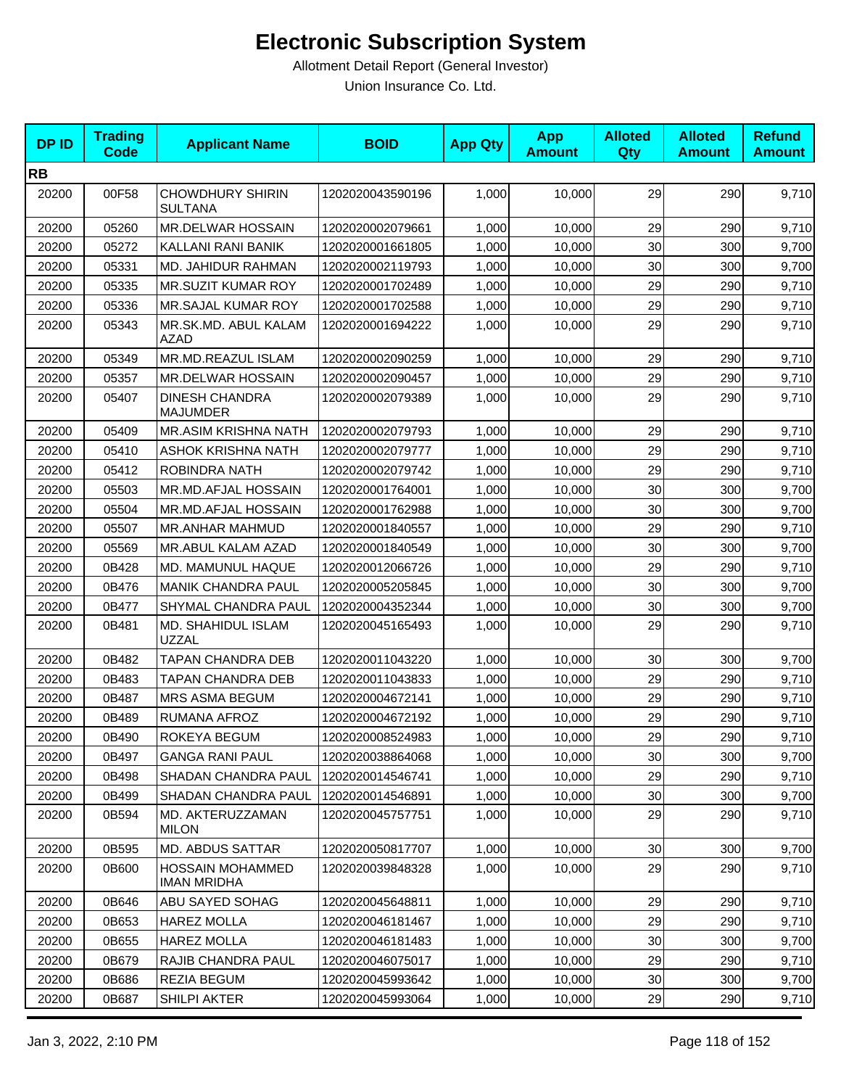| <b>DPID</b> | <b>Trading</b><br><b>Code</b> | <b>Applicant Name</b>                         | <b>BOID</b>      | <b>App Qty</b> | <b>App</b><br><b>Amount</b> | <b>Alloted</b><br>Qty | <b>Alloted</b><br><b>Amount</b> | <b>Refund</b><br><b>Amount</b> |
|-------------|-------------------------------|-----------------------------------------------|------------------|----------------|-----------------------------|-----------------------|---------------------------------|--------------------------------|
| <b>RB</b>   |                               |                                               |                  |                |                             |                       |                                 |                                |
| 20200       | 00F58                         | <b>CHOWDHURY SHIRIN</b><br><b>SULTANA</b>     | 1202020043590196 | 1,000          | 10,000                      | 29                    | 290                             | 9,710                          |
| 20200       | 05260                         | MR.DELWAR HOSSAIN                             | 1202020002079661 | 1,000          | 10,000                      | 29                    | 290                             | 9,710                          |
| 20200       | 05272                         | KALLANI RANI BANIK                            | 1202020001661805 | 1,000          | 10,000                      | 30                    | 300                             | 9,700                          |
| 20200       | 05331                         | MD. JAHIDUR RAHMAN                            | 1202020002119793 | 1,000          | 10.000                      | 30                    | 300                             | 9,700                          |
| 20200       | 05335                         | MR.SUZIT KUMAR ROY                            | 1202020001702489 | 1,000          | 10,000                      | 29                    | 290                             | 9,710                          |
| 20200       | 05336                         | MR.SAJAL KUMAR ROY                            | 1202020001702588 | 1,000          | 10,000                      | 29                    | 290                             | 9,710                          |
| 20200       | 05343                         | MR.SK.MD. ABUL KALAM<br><b>AZAD</b>           | 1202020001694222 | 1,000          | 10,000                      | 29                    | 290                             | 9,710                          |
| 20200       | 05349                         | MR.MD.REAZUL ISLAM                            | 1202020002090259 | 1,000          | 10,000                      | 29                    | 290                             | 9,710                          |
| 20200       | 05357                         | MR.DELWAR HOSSAIN                             | 1202020002090457 | 1,000          | 10,000                      | 29                    | 290                             | 9,710                          |
| 20200       | 05407                         | <b>DINESH CHANDRA</b><br><b>MAJUMDER</b>      | 1202020002079389 | 1,000          | 10,000                      | 29                    | 290                             | 9,710                          |
| 20200       | 05409                         | MR.ASIM KRISHNA NATH                          | 1202020002079793 | 1,000          | 10,000                      | 29                    | 290                             | 9,710                          |
| 20200       | 05410                         | <b>ASHOK KRISHNA NATH</b>                     | 1202020002079777 | 1,000          | 10,000                      | 29                    | 290                             | 9,710                          |
| 20200       | 05412                         | ROBINDRA NATH                                 | 1202020002079742 | 1,000          | 10,000                      | 29                    | 290                             | 9,710                          |
| 20200       | 05503                         | MR.MD.AFJAL HOSSAIN                           | 1202020001764001 | 1,000          | 10,000                      | 30                    | 300                             | 9,700                          |
| 20200       | 05504                         | MR.MD.AFJAL HOSSAIN                           | 1202020001762988 | 1,000          | 10,000                      | 30                    | 300                             | 9,700                          |
| 20200       | 05507                         | MR.ANHAR MAHMUD                               | 1202020001840557 | 1,000          | 10,000                      | 29                    | 290                             | 9,710                          |
| 20200       | 05569                         | MR.ABUL KALAM AZAD                            | 1202020001840549 | 1,000          | 10,000                      | 30                    | 300                             | 9,700                          |
| 20200       | 0B428                         | MD. MAMUNUL HAQUE                             | 1202020012066726 | 1,000          | 10,000                      | 29                    | 290                             | 9,710                          |
| 20200       | 0B476                         | <b>MANIK CHANDRA PAUL</b>                     | 1202020005205845 | 1,000          | 10,000                      | 30                    | 300                             | 9,700                          |
| 20200       | 0B477                         | SHYMAL CHANDRA PAUL                           | 1202020004352344 | 1,000          | 10,000                      | 30                    | 300                             | 9,700                          |
| 20200       | 0B481                         | MD. SHAHIDUL ISLAM<br><b>UZZAL</b>            | 1202020045165493 | 1,000          | 10,000                      | 29                    | 290                             | 9,710                          |
| 20200       | 0B482                         | <b>TAPAN CHANDRA DEB</b>                      | 1202020011043220 | 1,000          | 10,000                      | 30                    | 300                             | 9,700                          |
| 20200       | 0B483                         | <b>TAPAN CHANDRA DEB</b>                      | 1202020011043833 | 1,000          | 10,000                      | 29                    | 290                             | 9,710                          |
| 20200       | 0B487                         | MRS ASMA BEGUM                                | 1202020004672141 | 1,000          | 10,000                      | 29                    | 290                             | 9,710                          |
| 20200       | 0B489                         | RUMANA AFROZ                                  | 1202020004672192 | 1,000          | 10,000                      | 29                    | 290                             | 9,710                          |
| 20200       | 0B490                         | ROKEYA BEGUM                                  | 1202020008524983 | 1,000          | 10,000                      | 29                    | 290                             | 9,710                          |
| 20200       | 0B497                         | <b>GANGA RANI PAUL</b>                        | 1202020038864068 | 1,000          | 10,000                      | 30                    | 300                             | 9,700                          |
| 20200       | 0B498                         | SHADAN CHANDRA PAUL                           | 1202020014546741 | 1,000          | 10,000                      | 29                    | 290                             | 9,710                          |
| 20200       | 0B499                         | SHADAN CHANDRA PAUL                           | 1202020014546891 | 1,000          | 10,000                      | 30                    | 300                             | 9,700                          |
| 20200       | 0B594                         | MD. AKTERUZZAMAN<br><b>MILON</b>              | 1202020045757751 | 1,000          | 10,000                      | 29                    | 290                             | 9,710                          |
| 20200       | 0B595                         | <b>MD. ABDUS SATTAR</b>                       | 1202020050817707 | 1,000          | 10,000                      | 30                    | 300                             | 9,700                          |
| 20200       | 0B600                         | <b>HOSSAIN MOHAMMED</b><br><b>IMAN MRIDHA</b> | 1202020039848328 | 1,000          | 10,000                      | 29                    | 290                             | 9,710                          |
| 20200       | 0B646                         | ABU SAYED SOHAG                               | 1202020045648811 | 1,000          | 10,000                      | 29                    | 290                             | 9,710                          |
| 20200       | 0B653                         | <b>HAREZ MOLLA</b>                            | 1202020046181467 | 1,000          | 10,000                      | 29                    | 290                             | 9,710                          |
| 20200       | 0B655                         | <b>HAREZ MOLLA</b>                            | 1202020046181483 | 1,000          | 10,000                      | 30                    | 300                             | 9,700                          |
| 20200       | 0B679                         | RAJIB CHANDRA PAUL                            | 1202020046075017 | 1,000          | 10,000                      | 29                    | 290                             | 9,710                          |
| 20200       | 0B686                         | <b>REZIA BEGUM</b>                            | 1202020045993642 | 1,000          | 10,000                      | 30                    | 300                             | 9,700                          |
| 20200       | 0B687                         | SHILPI AKTER                                  | 1202020045993064 | 1,000          | 10,000                      | 29                    | 290                             | 9,710                          |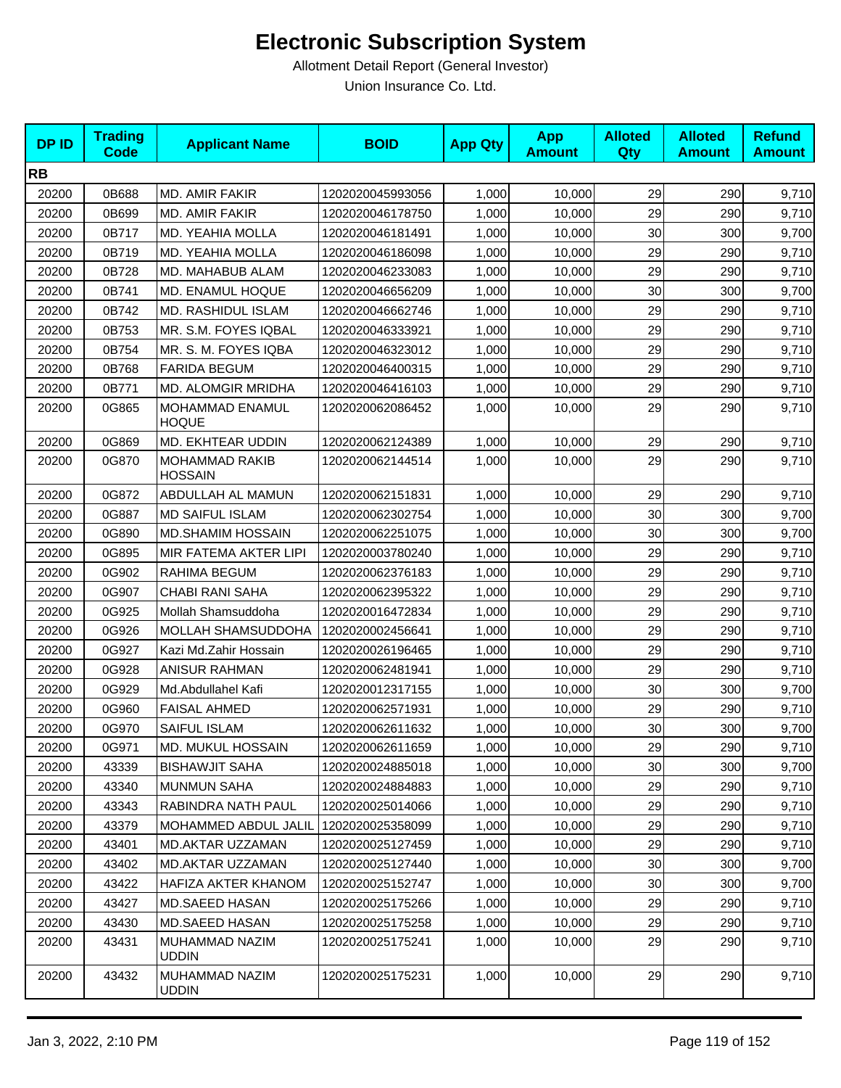| <b>DPID</b> | <b>Trading</b><br><b>Code</b> | <b>Applicant Name</b>                   | <b>BOID</b>      | <b>App Qty</b> | <b>App</b><br><b>Amount</b> | <b>Alloted</b><br><b>Qty</b> | <b>Alloted</b><br><b>Amount</b> | <b>Refund</b><br><b>Amount</b> |
|-------------|-------------------------------|-----------------------------------------|------------------|----------------|-----------------------------|------------------------------|---------------------------------|--------------------------------|
| <b>RB</b>   |                               |                                         |                  |                |                             |                              |                                 |                                |
| 20200       | 0B688                         | MD. AMIR FAKIR                          | 1202020045993056 | 1,000          | 10,000                      | 29                           | 290                             | 9,710                          |
| 20200       | 0B699                         | MD. AMIR FAKIR                          | 1202020046178750 | 1,000          | 10,000                      | 29                           | 290                             | 9,710                          |
| 20200       | 0B717                         | MD. YEAHIA MOLLA                        | 1202020046181491 | 1,000          | 10,000                      | 30                           | 300                             | 9,700                          |
| 20200       | 0B719                         | MD. YEAHIA MOLLA                        | 1202020046186098 | 1,000          | 10,000                      | 29                           | 290                             | 9,710                          |
| 20200       | 0B728                         | MD. MAHABUB ALAM                        | 1202020046233083 | 1,000          | 10,000                      | 29                           | 290                             | 9,710                          |
| 20200       | 0B741                         | MD. ENAMUL HOQUE                        | 1202020046656209 | 1,000          | 10,000                      | 30                           | 300                             | 9,700                          |
| 20200       | 0B742                         | MD. RASHIDUL ISLAM                      | 1202020046662746 | 1,000          | 10,000                      | 29                           | 290                             | 9,710                          |
| 20200       | 0B753                         | MR. S.M. FOYES IQBAL                    | 1202020046333921 | 1,000          | 10,000                      | 29                           | 290                             | 9,710                          |
| 20200       | 0B754                         | MR. S. M. FOYES IQBA                    | 1202020046323012 | 1,000          | 10,000                      | 29                           | 290                             | 9,710                          |
| 20200       | 0B768                         | <b>FARIDA BEGUM</b>                     | 1202020046400315 | 1,000          | 10,000                      | 29                           | 290                             | 9,710                          |
| 20200       | 0B771                         | MD. ALOMGIR MRIDHA                      | 1202020046416103 | 1,000          | 10,000                      | 29                           | 290                             | 9,710                          |
| 20200       | 0G865                         | MOHAMMAD ENAMUL<br><b>HOQUE</b>         | 1202020062086452 | 1,000          | 10,000                      | 29                           | 290                             | 9,710                          |
| 20200       | 0G869                         | MD. EKHTEAR UDDIN                       | 1202020062124389 | 1,000          | 10,000                      | 29                           | 290                             | 9,710                          |
| 20200       | 0G870                         | <b>MOHAMMAD RAKIB</b><br><b>HOSSAIN</b> | 1202020062144514 | 1,000          | 10,000                      | 29                           | 290                             | 9,710                          |
| 20200       | 0G872                         | ABDULLAH AL MAMUN                       | 1202020062151831 | 1,000          | 10,000                      | 29                           | 290                             | 9,710                          |
| 20200       | 0G887                         | <b>MD SAIFUL ISLAM</b>                  | 1202020062302754 | 1,000          | 10,000                      | 30                           | 300                             | 9,700                          |
| 20200       | 0G890                         | MD.SHAMIM HOSSAIN                       | 1202020062251075 | 1,000          | 10,000                      | 30                           | 300                             | 9,700                          |
| 20200       | 0G895                         | MIR FATEMA AKTER LIPI                   | 1202020003780240 | 1,000          | 10,000                      | 29                           | 290                             | 9,710                          |
| 20200       | 0G902                         | RAHIMA BEGUM                            | 1202020062376183 | 1,000          | 10,000                      | 29                           | 290                             | 9,710                          |
| 20200       | 0G907                         | <b>CHABI RANI SAHA</b>                  | 1202020062395322 | 1,000          | 10,000                      | 29                           | 290                             | 9,710                          |
| 20200       | 0G925                         | Mollah Shamsuddoha                      | 1202020016472834 | 1,000          | 10,000                      | 29                           | 290                             | 9,710                          |
| 20200       | 0G926                         | MOLLAH SHAMSUDDOHA                      | 1202020002456641 | 1,000          | 10,000                      | 29                           | 290                             | 9,710                          |
| 20200       | 0G927                         | Kazi Md.Zahir Hossain                   | 1202020026196465 | 1,000          | 10,000                      | 29                           | 290                             | 9,710                          |
| 20200       | 0G928                         | <b>ANISUR RAHMAN</b>                    | 1202020062481941 | 1,000          | 10,000                      | 29                           | 290                             | 9,710                          |
| 20200       | 0G929                         | Md.Abdullahel Kafi                      | 1202020012317155 | 1,000          | 10,000                      | 30                           | 300                             | 9,700                          |
| 20200       | 0G960                         | <b>FAISAL AHMED</b>                     | 1202020062571931 | 1,000          | 10,000                      | 29                           | 290                             | 9,710                          |
| 20200       | 0G970                         | SAIFUL ISLAM                            | 1202020062611632 | 1,000          | 10,000                      | 30                           | 300                             | 9,700                          |
| 20200       | 0G971                         | MD. MUKUL HOSSAIN                       | 1202020062611659 | 1,000          | 10,000                      | 29                           | 290                             | 9,710                          |
| 20200       | 43339                         | <b>BISHAWJIT SAHA</b>                   | 1202020024885018 | 1,000          | 10,000                      | 30                           | 300                             | 9,700                          |
| 20200       | 43340                         | <b>MUNMUN SAHA</b>                      | 1202020024884883 | 1,000          | 10,000                      | 29                           | 290                             | 9,710                          |
| 20200       | 43343                         | RABINDRA NATH PAUL                      | 1202020025014066 | 1,000          | 10,000                      | 29                           | 290                             | 9,710                          |
| 20200       | 43379                         | MOHAMMED ABDUL JALIL                    | 1202020025358099 | 1,000          | 10,000                      | 29                           | 290                             | 9,710                          |
| 20200       | 43401                         | <b>MD.AKTAR UZZAMAN</b>                 | 1202020025127459 | 1,000          | 10.000                      | 29                           | 290                             | 9,710                          |
| 20200       | 43402                         | MD.AKTAR UZZAMAN                        | 1202020025127440 | 1,000          | 10,000                      | 30                           | 300                             | 9,700                          |
| 20200       | 43422                         | HAFIZA AKTER KHANOM                     | 1202020025152747 | 1,000          | 10,000                      | 30                           | 300                             | 9,700                          |
| 20200       | 43427                         | <b>MD.SAEED HASAN</b>                   | 1202020025175266 | 1,000          | 10,000                      | 29                           | 290                             | 9,710                          |
| 20200       | 43430                         | MD.SAEED HASAN                          | 1202020025175258 | 1,000          | 10,000                      | 29                           | 290                             | 9,710                          |
| 20200       | 43431                         | MUHAMMAD NAZIM<br><b>UDDIN</b>          | 1202020025175241 | 1,000          | 10,000                      | 29                           | 290                             | 9,710                          |
| 20200       | 43432                         | MUHAMMAD NAZIM<br><b>UDDIN</b>          | 1202020025175231 | 1,000          | 10,000                      | 29                           | 290                             | 9,710                          |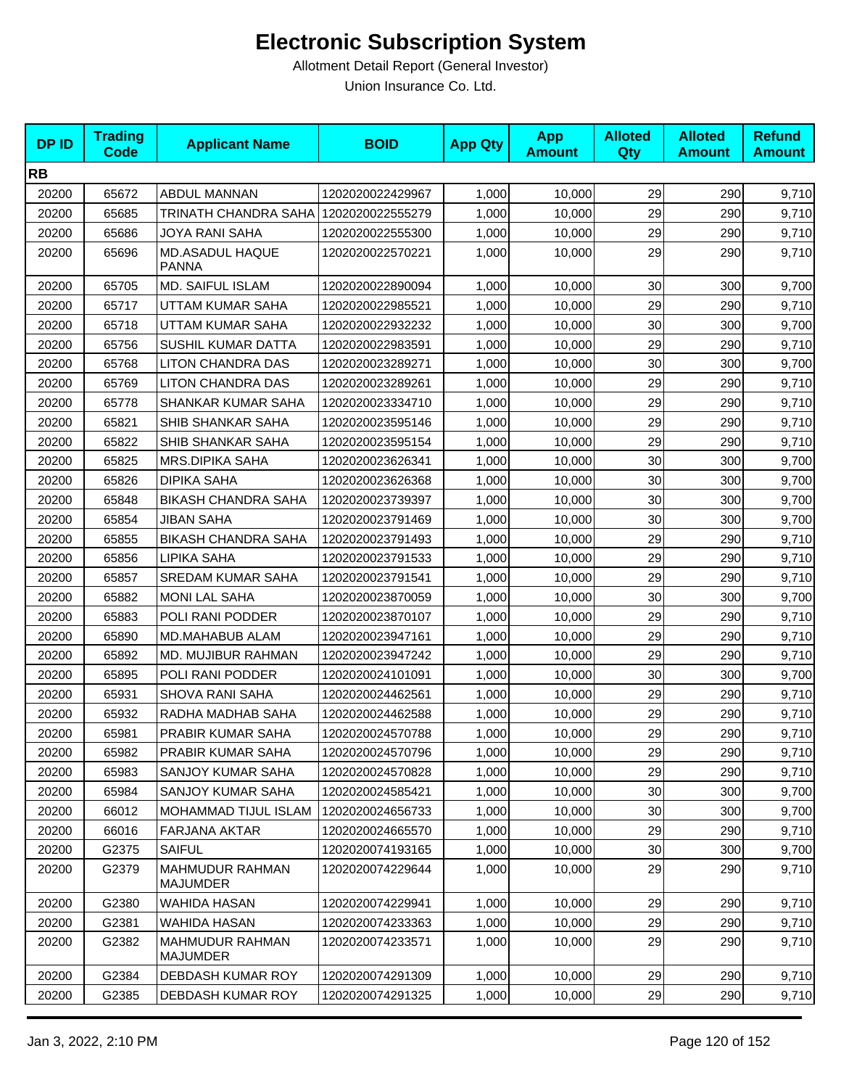| <b>DPID</b> | <b>Trading</b><br><b>Code</b> | <b>Applicant Name</b>                 | <b>BOID</b>      | <b>App Qty</b> | <b>App</b><br><b>Amount</b> | <b>Alloted</b><br>Qty | <b>Alloted</b><br><b>Amount</b> | <b>Refund</b><br><b>Amount</b> |
|-------------|-------------------------------|---------------------------------------|------------------|----------------|-----------------------------|-----------------------|---------------------------------|--------------------------------|
| <b>RB</b>   |                               |                                       |                  |                |                             |                       |                                 |                                |
| 20200       | 65672                         | ABDUL MANNAN                          | 1202020022429967 | 1,000          | 10,000                      | 29                    | 290                             | 9,710                          |
| 20200       | 65685                         | TRINATH CHANDRA SAHA 1202020022555279 |                  | 1,000          | 10,000                      | 29                    | 290                             | 9,710                          |
| 20200       | 65686                         | JOYA RANI SAHA                        | 1202020022555300 | 1,000          | 10,000                      | 29                    | 290                             | 9,710                          |
| 20200       | 65696                         | MD.ASADUL HAQUE<br><b>PANNA</b>       | 1202020022570221 | 1,000          | 10,000                      | 29                    | 290                             | 9,710                          |
| 20200       | 65705                         | MD. SAIFUL ISLAM                      | 1202020022890094 | 1,000          | 10,000                      | 30                    | 300                             | 9,700                          |
| 20200       | 65717                         | UTTAM KUMAR SAHA                      | 1202020022985521 | 1,000          | 10,000                      | 29                    | 290                             | 9,710                          |
| 20200       | 65718                         | <b>UTTAM KUMAR SAHA</b>               | 1202020022932232 | 1,000          | 10,000                      | 30                    | 300                             | 9,700                          |
| 20200       | 65756                         | SUSHIL KUMAR DATTA                    | 1202020022983591 | 1,000          | 10,000                      | 29                    | 290                             | 9,710                          |
| 20200       | 65768                         | LITON CHANDRA DAS                     | 1202020023289271 | 1,000          | 10,000                      | 30                    | 300                             | 9,700                          |
| 20200       | 65769                         | <b>LITON CHANDRA DAS</b>              | 1202020023289261 | 1,000          | 10,000                      | 29                    | 290                             | 9,710                          |
| 20200       | 65778                         | SHANKAR KUMAR SAHA                    | 1202020023334710 | 1,000          | 10,000                      | 29                    | 290                             | 9,710                          |
| 20200       | 65821                         | SHIB SHANKAR SAHA                     | 1202020023595146 | 1,000          | 10,000                      | 29                    | 290                             | 9,710                          |
| 20200       | 65822                         | SHIB SHANKAR SAHA                     | 1202020023595154 | 1,000          | 10,000                      | 29                    | 290                             | 9,710                          |
| 20200       | 65825                         | <b>MRS.DIPIKA SAHA</b>                | 1202020023626341 | 1,000          | 10,000                      | 30                    | 300                             | 9,700                          |
| 20200       | 65826                         | <b>DIPIKA SAHA</b>                    | 1202020023626368 | 1,000          | 10,000                      | 30                    | 300                             | 9,700                          |
| 20200       | 65848                         | <b>BIKASH CHANDRA SAHA</b>            | 1202020023739397 | 1,000          | 10,000                      | 30                    | 300                             | 9,700                          |
| 20200       | 65854                         | <b>JIBAN SAHA</b>                     | 1202020023791469 | 1,000          | 10,000                      | 30                    | 300                             | 9,700                          |
| 20200       | 65855                         | <b>BIKASH CHANDRA SAHA</b>            | 1202020023791493 | 1,000          | 10,000                      | 29                    | 290                             | 9,710                          |
| 20200       | 65856                         | LIPIKA SAHA                           | 1202020023791533 | 1,000          | 10,000                      | 29                    | 290                             | 9,710                          |
| 20200       | 65857                         | <b>SREDAM KUMAR SAHA</b>              | 1202020023791541 | 1,000          | 10,000                      | 29                    | 290                             | 9,710                          |
| 20200       | 65882                         | <b>MONI LAL SAHA</b>                  | 1202020023870059 | 1,000          | 10,000                      | 30                    | 300                             | 9,700                          |
| 20200       | 65883                         | POLI RANI PODDER                      | 1202020023870107 | 1,000          | 10,000                      | 29                    | 290                             | 9,710                          |
| 20200       | 65890                         | MD.MAHABUB ALAM                       | 1202020023947161 | 1,000          | 10,000                      | 29                    | 290                             | 9,710                          |
| 20200       | 65892                         | MD. MUJIBUR RAHMAN                    | 1202020023947242 | 1,000          | 10,000                      | 29                    | 290                             | 9,710                          |
| 20200       | 65895                         | POLI RANI PODDER                      | 1202020024101091 | 1,000          | 10,000                      | 30                    | 300                             | 9,700                          |
| 20200       | 65931                         | <b>SHOVA RANI SAHA</b>                | 1202020024462561 | 1,000          | 10,000                      | 29                    | 290                             | 9,710                          |
| 20200       | 65932                         | RADHA MADHAB SAHA                     | 1202020024462588 | 1,000          | 10,000                      | 29                    | 290                             | 9,710                          |
| 20200       | 65981                         | PRABIR KUMAR SAHA                     | 1202020024570788 | 1,000          | 10,000                      | 29                    | 290                             | 9,710                          |
| 20200       | 65982                         | PRABIR KUMAR SAHA                     | 1202020024570796 | 1,000          | 10,000                      | 29                    | 290                             | 9,710                          |
| 20200       | 65983                         | SANJOY KUMAR SAHA                     | 1202020024570828 | 1,000          | 10,000                      | 29                    | 290                             | 9,710                          |
| 20200       | 65984                         | SANJOY KUMAR SAHA                     | 1202020024585421 | 1,000          | 10,000                      | 30                    | 300                             | 9,700                          |
| 20200       | 66012                         | MOHAMMAD TIJUL ISLAM                  | 1202020024656733 | 1,000          | 10,000                      | 30                    | 300                             | 9,700                          |
| 20200       | 66016                         | FARJANA AKTAR                         | 1202020024665570 | 1,000          | 10,000                      | 29                    | 290                             | 9,710                          |
| 20200       | G2375                         | <b>SAIFUL</b>                         | 1202020074193165 | 1,000          | 10,000                      | 30                    | 300                             | 9,700                          |
| 20200       | G2379                         | MAHMUDUR RAHMAN<br>MAJUMDER           | 1202020074229644 | 1,000          | 10,000                      | 29                    | 290                             | 9,710                          |
| 20200       | G2380                         | WAHIDA HASAN                          | 1202020074229941 | 1,000          | 10,000                      | 29                    | 290                             | 9,710                          |
| 20200       | G2381                         | <b>WAHIDA HASAN</b>                   | 1202020074233363 | 1,000          | 10,000                      | 29                    | 290                             | 9,710                          |
| 20200       | G2382                         | <b>MAHMUDUR RAHMAN</b><br>MAJUMDER    | 1202020074233571 | 1,000          | 10,000                      | 29                    | 290                             | 9,710                          |
| 20200       | G2384                         | DEBDASH KUMAR ROY                     | 1202020074291309 | 1,000          | 10,000                      | 29                    | 290                             | 9,710                          |
| 20200       | G2385                         | DEBDASH KUMAR ROY                     | 1202020074291325 | 1,000          | 10,000                      | 29                    | 290                             | 9,710                          |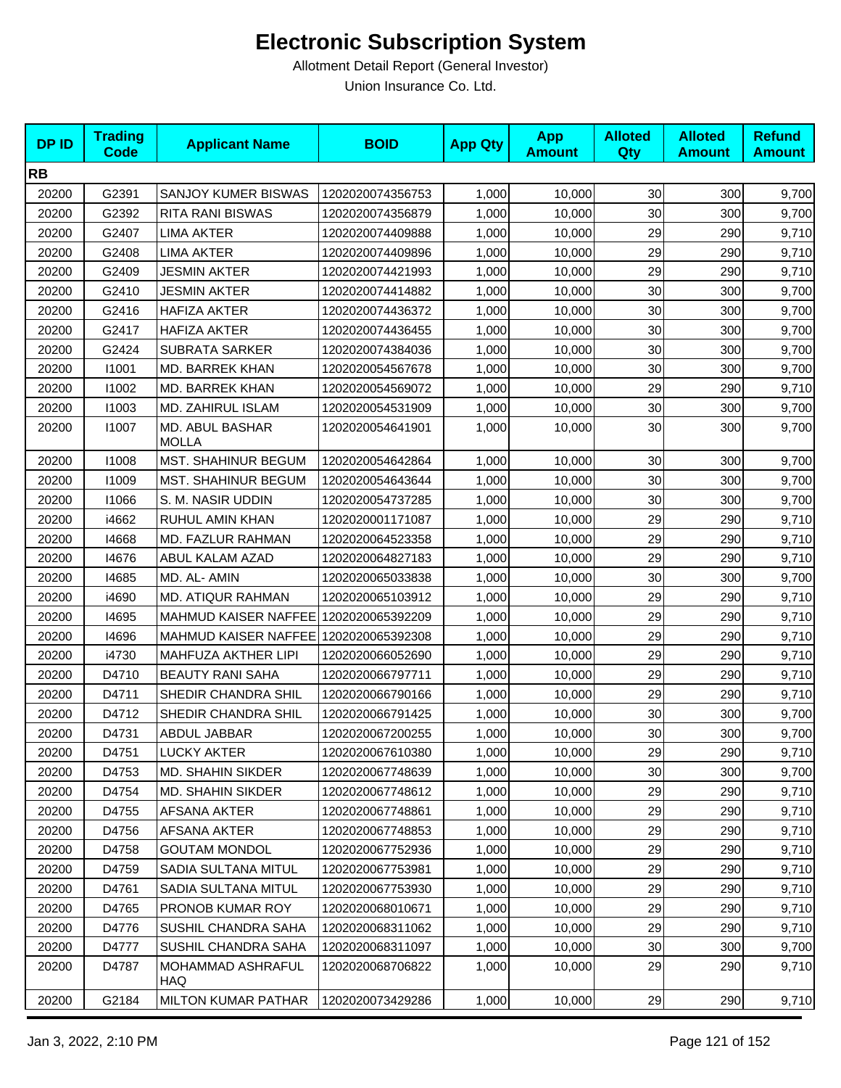| <b>DP ID</b> | <b>Trading</b><br><b>Code</b> | <b>Applicant Name</b>                 | <b>BOID</b>      | <b>App Qty</b> | <b>App</b><br><b>Amount</b> | <b>Alloted</b><br>Qty | <b>Alloted</b><br><b>Amount</b> | <b>Refund</b><br><b>Amount</b> |
|--------------|-------------------------------|---------------------------------------|------------------|----------------|-----------------------------|-----------------------|---------------------------------|--------------------------------|
| <b>RB</b>    |                               |                                       |                  |                |                             |                       |                                 |                                |
| 20200        | G2391                         | SANJOY KUMER BISWAS                   | 1202020074356753 | 1,000          | 10,000                      | 30 <sub>0</sub>       | 300                             | 9,700                          |
| 20200        | G2392                         | <b>RITA RANI BISWAS</b>               | 1202020074356879 | 1,000          | 10,000                      | 30                    | 300                             | 9,700                          |
| 20200        | G2407                         | LIMA AKTER                            | 1202020074409888 | 1,000          | 10,000                      | 29                    | 290                             | 9,710                          |
| 20200        | G2408                         | <b>LIMA AKTER</b>                     | 1202020074409896 | 1,000          | 10,000                      | 29                    | 290                             | 9,710                          |
| 20200        | G2409                         | JESMIN AKTER                          | 1202020074421993 | 1,000          | 10,000                      | 29                    | 290                             | 9,710                          |
| 20200        | G2410                         | <b>JESMIN AKTER</b>                   | 1202020074414882 | 1,000          | 10,000                      | 30                    | 300                             | 9,700                          |
| 20200        | G2416                         | HAFIZA AKTER                          | 1202020074436372 | 1,000          | 10,000                      | 30                    | 300                             | 9,700                          |
| 20200        | G2417                         | <b>HAFIZA AKTER</b>                   | 1202020074436455 | 1,000          | 10,000                      | 30                    | 300                             | 9,700                          |
| 20200        | G2424                         | <b>SUBRATA SARKER</b>                 | 1202020074384036 | 1,000          | 10,000                      | 30                    | 300                             | 9,700                          |
| 20200        | 11001                         | MD. BARREK KHAN                       | 1202020054567678 | 1,000          | 10,000                      | 30                    | 300                             | 9,700                          |
| 20200        | 11002                         | MD. BARREK KHAN                       | 1202020054569072 | 1,000          | 10,000                      | 29                    | 290                             | 9,710                          |
| 20200        | 11003                         | MD. ZAHIRUL ISLAM                     | 1202020054531909 | 1,000          | 10,000                      | 30                    | 300                             | 9,700                          |
| 20200        | 11007                         | MD. ABUL BASHAR<br><b>MOLLA</b>       | 1202020054641901 | 1,000          | 10,000                      | 30                    | 300                             | 9,700                          |
| 20200        | 11008                         | <b>MST. SHAHINUR BEGUM</b>            | 1202020054642864 | 1,000          | 10,000                      | 30                    | 300                             | 9,700                          |
| 20200        | 11009                         | <b>MST. SHAHINUR BEGUM</b>            | 1202020054643644 | 1,000          | 10.000                      | 30                    | 300                             | 9,700                          |
| 20200        | 11066                         | S. M. NASIR UDDIN                     | 1202020054737285 | 1,000          | 10,000                      | 30                    | 300                             | 9,700                          |
| 20200        | i4662                         | RUHUL AMIN KHAN                       | 1202020001171087 | 1,000          | 10,000                      | 29                    | 290                             | 9,710                          |
| 20200        | 14668                         | MD. FAZLUR RAHMAN                     | 1202020064523358 | 1,000          | 10,000                      | 29                    | 290                             | 9,710                          |
| 20200        | 14676                         | ABUL KALAM AZAD                       | 1202020064827183 | 1,000          | 10,000                      | 29                    | 290                             | 9,710                          |
| 20200        | 14685                         | MD. AL- AMIN                          | 1202020065033838 | 1,000          | 10,000                      | 30                    | 300                             | 9,700                          |
| 20200        | i4690                         | MD. ATIQUR RAHMAN                     | 1202020065103912 | 1,000          | 10,000                      | 29                    | 290                             | 9,710                          |
| 20200        | 14695                         | MAHMUD KAISER NAFFEE 1202020065392209 |                  | 1,000          | 10,000                      | 29                    | 290                             | 9,710                          |
| 20200        | 14696                         | MAHMUD KAISER NAFFEE 1202020065392308 |                  | 1,000          | 10,000                      | 29                    | 290                             | 9,710                          |
| 20200        | i4730                         | MAHFUZA AKTHER LIPI                   | 1202020066052690 | 1,000          | 10,000                      | 29                    | 290                             | 9,710                          |
| 20200        | D4710                         | <b>BEAUTY RANI SAHA</b>               | 1202020066797711 | 1,000          | 10,000                      | 29                    | 290                             | 9,710                          |
| 20200        | D4711                         | SHEDIR CHANDRA SHIL                   | 1202020066790166 | 1,000          | 10,000                      | 29                    | 290                             | 9,710                          |
| 20200        | D4712                         | SHEDIR CHANDRA SHIL                   | 1202020066791425 | 1,000          | 10,000                      | 30                    | 300                             | 9,700                          |
| 20200        | D4731                         | ABDUL JABBAR                          | 1202020067200255 | 1,000          | 10,000                      | 30                    | 300                             | 9,700                          |
| 20200        | D4751                         | LUCKY AKTER                           | 1202020067610380 | 1,000          | 10,000                      | 29                    | 290                             | 9,710                          |
| 20200        | D4753                         | MD. SHAHIN SIKDER                     | 1202020067748639 | 1,000          | 10,000                      | 30                    | 300                             | 9,700                          |
| 20200        | D4754                         | <b>MD. SHAHIN SIKDER</b>              | 1202020067748612 | 1,000          | 10,000                      | 29                    | 290                             | 9,710                          |
| 20200        | D4755                         | AFSANA AKTER                          | 1202020067748861 | 1,000          | 10,000                      | 29                    | 290                             | 9,710                          |
| 20200        | D4756                         | AFSANA AKTER                          | 1202020067748853 | 1,000          | 10,000                      | 29                    | 290                             | 9,710                          |
| 20200        | D4758                         | <b>GOUTAM MONDOL</b>                  | 1202020067752936 | 1,000          | 10,000                      | 29                    | 290                             | 9,710                          |
| 20200        | D4759                         | SADIA SULTANA MITUL                   | 1202020067753981 | 1,000          | 10,000                      | 29                    | 290                             | 9,710                          |
| 20200        | D4761                         | SADIA SULTANA MITUL                   | 1202020067753930 | 1,000          | 10,000                      | 29                    | 290                             | 9,710                          |
| 20200        | D4765                         | PRONOB KUMAR ROY                      | 1202020068010671 | 1,000          | 10,000                      | 29                    | 290                             | 9,710                          |
| 20200        | D4776                         | SUSHIL CHANDRA SAHA                   | 1202020068311062 | 1,000          | 10,000                      | 29                    | 290                             | 9,710                          |
| 20200        | D4777                         | SUSHIL CHANDRA SAHA                   | 1202020068311097 | 1,000          | 10,000                      | 30 <sub>0</sub>       | 300                             | 9,700                          |
| 20200        | D4787                         | MOHAMMAD ASHRAFUL<br>HAQ              | 1202020068706822 | 1,000          | 10,000                      | 29                    | 290                             | 9,710                          |
| 20200        | G2184                         | <b>MILTON KUMAR PATHAR</b>            | 1202020073429286 | 1,000          | 10,000                      | 29                    | 290                             | 9,710                          |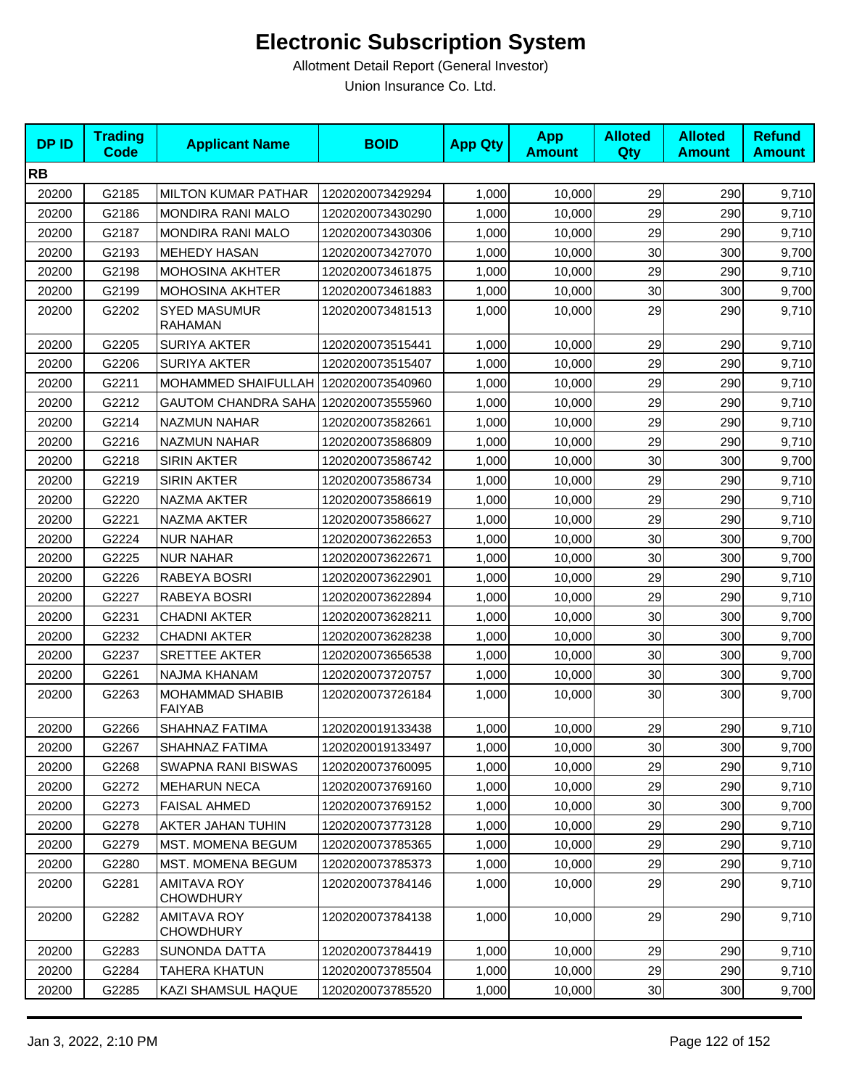| <b>DPID</b> | <b>Trading</b><br><b>Code</b> | <b>Applicant Name</b>                  | <b>BOID</b>      | <b>App Qty</b> | <b>App</b><br><b>Amount</b> | <b>Alloted</b><br>Qty | <b>Alloted</b><br><b>Amount</b> | <b>Refund</b><br><b>Amount</b> |
|-------------|-------------------------------|----------------------------------------|------------------|----------------|-----------------------------|-----------------------|---------------------------------|--------------------------------|
| <b>RB</b>   |                               |                                        |                  |                |                             |                       |                                 |                                |
| 20200       | G2185                         | <b>MILTON KUMAR PATHAR</b>             | 1202020073429294 | 1,000          | 10,000                      | 29                    | 290                             | 9,710                          |
| 20200       | G2186                         | <b>MONDIRA RANI MALO</b>               | 1202020073430290 | 1,000          | 10,000                      | 29                    | 290                             | 9,710                          |
| 20200       | G2187                         | <b>MONDIRA RANI MALO</b>               | 1202020073430306 | 1,000          | 10,000                      | 29                    | 290                             | 9,710                          |
| 20200       | G2193                         | <b>MEHEDY HASAN</b>                    | 1202020073427070 | 1,000          | 10,000                      | 30                    | 300                             | 9,700                          |
| 20200       | G2198                         | MOHOSINA AKHTER                        | 1202020073461875 | 1,000          | 10,000                      | 29                    | 290                             | 9,710                          |
| 20200       | G2199                         | <b>MOHOSINA AKHTER</b>                 | 1202020073461883 | 1,000          | 10,000                      | 30                    | 300                             | 9,700                          |
| 20200       | G2202                         | <b>SYED MASUMUR</b><br><b>RAHAMAN</b>  | 1202020073481513 | 1,000          | 10,000                      | 29                    | 290                             | 9,710                          |
| 20200       | G2205                         | <b>SURIYA AKTER</b>                    | 1202020073515441 | 1,000          | 10,000                      | 29                    | 290                             | 9,710                          |
| 20200       | G2206                         | <b>SURIYA AKTER</b>                    | 1202020073515407 | 1,000          | 10,000                      | 29                    | 290                             | 9,710                          |
| 20200       | G2211                         | <b>MOHAMMED SHAIFULLAH</b>             | 1202020073540960 | 1,000          | 10,000                      | 29                    | 290                             | 9,710                          |
| 20200       | G2212                         | <b>GAUTOM CHANDRA SAHA</b>             | 1202020073555960 | 1,000          | 10,000                      | 29                    | 290                             | 9,710                          |
| 20200       | G2214                         | <b>NAZMUN NAHAR</b>                    | 1202020073582661 | 1,000          | 10,000                      | 29                    | 290                             | 9,710                          |
| 20200       | G2216                         | <b>NAZMUN NAHAR</b>                    | 1202020073586809 | 1,000          | 10,000                      | 29                    | 290                             | 9,710                          |
| 20200       | G2218                         | <b>SIRIN AKTER</b>                     | 1202020073586742 | 1,000          | 10,000                      | 30                    | 300                             | 9,700                          |
| 20200       | G2219                         | <b>SIRIN AKTER</b>                     | 1202020073586734 | 1,000          | 10,000                      | 29                    | 290                             | 9,710                          |
| 20200       | G2220                         | NAZMA AKTER                            | 1202020073586619 | 1,000          | 10,000                      | 29                    | 290                             | 9,710                          |
| 20200       | G2221                         | NAZMA AKTER                            | 1202020073586627 | 1,000          | 10,000                      | 29                    | 290                             | 9,710                          |
| 20200       | G2224                         | <b>NUR NAHAR</b>                       | 1202020073622653 | 1,000          | 10,000                      | 30                    | 300                             | 9,700                          |
| 20200       | G2225                         | <b>NUR NAHAR</b>                       | 1202020073622671 | 1,000          | 10,000                      | 30                    | 300                             | 9,700                          |
| 20200       | G2226                         | RABEYA BOSRI                           | 1202020073622901 | 1,000          | 10,000                      | 29                    | 290                             | 9,710                          |
| 20200       | G2227                         | RABEYA BOSRI                           | 1202020073622894 | 1,000          | 10,000                      | 29                    | 290                             | 9,710                          |
| 20200       | G2231                         | <b>CHADNI AKTER</b>                    | 1202020073628211 | 1,000          | 10,000                      | 30                    | 300                             | 9,700                          |
| 20200       | G2232                         | <b>CHADNI AKTER</b>                    | 1202020073628238 | 1,000          | 10,000                      | 30                    | 300                             | 9,700                          |
| 20200       | G2237                         | <b>SRETTEE AKTER</b>                   | 1202020073656538 | 1,000          | 10,000                      | 30                    | 300                             | 9,700                          |
| 20200       | G2261                         | NAJMA KHANAM                           | 1202020073720757 | 1,000          | 10,000                      | 30                    | 300                             | 9,700                          |
| 20200       | G2263                         | MOHAMMAD SHABIB<br><b>FAIYAB</b>       | 1202020073726184 | 1,000          | 10,000                      | 30                    | 300                             | 9,700                          |
| 20200       | G2266                         | SHAHNAZ FATIMA                         | 1202020019133438 | 1,000          | 10,000                      | 29                    | 290                             | 9,710                          |
| 20200       | G2267                         | SHAHNAZ FATIMA                         | 1202020019133497 | 1,000          | 10,000                      | 30 <sub>0</sub>       | 300                             | 9,700                          |
| 20200       | G2268                         | <b>SWAPNA RANI BISWAS</b>              | 1202020073760095 | 1,000          | 10,000                      | 29                    | 290                             | 9,710                          |
| 20200       | G2272                         | <b>MEHARUN NECA</b>                    | 1202020073769160 | 1,000          | 10,000                      | 29                    | 290                             | 9,710                          |
| 20200       | G2273                         | <b>FAISAL AHMED</b>                    | 1202020073769152 | 1,000          | 10,000                      | 30                    | 300                             | 9,700                          |
| 20200       | G2278                         | AKTER JAHAN TUHIN                      | 1202020073773128 | 1,000          | 10,000                      | 29                    | 290                             | 9,710                          |
| 20200       | G2279                         | MST. MOMENA BEGUM                      | 1202020073785365 | 1,000          | 10,000                      | 29                    | 290                             | 9,710                          |
| 20200       | G2280                         | MST. MOMENA BEGUM                      | 1202020073785373 | 1,000          | 10,000                      | 29                    | 290                             | 9,710                          |
| 20200       | G2281                         | <b>AMITAVA ROY</b><br><b>CHOWDHURY</b> | 1202020073784146 | 1,000          | 10,000                      | 29                    | 290                             | 9,710                          |
| 20200       | G2282                         | <b>AMITAVA ROY</b><br><b>CHOWDHURY</b> | 1202020073784138 | 1,000          | 10,000                      | 29                    | 290                             | 9,710                          |
| 20200       | G2283                         | SUNONDA DATTA                          | 1202020073784419 | 1,000          | 10,000                      | 29                    | 290                             | 9,710                          |
| 20200       | G2284                         | <b>TAHERA KHATUN</b>                   | 1202020073785504 | 1,000          | 10,000                      | 29                    | 290                             | 9,710                          |
| 20200       | G2285                         | KAZI SHAMSUL HAQUE                     | 1202020073785520 | 1,000          | 10,000                      | 30 <sub>o</sub>       | 300                             | 9,700                          |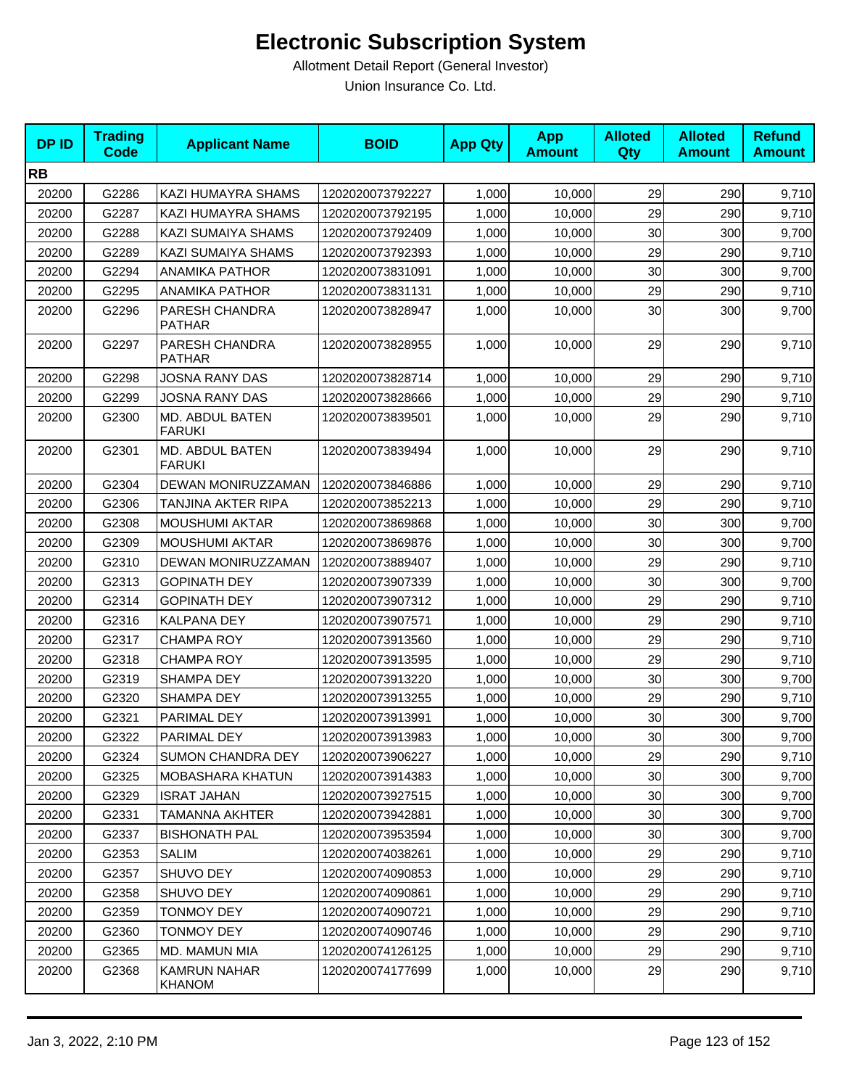| <b>DPID</b> | <b>Trading</b><br><b>Code</b> | <b>Applicant Name</b>                | <b>BOID</b>      | <b>App Qty</b> | <b>App</b><br><b>Amount</b> | <b>Alloted</b><br>Qty | <b>Alloted</b><br><b>Amount</b> | <b>Refund</b><br><b>Amount</b> |
|-------------|-------------------------------|--------------------------------------|------------------|----------------|-----------------------------|-----------------------|---------------------------------|--------------------------------|
| <b>RB</b>   |                               |                                      |                  |                |                             |                       |                                 |                                |
| 20200       | G2286                         | KAZI HUMAYRA SHAMS                   | 1202020073792227 | 1,000          | 10,000                      | 29                    | 290                             | 9,710                          |
| 20200       | G2287                         | KAZI HUMAYRA SHAMS                   | 1202020073792195 | 1,000          | 10,000                      | 29                    | 290                             | 9,710                          |
| 20200       | G2288                         | KAZI SUMAIYA SHAMS                   | 1202020073792409 | 1,000          | 10,000                      | 30                    | 300                             | 9,700                          |
| 20200       | G2289                         | <b>KAZI SUMAIYA SHAMS</b>            | 1202020073792393 | 1,000          | 10,000                      | 29                    | 290                             | 9,710                          |
| 20200       | G2294                         | <b>ANAMIKA PATHOR</b>                | 1202020073831091 | 1,000          | 10,000                      | 30                    | 300                             | 9,700                          |
| 20200       | G2295                         | <b>ANAMIKA PATHOR</b>                | 1202020073831131 | 1,000          | 10,000                      | 29                    | 290                             | 9,710                          |
| 20200       | G2296                         | PARESH CHANDRA<br><b>PATHAR</b>      | 1202020073828947 | 1,000          | 10,000                      | 30                    | 300                             | 9,700                          |
| 20200       | G2297                         | PARESH CHANDRA<br><b>PATHAR</b>      | 1202020073828955 | 1,000          | 10,000                      | 29                    | 290                             | 9,710                          |
| 20200       | G2298                         | JOSNA RANY DAS                       | 1202020073828714 | 1,000          | 10,000                      | 29                    | 290                             | 9,710                          |
| 20200       | G2299                         | JOSNA RANY DAS                       | 1202020073828666 | 1,000          | 10,000                      | 29                    | 290                             | 9,710                          |
| 20200       | G2300                         | MD. ABDUL BATEN<br><b>FARUKI</b>     | 1202020073839501 | 1,000          | 10,000                      | 29                    | 290                             | 9,710                          |
| 20200       | G2301                         | MD. ABDUL BATEN<br><b>FARUKI</b>     | 1202020073839494 | 1,000          | 10,000                      | 29                    | 290                             | 9,710                          |
| 20200       | G2304                         | DEWAN MONIRUZZAMAN                   | 1202020073846886 | 1,000          | 10,000                      | 29                    | 290                             | 9,710                          |
| 20200       | G2306                         | TANJINA AKTER RIPA                   | 1202020073852213 | 1,000          | 10,000                      | 29                    | 290                             | 9,710                          |
| 20200       | G2308                         | <b>MOUSHUMI AKTAR</b>                | 1202020073869868 | 1,000          | 10,000                      | 30                    | 300                             | 9,700                          |
| 20200       | G2309                         | <b>MOUSHUMI AKTAR</b>                | 1202020073869876 | 1,000          | 10,000                      | 30                    | 300                             | 9,700                          |
| 20200       | G2310                         | DEWAN MONIRUZZAMAN                   | 1202020073889407 | 1,000          | 10,000                      | 29                    | 290                             | 9,710                          |
| 20200       | G2313                         | <b>GOPINATH DEY</b>                  | 1202020073907339 | 1,000          | 10,000                      | 30                    | 300                             | 9,700                          |
| 20200       | G2314                         | <b>GOPINATH DEY</b>                  | 1202020073907312 | 1,000          | 10,000                      | 29                    | 290                             | 9,710                          |
| 20200       | G2316                         | <b>KALPANA DEY</b>                   | 1202020073907571 | 1,000          | 10,000                      | 29                    | 290                             | 9,710                          |
| 20200       | G2317                         | <b>CHAMPA ROY</b>                    | 1202020073913560 | 1,000          | 10,000                      | 29                    | 290                             | 9,710                          |
| 20200       | G2318                         | <b>CHAMPA ROY</b>                    | 1202020073913595 | 1,000          | 10,000                      | 29                    | 290                             | 9,710                          |
| 20200       | G2319                         | SHAMPA DEY                           | 1202020073913220 | 1,000          | 10,000                      | 30                    | 300                             | 9,700                          |
| 20200       | G2320                         | SHAMPA DEY                           | 1202020073913255 | 1,000          | 10,000                      | 29                    | 290                             | 9,710                          |
| 20200       | G2321                         | PARIMAL DEY                          | 1202020073913991 | 1,000          | 10,000                      | 30                    | 300                             | 9,700                          |
| 20200       | G2322                         | PARIMAL DEY                          | 1202020073913983 | 1,000          | 10,000                      | 30 <sup>1</sup>       | 300                             | 9,700                          |
| 20200       | G2324                         | <b>SUMON CHANDRA DEY</b>             | 1202020073906227 | 1,000          | 10,000                      | 29                    | 290                             | 9,710                          |
| 20200       | G2325                         | MOBASHARA KHATUN                     | 1202020073914383 | 1,000          | 10,000                      | 30                    | 300                             | 9,700                          |
| 20200       | G2329                         | <b>ISRAT JAHAN</b>                   | 1202020073927515 | 1,000          | 10,000                      | 30                    | 300                             | 9,700                          |
| 20200       | G2331                         | TAMANNA AKHTER                       | 1202020073942881 | 1,000          | 10,000                      | 30                    | 300                             | 9,700                          |
| 20200       | G2337                         | <b>BISHONATH PAL</b>                 | 1202020073953594 | 1,000          | 10,000                      | 30                    | 300                             | 9,700                          |
| 20200       | G2353                         | <b>SALIM</b>                         | 1202020074038261 | 1,000          | 10,000                      | 29                    | 290                             | 9,710                          |
| 20200       | G2357                         | SHUVO DEY                            | 1202020074090853 | 1,000          | 10,000                      | 29                    | 290                             | 9,710                          |
| 20200       | G2358                         | SHUVO DEY                            | 1202020074090861 | 1,000          | 10,000                      | 29                    | 290                             | 9,710                          |
| 20200       | G2359                         | <b>TONMOY DEY</b>                    | 1202020074090721 | 1,000          | 10,000                      | 29                    | 290                             | 9,710                          |
| 20200       | G2360                         | <b>TONMOY DEY</b>                    | 1202020074090746 | 1,000          | 10,000                      | 29                    | 290                             | 9,710                          |
| 20200       | G2365                         | MD. MAMUN MIA                        | 1202020074126125 | 1,000          | 10,000                      | 29                    | 290                             | 9,710                          |
| 20200       | G2368                         | <b>KAMRUN NAHAR</b><br><b>KHANOM</b> | 1202020074177699 | 1,000          | 10,000                      | 29                    | 290                             | 9,710                          |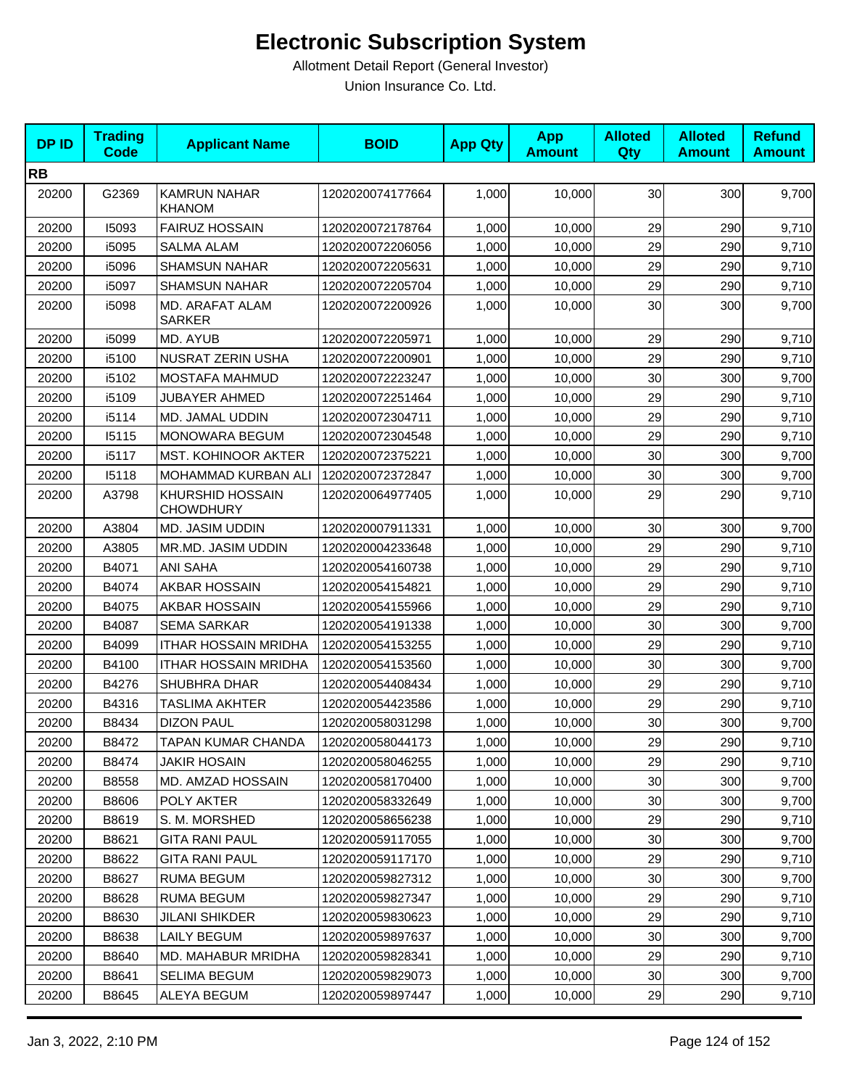| <b>DPID</b> | <b>Trading</b><br><b>Code</b> | <b>Applicant Name</b>                       | <b>BOID</b>      | <b>App Qty</b> | <b>App</b><br><b>Amount</b> | <b>Alloted</b><br>Qty | <b>Alloted</b><br><b>Amount</b> | <b>Refund</b><br><b>Amount</b> |
|-------------|-------------------------------|---------------------------------------------|------------------|----------------|-----------------------------|-----------------------|---------------------------------|--------------------------------|
| <b>RB</b>   |                               |                                             |                  |                |                             |                       |                                 |                                |
| 20200       | G2369                         | <b>KAMRUN NAHAR</b><br><b>KHANOM</b>        | 1202020074177664 | 1,000          | 10,000                      | 30                    | 300                             | 9,700                          |
| 20200       | 15093                         | <b>FAIRUZ HOSSAIN</b>                       | 1202020072178764 | 1,000          | 10,000                      | 29                    | 290                             | 9,710                          |
| 20200       | i5095                         | <b>SALMA ALAM</b>                           | 1202020072206056 | 1,000          | 10,000                      | 29                    | 290                             | 9,710                          |
| 20200       | i5096                         | <b>SHAMSUN NAHAR</b>                        | 1202020072205631 | 1,000          | 10,000                      | 29                    | 290                             | 9,710                          |
| 20200       | i5097                         | <b>SHAMSUN NAHAR</b>                        | 1202020072205704 | 1,000          | 10,000                      | 29                    | 290                             | 9,710                          |
| 20200       | i5098                         | MD. ARAFAT ALAM<br><b>SARKER</b>            | 1202020072200926 | 1,000          | 10,000                      | 30                    | 300                             | 9,700                          |
| 20200       | i5099                         | MD. AYUB                                    | 1202020072205971 | 1,000          | 10,000                      | 29                    | 290                             | 9,710                          |
| 20200       | i5100                         | NUSRAT ZERIN USHA                           | 1202020072200901 | 1,000          | 10,000                      | 29                    | 290                             | 9,710                          |
| 20200       | i5102                         | MOSTAFA MAHMUD                              | 1202020072223247 | 1,000          | 10,000                      | 30                    | 300                             | 9,700                          |
| 20200       | i5109                         | <b>JUBAYER AHMED</b>                        | 1202020072251464 | 1,000          | 10,000                      | 29                    | 290                             | 9,710                          |
| 20200       | i5114                         | <b>MD. JAMAL UDDIN</b>                      | 1202020072304711 | 1,000          | 10,000                      | 29                    | 290                             | 9,710                          |
| 20200       | 15115                         | MONOWARA BEGUM                              | 1202020072304548 | 1,000          | 10,000                      | 29                    | 290                             | 9,710                          |
| 20200       | i5117                         | <b>MST. KOHINOOR AKTER</b>                  | 1202020072375221 | 1,000          | 10,000                      | 30                    | 300                             | 9,700                          |
| 20200       | 15118                         | MOHAMMAD KURBAN ALI                         | 1202020072372847 | 1,000          | 10,000                      | 30                    | 300                             | 9,700                          |
| 20200       | A3798                         | <b>KHURSHID HOSSAIN</b><br><b>CHOWDHURY</b> | 1202020064977405 | 1,000          | 10,000                      | 29                    | 290                             | 9,710                          |
| 20200       | A3804                         | <b>MD. JASIM UDDIN</b>                      | 1202020007911331 | 1,000          | 10,000                      | 30                    | 300                             | 9,700                          |
| 20200       | A3805                         | MR.MD. JASIM UDDIN                          | 1202020004233648 | 1,000          | 10,000                      | 29                    | 290                             | 9,710                          |
| 20200       | B4071                         | <b>ANI SAHA</b>                             | 1202020054160738 | 1,000          | 10,000                      | 29                    | 290                             | 9,710                          |
| 20200       | B4074                         | <b>AKBAR HOSSAIN</b>                        | 1202020054154821 | 1,000          | 10,000                      | 29                    | 290                             | 9,710                          |
| 20200       | B4075                         | AKBAR HOSSAIN                               | 1202020054155966 | 1,000          | 10,000                      | 29                    | 290                             | 9,710                          |
| 20200       | B4087                         | <b>SEMA SARKAR</b>                          | 1202020054191338 | 1,000          | 10,000                      | 30                    | 300                             | 9,700                          |
| 20200       | B4099                         | <b>ITHAR HOSSAIN MRIDHA</b>                 | 1202020054153255 | 1,000          | 10,000                      | 29                    | 290                             | 9,710                          |
| 20200       | B4100                         | <b>ITHAR HOSSAIN MRIDHA</b>                 | 1202020054153560 | 1,000          | 10,000                      | 30                    | 300                             | 9,700                          |
| 20200       | B4276                         | SHUBHRA DHAR                                | 1202020054408434 | 1,000          | 10,000                      | 29                    | 290                             | 9,710                          |
| 20200       | B4316                         | TASLIMA AKHTER                              | 1202020054423586 | 1,000          | 10,000                      | 29                    | 290                             | 9,710                          |
| 20200       | B8434                         | <b>DIZON PAUL</b>                           | 1202020058031298 | 1,000          | 10,000                      | 30                    | 300                             | 9,700                          |
| 20200       | B8472                         | TAPAN KUMAR CHANDA                          | 1202020058044173 | 1,000          | 10,000                      | 29                    | 290                             | 9,710                          |
| 20200       | B8474                         | <b>JAKIR HOSAIN</b>                         | 1202020058046255 | 1,000          | 10,000                      | 29                    | 290                             | 9,710                          |
| 20200       | B8558                         | MD. AMZAD HOSSAIN                           | 1202020058170400 | 1,000          | 10,000                      | 30                    | 300                             | 9,700                          |
| 20200       | B8606                         | <b>POLY AKTER</b>                           | 1202020058332649 | 1,000          | 10,000                      | 30                    | 300                             | 9,700                          |
| 20200       | B8619                         | S. M. MORSHED                               | 1202020058656238 | 1,000          | 10,000                      | 29                    | 290                             | 9,710                          |
| 20200       | B8621                         | <b>GITA RANI PAUL</b>                       | 1202020059117055 | 1,000          | 10,000                      | 30                    | 300                             | 9,700                          |
| 20200       | B8622                         | <b>GITA RANI PAUL</b>                       | 1202020059117170 | 1,000          | 10,000                      | 29                    | 290                             | 9,710                          |
| 20200       | B8627                         | <b>RUMA BEGUM</b>                           | 1202020059827312 | 1,000          | 10,000                      | 30                    | 300                             | 9,700                          |
| 20200       | B8628                         | <b>RUMA BEGUM</b>                           | 1202020059827347 | 1,000          | 10,000                      | 29                    | 290                             | 9,710                          |
| 20200       | B8630                         | <b>JILANI SHIKDER</b>                       | 1202020059830623 | 1,000          | 10,000                      | 29                    | 290                             | 9,710                          |
| 20200       | B8638                         | <b>LAILY BEGUM</b>                          | 1202020059897637 | 1,000          | 10,000                      | 30                    | 300                             | 9,700                          |
| 20200       | B8640                         | MD. MAHABUR MRIDHA                          | 1202020059828341 | 1,000          | 10,000                      | 29                    | 290                             | 9,710                          |
| 20200       | B8641                         | <b>SELIMA BEGUM</b>                         | 1202020059829073 | 1,000          | 10,000                      | 30                    | 300                             | 9,700                          |
| 20200       | B8645                         | ALEYA BEGUM                                 | 1202020059897447 | 1,000          | 10,000                      | 29                    | 290                             | 9,710                          |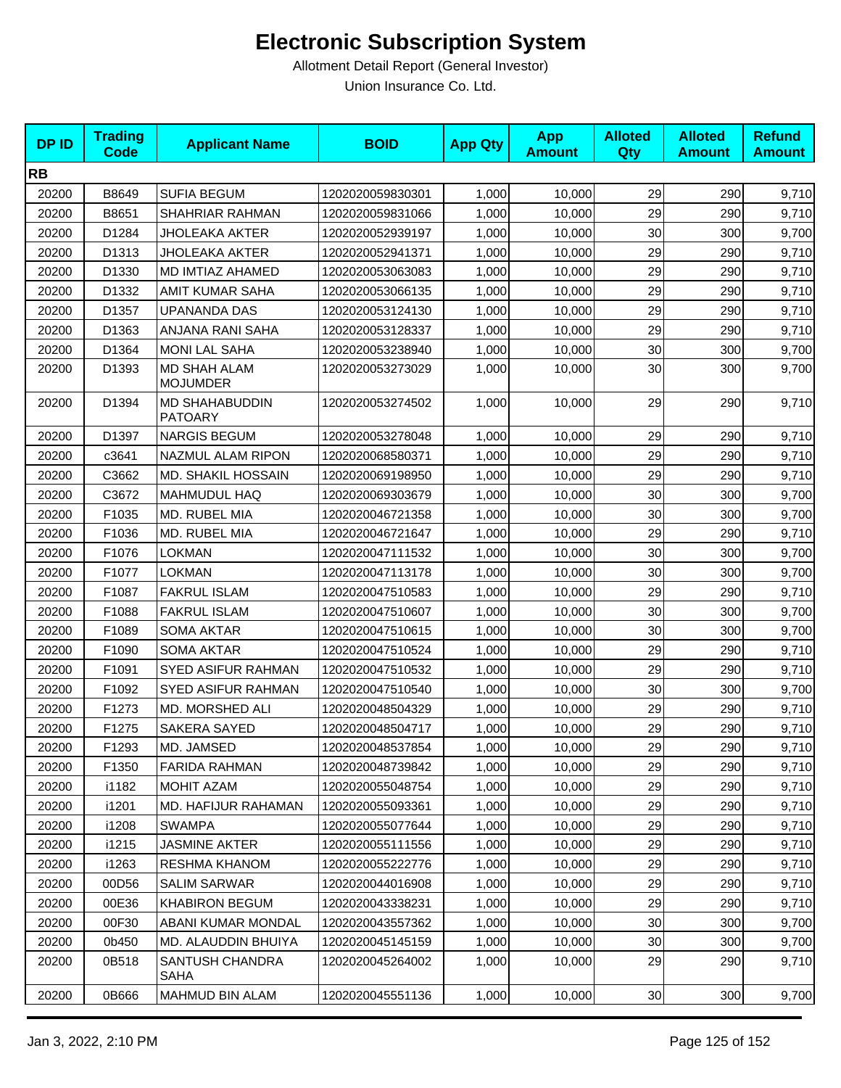| <b>DPID</b> | <b>Trading</b><br><b>Code</b> | <b>Applicant Name</b>                   | <b>BOID</b>      | <b>App Qty</b> | <b>App</b><br><b>Amount</b> | <b>Alloted</b><br><b>Qty</b> | <b>Alloted</b><br><b>Amount</b> | <b>Refund</b><br><b>Amount</b> |
|-------------|-------------------------------|-----------------------------------------|------------------|----------------|-----------------------------|------------------------------|---------------------------------|--------------------------------|
| <b>RB</b>   |                               |                                         |                  |                |                             |                              |                                 |                                |
| 20200       | B8649                         | <b>SUFIA BEGUM</b>                      | 1202020059830301 | 1,000          | 10,000                      | 29                           | 290                             | 9,710                          |
| 20200       | B8651                         | SHAHRIAR RAHMAN                         | 1202020059831066 | 1,000          | 10,000                      | 29                           | 290                             | 9,710                          |
| 20200       | D1284                         | JHOLEAKA AKTER                          | 1202020052939197 | 1,000          | 10,000                      | 30                           | 300                             | 9,700                          |
| 20200       | D1313                         | <b>JHOLEAKA AKTER</b>                   | 1202020052941371 | 1,000          | 10,000                      | 29                           | 290                             | 9,710                          |
| 20200       | D1330                         | MD IMTIAZ AHAMED                        | 1202020053063083 | 1,000          | 10,000                      | 29                           | 290                             | 9,710                          |
| 20200       | D1332                         | AMIT KUMAR SAHA                         | 1202020053066135 | 1,000          | 10,000                      | 29                           | 290                             | 9,710                          |
| 20200       | D1357                         | <b>UPANANDA DAS</b>                     | 1202020053124130 | 1,000          | 10,000                      | 29                           | 290                             | 9,710                          |
| 20200       | D1363                         | ANJANA RANI SAHA                        | 1202020053128337 | 1,000          | 10,000                      | 29                           | 290                             | 9,710                          |
| 20200       | D1364                         | <b>MONI LAL SAHA</b>                    | 1202020053238940 | 1,000          | 10,000                      | 30                           | 300                             | 9,700                          |
| 20200       | D1393                         | <b>MD SHAH ALAM</b><br><b>MOJUMDER</b>  | 1202020053273029 | 1,000          | 10,000                      | 30                           | 300                             | 9,700                          |
| 20200       | D1394                         | <b>MD SHAHABUDDIN</b><br><b>PATOARY</b> | 1202020053274502 | 1,000          | 10,000                      | 29                           | 290                             | 9,710                          |
| 20200       | D1397                         | <b>NARGIS BEGUM</b>                     | 1202020053278048 | 1,000          | 10,000                      | 29                           | 290                             | 9,710                          |
| 20200       | c3641                         | NAZMUL ALAM RIPON                       | 1202020068580371 | 1,000          | 10,000                      | 29                           | 290                             | 9,710                          |
| 20200       | C3662                         | <b>MD. SHAKIL HOSSAIN</b>               | 1202020069198950 | 1,000          | 10,000                      | 29                           | 290                             | 9,710                          |
| 20200       | C3672                         | <b>MAHMUDUL HAQ</b>                     | 1202020069303679 | 1,000          | 10,000                      | 30                           | 300                             | 9,700                          |
| 20200       | F1035                         | MD. RUBEL MIA                           | 1202020046721358 | 1,000          | 10,000                      | 30                           | 300                             | 9,700                          |
| 20200       | F1036                         | MD. RUBEL MIA                           | 1202020046721647 | 1,000          | 10,000                      | 29                           | 290                             | 9,710                          |
| 20200       | F1076                         | <b>LOKMAN</b>                           | 1202020047111532 | 1,000          | 10,000                      | 30                           | 300                             | 9,700                          |
| 20200       | F1077                         | <b>LOKMAN</b>                           | 1202020047113178 | 1,000          | 10,000                      | 30                           | 300                             | 9,700                          |
| 20200       | F1087                         | <b>FAKRUL ISLAM</b>                     | 1202020047510583 | 1,000          | 10,000                      | 29                           | 290                             | 9,710                          |
| 20200       | F1088                         | <b>FAKRUL ISLAM</b>                     | 1202020047510607 | 1,000          | 10,000                      | 30                           | 300                             | 9,700                          |
| 20200       | F1089                         | SOMA AKTAR                              | 1202020047510615 | 1,000          | 10,000                      | 30                           | 300                             | 9,700                          |
| 20200       | F1090                         | SOMA AKTAR                              | 1202020047510524 | 1,000          | 10,000                      | 29                           | 290                             | 9,710                          |
| 20200       | F1091                         | SYED ASIFUR RAHMAN                      | 1202020047510532 | 1,000          | 10,000                      | 29                           | 290                             | 9,710                          |
| 20200       | F1092                         | SYED ASIFUR RAHMAN                      | 1202020047510540 | 1,000          | 10,000                      | 30                           | 300                             | 9,700                          |
| 20200       | F1273                         | MD. MORSHED ALI                         | 1202020048504329 | 1,000          | 10,000                      | 29                           | 290                             | 9,710                          |
| 20200       | F1275                         | <b>SAKERA SAYED</b>                     | 1202020048504717 | 1,000          | 10,000                      | 29                           | 290                             | 9,710                          |
| 20200       | F1293                         | MD. JAMSED                              | 1202020048537854 | 1,000          | 10,000                      | 29                           | 290                             | 9,710                          |
| 20200       | F1350                         | <b>FARIDA RAHMAN</b>                    | 1202020048739842 | 1,000          | 10,000                      | 29                           | 290                             | 9,710                          |
| 20200       | i1182                         | <b>MOHIT AZAM</b>                       | 1202020055048754 | 1,000          | 10,000                      | 29                           | 290                             | 9,710                          |
| 20200       | i1201                         | MD. HAFIJUR RAHAMAN                     | 1202020055093361 | 1,000          | 10,000                      | 29                           | 290                             | 9,710                          |
| 20200       | i1208                         | <b>SWAMPA</b>                           | 1202020055077644 | 1,000          | 10,000                      | 29                           | 290                             | 9,710                          |
| 20200       | i1215                         | <b>JASMINE AKTER</b>                    | 1202020055111556 | 1,000          | 10.000                      | 29                           | 290                             | 9,710                          |
| 20200       | i1263                         | RESHMA KHANOM                           | 1202020055222776 | 1,000          | 10,000                      | 29                           | 290                             | 9,710                          |
| 20200       | 00D56                         | <b>SALIM SARWAR</b>                     | 1202020044016908 | 1,000          | 10,000                      | 29                           | 290                             | 9,710                          |
| 20200       | 00E36                         | <b>KHABIRON BEGUM</b>                   | 1202020043338231 | 1,000          | 10,000                      | 29                           | 290                             | 9,710                          |
| 20200       | 00F30                         | ABANI KUMAR MONDAL                      | 1202020043557362 | 1,000          | 10,000                      | 30                           | 300                             | 9,700                          |
| 20200       | 0b450                         | MD. ALAUDDIN BHUIYA                     | 1202020045145159 | 1,000          | 10,000                      | 30                           | 300                             | 9,700                          |
| 20200       | 0B518                         | SANTUSH CHANDRA<br>SAHA                 | 1202020045264002 | 1,000          | 10,000                      | 29                           | 290                             | 9,710                          |
| 20200       | 0B666                         | MAHMUD BIN ALAM                         | 1202020045551136 | 1,000          | 10,000                      | 30 <sub>o</sub>              | 300                             | 9,700                          |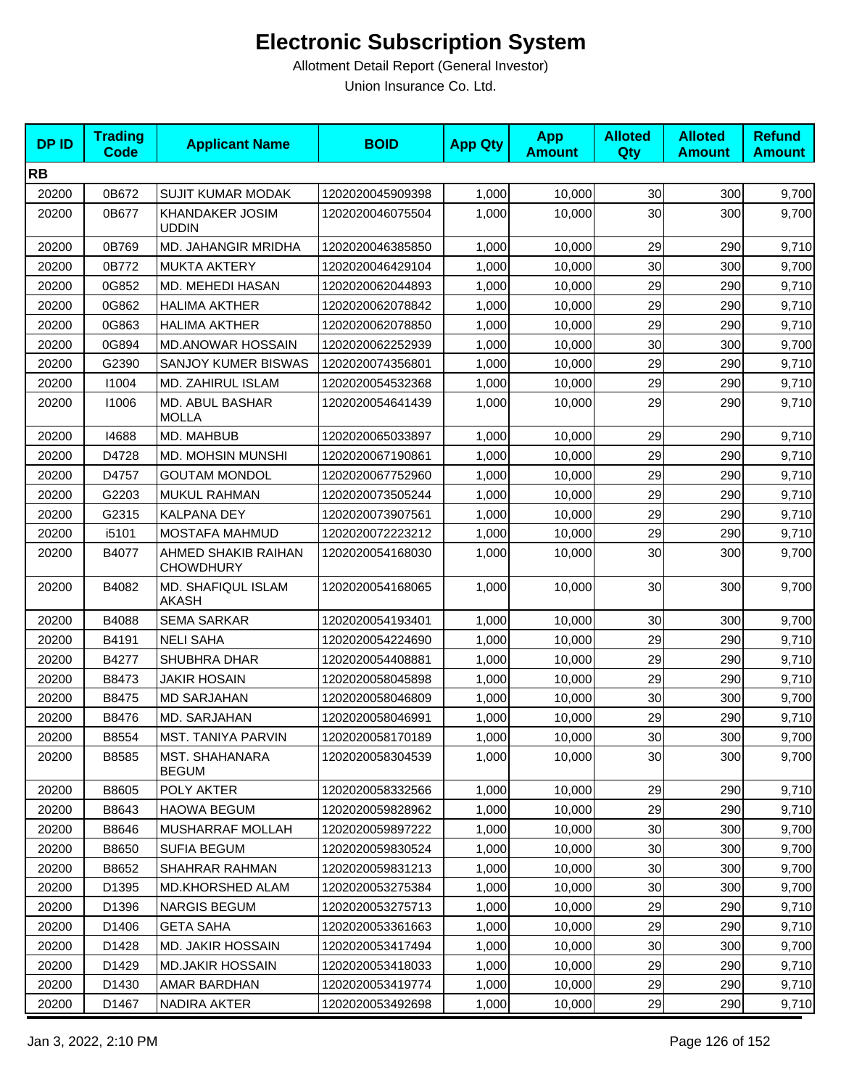| <b>DPID</b> | <b>Trading</b><br><b>Code</b> | <b>Applicant Name</b>                   | <b>BOID</b>      | <b>App Qty</b> | <b>App</b><br><b>Amount</b> | <b>Alloted</b><br>Qty | <b>Alloted</b><br><b>Amount</b> | <b>Refund</b><br><b>Amount</b> |
|-------------|-------------------------------|-----------------------------------------|------------------|----------------|-----------------------------|-----------------------|---------------------------------|--------------------------------|
| <b>RB</b>   |                               |                                         |                  |                |                             |                       |                                 |                                |
| 20200       | 0B672                         | <b>SUJIT KUMAR MODAK</b>                | 1202020045909398 | 1,000          | 10,000                      | 30                    | 300                             | 9,700                          |
| 20200       | 0B677                         | <b>KHANDAKER JOSIM</b><br><b>UDDIN</b>  | 1202020046075504 | 1,000          | 10,000                      | 30                    | 300                             | 9,700                          |
| 20200       | 0B769                         | MD. JAHANGIR MRIDHA                     | 1202020046385850 | 1,000          | 10,000                      | 29                    | 290                             | 9,710                          |
| 20200       | 0B772                         | <b>MUKTA AKTERY</b>                     | 1202020046429104 | 1,000          | 10,000                      | 30                    | 300                             | 9,700                          |
| 20200       | 0G852                         | MD. MEHEDI HASAN                        | 1202020062044893 | 1,000          | 10,000                      | 29                    | 290                             | 9,710                          |
| 20200       | 0G862                         | <b>HALIMA AKTHER</b>                    | 1202020062078842 | 1,000          | 10,000                      | 29                    | 290                             | 9,710                          |
| 20200       | 0G863                         | <b>HALIMA AKTHER</b>                    | 1202020062078850 | 1,000          | 10,000                      | 29                    | 290                             | 9,710                          |
| 20200       | 0G894                         | <b>MD.ANOWAR HOSSAIN</b>                | 1202020062252939 | 1,000          | 10,000                      | 30                    | 300                             | 9,700                          |
| 20200       | G2390                         | SANJOY KUMER BISWAS                     | 1202020074356801 | 1,000          | 10,000                      | 29                    | 290                             | 9,710                          |
| 20200       | 11004                         | MD. ZAHIRUL ISLAM                       | 1202020054532368 | 1,000          | 10,000                      | 29                    | 290                             | 9,710                          |
| 20200       | 11006                         | MD. ABUL BASHAR<br><b>MOLLA</b>         | 1202020054641439 | 1.000          | 10.000                      | 29                    | 290                             | 9,710                          |
| 20200       | 14688                         | MD. MAHBUB                              | 1202020065033897 | 1,000          | 10,000                      | 29                    | 290                             | 9,710                          |
| 20200       | D4728                         | MD. MOHSIN MUNSHI                       | 1202020067190861 | 1,000          | 10,000                      | 29                    | 290                             | 9,710                          |
| 20200       | D4757                         | <b>GOUTAM MONDOL</b>                    | 1202020067752960 | 1,000          | 10,000                      | 29                    | 290                             | 9,710                          |
| 20200       | G2203                         | MUKUL RAHMAN                            | 1202020073505244 | 1,000          | 10,000                      | 29                    | 290                             | 9,710                          |
| 20200       | G2315                         | <b>KALPANA DEY</b>                      | 1202020073907561 | 1,000          | 10,000                      | 29                    | 290                             | 9,710                          |
| 20200       | i5101                         | MOSTAFA MAHMUD                          | 1202020072223212 | 1,000          | 10,000                      | 29                    | 290                             | 9,710                          |
| 20200       | B4077                         | AHMED SHAKIB RAIHAN<br><b>CHOWDHURY</b> | 1202020054168030 | 1,000          | 10,000                      | 30                    | 300                             | 9,700                          |
| 20200       | B4082                         | MD. SHAFIQUL ISLAM<br><b>AKASH</b>      | 1202020054168065 | 1,000          | 10,000                      | 30                    | 300                             | 9,700                          |
| 20200       | B4088                         | <b>SEMA SARKAR</b>                      | 1202020054193401 | 1,000          | 10,000                      | 30                    | 300                             | 9,700                          |
| 20200       | B4191                         | <b>NELI SAHA</b>                        | 1202020054224690 | 1,000          | 10,000                      | 29                    | 290                             | 9,710                          |
| 20200       | B4277                         | <b>SHUBHRA DHAR</b>                     | 1202020054408881 | 1,000          | 10,000                      | 29                    | 290                             | 9,710                          |
| 20200       | B8473                         | JAKIR HOSAIN                            | 1202020058045898 | 1,000          | 10,000                      | 29                    | 290                             | 9,710                          |
| 20200       | B8475                         | <b>MD SARJAHAN</b>                      | 1202020058046809 | 1,000          | 10,000                      | 30                    | 300                             | 9,700                          |
| 20200       | B8476                         | MD. SARJAHAN                            | 1202020058046991 | 1,000          | 10,000                      | 29                    | 290                             | 9,710                          |
| 20200       | B8554                         | MST. TANIYA PARVIN                      | 1202020058170189 | 1,000          | 10,000                      | 30 <sub>o</sub>       | 300                             | 9,700                          |
| 20200       | B8585                         | MST. SHAHANARA<br><b>BEGUM</b>          | 1202020058304539 | 1,000          | 10,000                      | 30                    | 300                             | 9,700                          |
| 20200       | B8605                         | POLY AKTER                              | 1202020058332566 | 1,000          | 10,000                      | 29                    | 290                             | 9,710                          |
| 20200       | B8643                         | <b>HAOWA BEGUM</b>                      | 1202020059828962 | 1,000          | 10,000                      | 29                    | 290                             | 9,710                          |
| 20200       | B8646                         | MUSHARRAF MOLLAH                        | 1202020059897222 | 1,000          | 10,000                      | 30                    | 300                             | 9,700                          |
| 20200       | B8650                         | <b>SUFIA BEGUM</b>                      | 1202020059830524 | 1,000          | 10,000                      | 30                    | 300                             | 9,700                          |
| 20200       | B8652                         | SHAHRAR RAHMAN                          | 1202020059831213 | 1,000          | 10,000                      | 30                    | 300                             | 9,700                          |
| 20200       | D1395                         | MD.KHORSHED ALAM                        | 1202020053275384 | 1,000          | 10,000                      | 30                    | 300                             | 9,700                          |
| 20200       | D1396                         | <b>NARGIS BEGUM</b>                     | 1202020053275713 | 1,000          | 10,000                      | 29                    | 290                             | 9,710                          |
| 20200       | D1406                         | <b>GETA SAHA</b>                        | 1202020053361663 | 1,000          | 10,000                      | 29                    | 290                             | 9,710                          |
| 20200       | D1428                         | <b>MD. JAKIR HOSSAIN</b>                | 1202020053417494 | 1,000          | 10,000                      | 30                    | 300                             | 9,700                          |
| 20200       | D1429                         | <b>MD.JAKIR HOSSAIN</b>                 | 1202020053418033 | 1,000          | 10,000                      | 29                    | 290                             | 9,710                          |
| 20200       | D1430                         | AMAR BARDHAN                            | 1202020053419774 | 1,000          | 10,000                      | 29                    | 290                             | 9,710                          |
| 20200       | D1467                         | NADIRA AKTER                            | 1202020053492698 | 1,000          | 10,000                      | 29                    | 290                             | 9,710                          |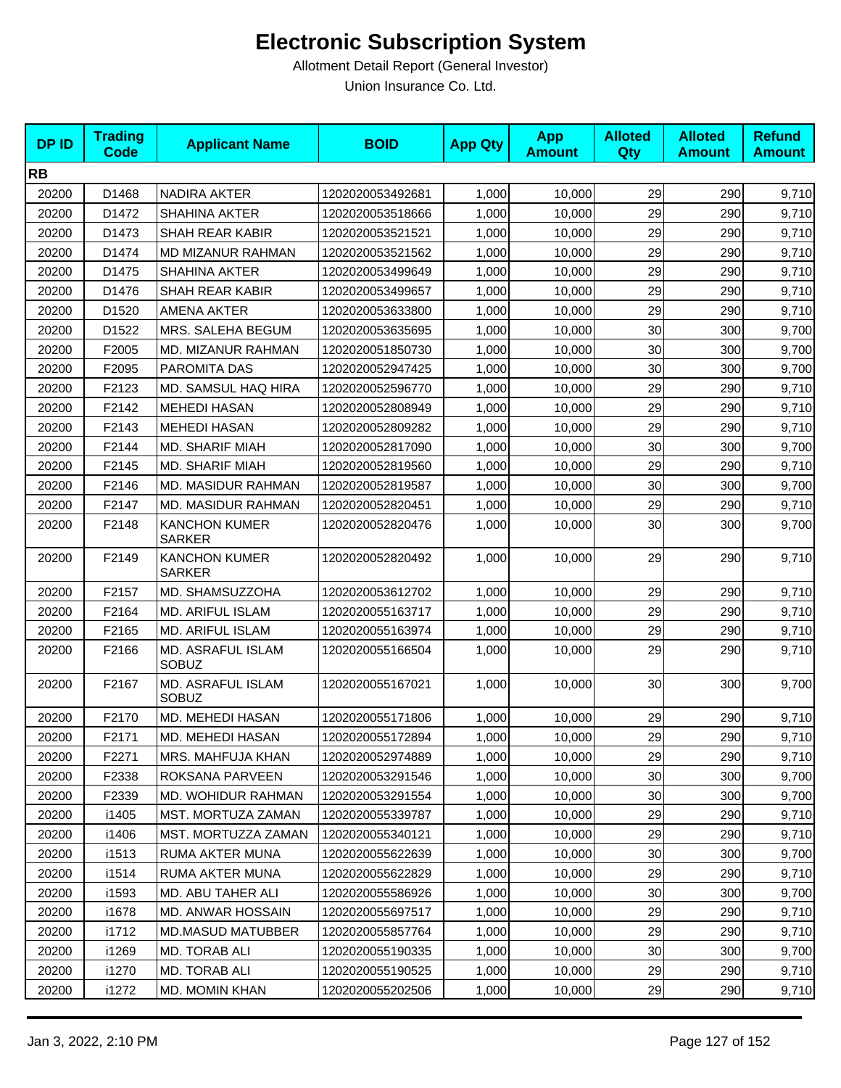| <b>DPID</b> | <b>Trading</b><br><b>Code</b> | <b>Applicant Name</b>                 | <b>BOID</b>      | <b>App Qty</b> | <b>App</b><br><b>Amount</b> | <b>Alloted</b><br>Qty | <b>Alloted</b><br><b>Amount</b> | <b>Refund</b><br><b>Amount</b> |
|-------------|-------------------------------|---------------------------------------|------------------|----------------|-----------------------------|-----------------------|---------------------------------|--------------------------------|
| <b>RB</b>   |                               |                                       |                  |                |                             |                       |                                 |                                |
| 20200       | D1468                         | <b>NADIRA AKTER</b>                   | 1202020053492681 | 1,000          | 10,000                      | 29                    | 290                             | 9,710                          |
| 20200       | D1472                         | <b>SHAHINA AKTER</b>                  | 1202020053518666 | 1,000          | 10,000                      | 29                    | 290                             | 9,710                          |
| 20200       | D1473                         | SHAH REAR KABIR                       | 1202020053521521 | 1,000          | 10,000                      | 29                    | 290                             | 9,710                          |
| 20200       | D1474                         | MD MIZANUR RAHMAN                     | 1202020053521562 | 1,000          | 10,000                      | 29                    | 290                             | 9,710                          |
| 20200       | D1475                         | SHAHINA AKTER                         | 1202020053499649 | 1,000          | 10,000                      | 29                    | 290                             | 9,710                          |
| 20200       | D1476                         | <b>SHAH REAR KABIR</b>                | 1202020053499657 | 1,000          | 10,000                      | 29                    | 290                             | 9,710                          |
| 20200       | D1520                         | <b>AMENA AKTER</b>                    | 1202020053633800 | 1,000          | 10,000                      | 29                    | 290                             | 9,710                          |
| 20200       | D1522                         | MRS. SALEHA BEGUM                     | 1202020053635695 | 1,000          | 10,000                      | 30                    | 300                             | 9,700                          |
| 20200       | F2005                         | MD. MIZANUR RAHMAN                    | 1202020051850730 | 1,000          | 10,000                      | 30                    | 300                             | 9,700                          |
| 20200       | F2095                         | PAROMITA DAS                          | 1202020052947425 | 1,000          | 10,000                      | 30                    | 300                             | 9,700                          |
| 20200       | F2123                         | MD. SAMSUL HAQ HIRA                   | 1202020052596770 | 1,000          | 10,000                      | 29                    | 290                             | 9,710                          |
| 20200       | F2142                         | <b>MEHEDI HASAN</b>                   | 1202020052808949 | 1,000          | 10,000                      | 29                    | 290                             | 9,710                          |
| 20200       | F2143                         | <b>MEHEDI HASAN</b>                   | 1202020052809282 | 1,000          | 10,000                      | 29                    | 290                             | 9,710                          |
| 20200       | F2144                         | <b>MD. SHARIF MIAH</b>                | 1202020052817090 | 1,000          | 10,000                      | 30                    | 300                             | 9,700                          |
| 20200       | F2145                         | <b>MD. SHARIF MIAH</b>                | 1202020052819560 | 1,000          | 10,000                      | 29                    | 290                             | 9,710                          |
| 20200       | F2146                         | MD. MASIDUR RAHMAN                    | 1202020052819587 | 1,000          | 10,000                      | 30                    | 300                             | 9,700                          |
| 20200       | F2147                         | MD. MASIDUR RAHMAN                    | 1202020052820451 | 1,000          | 10,000                      | 29                    | 290                             | 9,710                          |
| 20200       | F2148                         | <b>KANCHON KUMER</b><br><b>SARKER</b> | 1202020052820476 | 1,000          | 10,000                      | 30                    | 300                             | 9,700                          |
| 20200       | F2149                         | <b>KANCHON KUMER</b><br><b>SARKER</b> | 1202020052820492 | 1,000          | 10,000                      | 29                    | 290                             | 9,710                          |
| 20200       | F2157                         | MD. SHAMSUZZOHA                       | 1202020053612702 | 1,000          | 10,000                      | 29                    | 290                             | 9,710                          |
| 20200       | F2164                         | MD. ARIFUL ISLAM                      | 1202020055163717 | 1,000          | 10,000                      | 29                    | 290                             | 9,710                          |
| 20200       | F2165                         | MD. ARIFUL ISLAM                      | 1202020055163974 | 1,000          | 10,000                      | 29                    | 290                             | 9,710                          |
| 20200       | F2166                         | MD. ASRAFUL ISLAM<br><b>SOBUZ</b>     | 1202020055166504 | 1,000          | 10,000                      | 29                    | 290                             | 9,710                          |
| 20200       | F2167                         | MD. ASRAFUL ISLAM<br><b>SOBUZ</b>     | 1202020055167021 | 1,000          | 10,000                      | 30                    | 300                             | 9,700                          |
| 20200       | F2170                         | MD. MEHEDI HASAN                      | 1202020055171806 | 1,000          | 10,000                      | 29                    | 290                             | 9,710                          |
| 20200       | F2171                         | MD. MEHEDI HASAN                      | 1202020055172894 | 1,000          | 10,000                      | 29                    | 290                             | 9,710                          |
| 20200       | F2271                         | MRS. MAHFUJA KHAN                     | 1202020052974889 | 1,000          | 10,000                      | 29                    | 290                             | 9,710                          |
| 20200       | F2338                         | ROKSANA PARVEEN                       | 1202020053291546 | 1,000          | 10,000                      | 30                    | 300                             | 9,700                          |
| 20200       | F2339                         | <b>MD. WOHIDUR RAHMAN</b>             | 1202020053291554 | 1,000          | 10,000                      | 30                    | 300                             | 9,700                          |
| 20200       | i1405                         | <b>MST. MORTUZA ZAMAN</b>             | 1202020055339787 | 1,000          | 10,000                      | 29                    | 290                             | 9,710                          |
| 20200       | i1406                         | <b>MST. MORTUZZA ZAMAN</b>            | 1202020055340121 | 1,000          | 10,000                      | 29                    | 290                             | 9,710                          |
| 20200       | i1513                         | RUMA AKTER MUNA                       | 1202020055622639 | 1,000          | 10,000                      | 30                    | 300                             | 9,700                          |
| 20200       | i1514                         | RUMA AKTER MUNA                       | 1202020055622829 | 1,000          | 10,000                      | 29                    | 290                             | 9,710                          |
| 20200       | i1593                         | MD. ABU TAHER ALI                     | 1202020055586926 | 1,000          | 10,000                      | 30                    | 300                             | 9,700                          |
| 20200       | i1678                         | MD. ANWAR HOSSAIN                     | 1202020055697517 | 1,000          | 10,000                      | 29                    | 290                             | 9,710                          |
| 20200       | i1712                         | <b>MD.MASUD MATUBBER</b>              | 1202020055857764 | 1,000          | 10,000                      | 29                    | 290                             | 9,710                          |
| 20200       | i1269                         | MD. TORAB ALI                         | 1202020055190335 | 1,000          | 10,000                      | 30                    | 300                             | 9,700                          |
| 20200       | i1270                         | MD. TORAB ALI                         | 1202020055190525 | 1,000          | 10,000                      | 29                    | 290                             | 9,710                          |
| 20200       | i1272                         | MD. MOMIN KHAN                        | 1202020055202506 | 1,000          | 10,000                      | 29                    | 290                             | 9,710                          |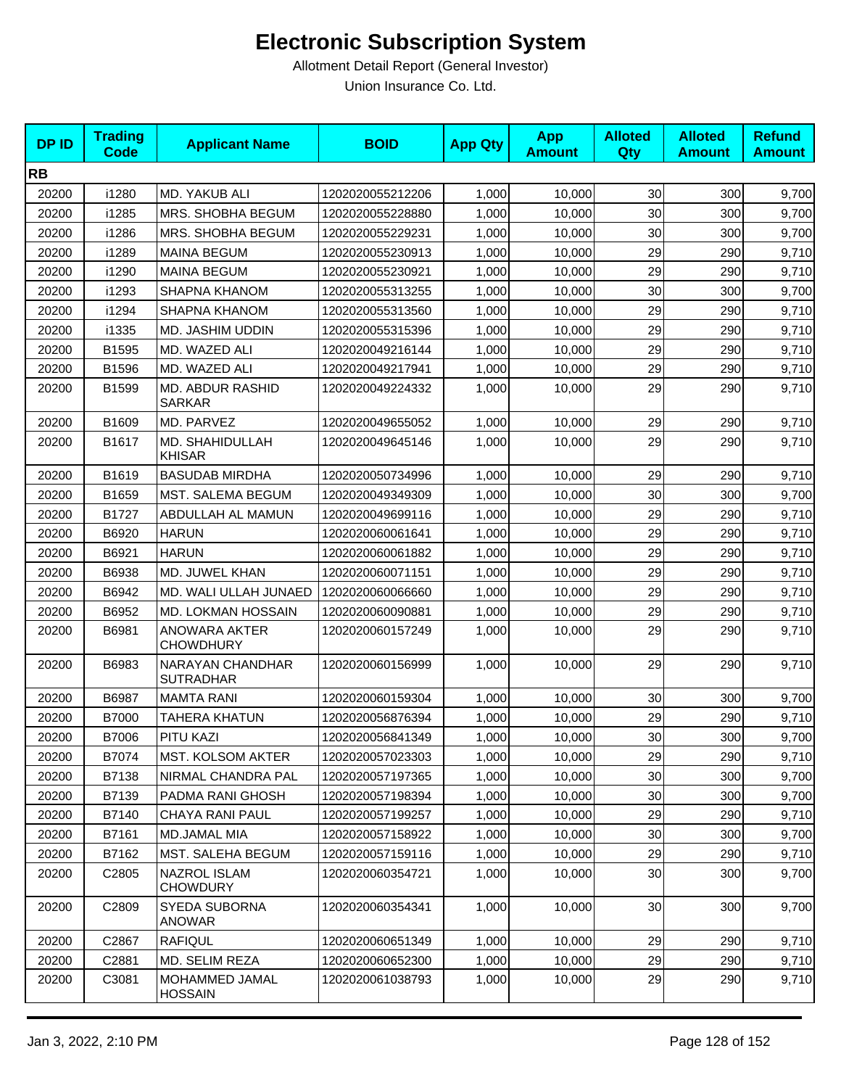| <b>DPID</b> | <b>Trading</b><br><b>Code</b> | <b>Applicant Name</b>                    | <b>BOID</b>      | <b>App Qty</b> | <b>App</b><br><b>Amount</b> | <b>Alloted</b><br><b>Qty</b> | <b>Alloted</b><br><b>Amount</b> | <b>Refund</b><br><b>Amount</b> |
|-------------|-------------------------------|------------------------------------------|------------------|----------------|-----------------------------|------------------------------|---------------------------------|--------------------------------|
| <b>RB</b>   |                               |                                          |                  |                |                             |                              |                                 |                                |
| 20200       | i1280                         | MD. YAKUB ALI                            | 1202020055212206 | 1,000          | 10,000                      | 30                           | 300                             | 9,700                          |
| 20200       | i1285                         | MRS. SHOBHA BEGUM                        | 1202020055228880 | 1,000          | 10,000                      | 30                           | 300                             | 9,700                          |
| 20200       | i1286                         | MRS. SHOBHA BEGUM                        | 1202020055229231 | 1,000          | 10,000                      | 30                           | 300                             | 9,700                          |
| 20200       | i1289                         | <b>MAINA BEGUM</b>                       | 1202020055230913 | 1,000          | 10,000                      | 29                           | 290                             | 9,710                          |
| 20200       | i1290                         | <b>MAINA BEGUM</b>                       | 1202020055230921 | 1,000          | 10,000                      | 29                           | 290                             | 9,710                          |
| 20200       | i1293                         | <b>SHAPNA KHANOM</b>                     | 1202020055313255 | 1,000          | 10.000                      | 30                           | 300                             | 9,700                          |
| 20200       | i1294                         | SHAPNA KHANOM                            | 1202020055313560 | 1,000          | 10,000                      | 29                           | 290                             | 9,710                          |
| 20200       | i1335                         | MD. JASHIM UDDIN                         | 1202020055315396 | 1,000          | 10,000                      | 29                           | 290                             | 9,710                          |
| 20200       | B1595                         | MD. WAZED ALI                            | 1202020049216144 | 1,000          | 10,000                      | 29                           | 290                             | 9,710                          |
| 20200       | B1596                         | MD. WAZED ALI                            | 1202020049217941 | 1,000          | 10,000                      | 29                           | 290                             | 9,710                          |
| 20200       | B1599                         | MD. ABDUR RASHID<br>SARKAR               | 1202020049224332 | 1,000          | 10,000                      | 29                           | 290                             | 9,710                          |
| 20200       | B1609                         | MD. PARVEZ                               | 1202020049655052 | 1,000          | 10,000                      | 29                           | 290                             | 9,710                          |
| 20200       | B1617                         | MD. SHAHIDULLAH<br><b>KHISAR</b>         | 1202020049645146 | 1,000          | 10,000                      | 29                           | 290                             | 9,710                          |
| 20200       | B1619                         | <b>BASUDAB MIRDHA</b>                    | 1202020050734996 | 1,000          | 10,000                      | 29                           | 290                             | 9,710                          |
| 20200       | B1659                         | <b>MST. SALEMA BEGUM</b>                 | 1202020049349309 | 1,000          | 10,000                      | 30                           | 300                             | 9,700                          |
| 20200       | B1727                         | ABDULLAH AL MAMUN                        | 1202020049699116 | 1,000          | 10,000                      | 29                           | 290                             | 9,710                          |
| 20200       | B6920                         | <b>HARUN</b>                             | 1202020060061641 | 1,000          | 10,000                      | 29                           | 290                             | 9,710                          |
| 20200       | B6921                         | <b>HARUN</b>                             | 1202020060061882 | 1,000          | 10,000                      | 29                           | 290                             | 9,710                          |
| 20200       | B6938                         | MD. JUWEL KHAN                           | 1202020060071151 | 1,000          | 10,000                      | 29                           | 290                             | 9,710                          |
| 20200       | B6942                         | MD. WALI ULLAH JUNAED                    | 1202020060066660 | 1,000          | 10,000                      | 29                           | 290                             | 9,710                          |
| 20200       | B6952                         | MD. LOKMAN HOSSAIN                       | 1202020060090881 | 1,000          | 10,000                      | 29                           | 290                             | 9,710                          |
| 20200       | B6981                         | <b>ANOWARA AKTER</b><br><b>CHOWDHURY</b> | 1202020060157249 | 1,000          | 10,000                      | 29                           | 290                             | 9,710                          |
| 20200       | B6983                         | NARAYAN CHANDHAR<br><b>SUTRADHAR</b>     | 1202020060156999 | 1,000          | 10,000                      | 29                           | 290                             | 9,710                          |
| 20200       | B6987                         | <b>MAMTA RANI</b>                        | 1202020060159304 | 1,000          | 10,000                      | 30                           | 300                             | 9,700                          |
| 20200       | B7000                         | <b>TAHERA KHATUN</b>                     | 1202020056876394 | 1,000          | 10,000                      | 29                           | 290                             | 9,710                          |
| 20200       | B7006                         | PITU KAZI                                | 1202020056841349 | 1,000          | 10,000                      | 30 <sup>1</sup>              | 300                             | 9,700                          |
| 20200       | B7074                         | MST. KOLSOM AKTER                        | 1202020057023303 | 1,000          | 10,000                      | 29                           | 290                             | 9,710                          |
| 20200       | B7138                         | NIRMAL CHANDRA PAL                       | 1202020057197365 | 1,000          | 10,000                      | 30                           | 300                             | 9,700                          |
| 20200       | B7139                         | PADMA RANI GHOSH                         | 1202020057198394 | 1,000          | 10,000                      | 30                           | 300                             | 9,700                          |
| 20200       | B7140                         | CHAYA RANI PAUL                          | 1202020057199257 | 1,000          | 10,000                      | 29                           | 290                             | 9,710                          |
| 20200       | B7161                         | MD.JAMAL MIA                             | 1202020057158922 | 1,000          | 10,000                      | 30 <sub>0</sub>              | 300                             | 9,700                          |
| 20200       | B7162                         | MST. SALEHA BEGUM                        | 1202020057159116 | 1,000          | 10,000                      | 29                           | 290                             | 9,710                          |
| 20200       | C <sub>2805</sub>             | <b>NAZROL ISLAM</b><br><b>CHOWDURY</b>   | 1202020060354721 | 1,000          | 10,000                      | 30 <sub>0</sub>              | 300                             | 9,700                          |
| 20200       | C2809                         | SYEDA SUBORNA<br><b>ANOWAR</b>           | 1202020060354341 | 1,000          | 10,000                      | 30 <sub>1</sub>              | 300                             | 9,700                          |
| 20200       | C2867                         | <b>RAFIQUL</b>                           | 1202020060651349 | 1,000          | 10,000                      | 29                           | 290                             | 9,710                          |
| 20200       | C2881                         | MD. SELIM REZA                           | 1202020060652300 | 1,000          | 10,000                      | 29                           | 290                             | 9,710                          |
| 20200       | C3081                         | MOHAMMED JAMAL<br><b>HOSSAIN</b>         | 1202020061038793 | 1,000          | 10,000                      | 29                           | 290                             | 9,710                          |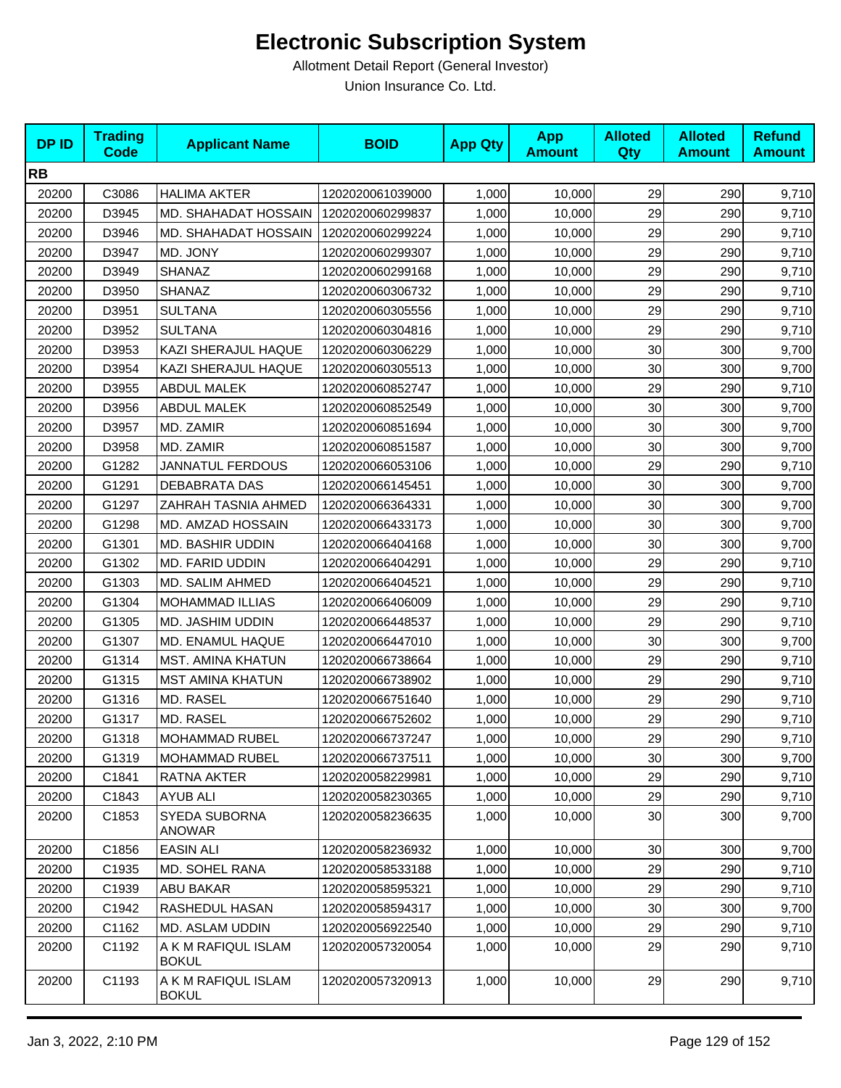| <b>DPID</b> | <b>Trading</b><br><b>Code</b> | <b>Applicant Name</b>               | <b>BOID</b>      | <b>App Qty</b> | <b>App</b><br><b>Amount</b> | <b>Alloted</b><br>Qty | <b>Alloted</b><br><b>Amount</b> | <b>Refund</b><br><b>Amount</b> |
|-------------|-------------------------------|-------------------------------------|------------------|----------------|-----------------------------|-----------------------|---------------------------------|--------------------------------|
| <b>RB</b>   |                               |                                     |                  |                |                             |                       |                                 |                                |
| 20200       | C3086                         | <b>HALIMA AKTER</b>                 | 1202020061039000 | 1,000          | 10,000                      | 29                    | 290                             | 9,710                          |
| 20200       | D3945                         | MD. SHAHADAT HOSSAIN                | 1202020060299837 | 1,000          | 10,000                      | 29                    | 290                             | 9,710                          |
| 20200       | D3946                         | MD. SHAHADAT HOSSAIN                | 1202020060299224 | 1,000          | 10,000                      | 29                    | 290                             | 9,710                          |
| 20200       | D3947                         | MD. JONY                            | 1202020060299307 | 1,000          | 10,000                      | 29                    | 290                             | 9,710                          |
| 20200       | D3949                         | SHANAZ                              | 1202020060299168 | 1,000          | 10,000                      | 29                    | 290                             | 9,710                          |
| 20200       | D3950                         | <b>SHANAZ</b>                       | 1202020060306732 | 1,000          | 10,000                      | 29                    | 290                             | 9,710                          |
| 20200       | D3951                         | <b>SULTANA</b>                      | 1202020060305556 | 1,000          | 10,000                      | 29                    | 290                             | 9,710                          |
| 20200       | D3952                         | <b>SULTANA</b>                      | 1202020060304816 | 1,000          | 10,000                      | 29                    | 290                             | 9,710                          |
| 20200       | D3953                         | KAZI SHERAJUL HAQUE                 | 1202020060306229 | 1,000          | 10,000                      | 30                    | 300                             | 9,700                          |
| 20200       | D3954                         | KAZI SHERAJUL HAQUE                 | 1202020060305513 | 1,000          | 10,000                      | 30                    | 300                             | 9,700                          |
| 20200       | D3955                         | <b>ABDUL MALEK</b>                  | 1202020060852747 | 1,000          | 10,000                      | 29                    | 290                             | 9,710                          |
| 20200       | D3956                         | <b>ABDUL MALEK</b>                  | 1202020060852549 | 1,000          | 10,000                      | 30                    | 300                             | 9,700                          |
| 20200       | D3957                         | MD. ZAMIR                           | 1202020060851694 | 1,000          | 10,000                      | 30                    | 300                             | 9,700                          |
| 20200       | D3958                         | MD. ZAMIR                           | 1202020060851587 | 1,000          | 10,000                      | 30                    | 300                             | 9,700                          |
| 20200       | G1282                         | <b>JANNATUL FERDOUS</b>             | 1202020066053106 | 1,000          | 10,000                      | 29                    | 290                             | 9,710                          |
| 20200       | G1291                         | DEBABRATA DAS                       | 1202020066145451 | 1,000          | 10,000                      | 30                    | 300                             | 9,700                          |
| 20200       | G1297                         | ZAHRAH TASNIA AHMED                 | 1202020066364331 | 1,000          | 10,000                      | 30                    | 300                             | 9,700                          |
| 20200       | G1298                         | MD. AMZAD HOSSAIN                   | 1202020066433173 | 1,000          | 10,000                      | 30                    | 300                             | 9,700                          |
| 20200       | G1301                         | MD. BASHIR UDDIN                    | 1202020066404168 | 1,000          | 10,000                      | 30                    | 300                             | 9,700                          |
| 20200       | G1302                         | MD. FARID UDDIN                     | 1202020066404291 | 1,000          | 10,000                      | 29                    | 290                             | 9,710                          |
| 20200       | G1303                         | MD. SALIM AHMED                     | 1202020066404521 | 1,000          | 10,000                      | 29                    | 290                             | 9,710                          |
| 20200       | G1304                         | <b>MOHAMMAD ILLIAS</b>              | 1202020066406009 | 1,000          | 10,000                      | 29                    | 290                             | 9,710                          |
| 20200       | G1305                         | MD. JASHIM UDDIN                    | 1202020066448537 | 1,000          | 10,000                      | 29                    | 290                             | 9,710                          |
| 20200       | G1307                         | MD. ENAMUL HAQUE                    | 1202020066447010 | 1,000          | 10,000                      | 30                    | 300                             | 9,700                          |
| 20200       | G1314                         | <b>MST. AMINA KHATUN</b>            | 1202020066738664 | 1,000          | 10,000                      | 29                    | 290                             | 9,710                          |
| 20200       | G1315                         | <b>MST AMINA KHATUN</b>             | 1202020066738902 | 1,000          | 10,000                      | 29                    | 290                             | 9,710                          |
| 20200       | G1316                         | MD. RASEL                           | 1202020066751640 | 1,000          | 10,000                      | 29                    | 290                             | 9,710                          |
| 20200       | G1317                         | MD. RASEL                           | 1202020066752602 | 1,000          | 10,000                      | 29                    | 290                             | 9,710                          |
| 20200       | G1318                         | <b>MOHAMMAD RUBEL</b>               | 1202020066737247 | 1,000          | 10,000                      | 29 <sub>l</sub>       | 290                             | 9,710                          |
| 20200       | G1319                         | MOHAMMAD RUBEL                      | 1202020066737511 | 1,000          | 10,000                      | 30 <sub>0</sub>       | 300                             | 9,700                          |
| 20200       | C1841                         | RATNA AKTER                         | 1202020058229981 | 1,000          | 10,000                      | 29                    | 290                             | 9,710                          |
| 20200       | C1843                         | <b>AYUB ALI</b>                     | 1202020058230365 | 1,000          | 10,000                      | 29                    | 290                             | 9,710                          |
| 20200       | C1853                         | SYEDA SUBORNA<br><b>ANOWAR</b>      | 1202020058236635 | 1,000          | 10,000                      | 30                    | 300                             | 9,700                          |
| 20200       | C1856                         | <b>EASIN ALI</b>                    | 1202020058236932 | 1,000          | 10,000                      | 30 <sub>0</sub>       | 300                             | 9,700                          |
| 20200       | C1935                         | MD. SOHEL RANA                      | 1202020058533188 | 1,000          | 10,000                      | 29                    | 290                             | 9,710                          |
| 20200       | C1939                         | ABU BAKAR                           | 1202020058595321 | 1,000          | 10,000                      | 29                    | 290                             | 9,710                          |
| 20200       | C1942                         | RASHEDUL HASAN                      | 1202020058594317 | 1,000          | 10,000                      | 30                    | 300                             | 9,700                          |
| 20200       | C1162                         | MD. ASLAM UDDIN                     | 1202020056922540 | 1,000          | 10,000                      | 29                    | 290                             | 9,710                          |
| 20200       | C1192                         | A K M RAFIQUL ISLAM<br><b>BOKUL</b> | 1202020057320054 | 1,000          | 10,000                      | 29                    | 290                             | 9,710                          |
| 20200       | C1193                         | A K M RAFIQUL ISLAM<br><b>BOKUL</b> | 1202020057320913 | 1,000          | 10,000                      | 29                    | 290                             | 9,710                          |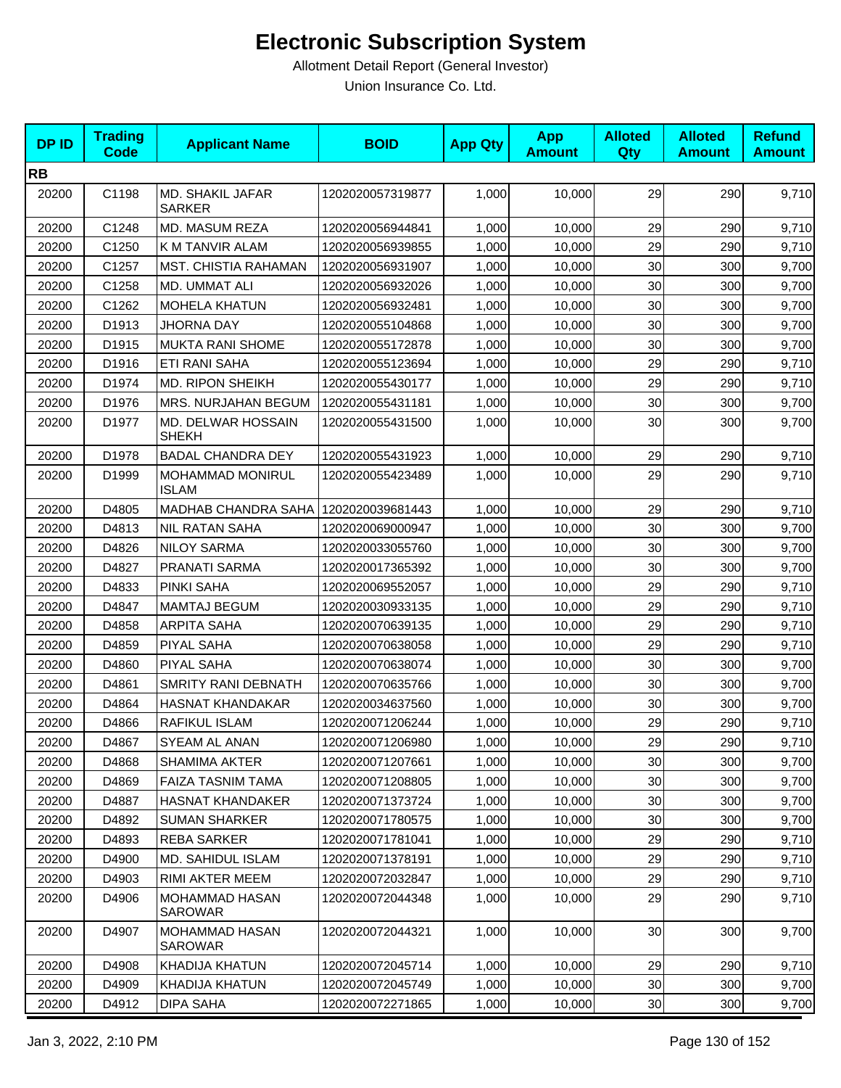| <b>DPID</b> | <b>Trading</b><br><b>Code</b> | <b>Applicant Name</b>                   | <b>BOID</b>      | <b>App Qty</b> | <b>App</b><br><b>Amount</b> | <b>Alloted</b><br>Qty | <b>Alloted</b><br><b>Amount</b> | <b>Refund</b><br><b>Amount</b> |
|-------------|-------------------------------|-----------------------------------------|------------------|----------------|-----------------------------|-----------------------|---------------------------------|--------------------------------|
| <b>RB</b>   |                               |                                         |                  |                |                             |                       |                                 |                                |
| 20200       | C1198                         | MD. SHAKIL JAFAR<br><b>SARKER</b>       | 1202020057319877 | 1,000          | 10,000                      | 29                    | 290                             | 9,710                          |
| 20200       | C1248                         | MD. MASUM REZA                          | 1202020056944841 | 1,000          | 10,000                      | 29                    | 290                             | 9,710                          |
| 20200       | C1250                         | K M TANVIR ALAM                         | 1202020056939855 | 1,000          | 10,000                      | 29                    | 290                             | 9,710                          |
| 20200       | C1257                         | MST. CHISTIA RAHAMAN                    | 1202020056931907 | 1,000          | 10,000                      | 30                    | 300                             | 9,700                          |
| 20200       | C1258                         | MD. UMMAT ALI                           | 1202020056932026 | 1,000          | 10,000                      | 30                    | 300                             | 9,700                          |
| 20200       | C1262                         | <b>MOHELA KHATUN</b>                    | 1202020056932481 | 1,000          | 10,000                      | 30                    | 300                             | 9,700                          |
| 20200       | D <sub>1913</sub>             | JHORNA DAY                              | 1202020055104868 | 1,000          | 10,000                      | 30                    | 300                             | 9,700                          |
| 20200       | D1915                         | <b>MUKTA RANI SHOME</b>                 | 1202020055172878 | 1,000          | 10,000                      | 30                    | 300                             | 9,700                          |
| 20200       | D1916                         | ETI RANI SAHA                           | 1202020055123694 | 1,000          | 10,000                      | 29                    | 290                             | 9,710                          |
| 20200       | D1974                         | <b>MD. RIPON SHEIKH</b>                 | 1202020055430177 | 1,000          | 10,000                      | 29                    | 290                             | 9,710                          |
| 20200       | D1976                         | MRS. NURJAHAN BEGUM                     | 1202020055431181 | 1,000          | 10,000                      | 30                    | 300                             | 9,700                          |
| 20200       | D1977                         | MD. DELWAR HOSSAIN<br><b>SHEKH</b>      | 1202020055431500 | 1,000          | 10,000                      | 30                    | 300                             | 9,700                          |
| 20200       | D1978                         | <b>BADAL CHANDRA DEY</b>                | 1202020055431923 | 1,000          | 10,000                      | 29                    | 290                             | 9,710                          |
| 20200       | D1999                         | <b>MOHAMMAD MONIRUL</b><br><b>ISLAM</b> | 1202020055423489 | 1,000          | 10,000                      | 29                    | 290                             | 9,710                          |
| 20200       | D4805                         | <b>MADHAB CHANDRA SAHA</b>              | 1202020039681443 | 1,000          | 10,000                      | 29                    | 290                             | 9,710                          |
| 20200       | D4813                         | <b>NIL RATAN SAHA</b>                   | 1202020069000947 | 1,000          | 10,000                      | 30                    | 300                             | 9,700                          |
| 20200       | D4826                         | <b>NILOY SARMA</b>                      | 1202020033055760 | 1,000          | 10,000                      | 30                    | 300                             | 9,700                          |
| 20200       | D4827                         | PRANATI SARMA                           | 1202020017365392 | 1,000          | 10,000                      | 30                    | 300                             | 9,700                          |
| 20200       | D4833                         | PINKI SAHA                              | 1202020069552057 | 1,000          | 10,000                      | 29                    | 290                             | 9,710                          |
| 20200       | D4847                         | <b>MAMTAJ BEGUM</b>                     | 1202020030933135 | 1,000          | 10,000                      | 29                    | 290                             | 9,710                          |
| 20200       | D4858                         | <b>ARPITA SAHA</b>                      | 1202020070639135 | 1,000          | 10,000                      | 29                    | 290                             | 9,710                          |
| 20200       | D4859                         | PIYAL SAHA                              | 1202020070638058 | 1,000          | 10,000                      | 29                    | 290                             | 9,710                          |
| 20200       | D4860                         | PIYAL SAHA                              | 1202020070638074 | 1,000          | 10,000                      | 30                    | 300                             | 9,700                          |
| 20200       | D4861                         | <b>SMRITY RANI DEBNATH</b>              | 1202020070635766 | 1,000          | 10,000                      | 30                    | 300                             | 9,700                          |
| 20200       | D4864                         | <b>HASNAT KHANDAKAR</b>                 | 1202020034637560 | 1,000          | 10,000                      | 30                    | 300                             | 9,700                          |
| 20200       | D4866                         | RAFIKUL ISLAM                           | 1202020071206244 | 1,000          | 10,000                      | 29                    | 290                             | 9,710                          |
| 20200       | D4867                         | SYEAM AL ANAN                           | 1202020071206980 | 1,000          | 10,000                      | 29                    | 290                             | 9,710                          |
| 20200       | D4868                         | SHAMIMA AKTER                           | 1202020071207661 | 1,000          | 10,000                      | 30                    | 300                             | 9,700                          |
| 20200       | D4869                         | FAIZA TASNIM TAMA                       | 1202020071208805 | 1,000          | 10,000                      | 30                    | 300                             | 9,700                          |
| 20200       | D4887                         | <b>HASNAT KHANDAKER</b>                 | 1202020071373724 | 1,000          | 10,000                      | 30 <sub>0</sub>       | 300                             | 9,700                          |
| 20200       | D4892                         | <b>SUMAN SHARKER</b>                    | 1202020071780575 | 1,000          | 10,000                      | 30                    | 300                             | 9,700                          |
| 20200       | D4893                         | REBA SARKER                             | 1202020071781041 | 1,000          | 10,000                      | 29                    | 290                             | 9,710                          |
| 20200       | D4900                         | MD. SAHIDUL ISLAM                       | 1202020071378191 | 1,000          | 10,000                      | 29                    | 290                             | 9,710                          |
| 20200       | D4903                         | RIMI AKTER MEEM                         | 1202020072032847 | 1,000          | 10,000                      | 29                    | 290                             | 9,710                          |
| 20200       | D4906                         | MOHAMMAD HASAN<br><b>SAROWAR</b>        | 1202020072044348 | 1,000          | 10,000                      | 29                    | 290                             | 9,710                          |
| 20200       | D4907                         | MOHAMMAD HASAN<br><b>SAROWAR</b>        | 1202020072044321 | 1,000          | 10,000                      | 30                    | 300                             | 9,700                          |
| 20200       | D4908                         | KHADIJA KHATUN                          | 1202020072045714 | 1,000          | 10,000                      | 29                    | 290                             | 9,710                          |
| 20200       | D4909                         | KHADIJA KHATUN                          | 1202020072045749 | 1,000          | 10,000                      | 30                    | 300                             | 9,700                          |
| 20200       | D4912                         | <b>DIPA SAHA</b>                        | 1202020072271865 | 1,000          | 10,000                      | 30 <sub>o</sub>       | 300                             | 9,700                          |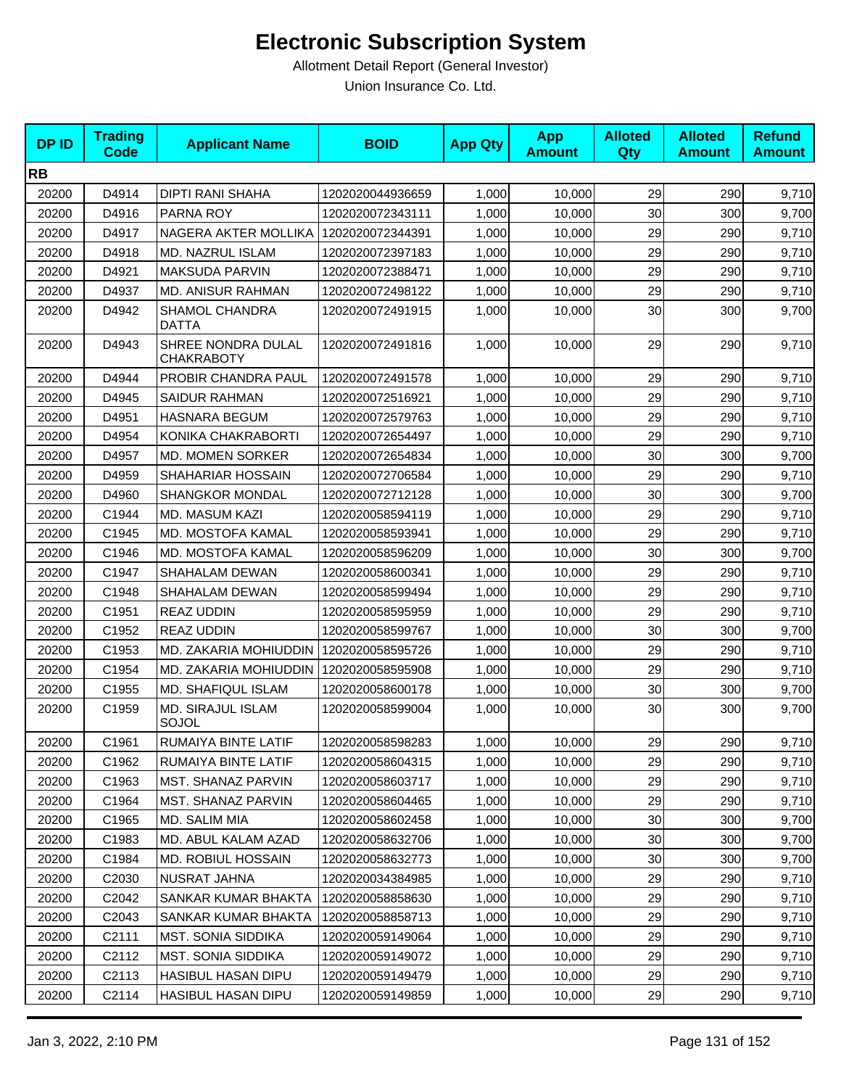| <b>DPID</b> | <b>Trading</b><br><b>Code</b> | <b>Applicant Name</b>                   | <b>BOID</b>      | <b>App Qty</b> | <b>App</b><br><b>Amount</b> | <b>Alloted</b><br><b>Qty</b> | <b>Alloted</b><br><b>Amount</b> | <b>Refund</b><br><b>Amount</b> |
|-------------|-------------------------------|-----------------------------------------|------------------|----------------|-----------------------------|------------------------------|---------------------------------|--------------------------------|
| <b>RB</b>   |                               |                                         |                  |                |                             |                              |                                 |                                |
| 20200       | D4914                         | DIPTI RANI SHAHA                        | 1202020044936659 | 1,000          | 10,000                      | 29                           | 290                             | 9,710                          |
| 20200       | D4916                         | PARNA ROY                               | 1202020072343111 | 1,000          | 10,000                      | 30                           | 300                             | 9,700                          |
| 20200       | D4917                         | NAGERA AKTER MOLLIKA                    | 1202020072344391 | 1,000          | 10,000                      | 29                           | 290                             | 9,710                          |
| 20200       | D4918                         | MD. NAZRUL ISLAM                        | 1202020072397183 | 1,000          | 10,000                      | 29                           | 290                             | 9,710                          |
| 20200       | D4921                         | MAKSUDA PARVIN                          | 1202020072388471 | 1,000          | 10,000                      | 29                           | 290                             | 9,710                          |
| 20200       | D4937                         | MD. ANISUR RAHMAN                       | 1202020072498122 | 1,000          | 10,000                      | 29                           | 290                             | 9,710                          |
| 20200       | D4942                         | SHAMOL CHANDRA<br><b>DATTA</b>          | 1202020072491915 | 1,000          | 10,000                      | 30                           | 300                             | 9,700                          |
| 20200       | D4943                         | SHREE NONDRA DULAL<br><b>CHAKRABOTY</b> | 1202020072491816 | 1,000          | 10,000                      | 29                           | 290                             | 9,710                          |
| 20200       | D4944                         | PROBIR CHANDRA PAUL                     | 1202020072491578 | 1,000          | 10,000                      | 29                           | 290                             | 9,710                          |
| 20200       | D4945                         | <b>SAIDUR RAHMAN</b>                    | 1202020072516921 | 1,000          | 10,000                      | 29                           | 290                             | 9,710                          |
| 20200       | D4951                         | <b>HASNARA BEGUM</b>                    | 1202020072579763 | 1,000          | 10,000                      | 29                           | 290                             | 9,710                          |
| 20200       | D4954                         | KONIKA CHAKRABORTI                      | 1202020072654497 | 1,000          | 10,000                      | 29                           | 290                             | 9,710                          |
| 20200       | D4957                         | <b>MD. MOMEN SORKER</b>                 | 1202020072654834 | 1,000          | 10,000                      | 30                           | 300                             | 9,700                          |
| 20200       | D4959                         | SHAHARIAR HOSSAIN                       | 1202020072706584 | 1,000          | 10,000                      | 29                           | 290                             | 9,710                          |
| 20200       | D4960                         | <b>SHANGKOR MONDAL</b>                  | 1202020072712128 | 1,000          | 10,000                      | 30                           | 300                             | 9,700                          |
| 20200       | C1944                         | <b>MD. MASUM KAZI</b>                   | 1202020058594119 | 1,000          | 10,000                      | 29                           | 290                             | 9,710                          |
| 20200       | C1945                         | MD. MOSTOFA KAMAL                       | 1202020058593941 | 1,000          | 10,000                      | 29                           | 290                             | 9,710                          |
| 20200       | C1946                         | MD. MOSTOFA KAMAL                       | 1202020058596209 | 1,000          | 10,000                      | 30                           | 300                             | 9,700                          |
| 20200       | C1947                         | SHAHALAM DEWAN                          | 1202020058600341 | 1,000          | 10,000                      | 29                           | 290                             | 9,710                          |
| 20200       | C1948                         | SHAHALAM DEWAN                          | 1202020058599494 | 1,000          | 10,000                      | 29                           | 290                             | 9,710                          |
| 20200       | C1951                         | <b>REAZ UDDIN</b>                       | 1202020058595959 | 1,000          | 10,000                      | 29                           | 290                             | 9,710                          |
| 20200       | C1952                         | <b>REAZ UDDIN</b>                       | 1202020058599767 | 1,000          | 10,000                      | 30                           | 300                             | 9,700                          |
| 20200       | C1953                         | MD. ZAKARIA MOHIUDDIN                   | 1202020058595726 | 1,000          | 10,000                      | 29                           | 290                             | 9,710                          |
| 20200       | C1954                         | MD. ZAKARIA MOHIUDDIN                   | 1202020058595908 | 1,000          | 10,000                      | 29                           | 290                             | 9,710                          |
| 20200       | C1955                         | MD. SHAFIQUL ISLAM                      | 1202020058600178 | 1,000          | 10,000                      | 30                           | 300                             | 9,700                          |
| 20200       | C1959                         | MD. SIRAJUL ISLAM<br>SOJOL              | 1202020058599004 | 1,000          | 10,000                      | 30                           | 300                             | 9,700                          |
| 20200       | C1961                         | RUMAIYA BINTE LATIF                     | 1202020058598283 | 1,000          | 10,000                      | 29                           | 290                             | 9,710                          |
| 20200       | C1962                         | RUMAIYA BINTE LATIF                     | 1202020058604315 | 1,000          | 10,000                      | 29                           | 290                             | 9,710                          |
| 20200       | C1963                         | <b>MST. SHANAZ PARVIN</b>               | 1202020058603717 | 1,000          | 10,000                      | 29                           | 290                             | 9,710                          |
| 20200       | C1964                         | <b>MST. SHANAZ PARVIN</b>               | 1202020058604465 | 1,000          | 10,000                      | 29                           | 290                             | 9,710                          |
| 20200       | C1965                         | MD. SALIM MIA                           | 1202020058602458 | 1,000          | 10,000                      | 30                           | 300                             | 9,700                          |
| 20200       | C1983                         | MD. ABUL KALAM AZAD                     | 1202020058632706 | 1,000          | 10,000                      | 30                           | 300                             | 9,700                          |
| 20200       | C1984                         | MD. ROBIUL HOSSAIN                      | 1202020058632773 | 1,000          | 10,000                      | 30                           | 300                             | 9,700                          |
| 20200       | C2030                         | NUSRAT JAHNA                            | 1202020034384985 | 1,000          | 10,000                      | 29                           | 290                             | 9,710                          |
| 20200       | C2042                         | SANKAR KUMAR BHAKTA                     | 1202020058858630 | 1,000          | 10,000                      | 29                           | 290                             | 9,710                          |
| 20200       | C <sub>2043</sub>             | SANKAR KUMAR BHAKTA                     | 1202020058858713 | 1,000          | 10,000                      | 29                           | 290                             | 9,710                          |
| 20200       | C2111                         | MST. SONIA SIDDIKA                      | 1202020059149064 | 1,000          | 10,000                      | 29                           | 290                             | 9,710                          |
| 20200       | C2112                         | MST. SONIA SIDDIKA                      | 1202020059149072 | 1,000          | 10,000                      | 29                           | 290                             | 9,710                          |
| 20200       | C <sub>2113</sub>             | HASIBUL HASAN DIPU                      | 1202020059149479 | 1,000          | 10,000                      | 29                           | 290                             | 9,710                          |
| 20200       | C2114                         | HASIBUL HASAN DIPU                      | 1202020059149859 | 1,000          | 10,000                      | 29                           | 290                             | 9,710                          |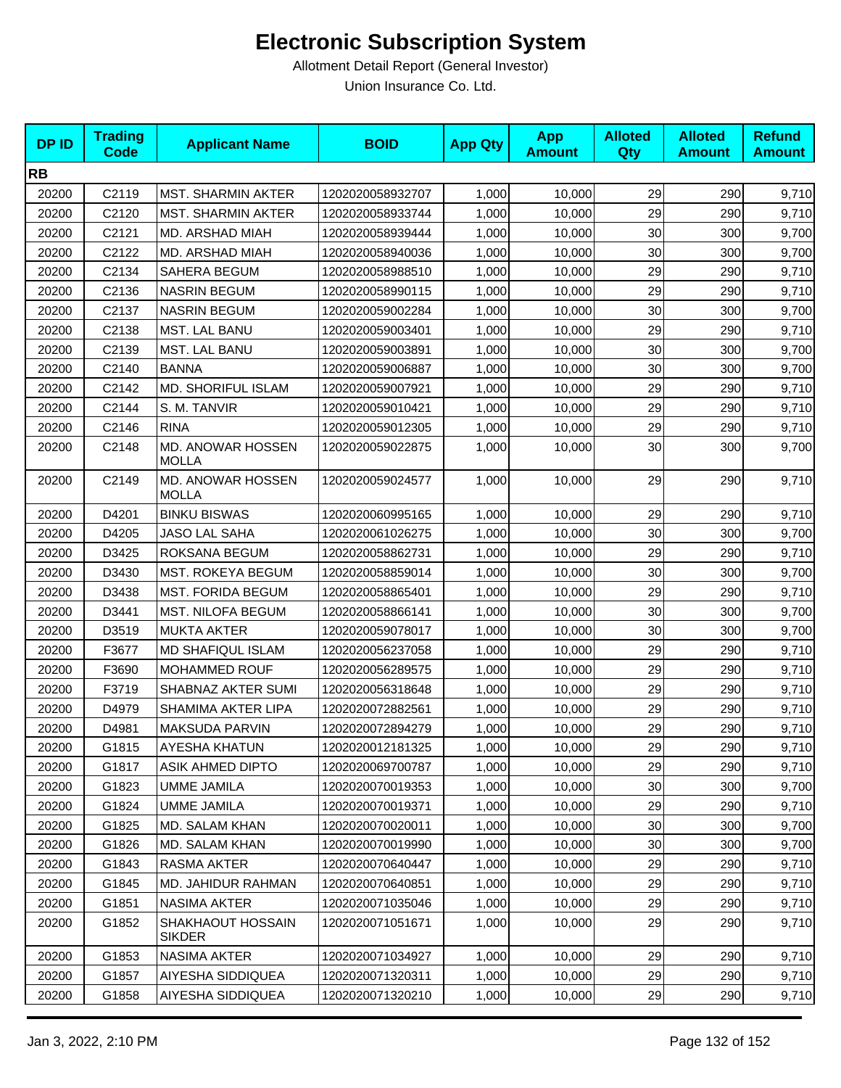| <b>DPID</b> | <b>Trading</b><br><b>Code</b> | <b>Applicant Name</b>              | <b>BOID</b>      | <b>App Qty</b> | <b>App</b><br><b>Amount</b> | <b>Alloted</b><br>Qty | <b>Alloted</b><br><b>Amount</b> | <b>Refund</b><br><b>Amount</b> |
|-------------|-------------------------------|------------------------------------|------------------|----------------|-----------------------------|-----------------------|---------------------------------|--------------------------------|
| <b>RB</b>   |                               |                                    |                  |                |                             |                       |                                 |                                |
| 20200       | C2119                         | <b>MST. SHARMIN AKTER</b>          | 1202020058932707 | 1,000          | 10,000                      | 29                    | 290                             | 9,710                          |
| 20200       | C2120                         | <b>MST. SHARMIN AKTER</b>          | 1202020058933744 | 1,000          | 10,000                      | 29                    | 290                             | 9,710                          |
| 20200       | C2121                         | MD. ARSHAD MIAH                    | 1202020058939444 | 1,000          | 10,000                      | 30                    | 300                             | 9,700                          |
| 20200       | C2122                         | MD. ARSHAD MIAH                    | 1202020058940036 | 1,000          | 10,000                      | 30                    | 300                             | 9,700                          |
| 20200       | C2134                         | SAHERA BEGUM                       | 1202020058988510 | 1,000          | 10,000                      | 29                    | 290                             | 9,710                          |
| 20200       | C2136                         | <b>NASRIN BEGUM</b>                | 1202020058990115 | 1,000          | 10,000                      | 29                    | 290                             | 9,710                          |
| 20200       | C2137                         | <b>NASRIN BEGUM</b>                | 1202020059002284 | 1,000          | 10,000                      | 30                    | 300                             | 9,700                          |
| 20200       | C2138                         | MST. LAL BANU                      | 1202020059003401 | 1,000          | 10,000                      | 29                    | 290                             | 9,710                          |
| 20200       | C2139                         | MST. LAL BANU                      | 1202020059003891 | 1,000          | 10,000                      | 30                    | 300                             | 9,700                          |
| 20200       | C2140                         | <b>BANNA</b>                       | 1202020059006887 | 1,000          | 10,000                      | 30                    | 300                             | 9,700                          |
| 20200       | C2142                         | <b>MD. SHORIFUL ISLAM</b>          | 1202020059007921 | 1,000          | 10,000                      | 29                    | 290                             | 9,710                          |
| 20200       | C2144                         | S. M. TANVIR                       | 1202020059010421 | 1,000          | 10,000                      | 29                    | 290                             | 9,710                          |
| 20200       | C2146                         | <b>RINA</b>                        | 1202020059012305 | 1,000          | 10,000                      | 29                    | 290                             | 9,710                          |
| 20200       | C2148                         | MD. ANOWAR HOSSEN<br><b>MOLLA</b>  | 1202020059022875 | 1,000          | 10,000                      | $30\,$                | 300                             | 9,700                          |
| 20200       | C2149                         | MD. ANOWAR HOSSEN<br><b>MOLLA</b>  | 1202020059024577 | 1,000          | 10,000                      | 29                    | 290                             | 9,710                          |
| 20200       | D4201                         | <b>BINKU BISWAS</b>                | 1202020060995165 | 1,000          | 10,000                      | 29                    | 290                             | 9,710                          |
| 20200       | D4205                         | <b>JASO LAL SAHA</b>               | 1202020061026275 | 1,000          | 10,000                      | 30                    | 300                             | 9,700                          |
| 20200       | D3425                         | ROKSANA BEGUM                      | 1202020058862731 | 1,000          | 10,000                      | 29                    | 290                             | 9,710                          |
| 20200       | D3430                         | <b>MST. ROKEYA BEGUM</b>           | 1202020058859014 | 1,000          | 10,000                      | 30                    | 300                             | 9,700                          |
| 20200       | D3438                         | MST. FORIDA BEGUM                  | 1202020058865401 | 1,000          | 10,000                      | 29                    | 290                             | 9,710                          |
| 20200       | D3441                         | MST. NILOFA BEGUM                  | 1202020058866141 | 1,000          | 10,000                      | 30                    | 300                             | 9,700                          |
| 20200       | D3519                         | <b>MUKTA AKTER</b>                 | 1202020059078017 | 1,000          | 10,000                      | 30                    | 300                             | 9,700                          |
| 20200       | F3677                         | MD SHAFIQUL ISLAM                  | 1202020056237058 | 1,000          | 10,000                      | 29                    | 290                             | 9,710                          |
| 20200       | F3690                         | MOHAMMED ROUF                      | 1202020056289575 | 1,000          | 10,000                      | 29                    | 290                             | 9,710                          |
| 20200       | F3719                         | SHABNAZ AKTER SUMI                 | 1202020056318648 | 1,000          | 10,000                      | 29                    | 290                             | 9,710                          |
| 20200       | D4979                         | <b>SHAMIMA AKTER LIPA</b>          | 1202020072882561 | 1,000          | 10,000                      | 29                    | 290                             | 9,710                          |
| 20200       | D4981                         | MAKSUDA PARVIN                     | 1202020072894279 | 1,000          | 10,000                      | 29                    | 290                             | 9,710                          |
| 20200       | G1815                         | AYESHA KHATUN                      | 1202020012181325 | 1,000          | 10,000                      | 29                    | 290                             | 9,710                          |
| 20200       | G1817                         | <b>ASIK AHMED DIPTO</b>            | 1202020069700787 | 1,000          | 10,000                      | 29                    | 290                             | 9,710                          |
| 20200       | G1823                         | <b>UMME JAMILA</b>                 | 1202020070019353 | 1,000          | 10,000                      | 30                    | 300                             | 9,700                          |
| 20200       | G1824                         | <b>UMME JAMILA</b>                 | 1202020070019371 | 1,000          | 10,000                      | 29                    | 290                             | 9,710                          |
| 20200       | G1825                         | MD. SALAM KHAN                     | 1202020070020011 | 1,000          | 10,000                      | 30                    | 300                             | 9,700                          |
| 20200       | G1826                         | <b>MD. SALAM KHAN</b>              | 1202020070019990 | 1,000          | 10.000                      | 30                    | 300                             | 9,700                          |
| 20200       | G1843                         | <b>RASMA AKTER</b>                 | 1202020070640447 | 1,000          | 10,000                      | 29                    | 290                             | 9,710                          |
| 20200       | G1845                         | MD. JAHIDUR RAHMAN                 | 1202020070640851 | 1,000          | 10,000                      | 29                    | 290                             | 9,710                          |
| 20200       | G1851                         | <b>NASIMA AKTER</b>                | 1202020071035046 | 1,000          | 10,000                      | 29                    | 290                             | 9,710                          |
| 20200       | G1852                         | SHAKHAOUT HOSSAIN<br><b>SIKDER</b> | 1202020071051671 | 1,000          | 10,000                      | 29                    | 290                             | 9,710                          |
| 20200       | G1853                         | NASIMA AKTER                       | 1202020071034927 | 1,000          | 10,000                      | 29                    | 290                             | 9,710                          |
| 20200       | G1857                         | AIYESHA SIDDIQUEA                  | 1202020071320311 | 1,000          | 10,000                      | 29                    | 290                             | 9,710                          |
| 20200       | G1858                         | AIYESHA SIDDIQUEA                  | 1202020071320210 | 1,000          | 10,000                      | 29                    | 290                             | 9,710                          |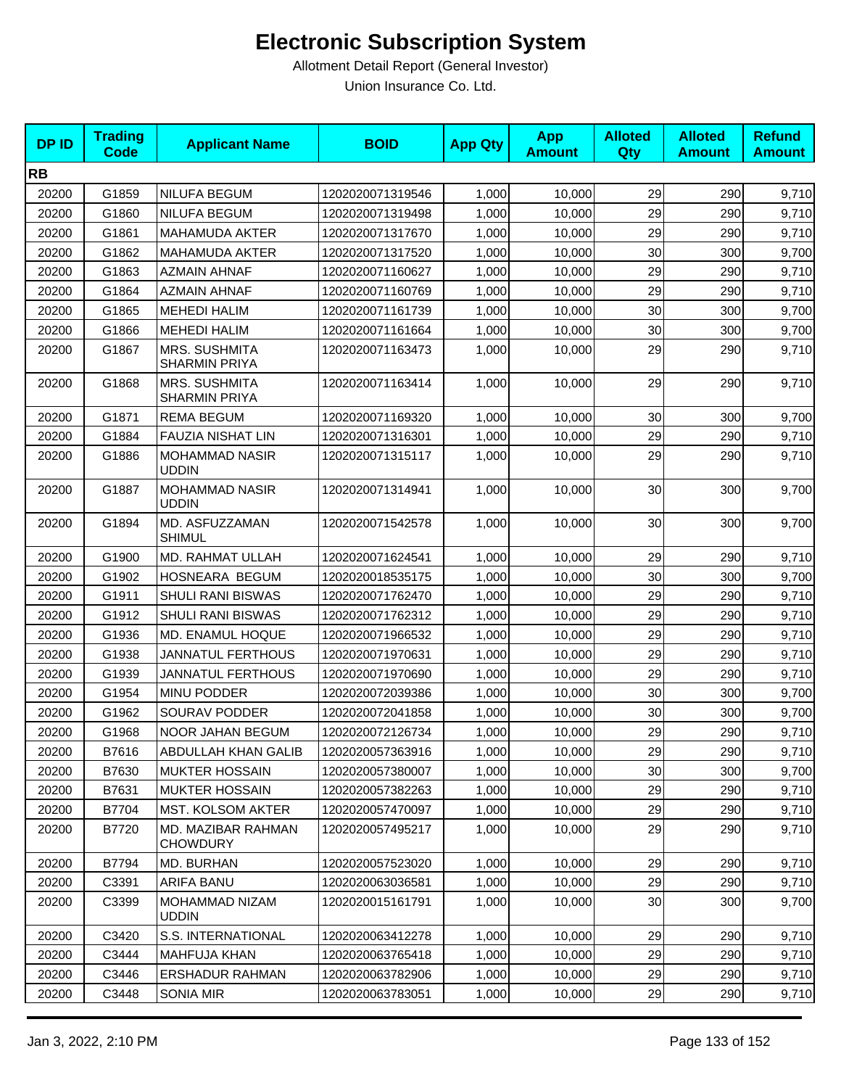| <b>DPID</b> | <b>Trading</b><br><b>Code</b> | <b>Applicant Name</b>                 | <b>BOID</b>      | <b>App Qty</b> | <b>App</b><br><b>Amount</b> | <b>Alloted</b><br><b>Qty</b> | <b>Alloted</b><br><b>Amount</b> | <b>Refund</b><br><b>Amount</b> |
|-------------|-------------------------------|---------------------------------------|------------------|----------------|-----------------------------|------------------------------|---------------------------------|--------------------------------|
| <b>RB</b>   |                               |                                       |                  |                |                             |                              |                                 |                                |
| 20200       | G1859                         | NILUFA BEGUM                          | 1202020071319546 | 1,000          | 10,000                      | 29                           | 290                             | 9,710                          |
| 20200       | G1860                         | NILUFA BEGUM                          | 1202020071319498 | 1,000          | 10,000                      | 29                           | 290                             | 9,710                          |
| 20200       | G1861                         | <b>MAHAMUDA AKTER</b>                 | 1202020071317670 | 1,000          | 10,000                      | 29                           | 290                             | 9,710                          |
| 20200       | G1862                         | <b>MAHAMUDA AKTER</b>                 | 1202020071317520 | 1,000          | 10,000                      | 30                           | 300                             | 9,700                          |
| 20200       | G1863                         | <b>AZMAIN AHNAF</b>                   | 1202020071160627 | 1,000          | 10,000                      | 29                           | 290                             | 9,710                          |
| 20200       | G1864                         | <b>AZMAIN AHNAF</b>                   | 1202020071160769 | 1,000          | 10,000                      | 29                           | 290                             | 9,710                          |
| 20200       | G1865                         | <b>MEHEDI HALIM</b>                   | 1202020071161739 | 1,000          | 10,000                      | 30                           | 300                             | 9,700                          |
| 20200       | G1866                         | <b>MEHEDI HALIM</b>                   | 1202020071161664 | 1,000          | 10,000                      | 30                           | 300                             | 9,700                          |
| 20200       | G1867                         | <b>MRS. SUSHMITA</b><br>SHARMIN PRIYA | 1202020071163473 | 1,000          | 10,000                      | 29                           | 290                             | 9,710                          |
| 20200       | G1868                         | MRS. SUSHMITA<br>SHARMIN PRIYA        | 1202020071163414 | 1,000          | 10,000                      | 29                           | 290                             | 9,710                          |
| 20200       | G1871                         | <b>REMA BEGUM</b>                     | 1202020071169320 | 1,000          | 10,000                      | 30                           | 300                             | 9,700                          |
| 20200       | G1884                         | <b>FAUZIA NISHAT LIN</b>              | 1202020071316301 | 1,000          | 10,000                      | 29                           | 290                             | 9,710                          |
| 20200       | G1886                         | <b>MOHAMMAD NASIR</b><br><b>UDDIN</b> | 1202020071315117 | 1,000          | 10,000                      | 29                           | 290                             | 9,710                          |
| 20200       | G1887                         | <b>MOHAMMAD NASIR</b><br><b>UDDIN</b> | 1202020071314941 | 1,000          | 10,000                      | 30                           | 300                             | 9,700                          |
| 20200       | G1894                         | MD. ASFUZZAMAN<br><b>SHIMUL</b>       | 1202020071542578 | 1,000          | 10,000                      | 30                           | 300                             | 9,700                          |
| 20200       | G1900                         | MD. RAHMAT ULLAH                      | 1202020071624541 | 1,000          | 10,000                      | 29                           | 290                             | 9,710                          |
| 20200       | G1902                         | HOSNEARA BEGUM                        | 1202020018535175 | 1,000          | 10,000                      | 30                           | 300                             | 9,700                          |
| 20200       | G1911                         | <b>SHULI RANI BISWAS</b>              | 1202020071762470 | 1,000          | 10,000                      | 29                           | 290                             | 9,710                          |
| 20200       | G1912                         | <b>SHULI RANI BISWAS</b>              | 1202020071762312 | 1,000          | 10,000                      | 29                           | 290                             | 9,710                          |
| 20200       | G1936                         | MD. ENAMUL HOQUE                      | 1202020071966532 | 1,000          | 10,000                      | 29                           | 290                             | 9,710                          |
| 20200       | G1938                         | <b>JANNATUL FERTHOUS</b>              | 1202020071970631 | 1,000          | 10,000                      | 29                           | 290                             | 9,710                          |
| 20200       | G1939                         | <b>JANNATUL FERTHOUS</b>              | 1202020071970690 | 1,000          | 10,000                      | 29                           | 290                             | 9,710                          |
| 20200       | G1954                         | <b>MINU PODDER</b>                    | 1202020072039386 | 1,000          | 10,000                      | 30                           | 300                             | 9,700                          |
| 20200       | G1962                         | SOURAV PODDER                         | 1202020072041858 | 1,000          | 10,000                      | 30                           | 300                             | 9,700                          |
| 20200       | G1968                         | NOOR JAHAN BEGUM                      | 1202020072126734 | 1,000          | 10,000                      | 29                           | 290                             | 9,710                          |
| 20200       | B7616                         | ABDULLAH KHAN GALIB                   | 1202020057363916 | 1,000          | 10,000                      | 29                           | 290                             | 9,710                          |
| 20200       | B7630                         | <b>MUKTER HOSSAIN</b>                 | 1202020057380007 | 1,000          | 10,000                      | 30                           | 300                             | 9,700                          |
| 20200       | B7631                         | MUKTER HOSSAIN                        | 1202020057382263 | 1,000          | 10,000                      | 29                           | 290                             | 9,710                          |
| 20200       | B7704                         | MST. KOLSOM AKTER                     | 1202020057470097 | 1,000          | 10,000                      | 29                           | 290                             | 9,710                          |
| 20200       | B7720                         | MD. MAZIBAR RAHMAN<br><b>CHOWDURY</b> | 1202020057495217 | 1,000          | 10,000                      | 29                           | 290                             | 9,710                          |
| 20200       | B7794                         | MD. BURHAN                            | 1202020057523020 | 1,000          | 10,000                      | 29                           | 290                             | 9,710                          |
| 20200       | C3391                         | ARIFA BANU                            | 1202020063036581 | 1,000          | 10,000                      | 29                           | 290                             | 9,710                          |
| 20200       | C3399                         | MOHAMMAD NIZAM<br><b>UDDIN</b>        | 1202020015161791 | 1,000          | 10,000                      | 30                           | 300                             | 9,700                          |
| 20200       | C3420                         | S.S. INTERNATIONAL                    | 1202020063412278 | 1,000          | 10,000                      | 29                           | 290                             | 9,710                          |
| 20200       | C3444                         | MAHFUJA KHAN                          | 1202020063765418 | 1,000          | 10,000                      | 29                           | 290                             | 9,710                          |
| 20200       | C3446                         | <b>ERSHADUR RAHMAN</b>                | 1202020063782906 | 1,000          | 10,000                      | 29                           | 290                             | 9,710                          |
| 20200       | C3448                         | <b>SONIA MIR</b>                      | 1202020063783051 | 1,000          | 10,000                      | 29                           | 290                             | 9,710                          |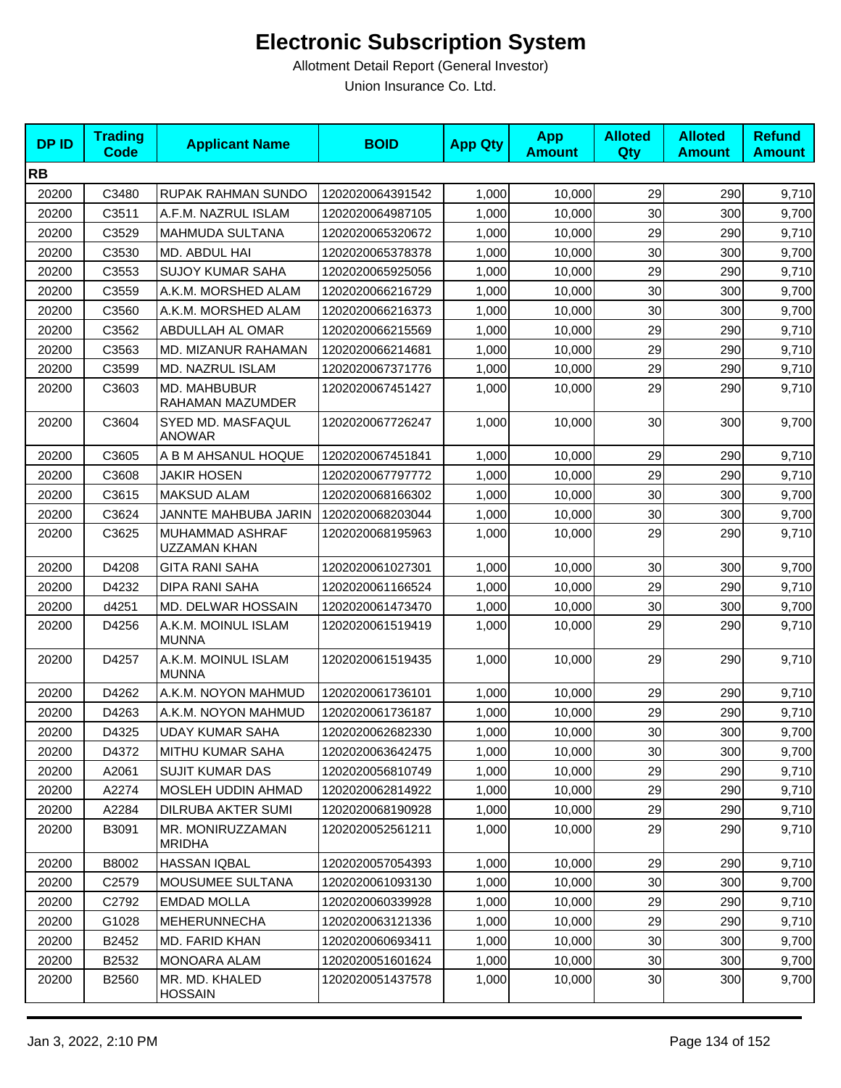| <b>DPID</b> | <b>Trading</b><br><b>Code</b> | <b>Applicant Name</b>               | <b>BOID</b>      | <b>App Qty</b> | <b>App</b><br><b>Amount</b> | <b>Alloted</b><br>Qty | <b>Alloted</b><br><b>Amount</b> | <b>Refund</b><br><b>Amount</b> |
|-------------|-------------------------------|-------------------------------------|------------------|----------------|-----------------------------|-----------------------|---------------------------------|--------------------------------|
| <b>RB</b>   |                               |                                     |                  |                |                             |                       |                                 |                                |
| 20200       | C3480                         | RUPAK RAHMAN SUNDO                  | 1202020064391542 | 1,000          | 10,000                      | 29                    | 290                             | 9,710                          |
| 20200       | C3511                         | A.F.M. NAZRUL ISLAM                 | 1202020064987105 | 1,000          | 10,000                      | 30                    | 300                             | 9,700                          |
| 20200       | C3529                         | MAHMUDA SULTANA                     | 1202020065320672 | 1,000          | 10,000                      | 29                    | 290                             | 9,710                          |
| 20200       | C3530                         | MD. ABDUL HAI                       | 1202020065378378 | 1,000          | 10,000                      | 30                    | 300                             | 9,700                          |
| 20200       | C3553                         | <b>SUJOY KUMAR SAHA</b>             | 1202020065925056 | 1,000          | 10,000                      | 29                    | 290                             | 9,710                          |
| 20200       | C3559                         | A.K.M. MORSHED ALAM                 | 1202020066216729 | 1.000          | 10.000                      | 30                    | 300                             | 9,700                          |
| 20200       | C3560                         | A.K.M. MORSHED ALAM                 | 1202020066216373 | 1,000          | 10,000                      | 30                    | 300                             | 9,700                          |
| 20200       | C3562                         | ABDULLAH AL OMAR                    | 1202020066215569 | 1,000          | 10,000                      | 29                    | 290                             | 9,710                          |
| 20200       | C3563                         | <b>MD. MIZANUR RAHAMAN</b>          | 1202020066214681 | 1,000          | 10,000                      | 29                    | 290                             | 9,710                          |
| 20200       | C3599                         | MD. NAZRUL ISLAM                    | 1202020067371776 | 1,000          | 10,000                      | 29                    | 290                             | 9,710                          |
| 20200       | C3603                         | MD. MAHBUBUR<br>RAHAMAN MAZUMDER    | 1202020067451427 | 1,000          | 10,000                      | 29                    | 290                             | 9,710                          |
| 20200       | C3604                         | SYED MD. MASFAQUL<br><b>ANOWAR</b>  | 1202020067726247 | 1,000          | 10,000                      | 30                    | 300                             | 9,700                          |
| 20200       | C3605                         | A B M AHSANUL HOQUE                 | 1202020067451841 | 1,000          | 10,000                      | 29                    | 290                             | 9,710                          |
| 20200       | C3608                         | <b>JAKIR HOSEN</b>                  | 1202020067797772 | 1,000          | 10,000                      | 29                    | 290                             | 9,710                          |
| 20200       | C3615                         | <b>MAKSUD ALAM</b>                  | 1202020068166302 | 1,000          | 10,000                      | 30                    | 300                             | 9,700                          |
| 20200       | C3624                         | JANNTE MAHBUBA JARIN                | 1202020068203044 | 1,000          | 10,000                      | 30                    | 300                             | 9,700                          |
| 20200       | C3625                         | MUHAMMAD ASHRAF<br>UZZAMAN KHAN     | 1202020068195963 | 1,000          | 10,000                      | 29                    | 290                             | 9,710                          |
| 20200       | D4208                         | <b>GITA RANI SAHA</b>               | 1202020061027301 | 1,000          | 10,000                      | 30                    | 300                             | 9,700                          |
| 20200       | D4232                         | <b>DIPA RANI SAHA</b>               | 1202020061166524 | 1,000          | 10,000                      | 29                    | 290                             | 9,710                          |
| 20200       | d4251                         | <b>MD. DELWAR HOSSAIN</b>           | 1202020061473470 | 1,000          | 10,000                      | 30                    | 300                             | 9,700                          |
| 20200       | D4256                         | A.K.M. MOINUL ISLAM<br><b>MUNNA</b> | 1202020061519419 | 1,000          | 10,000                      | 29                    | 290                             | 9,710                          |
| 20200       | D4257                         | A.K.M. MOINUL ISLAM<br><b>MUNNA</b> | 1202020061519435 | 1,000          | 10,000                      | 29                    | 290                             | 9,710                          |
| 20200       | D4262                         | A.K.M. NOYON MAHMUD                 | 1202020061736101 | 1,000          | 10,000                      | 29                    | 290                             | 9,710                          |
| 20200       | D4263                         | A.K.M. NOYON MAHMUD                 | 1202020061736187 | 1,000          | 10,000                      | 29                    | 290                             | 9,710                          |
| 20200       | D4325                         | <b>UDAY KUMAR SAHA</b>              | 1202020062682330 | 1,000          | 10,000                      | 30                    | 300                             | 9,700                          |
| 20200       | D4372                         | MITHU KUMAR SAHA                    | 1202020063642475 | 1,000          | 10,000                      | 30 <sub>0</sub>       | 300                             | 9,700                          |
| 20200       | A2061                         | <b>SUJIT KUMAR DAS</b>              | 1202020056810749 | 1,000          | 10,000                      | 29                    | 290                             | 9,710                          |
| 20200       | A2274                         | MOSLEH UDDIN AHMAD                  | 1202020062814922 | 1,000          | 10,000                      | 29                    | 290                             | 9,710                          |
| 20200       | A2284                         | DILRUBA AKTER SUMI                  | 1202020068190928 | 1,000          | 10,000                      | 29                    | 290                             | 9,710                          |
| 20200       | B3091                         | MR. MONIRUZZAMAN<br><b>MRIDHA</b>   | 1202020052561211 | 1,000          | 10,000                      | 29                    | 290                             | 9,710                          |
| 20200       | B8002                         | HASSAN IQBAL                        | 1202020057054393 | 1,000          | 10,000                      | 29                    | 290                             | 9,710                          |
| 20200       | C2579                         | <b>MOUSUMEE SULTANA</b>             | 1202020061093130 | 1,000          | 10,000                      | 30 <sub>0</sub>       | 300                             | 9,700                          |
| 20200       | C2792                         | <b>EMDAD MOLLA</b>                  | 1202020060339928 | 1,000          | 10,000                      | 29                    | 290                             | 9,710                          |
| 20200       | G1028                         | MEHERUNNECHA                        | 1202020063121336 | 1,000          | 10,000                      | 29                    | 290                             | 9,710                          |
| 20200       | B2452                         | MD. FARID KHAN                      | 1202020060693411 | 1,000          | 10,000                      | 30                    | 300                             | 9,700                          |
| 20200       | B2532                         | MONOARA ALAM                        | 1202020051601624 | 1,000          | 10,000                      | 30                    | 300                             | 9,700                          |
| 20200       | B2560                         | MR. MD. KHALED<br><b>HOSSAIN</b>    | 1202020051437578 | 1,000          | 10,000                      | 30 <sub>0</sub>       | 300                             | 9,700                          |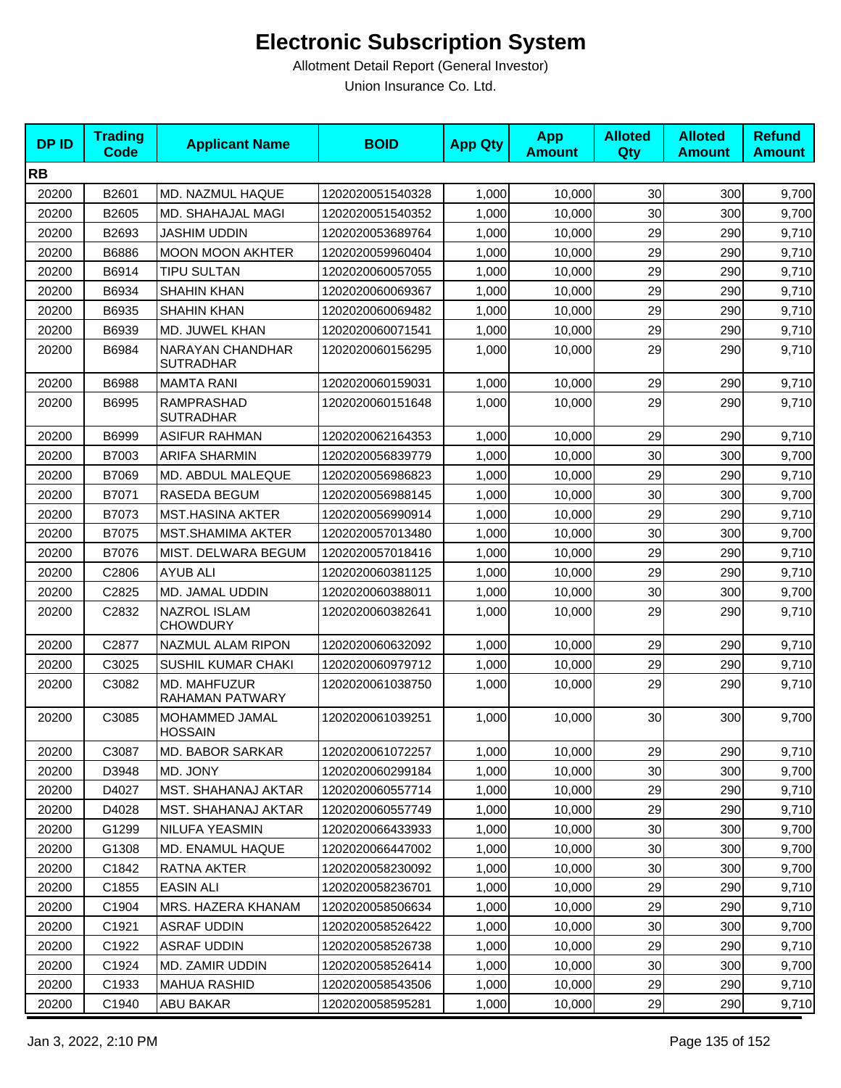| <b>DPID</b> | <b>Trading</b><br>Code | <b>Applicant Name</b>                       | <b>BOID</b>      | <b>App Qty</b> | <b>App</b><br><b>Amount</b> | <b>Alloted</b><br>Qty | <b>Alloted</b><br><b>Amount</b> | <b>Refund</b><br><b>Amount</b> |
|-------------|------------------------|---------------------------------------------|------------------|----------------|-----------------------------|-----------------------|---------------------------------|--------------------------------|
| <b>RB</b>   |                        |                                             |                  |                |                             |                       |                                 |                                |
| 20200       | B2601                  | <b>MD. NAZMUL HAQUE</b>                     | 1202020051540328 | 1,000          | 10,000                      | 30                    | 300                             | 9,700                          |
| 20200       | B2605                  | MD. SHAHAJAL MAGI                           | 1202020051540352 | 1,000          | 10,000                      | 30                    | 300                             | 9,700                          |
| 20200       | B2693                  | JASHIM UDDIN                                | 1202020053689764 | 1,000          | 10,000                      | 29                    | 290                             | 9,710                          |
| 20200       | B6886                  | <b>MOON MOON AKHTER</b>                     | 1202020059960404 | 1,000          | 10,000                      | 29                    | 290                             | 9,710                          |
| 20200       | B6914                  | <b>TIPU SULTAN</b>                          | 1202020060057055 | 1,000          | 10,000                      | 29                    | 290                             | 9,710                          |
| 20200       | B6934                  | <b>SHAHIN KHAN</b>                          | 1202020060069367 | 1,000          | 10,000                      | 29                    | 290                             | 9,710                          |
| 20200       | B6935                  | <b>SHAHIN KHAN</b>                          | 1202020060069482 | 1,000          | 10,000                      | 29                    | 290                             | 9,710                          |
| 20200       | B6939                  | MD. JUWEL KHAN                              | 1202020060071541 | 1,000          | 10,000                      | 29                    | 290                             | 9,710                          |
| 20200       | B6984                  | <b>NARAYAN CHANDHAR</b><br><b>SUTRADHAR</b> | 1202020060156295 | 1,000          | 10,000                      | 29                    | 290                             | 9,710                          |
| 20200       | B6988                  | <b>MAMTA RANI</b>                           | 1202020060159031 | 1,000          | 10,000                      | 29                    | 290                             | 9,710                          |
| 20200       | B6995                  | <b>RAMPRASHAD</b><br><b>SUTRADHAR</b>       | 1202020060151648 | 1,000          | 10,000                      | 29                    | 290                             | 9,710                          |
| 20200       | B6999                  | <b>ASIFUR RAHMAN</b>                        | 1202020062164353 | 1,000          | 10,000                      | 29                    | 290                             | 9,710                          |
| 20200       | B7003                  | <b>ARIFA SHARMIN</b>                        | 1202020056839779 | 1,000          | 10,000                      | 30                    | 300                             | 9,700                          |
| 20200       | B7069                  | MD. ABDUL MALEQUE                           | 1202020056986823 | 1,000          | 10,000                      | 29                    | 290                             | 9,710                          |
| 20200       | B7071                  | <b>RASEDA BEGUM</b>                         | 1202020056988145 | 1,000          | 10,000                      | 30                    | 300                             | 9,700                          |
| 20200       | B7073                  | <b>MST.HASINA AKTER</b>                     | 1202020056990914 | 1,000          | 10,000                      | 29                    | 290                             | 9,710                          |
| 20200       | B7075                  | <b>MST.SHAMIMA AKTER</b>                    | 1202020057013480 | 1,000          | 10,000                      | 30                    | 300                             | 9,700                          |
| 20200       | B7076                  | MIST. DELWARA BEGUM                         | 1202020057018416 | 1,000          | 10,000                      | 29                    | 290                             | 9,710                          |
| 20200       | C2806                  | AYUB ALI                                    | 1202020060381125 | 1,000          | 10,000                      | 29                    | 290                             | 9,710                          |
| 20200       | C2825                  | MD. JAMAL UDDIN                             | 1202020060388011 | 1,000          | 10,000                      | 30                    | 300                             | 9,700                          |
| 20200       | C2832                  | <b>NAZROL ISLAM</b><br><b>CHOWDURY</b>      | 1202020060382641 | 1,000          | 10,000                      | 29                    | 290                             | 9,710                          |
| 20200       | C2877                  | NAZMUL ALAM RIPON                           | 1202020060632092 | 1,000          | 10,000                      | 29                    | 290                             | 9,710                          |
| 20200       | C3025                  | SUSHIL KUMAR CHAKI                          | 1202020060979712 | 1,000          | 10,000                      | 29                    | 290                             | 9,710                          |
| 20200       | C3082                  | MD. MAHFUZUR<br>RAHAMAN PATWARY             | 1202020061038750 | 1,000          | 10,000                      | 29                    | 290                             | 9,710                          |
| 20200       | C3085                  | MOHAMMED JAMAL<br><b>HOSSAIN</b>            | 1202020061039251 | 1,000          | 10,000                      | 30                    | 300                             | 9,700                          |
| 20200       | C3087                  | <b>MD. BABOR SARKAR</b>                     | 1202020061072257 | 1,000          | 10,000                      | 29                    | 290                             | 9,710                          |
| 20200       | D3948                  | MD. JONY                                    | 1202020060299184 | 1,000          | 10,000                      | 30                    | 300                             | 9,700                          |
| 20200       | D4027                  | MST. SHAHANAJ AKTAR                         | 1202020060557714 | 1,000          | 10,000                      | 29                    | 290                             | 9,710                          |
| 20200       | D4028                  | MST. SHAHANAJ AKTAR                         | 1202020060557749 | 1,000          | 10,000                      | 29                    | 290                             | 9,710                          |
| 20200       | G1299                  | <b>NILUFA YEASMIN</b>                       | 1202020066433933 | 1,000          | 10,000                      | 30                    | 300                             | 9,700                          |
| 20200       | G1308                  | MD. ENAMUL HAQUE                            | 1202020066447002 | 1,000          | 10,000                      | 30                    | 300                             | 9,700                          |
| 20200       | C1842                  | RATNA AKTER                                 | 1202020058230092 | 1,000          | 10,000                      | 30                    | 300                             | 9,700                          |
| 20200       | C1855                  | <b>EASIN ALI</b>                            | 1202020058236701 | 1,000          | 10,000                      | 29                    | 290                             | 9,710                          |
| 20200       | C1904                  | MRS. HAZERA KHANAM                          | 1202020058506634 | 1,000          | 10,000                      | 29                    | 290                             | 9,710                          |
| 20200       | C1921                  | ASRAF UDDIN                                 | 1202020058526422 | 1,000          | 10,000                      | 30                    | 300                             | 9,700                          |
| 20200       | C1922                  | ASRAF UDDIN                                 | 1202020058526738 | 1,000          | 10,000                      | 29                    | 290                             | 9,710                          |
| 20200       | C1924                  | MD. ZAMIR UDDIN                             | 1202020058526414 | 1,000          | 10,000                      | 30                    | 300                             | 9,700                          |
| 20200       | C1933                  | <b>MAHUA RASHID</b>                         | 1202020058543506 | 1,000          | 10,000                      | 29                    | 290                             | 9,710                          |
| 20200       | C1940                  | <b>ABU BAKAR</b>                            | 1202020058595281 | 1,000          | 10,000                      | 29                    | 290                             | 9,710                          |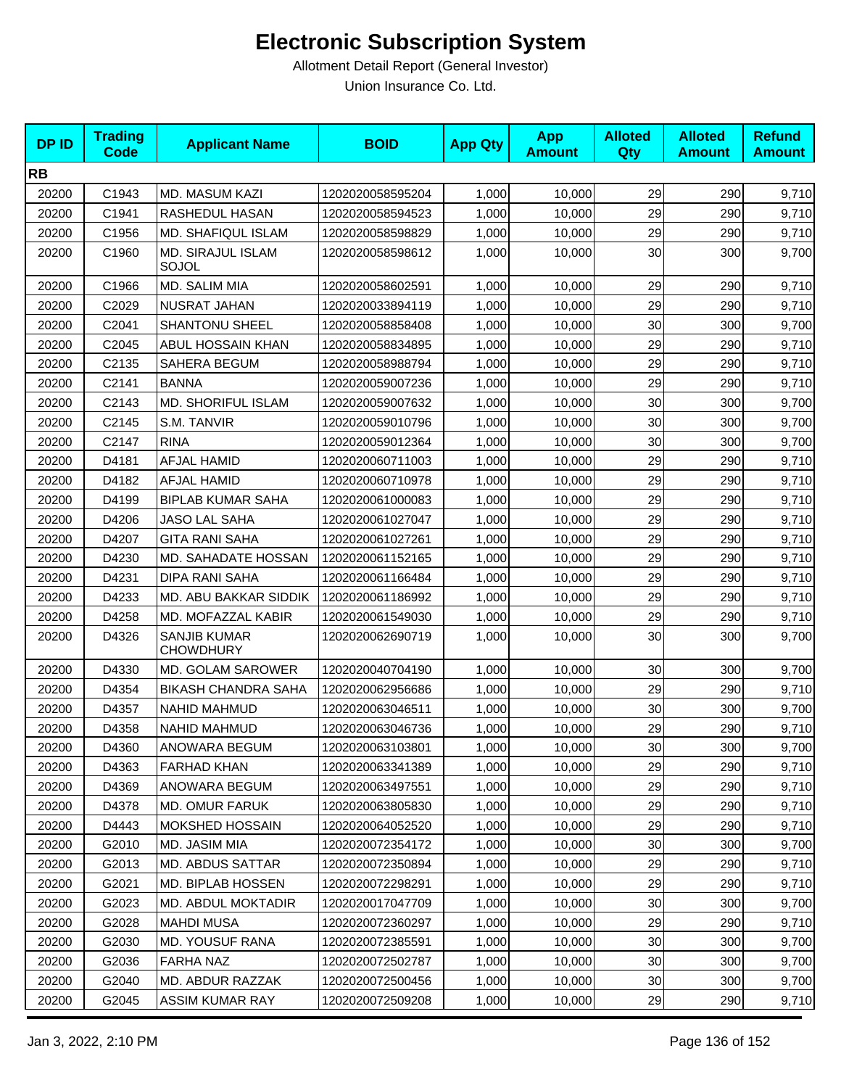| <b>DPID</b> | <b>Trading</b><br><b>Code</b> | <b>Applicant Name</b>                   | <b>BOID</b>      | <b>App Qty</b> | <b>App</b><br><b>Amount</b> | <b>Alloted</b><br><b>Qty</b> | <b>Alloted</b><br><b>Amount</b> | <b>Refund</b><br><b>Amount</b> |
|-------------|-------------------------------|-----------------------------------------|------------------|----------------|-----------------------------|------------------------------|---------------------------------|--------------------------------|
| <b>RB</b>   |                               |                                         |                  |                |                             |                              |                                 |                                |
| 20200       | C1943                         | MD. MASUM KAZI                          | 1202020058595204 | 1,000          | 10,000                      | 29                           | 290                             | 9,710                          |
| 20200       | C1941                         | RASHEDUL HASAN                          | 1202020058594523 | 1,000          | 10,000                      | 29                           | 290                             | 9,710                          |
| 20200       | C1956                         | MD. SHAFIQUL ISLAM                      | 1202020058598829 | 1,000          | 10,000                      | 29                           | 290                             | 9,710                          |
| 20200       | C1960                         | MD. SIRAJUL ISLAM<br>SOJOL              | 1202020058598612 | 1,000          | 10,000                      | 30                           | 300                             | 9,700                          |
| 20200       | C1966                         | MD. SALIM MIA                           | 1202020058602591 | 1,000          | 10,000                      | 29                           | 290                             | 9,710                          |
| 20200       | C2029                         | NUSRAT JAHAN                            | 1202020033894119 | 1,000          | 10,000                      | 29                           | 290                             | 9,710                          |
| 20200       | C2041                         | <b>SHANTONU SHEEL</b>                   | 1202020058858408 | 1,000          | 10,000                      | 30                           | 300                             | 9,700                          |
| 20200       | C2045                         | ABUL HOSSAIN KHAN                       | 1202020058834895 | 1,000          | 10,000                      | 29                           | 290                             | 9,710                          |
| 20200       | C2135                         | SAHERA BEGUM                            | 1202020058988794 | 1,000          | 10,000                      | 29                           | 290                             | 9,710                          |
| 20200       | C2141                         | <b>BANNA</b>                            | 1202020059007236 | 1,000          | 10,000                      | 29                           | 290                             | 9,710                          |
| 20200       | C2143                         | MD. SHORIFUL ISLAM                      | 1202020059007632 | 1,000          | 10,000                      | 30                           | 300                             | 9,700                          |
| 20200       | C2145                         | S.M. TANVIR                             | 1202020059010796 | 1,000          | 10,000                      | 30                           | 300                             | 9,700                          |
| 20200       | C2147                         | <b>RINA</b>                             | 1202020059012364 | 1,000          | 10,000                      | 30                           | 300                             | 9,700                          |
| 20200       | D4181                         | AFJAL HAMID                             | 1202020060711003 | 1,000          | 10,000                      | 29                           | 290                             | 9,710                          |
| 20200       | D4182                         | <b>AFJAL HAMID</b>                      | 1202020060710978 | 1,000          | 10,000                      | 29                           | 290                             | 9,710                          |
| 20200       | D4199                         | <b>BIPLAB KUMAR SAHA</b>                | 1202020061000083 | 1,000          | 10,000                      | 29                           | 290                             | 9,710                          |
| 20200       | D4206                         | <b>JASO LAL SAHA</b>                    | 1202020061027047 | 1,000          | 10,000                      | 29                           | 290                             | 9,710                          |
| 20200       | D4207                         | <b>GITA RANI SAHA</b>                   | 1202020061027261 | 1,000          | 10,000                      | 29                           | 290                             | 9,710                          |
| 20200       | D4230                         | MD. SAHADATE HOSSAN                     | 1202020061152165 | 1,000          | 10,000                      | 29                           | 290                             | 9,710                          |
| 20200       | D4231                         | DIPA RANI SAHA                          | 1202020061166484 | 1,000          | 10,000                      | 29                           | 290                             | 9,710                          |
| 20200       | D4233                         | MD. ABU BAKKAR SIDDIK                   | 1202020061186992 | 1,000          | 10,000                      | 29                           | 290                             | 9,710                          |
| 20200       | D4258                         | MD. MOFAZZAL KABIR                      | 1202020061549030 | 1,000          | 10,000                      | 29                           | 290                             | 9,710                          |
| 20200       | D4326                         | <b>SANJIB KUMAR</b><br><b>CHOWDHURY</b> | 1202020062690719 | 1,000          | 10,000                      | 30                           | 300                             | 9,700                          |
| 20200       | D4330                         | <b>MD. GOLAM SAROWER</b>                | 1202020040704190 | 1,000          | 10,000                      | 30                           | 300                             | 9,700                          |
| 20200       | D4354                         | <b>BIKASH CHANDRA SAHA</b>              | 1202020062956686 | 1,000          | 10,000                      | 29                           | 290                             | 9,710                          |
| 20200       | D4357                         | <b>NAHID MAHMUD</b>                     | 1202020063046511 | 1,000          | 10,000                      | 30                           | 300                             | 9,700                          |
| 20200       | D4358                         | <b>NAHID MAHMUD</b>                     | 1202020063046736 | 1,000          | 10,000                      | 29                           | 290                             | 9,710                          |
| 20200       | D4360                         | <b>ANOWARA BEGUM</b>                    | 1202020063103801 | 1,000          | 10,000                      | 30                           | 300                             | 9,700                          |
| 20200       | D4363                         | <b>FARHAD KHAN</b>                      | 1202020063341389 | 1,000          | 10,000                      | 29                           | 290                             | 9,710                          |
| 20200       | D4369                         | ANOWARA BEGUM                           | 1202020063497551 | 1,000          | 10,000                      | 29                           | 290                             | 9,710                          |
| 20200       | D4378                         | MD. OMUR FARUK                          | 1202020063805830 | 1,000          | 10,000                      | 29                           | 290                             | 9,710                          |
| 20200       | D4443                         | <b>MOKSHED HOSSAIN</b>                  | 1202020064052520 | 1,000          | 10,000                      | 29                           | 290                             | 9,710                          |
| 20200       | G2010                         | MD. JASIM MIA                           | 1202020072354172 | 1,000          | 10,000                      | 30                           | 300                             | 9,700                          |
| 20200       | G2013                         | MD. ABDUS SATTAR                        | 1202020072350894 | 1,000          | 10,000                      | 29                           | 290                             | 9,710                          |
| 20200       | G2021                         | <b>MD. BIPLAB HOSSEN</b>                | 1202020072298291 | 1,000          | 10,000                      | 29                           | 290                             | 9,710                          |
| 20200       | G2023                         | MD. ABDUL MOKTADIR                      | 1202020017047709 | 1,000          | 10,000                      | 30                           | 300                             | 9,700                          |
| 20200       | G2028                         | <b>MAHDI MUSA</b>                       | 1202020072360297 | 1,000          | 10,000                      | 29                           | 290                             | 9,710                          |
| 20200       | G2030                         | MD. YOUSUF RANA                         | 1202020072385591 | 1,000          | 10,000                      | 30                           | 300                             | 9,700                          |
| 20200       | G2036                         | <b>FARHA NAZ</b>                        | 1202020072502787 | 1,000          | 10,000                      | 30                           | 300                             | 9,700                          |
| 20200       | G2040                         | MD. ABDUR RAZZAK                        | 1202020072500456 | 1,000          | 10,000                      | 30                           | 300                             | 9,700                          |
| 20200       | G2045                         | <b>ASSIM KUMAR RAY</b>                  | 1202020072509208 | 1,000          | 10,000                      | 29                           | 290                             | 9,710                          |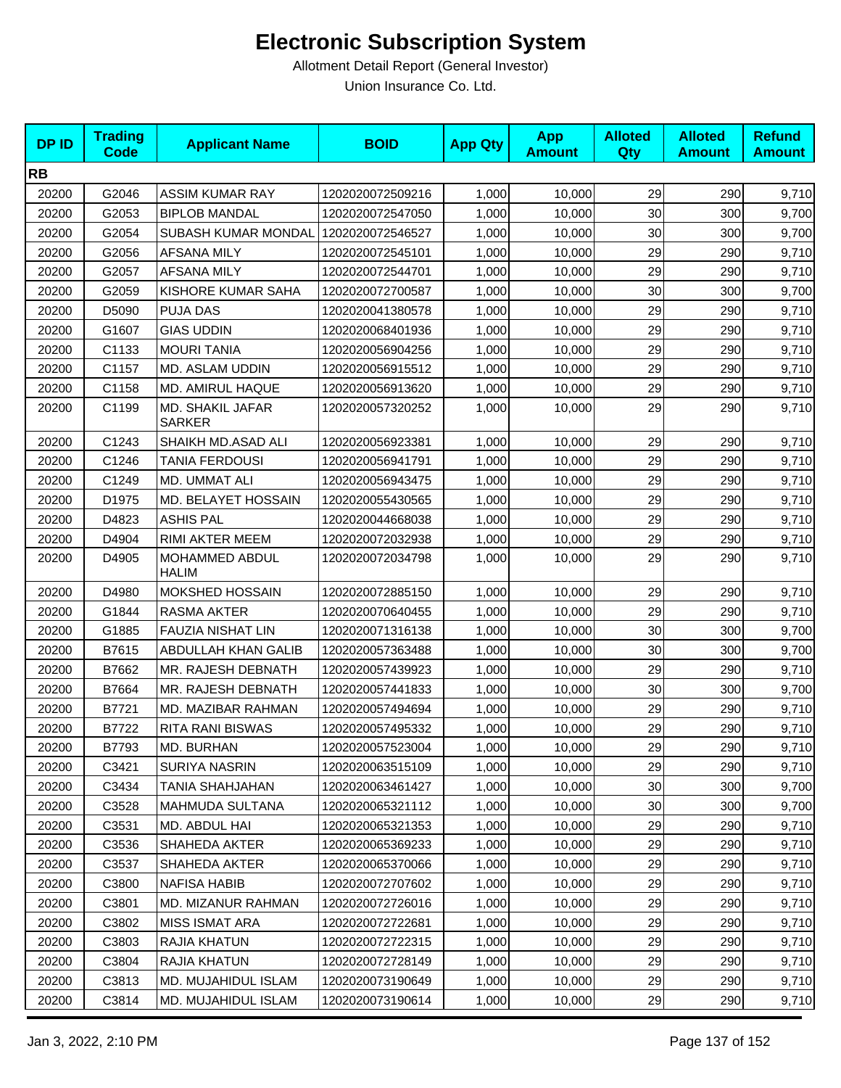| <b>DPID</b> | <b>Trading</b><br><b>Code</b> | <b>Applicant Name</b>             | <b>BOID</b>      | <b>App Qty</b> | <b>App</b><br><b>Amount</b> | <b>Alloted</b><br>Qty | <b>Alloted</b><br><b>Amount</b> | <b>Refund</b><br><b>Amount</b> |
|-------------|-------------------------------|-----------------------------------|------------------|----------------|-----------------------------|-----------------------|---------------------------------|--------------------------------|
| <b>RB</b>   |                               |                                   |                  |                |                             |                       |                                 |                                |
| 20200       | G2046                         | <b>ASSIM KUMAR RAY</b>            | 1202020072509216 | 1,000          | 10,000                      | 29                    | 290                             | 9,710                          |
| 20200       | G2053                         | <b>BIPLOB MANDAL</b>              | 1202020072547050 | 1,000          | 10,000                      | 30                    | 300                             | 9,700                          |
| 20200       | G2054                         | SUBASH KUMAR MONDAL               | 1202020072546527 | 1,000          | 10,000                      | 30                    | 300                             | 9,700                          |
| 20200       | G2056                         | <b>AFSANA MILY</b>                | 1202020072545101 | 1,000          | 10,000                      | 29                    | 290                             | 9,710                          |
| 20200       | G2057                         | <b>AFSANA MILY</b>                | 1202020072544701 | 1,000          | 10,000                      | 29                    | 290                             | 9,710                          |
| 20200       | G2059                         | KISHORE KUMAR SAHA                | 1202020072700587 | 1,000          | 10,000                      | 30                    | 300                             | 9,700                          |
| 20200       | D5090                         | <b>PUJA DAS</b>                   | 1202020041380578 | 1,000          | 10,000                      | 29                    | 290                             | 9,710                          |
| 20200       | G1607                         | <b>GIAS UDDIN</b>                 | 1202020068401936 | 1,000          | 10,000                      | 29                    | 290                             | 9,710                          |
| 20200       | C1133                         | <b>MOURI TANIA</b>                | 1202020056904256 | 1,000          | 10,000                      | 29                    | 290                             | 9,710                          |
| 20200       | C1157                         | MD. ASLAM UDDIN                   | 1202020056915512 | 1,000          | 10,000                      | 29                    | 290                             | 9,710                          |
| 20200       | C1158                         | MD. AMIRUL HAQUE                  | 1202020056913620 | 1,000          | 10,000                      | 29                    | 290                             | 9,710                          |
| 20200       | C1199                         | MD. SHAKIL JAFAR<br><b>SARKER</b> | 1202020057320252 | 1,000          | 10,000                      | 29                    | 290                             | 9,710                          |
| 20200       | C1243                         | SHAIKH MD.ASAD ALI                | 1202020056923381 | 1,000          | 10,000                      | 29                    | 290                             | 9,710                          |
| 20200       | C1246                         | <b>TANIA FERDOUSI</b>             | 1202020056941791 | 1,000          | 10,000                      | 29                    | 290                             | 9,710                          |
| 20200       | C1249                         | MD. UMMAT ALI                     | 1202020056943475 | 1,000          | 10,000                      | 29                    | 290                             | 9,710                          |
| 20200       | D1975                         | MD. BELAYET HOSSAIN               | 1202020055430565 | 1,000          | 10,000                      | 29                    | 290                             | 9,710                          |
| 20200       | D4823                         | <b>ASHIS PAL</b>                  | 1202020044668038 | 1,000          | 10,000                      | 29                    | 290                             | 9,710                          |
| 20200       | D4904                         | RIMI AKTER MEEM                   | 1202020072032938 | 1,000          | 10,000                      | 29                    | 290                             | 9,710                          |
| 20200       | D4905                         | MOHAMMED ABDUL<br><b>HALIM</b>    | 1202020072034798 | 1,000          | 10,000                      | 29                    | 290                             | 9,710                          |
| 20200       | D4980                         | MOKSHED HOSSAIN                   | 1202020072885150 | 1,000          | 10,000                      | 29                    | 290                             | 9,710                          |
| 20200       | G1844                         | RASMA AKTER                       | 1202020070640455 | 1,000          | 10,000                      | 29                    | 290                             | 9,710                          |
| 20200       | G1885                         | <b>FAUZIA NISHAT LIN</b>          | 1202020071316138 | 1,000          | 10,000                      | 30                    | 300                             | 9,700                          |
| 20200       | B7615                         | <b>ABDULLAH KHAN GALIB</b>        | 1202020057363488 | 1,000          | 10,000                      | 30                    | 300                             | 9,700                          |
| 20200       | B7662                         | MR. RAJESH DEBNATH                | 1202020057439923 | 1,000          | 10,000                      | 29                    | 290                             | 9,710                          |
| 20200       | B7664                         | MR. RAJESH DEBNATH                | 1202020057441833 | 1,000          | 10,000                      | 30                    | 300                             | 9,700                          |
| 20200       | B7721                         | MD. MAZIBAR RAHMAN                | 1202020057494694 | 1,000          | 10,000                      | 29                    | 290                             | 9,710                          |
| 20200       | B7722                         | RITA RANI BISWAS                  | 1202020057495332 | 1,000          | 10,000                      | 29                    | 290                             | 9,710                          |
| 20200       | B7793                         | MD. BURHAN                        | 1202020057523004 | 1,000          | 10,000                      | 29                    | 290                             | 9,710                          |
| 20200       | C3421                         | <b>SURIYA NASRIN</b>              | 1202020063515109 | 1,000          | 10,000                      | 29                    | 290                             | 9,710                          |
| 20200       | C3434                         | TANIA SHAHJAHAN                   | 1202020063461427 | 1,000          | 10,000                      | 30                    | 300                             | 9,700                          |
| 20200       | C3528                         | MAHMUDA SULTANA                   | 1202020065321112 | 1,000          | 10,000                      | 30                    | 300                             | 9,700                          |
| 20200       | C3531                         | MD. ABDUL HAI                     | 1202020065321353 | 1,000          | 10,000                      | 29                    | 290                             | 9,710                          |
| 20200       | C3536                         | SHAHEDA AKTER                     | 1202020065369233 | 1,000          | 10.000                      | 29                    | 290                             | 9,710                          |
| 20200       | C3537                         | SHAHEDA AKTER                     | 1202020065370066 | 1,000          | 10,000                      | 29                    | 290                             | 9,710                          |
| 20200       | C3800                         | <b>NAFISA HABIB</b>               | 1202020072707602 | 1,000          | 10,000                      | 29                    | 290                             | 9,710                          |
| 20200       | C3801                         | MD. MIZANUR RAHMAN                | 1202020072726016 | 1,000          | 10,000                      | 29                    | 290                             | 9,710                          |
| 20200       | C3802                         | <b>MISS ISMAT ARA</b>             | 1202020072722681 | 1,000          | 10,000                      | 29                    | 290                             | 9,710                          |
| 20200       | C3803                         | RAJIA KHATUN                      | 1202020072722315 | 1,000          | 10,000                      | 29                    | 290                             | 9,710                          |
| 20200       | C3804                         | RAJIA KHATUN                      | 1202020072728149 | 1,000          | 10,000                      | 29                    | 290                             | 9,710                          |
| 20200       | C3813                         | MD. MUJAHIDUL ISLAM               | 1202020073190649 | 1,000          | 10,000                      | 29                    | 290                             | 9,710                          |
| 20200       | C3814                         | MD. MUJAHIDUL ISLAM               | 1202020073190614 | 1,000          | 10,000                      | 29                    | 290                             | 9,710                          |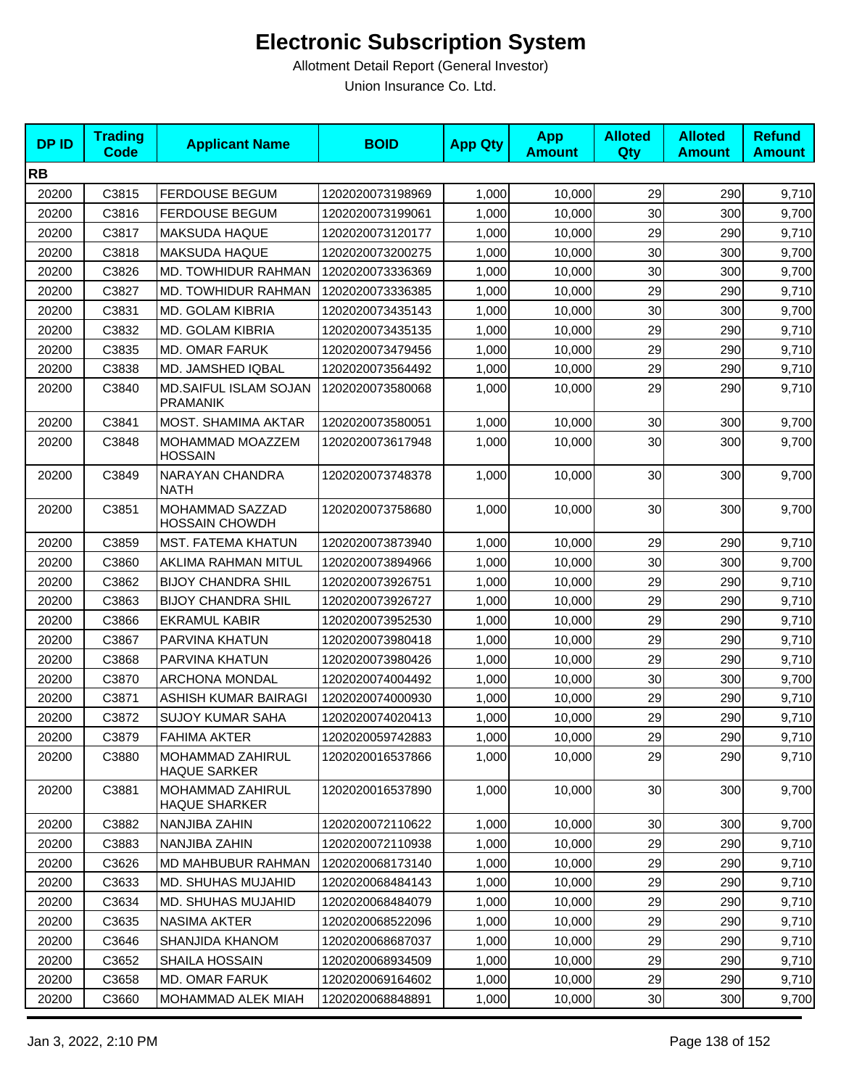| <b>DPID</b> | <b>Trading</b><br><b>Code</b> | <b>Applicant Name</b>                    | <b>BOID</b>      | <b>App Qty</b> | <b>App</b><br><b>Amount</b> | <b>Alloted</b><br><b>Qty</b> | <b>Alloted</b><br><b>Amount</b> | <b>Refund</b><br><b>Amount</b> |
|-------------|-------------------------------|------------------------------------------|------------------|----------------|-----------------------------|------------------------------|---------------------------------|--------------------------------|
| <b>RB</b>   |                               |                                          |                  |                |                             |                              |                                 |                                |
| 20200       | C3815                         | <b>FERDOUSE BEGUM</b>                    | 1202020073198969 | 1,000          | 10,000                      | 29                           | 290                             | 9,710                          |
| 20200       | C3816                         | <b>FERDOUSE BEGUM</b>                    | 1202020073199061 | 1,000          | 10,000                      | 30                           | 300                             | 9,700                          |
| 20200       | C3817                         | <b>MAKSUDA HAQUE</b>                     | 1202020073120177 | 1,000          | 10,000                      | 29                           | 290                             | 9,710                          |
| 20200       | C3818                         | <b>MAKSUDA HAQUE</b>                     | 1202020073200275 | 1,000          | 10,000                      | 30                           | 300                             | 9,700                          |
| 20200       | C3826                         | <b>MD. TOWHIDUR RAHMAN</b>               | 1202020073336369 | 1,000          | 10,000                      | 30                           | 300                             | 9,700                          |
| 20200       | C3827                         | MD. TOWHIDUR RAHMAN                      | 1202020073336385 | 1,000          | 10,000                      | 29                           | 290                             | 9,710                          |
| 20200       | C3831                         | MD. GOLAM KIBRIA                         | 1202020073435143 | 1,000          | 10,000                      | 30                           | 300                             | 9,700                          |
| 20200       | C3832                         | MD. GOLAM KIBRIA                         | 1202020073435135 | 1,000          | 10,000                      | 29                           | 290                             | 9,710                          |
| 20200       | C3835                         | <b>MD. OMAR FARUK</b>                    | 1202020073479456 | 1,000          | 10,000                      | 29                           | 290                             | 9,710                          |
| 20200       | C3838                         | MD. JAMSHED IQBAL                        | 1202020073564492 | 1,000          | 10,000                      | 29                           | 290                             | 9,710                          |
| 20200       | C3840                         | MD.SAIFUL ISLAM SOJAN<br><b>PRAMANIK</b> | 1202020073580068 | 1,000          | 10,000                      | 29                           | 290                             | 9,710                          |
| 20200       | C3841                         | MOST. SHAMIMA AKTAR                      | 1202020073580051 | 1,000          | 10,000                      | 30                           | 300                             | 9,700                          |
| 20200       | C3848                         | MOHAMMAD MOAZZEM<br><b>HOSSAIN</b>       | 1202020073617948 | 1,000          | 10,000                      | 30                           | 300                             | 9,700                          |
| 20200       | C3849                         | NARAYAN CHANDRA<br><b>NATH</b>           | 1202020073748378 | 1,000          | 10,000                      | 30                           | 300                             | 9,700                          |
| 20200       | C3851                         | MOHAMMAD SAZZAD<br><b>HOSSAIN CHOWDH</b> | 1202020073758680 | 1,000          | 10,000                      | 30                           | 300                             | 9,700                          |
| 20200       | C3859                         | MST. FATEMA KHATUN                       | 1202020073873940 | 1,000          | 10,000                      | 29                           | 290                             | 9,710                          |
| 20200       | C3860                         | AKLIMA RAHMAN MITUL                      | 1202020073894966 | 1,000          | 10,000                      | 30                           | 300                             | 9,700                          |
| 20200       | C3862                         | <b>BIJOY CHANDRA SHIL</b>                | 1202020073926751 | 1,000          | 10,000                      | 29                           | 290                             | 9,710                          |
| 20200       | C3863                         | <b>BIJOY CHANDRA SHIL</b>                | 1202020073926727 | 1,000          | 10,000                      | 29                           | 290                             | 9,710                          |
| 20200       | C3866                         | <b>EKRAMUL KABIR</b>                     | 1202020073952530 | 1,000          | 10,000                      | 29                           | 290                             | 9,710                          |
| 20200       | C3867                         | PARVINA KHATUN                           | 1202020073980418 | 1,000          | 10,000                      | 29                           | 290                             | 9,710                          |
| 20200       | C3868                         | PARVINA KHATUN                           | 1202020073980426 | 1,000          | 10,000                      | 29                           | 290                             | 9,710                          |
| 20200       | C3870                         | ARCHONA MONDAL                           | 1202020074004492 | 1,000          | 10,000                      | 30                           | 300                             | 9,700                          |
| 20200       | C3871                         | ASHISH KUMAR BAIRAGI                     | 1202020074000930 | 1,000          | 10,000                      | 29                           | 290                             | 9,710                          |
| 20200       | C3872                         | <b>SUJOY KUMAR SAHA</b>                  | 1202020074020413 | 1,000          | 10,000                      | 29                           | 290                             | 9,710                          |
| 20200       | C3879                         | <b>FAHIMA AKTER</b>                      | 1202020059742883 | 1,000          | 10,000                      | 29                           | 290                             | 9,710                          |
| 20200       | C3880                         | MOHAMMAD ZAHIRUL<br><b>HAQUE SARKER</b>  | 1202020016537866 | 1,000          | 10,000                      | 29                           | 290                             | 9,710                          |
| 20200       | C3881                         | MOHAMMAD ZAHIRUL<br><b>HAQUE SHARKER</b> | 1202020016537890 | 1,000          | 10,000                      | 30                           | 300                             | 9,700                          |
| 20200       | C3882                         | NANJIBA ZAHIN                            | 1202020072110622 | 1,000          | 10,000                      | 30                           | 300                             | 9,700                          |
| 20200       | C3883                         | NANJIBA ZAHIN                            | 1202020072110938 | 1,000          | 10.000                      | 29                           | 290                             | 9,710                          |
| 20200       | C3626                         | MD MAHBUBUR RAHMAN                       | 1202020068173140 | 1,000          | 10,000                      | 29                           | 290                             | 9,710                          |
| 20200       | C3633                         | MD. SHUHAS MUJAHID                       | 1202020068484143 | 1,000          | 10,000                      | 29                           | 290                             | 9,710                          |
| 20200       | C3634                         | MD. SHUHAS MUJAHID                       | 1202020068484079 | 1,000          | 10,000                      | 29                           | 290                             | 9,710                          |
| 20200       | C3635                         | NASIMA AKTER                             | 1202020068522096 | 1,000          | 10,000                      | 29                           | 290                             | 9,710                          |
| 20200       | C3646                         | SHANJIDA KHANOM                          | 1202020068687037 | 1,000          | 10,000                      | 29                           | 290                             | 9,710                          |
| 20200       | C3652                         | <b>SHAILA HOSSAIN</b>                    | 1202020068934509 | 1,000          | 10,000                      | 29                           | 290                             | 9,710                          |
| 20200       | C3658                         | MD. OMAR FARUK                           | 1202020069164602 | 1,000          | 10,000                      | 29                           | 290                             | 9,710                          |
| 20200       | C3660                         | MOHAMMAD ALEK MIAH                       | 1202020068848891 | 1,000          | 10,000                      | 30                           | 300                             | 9,700                          |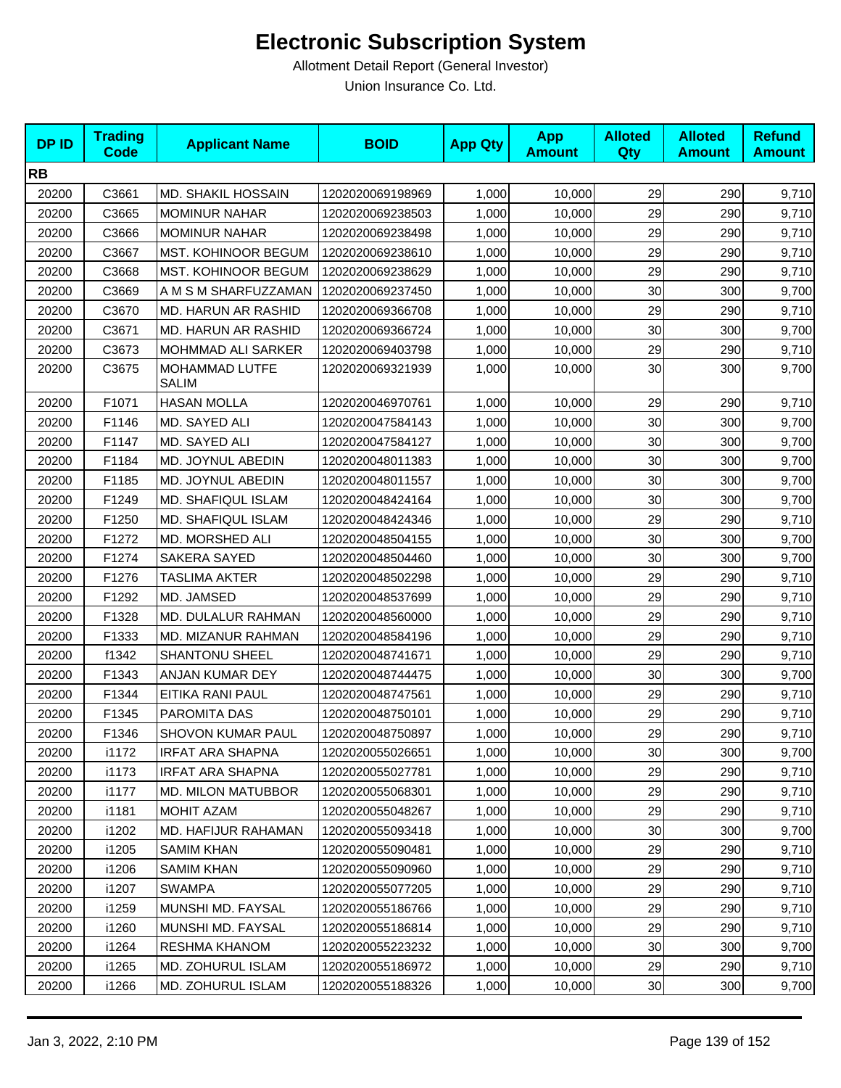| <b>DPID</b> | <b>Trading</b><br><b>Code</b> | <b>Applicant Name</b>          | <b>BOID</b>      | <b>App Qty</b> | <b>App</b><br><b>Amount</b> | <b>Alloted</b><br>Qty | <b>Alloted</b><br><b>Amount</b> | <b>Refund</b><br><b>Amount</b> |
|-------------|-------------------------------|--------------------------------|------------------|----------------|-----------------------------|-----------------------|---------------------------------|--------------------------------|
| <b>RB</b>   |                               |                                |                  |                |                             |                       |                                 |                                |
| 20200       | C3661                         | <b>MD. SHAKIL HOSSAIN</b>      | 1202020069198969 | 1,000          | 10,000                      | 29                    | 290                             | 9,710                          |
| 20200       | C3665                         | <b>MOMINUR NAHAR</b>           | 1202020069238503 | 1,000          | 10,000                      | 29                    | 290                             | 9,710                          |
| 20200       | C3666                         | <b>MOMINUR NAHAR</b>           | 1202020069238498 | 1,000          | 10,000                      | 29                    | 290                             | 9,710                          |
| 20200       | C3667                         | MST. KOHINOOR BEGUM            | 1202020069238610 | 1,000          | 10,000                      | 29                    | 290                             | 9,710                          |
| 20200       | C3668                         | MST. KOHINOOR BEGUM            | 1202020069238629 | 1,000          | 10,000                      | 29                    | 290                             | 9,710                          |
| 20200       | C3669                         | A M S M SHARFUZZAMAN           | 1202020069237450 | 1,000          | 10,000                      | 30                    | 300                             | 9,700                          |
| 20200       | C3670                         | MD. HARUN AR RASHID            | 1202020069366708 | 1,000          | 10,000                      | 29                    | 290                             | 9,710                          |
| 20200       | C3671                         | MD. HARUN AR RASHID            | 1202020069366724 | 1,000          | 10,000                      | 30                    | 300                             | 9,700                          |
| 20200       | C3673                         | MOHMMAD ALI SARKER             | 1202020069403798 | 1,000          | 10,000                      | 29                    | 290                             | 9,710                          |
| 20200       | C3675                         | MOHAMMAD LUTFE<br><b>SALIM</b> | 1202020069321939 | 1,000          | 10,000                      | 30                    | 300                             | 9,700                          |
| 20200       | F1071                         | <b>HASAN MOLLA</b>             | 1202020046970761 | 1,000          | 10,000                      | 29                    | 290                             | 9,710                          |
| 20200       | F1146                         | MD. SAYED ALI                  | 1202020047584143 | 1,000          | 10,000                      | 30                    | 300                             | 9,700                          |
| 20200       | F1147                         | MD. SAYED ALI                  | 1202020047584127 | 1,000          | 10,000                      | 30                    | 300                             | 9,700                          |
| 20200       | F1184                         | MD. JOYNUL ABEDIN              | 1202020048011383 | 1,000          | 10,000                      | 30                    | 300                             | 9,700                          |
| 20200       | F1185                         | MD. JOYNUL ABEDIN              | 1202020048011557 | 1,000          | 10,000                      | 30                    | 300                             | 9,700                          |
| 20200       | F1249                         | MD. SHAFIQUL ISLAM             | 1202020048424164 | 1,000          | 10,000                      | 30                    | 300                             | 9,700                          |
| 20200       | F1250                         | MD. SHAFIQUL ISLAM             | 1202020048424346 | 1,000          | 10,000                      | 29                    | 290                             | 9,710                          |
| 20200       | F1272                         | MD. MORSHED ALI                | 1202020048504155 | 1,000          | 10,000                      | 30                    | 300                             | 9,700                          |
| 20200       | F1274                         | SAKERA SAYED                   | 1202020048504460 | 1,000          | 10,000                      | 30                    | 300                             | 9,700                          |
| 20200       | F1276                         | <b>TASLIMA AKTER</b>           | 1202020048502298 | 1,000          | 10,000                      | 29                    | 290                             | 9,710                          |
| 20200       | F1292                         | MD. JAMSED                     | 1202020048537699 | 1,000          | 10,000                      | 29                    | 290                             | 9,710                          |
| 20200       | F1328                         | MD. DULALUR RAHMAN             | 1202020048560000 | 1,000          | 10,000                      | 29                    | 290                             | 9,710                          |
| 20200       | F1333                         | MD. MIZANUR RAHMAN             | 1202020048584196 | 1,000          | 10,000                      | 29                    | 290                             | 9,710                          |
| 20200       | f1342                         | <b>SHANTONU SHEEL</b>          | 1202020048741671 | 1,000          | 10,000                      | 29                    | 290                             | 9,710                          |
| 20200       | F1343                         | <b>ANJAN KUMAR DEY</b>         | 1202020048744475 | 1,000          | 10,000                      | 30                    | 300                             | 9,700                          |
| 20200       | F1344                         | EITIKA RANI PAUL               | 1202020048747561 | 1,000          | 10,000                      | 29                    | 290                             | 9,710                          |
| 20200       | F1345                         | PAROMITA DAS                   | 1202020048750101 | 1,000          | 10,000                      | 29                    | 290                             | 9,710                          |
| 20200       | F1346                         | <b>SHOVON KUMAR PAUL</b>       | 1202020048750897 | 1,000          | 10,000                      | 29                    | 290                             | 9,710                          |
| 20200       | i1172                         | <b>IRFAT ARA SHAPNA</b>        | 1202020055026651 | 1,000          | 10,000                      | 30                    | 300                             | 9,700                          |
| 20200       | i1173                         | <b>IRFAT ARA SHAPNA</b>        | 1202020055027781 | 1,000          | 10,000                      | 29                    | 290                             | 9,710                          |
| 20200       | i1177                         | <b>MD. MILON MATUBBOR</b>      | 1202020055068301 | 1,000          | 10,000                      | 29                    | 290                             | 9,710                          |
| 20200       | i1181                         | MOHIT AZAM                     | 1202020055048267 | 1,000          | 10,000                      | 29                    | 290                             | 9,710                          |
| 20200       | i1202                         | MD. HAFIJUR RAHAMAN            | 1202020055093418 | 1,000          | 10,000                      | 30                    | 300                             | 9,700                          |
| 20200       | i1205                         | <b>SAMIM KHAN</b>              | 1202020055090481 | 1,000          | 10,000                      | 29                    | 290                             | 9,710                          |
| 20200       | i1206                         | <b>SAMIM KHAN</b>              | 1202020055090960 | 1,000          | 10,000                      | 29                    | 290                             | 9,710                          |
| 20200       | i1207                         | <b>SWAMPA</b>                  | 1202020055077205 | 1,000          | 10,000                      | 29                    | 290                             | 9,710                          |
| 20200       | i1259                         | MUNSHI MD. FAYSAL              | 1202020055186766 | 1,000          | 10,000                      | 29                    | 290                             | 9,710                          |
| 20200       | i1260                         | MUNSHI MD. FAYSAL              | 1202020055186814 | 1,000          | 10,000                      | 29                    | 290                             | 9,710                          |
| 20200       | i1264                         | <b>RESHMA KHANOM</b>           | 1202020055223232 | 1,000          | 10,000                      | 30 <sub>1</sub>       | 300                             | 9,700                          |
| 20200       | i1265                         | <b>MD. ZOHURUL ISLAM</b>       | 1202020055186972 | 1,000          | 10,000                      | 29                    | 290                             | 9,710                          |
| 20200       | i1266                         | MD. ZOHURUL ISLAM              | 1202020055188326 | 1,000          | 10,000                      | 30 <sub>o</sub>       | 300                             | 9,700                          |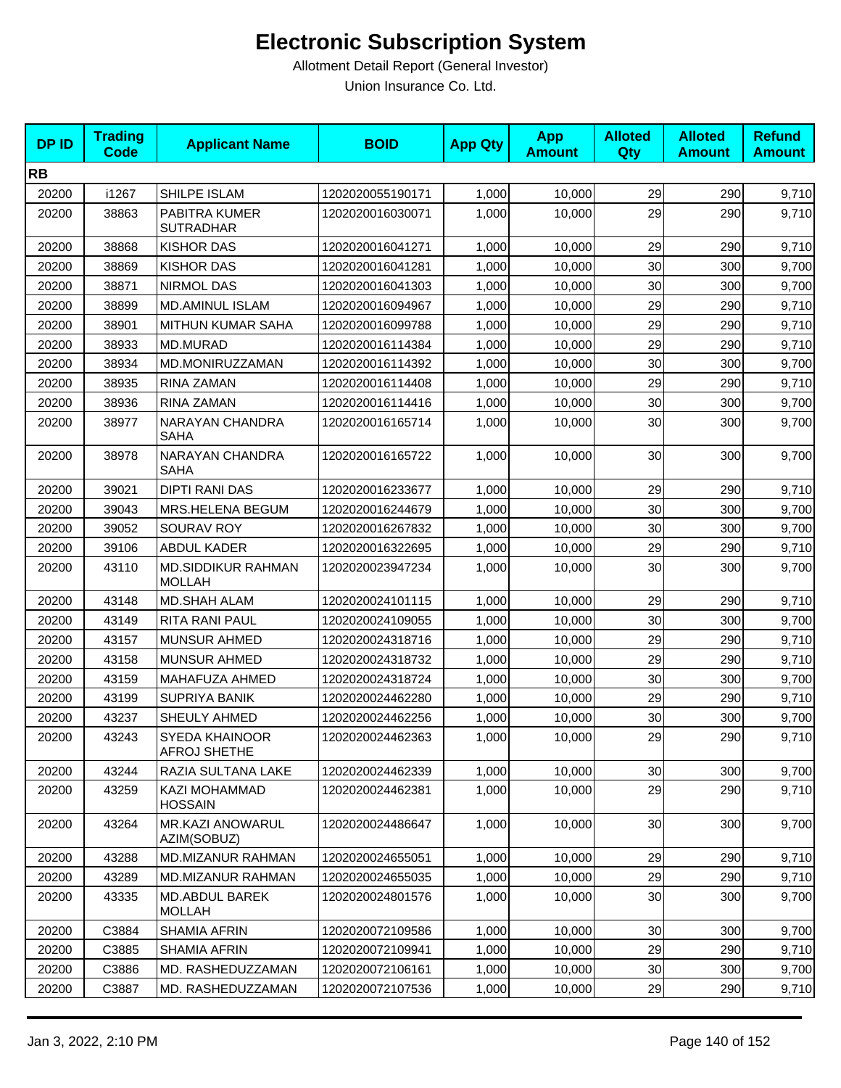| <b>DPID</b> | <b>Trading</b><br><b>Code</b> | <b>Applicant Name</b>               | <b>BOID</b>      | <b>App Qty</b> | <b>App</b><br><b>Amount</b> | <b>Alloted</b><br>Qty | <b>Alloted</b><br><b>Amount</b> | <b>Refund</b><br><b>Amount</b> |
|-------------|-------------------------------|-------------------------------------|------------------|----------------|-----------------------------|-----------------------|---------------------------------|--------------------------------|
| <b>RB</b>   |                               |                                     |                  |                |                             |                       |                                 |                                |
| 20200       | i1267                         | SHILPE ISLAM                        | 1202020055190171 | 1,000          | 10,000                      | 29                    | 290                             | 9,710                          |
| 20200       | 38863                         | PABITRA KUMER<br><b>SUTRADHAR</b>   | 1202020016030071 | 1,000          | 10,000                      | 29                    | 290                             | 9,710                          |
| 20200       | 38868                         | <b>KISHOR DAS</b>                   | 1202020016041271 | 1,000          | 10,000                      | 29                    | 290                             | 9,710                          |
| 20200       | 38869                         | <b>KISHOR DAS</b>                   | 1202020016041281 | 1,000          | 10,000                      | 30                    | 300                             | 9,700                          |
| 20200       | 38871                         | <b>NIRMOL DAS</b>                   | 1202020016041303 | 1,000          | 10,000                      | 30                    | 300                             | 9,700                          |
| 20200       | 38899                         | <b>MD.AMINUL ISLAM</b>              | 1202020016094967 | 1,000          | 10,000                      | 29                    | 290                             | 9,710                          |
| 20200       | 38901                         | MITHUN KUMAR SAHA                   | 1202020016099788 | 1,000          | 10,000                      | 29                    | 290                             | 9,710                          |
| 20200       | 38933                         | MD.MURAD                            | 1202020016114384 | 1,000          | 10,000                      | 29                    | 290                             | 9,710                          |
| 20200       | 38934                         | MD.MONIRUZZAMAN                     | 1202020016114392 | 1,000          | 10,000                      | 30                    | 300                             | 9,700                          |
| 20200       | 38935                         | RINA ZAMAN                          | 1202020016114408 | 1,000          | 10,000                      | 29                    | 290                             | 9,710                          |
| 20200       | 38936                         | RINA ZAMAN                          | 1202020016114416 | 1,000          | 10,000                      | 30                    | 300                             | 9,700                          |
| 20200       | 38977                         | NARAYAN CHANDRA<br><b>SAHA</b>      | 1202020016165714 | 1,000          | 10,000                      | 30                    | 300                             | 9,700                          |
| 20200       | 38978                         | NARAYAN CHANDRA<br><b>SAHA</b>      | 1202020016165722 | 1,000          | 10,000                      | 30                    | 300                             | 9,700                          |
| 20200       | 39021                         | <b>DIPTI RANI DAS</b>               | 1202020016233677 | 1,000          | 10,000                      | 29                    | 290                             | 9,710                          |
| 20200       | 39043                         | MRS.HELENA BEGUM                    | 1202020016244679 | 1,000          | 10,000                      | 30                    | 300                             | 9,700                          |
| 20200       | 39052                         | SOURAV ROY                          | 1202020016267832 | 1,000          | 10,000                      | 30                    | 300                             | 9,700                          |
| 20200       | 39106                         | <b>ABDUL KADER</b>                  | 1202020016322695 | 1,000          | 10,000                      | 29                    | 290                             | 9,710                          |
| 20200       | 43110                         | MD.SIDDIKUR RAHMAN<br><b>MOLLAH</b> | 1202020023947234 | 1,000          | 10,000                      | 30                    | 300                             | 9,700                          |
| 20200       | 43148                         | MD.SHAH ALAM                        | 1202020024101115 | 1,000          | 10,000                      | 29                    | 290                             | 9,710                          |
| 20200       | 43149                         | RITA RANI PAUL                      | 1202020024109055 | 1,000          | 10,000                      | 30                    | 300                             | 9,700                          |
| 20200       | 43157                         | <b>MUNSUR AHMED</b>                 | 1202020024318716 | 1,000          | 10,000                      | 29                    | 290                             | 9,710                          |
| 20200       | 43158                         | <b>MUNSUR AHMED</b>                 | 1202020024318732 | 1,000          | 10,000                      | 29                    | 290                             | 9,710                          |
| 20200       | 43159                         | MAHAFUZA AHMED                      | 1202020024318724 | 1,000          | 10,000                      | 30                    | 300                             | 9,700                          |
| 20200       | 43199                         | <b>SUPRIYA BANIK</b>                | 1202020024462280 | 1,000          | 10,000                      | 29                    | 290                             | 9,710                          |
| 20200       | 43237                         | SHEULY AHMED                        | 1202020024462256 | 1,000          | 10,000                      | 30                    | 300                             | 9,700                          |
| 20200       | 43243                         | SYEDA KHAINOOR<br>AFROJ SHETHE      | 1202020024462363 | 1,000          | 10,000                      | 29                    | 290                             | 9,710                          |
| 20200       | 43244                         | RAZIA SULTANA LAKE                  | 1202020024462339 | 1,000          | 10,000                      | 30                    | 300                             | 9,700                          |
| 20200       | 43259                         | KAZI MOHAMMAD<br><b>HOSSAIN</b>     | 1202020024462381 | 1,000          | 10,000                      | 29                    | 290                             | 9,710                          |
| 20200       | 43264                         | MR.KAZI ANOWARUL<br>AZIM(SOBUZ)     | 1202020024486647 | 1,000          | 10,000                      | 30                    | 300                             | 9,700                          |
| 20200       | 43288                         | MD.MIZANUR RAHMAN                   | 1202020024655051 | 1,000          | 10,000                      | 29                    | 290                             | 9,710                          |
| 20200       | 43289                         | <b>MD.MIZANUR RAHMAN</b>            | 1202020024655035 | 1,000          | 10,000                      | 29                    | 290                             | 9,710                          |
| 20200       | 43335                         | MD.ABDUL BAREK<br><b>MOLLAH</b>     | 1202020024801576 | 1,000          | 10,000                      | 30                    | 300                             | 9,700                          |
| 20200       | C3884                         | SHAMIA AFRIN                        | 1202020072109586 | 1,000          | 10,000                      | 30                    | 300                             | 9,700                          |
| 20200       | C3885                         | <b>SHAMIA AFRIN</b>                 | 1202020072109941 | 1,000          | 10,000                      | 29                    | 290                             | 9,710                          |
| 20200       | C3886                         | MD. RASHEDUZZAMAN                   | 1202020072106161 | 1,000          | 10,000                      | 30                    | 300                             | 9,700                          |
| 20200       | C3887                         | MD. RASHEDUZZAMAN                   | 1202020072107536 | 1,000          | 10,000                      | 29                    | 290                             | 9,710                          |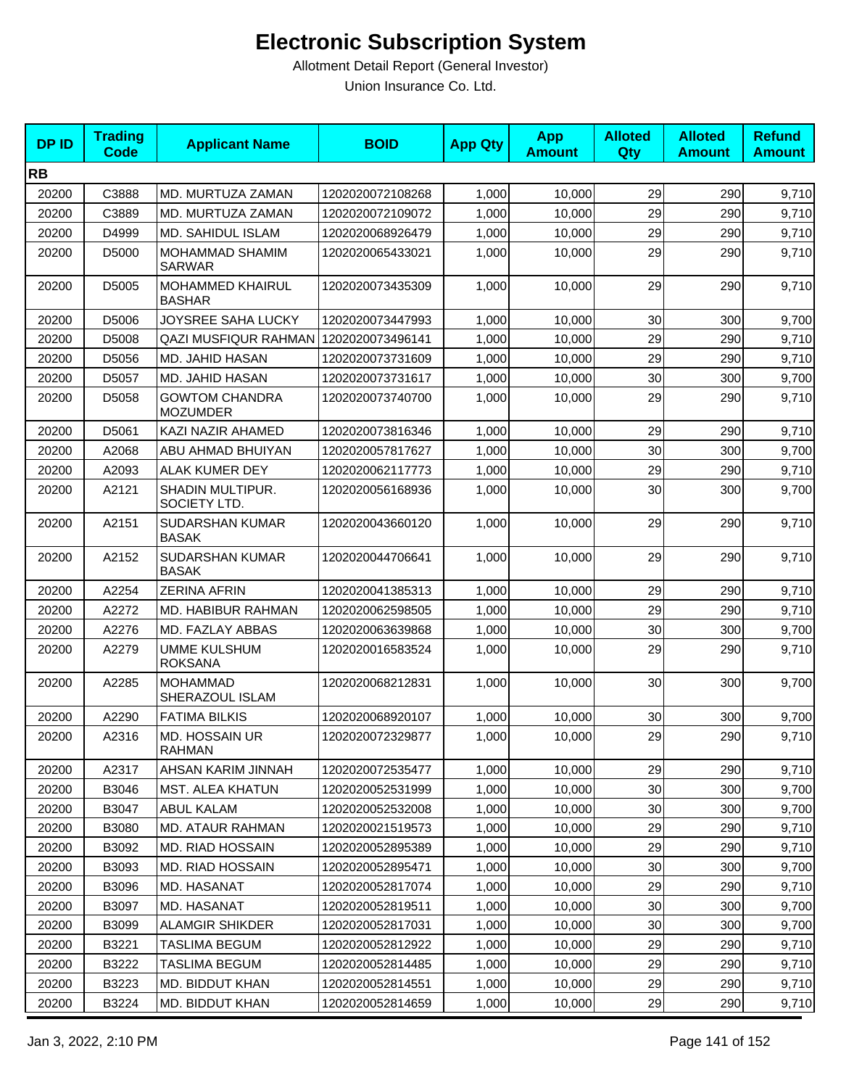| <b>DPID</b> | <b>Trading</b><br><b>Code</b> | <b>Applicant Name</b>                    | <b>BOID</b>      | <b>App Qty</b> | <b>App</b><br><b>Amount</b> | <b>Alloted</b><br>Qty | <b>Alloted</b><br><b>Amount</b> | <b>Refund</b><br><b>Amount</b> |
|-------------|-------------------------------|------------------------------------------|------------------|----------------|-----------------------------|-----------------------|---------------------------------|--------------------------------|
| <b>RB</b>   |                               |                                          |                  |                |                             |                       |                                 |                                |
| 20200       | C3888                         | MD. MURTUZA ZAMAN                        | 1202020072108268 | 1,000          | 10,000                      | 29                    | 290                             | 9,710                          |
| 20200       | C3889                         | MD. MURTUZA ZAMAN                        | 1202020072109072 | 1,000          | 10,000                      | 29                    | 290                             | 9,710                          |
| 20200       | D4999                         | MD. SAHIDUL ISLAM                        | 1202020068926479 | 1,000          | 10,000                      | 29                    | 290                             | 9,710                          |
| 20200       | D5000                         | MOHAMMAD SHAMIM<br><b>SARWAR</b>         | 1202020065433021 | 1,000          | 10,000                      | 29                    | 290                             | 9,710                          |
| 20200       | D5005                         | MOHAMMED KHAIRUL<br><b>BASHAR</b>        | 1202020073435309 | 1,000          | 10,000                      | 29                    | 290                             | 9,710                          |
| 20200       | D5006                         | JOYSREE SAHA LUCKY                       | 1202020073447993 | 1,000          | 10,000                      | 30                    | 300                             | 9,700                          |
| 20200       | D5008                         | QAZI MUSFIQUR RAHMAN 1202020073496141    |                  | 1,000          | 10,000                      | 29                    | 290                             | 9,710                          |
| 20200       | D5056                         | MD. JAHID HASAN                          | 1202020073731609 | 1,000          | 10,000                      | 29                    | 290                             | 9,710                          |
| 20200       | D5057                         | MD. JAHID HASAN                          | 1202020073731617 | 1,000          | 10,000                      | 30                    | 300                             | 9,700                          |
| 20200       | D5058                         | <b>GOWTOM CHANDRA</b><br><b>MOZUMDER</b> | 1202020073740700 | 1,000          | 10,000                      | 29                    | 290                             | 9,710                          |
| 20200       | D5061                         | KAZI NAZIR AHAMED                        | 1202020073816346 | 1,000          | 10,000                      | 29                    | 290                             | 9,710                          |
| 20200       | A2068                         | ABU AHMAD BHUIYAN                        | 1202020057817627 | 1,000          | 10,000                      | 30                    | 300                             | 9,700                          |
| 20200       | A2093                         | <b>ALAK KUMER DEY</b>                    | 1202020062117773 | 1,000          | 10,000                      | 29                    | 290                             | 9,710                          |
| 20200       | A2121                         | <b>SHADIN MULTIPUR.</b><br>SOCIETY LTD.  | 1202020056168936 | 1,000          | 10,000                      | 30                    | 300                             | 9,700                          |
| 20200       | A2151                         | SUDARSHAN KUMAR<br><b>BASAK</b>          | 1202020043660120 | 1,000          | 10,000                      | 29                    | 290                             | 9,710                          |
| 20200       | A2152                         | SUDARSHAN KUMAR<br><b>BASAK</b>          | 1202020044706641 | 1,000          | 10,000                      | 29                    | 290                             | 9,710                          |
| 20200       | A2254                         | <b>ZERINA AFRIN</b>                      | 1202020041385313 | 1,000          | 10,000                      | 29                    | 290                             | 9,710                          |
| 20200       | A2272                         | MD. HABIBUR RAHMAN                       | 1202020062598505 | 1,000          | 10,000                      | 29                    | 290                             | 9,710                          |
| 20200       | A2276                         | MD. FAZLAY ABBAS                         | 1202020063639868 | 1,000          | 10,000                      | 30                    | 300                             | 9,700                          |
| 20200       | A2279                         | <b>UMME KULSHUM</b><br><b>ROKSANA</b>    | 1202020016583524 | 1,000          | 10,000                      | 29                    | 290                             | 9,710                          |
| 20200       | A2285                         | <b>MOHAMMAD</b><br>SHERAZOUL ISLAM       | 1202020068212831 | 1,000          | 10,000                      | 30                    | 300                             | 9,700                          |
| 20200       | A2290                         | <b>FATIMA BILKIS</b>                     | 1202020068920107 | 1,000          | 10,000                      | 30                    | 300                             | 9,700                          |
| 20200       | A2316                         | MD. HOSSAIN UR<br><b>RAHMAN</b>          | 1202020072329877 | 1,000          | 10,000                      | 29                    | 290                             | 9,710                          |
| 20200       | A2317                         | AHSAN KARIM JINNAH                       | 1202020072535477 | 1,000          | 10,000                      | 29                    | 290                             | 9,710                          |
| 20200       | B3046                         | <b>MST. ALEA KHATUN</b>                  | 1202020052531999 | 1,000          | 10,000                      | 30                    | 300                             | 9,700                          |
| 20200       | B3047                         | <b>ABUL KALAM</b>                        | 1202020052532008 | 1,000          | 10,000                      | 30                    | 300                             | 9,700                          |
| 20200       | B3080                         | <b>MD. ATAUR RAHMAN</b>                  | 1202020021519573 | 1,000          | 10,000                      | 29                    | 290                             | 9,710                          |
| 20200       | B3092                         | <b>MD. RIAD HOSSAIN</b>                  | 1202020052895389 | 1,000          | 10,000                      | 29                    | 290                             | 9,710                          |
| 20200       | B3093                         | <b>MD. RIAD HOSSAIN</b>                  | 1202020052895471 | 1,000          | 10,000                      | 30                    | 300                             | 9,700                          |
| 20200       | B3096                         | MD. HASANAT                              | 1202020052817074 | 1,000          | 10,000                      | 29                    | 290                             | 9,710                          |
| 20200       | B3097                         | MD. HASANAT                              | 1202020052819511 | 1,000          | 10,000                      | 30                    | 300                             | 9,700                          |
| 20200       | B3099                         | <b>ALAMGIR SHIKDER</b>                   | 1202020052817031 | 1,000          | 10,000                      | 30                    | 300                             | 9,700                          |
| 20200       | B3221                         | <b>TASLIMA BEGUM</b>                     | 1202020052812922 | 1,000          | 10,000                      | 29                    | 290                             | 9,710                          |
| 20200       | B3222                         | <b>TASLIMA BEGUM</b>                     | 1202020052814485 | 1,000          | 10,000                      | 29                    | 290                             | 9,710                          |
| 20200       | B3223                         | MD. BIDDUT KHAN                          | 1202020052814551 | 1,000          | 10,000                      | 29                    | 290                             | 9,710                          |
| 20200       | B3224                         | MD. BIDDUT KHAN                          | 1202020052814659 | 1,000          | 10,000                      | 29                    | 290                             | 9,710                          |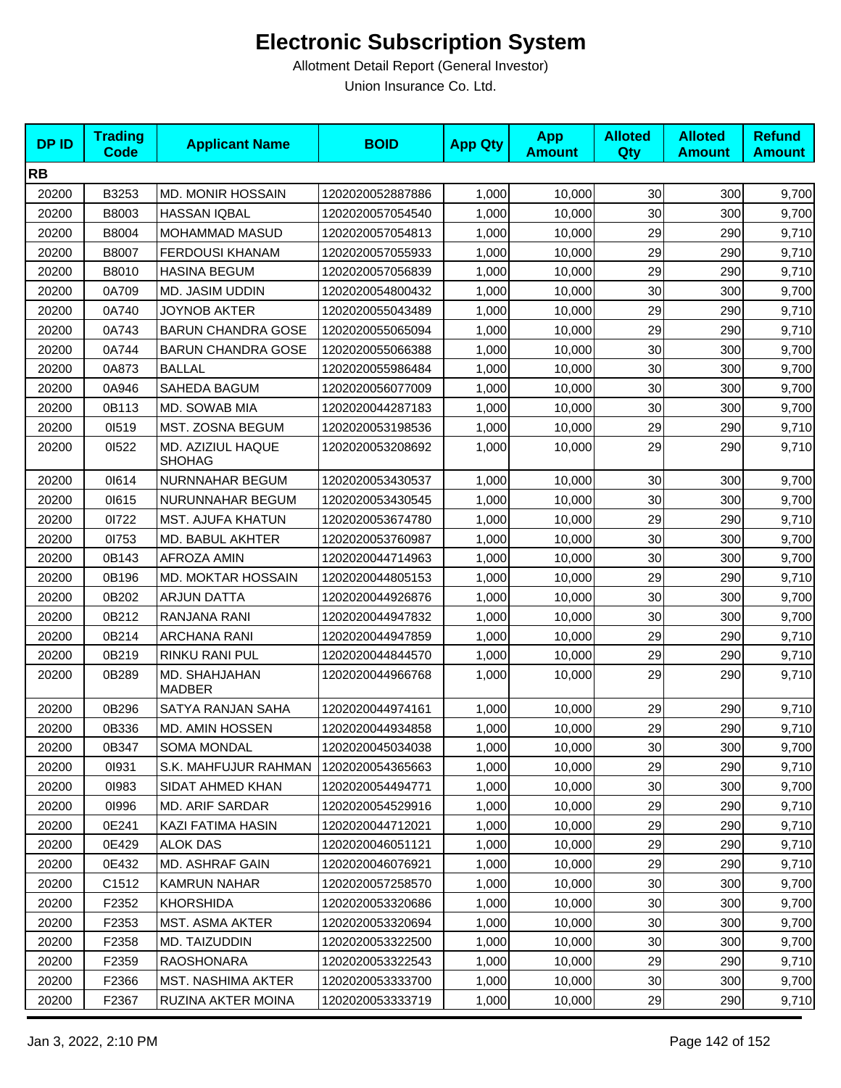| <b>DPID</b> | <b>Trading</b><br><b>Code</b> | <b>Applicant Name</b>              | <b>BOID</b>      | <b>App Qty</b> | <b>App</b><br><b>Amount</b> | <b>Alloted</b><br><b>Qty</b> | <b>Alloted</b><br><b>Amount</b> | <b>Refund</b><br><b>Amount</b> |
|-------------|-------------------------------|------------------------------------|------------------|----------------|-----------------------------|------------------------------|---------------------------------|--------------------------------|
| <b>RB</b>   |                               |                                    |                  |                |                             |                              |                                 |                                |
| 20200       | B3253                         | <b>MD. MONIR HOSSAIN</b>           | 1202020052887886 | 1,000          | 10,000                      | 30                           | 300                             | 9,700                          |
| 20200       | B8003                         | <b>HASSAN IQBAL</b>                | 1202020057054540 | 1,000          | 10,000                      | 30                           | 300                             | 9,700                          |
| 20200       | B8004                         | <b>MOHAMMAD MASUD</b>              | 1202020057054813 | 1,000          | 10,000                      | 29                           | 290                             | 9,710                          |
| 20200       | B8007                         | <b>FERDOUSI KHANAM</b>             | 1202020057055933 | 1,000          | 10,000                      | 29                           | 290                             | 9,710                          |
| 20200       | B8010                         | <b>HASINA BEGUM</b>                | 1202020057056839 | 1,000          | 10,000                      | 29                           | 290                             | 9,710                          |
| 20200       | 0A709                         | MD. JASIM UDDIN                    | 1202020054800432 | 1.000          | 10,000                      | 30                           | 300                             | 9,700                          |
| 20200       | 0A740                         | <b>JOYNOB AKTER</b>                | 1202020055043489 | 1,000          | 10,000                      | 29                           | 290                             | 9,710                          |
| 20200       | 0A743                         | <b>BARUN CHANDRA GOSE</b>          | 1202020055065094 | 1,000          | 10,000                      | 29                           | 290                             | 9,710                          |
| 20200       | 0A744                         | <b>BARUN CHANDRA GOSE</b>          | 1202020055066388 | 1,000          | 10,000                      | 30                           | 300                             | 9,700                          |
| 20200       | 0A873                         | <b>BALLAL</b>                      | 1202020055986484 | 1,000          | 10,000                      | 30                           | 300                             | 9,700                          |
| 20200       | 0A946                         | SAHEDA BAGUM                       | 1202020056077009 | 1,000          | 10,000                      | 30                           | 300                             | 9,700                          |
| 20200       | 0B113                         | MD. SOWAB MIA                      | 1202020044287183 | 1,000          | 10,000                      | 30                           | 300                             | 9,700                          |
| 20200       | 01519                         | MST. ZOSNA BEGUM                   | 1202020053198536 | 1,000          | 10,000                      | 29                           | 290                             | 9,710                          |
| 20200       | 01522                         | MD. AZIZIUL HAQUE<br><b>SHOHAG</b> | 1202020053208692 | 1,000          | 10,000                      | 29                           | 290                             | 9,710                          |
| 20200       | 01614                         | NURNNAHAR BEGUM                    | 1202020053430537 | 1,000          | 10,000                      | 30                           | 300                             | 9,700                          |
| 20200       | 01615                         | NURUNNAHAR BEGUM                   | 1202020053430545 | 1,000          | 10,000                      | 30                           | 300                             | 9,700                          |
| 20200       | 01722                         | MST. AJUFA KHATUN                  | 1202020053674780 | 1,000          | 10,000                      | 29                           | 290                             | 9,710                          |
| 20200       | 01753                         | MD. BABUL AKHTER                   | 1202020053760987 | 1,000          | 10,000                      | 30                           | 300                             | 9,700                          |
| 20200       | 0B143                         | <b>AFROZA AMIN</b>                 | 1202020044714963 | 1,000          | 10,000                      | 30                           | 300                             | 9,700                          |
| 20200       | 0B196                         | MD. MOKTAR HOSSAIN                 | 1202020044805153 | 1,000          | 10,000                      | 29                           | 290                             | 9,710                          |
| 20200       | 0B202                         | <b>ARJUN DATTA</b>                 | 1202020044926876 | 1,000          | 10,000                      | 30                           | 300                             | 9,700                          |
| 20200       | 0B212                         | RANJANA RANI                       | 1202020044947832 | 1,000          | 10,000                      | 30                           | 300                             | 9,700                          |
| 20200       | 0B214                         | ARCHANA RANI                       | 1202020044947859 | 1,000          | 10,000                      | 29                           | 290                             | 9,710                          |
| 20200       | 0B219                         | RINKU RANI PUL                     | 1202020044844570 | 1,000          | 10,000                      | 29                           | 290                             | 9,710                          |
| 20200       | 0B289                         | MD. SHAHJAHAN<br><b>MADBER</b>     | 1202020044966768 | 1,000          | 10,000                      | 29                           | 290                             | 9,710                          |
| 20200       | 0B296                         | SATYA RANJAN SAHA                  | 1202020044974161 | 1,000          | 10,000                      | 29                           | 290                             | 9,710                          |
| 20200       | 0B336                         | <b>MD. AMIN HOSSEN</b>             | 1202020044934858 | 1,000          | 10,000                      | 29                           | 290                             | 9,710                          |
| 20200       | 0B347                         | SOMA MONDAL                        | 1202020045034038 | 1,000          | 10,000                      | 30 <sub>0</sub>              | 300                             | 9,700                          |
| 20200       | 01931                         | S.K. MAHFUJUR RAHMAN               | 1202020054365663 | 1,000          | 10,000                      | 29                           | 290                             | 9,710                          |
| 20200       | 01983                         | SIDAT AHMED KHAN                   | 1202020054494771 | 1,000          | 10,000                      | 30                           | 300                             | 9,700                          |
| 20200       | 01996                         | MD. ARIF SARDAR                    | 1202020054529916 | 1,000          | 10,000                      | 29                           | 290                             | 9,710                          |
| 20200       | 0E241                         | KAZI FATIMA HASIN                  | 1202020044712021 | 1,000          | 10,000                      | 29                           | 290                             | 9,710                          |
| 20200       | 0E429                         | <b>ALOK DAS</b>                    | 1202020046051121 | 1,000          | 10.000                      | 29                           | 290                             | 9,710                          |
| 20200       | 0E432                         | MD. ASHRAF GAIN                    | 1202020046076921 | 1,000          | 10,000                      | 29                           | 290                             | 9,710                          |
| 20200       | C1512                         | KAMRUN NAHAR                       | 1202020057258570 | 1,000          | 10,000                      | 30                           | 300                             | 9,700                          |
| 20200       | F2352                         | <b>KHORSHIDA</b>                   | 1202020053320686 | 1,000          | 10,000                      | 30                           | 300                             | 9,700                          |
| 20200       | F2353                         | <b>MST. ASMA AKTER</b>             | 1202020053320694 | 1,000          | 10,000                      | 30                           | 300                             | 9,700                          |
| 20200       | F2358                         | MD. TAIZUDDIN                      | 1202020053322500 | 1,000          | 10,000                      | 30                           | 300                             | 9,700                          |
| 20200       | F2359                         | <b>RAOSHONARA</b>                  | 1202020053322543 | 1,000          | 10,000                      | 29                           | 290                             | 9,710                          |
| 20200       | F2366                         | MST. NASHIMA AKTER                 | 1202020053333700 | 1,000          | 10,000                      | 30 <sub>0</sub>              | 300                             | 9,700                          |
| 20200       | F2367                         | RUZINA AKTER MOINA                 | 1202020053333719 | 1,000          | 10,000                      | 29                           | 290                             | 9,710                          |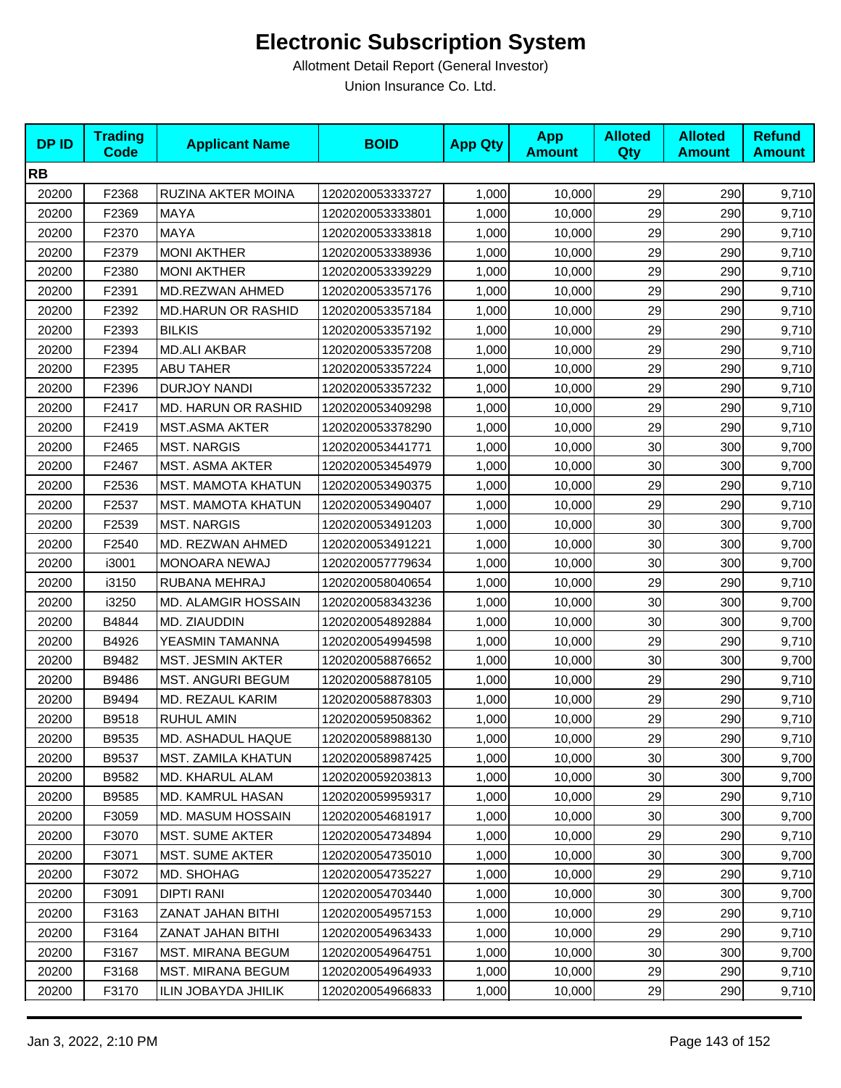| <b>DPID</b> | <b>Trading</b><br><b>Code</b> | <b>Applicant Name</b>      | <b>BOID</b>      | <b>App Qty</b> | <b>App</b><br><b>Amount</b> | <b>Alloted</b><br>Qty | <b>Alloted</b><br><b>Amount</b> | <b>Refund</b><br><b>Amount</b> |
|-------------|-------------------------------|----------------------------|------------------|----------------|-----------------------------|-----------------------|---------------------------------|--------------------------------|
| <b>RB</b>   |                               |                            |                  |                |                             |                       |                                 |                                |
| 20200       | F2368                         | RUZINA AKTER MOINA         | 1202020053333727 | 1,000          | 10,000                      | 29                    | 290                             | 9,710                          |
| 20200       | F2369                         | <b>MAYA</b>                | 1202020053333801 | 1,000          | 10,000                      | 29                    | 290                             | 9,710                          |
| 20200       | F2370                         | <b>MAYA</b>                | 1202020053333818 | 1,000          | 10,000                      | 29                    | 290                             | 9,710                          |
| 20200       | F2379                         | <b>MONI AKTHER</b>         | 1202020053338936 | 1,000          | 10,000                      | 29                    | 290                             | 9,710                          |
| 20200       | F2380                         | <b>MONI AKTHER</b>         | 1202020053339229 | 1,000          | 10,000                      | 29                    | 290                             | 9,710                          |
| 20200       | F2391                         | MD.REZWAN AHMED            | 1202020053357176 | 1,000          | 10,000                      | 29                    | 290                             | 9,710                          |
| 20200       | F2392                         | <b>MD.HARUN OR RASHID</b>  | 1202020053357184 | 1,000          | 10,000                      | 29                    | 290                             | 9,710                          |
| 20200       | F2393                         | <b>BILKIS</b>              | 1202020053357192 | 1,000          | 10,000                      | 29                    | 290                             | 9,710                          |
| 20200       | F2394                         | <b>MD.ALI AKBAR</b>        | 1202020053357208 | 1,000          | 10,000                      | 29                    | 290                             | 9,710                          |
| 20200       | F2395                         | ABU TAHER                  | 1202020053357224 | 1,000          | 10,000                      | 29                    | 290                             | 9,710                          |
| 20200       | F2396                         | <b>DURJOY NANDI</b>        | 1202020053357232 | 1,000          | 10,000                      | 29                    | 290                             | 9,710                          |
| 20200       | F2417                         | MD. HARUN OR RASHID        | 1202020053409298 | 1,000          | 10,000                      | 29                    | 290                             | 9,710                          |
| 20200       | F2419                         | <b>MST.ASMA AKTER</b>      | 1202020053378290 | 1,000          | 10,000                      | 29                    | 290                             | 9,710                          |
| 20200       | F2465                         | <b>MST. NARGIS</b>         | 1202020053441771 | 1,000          | 10,000                      | 30                    | 300                             | 9,700                          |
| 20200       | F2467                         | <b>MST. ASMA AKTER</b>     | 1202020053454979 | 1,000          | 10,000                      | 30                    | 300                             | 9,700                          |
| 20200       | F2536                         | MST. MAMOTA KHATUN         | 1202020053490375 | 1,000          | 10,000                      | 29                    | 290                             | 9,710                          |
| 20200       | F2537                         | <b>MST. MAMOTA KHATUN</b>  | 1202020053490407 | 1,000          | 10,000                      | 29                    | 290                             | 9,710                          |
| 20200       | F2539                         | <b>MST. NARGIS</b>         | 1202020053491203 | 1,000          | 10,000                      | 30                    | 300                             | 9,700                          |
| 20200       | F2540                         | MD. REZWAN AHMED           | 1202020053491221 | 1,000          | 10,000                      | 30                    | 300                             | 9,700                          |
| 20200       | i3001                         | <b>MONOARA NEWAJ</b>       | 1202020057779634 | 1,000          | 10,000                      | 30                    | 300                             | 9,700                          |
| 20200       | i3150                         | RUBANA MEHRAJ              | 1202020058040654 | 1,000          | 10,000                      | 29                    | 290                             | 9,710                          |
| 20200       | i3250                         | <b>MD. ALAMGIR HOSSAIN</b> | 1202020058343236 | 1,000          | 10,000                      | 30                    | 300                             | 9,700                          |
| 20200       | B4844                         | MD. ZIAUDDIN               | 1202020054892884 | 1,000          | 10,000                      | 30                    | 300                             | 9,700                          |
| 20200       | B4926                         | YEASMIN TAMANNA            | 1202020054994598 | 1,000          | 10,000                      | 29                    | 290                             | 9,710                          |
| 20200       | B9482                         | MST. JESMIN AKTER          | 1202020058876652 | 1,000          | 10,000                      | 30                    | 300                             | 9,700                          |
| 20200       | B9486                         | <b>MST. ANGURI BEGUM</b>   | 1202020058878105 | 1,000          | 10,000                      | 29                    | 290                             | 9,710                          |
| 20200       | B9494                         | MD. REZAUL KARIM           | 1202020058878303 | 1,000          | 10,000                      | 29                    | 290                             | 9,710                          |
| 20200       | B9518                         | <b>RUHUL AMIN</b>          | 1202020059508362 | 1,000          | 10,000                      | 29                    | 290                             | 9,710                          |
| 20200       | B9535                         | MD. ASHADUL HAQUE          | 1202020058988130 | 1,000          | 10,000                      | 29                    | 290                             | 9,710                          |
| 20200       | B9537                         | MST. ZAMILA KHATUN         | 1202020058987425 | 1,000          | 10,000                      | 30 <sup>°</sup>       | 300                             | 9,700                          |
| 20200       | B9582                         | <b>MD. KHARUL ALAM</b>     | 1202020059203813 | 1,000          | 10,000                      | 30                    | 300                             | 9,700                          |
| 20200       | B9585                         | MD. KAMRUL HASAN           | 1202020059959317 | 1,000          | 10,000                      | 29                    | 290                             | 9,710                          |
| 20200       | F3059                         | <b>MD. MASUM HOSSAIN</b>   | 1202020054681917 | 1,000          | 10,000                      | 30                    | 300                             | 9,700                          |
| 20200       | F3070                         | <b>MST. SUME AKTER</b>     | 1202020054734894 | 1,000          | 10,000                      | 29                    | 290                             | 9,710                          |
| 20200       | F3071                         | MST. SUME AKTER            | 1202020054735010 | 1,000          | 10,000                      | 30                    | 300                             | 9,700                          |
| 20200       | F3072                         | MD. SHOHAG                 | 1202020054735227 | 1,000          | 10,000                      | 29                    | 290                             | 9,710                          |
| 20200       | F3091                         | <b>DIPTI RANI</b>          | 1202020054703440 | 1,000          | 10,000                      | 30                    | 300                             | 9,700                          |
| 20200       | F3163                         | ZANAT JAHAN BITHI          | 1202020054957153 | 1,000          | 10,000                      | 29                    | 290                             | 9,710                          |
| 20200       | F3164                         | ZANAT JAHAN BITHI          | 1202020054963433 | 1,000          | 10,000                      | 29                    | 290                             | 9,710                          |
| 20200       | F3167                         | <b>MST. MIRANA BEGUM</b>   | 1202020054964751 | 1,000          | 10,000                      | 30                    | 300                             | 9,700                          |
| 20200       | F3168                         | MST. MIRANA BEGUM          | 1202020054964933 | 1,000          | 10,000                      | 29                    | 290                             | 9,710                          |
| 20200       | F3170                         | ILIN JOBAYDA JHILIK        | 1202020054966833 | 1,000          | 10,000                      | 29                    | 290                             | 9,710                          |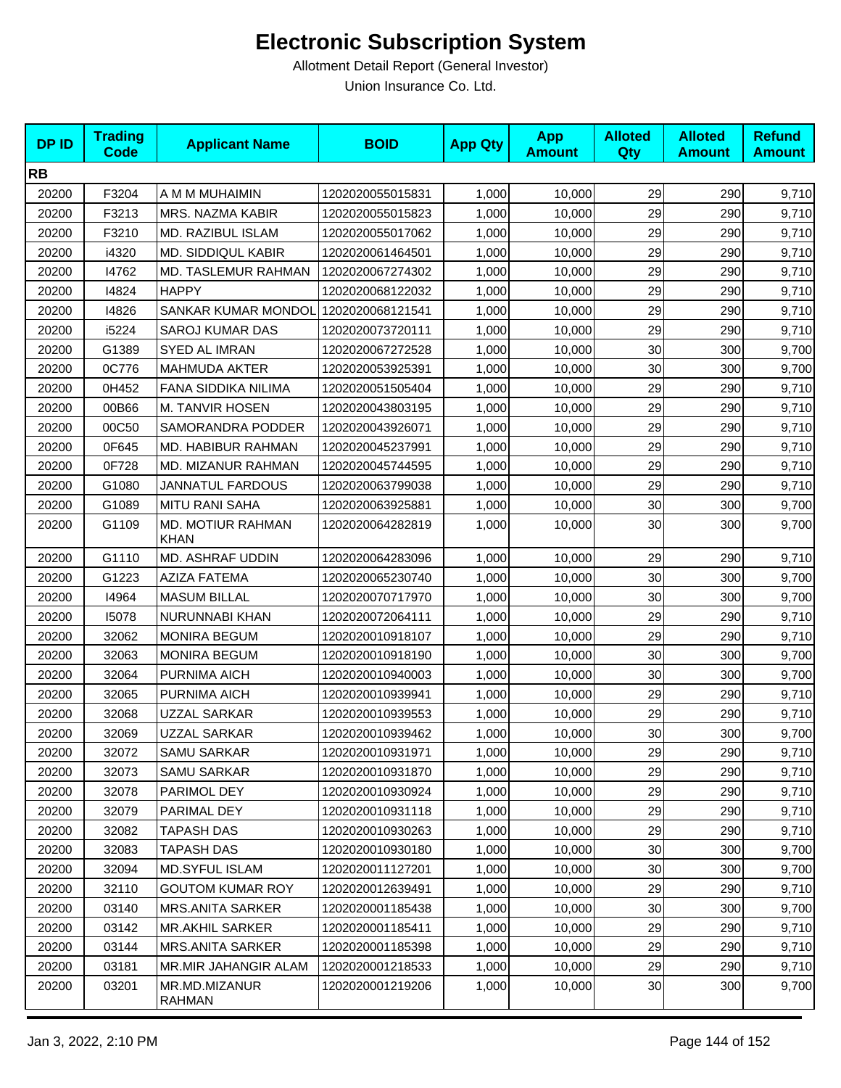| <b>DPID</b> | <b>Trading</b><br><b>Code</b> | <b>Applicant Name</b>            | <b>BOID</b>      | <b>App Qty</b> | <b>App</b><br><b>Amount</b> | <b>Alloted</b><br>Qty | <b>Alloted</b><br><b>Amount</b> | <b>Refund</b><br><b>Amount</b> |
|-------------|-------------------------------|----------------------------------|------------------|----------------|-----------------------------|-----------------------|---------------------------------|--------------------------------|
| <b>RB</b>   |                               |                                  |                  |                |                             |                       |                                 |                                |
| 20200       | F3204                         | A M M MUHAIMIN                   | 1202020055015831 | 1,000          | 10,000                      | 29                    | 290                             | 9,710                          |
| 20200       | F3213                         | MRS. NAZMA KABIR                 | 1202020055015823 | 1,000          | 10,000                      | 29                    | 290                             | 9,710                          |
| 20200       | F3210                         | MD. RAZIBUL ISLAM                | 1202020055017062 | 1,000          | 10,000                      | 29                    | 290                             | 9,710                          |
| 20200       | i4320                         | <b>MD. SIDDIQUL KABIR</b>        | 1202020061464501 | 1,000          | 10,000                      | 29                    | 290                             | 9,710                          |
| 20200       | 14762                         | <b>MD. TASLEMUR RAHMAN</b>       | 1202020067274302 | 1,000          | 10,000                      | 29                    | 290                             | 9,710                          |
| 20200       | 14824                         | <b>HAPPY</b>                     | 1202020068122032 | 1,000          | 10,000                      | 29                    | 290                             | 9,710                          |
| 20200       | 14826                         | SANKAR KUMAR MONDOL              | 1202020068121541 | 1,000          | 10,000                      | 29                    | 290                             | 9,710                          |
| 20200       | i5224                         | <b>SAROJ KUMAR DAS</b>           | 1202020073720111 | 1,000          | 10,000                      | 29                    | 290                             | 9,710                          |
| 20200       | G1389                         | SYED AL IMRAN                    | 1202020067272528 | 1,000          | 10,000                      | 30                    | 300                             | 9,700                          |
| 20200       | 0C776                         | <b>MAHMUDA AKTER</b>             | 1202020053925391 | 1,000          | 10,000                      | 30                    | 300                             | 9,700                          |
| 20200       | 0H452                         | FANA SIDDIKA NILIMA              | 1202020051505404 | 1,000          | 10,000                      | 29                    | 290                             | 9,710                          |
| 20200       | 00B66                         | M. TANVIR HOSEN                  | 1202020043803195 | 1,000          | 10,000                      | 29                    | 290                             | 9,710                          |
| 20200       | 00C50                         | SAMORANDRA PODDER                | 1202020043926071 | 1,000          | 10,000                      | 29                    | 290                             | 9,710                          |
| 20200       | 0F645                         | MD. HABIBUR RAHMAN               | 1202020045237991 | 1,000          | 10,000                      | 29                    | 290                             | 9,710                          |
| 20200       | 0F728                         | MD. MIZANUR RAHMAN               | 1202020045744595 | 1,000          | 10,000                      | 29                    | 290                             | 9,710                          |
| 20200       | G1080                         | <b>JANNATUL FARDOUS</b>          | 1202020063799038 | 1,000          | 10,000                      | 29                    | 290                             | 9,710                          |
| 20200       | G1089                         | <b>MITU RANI SAHA</b>            | 1202020063925881 | 1,000          | 10,000                      | 30                    | 300                             | 9,700                          |
| 20200       | G1109                         | MD. MOTIUR RAHMAN<br><b>KHAN</b> | 1202020064282819 | 1,000          | 10,000                      | 30                    | 300                             | 9,700                          |
| 20200       | G1110                         | MD. ASHRAF UDDIN                 | 1202020064283096 | 1,000          | 10,000                      | 29                    | 290                             | 9,710                          |
| 20200       | G1223                         | <b>AZIZA FATEMA</b>              | 1202020065230740 | 1,000          | 10,000                      | 30                    | 300                             | 9,700                          |
| 20200       | 14964                         | <b>MASUM BILLAL</b>              | 1202020070717970 | 1,000          | 10,000                      | 30                    | 300                             | 9,700                          |
| 20200       | 15078                         | NURUNNABI KHAN                   | 1202020072064111 | 1,000          | 10,000                      | 29                    | 290                             | 9,710                          |
| 20200       | 32062                         | <b>MONIRA BEGUM</b>              | 1202020010918107 | 1,000          | 10,000                      | 29                    | 290                             | 9,710                          |
| 20200       | 32063                         | <b>MONIRA BEGUM</b>              | 1202020010918190 | 1,000          | 10,000                      | 30                    | 300                             | 9,700                          |
| 20200       | 32064                         | PURNIMA AICH                     | 1202020010940003 | 1,000          | 10,000                      | 30                    | 300                             | 9,700                          |
| 20200       | 32065                         | PURNIMA AICH                     | 1202020010939941 | 1,000          | 10,000                      | 29                    | 290                             | 9,710                          |
| 20200       | 32068                         | UZZAL SARKAR                     | 1202020010939553 | 1,000          | 10,000                      | 29                    | 290                             | 9,710                          |
| 20200       | 32069                         | <b>UZZAL SARKAR</b>              | 1202020010939462 | 1,000          | 10,000                      | 30 <sup>1</sup>       | 300                             | 9,700                          |
| 20200       | 32072                         | <b>SAMU SARKAR</b>               | 1202020010931971 | 1,000          | 10,000                      | 29                    | 290                             | 9,710                          |
| 20200       | 32073                         | <b>SAMU SARKAR</b>               | 1202020010931870 | 1,000          | 10,000                      | 29                    | 290                             | 9,710                          |
| 20200       | 32078                         | PARIMOL DEY                      | 1202020010930924 | 1,000          | 10,000                      | 29                    | 290                             | 9,710                          |
| 20200       | 32079                         | PARIMAL DEY                      | 1202020010931118 | 1,000          | 10,000                      | 29                    | 290                             | 9,710                          |
| 20200       | 32082                         | <b>TAPASH DAS</b>                | 1202020010930263 | 1,000          | 10,000                      | 29                    | 290                             | 9,710                          |
| 20200       | 32083                         | <b>TAPASH DAS</b>                | 1202020010930180 | 1,000          | 10,000                      | 30                    | 300                             | 9,700                          |
| 20200       | 32094                         | <b>MD.SYFUL ISLAM</b>            | 1202020011127201 | 1,000          | 10,000                      | 30                    | 300                             | 9,700                          |
| 20200       | 32110                         | <b>GOUTOM KUMAR ROY</b>          | 1202020012639491 | 1,000          | 10,000                      | 29                    | 290                             | 9,710                          |
| 20200       | 03140                         | MRS.ANITA SARKER                 | 1202020001185438 | 1,000          | 10,000                      | 30                    | 300                             | 9,700                          |
| 20200       | 03142                         | <b>MR.AKHIL SARKER</b>           | 1202020001185411 | 1,000          | 10,000                      | 29                    | 290                             | 9,710                          |
| 20200       | 03144                         | <b>MRS.ANITA SARKER</b>          | 1202020001185398 | 1,000          | 10,000                      | 29                    | 290                             | 9,710                          |
| 20200       | 03181                         | <b>MR.MIR JAHANGIR ALAM</b>      | 1202020001218533 | 1,000          | 10,000                      | 29                    | 290                             | 9,710                          |
| 20200       | 03201                         | MR.MD.MIZANUR<br>RAHMAN          | 1202020001219206 | 1,000          | 10,000                      | 30 <sub>0</sub>       | 300                             | 9,700                          |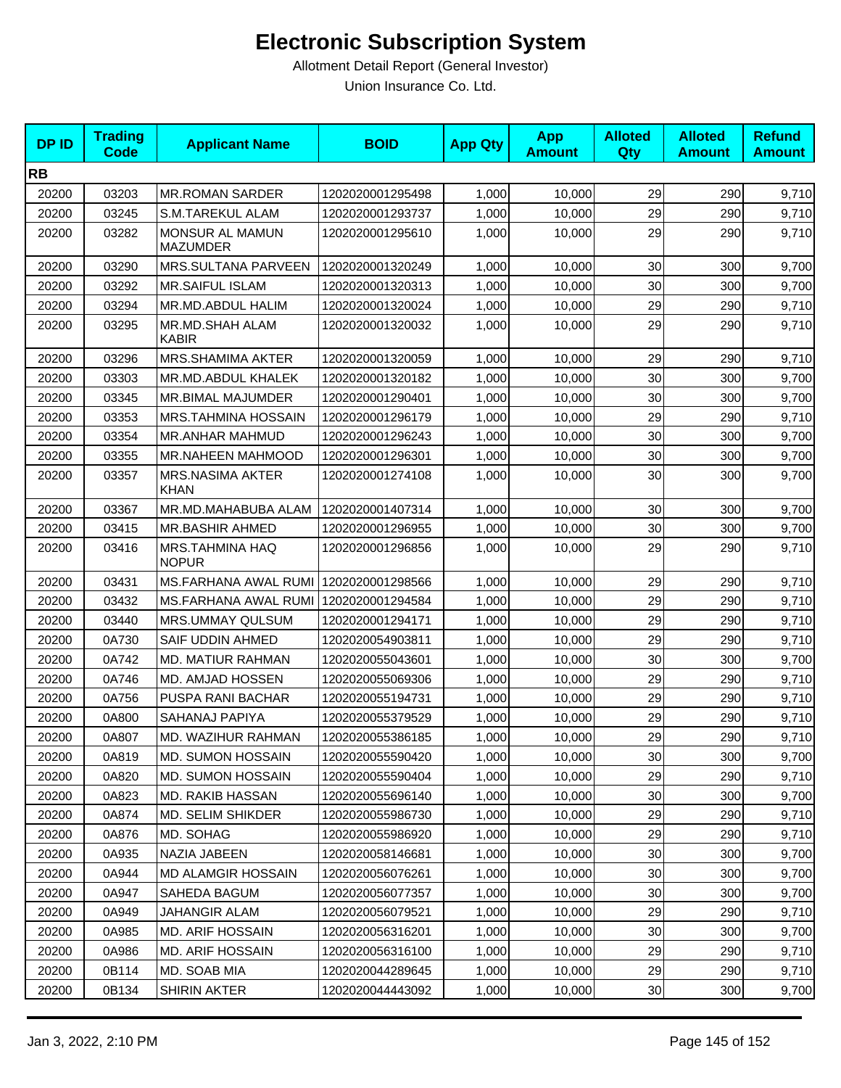| <b>DPID</b> | <b>Trading</b><br><b>Code</b> | <b>Applicant Name</b>              | <b>BOID</b>      | <b>App Qty</b> | <b>App</b><br><b>Amount</b> | <b>Alloted</b><br>Qty | <b>Alloted</b><br><b>Amount</b> | <b>Refund</b><br><b>Amount</b> |
|-------------|-------------------------------|------------------------------------|------------------|----------------|-----------------------------|-----------------------|---------------------------------|--------------------------------|
| <b>RB</b>   |                               |                                    |                  |                |                             |                       |                                 |                                |
| 20200       | 03203                         | <b>MR.ROMAN SARDER</b>             | 1202020001295498 | 1,000          | 10,000                      | 29                    | 290                             | 9,710                          |
| 20200       | 03245                         | S.M.TAREKUL ALAM                   | 1202020001293737 | 1,000          | 10,000                      | 29                    | 290                             | 9,710                          |
| 20200       | 03282                         | MONSUR AL MAMUN<br><b>MAZUMDER</b> | 1202020001295610 | 1,000          | 10,000                      | 29                    | 290                             | 9,710                          |
| 20200       | 03290                         | MRS.SULTANA PARVEEN                | 1202020001320249 | 1,000          | 10,000                      | 30                    | 300                             | 9,700                          |
| 20200       | 03292                         | <b>MR.SAIFUL ISLAM</b>             | 1202020001320313 | 1,000          | 10,000                      | 30                    | 300                             | 9,700                          |
| 20200       | 03294                         | MR.MD.ABDUL HALIM                  | 1202020001320024 | 1,000          | 10,000                      | 29                    | 290                             | 9,710                          |
| 20200       | 03295                         | MR.MD.SHAH ALAM<br>KABIR           | 1202020001320032 | 1,000          | 10,000                      | 29                    | 290                             | 9,710                          |
| 20200       | 03296                         | MRS.SHAMIMA AKTER                  | 1202020001320059 | 1,000          | 10,000                      | 29                    | 290                             | 9,710                          |
| 20200       | 03303                         | MR.MD.ABDUL KHALEK                 | 1202020001320182 | 1,000          | 10,000                      | 30                    | 300                             | 9,700                          |
| 20200       | 03345                         | MR.BIMAL MAJUMDER                  | 1202020001290401 | 1,000          | 10,000                      | 30                    | 300                             | 9,700                          |
| 20200       | 03353                         | <b>MRS.TAHMINA HOSSAIN</b>         | 1202020001296179 | 1,000          | 10,000                      | 29                    | 290                             | 9,710                          |
| 20200       | 03354                         | <b>MR.ANHAR MAHMUD</b>             | 1202020001296243 | 1,000          | 10,000                      | 30                    | 300                             | 9,700                          |
| 20200       | 03355                         | MR.NAHEEN MAHMOOD                  | 1202020001296301 | 1,000          | 10,000                      | 30                    | 300                             | 9,700                          |
| 20200       | 03357                         | <b>MRS.NASIMA AKTER</b><br>KHAN    | 1202020001274108 | 1,000          | 10,000                      | 30                    | 300                             | 9,700                          |
| 20200       | 03367                         | MR.MD.MAHABUBA ALAM                | 1202020001407314 | 1,000          | 10,000                      | 30                    | 300                             | 9,700                          |
| 20200       | 03415                         | <b>MR.BASHIR AHMED</b>             | 1202020001296955 | 1,000          | 10,000                      | 30                    | 300                             | 9,700                          |
| 20200       | 03416                         | MRS.TAHMINA HAQ<br><b>NOPUR</b>    | 1202020001296856 | 1,000          | 10,000                      | 29                    | 290                             | 9,710                          |
| 20200       | 03431                         | MS.FARHANA AWAL RUMI               | 1202020001298566 | 1,000          | 10,000                      | 29                    | 290                             | 9,710                          |
| 20200       | 03432                         | MS.FARHANA AWAL RUMI               | 1202020001294584 | 1,000          | 10,000                      | 29                    | 290                             | 9,710                          |
| 20200       | 03440                         | MRS.UMMAY QULSUM                   | 1202020001294171 | 1,000          | 10,000                      | 29                    | 290                             | 9,710                          |
| 20200       | 0A730                         | SAIF UDDIN AHMED                   | 1202020054903811 | 1,000          | 10,000                      | 29                    | 290                             | 9,710                          |
| 20200       | 0A742                         | <b>MD. MATIUR RAHMAN</b>           | 1202020055043601 | 1,000          | 10,000                      | 30                    | 300                             | 9,700                          |
| 20200       | 0A746                         | MD. AMJAD HOSSEN                   | 1202020055069306 | 1,000          | 10,000                      | 29                    | 290                             | 9,710                          |
| 20200       | 0A756                         | PUSPA RANI BACHAR                  | 1202020055194731 | 1,000          | 10,000                      | 29                    | 290                             | 9,710                          |
| 20200       | 0A800                         | SAHANAJ PAPIYA                     | 1202020055379529 | 1,000          | 10,000                      | 29                    | 290                             | 9,710                          |
| 20200       | 0A807                         | MD. WAZIHUR RAHMAN                 | 1202020055386185 | 1,000          | 10,000                      | 29                    | 290                             | 9,710                          |
| 20200       | 0A819                         | MD. SUMON HOSSAIN                  | 1202020055590420 | 1,000          | 10,000                      | 30                    | 300                             | 9,700                          |
| 20200       | 0A820                         | MD. SUMON HOSSAIN                  | 1202020055590404 | 1,000          | 10,000                      | 29                    | 290                             | 9,710                          |
| 20200       | 0A823                         | MD. RAKIB HASSAN                   | 1202020055696140 | 1,000          | 10,000                      | 30                    | 300                             | 9,700                          |
| 20200       | 0A874                         | MD. SELIM SHIKDER                  | 1202020055986730 | 1,000          | 10,000                      | 29                    | 290                             | 9,710                          |
| 20200       | 0A876                         | MD. SOHAG                          | 1202020055986920 | 1,000          | 10,000                      | 29                    | 290                             | 9,710                          |
| 20200       | 0A935                         | NAZIA JABEEN                       | 1202020058146681 | 1,000          | 10,000                      | 30                    | 300                             | 9,700                          |
| 20200       | 0A944                         | <b>MD ALAMGIR HOSSAIN</b>          | 1202020056076261 | 1,000          | 10,000                      | 30                    | 300                             | 9,700                          |
| 20200       | 0A947                         | SAHEDA BAGUM                       | 1202020056077357 | 1,000          | 10,000                      | 30                    | 300                             | 9,700                          |
| 20200       | 0A949                         | <b>JAHANGIR ALAM</b>               | 1202020056079521 | 1,000          | 10,000                      | 29                    | 290                             | 9,710                          |
| 20200       | 0A985                         | <b>MD. ARIF HOSSAIN</b>            | 1202020056316201 | 1,000          | 10,000                      | 30 <sub>0</sub>       | 300                             | 9,700                          |
| 20200       | 0A986                         | <b>MD. ARIF HOSSAIN</b>            | 1202020056316100 | 1,000          | 10,000                      | 29                    | 290                             | 9,710                          |
| 20200       | 0B114                         | MD. SOAB MIA                       | 1202020044289645 | 1,000          | 10,000                      | 29                    | 290                             | 9,710                          |
| 20200       | 0B134                         | <b>SHIRIN AKTER</b>                | 1202020044443092 | 1,000          | 10,000                      | 30                    | 300                             | 9,700                          |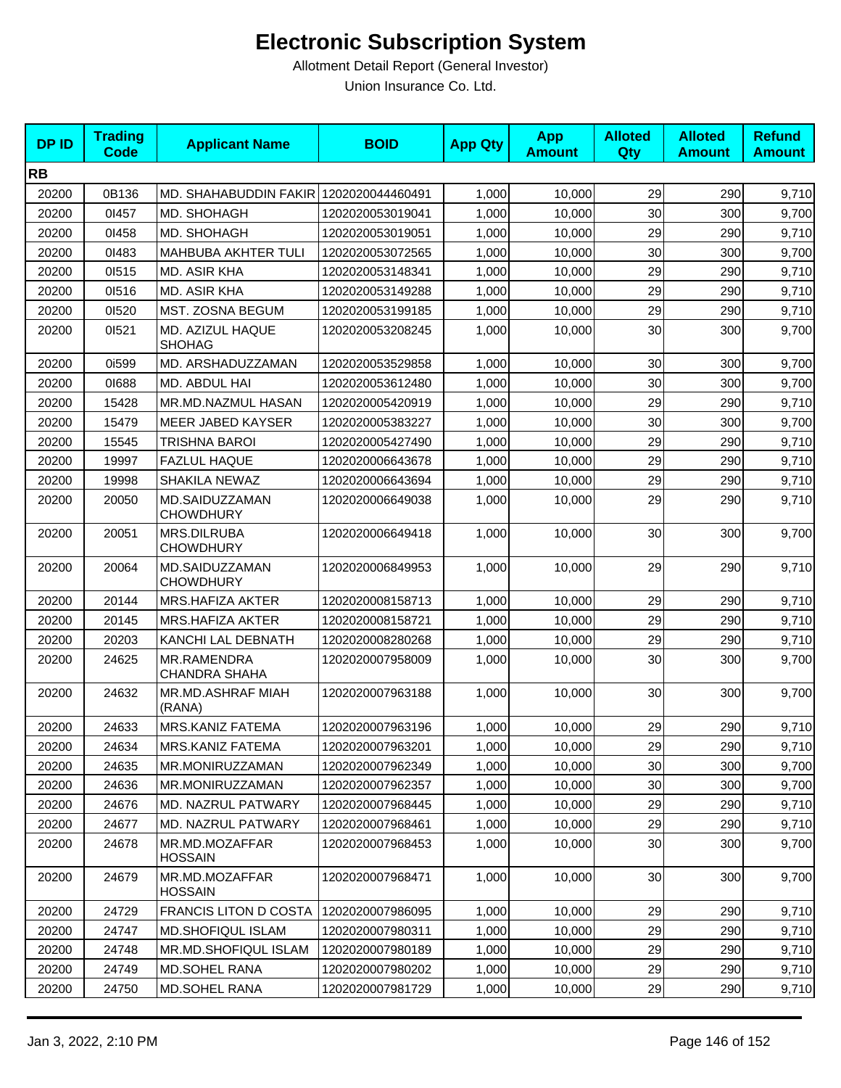| <b>DPID</b> | <b>Trading</b><br><b>Code</b> | <b>Applicant Name</b>                  | <b>BOID</b>      | <b>App Qty</b> | <b>App</b><br><b>Amount</b> | <b>Alloted</b><br>Qty | <b>Alloted</b><br><b>Amount</b> | <b>Refund</b><br><b>Amount</b> |
|-------------|-------------------------------|----------------------------------------|------------------|----------------|-----------------------------|-----------------------|---------------------------------|--------------------------------|
| <b>RB</b>   |                               |                                        |                  |                |                             |                       |                                 |                                |
| 20200       | 0B136                         | MD. SHAHABUDDIN FAKIR                  | 1202020044460491 | 1,000          | 10,000                      | 29                    | 290                             | 9,710                          |
| 20200       | 01457                         | MD. SHOHAGH                            | 1202020053019041 | 1,000          | 10,000                      | 30                    | 300                             | 9,700                          |
| 20200       | 01458                         | <b>MD. SHOHAGH</b>                     | 1202020053019051 | 1,000          | 10,000                      | 29                    | 290                             | 9,710                          |
| 20200       | 01483                         | MAHBUBA AKHTER TULI                    | 1202020053072565 | 1,000          | 10,000                      | 30                    | 300                             | 9,700                          |
| 20200       | 01515                         | MD. ASIR KHA                           | 1202020053148341 | 1,000          | 10,000                      | 29                    | 290                             | 9,710                          |
| 20200       | 01516                         | MD. ASIR KHA                           | 1202020053149288 | 1,000          | 10.000                      | 29                    | 290                             | 9,710                          |
| 20200       | 01520                         | MST. ZOSNA BEGUM                       | 1202020053199185 | 1,000          | 10,000                      | 29                    | 290                             | 9,710                          |
| 20200       | 01521                         | MD. AZIZUL HAQUE<br><b>SHOHAG</b>      | 1202020053208245 | 1,000          | 10,000                      | 30                    | 300                             | 9,700                          |
| 20200       | 0i599                         | MD. ARSHADUZZAMAN                      | 1202020053529858 | 1,000          | 10,000                      | 30                    | 300                             | 9,700                          |
| 20200       | 01688                         | MD. ABDUL HAI                          | 1202020053612480 | 1,000          | 10,000                      | 30                    | 300                             | 9,700                          |
| 20200       | 15428                         | MR.MD.NAZMUL HASAN                     | 1202020005420919 | 1,000          | 10,000                      | 29                    | 290                             | 9,710                          |
| 20200       | 15479                         | MEER JABED KAYSER                      | 1202020005383227 | 1,000          | 10.000                      | 30                    | 300                             | 9,700                          |
| 20200       | 15545                         | TRISHNA BAROI                          | 1202020005427490 | 1,000          | 10,000                      | 29                    | 290                             | 9,710                          |
| 20200       | 19997                         | <b>FAZLUL HAQUE</b>                    | 1202020006643678 | 1,000          | 10,000                      | 29                    | 290                             | 9,710                          |
| 20200       | 19998                         | SHAKILA NEWAZ                          | 1202020006643694 | 1,000          | 10.000                      | 29                    | 290                             | 9,710                          |
| 20200       | 20050                         | MD.SAIDUZZAMAN<br><b>CHOWDHURY</b>     | 1202020006649038 | 1,000          | 10,000                      | 29                    | 290                             | 9,710                          |
| 20200       | 20051                         | <b>MRS.DILRUBA</b><br><b>CHOWDHURY</b> | 1202020006649418 | 1,000          | 10,000                      | 30                    | 300                             | 9,700                          |
| 20200       | 20064                         | MD.SAIDUZZAMAN<br><b>CHOWDHURY</b>     | 1202020006849953 | 1,000          | 10,000                      | 29                    | 290                             | 9,710                          |
| 20200       | 20144                         | <b>MRS.HAFIZA AKTER</b>                | 1202020008158713 | 1,000          | 10,000                      | 29                    | 290                             | 9,710                          |
| 20200       | 20145                         | <b>MRS.HAFIZA AKTER</b>                | 1202020008158721 | 1,000          | 10,000                      | 29                    | 290                             | 9,710                          |
| 20200       | 20203                         | KANCHI LAL DEBNATH                     | 1202020008280268 | 1,000          | 10,000                      | 29                    | 290                             | 9,710                          |
| 20200       | 24625                         | MR.RAMENDRA<br><b>CHANDRA SHAHA</b>    | 1202020007958009 | 1,000          | 10,000                      | 30                    | 300                             | 9,700                          |
| 20200       | 24632                         | MR.MD.ASHRAF MIAH<br>(RANA)            | 1202020007963188 | 1,000          | 10,000                      | 30                    | 300                             | 9,700                          |
| 20200       | 24633                         | MRS.KANIZ FATEMA                       | 1202020007963196 | 1,000          | 10,000                      | 29                    | 290                             | 9,710                          |
| 20200       | 24634                         | MRS.KANIZ FATEMA                       | 1202020007963201 | 1,000          | 10,000                      | 29                    | 290                             | 9,710                          |
| 20200       | 24635                         | MR.MONIRUZZAMAN                        | 1202020007962349 | 1,000          | 10,000                      | 30                    | 300                             | 9,700                          |
| 20200       | 24636                         | MR.MONIRUZZAMAN                        | 1202020007962357 | 1,000          | 10,000                      | 30                    | 300                             | 9,700                          |
| 20200       | 24676                         | MD. NAZRUL PATWARY                     | 1202020007968445 | 1,000          | 10,000                      | 29                    | 290                             | 9,710                          |
| 20200       | 24677                         | <b>MD. NAZRUL PATWARY</b>              | 1202020007968461 | 1,000          | 10,000                      | 29                    | 290                             | 9,710                          |
| 20200       | 24678                         | MR.MD.MOZAFFAR<br><b>HOSSAIN</b>       | 1202020007968453 | 1,000          | 10,000                      | 30                    | 300                             | 9,700                          |
| 20200       | 24679                         | MR.MD.MOZAFFAR<br><b>HOSSAIN</b>       | 1202020007968471 | 1,000          | 10,000                      | 30                    | 300                             | 9,700                          |
| 20200       | 24729                         | <b>FRANCIS LITON D COSTA</b>           | 1202020007986095 | 1,000          | 10,000                      | 29                    | 290                             | 9,710                          |
| 20200       | 24747                         | <b>MD.SHOFIQUL ISLAM</b>               | 1202020007980311 | 1,000          | 10,000                      | 29                    | 290                             | 9,710                          |
| 20200       | 24748                         | MR.MD.SHOFIQUL ISLAM                   | 1202020007980189 | 1,000          | 10,000                      | 29                    | 290                             | 9,710                          |
| 20200       | 24749                         | MD.SOHEL RANA                          | 1202020007980202 | 1,000          | 10,000                      | 29                    | 290                             | 9,710                          |
| 20200       | 24750                         | <b>MD.SOHEL RANA</b>                   | 1202020007981729 | 1,000          | 10,000                      | 29                    | 290                             | 9,710                          |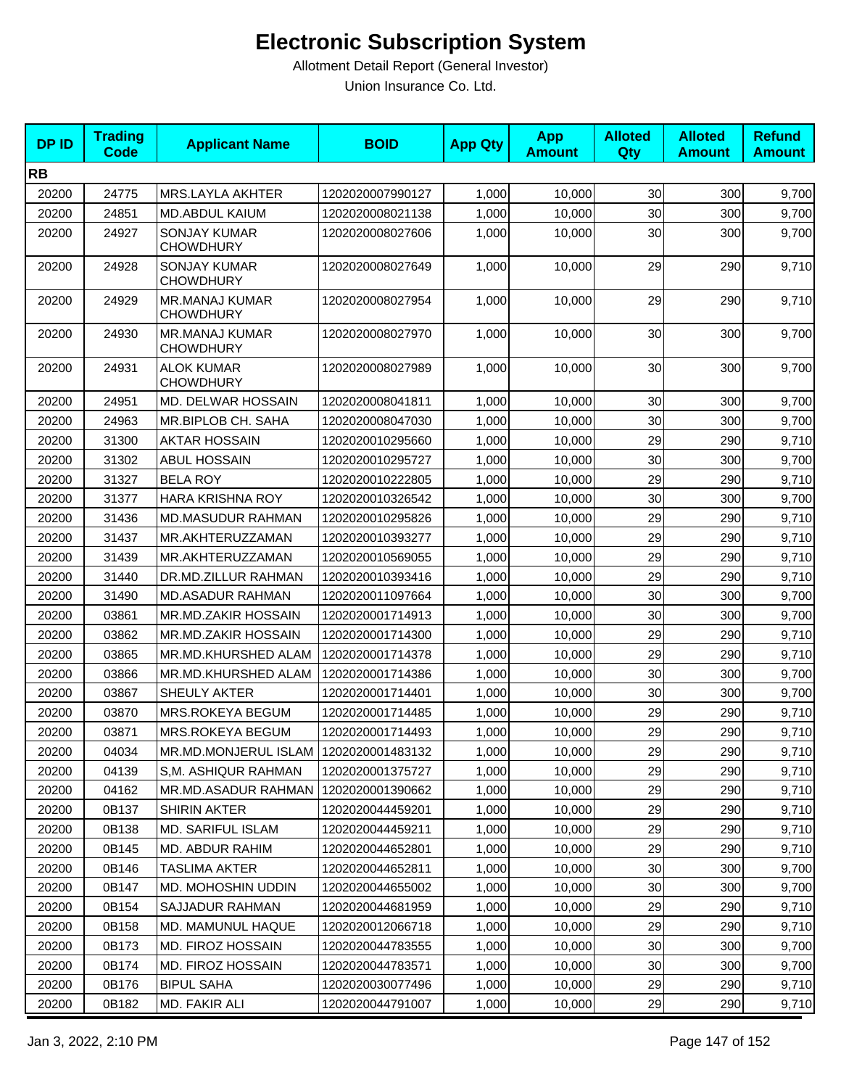| <b>DPID</b> | <b>Trading</b><br>Code | <b>Applicant Name</b>                     | <b>BOID</b>      | <b>App Qty</b> | <b>App</b><br><b>Amount</b> | <b>Alloted</b><br>Qty | <b>Alloted</b><br><b>Amount</b> | <b>Refund</b><br><b>Amount</b> |
|-------------|------------------------|-------------------------------------------|------------------|----------------|-----------------------------|-----------------------|---------------------------------|--------------------------------|
| <b>RB</b>   |                        |                                           |                  |                |                             |                       |                                 |                                |
| 20200       | 24775                  | <b>MRS.LAYLA AKHTER</b>                   | 1202020007990127 | 1,000          | 10,000                      | 30                    | 300                             | 9,700                          |
| 20200       | 24851                  | MD.ABDUL KAIUM                            | 1202020008021138 | 1,000          | 10,000                      | 30                    | 300                             | 9,700                          |
| 20200       | 24927                  | <b>SONJAY KUMAR</b><br><b>CHOWDHURY</b>   | 1202020008027606 | 1,000          | 10,000                      | 30                    | 300                             | 9,700                          |
| 20200       | 24928                  | <b>SONJAY KUMAR</b><br>CHOWDHURY          | 1202020008027649 | 1,000          | 10,000                      | 29                    | 290                             | 9,710                          |
| 20200       | 24929                  | <b>MR.MANAJ KUMAR</b><br><b>CHOWDHURY</b> | 1202020008027954 | 1,000          | 10,000                      | 29                    | 290                             | 9,710                          |
| 20200       | 24930                  | <b>MR.MANAJ KUMAR</b><br><b>CHOWDHURY</b> | 1202020008027970 | 1,000          | 10,000                      | 30                    | 300                             | 9,700                          |
| 20200       | 24931                  | <b>ALOK KUMAR</b><br><b>CHOWDHURY</b>     | 1202020008027989 | 1,000          | 10,000                      | 30                    | 300                             | 9,700                          |
| 20200       | 24951                  | MD. DELWAR HOSSAIN                        | 1202020008041811 | 1,000          | 10,000                      | 30                    | 300                             | 9,700                          |
| 20200       | 24963                  | MR.BIPLOB CH. SAHA                        | 1202020008047030 | 1,000          | 10,000                      | 30                    | 300                             | 9,700                          |
| 20200       | 31300                  | <b>AKTAR HOSSAIN</b>                      | 1202020010295660 | 1,000          | 10,000                      | 29                    | 290                             | 9,710                          |
| 20200       | 31302                  | <b>ABUL HOSSAIN</b>                       | 1202020010295727 | 1,000          | 10,000                      | 30                    | 300                             | 9,700                          |
| 20200       | 31327                  | <b>BELA ROY</b>                           | 1202020010222805 | 1,000          | 10,000                      | 29                    | 290                             | 9,710                          |
| 20200       | 31377                  | <b>HARA KRISHNA ROY</b>                   | 1202020010326542 | 1,000          | 10.000                      | 30                    | 300                             | 9,700                          |
| 20200       | 31436                  | MD.MASUDUR RAHMAN                         | 1202020010295826 | 1,000          | 10,000                      | 29                    | 290                             | 9,710                          |
| 20200       | 31437                  | MR.AKHTERUZZAMAN                          | 1202020010393277 | 1,000          | 10,000                      | 29                    | 290                             | 9,710                          |
| 20200       | 31439                  | MR.AKHTERUZZAMAN                          | 1202020010569055 | 1,000          | 10,000                      | 29                    | 290                             | 9,710                          |
| 20200       | 31440                  | DR.MD.ZILLUR RAHMAN                       | 1202020010393416 | 1,000          | 10,000                      | 29                    | 290                             | 9,710                          |
| 20200       | 31490                  | <b>MD.ASADUR RAHMAN</b>                   | 1202020011097664 | 1,000          | 10,000                      | 30                    | 300                             | 9,700                          |
| 20200       | 03861                  | MR.MD.ZAKIR HOSSAIN                       | 1202020001714913 | 1,000          | 10,000                      | 30                    | 300                             | 9,700                          |
| 20200       | 03862                  | MR.MD.ZAKIR HOSSAIN                       | 1202020001714300 | 1,000          | 10,000                      | 29                    | 290                             | 9,710                          |
| 20200       | 03865                  | MR.MD.KHURSHED ALAM                       | 1202020001714378 | 1,000          | 10,000                      | 29                    | 290                             | 9,710                          |
| 20200       | 03866                  | MR.MD.KHURSHED ALAM                       | 1202020001714386 | 1,000          | 10,000                      | 30                    | 300                             | 9,700                          |
| 20200       | 03867                  | SHEULY AKTER                              | 1202020001714401 | 1,000          | 10,000                      | 30                    | 300                             | 9,700                          |
| 20200       | 03870                  | MRS.ROKEYA BEGUM                          | 1202020001714485 | 1,000          | 10.000                      | 29                    | 290                             | 9,710                          |
| 20200       | 03871                  | MRS.ROKEYA BEGUM                          | 1202020001714493 | 1,000          | 10,000                      | 29                    | 290                             | 9,710                          |
| 20200       | 04034                  | MR.MD.MONJERUL ISLAM   1202020001483132   |                  | 1,000          | 10,000                      | 29                    | 290                             | 9,710                          |
| 20200       | 04139                  | S.M. ASHIQUR RAHMAN                       | 1202020001375727 | 1,000          | 10,000                      | 29                    | 290                             | 9,710                          |
| 20200       | 04162                  | MR.MD.ASADUR RAHMAN                       | 1202020001390662 | 1,000          | 10,000                      | 29                    | 290                             | 9,710                          |
| 20200       | 0B137                  | SHIRIN AKTER                              | 1202020044459201 | 1,000          | 10,000                      | 29                    | 290                             | 9,710                          |
| 20200       | 0B138                  | <b>MD. SARIFUL ISLAM</b>                  | 1202020044459211 | 1,000          | 10.000                      | 29                    | 290                             | 9,710                          |
| 20200       | 0B145                  | <b>MD. ABDUR RAHIM</b>                    | 1202020044652801 | 1,000          | 10,000                      | 29                    | 290                             | 9,710                          |
| 20200       | 0B146                  | <b>TASLIMA AKTER</b>                      | 1202020044652811 | 1,000          | 10,000                      | 30                    | 300                             | 9,700                          |
| 20200       | 0B147                  | MD. MOHOSHIN UDDIN                        | 1202020044655002 | 1,000          | 10.000                      | 30                    | 300                             | 9,700                          |
| 20200       | 0B154                  | SAJJADUR RAHMAN                           | 1202020044681959 | 1,000          | 10,000                      | 29                    | 290                             | 9,710                          |
| 20200       | 0B158                  | MD. MAMUNUL HAQUE                         | 1202020012066718 | 1,000          | 10,000                      | 29                    | 290                             | 9,710                          |
| 20200       | 0B173                  | MD. FIROZ HOSSAIN                         | 1202020044783555 | 1,000          | 10,000                      | 30                    | 300                             | 9,700                          |
| 20200       | 0B174                  | <b>MD. FIROZ HOSSAIN</b>                  | 1202020044783571 | 1,000          | 10,000                      | 30                    | 300                             | 9,700                          |
| 20200       | 0B176                  | <b>BIPUL SAHA</b>                         | 1202020030077496 | 1,000          | 10,000                      | 29                    | 290                             | 9,710                          |
| 20200       | 0B182                  | MD. FAKIR ALI                             | 1202020044791007 | 1,000          | 10,000                      | 29                    | 290                             | 9,710                          |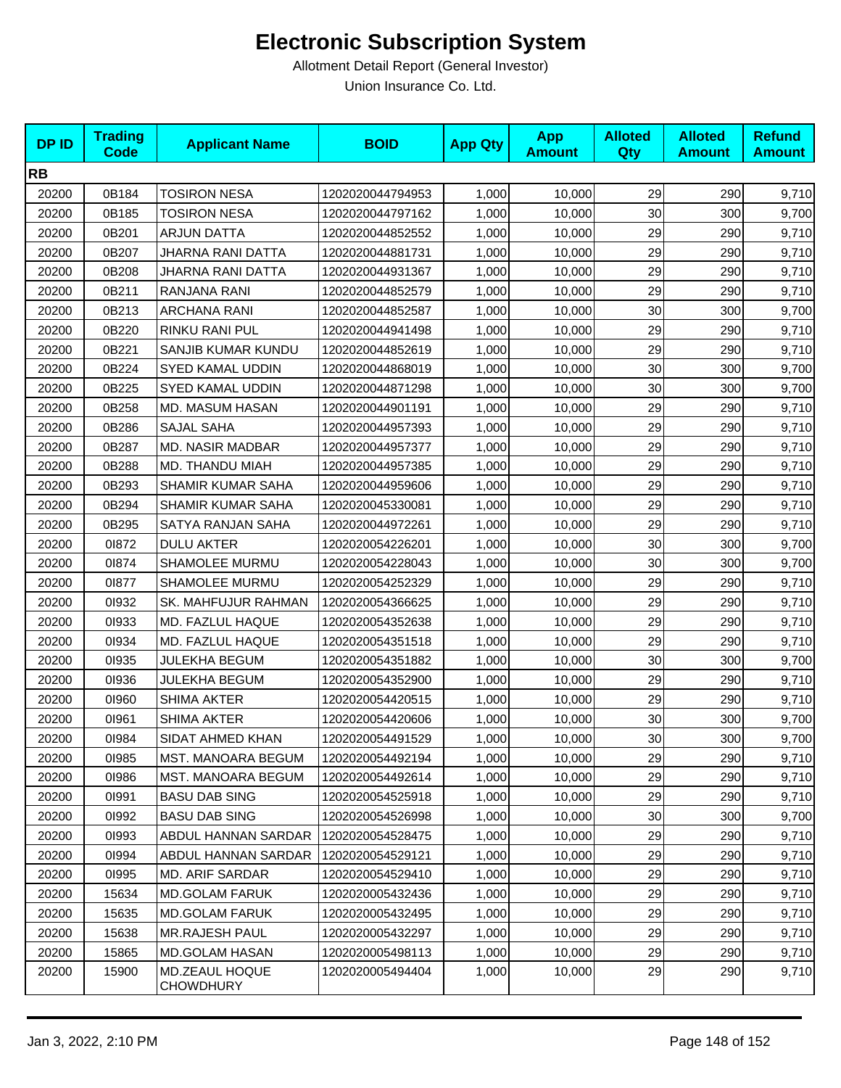| <b>DPID</b> | <b>Trading</b><br><b>Code</b> | <b>Applicant Name</b>              | <b>BOID</b>      | <b>App Qty</b> | <b>App</b><br><b>Amount</b> | <b>Alloted</b><br>Qty | <b>Alloted</b><br><b>Amount</b> | <b>Refund</b><br><b>Amount</b> |
|-------------|-------------------------------|------------------------------------|------------------|----------------|-----------------------------|-----------------------|---------------------------------|--------------------------------|
| <b>RB</b>   |                               |                                    |                  |                |                             |                       |                                 |                                |
| 20200       | 0B184                         | <b>TOSIRON NESA</b>                | 1202020044794953 | 1,000          | 10,000                      | 29                    | 290                             | 9,710                          |
| 20200       | 0B185                         | <b>TOSIRON NESA</b>                | 1202020044797162 | 1,000          | 10,000                      | 30                    | 300                             | 9,700                          |
| 20200       | 0B201                         | ARJUN DATTA                        | 1202020044852552 | 1,000          | 10,000                      | 29                    | 290                             | 9,710                          |
| 20200       | 0B207                         | JHARNA RANI DATTA                  | 1202020044881731 | 1,000          | 10,000                      | 29                    | 290                             | 9,710                          |
| 20200       | 0B208                         | JHARNA RANI DATTA                  | 1202020044931367 | 1,000          | 10,000                      | 29                    | 290                             | 9,710                          |
| 20200       | 0B211                         | RANJANA RANI                       | 1202020044852579 | 1,000          | 10,000                      | 29                    | 290                             | 9,710                          |
| 20200       | 0B213                         | <b>ARCHANA RANI</b>                | 1202020044852587 | 1,000          | 10,000                      | 30                    | 300                             | 9,700                          |
| 20200       | 0B220                         | RINKU RANI PUL                     | 1202020044941498 | 1,000          | 10,000                      | 29                    | 290                             | 9,710                          |
| 20200       | 0B221                         | SANJIB KUMAR KUNDU                 | 1202020044852619 | 1,000          | 10,000                      | 29                    | 290                             | 9,710                          |
| 20200       | 0B224                         | SYED KAMAL UDDIN                   | 1202020044868019 | 1,000          | 10,000                      | 30                    | 300                             | 9,700                          |
| 20200       | 0B225                         | SYED KAMAL UDDIN                   | 1202020044871298 | 1,000          | 10,000                      | 30                    | 300                             | 9,700                          |
| 20200       | 0B258                         | MD. MASUM HASAN                    | 1202020044901191 | 1,000          | 10,000                      | 29                    | 290                             | 9,710                          |
| 20200       | 0B286                         | <b>SAJAL SAHA</b>                  | 1202020044957393 | 1,000          | 10,000                      | 29                    | 290                             | 9,710                          |
| 20200       | 0B287                         | <b>MD. NASIR MADBAR</b>            | 1202020044957377 | 1,000          | 10,000                      | 29                    | 290                             | 9,710                          |
| 20200       | 0B288                         | MD. THANDU MIAH                    | 1202020044957385 | 1,000          | 10,000                      | 29                    | 290                             | 9,710                          |
| 20200       | 0B293                         | <b>SHAMIR KUMAR SAHA</b>           | 1202020044959606 | 1,000          | 10,000                      | 29                    | 290                             | 9,710                          |
| 20200       | 0B294                         | SHAMIR KUMAR SAHA                  | 1202020045330081 | 1,000          | 10,000                      | 29                    | 290                             | 9,710                          |
| 20200       | 0B295                         | SATYA RANJAN SAHA                  | 1202020044972261 | 1,000          | 10,000                      | 29                    | 290                             | 9,710                          |
| 20200       | 01872                         | <b>DULU AKTER</b>                  | 1202020054226201 | 1,000          | 10,000                      | 30                    | 300                             | 9,700                          |
| 20200       | 01874                         | SHAMOLEE MURMU                     | 1202020054228043 | 1,000          | 10,000                      | 30                    | 300                             | 9,700                          |
| 20200       | 01877                         | <b>SHAMOLEE MURMU</b>              | 1202020054252329 | 1,000          | 10,000                      | 29                    | 290                             | 9,710                          |
| 20200       | 01932                         | <b>SK. MAHFUJUR RAHMAN</b>         | 1202020054366625 | 1,000          | 10,000                      | 29                    | 290                             | 9,710                          |
| 20200       | 01933                         | MD. FAZLUL HAQUE                   | 1202020054352638 | 1,000          | 10,000                      | 29                    | 290                             | 9,710                          |
| 20200       | 01934                         | MD. FAZLUL HAQUE                   | 1202020054351518 | 1,000          | 10,000                      | 29                    | 290                             | 9,710                          |
| 20200       | 01935                         | JULEKHA BEGUM                      | 1202020054351882 | 1,000          | 10,000                      | 30                    | 300                             | 9,700                          |
| 20200       | 01936                         | <b>JULEKHA BEGUM</b>               | 1202020054352900 | 1,000          | 10,000                      | 29                    | 290                             | 9,710                          |
| 20200       | 01960                         | <b>SHIMA AKTER</b>                 | 1202020054420515 | 1,000          | 10,000                      | 29                    | 290                             | 9,710                          |
| 20200       | 01961                         | <b>SHIMA AKTER</b>                 | 1202020054420606 | 1,000          | 10,000                      | 30                    | 300                             | 9,700                          |
| 20200       | 01984                         | SIDAT AHMED KHAN                   | 1202020054491529 | 1,000          | 10,000                      | 30                    | 300                             | 9,700                          |
| 20200       | 01985                         | MST. MANOARA BEGUM                 | 1202020054492194 | 1,000          | 10,000                      | 29                    | 290                             | 9,710                          |
| 20200       | 01986                         | <b>MST. MANOARA BEGUM</b>          | 1202020054492614 | 1,000          | 10,000                      | 29                    | 290                             | 9,710                          |
| 20200       | 01991                         | <b>BASU DAB SING</b>               | 1202020054525918 | 1,000          | 10,000                      | 29                    | 290                             | 9,710                          |
| 20200       | 01992                         | <b>BASU DAB SING</b>               | 1202020054526998 | 1,000          | 10,000                      | 30                    | 300                             | 9,700                          |
| 20200       | 01993                         | ABDUL HANNAN SARDAR                | 1202020054528475 | 1,000          | 10,000                      | 29                    | 290                             | 9,710                          |
| 20200       | 01994                         | ABDUL HANNAN SARDAR                | 1202020054529121 | 1,000          | 10,000                      | 29                    | 290                             | 9,710                          |
| 20200       | 01995                         | <b>MD. ARIF SARDAR</b>             | 1202020054529410 | 1,000          | 10,000                      | 29                    | 290                             | 9,710                          |
| 20200       | 15634                         | <b>MD.GOLAM FARUK</b>              | 1202020005432436 | 1,000          | 10,000                      | 29                    | 290                             | 9,710                          |
| 20200       | 15635                         | <b>MD.GOLAM FARUK</b>              | 1202020005432495 | 1,000          | 10,000                      | 29                    | 290                             | 9,710                          |
| 20200       | 15638                         | <b>MR.RAJESH PAUL</b>              | 1202020005432297 | 1,000          | 10,000                      | 29                    | 290                             | 9,710                          |
| 20200       | 15865                         | <b>MD.GOLAM HASAN</b>              | 1202020005498113 | 1,000          | 10,000                      | 29                    | 290                             | 9,710                          |
| 20200       | 15900                         | MD.ZEAUL HOQUE<br><b>CHOWDHURY</b> | 1202020005494404 | 1,000          | 10,000                      | 29                    | 290                             | 9,710                          |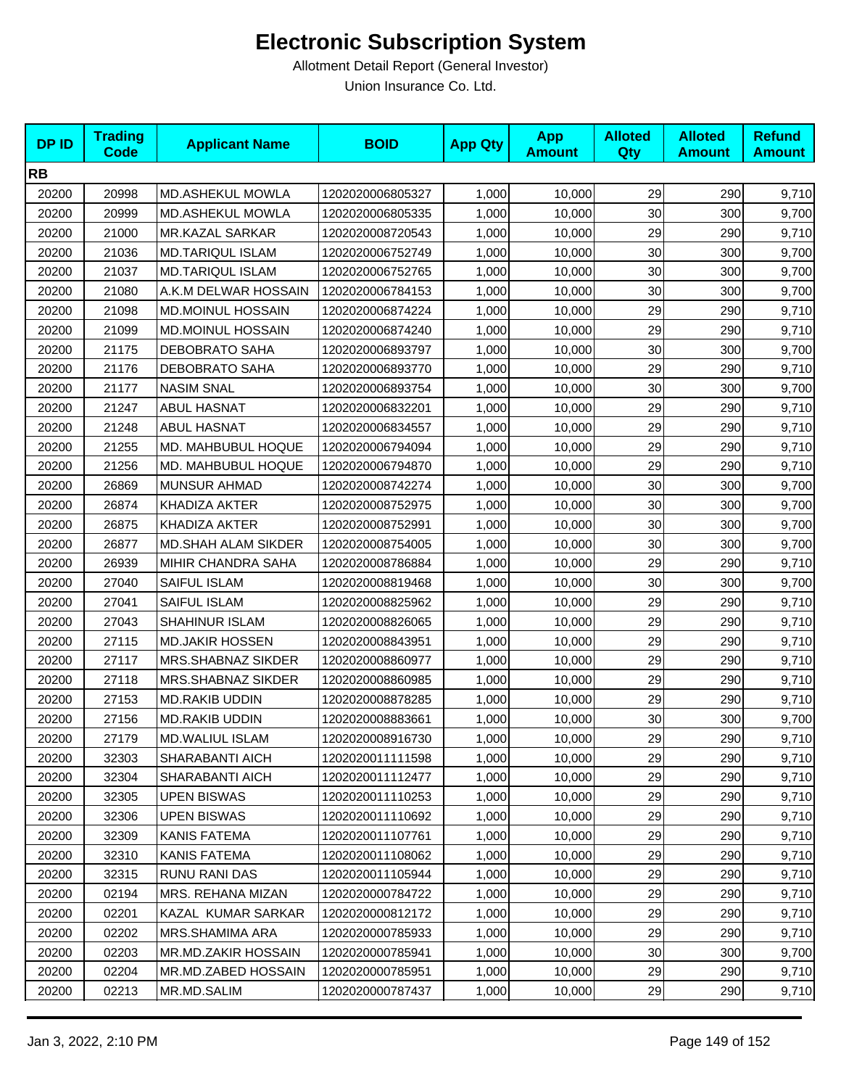| <b>DPID</b> | <b>Trading</b><br><b>Code</b> | <b>Applicant Name</b>   | <b>BOID</b>      | <b>App Qty</b> | <b>App</b><br><b>Amount</b> | <b>Alloted</b><br>Qty | <b>Alloted</b><br><b>Amount</b> | <b>Refund</b><br><b>Amount</b> |
|-------------|-------------------------------|-------------------------|------------------|----------------|-----------------------------|-----------------------|---------------------------------|--------------------------------|
| <b>RB</b>   |                               |                         |                  |                |                             |                       |                                 |                                |
| 20200       | 20998                         | MD.ASHEKUL MOWLA        | 1202020006805327 | 1,000          | 10,000                      | 29                    | 290                             | 9,710                          |
| 20200       | 20999                         | MD.ASHEKUL MOWLA        | 1202020006805335 | 1,000          | 10,000                      | 30                    | 300                             | 9,700                          |
| 20200       | 21000                         | MR.KAZAL SARKAR         | 1202020008720543 | 1,000          | 10,000                      | 29                    | 290                             | 9,710                          |
| 20200       | 21036                         | <b>MD.TARIQUL ISLAM</b> | 1202020006752749 | 1,000          | 10,000                      | 30                    | 300                             | 9,700                          |
| 20200       | 21037                         | MD.TARIQUL ISLAM        | 1202020006752765 | 1,000          | 10,000                      | 30                    | 300                             | 9,700                          |
| 20200       | 21080                         | A.K.M DELWAR HOSSAIN    | 1202020006784153 | 1,000          | 10,000                      | 30                    | 300                             | 9,700                          |
| 20200       | 21098                         | MD.MOINUL HOSSAIN       | 1202020006874224 | 1,000          | 10,000                      | 29                    | 290                             | 9,710                          |
| 20200       | 21099                         | MD.MOINUL HOSSAIN       | 1202020006874240 | 1,000          | 10,000                      | 29                    | 290                             | 9,710                          |
| 20200       | 21175                         | <b>DEBOBRATO SAHA</b>   | 1202020006893797 | 1,000          | 10,000                      | 30                    | 300                             | 9,700                          |
| 20200       | 21176                         | DEBOBRATO SAHA          | 1202020006893770 | 1,000          | 10,000                      | 29                    | 290                             | 9,710                          |
| 20200       | 21177                         | <b>NASIM SNAL</b>       | 1202020006893754 | 1,000          | 10,000                      | 30                    | 300                             | 9,700                          |
| 20200       | 21247                         | <b>ABUL HASNAT</b>      | 1202020006832201 | 1,000          | 10,000                      | 29                    | 290                             | 9,710                          |
| 20200       | 21248                         | <b>ABUL HASNAT</b>      | 1202020006834557 | 1,000          | 10,000                      | 29                    | 290                             | 9,710                          |
| 20200       | 21255                         | MD. MAHBUBUL HOQUE      | 1202020006794094 | 1,000          | 10,000                      | 29                    | 290                             | 9,710                          |
| 20200       | 21256                         | MD. MAHBUBUL HOQUE      | 1202020006794870 | 1,000          | 10,000                      | 29                    | 290                             | 9,710                          |
| 20200       | 26869                         | <b>MUNSUR AHMAD</b>     | 1202020008742274 | 1,000          | 10,000                      | 30                    | 300                             | 9,700                          |
| 20200       | 26874                         | KHADIZA AKTER           | 1202020008752975 | 1,000          | 10,000                      | 30                    | 300                             | 9,700                          |
| 20200       | 26875                         | KHADIZA AKTER           | 1202020008752991 | 1,000          | 10,000                      | 30                    | 300                             | 9,700                          |
| 20200       | 26877                         | MD.SHAH ALAM SIKDER     | 1202020008754005 | 1,000          | 10,000                      | 30                    | 300                             | 9,700                          |
| 20200       | 26939                         | MIHIR CHANDRA SAHA      | 1202020008786884 | 1,000          | 10,000                      | 29                    | 290                             | 9,710                          |
| 20200       | 27040                         | SAIFUL ISLAM            | 1202020008819468 | 1,000          | 10,000                      | 30                    | 300                             | 9,700                          |
| 20200       | 27041                         | SAIFUL ISLAM            | 1202020008825962 | 1,000          | 10,000                      | 29                    | 290                             | 9,710                          |
| 20200       | 27043                         | <b>SHAHINUR ISLAM</b>   | 1202020008826065 | 1,000          | 10,000                      | 29                    | 290                             | 9,710                          |
| 20200       | 27115                         | <b>MD.JAKIR HOSSEN</b>  | 1202020008843951 | 1,000          | 10,000                      | 29                    | 290                             | 9,710                          |
| 20200       | 27117                         | MRS.SHABNAZ SIKDER      | 1202020008860977 | 1,000          | 10,000                      | 29                    | 290                             | 9,710                          |
| 20200       | 27118                         | MRS.SHABNAZ SIKDER      | 1202020008860985 | 1,000          | 10,000                      | 29                    | 290                             | 9,710                          |
| 20200       | 27153                         | <b>MD.RAKIB UDDIN</b>   | 1202020008878285 | 1,000          | 10,000                      | 29                    | 290                             | 9,710                          |
| 20200       | 27156                         | MD.RAKIB UDDIN          | 1202020008883661 | 1,000          | 10,000                      | 30                    | 300                             | 9,700                          |
| 20200       | 27179                         | MD.WALIUL ISLAM         | 1202020008916730 | 1,000          | 10,000                      | 29                    | 290                             | 9,710                          |
| 20200       | 32303                         | SHARABANTI AICH         | 1202020011111598 | 1,000          | 10,000                      | 29                    | 290                             | 9,710                          |
| 20200       | 32304                         | SHARABANTI AICH         | 1202020011112477 | 1,000          | 10,000                      | 29                    | 290                             | 9,710                          |
| 20200       | 32305                         | <b>UPEN BISWAS</b>      | 1202020011110253 | 1,000          | 10,000                      | 29                    | 290                             | 9,710                          |
| 20200       | 32306                         | <b>UPEN BISWAS</b>      | 1202020011110692 | 1,000          | 10,000                      | 29                    | 290                             | 9,710                          |
| 20200       | 32309                         | <b>KANIS FATEMA</b>     | 1202020011107761 | 1,000          | 10,000                      | 29                    | 290                             | 9,710                          |
| 20200       | 32310                         | <b>KANIS FATEMA</b>     | 1202020011108062 | 1,000          | 10,000                      | 29                    | 290                             | 9,710                          |
| 20200       | 32315                         | <b>RUNU RANI DAS</b>    | 1202020011105944 | 1,000          | 10,000                      | 29                    | 290                             | 9,710                          |
| 20200       | 02194                         | MRS. REHANA MIZAN       | 1202020000784722 | 1,000          | 10,000                      | 29                    | 290                             | 9,710                          |
| 20200       | 02201                         | KAZAL KUMAR SARKAR      | 1202020000812172 | 1,000          | 10,000                      | 29                    | 290                             | 9,710                          |
| 20200       | 02202                         | <b>MRS.SHAMIMA ARA</b>  | 1202020000785933 | 1,000          | 10,000                      | 29                    | 290                             | 9,710                          |
| 20200       | 02203                         | MR.MD.ZAKIR HOSSAIN     | 1202020000785941 | 1,000          | 10,000                      | 30                    | 300                             | 9,700                          |
| 20200       | 02204                         | MR.MD.ZABED HOSSAIN     | 1202020000785951 | 1,000          | 10,000                      | 29                    | 290                             | 9,710                          |
| 20200       | 02213                         | MR.MD.SALIM             | 1202020000787437 | 1,000          | 10,000                      | 29                    | 290                             | 9,710                          |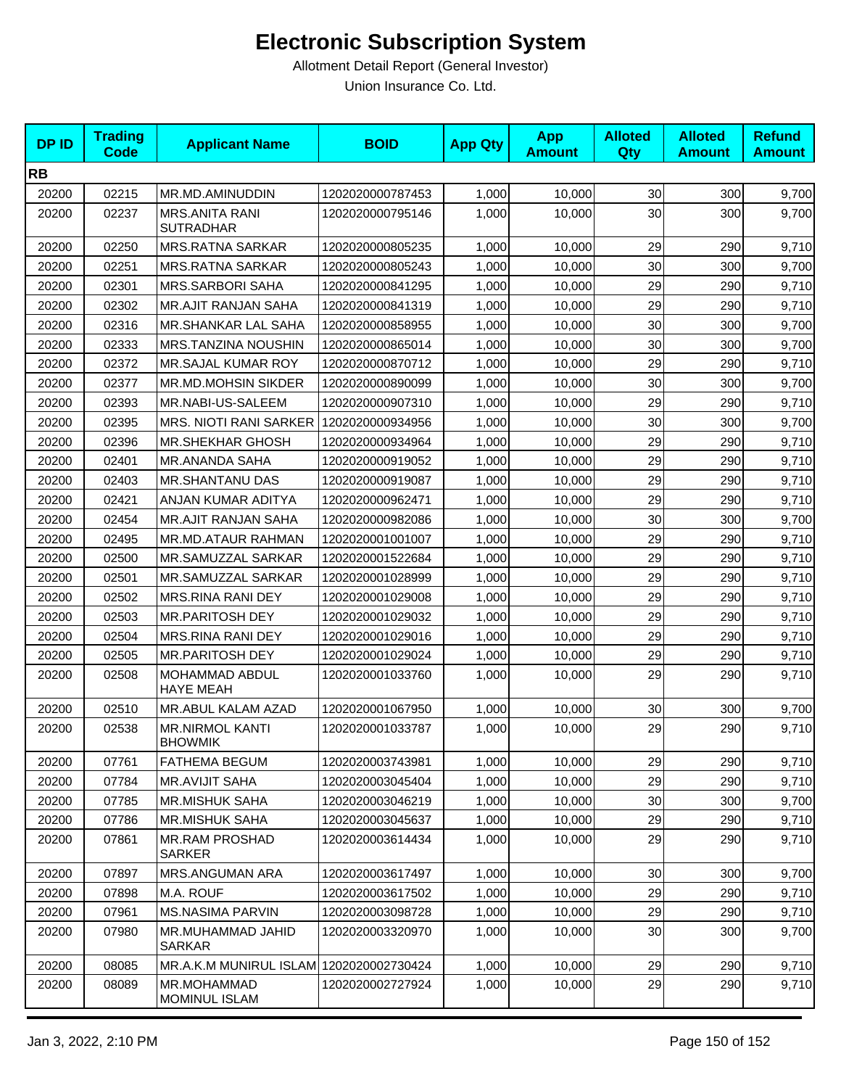| <b>DPID</b> | <b>Trading</b><br>Code | <b>Applicant Name</b>                     | <b>BOID</b>      | <b>App Qty</b> | <b>App</b><br><b>Amount</b> | <b>Alloted</b><br>Qty | <b>Alloted</b><br><b>Amount</b> | <b>Refund</b><br><b>Amount</b> |
|-------------|------------------------|-------------------------------------------|------------------|----------------|-----------------------------|-----------------------|---------------------------------|--------------------------------|
| <b>RB</b>   |                        |                                           |                  |                |                             |                       |                                 |                                |
| 20200       | 02215                  | MR.MD.AMINUDDIN                           | 1202020000787453 | 1,000          | 10,000                      | 30                    | 300                             | 9,700                          |
| 20200       | 02237                  | <b>MRS.ANITA RANI</b><br><b>SUTRADHAR</b> | 1202020000795146 | 1,000          | 10.000                      | 30                    | 300                             | 9,700                          |
| 20200       | 02250                  | <b>MRS.RATNA SARKAR</b>                   | 1202020000805235 | 1,000          | 10,000                      | 29                    | 290                             | 9,710                          |
| 20200       | 02251                  | <b>MRS.RATNA SARKAR</b>                   | 1202020000805243 | 1,000          | 10,000                      | 30                    | 300                             | 9,700                          |
| 20200       | 02301                  | <b>MRS.SARBORI SAHA</b>                   | 1202020000841295 | 1,000          | 10,000                      | 29                    | 290                             | 9,710                          |
| 20200       | 02302                  | <b>MR.AJIT RANJAN SAHA</b>                | 1202020000841319 | 1,000          | 10,000                      | 29                    | 290                             | 9,710                          |
| 20200       | 02316                  | MR.SHANKAR LAL SAHA                       | 1202020000858955 | 1,000          | 10,000                      | 30                    | 300                             | 9,700                          |
| 20200       | 02333                  | MRS.TANZINA NOUSHIN                       | 1202020000865014 | 1,000          | 10,000                      | 30                    | 300                             | 9,700                          |
| 20200       | 02372                  | MR.SAJAL KUMAR ROY                        | 1202020000870712 | 1,000          | 10,000                      | 29                    | 290                             | 9,710                          |
| 20200       | 02377                  | MR.MD.MOHSIN SIKDER                       | 1202020000890099 | 1,000          | 10,000                      | 30                    | 300                             | 9,700                          |
| 20200       | 02393                  | MR.NABI-US-SALEEM                         | 1202020000907310 | 1,000          | 10,000                      | 29                    | 290                             | 9,710                          |
| 20200       | 02395                  | <b>MRS. NIOTI RANI SARKER</b>             | 1202020000934956 | 1,000          | 10,000                      | 30                    | 300                             | 9,700                          |
| 20200       | 02396                  | <b>MR.SHEKHAR GHOSH</b>                   | 1202020000934964 | 1,000          | 10,000                      | 29                    | 290                             | 9,710                          |
| 20200       | 02401                  | <b>MR.ANANDA SAHA</b>                     | 1202020000919052 | 1,000          | 10,000                      | 29                    | 290                             | 9,710                          |
| 20200       | 02403                  | <b>MR.SHANTANU DAS</b>                    | 1202020000919087 | 1,000          | 10,000                      | 29                    | 290                             | 9,710                          |
| 20200       | 02421                  | ANJAN KUMAR ADITYA                        | 1202020000962471 | 1,000          | 10,000                      | 29                    | 290                             | 9,710                          |
| 20200       | 02454                  | <b>MR.AJIT RANJAN SAHA</b>                | 1202020000982086 | 1,000          | 10,000                      | 30                    | 300                             | 9,700                          |
| 20200       | 02495                  | MR.MD.ATAUR RAHMAN                        | 1202020001001007 | 1,000          | 10,000                      | 29                    | 290                             | 9,710                          |
| 20200       | 02500                  | MR.SAMUZZAL SARKAR                        | 1202020001522684 | 1,000          | 10,000                      | 29                    | 290                             | 9,710                          |
| 20200       | 02501                  | MR.SAMUZZAL SARKAR                        | 1202020001028999 | 1,000          | 10,000                      | 29                    | 290                             | 9,710                          |
| 20200       | 02502                  | MRS.RINA RANI DEY                         | 1202020001029008 | 1,000          | 10,000                      | 29                    | 290                             | 9,710                          |
| 20200       | 02503                  | MR.PARITOSH DEY                           | 1202020001029032 | 1,000          | 10,000                      | 29                    | 290                             | 9,710                          |
| 20200       | 02504                  | MRS.RINA RANI DEY                         | 1202020001029016 | 1,000          | 10,000                      | 29                    | 290                             | 9,710                          |
| 20200       | 02505                  | <b>MR.PARITOSH DEY</b>                    | 1202020001029024 | 1,000          | 10,000                      | 29                    | 290                             | 9,710                          |
| 20200       | 02508                  | MOHAMMAD ABDUL<br><b>HAYE MEAH</b>        | 1202020001033760 | 1,000          | 10,000                      | 29                    | 290                             | 9,710                          |
| 20200       | 02510                  | MR.ABUL KALAM AZAD                        | 1202020001067950 | 1,000          | 10,000                      | 30                    | 300                             | 9,700                          |
| 20200       | 02538                  | <b>MR.NIRMOL KANTI</b><br><b>BHOWMIK</b>  | 1202020001033787 | 1,000          | 10,000                      | 29                    | 290                             | 9,710                          |
| 20200       | 07761                  | <b>FATHEMA BEGUM</b>                      | 1202020003743981 | 1,000          | 10,000                      | 29                    | 290                             | 9,710                          |
| 20200       | 07784                  | <b>MR.AVIJIT SAHA</b>                     | 1202020003045404 | 1,000          | 10,000                      | 29                    | 290                             | 9,710                          |
| 20200       | 07785                  | <b>MR.MISHUK SAHA</b>                     | 1202020003046219 | 1,000          | 10,000                      | 30                    | 300                             | 9,700                          |
| 20200       | 07786                  | MR.MISHUK SAHA                            | 1202020003045637 | 1,000          | 10,000                      | 29                    | 290                             | 9,710                          |
| 20200       | 07861                  | <b>MR.RAM PROSHAD</b><br><b>SARKER</b>    | 1202020003614434 | 1,000          | 10,000                      | 29                    | 290                             | 9,710                          |
| 20200       | 07897                  | MRS.ANGUMAN ARA                           | 1202020003617497 | 1,000          | 10,000                      | 30                    | 300                             | 9,700                          |
| 20200       | 07898                  | M.A. ROUF                                 | 1202020003617502 | 1,000          | 10,000                      | 29                    | 290                             | 9,710                          |
| 20200       | 07961                  | <b>MS.NASIMA PARVIN</b>                   | 1202020003098728 | 1,000          | 10,000                      | 29                    | 290                             | 9,710                          |
| 20200       | 07980                  | MR.MUHAMMAD JAHID<br><b>SARKAR</b>        | 1202020003320970 | 1,000          | 10,000                      | 30                    | 300                             | 9,700                          |
| 20200       | 08085                  | MR.A.K.M MUNIRUL ISLAM 1202020002730424   |                  | 1,000          | 10,000                      | 29                    | 290                             | 9,710                          |
| 20200       | 08089                  | MR.MOHAMMAD<br><b>MOMINUL ISLAM</b>       | 1202020002727924 | 1,000          | 10,000                      | 29                    | 290                             | 9,710                          |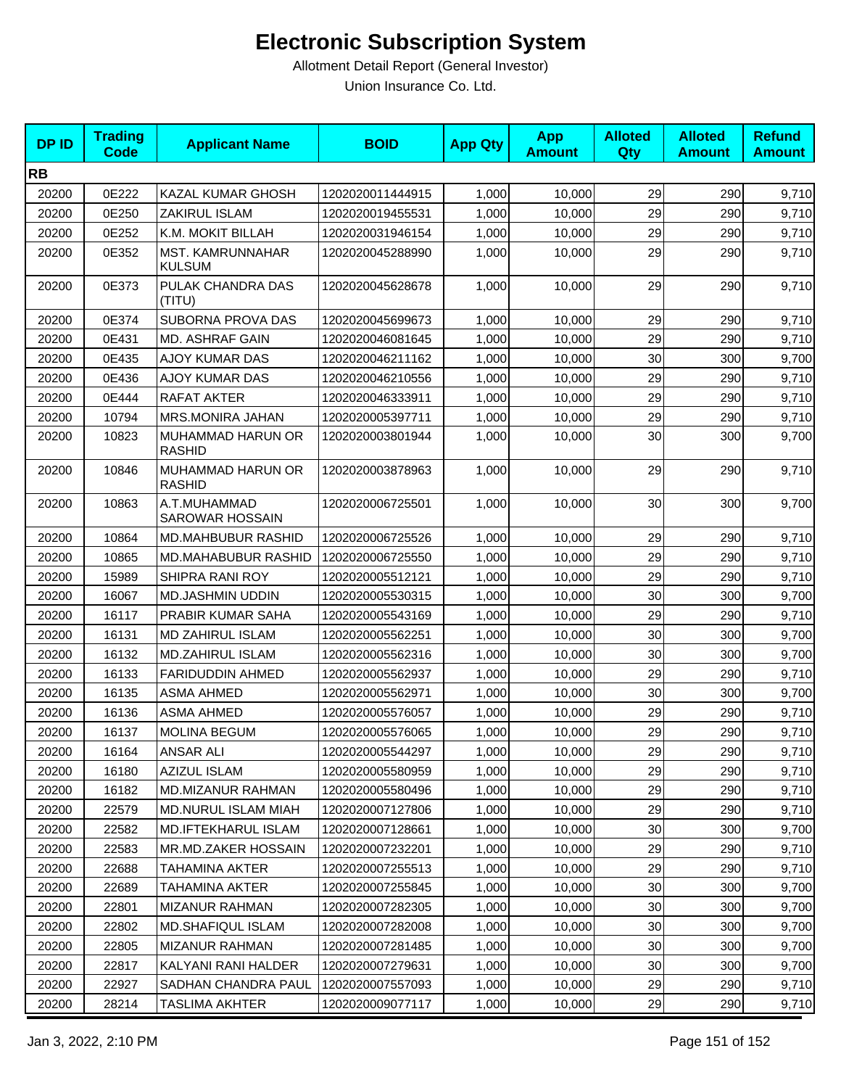| <b>DPID</b> | <b>Trading</b><br><b>Code</b> | <b>Applicant Name</b>              | <b>BOID</b>      | <b>App Qty</b> | <b>App</b><br><b>Amount</b> | <b>Alloted</b><br>Qty | <b>Alloted</b><br><b>Amount</b> | <b>Refund</b><br><b>Amount</b> |
|-------------|-------------------------------|------------------------------------|------------------|----------------|-----------------------------|-----------------------|---------------------------------|--------------------------------|
| <b>RB</b>   |                               |                                    |                  |                |                             |                       |                                 |                                |
| 20200       | 0E222                         | KAZAL KUMAR GHOSH                  | 1202020011444915 | 1,000          | 10,000                      | 29                    | 290                             | 9,710                          |
| 20200       | 0E250                         | ZAKIRUL ISLAM                      | 1202020019455531 | 1,000          | 10,000                      | 29                    | 290                             | 9,710                          |
| 20200       | 0E252                         | K.M. MOKIT BILLAH                  | 1202020031946154 | 1,000          | 10,000                      | 29                    | 290                             | 9,710                          |
| 20200       | 0E352                         | MST. KAMRUNNAHAR<br><b>KULSUM</b>  | 1202020045288990 | 1,000          | 10,000                      | 29                    | 290                             | 9,710                          |
| 20200       | 0E373                         | PULAK CHANDRA DAS<br>(TITU)        | 1202020045628678 | 1,000          | 10,000                      | 29                    | 290                             | 9,710                          |
| 20200       | 0E374                         | SUBORNA PROVA DAS                  | 1202020045699673 | 1,000          | 10,000                      | 29                    | 290                             | 9,710                          |
| 20200       | 0E431                         | MD. ASHRAF GAIN                    | 1202020046081645 | 1,000          | 10,000                      | 29                    | 290                             | 9,710                          |
| 20200       | 0E435                         | <b>AJOY KUMAR DAS</b>              | 1202020046211162 | 1,000          | 10,000                      | 30                    | 300                             | 9,700                          |
| 20200       | 0E436                         | <b>AJOY KUMAR DAS</b>              | 1202020046210556 | 1,000          | 10,000                      | 29                    | 290                             | 9,710                          |
| 20200       | 0E444                         | RAFAT AKTER                        | 1202020046333911 | 1,000          | 10,000                      | 29                    | 290                             | 9,710                          |
| 20200       | 10794                         | MRS.MONIRA JAHAN                   | 1202020005397711 | 1,000          | 10,000                      | 29                    | 290                             | 9,710                          |
| 20200       | 10823                         | MUHAMMAD HARUN OR<br><b>RASHID</b> | 1202020003801944 | 1,000          | 10.000                      | 30                    | 300                             | 9,700                          |
| 20200       | 10846                         | MUHAMMAD HARUN OR<br><b>RASHID</b> | 1202020003878963 | 1,000          | 10,000                      | 29                    | 290                             | 9,710                          |
| 20200       | 10863                         | A.T.MUHAMMAD<br>SAROWAR HOSSAIN    | 1202020006725501 | 1,000          | 10,000                      | 30                    | 300                             | 9,700                          |
| 20200       | 10864                         | MD.MAHBUBUR RASHID                 | 1202020006725526 | 1,000          | 10,000                      | 29                    | 290                             | 9,710                          |
| 20200       | 10865                         | MD.MAHABUBUR RASHID                | 1202020006725550 | 1,000          | 10,000                      | 29                    | 290                             | 9,710                          |
| 20200       | 15989                         | SHIPRA RANI ROY                    | 1202020005512121 | 1,000          | 10,000                      | 29                    | 290                             | 9,710                          |
| 20200       | 16067                         | <b>MD.JASHMIN UDDIN</b>            | 1202020005530315 | 1,000          | 10,000                      | 30                    | 300                             | 9,700                          |
| 20200       | 16117                         | PRABIR KUMAR SAHA                  | 1202020005543169 | 1,000          | 10,000                      | 29                    | 290                             | 9,710                          |
| 20200       | 16131                         | MD ZAHIRUL ISLAM                   | 1202020005562251 | 1,000          | 10,000                      | 30                    | 300                             | 9,700                          |
| 20200       | 16132                         | <b>MD.ZAHIRUL ISLAM</b>            | 1202020005562316 | 1,000          | 10,000                      | 30                    | 300                             | 9,700                          |
| 20200       | 16133                         | <b>FARIDUDDIN AHMED</b>            | 1202020005562937 | 1,000          | 10,000                      | 29                    | 290                             | 9,710                          |
| 20200       | 16135                         | <b>ASMA AHMED</b>                  | 1202020005562971 | 1,000          | 10,000                      | 30                    | 300                             | 9,700                          |
| 20200       | 16136                         | ASMA AHMED                         | 1202020005576057 | 1,000          | 10,000                      | 29                    | 290                             | 9,710                          |
| 20200       | 16137                         | <b>MOLINA BEGUM</b>                | 1202020005576065 | 1,000          | 10,000                      | 29                    | 290                             | 9,710                          |
| 20200       | 16164                         | <b>ANSAR ALI</b>                   | 1202020005544297 | 1,000          | 10,000                      | 29                    | 290                             | 9,710                          |
| 20200       | 16180                         | <b>AZIZUL ISLAM</b>                | 1202020005580959 | 1,000          | 10,000                      | 29                    | 290                             | 9,710                          |
| 20200       | 16182                         | MD.MIZANUR RAHMAN                  | 1202020005580496 | 1,000          | 10,000                      | 29                    | 290                             | 9,710                          |
| 20200       | 22579                         | MD.NURUL ISLAM MIAH                | 1202020007127806 | 1,000          | 10,000                      | 29                    | 290                             | 9,710                          |
| 20200       | 22582                         | MD.IFTEKHARUL ISLAM                | 1202020007128661 | 1,000          | 10,000                      | 30                    | 300                             | 9,700                          |
| 20200       | 22583                         | MR.MD.ZAKER HOSSAIN                | 1202020007232201 | 1,000          | 10,000                      | 29                    | 290                             | 9,710                          |
| 20200       | 22688                         | TAHAMINA AKTER                     | 1202020007255513 | 1,000          | 10,000                      | 29                    | 290                             | 9,710                          |
| 20200       | 22689                         | <b>TAHAMINA AKTER</b>              | 1202020007255845 | 1,000          | 10,000                      | 30                    | 300                             | 9,700                          |
| 20200       | 22801                         | <b>MIZANUR RAHMAN</b>              | 1202020007282305 | 1,000          | 10,000                      | 30                    | 300                             | 9,700                          |
| 20200       | 22802                         | <b>MD.SHAFIQUL ISLAM</b>           | 1202020007282008 | 1,000          | 10,000                      | 30                    | 300                             | 9,700                          |
| 20200       | 22805                         | <b>MIZANUR RAHMAN</b>              | 1202020007281485 | 1,000          | 10,000                      | 30                    | 300                             | 9,700                          |
| 20200       | 22817                         | KALYANI RANI HALDER                | 1202020007279631 | 1,000          | 10,000                      | 30                    | 300                             | 9,700                          |
| 20200       | 22927                         | SADHAN CHANDRA PAUL                | 1202020007557093 | 1,000          | 10,000                      | 29                    | 290                             | 9,710                          |
| 20200       | 28214                         | <b>TASLIMA AKHTER</b>              | 1202020009077117 | 1,000          | 10,000                      | 29                    | 290                             | 9,710                          |